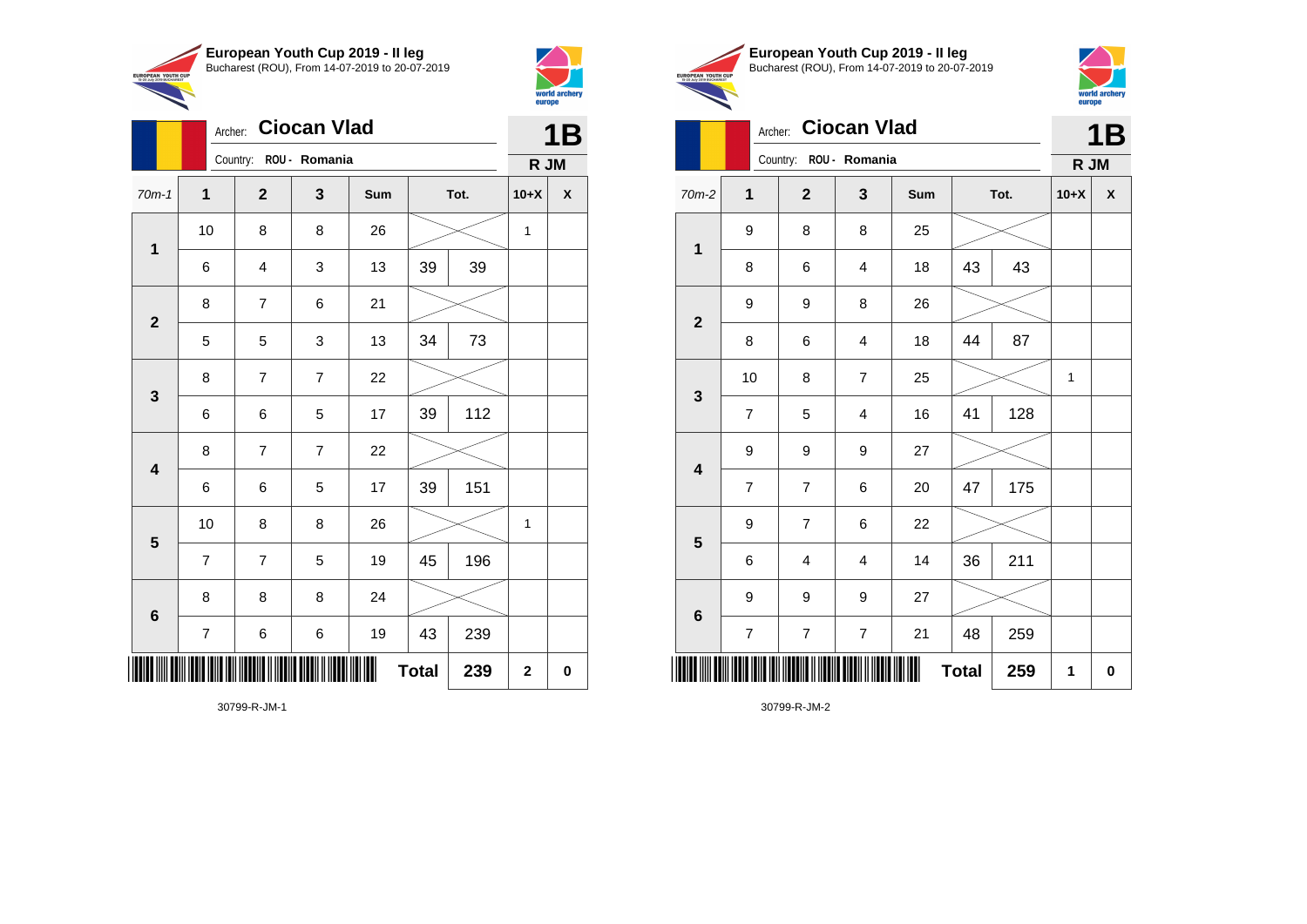



|                         |                | <b>Ciocan Vlad</b><br>Archer: |                |     |              |      |              |                    |  |
|-------------------------|----------------|-------------------------------|----------------|-----|--------------|------|--------------|--------------------|--|
|                         |                | Country: ROU - Romania        |                |     |              |      | R JM         |                    |  |
| $70m-1$                 | $\mathbf 1$    | $\mathbf{2}$                  | 3              | Sum |              | Tot. | $10+X$       | $\pmb{\mathsf{X}}$ |  |
|                         | 10             | 8                             | 8              | 26  |              |      | $\mathbf 1$  |                    |  |
| $\mathbf{1}$            | 6              | 4                             | 3              | 13  | 39<br>39     |      |              |                    |  |
| $\mathbf{2}$            | 8              | $\overline{7}$                | 6              | 21  |              |      |              |                    |  |
|                         | 5              | 5                             | 3              | 13  | 34           | 73   |              |                    |  |
| $\mathbf 3$             | 8              | $\overline{7}$                | $\overline{7}$ | 22  |              |      |              |                    |  |
|                         | 6              | 6                             | 5              | 17  | 39           | 112  |              |                    |  |
| $\overline{\mathbf{4}}$ | 8              | $\overline{7}$                | $\overline{7}$ | 22  |              |      |              |                    |  |
|                         | 6              | 6                             | 5              | 17  | 39           | 151  |              |                    |  |
| $\overline{\mathbf{5}}$ | 10             | 8                             | 8              | 26  |              |      | 1            |                    |  |
|                         | $\overline{7}$ | $\overline{7}$                | 5              | 19  | 45           | 196  |              |                    |  |
| $\bf 6$                 | 8              | 8                             | 8              | 24  |              |      |              |                    |  |
|                         | $\overline{7}$ | $\,6$                         | 6              | 19  | 43           | 239  |              |                    |  |
| ║║║║                    |                |                               |                |     | <b>Total</b> | 239  | $\mathbf{2}$ | 0                  |  |





|                         | Archer:          |                        | <b>Ciocan Vlad</b>      |     |              |      |        | <b>1B</b>          |
|-------------------------|------------------|------------------------|-------------------------|-----|--------------|------|--------|--------------------|
|                         |                  | Country: ROU - Romania |                         |     |              |      | R JM   |                    |
| $70m-2$                 | 1                | $\mathbf{2}$           | $\mathbf{3}$            | Sum |              | Tot. | $10+X$ | $\pmb{\mathsf{X}}$ |
| $\mathbf{1}$            | 9                | 8                      | 8                       | 25  |              |      |        |                    |
|                         | 8                | 6                      | 4                       | 18  | 43           | 43   |        |                    |
| $\mathbf{2}$            | 9                | 9                      | 8                       | 26  |              |      |        |                    |
|                         | 8                | 6                      | $\overline{\mathbf{4}}$ | 18  | 44           | 87   |        |                    |
| $\mathbf{3}$            | 10               | 8                      | $\overline{7}$          | 25  |              |      | 1      |                    |
|                         | $\overline{7}$   | 5                      | $\overline{\mathbf{4}}$ | 16  | 41           | 128  |        |                    |
| $\overline{\mathbf{4}}$ | 9                | 9                      | 9                       | 27  |              |      |        |                    |
|                         | $\overline{7}$   | $\overline{7}$         | 6                       | 20  | 47           | 175  |        |                    |
| $\overline{\mathbf{5}}$ | 9                | $\overline{7}$         | 6                       | 22  |              |      |        |                    |
|                         | 6                | 4                      | 4                       | 14  | 36           | 211  |        |                    |
| $\bf 6$                 | 9                | 9                      | 9                       | 27  |              |      |        |                    |
|                         | $\boldsymbol{7}$ | $\boldsymbol{7}$       | $\boldsymbol{7}$        | 21  | 48           | 259  |        |                    |
| Ⅲ                       |                  |                        |                         |     | <b>Total</b> | 259  | 1      | $\pmb{0}$          |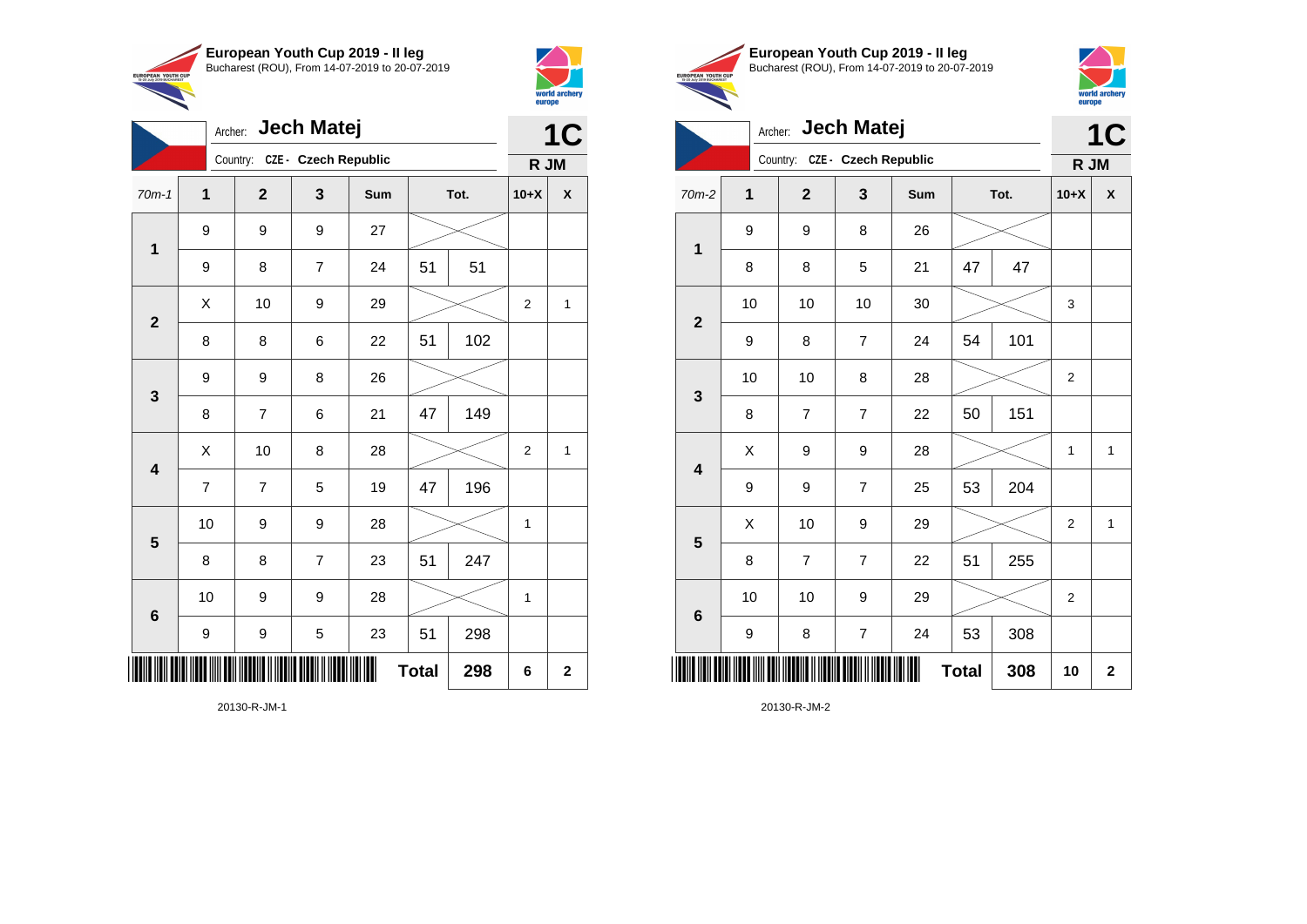



|                         | <b>Jech Matej</b><br>Archer: |                               |                |     |              | 1 <sup>C</sup> |                |              |
|-------------------------|------------------------------|-------------------------------|----------------|-----|--------------|----------------|----------------|--------------|
|                         |                              | Country: CZE - Czech Republic |                |     |              |                | R JM           |              |
| $70m-1$                 | 1                            | $\overline{2}$                | 3              | Sum |              | Tot.           | $10+X$         | χ            |
| $\mathbf{1}$            | 9                            | 9                             | 9              | 27  |              |                |                |              |
|                         | 9                            | 8                             | $\overline{7}$ | 24  | 51           | 51             |                |              |
| $\mathbf{2}$            | X                            | 10                            | 9              | 29  |              |                | $\overline{2}$ | $\mathbf{1}$ |
|                         | 8                            | 8                             | 6              | 22  | 51           | 102            |                |              |
| 3                       | 9                            | 9                             | 8              | 26  |              |                |                |              |
|                         | 8                            | $\overline{7}$                | 6              | 21  | 47           | 149            |                |              |
| $\overline{\mathbf{4}}$ | X                            | 10                            | 8              | 28  |              |                | 2              | 1            |
|                         | $\overline{7}$               | $\overline{7}$                | 5              | 19  | 47           | 196            |                |              |
| $\overline{\mathbf{5}}$ | 10                           | 9                             | 9              | 28  |              |                | $\mathbf 1$    |              |
|                         | 8                            | 8                             | $\overline{7}$ | 23  | 51           | 247            |                |              |
| $\bf 6$                 | 10                           | 9                             | 9              | 28  |              |                | $\mathbf{1}$   |              |
|                         | 9                            | 9                             | 5              | 23  | 51           | 298            |                |              |
| ║║║                     |                              |                               |                |     | <b>Total</b> | 298            | 6              | $\mathbf 2$  |





|                         | Archer: |                               | <b>Jech Matej</b> |     |              |      | 1C             |              |
|-------------------------|---------|-------------------------------|-------------------|-----|--------------|------|----------------|--------------|
|                         |         | Country: CZE - Czech Republic |                   |     |              |      | R JM           |              |
| $70m-2$                 | 1       | $\overline{2}$                | 3                 | Sum |              | Tot. | $10+X$         | X            |
| 1                       | 9       | 9                             | 8                 | 26  |              |      |                |              |
|                         | 8       | 8                             | 5                 | 21  | 47           | 47   |                |              |
| $\overline{\mathbf{2}}$ | 10      | 10                            | 10                | 30  |              |      | 3              |              |
|                         | 9       | 8                             | $\overline{7}$    | 24  | 54           | 101  |                |              |
| 3                       | 10      | 10                            | 8                 | 28  |              |      | $\overline{2}$ |              |
|                         | 8       | 7                             | $\overline{7}$    | 22  | 50           | 151  |                |              |
| $\overline{\mathbf{4}}$ | X       | 9                             | 9                 | 28  |              |      | 1              | $\mathbf{1}$ |
|                         | 9       | 9                             | 7                 | 25  | 53           | 204  |                |              |
| 5                       | X       | 10                            | 9                 | 29  |              |      | 2              | 1            |
|                         | 8       | $\overline{7}$                | $\overline{7}$    | 22  | 51           | 255  |                |              |
| $6\phantom{1}6$         | 10      | 10                            | 9                 | 29  |              |      | $\overline{2}$ |              |
|                         | 9       | 8                             | $\overline{7}$    | 24  | 53           | 308  |                |              |
| ║║║                     |         |                               |                   |     | <b>Total</b> | 308  | 10             | $\mathbf{2}$ |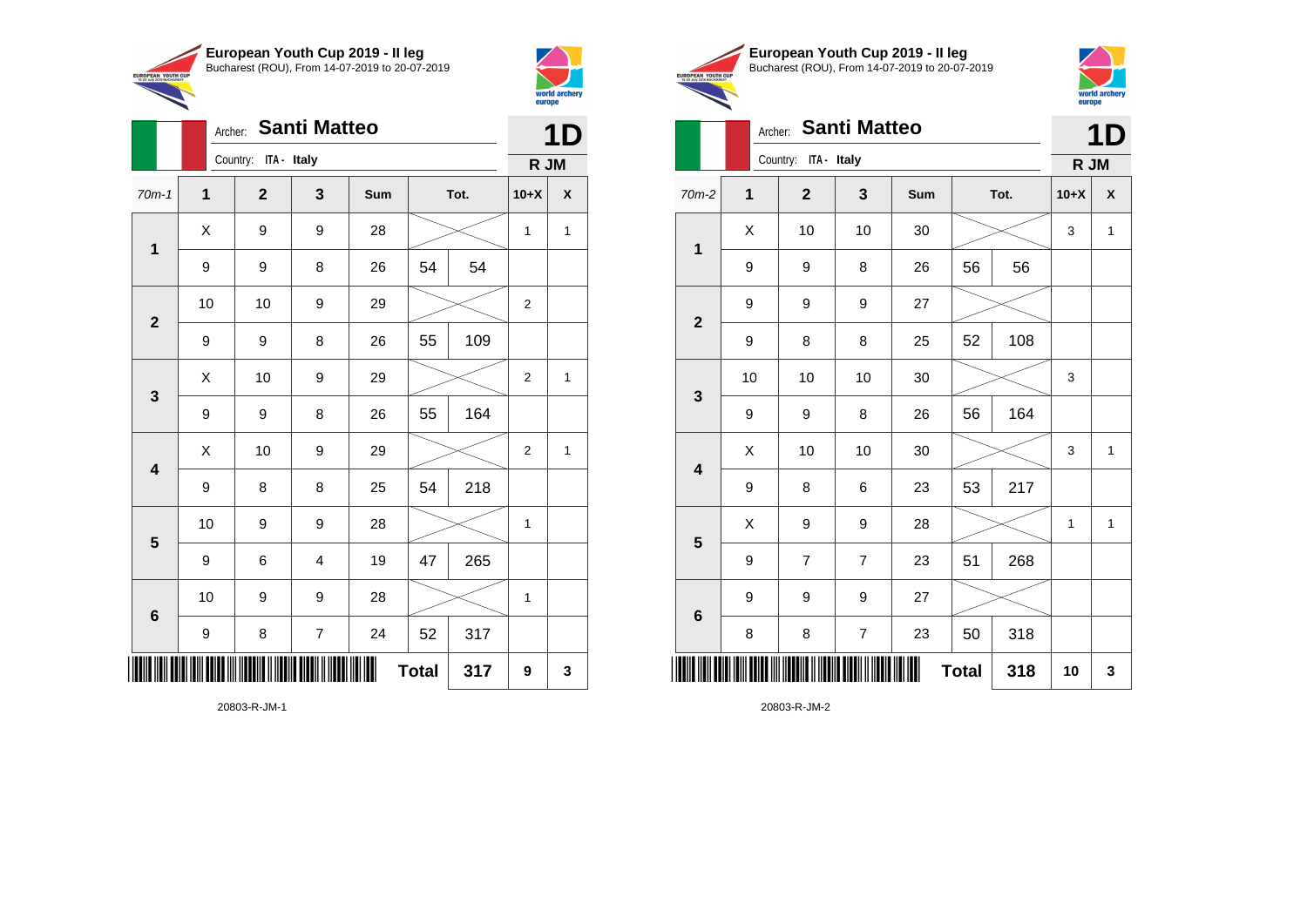

Archer: **Santi Matteo**

70m-1 **1 2 3 Sum Tot. 10+X X**

9 | 9 | 8 | 26 | 54 | 54

9 | 9 | 8 | 26 | 55 | 109

9 | 9 | 8 | 26 | 55 | 164

9 | 8 | 8 | 25 | 54 | 218

9 | 6 | 4 | 19 | 47 | 265

9 | 8 | 7 | 24 | 52 | 317

10 | 9 | 9 | 28 |  $\times$  | 1

10 | 9 | 9 | 28 |  $\times$  | 1

 $Total | 317 | 9 | 3$ 

10 | 10 | 9 | 29 |  $\times$  | 2

 $X$  | 9 | 9 | 28 |  $\times$  | 1 | 1

 $\begin{array}{|c|c|c|c|c|c|}\hline \hspace{.1cm}X & \hspace{.1cm} \text{10} & \hspace{.1cm} \text{9} & \hspace{.1cm} \text{29} & \hspace{.1cm} \text{20} & \hspace{.1cm} \text{\large{\fbox{\hspace{1cm}}}}\hline \end{array} \hspace{.2cm} \begin{array}{|c|c|c|c|c|c|}\hline \hspace{.1cm}X & \hspace{.1cm} \text{12} & \hspace{.1cm} \text{11} & \hspace{.1cm} \end{array}$ 

 $\begin{array}{|c|c|c|c|c|c|}\hline \hspace{.1cm}X & \hspace{.1cm} \text{10} & \hspace{.1cm} \text{9} & \hspace{.1cm} \text{29} & \hspace{.1cm} \text{20} & \hspace{.1cm} \text{\large{\fbox{\hspace{1cm}}}}\hline \end{array} \hspace{.2cm} \begin{array}{|c|c|c|c|c|c|}\hline \hspace{.1cm}X & \hspace{.1cm} \text{12} & \hspace{.1cm} \text{11} & \hspace{.1cm} \end{array}$ 

Country: **ITA - Italy**

**1**

**2**

**3**

**4**

**5**

**6**



**1D**

**R JM**

| <b>EUROPEAN YOUTH CUP</b> | European Youth Cup 2019 - Il leg               |
|---------------------------|------------------------------------------------|
| 15-20 July 2019 BUCHAREST | Bucharest (ROU), From 14-07-2019 to 20-07-2019 |
|                           | Archer Santi Matteo                            |



**1D**

# **Archer: Santi Matteo**

|                         |              | Country: ITA - Italy    |                         |        |              |      | R JM   |              |
|-------------------------|--------------|-------------------------|-------------------------|--------|--------------|------|--------|--------------|
| $70m-2$                 | $\mathbf{1}$ | $\overline{\mathbf{2}}$ | $\mathbf{3}$            | Sum    |              | Tot. | $10+X$ | X            |
| $\mathbf 1$             | X            | 10                      | 10                      | $30\,$ |              |      | 3      | $\mathbf{1}$ |
|                         | 9            | 9                       | 8                       | 26     | 56           | 56   |        |              |
| $\mathbf{2}$            | 9            | 9                       | 9                       | 27     |              |      |        |              |
|                         | 9            | 8                       | 8                       | 25     | 52           | 108  |        |              |
| $\mathbf{3}$            | 10           | 10                      | 10                      | $30\,$ |              |      | 3      |              |
|                         | 9            | 9                       | 8                       | 26     | 56           | 164  |        |              |
|                         | Χ            | 10                      | 10                      | 30     |              |      | 3      | $\mathbf 1$  |
| $\overline{\mathbf{4}}$ | 9            | 8                       | 6                       | 23     | 53           | 217  |        |              |
| $\overline{\mathbf{5}}$ | X            | 9                       | 9                       | 28     |              |      | 1      | $\mathbf{1}$ |
|                         | 9            | $\overline{7}$          | $\overline{7}$          | 23     | 51           | 268  |        |              |
|                         | 9            | 9                       | 9                       | 27     |              |      |        |              |
| $\bf 6$                 | 8            | 8                       | $\overline{\mathbf{7}}$ | 23     | 50           | 318  |        |              |
|                         |              |                         |                         | ║║     | <b>Total</b> | 318  | 10     | 3            |

20803-R-JM-2

20803-R-JM-1

\*20803-R-JM-1\*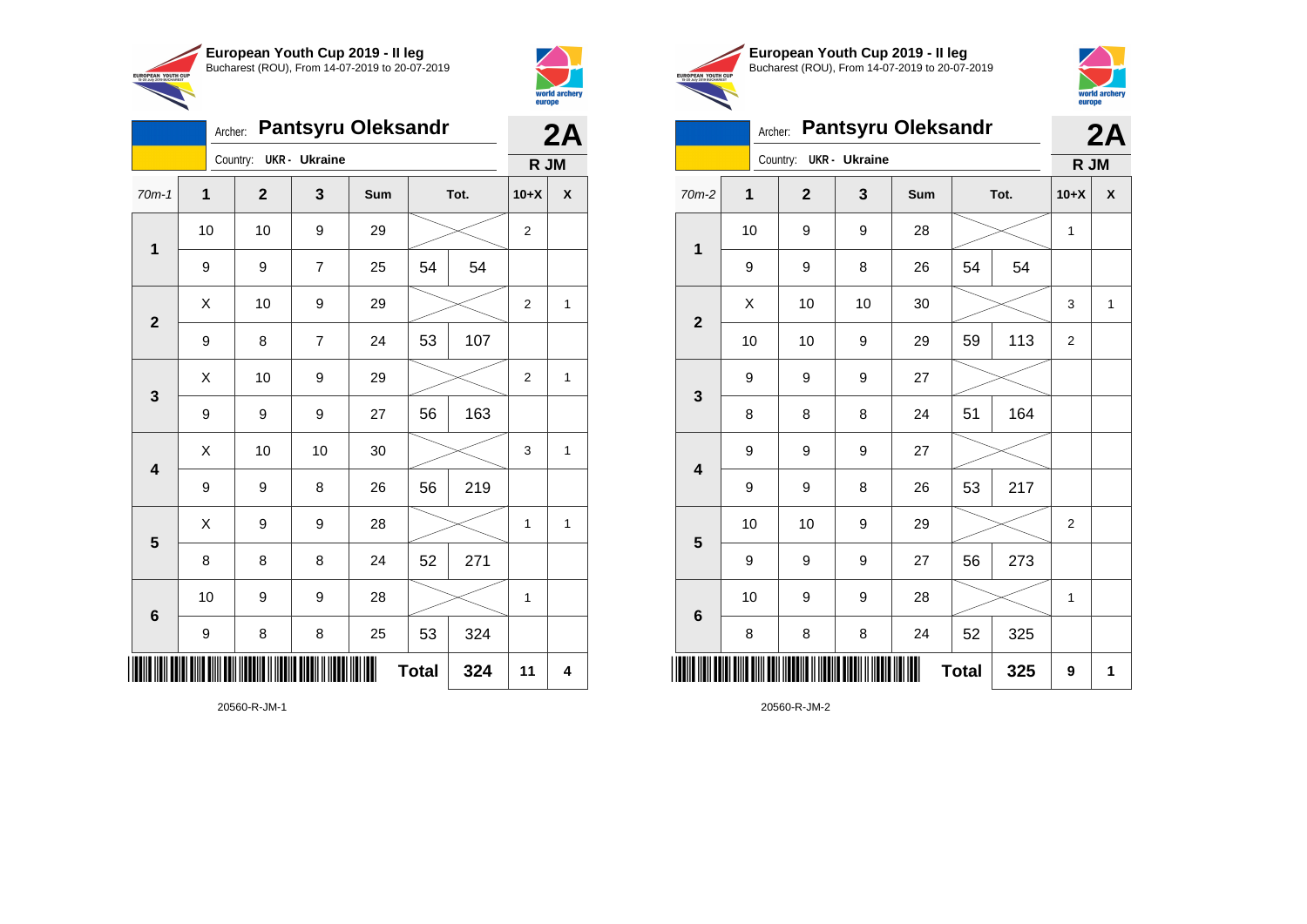



|                         |    | Archer: |                |                | <b>Pantsyru Oleksandr</b> |              |      |                | 2A             |
|-------------------------|----|---------|----------------|----------------|---------------------------|--------------|------|----------------|----------------|
|                         |    |         | Country:       | UKR - Ukraine  |                           |              |      | R JM           |                |
| $70m-1$                 | 1  |         | $\overline{2}$ | 3              | Sum                       |              | Tot. | $10+X$         | χ              |
| $\mathbf 1$             | 10 |         | 10             | 9              | 29                        |              |      | $\overline{2}$ |                |
|                         | 9  |         | 9              | $\overline{7}$ | 25                        | 54           | 54   |                |                |
| $\overline{2}$          | Χ  |         | 10             | 9              | 29                        |              |      | $\overline{2}$ | 1              |
|                         | 9  |         | 8              | $\overline{7}$ | 24                        | 53           | 107  |                |                |
| $\mathbf{3}$            | X  |         | 10             | 9              | 29                        |              |      | $\overline{2}$ | 1              |
|                         | 9  |         | 9              | 9              | 27                        | 56           | 163  |                |                |
| $\overline{\mathbf{4}}$ | X  |         | 10             | 10             | 30                        |              |      | 3              | 1              |
|                         | 9  |         | 9              | 8              | 26                        | 56           | 219  |                |                |
| 5                       | X  |         | 9              | 9              | 28                        |              |      | $\mathbf{1}$   | $\overline{1}$ |
|                         | 8  |         | 8              | 8              | 24                        | 52           | 271  |                |                |
| $\bf 6$                 | 10 |         | 9              | 9              | 28                        |              |      | 1              |                |
|                         | 9  |         | 8              | 8              | 25                        | 53           | 324  |                |                |
|                         |    |         |                |                |                           | <b>Total</b> | 324  | 11             | 4              |





**2A**

### Archer: **Pantsyru Oleksandr**

|                         |                                                          | Country:     | <b>UKR</b> - Ukraine |     |              |      | R JM             |   |
|-------------------------|----------------------------------------------------------|--------------|----------------------|-----|--------------|------|------------------|---|
| $70m-2$                 | 1                                                        | $\mathbf{2}$ | 3                    | Sum |              | Tot. | $10+X$           | X |
| $\mathbf 1$             | 10                                                       | 9            | 9                    | 28  |              |      | 1                |   |
|                         | 9                                                        | 9            | 8                    | 26  | 54           | 54   |                  |   |
| $\mathbf{2}$            | Χ                                                        | 10           | 10                   | 30  |              |      | 3                | 1 |
|                         | 10                                                       | 10           | $\boldsymbol{9}$     | 29  | 59           | 113  | $\boldsymbol{2}$ |   |
| 3                       | 9                                                        | 9            | $\boldsymbol{9}$     | 27  |              |      |                  |   |
|                         | 8                                                        | 8            | 8                    | 24  | 51           | 164  |                  |   |
| $\overline{\mathbf{4}}$ | 9                                                        | 9            | 9                    | 27  |              |      |                  |   |
|                         | 9                                                        | 9            | 8                    | 26  | 53           | 217  |                  |   |
| 5                       | 10                                                       | 10           | $\boldsymbol{9}$     | 29  |              |      | $\overline{2}$   |   |
|                         | 9                                                        | 9            | 9                    | 27  | 56           | 273  |                  |   |
| $\bf 6$                 | 10                                                       | 9            | 9                    | 28  |              |      | 1                |   |
|                         | 8                                                        | 8            | 8                    | 24  | 52           | 325  |                  |   |
|                         | I <mark>i dan ini dahil dina dini dan nadan</mark> a n m |              |                      | Ш   | <b>Total</b> | 325  | 9                | 1 |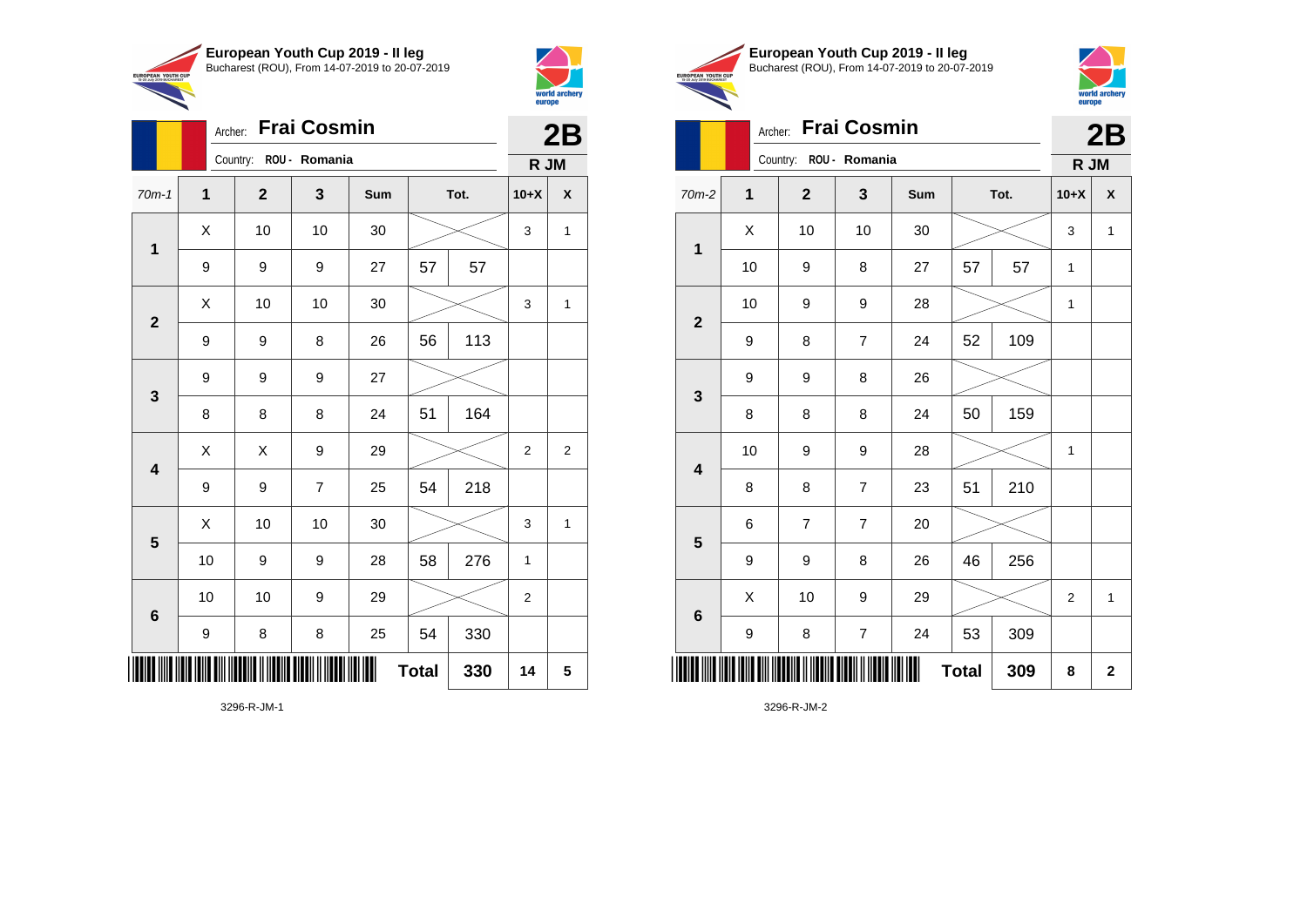

Archer: **Frai Cosmin**

9 9 9 27

70m-1 **1 2 3 Sum Tot. 10+X X**

9 | 9 | 27 | 57 | 57

9 | 9 | 8 | 26 | 56 | 113

8 | 8 | 8 | 24 | 51 | 164

9 | 9 | 7 | 25 | 54 | 218

 $\begin{array}{|c|c|c|c|c|c|}\hline \hspace{.1cm}X & \hspace{.1cm} \text{ 10} & \hspace{.1cm} \text{ 10} & \hspace{.1cm} \text{ 30} & \hspace{.1cm} \end{array} \hspace{.2cm} \begin{array}{|c|c|c|c|c|c|}\hline \hspace{.1cm}X & \hspace{.1cm} \text{ 3} & \hspace{.1cm} \text{ 1} & \hspace{.1cm} \text{ 4} & \hspace{.1cm} \end{array}$ 

 $\begin{array}{|c|c|c|c|c|c|}\hline \hspace{.1cm}X & \hspace{.1cm} \text{ 10} & \hspace{.1cm} \text{ 10} & \hspace{.1cm} \text{ 30} & \hspace{.1cm} \end{array} \hspace{.2cm} \begin{array}{|c|c|c|c|c|c|}\hline \hspace{.1cm}X & \hspace{.1cm} \text{ 3} & \hspace{.1cm} \text{ 1} & \hspace{.1cm} \text{ 4} & \hspace{.1cm} \end{array}$ 

 $\begin{array}{|c|c|c|c|c|}\hline \hspace{0.2cm}X & X & 9 & 29 & \nearrow \ \hline \end{array}$ 

 $\begin{array}{|c|c|c|c|c|c|}\hline \hspace{.1cm}X & \hspace{.1cm} \text{ 10} & \hspace{.1cm} \text{ 10} & \hspace{.1cm} \text{ 30} & \hspace{.1cm} \end{array} \hspace{1.2cm} \begin{array}{|c|c|c|c|c|c|}\hline \hspace{.1cm}X & \hspace{.1cm} \text{ 3} & \hspace{.1cm} \text{ 1} & \hspace{.1cm} \text{ 4} & \hspace{.1cm} \end{array} \hspace{1.2cm}$ 

**Total 330 14 5**

10 | 9 | 9 | 28 | 58 | 276 | 1

10 | 10 | 9 | 29 |  $\!\!\!\!\!\times$  | 2

9 | 8 | 8 | 25 | 54 | 330

Country: **ROU - Romania**

**1**

**2**

**3**

**4**

**5**

**6**



**2B**

**R JM**

|                                                        | European Youth Cup 2019 - Il leg               |
|--------------------------------------------------------|------------------------------------------------|
| <b>EUROPEAN YOUTH CUP</b><br>15-20 July 2019 BUCHAREST | Bucharest (ROU), From 14-07-2019 to 20-07-2019 |



**2B**

# Archer: **Frai Cosmin**

|                         |             | Country:                | ROU - Romania    |        |              |      | R JM        |              |
|-------------------------|-------------|-------------------------|------------------|--------|--------------|------|-------------|--------------|
| 70m-2                   | $\mathbf 1$ | $\mathbf{2}$            | 3                | Sum    |              | Tot. | $10+X$      | X            |
| $\mathbf 1$             | Χ           | 10                      | 10               | $30\,$ |              |      | 3           | $\mathbf{1}$ |
|                         | 10          | 9                       | 8                | 27     | 57           | 57   | 1           |              |
| $\mathbf{2}$            | 10          | 9                       | $\boldsymbol{9}$ | 28     |              |      | 1           |              |
|                         | 9           | 8                       | $\boldsymbol{7}$ | 24     | 52           | 109  |             |              |
| 3                       | 9           | 9                       | 8                | 26     |              |      |             |              |
|                         | 8           | 8                       | 8                | 24     | 50           | 159  |             |              |
| $\overline{\mathbf{4}}$ | 10          | 9                       | $\boldsymbol{9}$ | 28     |              |      | $\mathbf 1$ |              |
|                         | 8           | 8                       | $\overline{7}$   | 23     | 51           | 210  |             |              |
| $\overline{\mathbf{5}}$ | 6           | $\overline{\mathbf{7}}$ | $\overline{7}$   | 20     |              |      |             |              |
|                         | 9           | 9                       | 8                | 26     | 46           | 256  |             |              |
|                         | X           | 10                      | 9                | 29     |              |      | 2           | $\mathbf 1$  |
| 6                       | 9           | 8                       | $\boldsymbol{7}$ | 24     | 53           | 309  |             |              |
| IIII                    |             |                         |                  | ║║     | <b>Total</b> | 309  | 8           | $\mathbf{2}$ |

3296-R-JM-2

3296-R-JM-1

\*3296-R-JM-1\*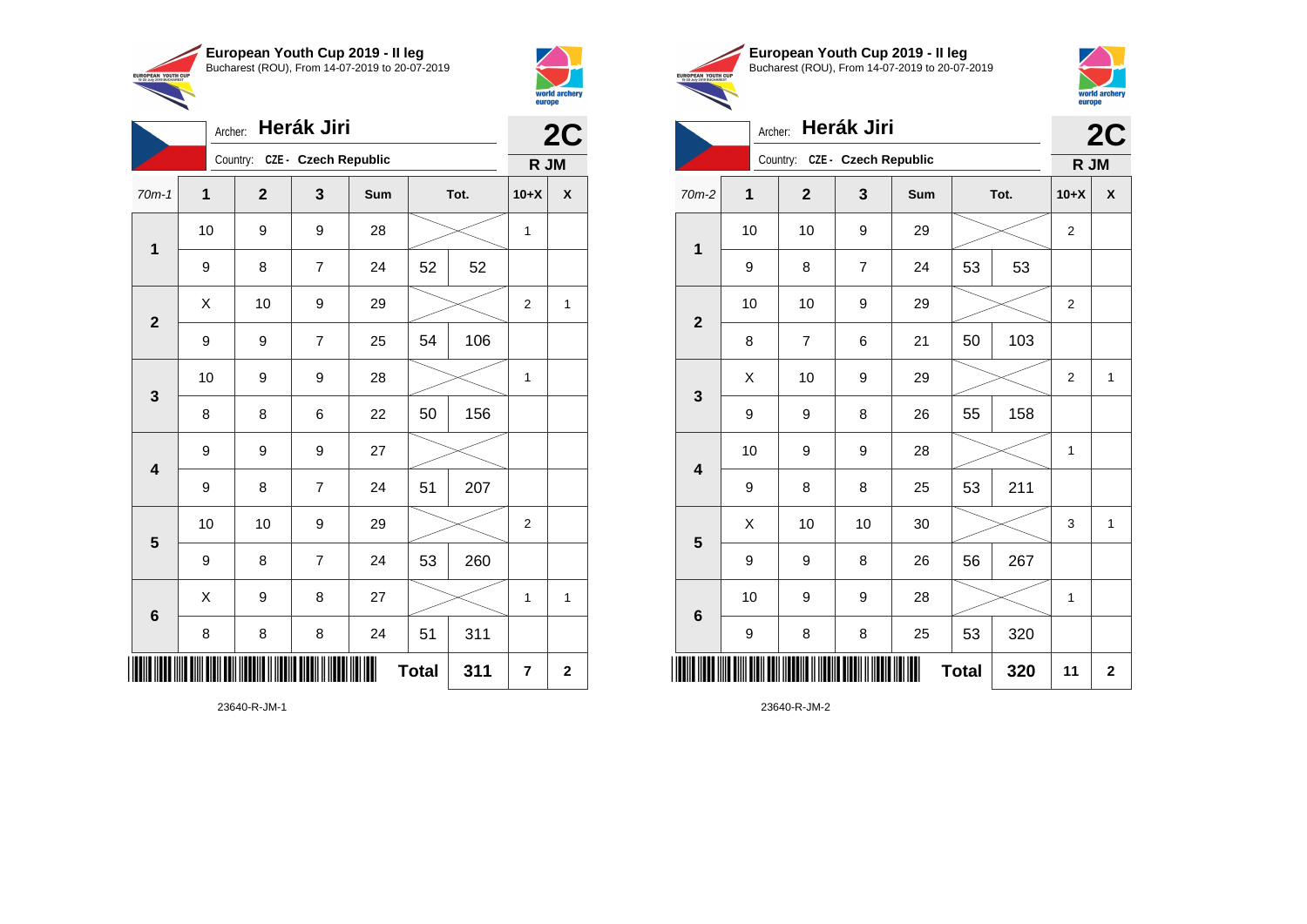



|                         | Archer:          |                               | Herák Jiri     |     |              |      | 2C             |                         |
|-------------------------|------------------|-------------------------------|----------------|-----|--------------|------|----------------|-------------------------|
|                         |                  | Country: CZE - Czech Republic |                |     |              |      | R JM           |                         |
| $70m-1$                 | $\mathbf{1}$     | $\overline{2}$                | $\mathbf{3}$   | Sum |              | Tot. | $10+X$         | X                       |
| 1                       | 10               | 9                             | 9              | 28  |              |      | 1              |                         |
|                         | 9                | 8                             | $\overline{7}$ | 24  | 52           | 52   |                |                         |
| $\overline{2}$          | X                | 10                            | 9              | 29  |              |      | $\overline{2}$ | 1                       |
|                         | $\boldsymbol{9}$ | 9                             | 7              | 25  | 54           | 106  |                |                         |
| 3                       | 10               | 9                             | 9              | 28  |              |      | 1              |                         |
|                         | 8                | 8                             | 6              | 22  | 50           | 156  |                |                         |
| $\overline{\mathbf{4}}$ | 9                | 9                             | 9              | 27  |              |      |                |                         |
|                         | 9                | 8                             | $\overline{7}$ | 24  | 51           | 207  |                |                         |
| 5                       | 10               | 10                            | 9              | 29  |              |      | $\overline{c}$ |                         |
|                         | 9                | 8                             | $\overline{7}$ | 24  | 53           | 260  |                |                         |
| $6\phantom{1}6$         | Χ                | 9                             | 8              | 27  |              |      | 1              | 1                       |
|                         | 8                | 8                             | 8              | 24  | 51           | 311  |                |                         |
| ║║║                     |                  |                               |                |     | <b>Total</b> | 311  | $\overline{7}$ | $\overline{\mathbf{2}}$ |





|                         | Archer:     |                               | Herák Jiri |     |              |      |                  | 2C           |
|-------------------------|-------------|-------------------------------|------------|-----|--------------|------|------------------|--------------|
|                         |             | Country: CZE - Czech Republic |            |     |              |      | R JM             |              |
| $70m-2$                 | $\mathbf 1$ | $\overline{2}$                | 3          | Sum |              | Tot. | $10+X$           | X            |
| 1                       | 10          | 10                            | 9          | 29  |              |      | $\mathbf{2}$     |              |
|                         | 9           | 8                             | 7          | 24  | 53           | 53   |                  |              |
| $\overline{\mathbf{2}}$ | 10          | 10                            | 9          | 29  |              |      | $\boldsymbol{2}$ |              |
|                         | 8           | $\overline{7}$                | 6          | 21  | 50           | 103  |                  |              |
| 3                       | X           | 10                            | 9          | 29  |              |      | $\overline{2}$   | 1            |
|                         | 9           | 9                             | 8          | 26  | 55           | 158  |                  |              |
| $\overline{\mathbf{4}}$ | 10          | 9                             | 9          | 28  |              |      | 1                |              |
|                         | 9           | 8                             | 8          | 25  | 53           | 211  |                  |              |
| $\overline{\mathbf{5}}$ | X           | 10                            | 10         | 30  |              |      | 3                | $\mathbf{1}$ |
|                         | 9           | 9                             | 8          | 26  | 56           | 267  |                  |              |
| $6\phantom{1}6$         | 10          | 9                             | 9          | 28  |              |      | 1                |              |
|                         | 9           | 8                             | 8          | 25  | 53           | 320  |                  |              |
| ║║║                     |             |                               |            |     | <b>Total</b> | 320  | 11               | $\mathbf{2}$ |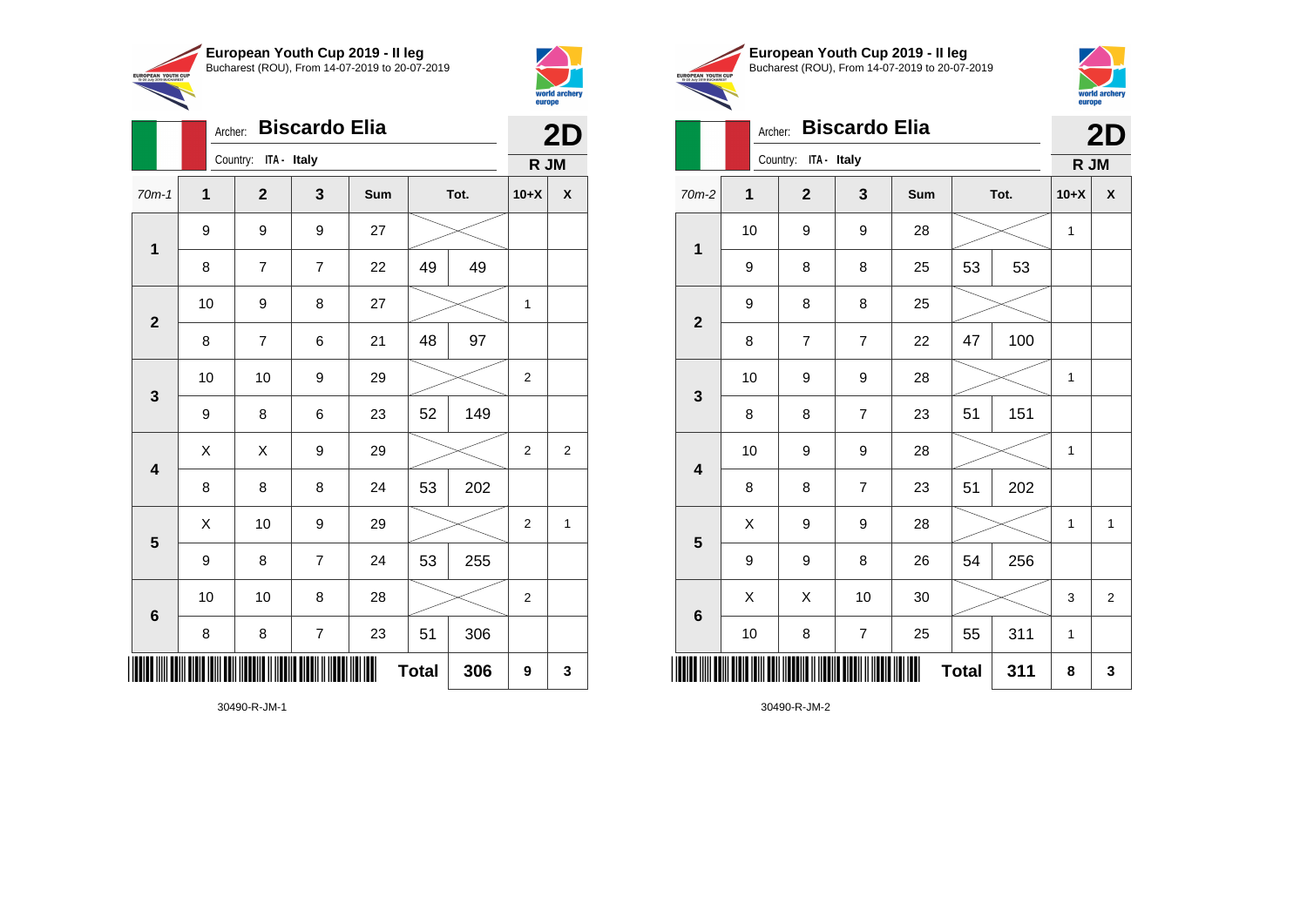



|                         | Archer:     |                      |                  | 2D  |              |      |                |              |
|-------------------------|-------------|----------------------|------------------|-----|--------------|------|----------------|--------------|
|                         |             | Country: ITA - Italy |                  |     |              |      | R JM           |              |
| $70m-1$                 | $\mathbf 1$ | $\mathbf{2}$         | 3                | Sum |              | Tot. | $10+X$         | X            |
| $\mathbf 1$             | 9           | 9                    | 9                | 27  |              |      |                |              |
|                         | 8           | $\overline{7}$       | $\overline{7}$   | 22  | 49           | 49   |                |              |
| $\overline{2}$          | 10          | 9                    | 8                | 27  |              |      | 1              |              |
|                         | 8           | $\overline{7}$       | 6                | 21  | 48           | 97   |                |              |
|                         | 10          | 10                   | 9                | 29  |              |      |                |              |
| $\mathbf 3$             | 9           | 8                    | 6                | 23  | 52           | 149  |                |              |
| $\overline{\mathbf{4}}$ | Χ           | Χ                    | 9                | 29  |              |      | $\mathbf 2$    | 2            |
|                         | 8           | 8                    | 8                | 24  | 53           | 202  |                |              |
| 5                       | X           | 10                   | 9                | 29  |              |      | $\overline{2}$ | $\mathbf{1}$ |
|                         | 9           | 8                    | $\overline{7}$   | 24  | 53           | 255  |                |              |
| $6\phantom{1}6$         | 10          | 10                   | 8                | 28  |              |      | $\overline{c}$ |              |
|                         | 8           | 8                    | $\boldsymbol{7}$ | 23  | 51           | 306  |                |              |
| ▏▎▌▌▌▌▌                 |             |                      |                  |     | <b>Total</b> | 306  | 9              | 3            |





**2D**

Archer: **Biscardo Elia**

|                         |              | Country: ITA - Italy     |                  | R JM |              |     |              |                |
|-------------------------|--------------|--------------------------|------------------|------|--------------|-----|--------------|----------------|
| $70m-2$                 | $\mathbf{1}$ | $\overline{\mathbf{2}}$  | $\mathbf{3}$     | Sum  | Tot.         |     | $10+X$       | X              |
| $\mathbf 1$             | 10           | 9                        | 9                | 28   |              |     | $\mathbf{1}$ |                |
|                         | 9            | 8                        | 8                | 25   | 53           | 53  |              |                |
|                         | 9            | 8                        | 8                | 25   |              |     |              |                |
| $\mathbf 2$             | 8            | $\overline{\mathcal{I}}$ | $\overline{7}$   | 22   | 47           | 100 |              |                |
| $\mathbf{3}$            | 10           | 9                        | 9                | 28   |              |     | 1            |                |
|                         | 8            | 8                        | $\overline{7}$   | 23   | 51           | 151 |              |                |
| $\overline{\mathbf{4}}$ | 10           | 9                        | 9                | 28   |              |     | 1            |                |
|                         | 8            | 8                        | $\overline{7}$   | 23   | 51           | 202 |              |                |
| $5\phantom{1}$          | Χ            | 9                        | 9                | 28   |              |     | 1            | $\mathbf 1$    |
|                         | 9            | 9                        | 8                | 26   | 54           | 256 |              |                |
| $\bf 6$                 | X            | X                        | 10               | 30   |              |     | 3            | $\overline{2}$ |
|                         | 10           | 8                        | $\boldsymbol{7}$ | 25   | 55           | 311 | 1            |                |
| ▏▎▌▌▌▌▌                 |              |                          |                  |      | <b>Total</b> | 311 | 8            | 3              |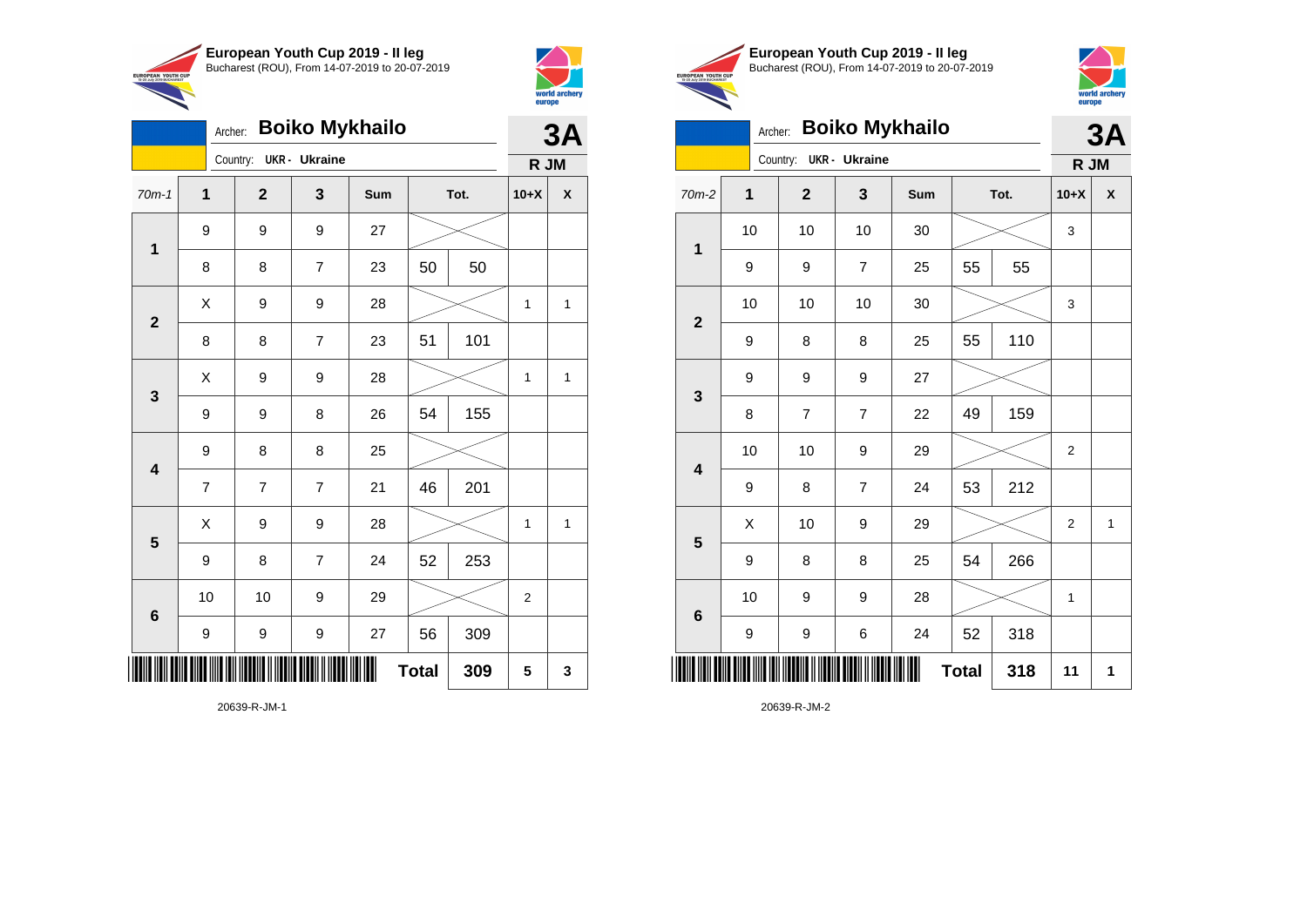

Country: **UKR - Ukraine**

9 9 9 27

9 8 8 25

**1**

**2**

**3**

**4**

**5**

**6**

Archer: **Boiko Mykhailo**

70m-1 **1 2 3 Sum Tot. 10+X X**

8 | 8 | 7 | 23 | 50 | 50

8 | 8 | 7 | 23 | 51 | 101

9 | 9 | 8 | 26 | 54 | 155

7 7 7 21 46 201

9 | 8 | 7 | 24 | 52 | 253

9 | 9 | 9 | 27 | 56 | 309

10 | 10 | 9 | 29 |  $\!\!\!\!\!\times$  | 2

 $X$  | 9 | 9 | 28 |  $\swarrow$  | 1 | 1

 $X$  | 9 | 9 | 28 |  $\swarrow$  | 1 | 1

 $X$  | 9 | 9 | 28 |  $\swarrow$  | 1 | 1

**Total 309 5 3**



**3A**

**R JM**

|                                                        | European Youth Cup 2019 - Il leg               |
|--------------------------------------------------------|------------------------------------------------|
|                                                        | Bucharest (ROU), From 14-07-2019 to 20-07-2019 |
| <b>EUROPEAN YOUTH CUP</b><br>15-20 July 2019 BUCHAREST |                                                |
|                                                        |                                                |



### Archer: **Boiko Mykhailo**

|                         | <b>Boiko Mykhailo</b><br>Archer: |                        |                |     |              |     |                |   |  |
|-------------------------|----------------------------------|------------------------|----------------|-----|--------------|-----|----------------|---|--|
|                         |                                  | Country: UKR - Ukraine |                |     |              |     | R JM           |   |  |
| $70m-2$                 | $\overline{1}$                   | $\mathbf{2}$           | 3              | Sum | Tot.         |     | $10+X$         | X |  |
| $\mathbf 1$             | 10                               | 10                     | 10             | 30  |              |     | 3              |   |  |
|                         | 9                                | 9                      | 7              | 25  | 55           | 55  |                |   |  |
| $\overline{\mathbf{2}}$ | 10                               | 10                     | 10             | 30  |              |     | 3              |   |  |
|                         | 9                                | 8                      | 8              | 25  | 55           | 110 |                |   |  |
| 3                       | 9                                | 9                      | 9              | 27  |              |     |                |   |  |
|                         | 8                                | 7                      | $\overline{7}$ | 22  | 49           | 159 |                |   |  |
| $\overline{\mathbf{4}}$ | 10                               | 10                     | 9              | 29  |              |     | $\overline{2}$ |   |  |
|                         | 9                                | 8                      | $\overline{7}$ | 24  | 53           | 212 |                |   |  |
| 5                       | Χ                                | 10                     | 9              | 29  |              |     | $\overline{c}$ | 1 |  |
|                         | 9                                | 8                      | 8              | 25  | 54           | 266 |                |   |  |
| $\bf 6$                 | 10                               | 9                      | 9              | 28  |              |     | 1              |   |  |
|                         | 9                                | 9                      | 6              | 24  | 52           | 318 |                |   |  |
|                         |                                  |                        |                |     | <b>Total</b> | 318 | 11             | 1 |  |

20639-R-JM-2

20639-R-JM-1

\*20639-R-JM-1\*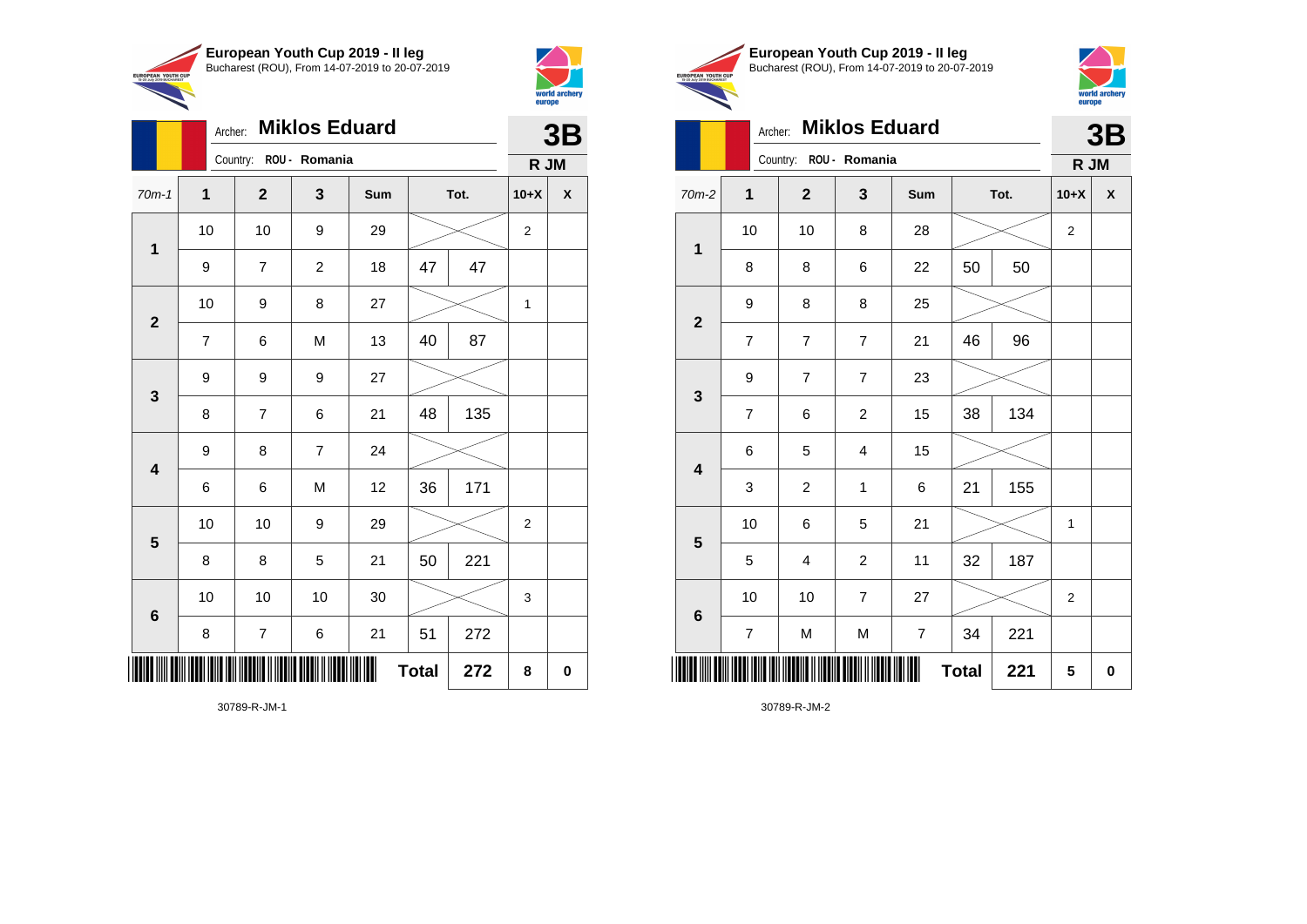

Archer: **Miklos Eduard**

70m-1 **1 2 3 Sum Tot. 10+X X**

9 | 7 | 2 | 18 | 47 | 47

7 | 6 | M | 13 | 40 | 87

8 | 7 | 6 | 21 | 48 | 135

6 6 M 12 36 171

8 | 8 | 5 | 21 | 50 | 221

8 | 7 | 6 | 21 | 51 | 272

10 | 10 | 9 | 29 |  $\times$  | 2

10 10 10 30 3

 $Total | 272 | 8 | 0$ 

10 | 10 | 9 | 29 |  $\times$  | 2

10 | 9 | 8 | 27 |  $\times$  | 1

Country: **ROU - Romania**

9 9 9 27

9 8 7 24

**1**

**2**

**3**

**4**

**5**

**6**



**3B**

**R JM**

|                           | European Youth Cup 2019 - Il leg               |
|---------------------------|------------------------------------------------|
| <b>UTH CUP</b><br>1440157 | Bucharest (ROU), From 14-07-2019 to 20-07-2019 |
|                           |                                                |



### Archer: **Miklos Eduard 3B**

|                         |                | Country: ROU - Romania   |                  | R JM             |              |      |                |          |
|-------------------------|----------------|--------------------------|------------------|------------------|--------------|------|----------------|----------|
| $70m-2$                 | $\mathbf 1$    | $\mathbf{2}$             | 3                | Sum              |              | Tot. | $10+X$         | X        |
|                         | 10             | 10                       | 8                | 28               |              |      | $\overline{c}$ |          |
| $\mathbf 1$             | 8              | 8                        | 6                | 22               | 50           | 50   |                |          |
| $\mathbf{2}$            | 9              | 8                        | 8                | 25               |              |      |                |          |
|                         | $\overline{7}$ | $\overline{\mathcal{I}}$ | $\boldsymbol{7}$ | 21               | 46           | 96   |                |          |
| $\mathbf{3}$            | 9              | $\overline{7}$           | 7                | 23               |              |      |                |          |
|                         | $\overline{7}$ | $\,6$                    | $\overline{c}$   | 15               | 38           | 134  |                |          |
| $\overline{\mathbf{4}}$ | 6              | 5                        | 4                | 15               |              |      |                |          |
|                         | 3              | $\overline{c}$           | $\mathbf{1}$     | 6                | 21           | 155  |                |          |
| $5\phantom{1}$          | 10             | 6                        | 5                | 21               |              |      | $\mathbf{1}$   |          |
|                         | 5              | $\overline{4}$           | $\overline{c}$   | 11               | 32           | 187  |                |          |
|                         | 10             | 10                       | $\overline{7}$   | 27               |              |      | 2              |          |
| $\bf 6$                 | $\overline{7}$ | ${\sf M}$                | M                | $\boldsymbol{7}$ | 34           | 221  |                |          |
|                         |                |                          |                  | Ш                | <b>Total</b> | 221  | 5              | $\bf{0}$ |

30789-R-JM-1

\*30789-R-JM-1\*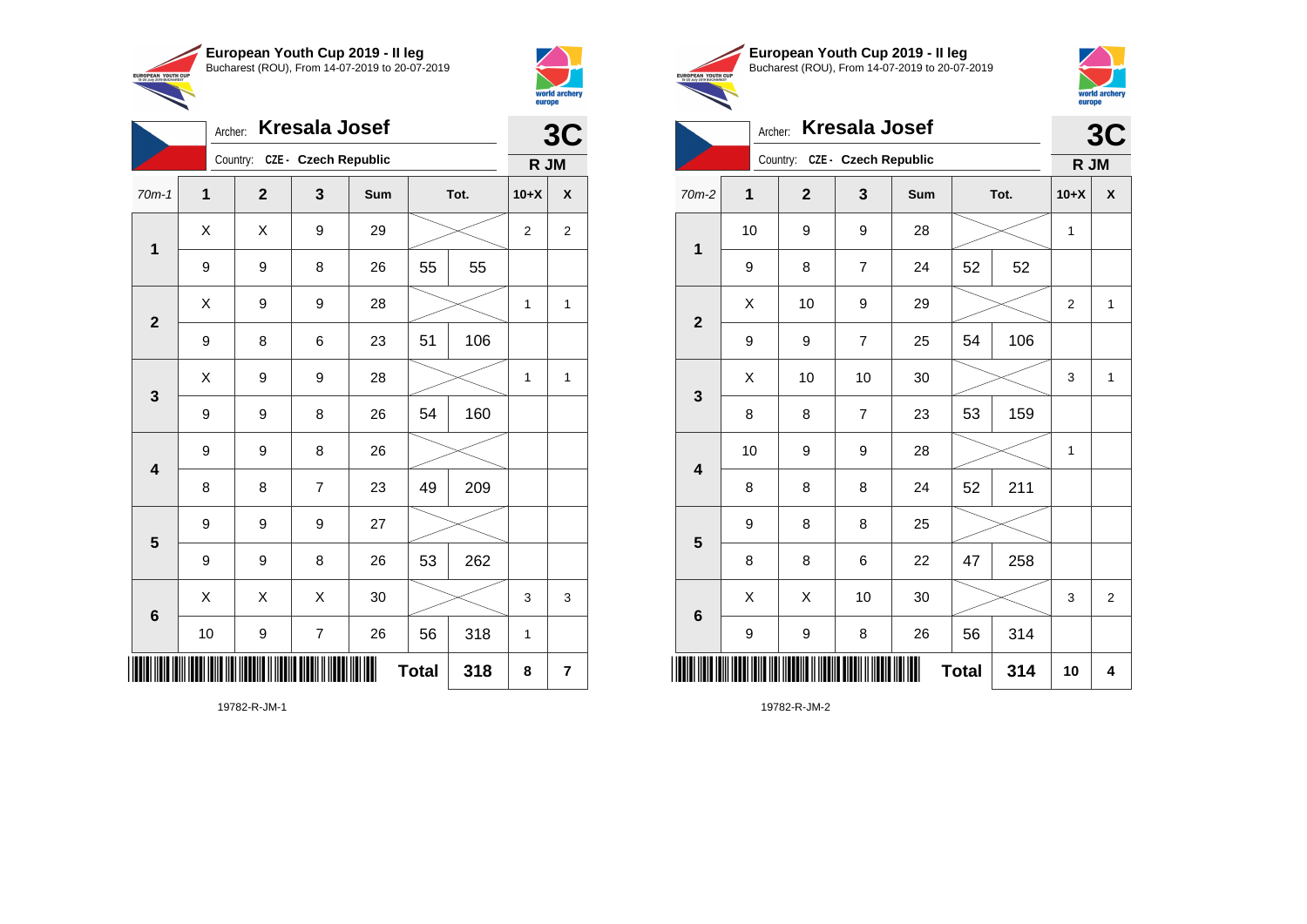



|                         |              |                               |                         |     |              |      |                | world archery<br>europe |
|-------------------------|--------------|-------------------------------|-------------------------|-----|--------------|------|----------------|-------------------------|
|                         | Archer:      |                               | <b>Kresala Josef</b>    |     |              |      |                | 3C                      |
|                         |              | Country: CZE - Czech Republic |                         |     |              |      | R JM           |                         |
| $70m-1$                 | $\mathbf{1}$ | $\overline{2}$                | 3                       | Sum |              | Tot. | $10+X$         | $\mathsf{x}$            |
|                         | X            | X                             | 9                       | 29  |              |      | $\overline{2}$ | $\overline{2}$          |
| $\mathbf{1}$            | 9            | 9                             | 8                       | 26  | 55           | 55   |                |                         |
| $\overline{2}$          | X            | 9                             | 9                       | 28  |              |      | $\mathbf{1}$   | $\mathbf{1}$            |
|                         | 9            | 8                             | 6                       | 23  | 51           | 106  |                |                         |
| $\mathbf{3}$            | X            | 9                             | 9                       | 28  |              |      | 1              | $\mathbf{1}$            |
|                         | 9            | 9                             | 8                       | 26  | 54           | 160  |                |                         |
| $\overline{\mathbf{4}}$ | 9            | 9                             | 8                       | 26  |              |      |                |                         |
|                         | 8            | 8                             | $\overline{7}$          | 23  | 49           | 209  |                |                         |
| 5                       | 9            | 9                             | 9                       | 27  |              |      |                |                         |
|                         | 9            | 9                             | 8                       | 26  | 53           | 262  |                |                         |
| $6\phantom{1}$          | X            | X                             | X                       | 30  |              |      | 3              | 3                       |
|                         | 10           | 9                             | $\overline{\mathbf{7}}$ | 26  | 56           | 318  | 1              |                         |
|                         |              |                               |                         |     | <b>Total</b> | 318  | 8              | $\overline{\mathbf{r}}$ |

19782-R-JM-1





|                         | <b>Kresala Josef</b><br>Archer: |                               |                |     |              |     |                |                         |  |
|-------------------------|---------------------------------|-------------------------------|----------------|-----|--------------|-----|----------------|-------------------------|--|
|                         |                                 | Country: CZE - Czech Republic |                |     |              |     | R JM           | 3C                      |  |
| $70m-2$                 | $\mathbf{1}$                    | $\mathbf{2}$                  | 3              | Sum | Tot.         |     | $10+X$         | X                       |  |
| 1                       | 10                              | 9                             | 9              | 28  |              |     | 1              |                         |  |
|                         | 9                               | 8                             | 7              | 24  | 52           | 52  |                |                         |  |
| $\mathbf{2}$            | X                               | 10                            | 9              | 29  |              |     | $\overline{2}$ | 1                       |  |
|                         | 9                               | 9                             | $\overline{7}$ | 25  | 54           | 106 |                |                         |  |
| $\mathbf{3}$            | X                               | 10                            | 10             | 30  |              |     | 3              | $\mathbf{1}$            |  |
|                         | 8                               | 8                             | $\overline{7}$ | 23  | 53           | 159 |                |                         |  |
| $\overline{\mathbf{4}}$ | 10                              | 9                             | 9              | 28  |              |     | 1              |                         |  |
|                         | 8                               | 8                             | 8              | 24  | 52           | 211 |                |                         |  |
| 5                       | 9                               | 8                             | 8              | 25  |              |     |                |                         |  |
|                         | 8                               | 8                             | 6              | 22  | 47           | 258 |                |                         |  |
| $\bf 6$                 | X                               | X                             | 10             | 30  |              |     | 3              | $\overline{\mathbf{c}}$ |  |
|                         | 9                               | 9                             | 8              | 26  | 56           | 314 |                |                         |  |
| ┉                       |                                 |                               |                |     | <b>Total</b> | 314 | 10             | 4                       |  |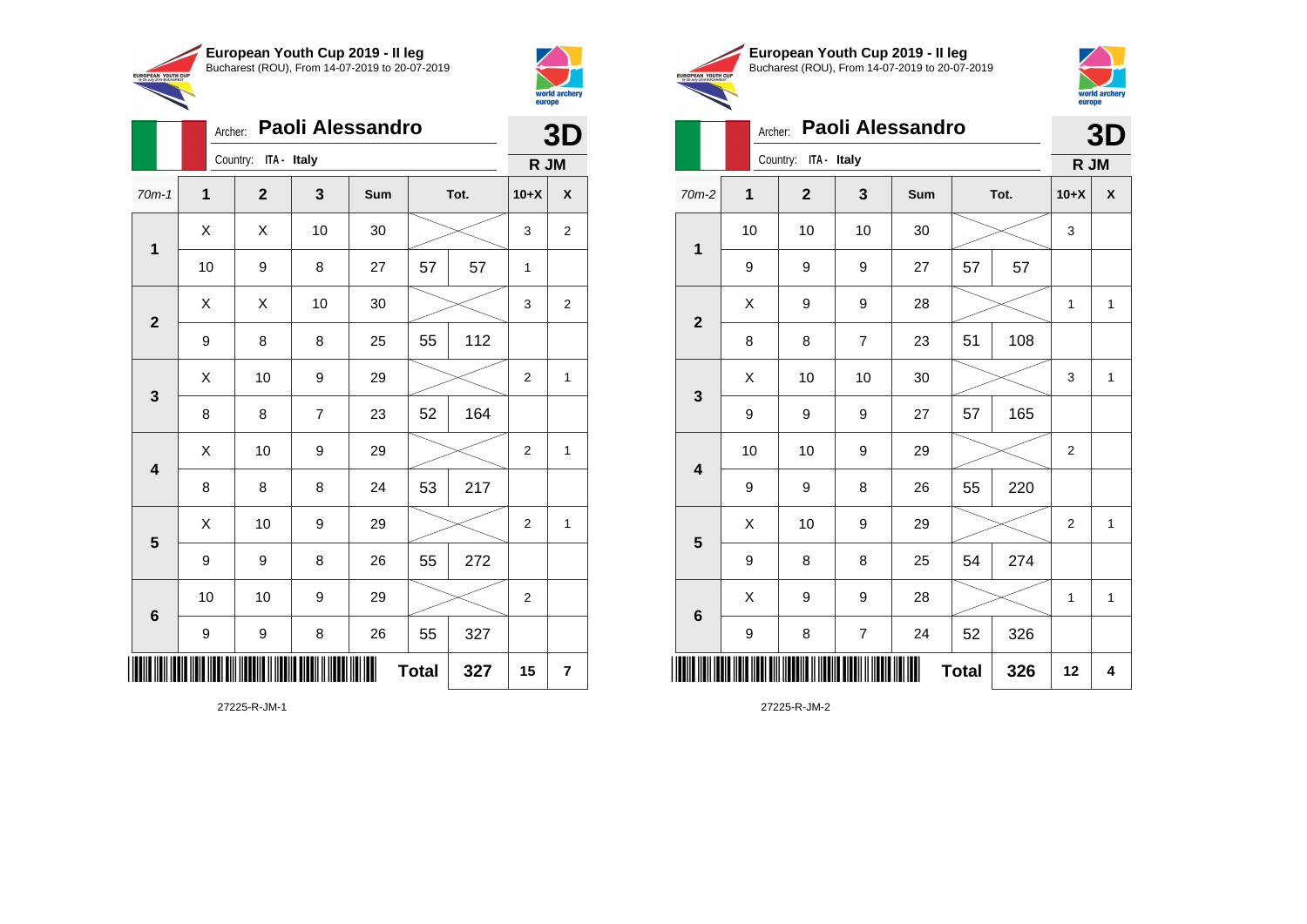



|                         | Archer:     | Paoli Alessandro     |                |     | 3D           |     |                |                         |
|-------------------------|-------------|----------------------|----------------|-----|--------------|-----|----------------|-------------------------|
|                         |             | Country: ITA - Italy |                |     |              |     | R JM           |                         |
| $70m-1$                 | $\mathbf 1$ | $\mathbf{2}$         | 3              | Sum | Tot.         |     | $10+X$         | $\pmb{\mathsf{X}}$      |
| $\mathbf 1$             | Χ           | X                    | 10             | 30  |              |     | 3              | $\overline{\mathbf{c}}$ |
|                         | 10          | 9                    | 8              | 27  | 57           | 57  | 1              |                         |
| $\mathbf{2}$            | Χ           | X                    | 10             | 30  |              |     | 3              | $\overline{2}$          |
|                         | 9           | 8                    | 8              | 25  | 55           | 112 |                |                         |
| $\mathbf{3}$            | Χ           | 10                   | 9              | 29  |              |     | 2              | 1                       |
|                         | 8           | 8                    | $\overline{7}$ | 23  | 52           | 164 |                |                         |
| $\overline{\mathbf{4}}$ | Χ           | 10                   | 9              | 29  |              |     | $\overline{c}$ | 1                       |
|                         | 8           | 8                    | 8              | 24  | 53           | 217 |                |                         |
| $5\phantom{1}$          | X           | 10                   | 9              | 29  |              |     | $\overline{2}$ | 1                       |
|                         | 9           | 9                    | 8              | 26  | 55           | 272 |                |                         |
| 6                       | 10          | 10                   | 9              | 29  |              |     | 2              |                         |
|                         | 9           | 9                    | 8              | 26  | 55           | 327 |                |                         |
|                         |             |                      |                | ║   | <b>Total</b> | 327 | 15             | 7                       |





**3D**

# Archer: **Paoli Alessandro**

|                         |              | Country: ITA - Italy |                | R JM |              |     |                  |              |
|-------------------------|--------------|----------------------|----------------|------|--------------|-----|------------------|--------------|
| $70m-2$                 | $\mathbf{1}$ | $\mathbf{2}$         | 3              | Sum  | Tot.         |     | $10+X$           | X            |
| $\mathbf 1$             | 10           | 10                   | 10             | 30   |              |     | 3                |              |
|                         | 9            | 9                    | 9              | 27   | 57           | 57  |                  |              |
|                         | Χ            | 9                    | 9              | 28   |              |     | 1                | $\mathbf{1}$ |
| $\mathbf{2}$            | 8            | 8                    | $\overline{7}$ | 23   | 51           | 108 |                  |              |
|                         | X            | 10                   | 10             | 30   |              |     | 3                | $\mathbf{1}$ |
| $\mathbf{3}$            | 9            | 9                    | 9              | 27   | 57           | 165 |                  |              |
|                         | 10           | 10                   | 9              | 29   |              |     | $\boldsymbol{2}$ |              |
| $\overline{\mathbf{4}}$ | 9            | 9                    | 8              | 26   | 55           | 220 |                  |              |
| $5\phantom{1}$          | X            | $10$                 | 9              | 29   |              |     | $\overline{2}$   | $\mathbf{1}$ |
|                         | 9            | 8                    | 8              | 25   | 54           | 274 |                  |              |
|                         | X            | 9                    | 9              | 28   |              |     | $\mathbf{1}$     | $\mathbf{1}$ |
| $\bf 6$                 | 9            | 8                    | $\overline{7}$ | 24   | 52           | 326 |                  |              |
| ║║║                     |              |                      |                |      | <b>Total</b> | 326 | 12               | 4            |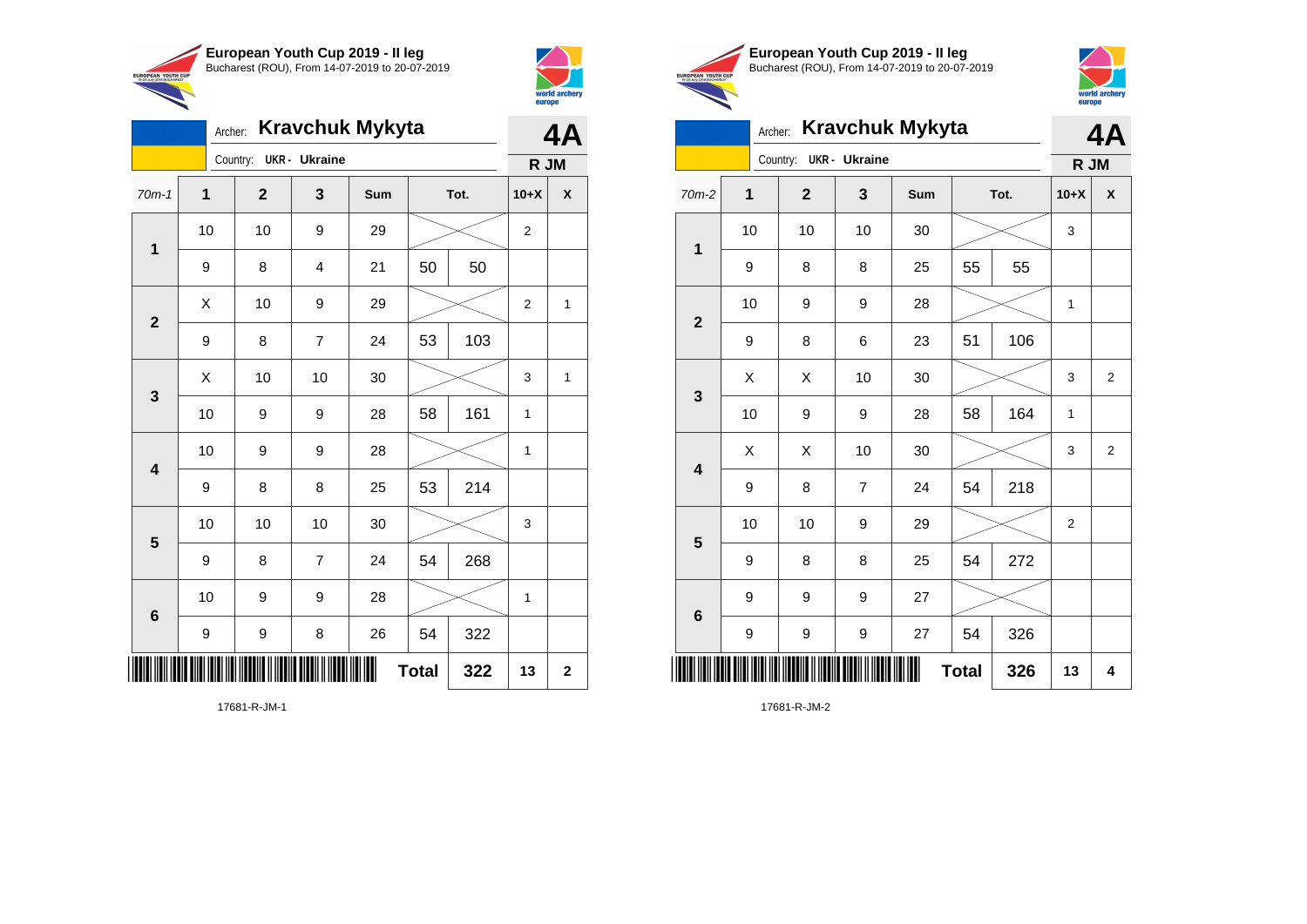



|                                                        | European Youth Cup 2019 - Il leg               |
|--------------------------------------------------------|------------------------------------------------|
|                                                        | Bucharest (ROU), From 14-07-2019 to 20-07-2019 |
| <b>EUROPEAN YOUTH CUP</b><br>15-20 July 2019 BUCHAREST |                                                |
|                                                        |                                                |



# Archer: **Kravchuk Mykyta**

|                 | <b>Kravchuk Mykyta</b><br>Archer: |              |                      |     |              |      |                |                |  |
|-----------------|-----------------------------------|--------------|----------------------|-----|--------------|------|----------------|----------------|--|
|                 |                                   | Country:     | <b>UKR</b> - Ukraine |     |              |      | R JM           |                |  |
| $70m-2$         | 1                                 | $\mathbf{2}$ | 3                    | Sum |              | Tot. | $10+X$         | X              |  |
| $\mathbf 1$     | 10                                | 10           | 10                   | 30  |              |      | 3              |                |  |
|                 | 9                                 | 8            | 8                    | 25  | 55           | 55   |                |                |  |
| $\overline{2}$  | 10                                | 9            | 9                    | 28  |              |      | 1              |                |  |
|                 | 9                                 | 8            | 6                    | 23  | 51           | 106  |                |                |  |
| $\mathbf{3}$    | X                                 | X            | 10                   | 30  |              |      | 3              | $\overline{2}$ |  |
|                 | 10                                | 9            | 9                    | 28  | 58           | 164  | 1              |                |  |
| 4               | X                                 | X            | 10                   | 30  |              |      | 3              | $\overline{2}$ |  |
|                 | 9                                 | 8            | 7                    | 24  | 54           | 218  |                |                |  |
| 5               | 10                                | 10           | 9                    | 29  |              |      | $\overline{2}$ |                |  |
|                 | 9                                 | 8            | 8                    | 25  | 54           | 272  |                |                |  |
| $6\phantom{1}6$ | 9                                 | 9            | 9                    | 27  |              |      |                |                |  |
|                 | 9                                 | 9            | 9                    | 27  | 54           | 326  |                |                |  |
| ║║║             |                                   |              |                      |     | <b>Total</b> | 326  | 13             | 4              |  |

17681-R-JM-2

|                         | <b>Kravchuk Mykyta</b><br>Archer: |              |                |     |              |      |                |             |
|-------------------------|-----------------------------------|--------------|----------------|-----|--------------|------|----------------|-------------|
|                         |                                   | Country:     | UKR - Ukraine  |     |              | R JM |                |             |
| $70m-1$                 | $\overline{\mathbf{1}}$           | $\mathbf{2}$ | 3              | Sum |              | Tot. | $10+X$         | X           |
| $\mathbf 1$             | 10                                | 10           | 9              | 29  |              |      | $\overline{2}$ |             |
|                         | 9                                 | 8            | 4              | 21  | 50           | 50   |                |             |
| $\mathbf{2}$            | X                                 | 10           | 9              | 29  |              |      | 2              | 1           |
|                         | 9                                 | 8            | $\overline{7}$ | 24  | 53           | 103  |                |             |
| 3                       | Χ                                 | 10           | 10             | 30  |              |      |                | 1           |
|                         | 10                                | 9            | 9              | 28  | 58           | 161  | $\mathbf{1}$   |             |
| $\overline{\mathbf{4}}$ | 10                                | 9            | 9              | 28  |              |      | 1              |             |
|                         | 9                                 | 8            | 8              | 25  | 53           | 214  |                |             |
| 5                       | 10                                | 10           | 10             | 30  |              |      | 3              |             |
|                         | 9                                 | 8            | $\overline{7}$ | 24  | 54           | 268  |                |             |
| $\boldsymbol{6}$        | 10                                | 9            | 9              | 28  |              |      | 1              |             |
|                         | 9                                 | 9            | 8              | 26  | 54           | 322  |                |             |
|                         |                                   |              |                |     | <b>Total</b> | 322  | 13             | $\mathbf 2$ |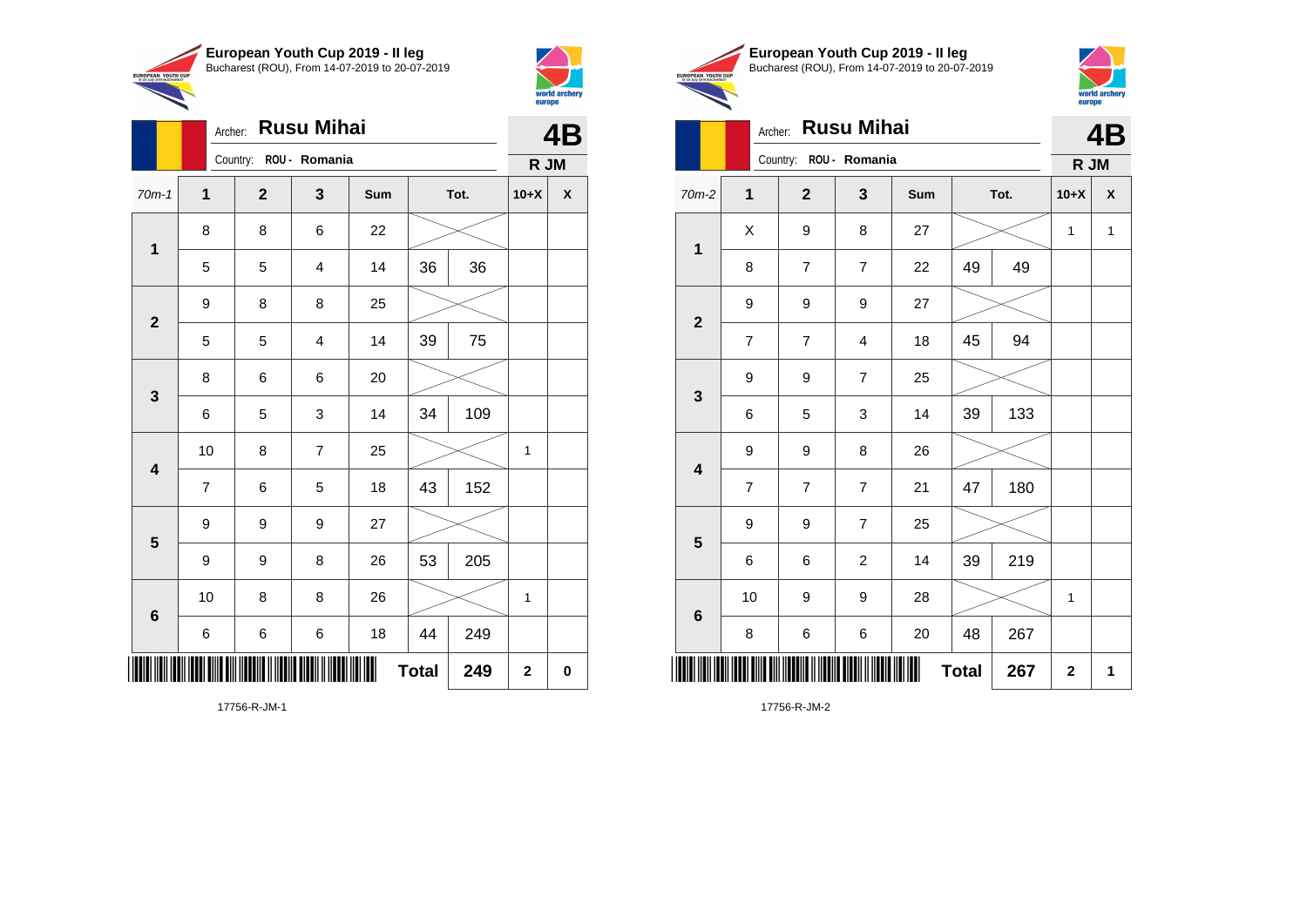

Archer: **Rusu Mihai**

8 8 6 22

9 8 8 25

8 6 6 20

9 9 9 27

70m-1 **1 2 3 Sum Tot. 10+X X**

5 5 4 14 36 36

5 5 4 14 39 75

6 5 3 14 34 109

7 | 6 | 5 | 18 | 43 | 152

9 | 9 | 8 | 26 | 53 | 205

6 6 6 18 44 249

10 | 8 | 8 | 26 |  $\!\!\!\!\!\!\times$  | 1

 $Total | 249 | 2 | 0$ 

10 | 8 | 7 | 25 |  $\times$  | 1

Country: **ROU - Romania**

**1**

**2**

**3**

**4**

**5**

**6**



**PEAN YOUTH O** 

**4B**

**R JM**

|    | European Youth Cup 2019 - Il leg               |
|----|------------------------------------------------|
| JP | Bucharest (ROU), From 14-07-2019 to 20-07-2019 |



|                                                                                |                |                | Archer: Rusu Mihai     |     |              |      |              | <b>4B</b>    |
|--------------------------------------------------------------------------------|----------------|----------------|------------------------|-----|--------------|------|--------------|--------------|
|                                                                                |                |                | Country: ROU - Romania |     |              |      | R JM         |              |
| $70m-2$                                                                        | $\mathbf{1}$   | $\overline{2}$ | 3                      | Sum |              | Tot. | $10+X$       | X            |
|                                                                                | X              | 9              | 8                      | 27  |              |      | $\mathbf{1}$ | $\mathbf{1}$ |
| 1<br>$\overline{2}$<br>$\mathbf{3}$<br>$\overline{\mathbf{4}}$<br>5<br>$\bf 6$ | 8              | $\overline{7}$ | $\overline{7}$         | 22  | 49           | 49   |              |              |
|                                                                                | 9              | 9              | 9                      | 27  |              |      |              |              |
|                                                                                | $\overline{7}$ | $\overline{7}$ | 4                      | 18  | 45           | 94   |              |              |
|                                                                                | 9              | 9              | $\overline{7}$         | 25  |              |      |              |              |
|                                                                                | 6              | 5              | 3                      | 14  | 39           | 133  |              |              |
|                                                                                | 9              | 9              | 8                      | 26  |              |      |              |              |
|                                                                                | 7              | 7              | $\overline{7}$         | 21  | 47           | 180  |              |              |
|                                                                                | 9              | 9              | $\overline{7}$         | 25  |              |      |              |              |
|                                                                                | 6              | 6              | $\overline{c}$         | 14  | 39           | 219  |              |              |
|                                                                                | 10             | 9              | 9                      | 28  |              |      | 1            |              |
|                                                                                | 8              | 6              | 6                      | 20  | 48           | 267  |              |              |
|                                                                                |                |                |                        |     | <b>Total</b> | 267  | $\mathbf 2$  | 1            |

17756-R-JM-1

\*17756-R-JM-17856-R-JM-17856-R-JM-17856-R-JM-17856-R-JM-17856-R-JM-17856-R-JM-17856-R-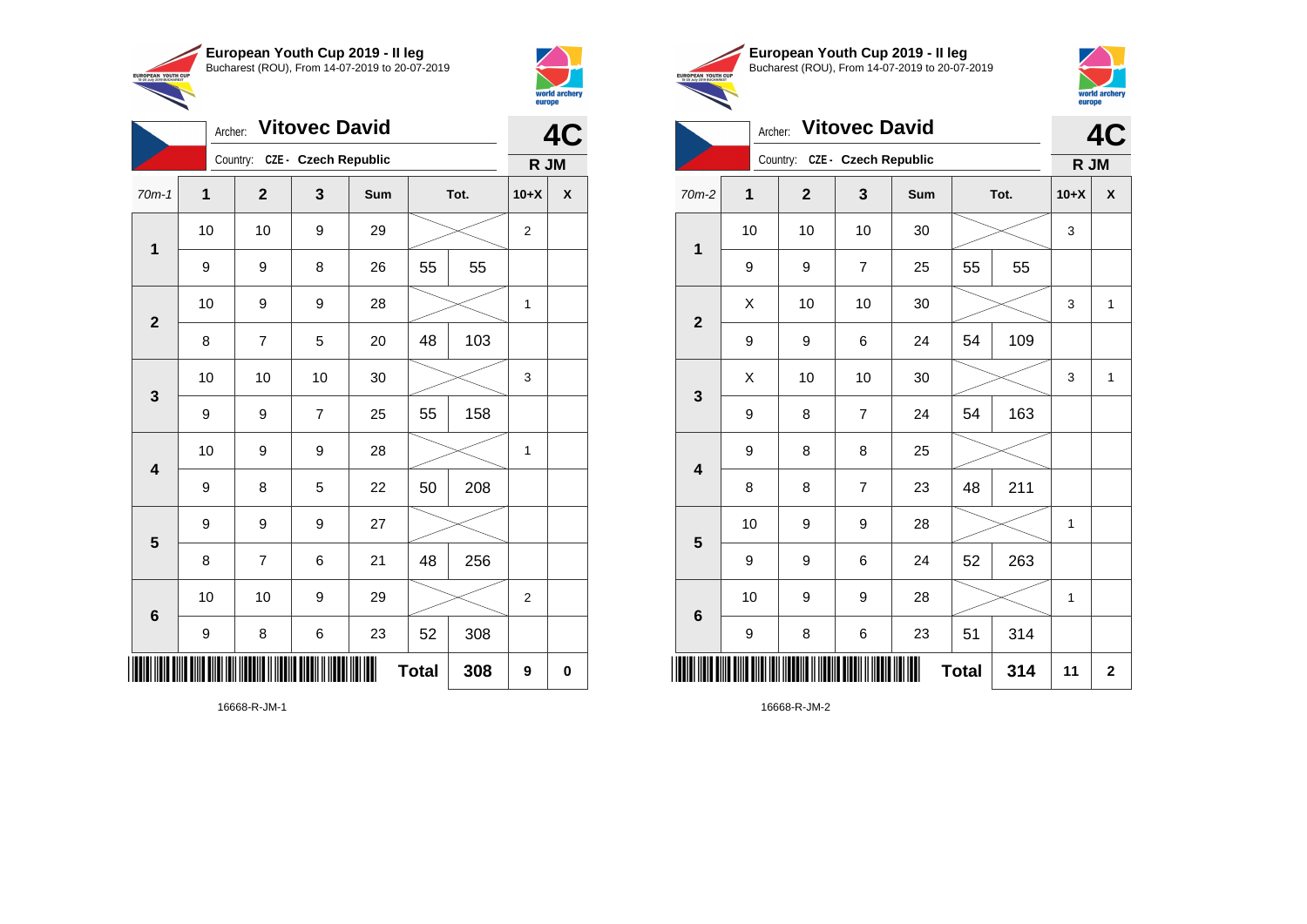



|                |                  | <b>Vitovec David</b><br>Archer: |                |     | 4C           |      |                |   |
|----------------|------------------|---------------------------------|----------------|-----|--------------|------|----------------|---|
|                |                  | Country: CZE - Czech Republic   |                |     |              |      | R JM           |   |
| $70m-1$        | $\mathbf{1}$     | $\overline{2}$                  | 3              | Sum |              | Tot. | $10+X$         | X |
| $\mathbf 1$    | 10               | 10                              | 9              | 29  |              |      | $\mathbf{2}$   |   |
|                | 9                | 9                               | 8              | 26  | 55           | 55   |                |   |
| $\overline{2}$ | 10               | 9                               | 9              | 28  |              |      | 1              |   |
|                | 8                | $\overline{7}$                  | 5              | 20  | 48           | 103  |                |   |
| $\mathbf{3}$   | 10               | 10                              | 10             | 30  |              |      | 3              |   |
|                | 9                | 9                               | $\overline{7}$ | 25  | 55           | 158  |                |   |
| 4              | 10               | 9                               | 9              | 28  |              |      | $\mathbf 1$    |   |
|                | 9                | 8                               | 5              | 22  | 50           | 208  |                |   |
| 5              | 9                | 9                               | 9              | 27  |              |      |                |   |
|                | 8                | $\overline{7}$                  | 6              | 21  | 48           | 256  |                |   |
| 6              | 10               | 10                              | 9              | 29  |              |      | $\overline{2}$ |   |
|                | $\boldsymbol{9}$ | 8                               | 6              | 23  | 52           | 308  |                |   |
|                |                  |                                 |                |     | <b>Total</b> | 308  | 9              | 0 |





|                         | Archer:     |                | <b>Vitovec David</b>        |     |              |     | 4<br>C |              |  |
|-------------------------|-------------|----------------|-----------------------------|-----|--------------|-----|--------|--------------|--|
|                         |             | Country:       | <b>CZE - Czech Republic</b> |     |              |     | R JM   |              |  |
| 70m-2                   | $\mathbf 1$ | $\overline{2}$ | 3                           | Sum | Tot.         |     | $10+X$ | X            |  |
| 1                       | 10          | 10             | 10                          | 30  |              |     | 3      |              |  |
|                         | 9           | 9              | $\overline{7}$              | 25  | 55           | 55  |        |              |  |
|                         | X           | 10             | 10                          | 30  |              |     | 3      | 1            |  |
| $\overline{\mathbf{2}}$ | 9           | 9              | 6                           | 24  | 54           | 109 |        |              |  |
| 3                       | X           | 10             | 10                          | 30  |              |     | 3      | $\mathbf{1}$ |  |
|                         | 9           | 8              | $\overline{7}$              | 24  | 54           | 163 |        |              |  |
| $\overline{\mathbf{4}}$ | 9           | 8              | 8                           | 25  |              |     |        |              |  |
|                         | 8           | 8              | $\overline{7}$              | 23  | 48           | 211 |        |              |  |
| 5                       | 10          | 9              | 9                           | 28  |              |     | 1      |              |  |
|                         | 9           | 9              | 6                           | 24  | 52           | 263 |        |              |  |
| $6\phantom{1}6$         | 10          | 9              | 9                           | 28  |              |     | 1      |              |  |
|                         | 9           | 8              | 6                           | 23  | 51           | 314 |        |              |  |
| Ⅲ                       |             |                |                             |     | <b>Total</b> | 314 | 11     | $\mathbf 2$  |  |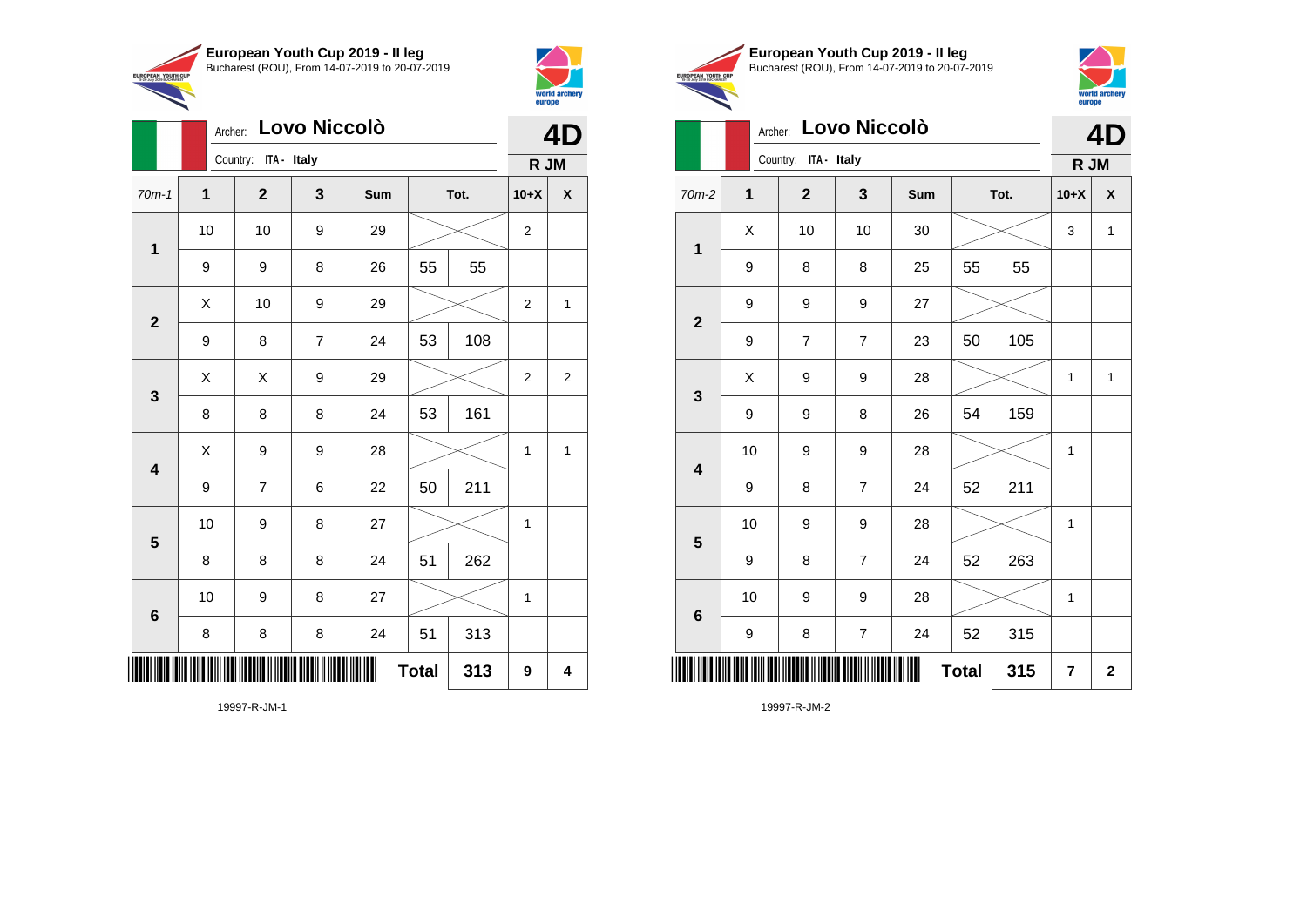

Archer: **Lovo Niccolò**

70m-1 **1 2 3 Sum Tot. 10+X X**

9 | 9 | 8 | 26 | 55 | 55

9 | 8 | 7 | 24 | 53 | 108

8 | 8 | 8 | 24 | 53 | 161

9 | 7 | 6 | 22 | 50 | 211

8 | 8 | 8 | 24 | 51 | 262

8 | 8 | 8 | 24 | 51 | 313

10 | 9 | 8 | 27 |  $\times$  | 1

10 | 9 | 8 | 27 |  $\!\!\!\!\!\!\times$  | 1

**Total 313 9 4**

10 | 10 | 9 | 29 |  $\times$  | 2

 $\begin{array}{|c|c|c|c|c|c|}\hline \hspace{.1cm}X & \hspace{.1cm} \text{10} & \hspace{.1cm} \text{9} & \hspace{.1cm} \text{29} & \hspace{.1cm} \text{20} & \hspace{.1cm} \text{\large{\fbox{\hspace{1cm}}}}\hline \end{array} \hspace{.2cm} \begin{array}{|c|c|c|c|c|c|}\hline \hspace{.1cm}X & \hspace{.1cm} \text{12} & \hspace{.1cm} \text{11} & \hspace{.1cm} \end{array}$ 

 $\begin{array}{|c|c|c|c|c|}\hline \hspace{0.2cm}X & X & 9 & 29 & \nearrow \ \hline \end{array}$ 

 $X$  | 9 | 9 | 28 |  $\swarrow$  | 1 | 1

Country: **ITA - Italy**

**1**

**2**

**3**

**4**

**5**

**6**



**4D**

**R JM**

|                                                        | European Youth Cup 2019 - Il leg               |
|--------------------------------------------------------|------------------------------------------------|
| <b>EUROPEAN YOUTH CUP</b><br>15-20 July 2019 BUCHAREST | Bucharest (ROU), From 14-07-2019 to 20-07-2019 |
|                                                        |                                                |



# Archer: **Lovo Niccolò**

| Lovo Niccolò<br>Archer: |             |                      |                         |     |              |     |                | $\mathbf{\Lambda}$<br>Ŋ |  |  |
|-------------------------|-------------|----------------------|-------------------------|-----|--------------|-----|----------------|-------------------------|--|--|
|                         |             | Country: ITA - Italy |                         |     |              |     | R JM           |                         |  |  |
| $70m-2$                 | $\mathbf 1$ | $\mathbf{2}$         | 3                       | Sum | Tot.         |     | $10+X$         | X                       |  |  |
| $\mathbf{1}$            | X           | 10                   | 10                      | 30  |              |     | 3              | $\mathbf{1}$            |  |  |
|                         | 9           | 8                    | 8                       | 25  | 55           | 55  |                |                         |  |  |
| $\overline{\mathbf{2}}$ | 9           | 9                    | 9                       | 27  |              |     |                |                         |  |  |
|                         | 9           | $\overline{7}$       | $\overline{7}$          | 23  | 50           | 105 |                |                         |  |  |
| $\mathbf{3}$            | X           | 9                    | 9                       | 28  |              |     | 1              | $\mathbf 1$             |  |  |
|                         | 9           | 9                    | 8                       | 26  | 54           | 159 |                |                         |  |  |
| $\overline{\mathbf{4}}$ | 10          | 9                    | $\boldsymbol{9}$        | 28  |              |     | 1              |                         |  |  |
|                         | 9           | 8                    | $\overline{7}$          | 24  | 52           | 211 |                |                         |  |  |
| 5                       | 10          | 9                    | 9                       | 28  |              |     | 1              |                         |  |  |
|                         | 9           | 8                    | $\overline{7}$          | 24  | 52           | 263 |                |                         |  |  |
| $\bf 6$                 | 10          | 9                    | 9                       | 28  |              |     | 1              |                         |  |  |
|                         | 9           | 8                    | $\overline{\mathbf{7}}$ | 24  | 52           | 315 |                |                         |  |  |
|                         |             |                      |                         |     | <b>Total</b> | 315 | $\overline{7}$ | $\mathbf 2$             |  |  |

19997-R-JM-2

19997-R-JM-1

\*19997-R-JM-1999-R-JM-1999-R-JM-1999-R-JM-1999-R-JM-1999-R-JM-1999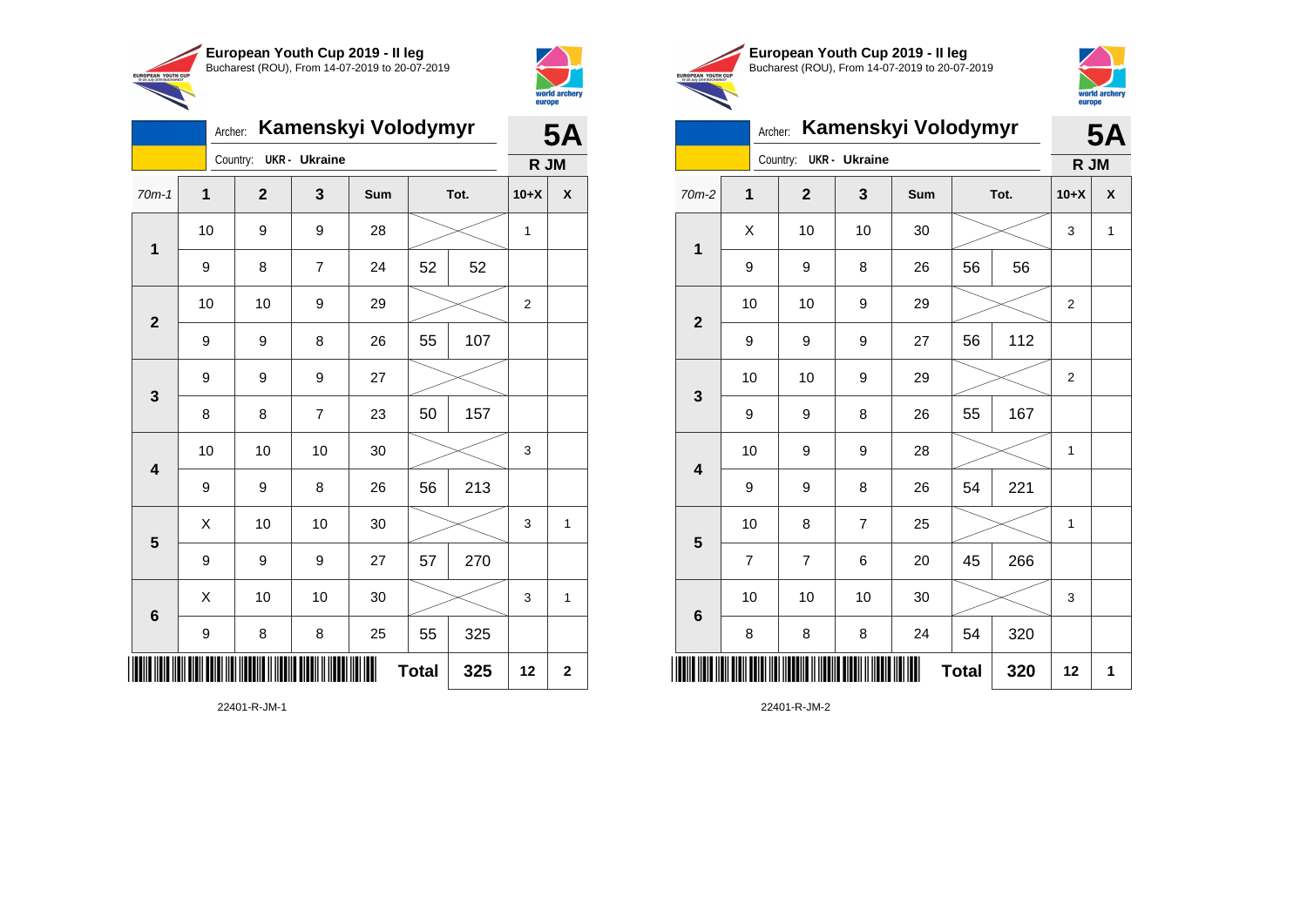

Country: **UKR - Ukraine**

**1**

**2**

**3**

**4**

**5**

**6**

Archer: **Kamenskyi Volodymyr**

70m-1 **1 2 3 Sum Tot. 10+X X**

9 | 8 | 7 | 24 | 52 | 52

9 | 9 | 8 | 26 | 55 | 107

8 | 8 | 7 | 23 | 50 | 157

9 | 9 | 8 | 26 | 56 | 213

9 | 9 | 9 | 27 | 57 | 270

9 | 8 | 8 | 25 | 55 | 325

10 | 10 | 10 | 30 |  $\!\!\!\!\!\!\!\!\times$  | 3

 $\begin{array}{|c|c|c|c|c|c|}\hline \hspace{.1cm}X & \hspace{.1cm} \text{ 10} & \hspace{.1cm} \text{ 10} & \hspace{.1cm} \text{ 30} & \hspace{.1cm} \end{array} \hspace{1.2cm} \begin{array}{|c|c|c|c|c|c|}\hline \hspace{.1cm}X & \hspace{.1cm} \text{ 3} & \hspace{.1cm} \text{ 1} & \hspace{.1cm} \text{ 4} & \hspace{.1cm} \end{array} \hspace{1.2cm}$ 

 $\begin{array}{|c|c|c|c|c|c|}\hline \hspace{.1cm}X & \hspace{.1cm} \text{ 10} & \hspace{.1cm} \text{ 10} & \hspace{.1cm} \text{ 30} & \hspace{.1cm} \end{array} \hspace{1.2cm} \begin{array}{|c|c|c|c|c|c|}\hline \hspace{.1cm}X & \hspace{.1cm} \text{ 3} & \hspace{.1cm} \text{ 1} & \hspace{.1cm} \text{ 4} & \hspace{.1cm} \end{array} \hspace{1.2cm}$ 

**Total 325 12 2**

9 9 9 27

10 | 9 | 9 | 28 |  $\times$  | 1

10 | 10 | 9 | 29 |  $\times$  | 2



EUROPEAN YOUTH CUR

**5A**

**R JM**

| European Youth Cup 2019 - Il leg               |
|------------------------------------------------|
| Bucharest (ROU), From 14-07-2019 to 20-07-2019 |



# Archer: **Kamenskyi Volodymyr**

|                 | Kamenskyi Volodymyr<br>Archer: |                |                      |     |              |      |                | <b>5A</b>                 |  |
|-----------------|--------------------------------|----------------|----------------------|-----|--------------|------|----------------|---------------------------|--|
|                 |                                | Country:       | <b>UKR</b> - Ukraine |     |              |      |                | R JM                      |  |
| $70m-2$         | 1                              | $\mathbf{2}$   | 3                    | Sum |              | Tot. | $10+X$         | $\boldsymbol{\mathsf{x}}$ |  |
| 1               | X                              | 10             | 10                   | 30  |              |      | 3              | 1                         |  |
|                 | 9                              | 9              | 8                    | 26  | 56           | 56   |                |                           |  |
| $\overline{2}$  | 10                             | 10             | 9                    | 29  |              |      | $\overline{2}$ |                           |  |
|                 | 9                              | 9              | 9                    | 27  | 56           | 112  |                |                           |  |
| 3               | 10                             | 10             | 9                    | 29  |              |      | $\overline{2}$ |                           |  |
|                 | 9                              | 9              | 8                    | 26  | 55           | 167  |                |                           |  |
| 4               | 10                             | 9              | 9                    | 28  |              |      | 1              |                           |  |
|                 | 9                              | 9              | 8                    | 26  | 54           | 221  |                |                           |  |
| 5               | 10                             | 8              | $\overline{7}$       | 25  |              |      | 1              |                           |  |
|                 | $\overline{7}$                 | $\overline{7}$ | 6                    | 20  | 45           | 266  |                |                           |  |
| $6\phantom{1}6$ | 10                             | 10             | 10                   | 30  |              |      | 3              |                           |  |
|                 | 8                              | 8              | 8                    | 24  | 54           | 320  |                |                           |  |
|                 |                                |                |                      |     | <b>Total</b> | 320  | 12             | 1                         |  |

22401-R-JM-2

22401-R-JM-1

\*22401-R-JM-1\*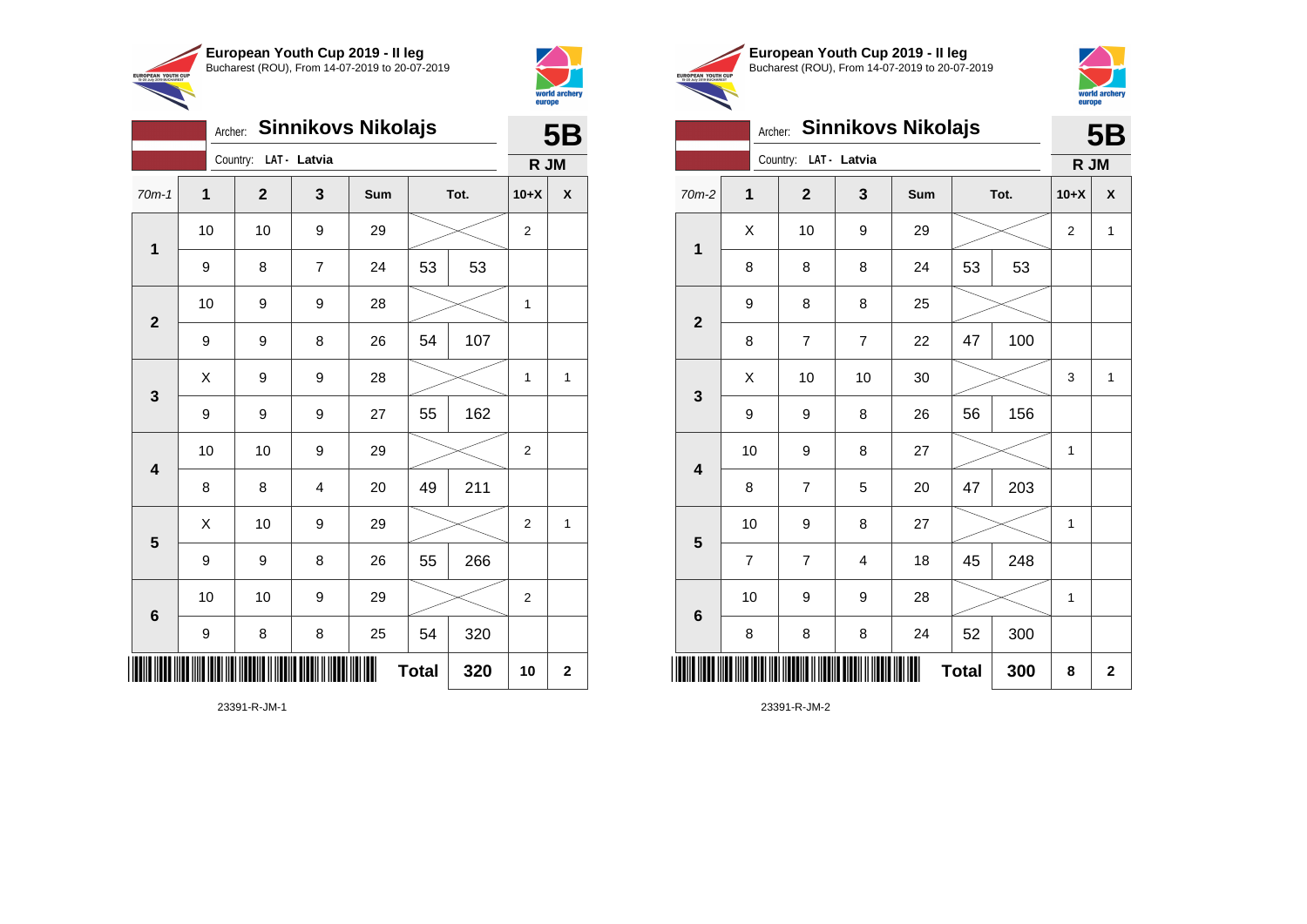



**IPOPEAN YOUTH** 

|     | European Youth Cup 2019 - Il leg               |
|-----|------------------------------------------------|
| IJР | Bucharest (ROU), From 14-07-2019 to 20-07-2019 |



# Archer: **Sinnikovs Nikolajs**

|                         | <b>Sinnikovs Nikolajs</b><br>Archer: |  |                       |                | <b>5B</b> |              |      |                |              |
|-------------------------|--------------------------------------|--|-----------------------|----------------|-----------|--------------|------|----------------|--------------|
|                         |                                      |  | Country: LAT - Latvia |                |           |              |      | R JM           |              |
| 70m-2                   | 1                                    |  | $\overline{2}$        | 3              | Sum       |              | Tot. | $10+X$         | X            |
| $\overline{\mathbf{1}}$ | X                                    |  | 10                    | 9              | 29        |              |      | $\overline{2}$ | $\mathbf{1}$ |
|                         | 8                                    |  | 8                     | 8              | 24        | 53           | 53   |                |              |
|                         | 9                                    |  | 8                     | 8              | 25        |              |      |                |              |
| $\overline{2}$          | 8                                    |  | 7                     | $\overline{7}$ | 22        | 47           | 100  |                |              |
| $\mathbf{3}$            | X                                    |  | 10                    | 10             | 30        |              |      | 3              | 1            |
|                         | 9                                    |  | 9                     | 8              | 26        | 56           | 156  |                |              |
| $\overline{\mathbf{4}}$ | 10                                   |  | 9                     | 8              | 27        |              |      | 1              |              |
|                         | 8                                    |  | $\overline{7}$        | 5              | 20        | 47           | 203  |                |              |
| $\overline{\mathbf{5}}$ | 10                                   |  | 9                     | 8              | 27        |              |      | 1              |              |
|                         | $\overline{7}$                       |  | $\overline{7}$        | 4              | 18        | 45           | 248  |                |              |
| $6\phantom{1}6$         | 10                                   |  | 9                     | 9              | 28        |              |      | 1              |              |
|                         | 8                                    |  | 8                     | 8              | 24        | 52           | 300  |                |              |
| ║║║                     |                                      |  |                       |                |           | <b>Total</b> | 300  | 8              | $\mathbf 2$  |

23391-R-JM-2

|                         | Archer: |              |                | <b>Sinnikovs Nikolajs</b> |              |      | <b>5B</b>      |              |  |
|-------------------------|---------|--------------|----------------|---------------------------|--------------|------|----------------|--------------|--|
|                         |         | Country:     | LAT - Latvia   |                           |              |      |                | R JM         |  |
| $70m-1$                 | 1       | $\mathbf{2}$ | 3              | Sum                       |              | Tot. | $10+X$         | X            |  |
|                         | 10      | 10           | 9              | 29                        |              |      | $\overline{2}$ |              |  |
| $\mathbf{1}$            | 9       | 8            | $\overline{7}$ | 24                        | 53           | 53   |                |              |  |
|                         | 10      | 9            | 9              | 28                        |              |      | 1              |              |  |
| $\overline{\mathbf{2}}$ | 9       | 9            | 8              | 26                        | 54           | 107  |                |              |  |
| 3                       | X       | 9            | 9              | 28                        |              |      |                | $\mathbf{1}$ |  |
|                         | 9       | 9            | 9              | 27                        | 55           | 162  |                |              |  |
| $\overline{\mathbf{4}}$ | 10      | 10           | 9              | 29                        |              |      | $\overline{c}$ |              |  |
|                         | 8       | 8            | 4              | 20                        | 49           | 211  |                |              |  |
| 5                       | X       | 10           | 9              | 29                        |              |      | $\overline{2}$ | 1            |  |
|                         | 9       | 9            | 8              | 26                        | 55           | 266  |                |              |  |
| $6\phantom{1}$          | 10      | 10           | 9              | 29                        |              |      | $\overline{c}$ |              |  |
|                         | 9       | 8            | 8              | 25                        | 54           | 320  |                |              |  |
| IIIII                   |         |              |                |                           | <b>Total</b> | 320  | 10             | $\mathbf 2$  |  |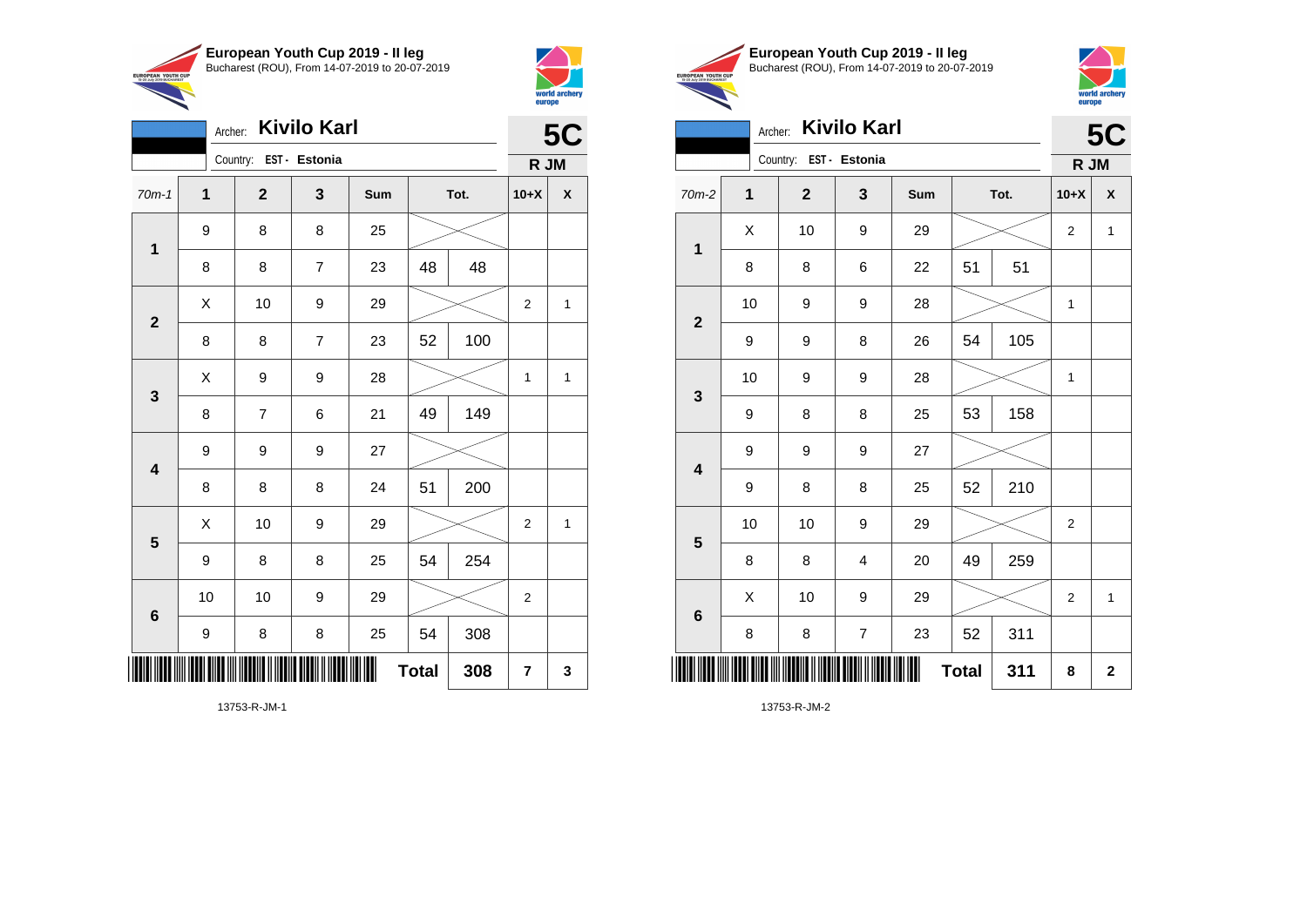

Archer: **Kivilo Karl**

9 8 8 25

9 9 9 27

70m-1 **1 2 3 Sum Tot. 10+X X**

8 | 8 | 7 | 23 | 48 | 48

8 | 8 | 7 | 23 | 52 | 100

8 | 7 | 6 | 21 |49 | 149

8 8 8 24 51 200

9 | 8 | 8 | 25 | 54 | 254

9 | 8 | 8 | 25 | 54 | 308

10 | 10 | 9 | 29 |  $\!\!\!\!\!\times$  | 2

 $\begin{array}{|c|c|c|c|c|c|}\hline \hspace{.1cm}X & \hspace{.1cm} \text{10} & \hspace{.1cm} \text{9} & \hspace{.1cm} \text{29} & \hspace{.1cm} \text{20} & \hspace{.1cm} \text{\large{\fbox{\hspace{1cm}}}}\hline \end{array} \hspace{.2cm} \begin{array}{|c|c|c|c|c|c|}\hline \hspace{.1cm}X & \hspace{.1cm} \text{12} & \hspace{.1cm} \text{11} & \hspace{.1cm} \end{array}$ 

 $X$  | 9 | 9 | 28 |  $\swarrow$  | 1 | 1

 $\begin{array}{|c|c|c|c|c|}\hline \hspace{.1cm}X & \hspace{.1cm} \text{10} & \hspace{.1cm} \text{9} & \hspace{.1cm} \text{29} & \hspace{.1cm} \hline \end{array} \hspace{.2cm} \begin{array}{|c|c|c|c|c|c|}\hline \hspace{.1cm}X & \hspace{.1cm} \text{2} & \hspace{.1cm} \text{2} & \hspace{.1cm} \text{1} & \hspace{.1cm} \hline \end{array}$ 

**Total 308 7 3**

Country: **EST - Estonia**

**1**

**2**

**3**

**4**

**5**

**6**



**TIPOPEAN YOUTH** 

**5C**

**R JM**

|     | European Youth Cup 2019 - Il leg               |
|-----|------------------------------------------------|
| CUP | Bucharest (ROU), From 14-07-2019 to 20-07-2019 |



|                         | Archer:                |                | <b>Kivilo Karl</b> |     |              |      |                | <b>5C</b>    |  |
|-------------------------|------------------------|----------------|--------------------|-----|--------------|------|----------------|--------------|--|
|                         | Country: EST - Estonia |                |                    |     |              |      |                |              |  |
| $70m-2$                 | $\mathbf{1}$           | $\overline{2}$ | 3                  | Sum |              | Tot. | $10+X$         | X            |  |
| 1                       | Χ                      | 10             | 9                  | 29  |              |      | $\overline{2}$ | $\mathbf 1$  |  |
|                         | 8                      | 8              | 6                  | 22  | 51           | 51   |                |              |  |
| $\overline{2}$          | 10                     | 9              | 9                  | 28  |              |      | 1              |              |  |
|                         | 9                      | 9              | 8                  | 26  | 54           | 105  |                |              |  |
| $\mathbf{3}$            | 10                     | 9              | 9                  | 28  |              |      | $\mathbf{1}$   |              |  |
|                         | 9                      | 8              | 8                  | 25  | 53           | 158  |                |              |  |
| $\overline{\mathbf{4}}$ | 9                      | 9              | 9                  | 27  |              |      |                |              |  |
|                         | 9                      | 8              | 8                  | 25  | 52           | 210  |                |              |  |
| 5                       | 10                     | 10             | 9                  | 29  |              |      | $\overline{2}$ |              |  |
|                         | 8                      | 8              | 4                  | 20  | 49           | 259  |                |              |  |
| $6\phantom{1}$          | X                      | 10             | 9                  | 29  |              |      | $\overline{2}$ | $\mathbf{1}$ |  |
|                         | 8                      | 8              | $\overline{7}$     | 23  | 52           | 311  |                |              |  |
|                         |                        |                |                    |     | <b>Total</b> | 311  | 8              | $\mathbf 2$  |  |

13753-R-JM-2

13753-R-JM-1

\*13753-R-JM-1\*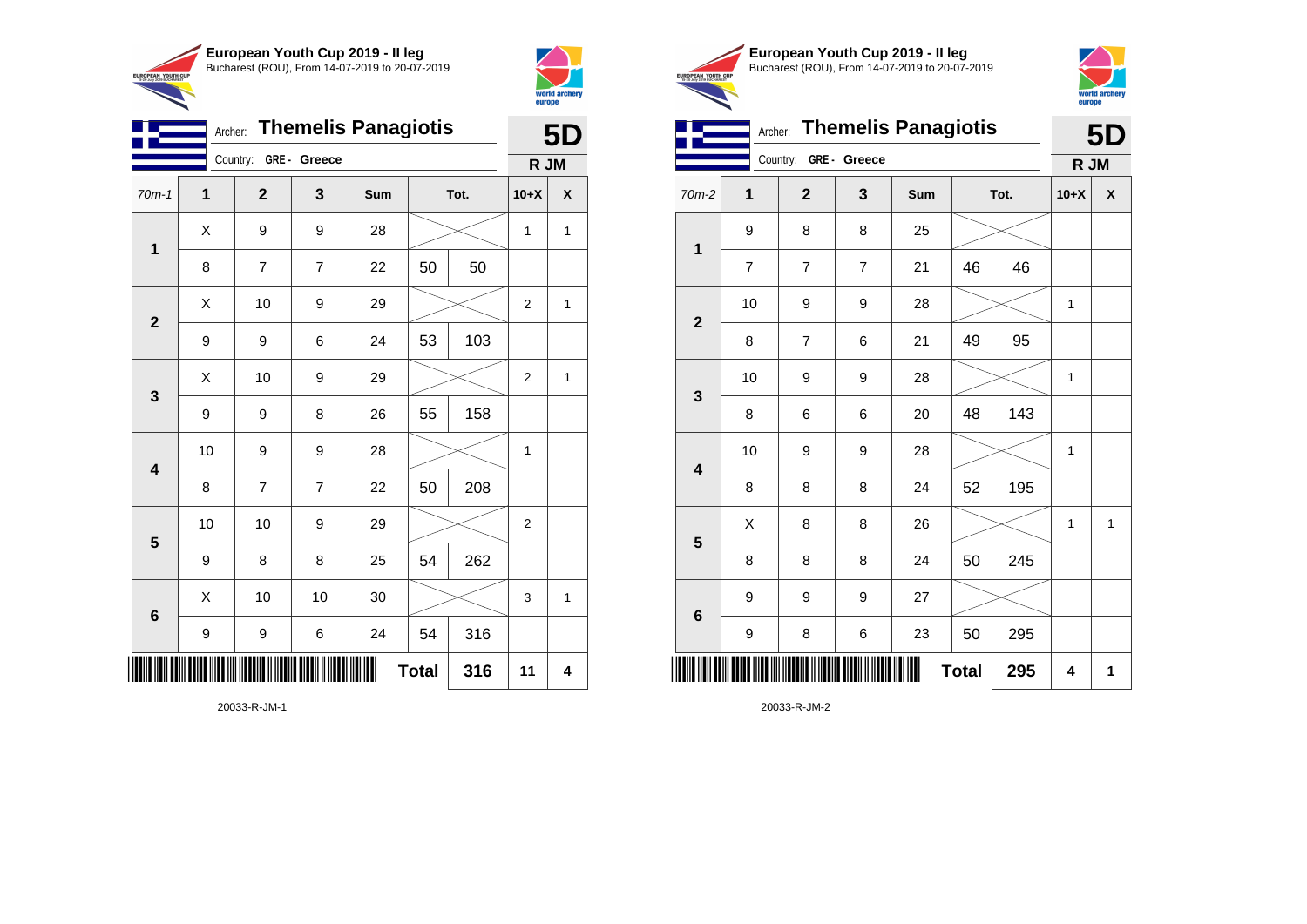



| <b>Themelis Panagiotis</b><br>Archer: |    |             |                |     |              |      |                | 5D           |
|---------------------------------------|----|-------------|----------------|-----|--------------|------|----------------|--------------|
| Country:<br>GRE - Greece              |    |             |                |     |              |      |                | R JM         |
| $70m-1$                               | 1  | $\mathbf 2$ | 3              | Sum |              | Tot. | $10+X$         | X            |
| 1                                     | X  | 9           | 9              | 28  |              |      | 1              | $\mathbf{1}$ |
|                                       | 8  | 7           | $\overline{7}$ | 22  | 50           | 50   |                |              |
| $\mathbf{2}$                          | Χ  | 10          | 9              | 29  |              |      | $\overline{2}$ | $\mathbf{1}$ |
|                                       | 9  | 9           | 6              | 24  | 53           | 103  |                |              |
| $\mathbf{3}$                          | Χ  | 10          | 9              | 29  |              |      | $\overline{2}$ | $\mathbf{1}$ |
|                                       | 9  | 9           | 8              | 26  | 55           | 158  |                |              |
| $\overline{\mathbf{4}}$               | 10 | 9           | 9              | 28  |              |      | 1              |              |
|                                       | 8  | 7           | 7              | 22  | 50           | 208  |                |              |
| $\overline{\mathbf{5}}$               | 10 | 10          | 9              | 29  |              |      | 2              |              |
|                                       | 9  | 8           | 8              | 25  | 54           | 262  |                |              |
| 6                                     | Χ  | 10          | 10             | 30  |              |      | 3              | $\mathbf{1}$ |
|                                       | 9  | 9           | 6              | 24  | 54           | 316  |                |              |
|                                       |    |             |                |     | <b>Total</b> | 316  | 11             | 4            |





Archer: **Themelis Panagiotis 5D**

|                         |                                  | Country: GRE - Greece |                  |               |              |      | R JM   |              |
|-------------------------|----------------------------------|-----------------------|------------------|---------------|--------------|------|--------|--------------|
| $70m-2$                 | 1                                | $\mathbf{2}$          | 3                | Sum           |              | Tot. | $10+X$ | χ            |
|                         | 9                                | 8                     | 8                | 25            |              |      |        |              |
| $\mathbf 1$             | $\overline{\mathbf{7}}$          | $\overline{7}$        | $\overline{7}$   | 21            | 46           | 46   |        |              |
|                         | 10                               | 9                     | $\boldsymbol{9}$ | 28            |              |      | 1      |              |
| $\mathbf{2}$            | 8                                | $\overline{7}$        | 6                | 21            | 49           | 95   |        |              |
| $\mathbf{3}$            | 10                               | 9                     | 9                | 28            |              |      | 1      |              |
|                         | 8                                | 6                     | 6                | 20            | 48           | 143  |        |              |
| $\overline{\mathbf{4}}$ | 10                               | 9                     | $\boldsymbol{9}$ | 28            |              |      | 1      |              |
|                         | 8                                | 8                     | 8                | 24            | 52           | 195  |        |              |
| $\overline{\mathbf{5}}$ | X                                | 8                     | 8                | 26            |              |      | 1      | $\mathbf{1}$ |
|                         | 8                                | 8                     | 8                | 24            | 50           | 245  |        |              |
| $\bf 6$                 | 9                                | 9                     | $\boldsymbol{9}$ | 27            |              |      |        |              |
|                         | 9                                | 8                     | 6                | 23            | 50           | 295  |        |              |
|                         | <u> Hill Hill Hill Hill Hill</u> |                       |                  | III IIII IIII | <b>Total</b> | 295  | 4      | 1            |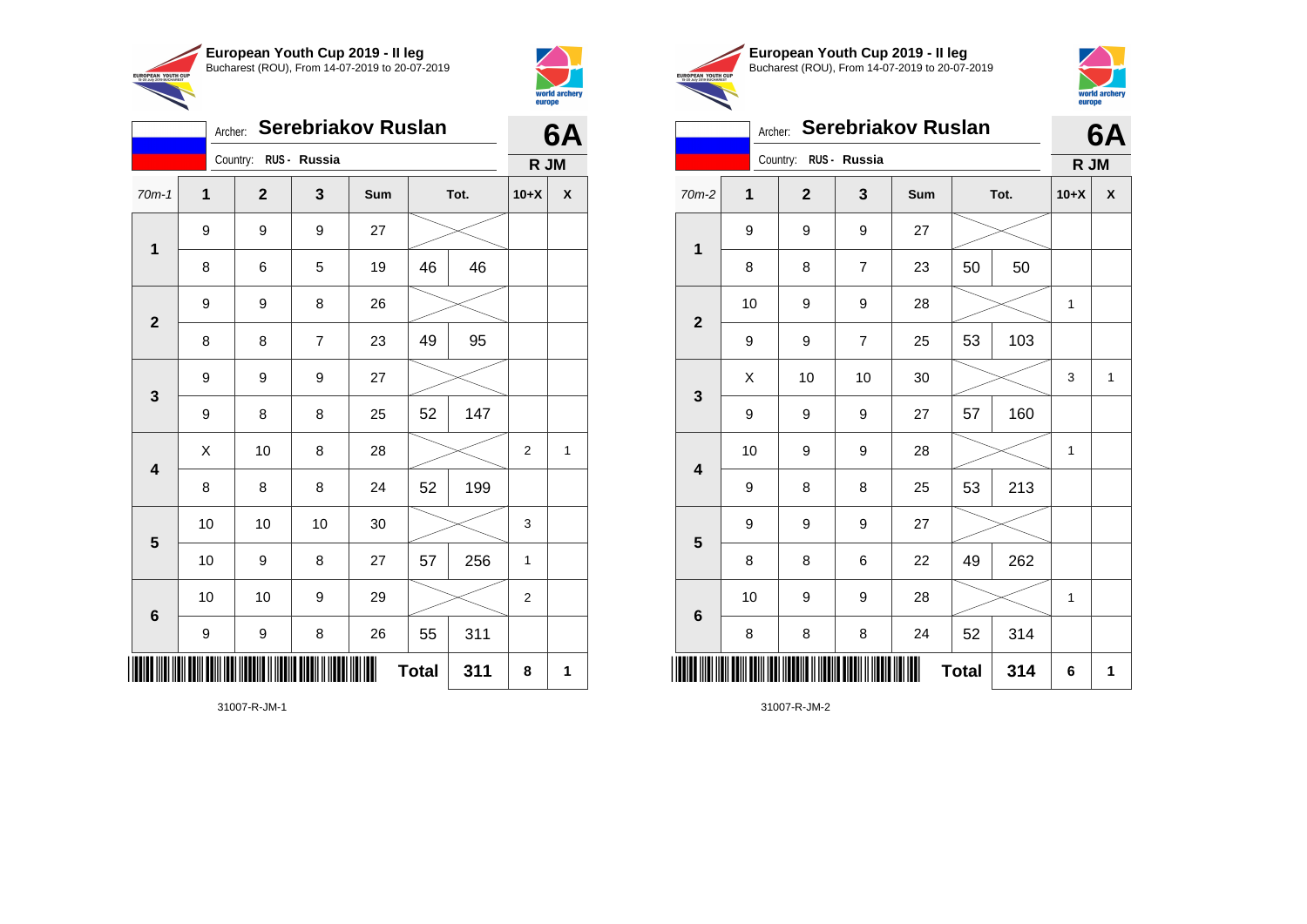



|                |             | Archer: Serebriakov Ruslan |                         |     |              |      |                | 6A |
|----------------|-------------|----------------------------|-------------------------|-----|--------------|------|----------------|----|
|                |             | Country: RUS - Russia      |                         |     |              |      | R JM           |    |
| $70m-1$        | $\mathbf 1$ | $\overline{2}$             | $\overline{\mathbf{3}}$ | Sum |              | Tot. | $10+X$         | X  |
| 1              | 9           | 9                          | 9                       | 27  |              |      |                |    |
|                | 8           | 6                          | 5                       | 19  | 46           | 46   |                |    |
| $\overline{2}$ | 9           | 9                          | 8                       | 26  |              |      |                |    |
|                | 8           | 8                          | $\overline{7}$          | 23  | 49           | 95   |                |    |
| 3              | 9           | 9                          | 9                       | 27  |              |      |                |    |
|                | 9           | 8                          | 8                       | 25  | 52           | 147  |                |    |
| 4              | Χ           | 10                         | 8                       | 28  |              |      | 2              | 1  |
|                | 8           | 8                          | 8                       | 24  | 52           | 199  |                |    |
|                | 10          | 10                         | 10                      | 30  |              |      | 3              |    |
| 5              | 10          | 9                          | 8                       | 27  | 57           | 256  | 1              |    |
|                | 10          | 10                         | 9                       | 29  |              |      | $\overline{2}$ |    |
| $6\phantom{1}$ | 9           | 9                          | 8                       | 26  | 55           | 311  |                |    |
|                |             |                            |                         |     | <b>Total</b> | 311  | 8              | 1  |





#### Archer: **Serebriakov Ruslan 6A**

| Country: RUS - Russia   |    |              |                  |     |              |      | R JM         |              |
|-------------------------|----|--------------|------------------|-----|--------------|------|--------------|--------------|
| $70m-2$                 | 1  | $\mathbf{2}$ | 3                | Sum |              | Tot. | $10+X$       | χ            |
| $\mathbf 1$             | 9  | 9            | 9                | 27  |              |      |              |              |
|                         | 8  | 8            | $\overline{7}$   | 23  | 50           | 50   |              |              |
| $\overline{\mathbf{2}}$ | 10 | 9            | 9                | 28  |              |      | 1            |              |
|                         | 9  | 9            | $\overline{7}$   | 25  | 53           | 103  |              |              |
| $\mathbf{3}$            | Χ  | 10           | $10$             | 30  |              |      | 3            | $\mathbf{1}$ |
|                         | 9  | 9            | 9                | 27  | 57           | 160  |              |              |
| $\overline{\mathbf{4}}$ | 10 | 9            | $\boldsymbol{9}$ | 28  |              |      | 1            |              |
|                         | 9  | 8            | 8                | 25  | 53           | 213  |              |              |
| $\overline{\mathbf{5}}$ | 9  | 9            | $\boldsymbol{9}$ | 27  |              |      |              |              |
|                         | 8  | 8            | 6                | 22  | 49           | 262  |              |              |
| $\bf 6$                 | 10 | 9            | $\boldsymbol{9}$ | 28  |              |      | $\mathbf{1}$ |              |
|                         | 8  | 8            | 8                | 24  | 52           | 314  |              |              |
|                         |    |              |                  | Ш   | <b>Total</b> | 314  | 6            | 1            |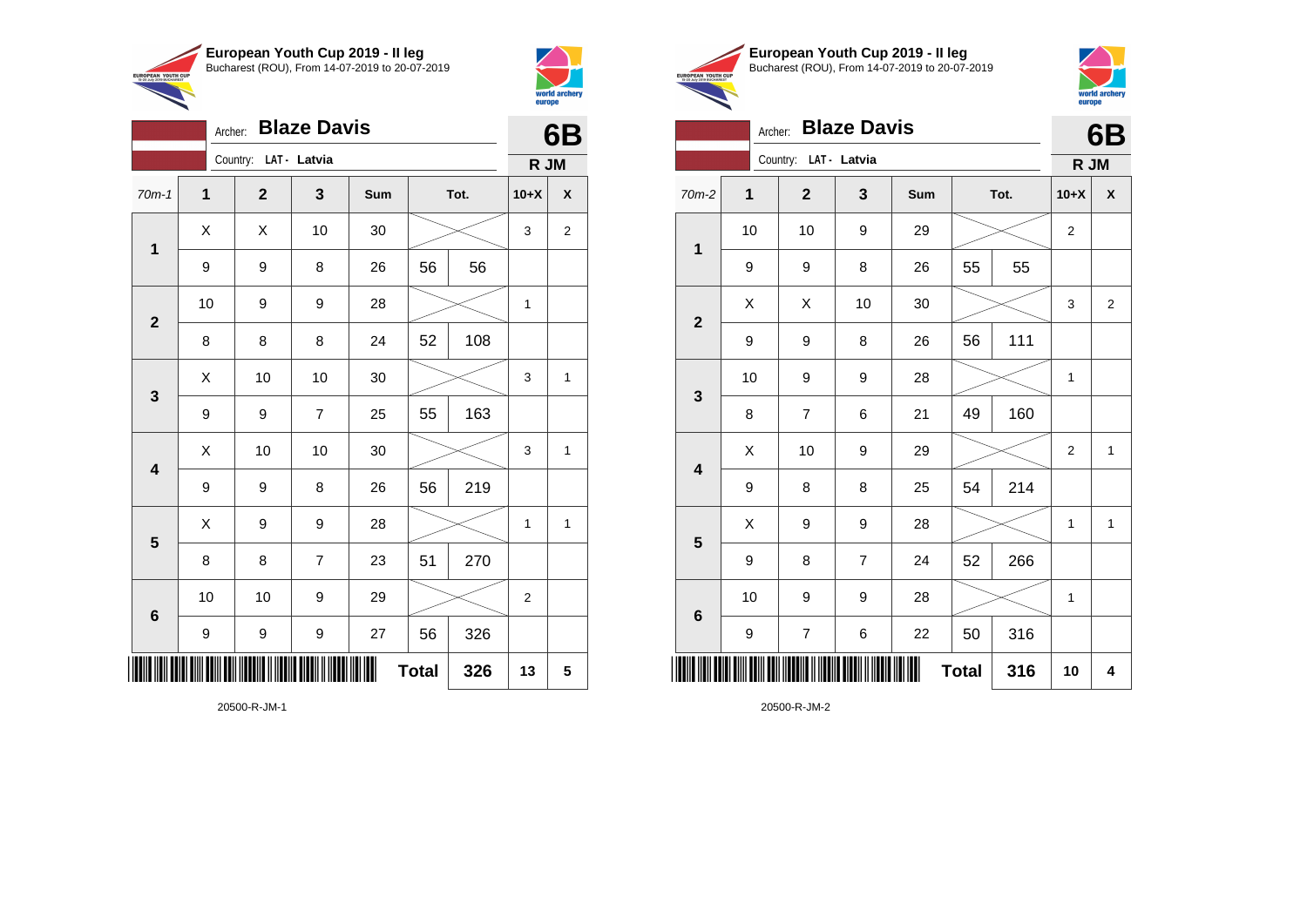

Archer: **Blaze Davis**

70m-1 **1 2 3 Sum Tot. 10+X X**

9 | 9 | 8 | 26 | 56 | 56

8 | 8 | 8 | 24 | 52 | 108

9 | 9 | 7 | 25 | 55 | 163

9 | 9 | 8 | 26 | 56 | 219

8 | 8 | 7 | 23 | 51 | 270

9 | 9 | 9 | 27 | 56 | 326

10 | 10 | 9 | 29 |  $\!\!\!\!\!\times$  | 2

10 | 9 | 9 | 28 |  $\times$  | 1

X X 10 30 3 2

 $\begin{array}{|c|c|c|c|c|c|}\hline \hspace{.1cm}X & \hspace{.1cm} \text{ 10} & \hspace{.1cm} \text{ 10} & \hspace{.1cm} \text{ 30} & \hspace{.1cm} \end{array} \hspace{.2cm} \begin{array}{|c|c|c|c|c|c|}\hline \hspace{.1cm}X & \hspace{.1cm} \text{ 3} & \hspace{.1cm} \text{ 1} & \hspace{.1cm} \text{ 4} & \hspace{.1cm} \end{array}$ 

 $\begin{array}{|c|c|c|c|c|c|}\hline \hspace{.1cm}X & \hspace{.1cm} \text{ 10} & \hspace{.1cm} \text{ 10} & \hspace{.1cm} \text{ 30} & \hspace{.1cm} \end{array} \hspace{.2cm} \begin{array}{|c|c|c|c|c|c|}\hline \hspace{.1cm}X & \hspace{.1cm} \text{ 3} & \hspace{.1cm} \text{ 1} & \hspace{.1cm} \text{ 4} & \hspace{.1cm} \end{array}$ 

 $X$  | 9 | 9 | 28 |  $\swarrow$  | 1 | 1

**Total 326 13 5**

Country: **LAT - Latvia**

**1**

**2**

**3**

**4**

**5**

**6**



**6B**

**R JM**

**European Youth Cup 2019 - II leg** Bucharest (ROU), From 14-07-2019 to 20-07-2019 EUROPEAN YOUTH CUP



### Archer: **Blaze Davis**

| <b>Blaze Davis</b><br>Archer: |              |  |                          |                |     |              |      |                | 6B                      |
|-------------------------------|--------------|--|--------------------------|----------------|-----|--------------|------|----------------|-------------------------|
|                               |              |  | Country: LAT - Latvia    |                |     |              |      | R JM           |                         |
| 70m-2                         | $\mathbf{1}$ |  | $\mathbf{2}$             | 3              | Sum |              | Tot. | $10+X$         | X                       |
| $\mathbf{1}$                  | 10           |  | 10                       | 9              | 29  |              |      | $\overline{2}$ |                         |
|                               | 9            |  | 9                        | 8              | 26  | 55           | 55   |                |                         |
| $\mathbf{2}$                  | Χ            |  | X                        | 10             | 30  |              |      | 3              | $\overline{2}$          |
|                               | 9            |  | 9                        | 8              | 26  | 56           | 111  |                |                         |
| $\mathbf{3}$                  | 10           |  | 9                        | 9              | 28  |              |      | $\mathbf 1$    |                         |
|                               | 8            |  | $\overline{7}$           | 6              | 21  | 49           | 160  |                |                         |
| $\overline{\mathbf{4}}$       | X            |  | 10                       | 9              | 29  |              |      | $\overline{2}$ | 1                       |
|                               | 9            |  | 8                        | 8              | 25  | 54           | 214  |                |                         |
| $\overline{\mathbf{5}}$       | X            |  | 9                        | 9              | 28  |              |      | 1              | 1                       |
|                               | 9            |  | 8                        | $\overline{7}$ | 24  | 52           | 266  |                |                         |
|                               | 10           |  | 9                        | 9              | 28  |              |      | 1              |                         |
| $\bf 6$                       | 9            |  | $\overline{\mathcal{I}}$ | 6              | 22  | 50           | 316  |                |                         |
|                               |              |  |                          |                |     | <b>Total</b> | 316  | 10             | $\overline{\mathbf{4}}$ |

20500-R-JM-2

| 20500-R-JM-1 |  |
|--------------|--|
|              |  |

\*20500-R-JM-1\*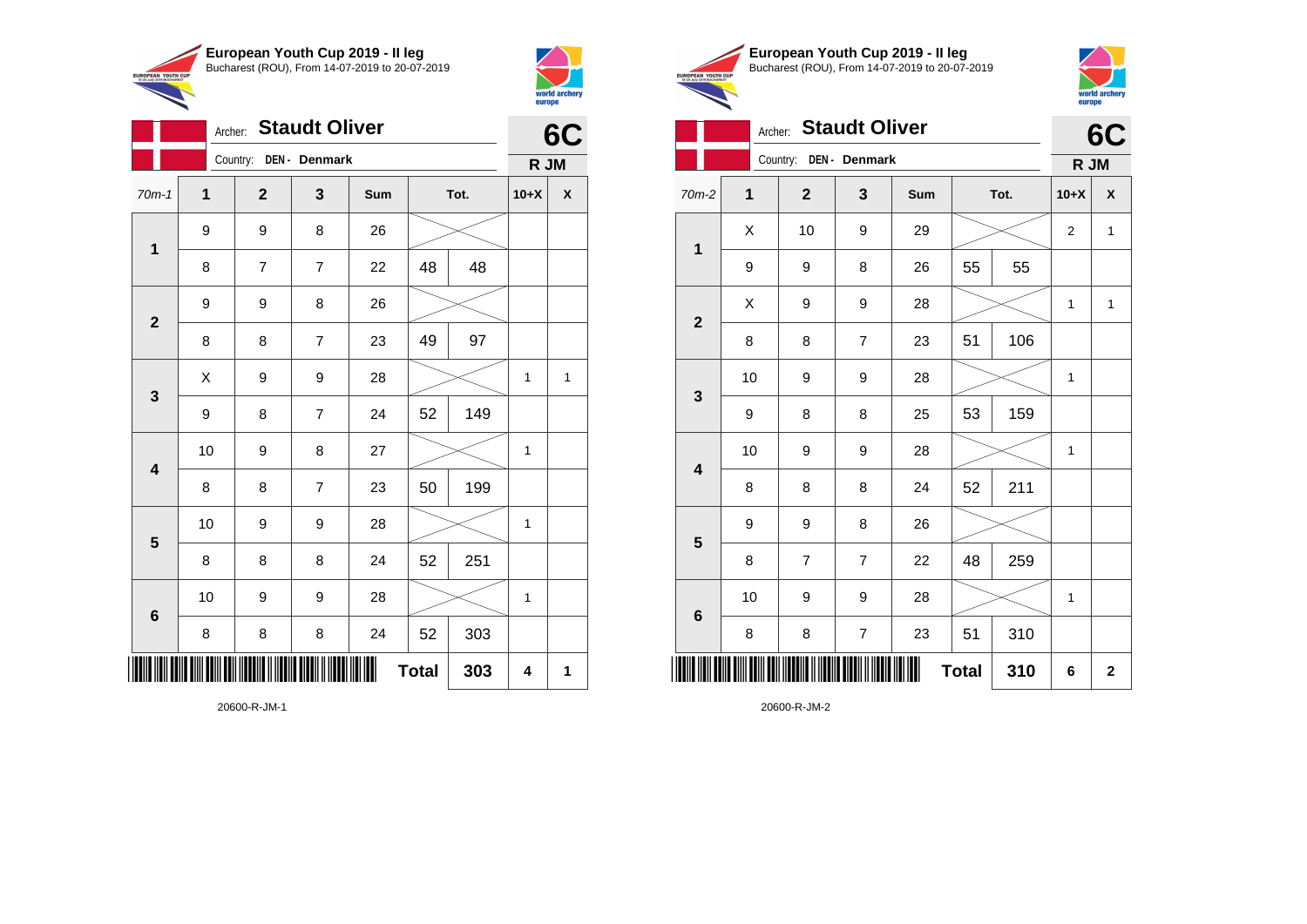

Archer: **Staudt Oliver**

70m-1 **1 2 3 Sum Tot. 10+X X**

8 | 7 | 7 | 22 | 48 | 48

8 | 8 | 7 | 23 | 49 | 97

9 | 8 | 7 | 24 | 52 | 149

8 | 8 | 7 | 23 | 50 | 199

8 | 8 | 8 | 24 | 52 | 251

8 8 8 24 52 303

\*20600-R-JM-1\*

20600-R-JM-1

10 | 9 | 8 | 27 |  $\times$  | 1

10 | 9 | 9 | 28 |  $\times$  | 1

10 | 9 | 9 | 28 |  $\times$  | 1

 $X$  | 9 | 9 | 28 |  $\swarrow$  | 1 | 1

Country: **DEN - Denmark**

9 8 26

9 9 8 26

**1**

**2**

**3**

**4**

**5**

**6**



**6C**

**R JM**

|                                                        | European Youth Cup 2019 - Il leg               |
|--------------------------------------------------------|------------------------------------------------|
| <b>EUROPEAN YOUTH CUP</b><br>15-20 July 2019 BUCHAREST | Bucharest (ROU), From 14-07-2019 to 20-07-2019 |
|                                                        |                                                |



### Archer: **Staudt Oliver**

|                         | <b>Staudt Oliver</b><br>Archer: |                |                         |     |              |      |                |                         |
|-------------------------|---------------------------------|----------------|-------------------------|-----|--------------|------|----------------|-------------------------|
|                         | Country: DEN - Denmark          |                |                         |     |              |      |                |                         |
| 70m-2                   | $\mathbf 1$                     | $\mathbf{2}$   | 3                       | Sum |              | Tot. | $10+X$         | χ                       |
| $\mathbf 1$             | X                               | 10             | 9                       | 29  |              |      | $\overline{2}$ | $\mathbf{1}$            |
|                         | 9                               | 9              | 8                       | 26  | 55           | 55   |                |                         |
| $\overline{2}$          | X                               | 9              | 9                       | 28  |              |      | $\mathbf{1}$   | $\mathbf{1}$            |
|                         | 8                               | 8              | 7                       | 23  | 51           | 106  |                |                         |
| 3                       | 10                              | 9              | 9                       | 28  |              |      | 1              |                         |
|                         | 9                               | 8              | 8                       | 25  | 53           | 159  |                |                         |
| $\overline{\mathbf{4}}$ | 10                              | 9              | 9                       | 28  |              |      | $\mathbf{1}$   |                         |
|                         | 8                               | 8              | 8                       | 24  | 52           | 211  |                |                         |
| 5                       | 9                               | 9              | 8                       | 26  |              |      |                |                         |
|                         | 8                               | $\overline{7}$ | $\overline{7}$          | 22  | 48           | 259  |                |                         |
| 6                       | 10                              | 9              | 9                       | 28  |              |      | 1              |                         |
|                         | 8                               | 8              | $\overline{\mathbf{7}}$ | 23  | 51           | 310  |                |                         |
|                         |                                 |                |                         |     | <b>Total</b> | 310  | 6              | $\overline{\mathbf{2}}$ |

 $Total | 303 | 4 | 1$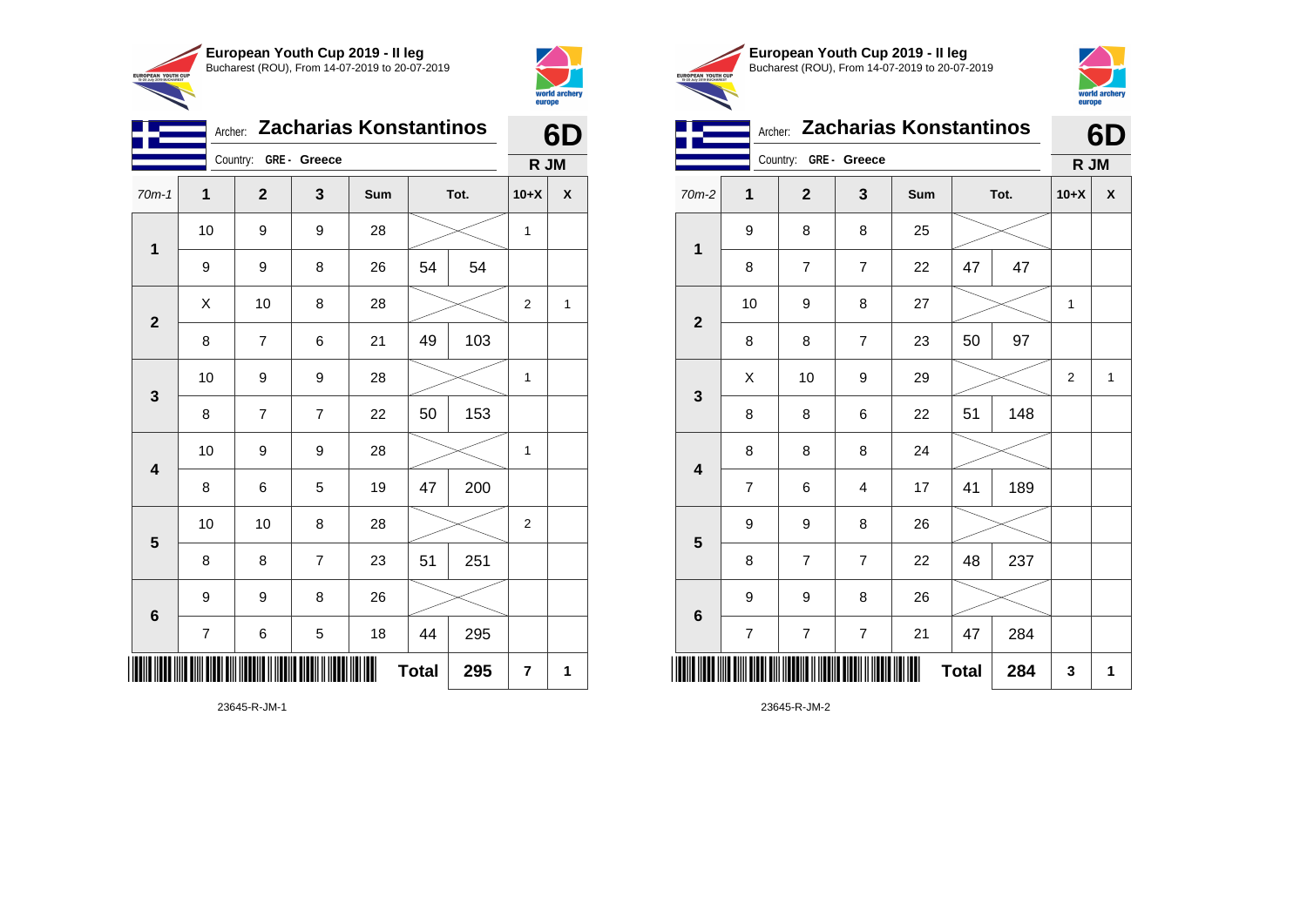

Country: **GRE - Greece**

**1**

**2**

**3**

**4**

**5**

**6**

Archer: **Zacharias Konstantinos**

70m-1 **1 2 3 Sum Tot. 10+X X**

9 | 9 | 8 | 26 | 54 | 54

8 | 7 | 6 | 21 |49 | 103

8 | 7 | 7 | 22 | 50 | 153

8 | 6 | 5 | 19 | 47 | 200

8 | 8 | 7 | 23 | 51 | 251

7 | 6 | 5 | 18 | 44 | 295

**Total** 295  $\vert 7 \vert 1$ 

9 9 8 26

10 | 9 | 9 | 28 |  $\times$  | 1

10 | 9 | 9 | 28 |  $\times$  | 1

10 | 10 | 8 | 28 |  $\times$  | 2

10 | 9 | 9 | 28 |  $\times$  | 1

 $X$  | 10 | 8 | 28 |  $\swarrow$  | 2 | 1



**6D**

**R JM**

|                                                        | European Youth Cup 2019 - Il leg               |
|--------------------------------------------------------|------------------------------------------------|
| <b>EUROPEAN YOUTH CUP</b><br>15-20 July 2019 BUCHAREST | Bucharest (ROU), From 14-07-2019 to 20-07-2019 |
|                                                        |                                                |



|  | Archer: Zacharias Konstantinos |  |
|--|--------------------------------|--|
|  |                                |  |

|                         | Country: GRE - Greece    |                          |                         |     |              | R JM |        |             |
|-------------------------|--------------------------|--------------------------|-------------------------|-----|--------------|------|--------|-------------|
| 70m-2                   | $\mathbf{1}$             | $\mathbf{2}$             | $\mathbf{3}$            | Sum |              | Tot. | $10+X$ | χ           |
|                         | 9                        | 8                        | 8                       | 25  |              |      |        |             |
| 1                       | 8                        | $\overline{\mathcal{I}}$ | $\boldsymbol{7}$        | 22  | 47           | 47   |        |             |
|                         | 10                       | 9                        | 8                       | 27  |              |      | 1      |             |
| $\mathbf{2}$            | 8                        | 8                        | $\overline{7}$          | 23  | 50           | 97   |        |             |
| $\mathbf{3}$            | Χ                        | 10                       | 9                       | 29  |              |      | 2      | $\mathbf 1$ |
|                         | 8                        | 8                        | 6                       | 22  | 51           | 148  |        |             |
| $\overline{\mathbf{4}}$ | 8                        | 8                        | 8                       | 24  |              |      |        |             |
|                         | $\overline{\mathcal{I}}$ | 6                        | $\overline{\mathbf{4}}$ | 17  | 41           | 189  |        |             |
| $\overline{\mathbf{5}}$ | 9                        | 9                        | 8                       | 26  |              |      |        |             |
|                         | 8                        | $\overline{7}$           | $\overline{7}$          | 22  | 48           | 237  |        |             |
| $\bf 6$                 | 9                        | 9                        | 8                       | 26  |              |      |        |             |
|                         | $\overline{\mathcal{I}}$ | $\overline{\mathcal{I}}$ | $\boldsymbol{7}$        | 21  | 47           | 284  |        |             |
|                         |                          |                          |                         | ∭   | <b>Total</b> | 284  | 3      | 1           |

23645-R-JM-2

23645-R-JM-1

\*23645-R-JM-1\*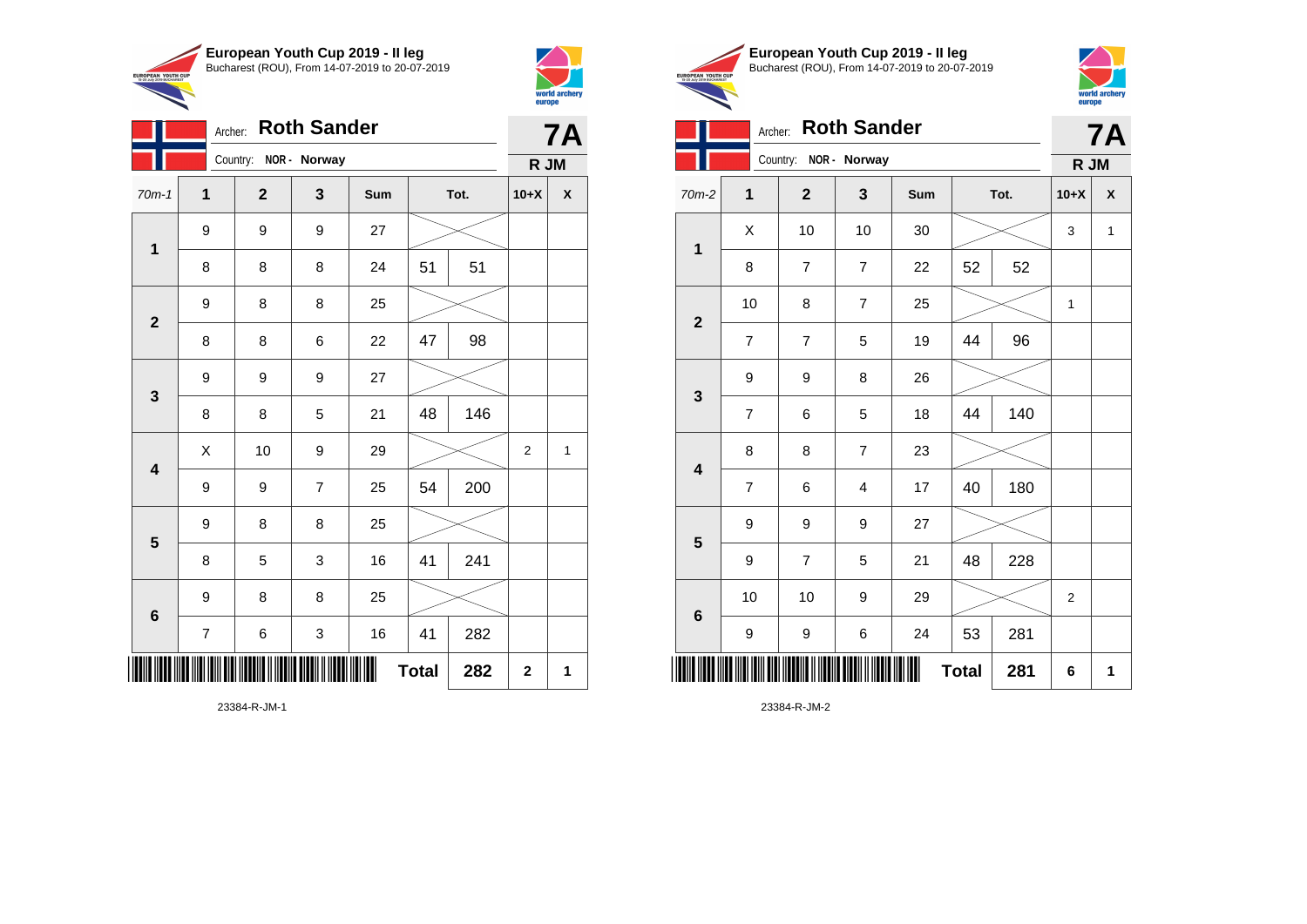

Archer: **Roth Sander**

9 9 9 27

9 8 8 25

9 9 9 27

9 8 8 25

9 8 8 25

70m-1 **1 2 3 Sum Tot. 10+X X**

8 | 8 | 8 | 24 | 51 | 51

8 | 8 | 6 | 22 | 47 | 98

8 | 8 | 5 | 21 | 48 | 146

9 | 9 | 7 | 25 | 54 | 200

8 | 5 | 3 | 16 | 41 | 241

7 | 6 | 3 | 16 | 41 | 282

 $\begin{array}{|c|c|c|c|c|c|}\hline \hspace{.1cm}X & \hspace{.1cm} \text{10} & \hspace{.1cm} \text{9} & \hspace{.1cm} \text{29} & \hspace{.1cm} \text{20} & \hspace{.1cm} \text{\large{\fbox{\hspace{1cm}}}}\hline \end{array} \hspace{.2cm} \begin{array}{|c|c|c|c|c|c|}\hline \hspace{.1cm}X & \hspace{.1cm} \text{12} & \hspace{.1cm} \text{11} & \hspace{.1cm} \end{array}$ 

**Total** 282  $2 \mid 2 \mid 1$ 

Country: **NOR - Norway**

**1**

**2**

**3**

**4**

**5**

**6**



**7A**

**R JM**

|                               | European Youth Cup 2019 - Il leg               |
|-------------------------------|------------------------------------------------|
| <b>TH CUP</b><br><b>ADEST</b> | Bucharest (ROU), From 14-07-2019 to 20-07-2019 |



| Archer: Roth Sander |
|---------------------|
|---------------------|

| <b>Roth Sander</b><br>Archer: |                |                          |                |     |              |      | <b>7A</b>    |   |  |
|-------------------------------|----------------|--------------------------|----------------|-----|--------------|------|--------------|---|--|
|                               |                | Country:<br>NOR - Norway |                |     |              |      |              |   |  |
| 70m-2                         | 1              | $\mathbf{2}$             | 3              | Sum |              | Tot. | $10+X$       | X |  |
|                               | X              | 10                       | 10             | 30  |              |      | 3            | 1 |  |
| 1                             | 8              | $\overline{7}$           | $\overline{7}$ | 22  | 52           | 52   |              |   |  |
| $\overline{2}$                | 10             | 8                        | $\overline{7}$ | 25  |              |      | $\mathbf{1}$ |   |  |
|                               | $\overline{7}$ | $\overline{7}$           | 5              | 19  | 44           | 96   |              |   |  |
| 3                             | 9              | 9                        | 8              | 26  |              |      |              |   |  |
|                               | $\overline{7}$ | 6                        | 5              | 18  | 44           | 140  |              |   |  |
| $\overline{\mathbf{4}}$       | 8              | 8                        | $\overline{7}$ | 23  |              |      |              |   |  |
|                               | $\overline{7}$ | 6                        | 4              | 17  | 40           | 180  |              |   |  |
| 5                             | 9              | 9                        | 9              | 27  |              |      |              |   |  |
|                               | 9              | $\overline{7}$           | 5              | 21  | 48           | 228  |              |   |  |
| $6\phantom{1}6$               | 10             | 10                       | 9              | 29  |              |      | 2            |   |  |
|                               | 9              | 9                        | 6              | 24  | 53           | 281  |              |   |  |
|                               |                |                          |                |     | <b>Total</b> | 281  | 6            | 1 |  |

23384-R-JM-2

23384-R-JM-1

\*23384-R-JM-1\*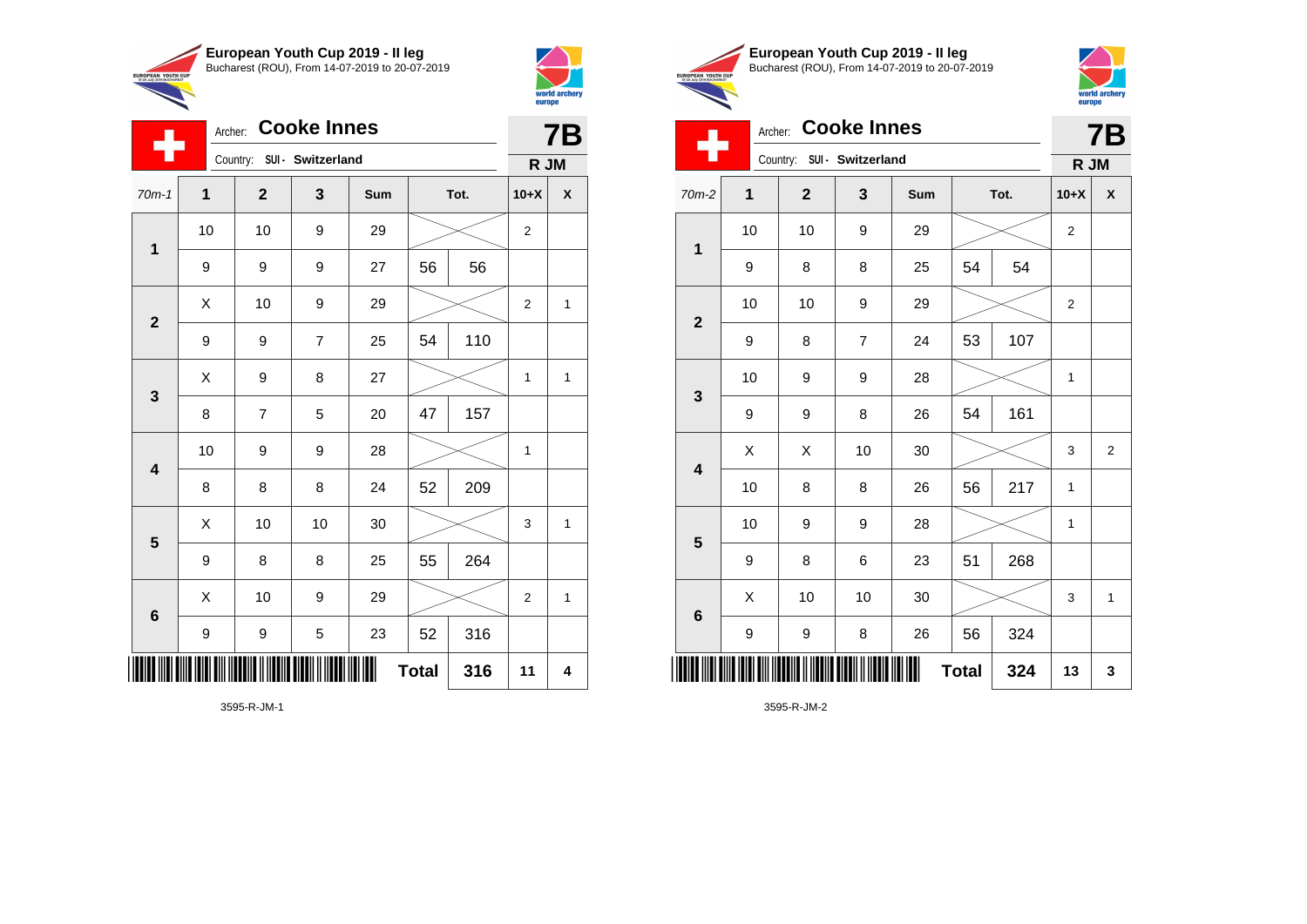

Archer: **Cooke Innes**

70m-1 **1 2 3 Sum Tot. 10+X X**

9 9 9 27 56 56

9 | 9 | 7 | 25 | 54 | 110

8 | 7 | 5 | 20 | 47 | 157

8 | 8 | 8 | 24 | 52 | 209

9 | 8 | 8 | 25 | 55 | 264

9 | 9 | 5 | 23 | 52 | 316

10 | 9 | 9 | 28 |  $\times$  | 1

10 | 10 | 9 | 29 |  $\times$  | 2

 $\begin{array}{|c|c|c|c|c|c|}\hline \hspace{.1cm}X & \hspace{.1cm} \text{10} & \hspace{.1cm} \text{9} & \hspace{.1cm} \text{29} & \hspace{.1cm} \text{20} & \hspace{.1cm} \text{\large{\fbox{\hspace{1cm}}}}\hline \end{array} \hspace{.2cm} \begin{array}{|c|c|c|c|c|c|}\hline \hspace{.1cm}X & \hspace{.1cm} \text{12} & \hspace{.1cm} \text{11} & \hspace{.1cm} \end{array}$ 

 $X$  | 9 | 8 | 27 |  $\swarrow$  | 1 | 1

 $\begin{array}{|c|c|c|c|c|c|}\hline \hspace{.1cm}X & \hspace{.1cm} \text{ 10} & \hspace{.1cm} \text{ 10} & \hspace{.1cm} \text{ 30} & \hspace{.1cm} \end{array} \hspace{1.2cm} \begin{array}{|c|c|c|c|c|c|}\hline \hspace{.1cm}X & \hspace{.1cm} \text{ 3} & \hspace{.1cm} \text{ 1} & \hspace{.1cm} \text{ 4} & \hspace{.1cm} \end{array} \hspace{1.2cm}$ 

X 10 9 29 2 1

**Total 316 11 4**

Country: **SUI - Switzerland**

**1**

÷

**2**

**3**

**4**

**5**

**6**

 $\overline{\phantom{a}}$ 



**7B**

**R JM**

| European Youth Cup 2019 - Il leg<br>Bucharest (ROU), From 14-07-2019 to 20-07-2019 |
|------------------------------------------------------------------------------------|
|                                                                                    |
|                                                                                    |



**7B**

| Archer: Cooke Innes |  |
|---------------------|--|
|                     |  |

| ш<br>Country:<br>SUI - Switzerland |      |              |                |     |              |      | R JM           |                         |
|------------------------------------|------|--------------|----------------|-----|--------------|------|----------------|-------------------------|
| 70m-2                              | 1    | $\mathbf{2}$ | $\mathbf{3}$   | Sum |              | Tot. | $10+X$         | $\pmb{\mathsf{X}}$      |
| $\mathbf{1}$                       | $10$ | 10           | 9              | 29  |              |      | $\overline{c}$ |                         |
|                                    | 9    | 8            | 8              | 25  | 54           | 54   |                |                         |
| $\mathbf{2}$                       | 10   | 10           | 9              | 29  |              |      | $\overline{c}$ |                         |
|                                    | 9    | 8            | $\overline{7}$ | 24  | 53           | 107  |                |                         |
| $\mathbf 3$                        | 10   | 9            | 9              | 28  |              |      | 1              |                         |
|                                    | 9    | 9            | 8              | 26  | 54           | 161  |                |                         |
| $\overline{\mathbf{4}}$            | Χ    | Χ            | 10             | 30  |              |      | 3              | $\overline{\mathbf{c}}$ |
|                                    | 10   | 8            | 8              | 26  | 56           | 217  | 1              |                         |
| $\overline{\mathbf{5}}$            | 10   | 9            | 9              | 28  |              |      | $\mathbf 1$    |                         |
|                                    | 9    | 8            | 6              | 23  | 51           | 268  |                |                         |
| $\bf 6$                            | X    | 10           | 10             | 30  |              |      | 3              | $\mathbf{1}$            |
|                                    | 9    | 9            | 8              | 26  | 56           | 324  |                |                         |
|                                    |      |              |                | ║║  | <b>Total</b> | 324  | 13             | 3                       |

3595-R-JM-2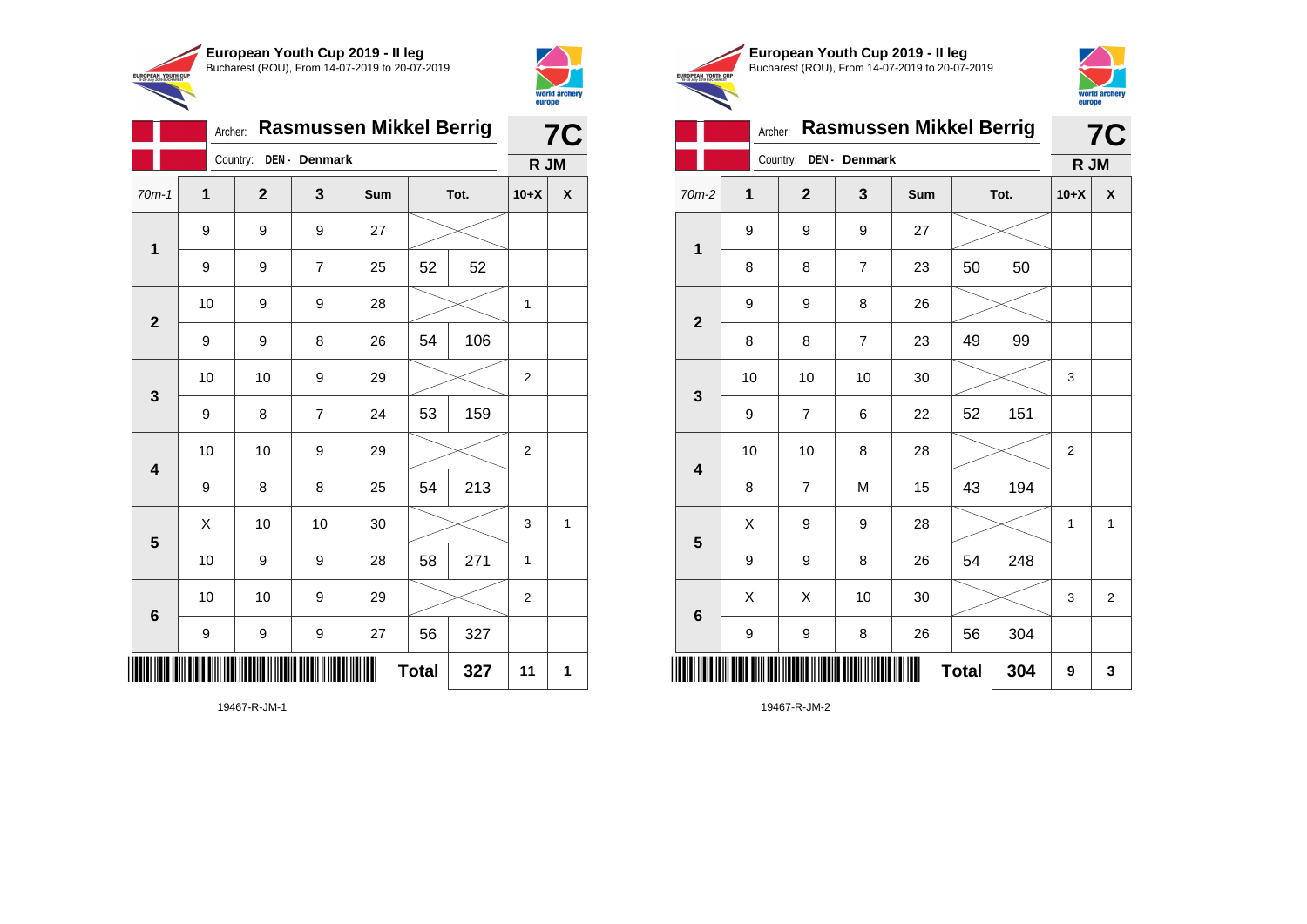



|                         |                                |                | europe         |     |              |      |                |   |
|-------------------------|--------------------------------|----------------|----------------|-----|--------------|------|----------------|---|
|                         | <b>Rasmussen Mikkel Berrig</b> |                | <b>7C</b>      |     |              |      |                |   |
|                         |                                | R JM           |                |     |              |      |                |   |
| $70m-1$                 | 1                              | $\overline{2}$ | 3              | Sum |              | Tot. | $10+X$         | X |
|                         | 9                              | 9              | 9              | 27  |              |      |                |   |
| $\mathbf 1$             | 9                              | 9              | $\overline{7}$ | 25  | 52           | 52   |                |   |
|                         | 10                             | 9              | 9              | 28  |              |      |                |   |
| $\overline{2}$          | 9                              | 9              | 8              | 26  | 54           | 106  |                |   |
|                         | 10                             | 10             | 9              | 29  |              |      | $\overline{2}$ |   |
| 3                       | 9                              | 8              | $\overline{7}$ | 24  | 53           | 159  |                |   |
|                         | 10                             | 10             | 9              | 29  |              |      | $\overline{2}$ |   |
| $\overline{\mathbf{4}}$ | 9                              | 8              | 8              | 25  | 54           | 213  |                |   |
|                         | X                              | 10             | 10             | 30  |              |      |                | 1 |
| 5                       | 10                             | 9              | 9              | 28  | 58           | 271  | 1              |   |
|                         | 10                             | 10             | 9              | 29  |              |      | $\overline{2}$ |   |
| $6\phantom{1}6$         | 9                              | 9              | 9              | 27  | 56           | 327  |                |   |
| ║║                      |                                |                |                |     | <b>Total</b> | 327  | 11             | 1 |





|                         |                           |                |                |     |              |      | ----p- |                |
|-------------------------|---------------------------|----------------|----------------|-----|--------------|------|--------|----------------|
|                         |                           | <b>7C</b>      |                |     |              |      |        |                |
|                         | Country:<br>DEN - Denmark |                |                |     |              |      |        | R JM           |
| $70m-2$                 | 1                         | $\mathbf{2}$   | 3              | Sum |              | Tot. | $10+X$ | X              |
| 1                       | 9                         | 9              | 9              | 27  |              |      |        |                |
|                         | 8                         | 8              | $\overline{7}$ | 23  | 50           | 50   |        |                |
|                         | 9                         | 9              | 8              | 26  |              |      |        |                |
| $\overline{2}$          | 8                         | 8              | $\overline{7}$ | 23  | 49           | 99   |        |                |
|                         | 10                        | 10             | 10             | 30  |              |      | 3      |                |
| 3                       | 9                         | $\overline{7}$ | 6              | 22  | 52           | 151  |        |                |
| $\overline{\mathbf{4}}$ | 10                        | 10             | 8              | 28  |              |      | 2      |                |
|                         | 8                         | $\overline{7}$ | M              | 15  | 43           | 194  |        |                |
|                         | X                         | 9              | 9              | 28  |              |      | 1      | 1              |
| 5                       | 9                         | 9              | 8              | 26  | 54           | 248  |        |                |
|                         | Χ                         | X              | 10             | 30  |              |      | 3      | $\overline{2}$ |
| 6                       | 9                         | 9              | 8              | 26  | 56           | 304  |        |                |
|                         |                           |                |                |     | <b>Total</b> | 304  | 9      | 3              |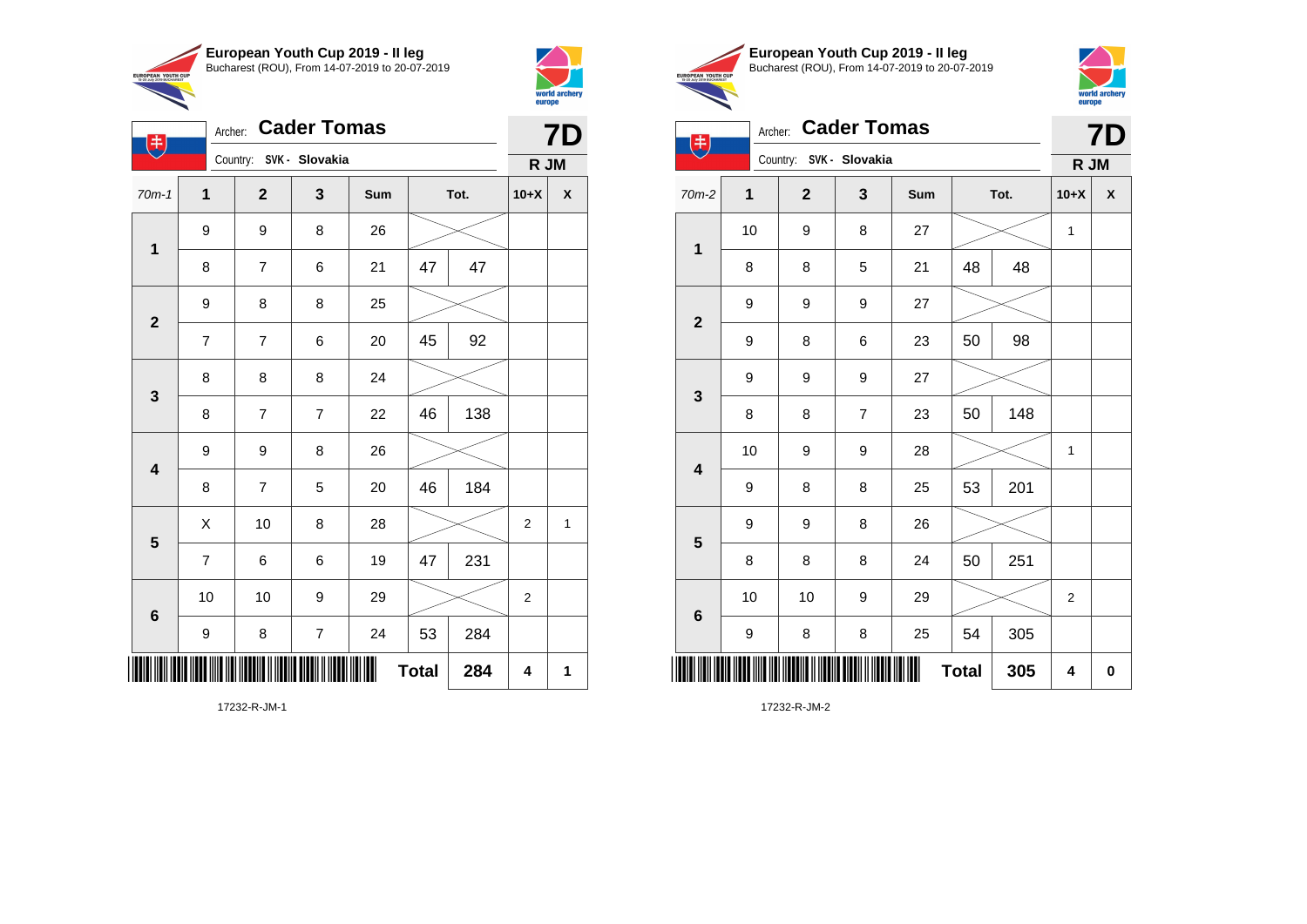

Archer: **Cader Tomas**

9 8 26

9 8 8 25

8 8 8 24

9 9 8 26

70m-1 **1 2 3 Sum Tot. 10+X X**

8 | 7 | 6 | 21 | 47 | 47

7 | 7 | 6 | 20 | 45 | 92

8 | 7 | 7 | 22 | 46 | 138

8 | 7 | 5 | 20 | 46 | 184

7 | 6 | 6 | 19 | 47 | 231

9 | 8 | 7 | 24 | 53 | 284

10 | 10 | 9 | 29 |  $\!\!\!\!\!\times$  | 2

 $X$  | 10 | 8 | 28 |  $\swarrow$  | 2 | 1

**Total** 284  $\vert 4 \vert 1$ 

Country: **SVK - Slovakia**

**1**

电

**2**

**3**

**4**

**5**

**6**



**7D**

**R JM**

|                                     | European Youth Cup 2019 - Il leq               |
|-------------------------------------|------------------------------------------------|
| <b>OUTH CUP</b><br><b>LICHADEST</b> | Bucharest (ROU), From 14-07-2019 to 20-07-2019 |
| c.                                  |                                                |



| <b>Cader Tomas</b><br>Archer:<br>$\left( \begin{matrix} \mathbf{\ddot{r}} \end{matrix} \right)$ |                         |  |              |                  |     |              |      |              | <b>7D</b> |  |  |
|-------------------------------------------------------------------------------------------------|-------------------------|--|--------------|------------------|-----|--------------|------|--------------|-----------|--|--|
|                                                                                                 | Country: SVK - Slovakia |  |              |                  |     |              |      | R JM         |           |  |  |
| 70m-2                                                                                           | 1                       |  | $\mathbf{2}$ | 3                | Sum |              | Tot. | $10+X$       | X         |  |  |
|                                                                                                 | 10                      |  | 9            | 8                | 27  |              |      | $\mathbf{1}$ |           |  |  |
| $\mathbf 1$                                                                                     | 8                       |  | 8            | 5                | 21  | 48           | 48   |              |           |  |  |
| $\mathbf{2}$                                                                                    | 9                       |  | 9            | $\boldsymbol{9}$ | 27  |              |      |              |           |  |  |
|                                                                                                 | 9                       |  | 8            | 6                | 23  | 50           | 98   |              |           |  |  |
| $\mathbf{3}$                                                                                    | 9                       |  | 9            | 9                | 27  |              |      |              |           |  |  |
|                                                                                                 | 8                       |  | 8            | $\overline{7}$   | 23  | 50           | 148  |              |           |  |  |
| $\overline{\mathbf{4}}$                                                                         | 10                      |  | 9            | 9                | 28  |              |      | $\mathbf{1}$ |           |  |  |
|                                                                                                 | 9                       |  | 8            | 8                | 25  | 53           | 201  |              |           |  |  |
| 5                                                                                               | 9                       |  | 9            | 8                | 26  |              |      |              |           |  |  |
|                                                                                                 | 8                       |  | 8            | 8                | 24  | 50           | 251  |              |           |  |  |
| $\bf 6$                                                                                         | 10                      |  | 10           | 9                | 29  |              |      | 2            |           |  |  |
|                                                                                                 | 9                       |  | 8            | 8                | 25  | 54           | 305  |              |           |  |  |
|                                                                                                 |                         |  |              |                  | Ш   | <b>Total</b> | 305  | 4            | $\bf{0}$  |  |  |

17232-R-JM-2

17232-R-JM-1

\*17232-R-JM-1\*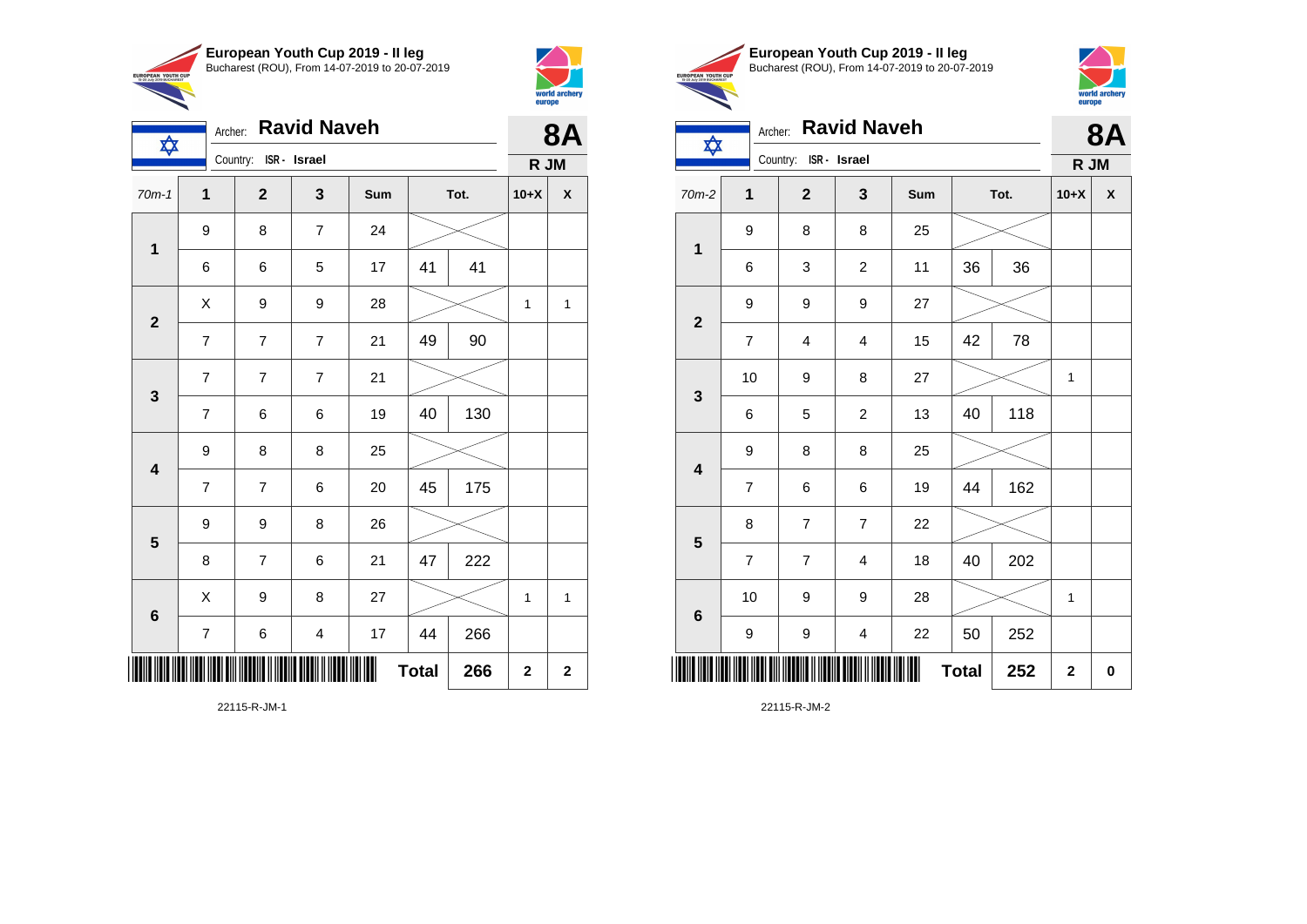

Archer: **Ravid Naveh**

Country: **ISR - Israel**

**IN** 



| European Youth Cup 2019 - Il leg               |
|------------------------------------------------|
| Bucharest (ROU), From 14-07-2019 to 20-07-2019 |



**8A**

**R JM**

| R JM                     |  |                          |  | Archer: Ravid Naveh   |  |  |  |  |
|--------------------------|--|--------------------------|--|-----------------------|--|--|--|--|
|                          |  |                          |  | Country: ISR - Israel |  |  |  |  |
| $\overline{\phantom{a}}$ |  | $\overline{\phantom{a}}$ |  |                       |  |  |  |  |

EUROPEAN YOUTH CU

| 70m-2                   | 1                       | $\mathbf 2$             | 3                       | Sum |              | Tot. | $10+X$       | X         |
|-------------------------|-------------------------|-------------------------|-------------------------|-----|--------------|------|--------------|-----------|
| $\mathbf{1}$            | 9                       | 8                       | 8                       | 25  |              |      |              |           |
|                         | 6                       | 3                       | $\overline{c}$          | 11  | 36           | 36   |              |           |
| $\mathbf 2$             | 9                       | 9                       | 9                       | 27  |              |      |              |           |
|                         | $\boldsymbol{7}$        | $\overline{\mathbf{4}}$ | 4                       | 15  | 42           | 78   |              |           |
| $\mathbf{3}$            | 10                      | 9                       | 8                       | 27  |              |      | $\mathbf 1$  |           |
|                         | 6                       | 5                       | $\overline{\mathbf{c}}$ | 13  | 40           | 118  |              |           |
| $\overline{\mathbf{4}}$ | 9                       | 8                       | 8                       | 25  |              |      |              |           |
|                         | $\overline{\mathbf{7}}$ | 6                       | 6                       | 19  | 44           | 162  |              |           |
| $\overline{\mathbf{5}}$ | 8                       | $\overline{\mathbf{7}}$ | $\boldsymbol{7}$        | 22  |              |      |              |           |
|                         | $\overline{\mathbf{7}}$ | $\overline{\mathbf{7}}$ | 4                       | 18  | 40           | 202  |              |           |
| 6                       | 10                      | 9                       | $\boldsymbol{9}$        | 28  |              |      | $\mathbf{1}$ |           |
|                         | 9                       | 9                       | $\overline{\mathbf{4}}$ | 22  | 50           | 252  |              |           |
| IIIII                   |                         |                         |                         | Ш   | <b>Total</b> | 252  | $\mathbf 2$  | $\pmb{0}$ |

22115-R-JM-2

| $70m-1$                 | 1                        | $\boldsymbol{2}$         | 3                        | Sum |              | Tot. | $10+X$       | X                       |
|-------------------------|--------------------------|--------------------------|--------------------------|-----|--------------|------|--------------|-------------------------|
| $\mathbf{1}$            | 9                        | 8                        | $\overline{\mathcal{I}}$ | 24  |              |      |              |                         |
|                         | 6                        | 6                        | 5                        | 17  | 41           | 41   |              |                         |
| $\overline{\mathbf{2}}$ | Χ                        | 9                        | 9                        | 28  |              |      | $\mathbf{1}$ | $\mathbf{1}$            |
|                         | $\boldsymbol{7}$         | $\boldsymbol{7}$         | $\boldsymbol{7}$         | 21  | 49           | 90   |              |                         |
| 3                       | $\overline{\mathbf{7}}$  | $\boldsymbol{7}$         | $\boldsymbol{7}$         | 21  |              |      |              |                         |
|                         | $\boldsymbol{7}$         | 6                        | 6                        | 19  | 40           | 130  |              |                         |
| $\overline{\mathbf{4}}$ | 9                        | 8                        | 8                        | 25  |              |      |              |                         |
|                         | $\overline{\mathcal{I}}$ | $\overline{\mathcal{I}}$ | 6                        | 20  | 45           | 175  |              |                         |
| $5\phantom{1}$          | 9                        | 9                        | 8                        | 26  |              |      |              |                         |
|                         | 8                        | $\overline{\mathbf{7}}$  | 6                        | 21  | 47           | 222  |              |                         |
| $\bf 6$                 | Χ                        | 9                        | 8                        | 27  |              |      | $\mathbf 1$  | $\mathbf 1$             |
|                         | $\boldsymbol{7}$         | 6                        | $\overline{\mathbf{4}}$  | 17  | 44           | 266  |              |                         |
|                         |                          |                          |                          | ∭   | <b>Total</b> | 266  | $\mathbf 2$  | $\overline{\mathbf{c}}$ |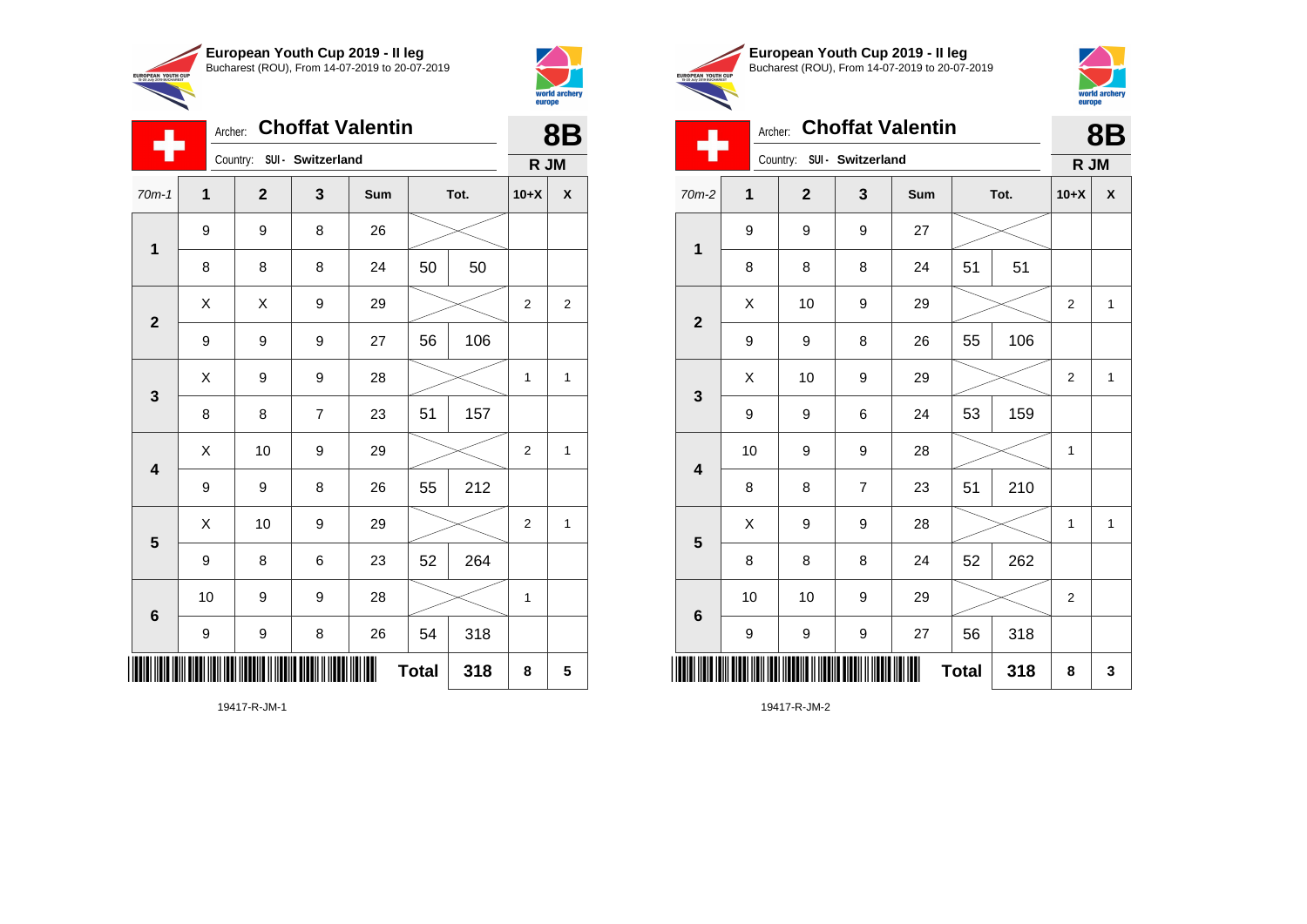

Country: **SUI - Switzerland**

9 8 26

**1**

÷

**2**

**3**

**4**

**5**

**6**

Archer: **Choffat Valentin**

70m-1 **1 2 3 Sum Tot. 10+X X**

8 | 8 | 8 | 24 | 50 | 50

9 | 9 | 9 | 27 | 56 | 106

8 | 8 | 7 | 23 | 51 | 157

9 | 9 | 8 | 26 | 55 | 212

9 | 8 | 6 | 23 | 52 | 264

9 | 9 | 8 | 26 | 54 | 318

10 | 9 | 9 | 28 |  $\times$  | 1

 $\begin{array}{|c|c|c|c|c|}\hline \hspace{0.2cm}X & X & 9 & 29 & \nearrow \ \hline \end{array}$ 

 $X$  | 9 | 9 | 28 |  $\swarrow$  | 1 | 1

 $\begin{array}{|c|c|c|c|c|c|}\hline \hspace{.1cm}X & \hspace{.1cm} \text{10} & \hspace{.1cm} \text{9} & \hspace{.1cm} \text{29} & \hspace{.1cm} \text{20} & \hspace{.1cm} \text{\large{\fbox{\hspace{1cm}}}}\hline \end{array} \hspace{.2cm} \begin{array}{|c|c|c|c|c|c|}\hline \hspace{.1cm}X & \hspace{.1cm} \text{12} & \hspace{.1cm} \text{11} & \hspace{.1cm} \end{array}$ 

 $\begin{array}{|c|c|c|c|c|}\hline \hspace{.1cm}X & \hspace{.1cm} \text{10} & \hspace{.1cm} \text{9} & \hspace{.1cm} \text{29} & \hspace{.1cm} \hline \end{array} \hspace{.2cm} \begin{array}{|c|c|c|c|c|c|}\hline \hspace{.1cm}X & \hspace{.1cm} \text{2} & \hspace{.1cm} \text{2} & \hspace{.1cm} \text{1} & \hspace{.1cm} \hline \end{array}$ 

**Total 318 8 5**



**8B**

**R JM**

|                                                        | European Youth Cup 2019 - Il leg               |
|--------------------------------------------------------|------------------------------------------------|
| <b>EUROPEAN YOUTH CUP</b><br>15-20 July 2019 BUCHAREST | Bucharest (ROU), From 14-07-2019 to 20-07-2019 |
|                                                        |                                                |
|                                                        |                                                |



| Archer: Choffat Valentin   |  |
|----------------------------|--|
| Country: SUI - Switzerland |  |

|                         | ٠           |  |                  |                  |                |              |     |                | <b>INI</b> UNI     |  |
|-------------------------|-------------|--|------------------|------------------|----------------|--------------|-----|----------------|--------------------|--|
| 70m-2                   | $\mathbf 1$ |  | $\mathbf{2}$     | 3                | Sum            | Tot.         |     | $10+X$         | $\pmb{\mathsf{X}}$ |  |
| $\mathbf{1}$            | 9           |  | 9                | 9                | $27\,$         |              |     |                |                    |  |
|                         | 8           |  | 8                | 8                | 24             | 51           | 51  |                |                    |  |
| $\mathbf 2$             | X           |  | 10               | 9                | 29             |              |     | 2              | $\mathbf{1}$       |  |
|                         | 9           |  | 9                | 8                | 26             | 55           | 106 |                |                    |  |
| $\mathbf 3$             | X           |  | 10               | 9                | 29             |              |     | 2              | $\mathbf{1}$       |  |
|                         | 9           |  | 9                | 6                | 24             | 53           | 159 |                |                    |  |
| $\overline{\mathbf{4}}$ | 10          |  | 9                | 9                | 28             |              |     | $\mathbf{1}$   |                    |  |
|                         | 8           |  | 8                | $\boldsymbol{7}$ | 23             | 51           | 210 |                |                    |  |
| $5\phantom{1}$          | X           |  | 9                | 9                | 28             |              |     | $\mathbf{1}$   | $\mathbf 1$        |  |
|                         | 8           |  | 8                | 8                | 24             | 52           | 262 |                |                    |  |
| $\bf 6$                 | $10$        |  | 10               | 9                | 29             |              |     | $\overline{2}$ |                    |  |
|                         | 9           |  | $\boldsymbol{9}$ | 9                | $27\,$         | 56           | 318 |                |                    |  |
|                         |             |  |                  |                  | $\blacksquare$ | <b>Total</b> | 318 | 8              | 3                  |  |

19417-R-JM-2

19417-R-JM-1

\*19417-R-JM-1\*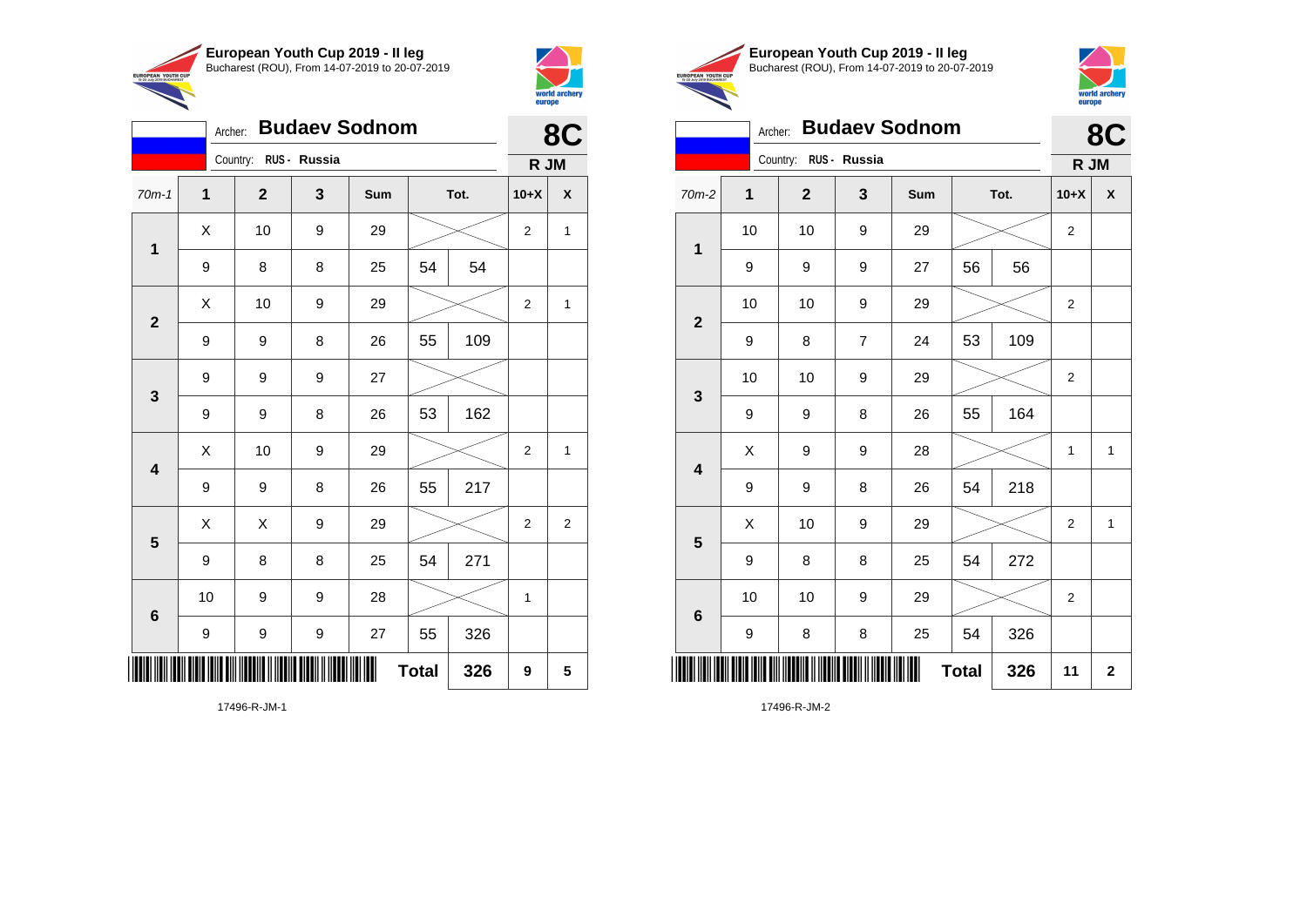



|                 | 8C |                       |   |     |              |      |                  |                |
|-----------------|----|-----------------------|---|-----|--------------|------|------------------|----------------|
|                 |    | Country: RUS - Russia |   |     |              |      | R JM             |                |
| $70m-1$         | 1  | $\mathbf{2}$          | 3 | Sum |              | Tot. | $10+X$           | X              |
| $\mathbf{1}$    | X  | 10                    | 9 | 29  |              |      | $\boldsymbol{2}$ | $\mathbf{1}$   |
|                 | 9  | 8                     | 8 | 25  | 54           | 54   |                  |                |
| $\overline{2}$  | X  | 10                    | 9 | 29  |              |      | $\overline{c}$   | $\mathbf{1}$   |
|                 | 9  | 9                     | 8 | 26  | 55           | 109  |                  |                |
| $\mathbf{3}$    | 9  | 9                     | 9 | 27  |              |      |                  |                |
|                 | 9  | 9                     | 8 | 26  | 53           | 162  |                  |                |
| 4               | X  | 10                    | 9 | 29  |              |      | 2                | 1              |
|                 | 9  | 9                     | 8 | 26  | 55           | 217  |                  |                |
| 5               | X  | X                     | 9 | 29  |              |      | $\mathbf 2$      | $\overline{2}$ |
|                 | 9  | 8                     | 8 | 25  | 54           | 271  |                  |                |
| $6\phantom{1}6$ | 10 | 9                     | 9 | 28  |              |      | 1                |                |
|                 | 9  | 9                     | 9 | 27  | 55           | 326  |                  |                |
|                 |    |                       |   |     | <b>Total</b> | 326  | 9                | 5              |





#### Archer: **Budaev Sodnom 8C**

| Country: RUS - Russia   |    |                                          |                |     |              |      | R JM             |                         |
|-------------------------|----|------------------------------------------|----------------|-----|--------------|------|------------------|-------------------------|
| $70m-2$                 | 1  | $\mathbf{2}$                             | 3              | Sum |              | Tot. | $10+X$           | X                       |
| $\mathbf 1$             | 10 | 10                                       | 9              | 29  |              |      | $\overline{2}$   |                         |
|                         | 9  | 9                                        | 9              | 27  | 56           | 56   |                  |                         |
|                         | 10 | 10                                       | 9              | 29  |              |      | $\overline{2}$   |                         |
| $\mathbf{2}$            | 9  | 8                                        | $\overline{7}$ | 24  | 53           | 109  |                  |                         |
|                         | 10 | 10                                       | 9              | 29  |              |      | $\boldsymbol{2}$ |                         |
| $\mathbf 3$             | 9  | 9                                        | 8              | 26  | 55           | 164  |                  |                         |
| $\overline{\mathbf{4}}$ | X  | 9                                        | 9              | 28  |              |      | 1                | $\mathbf{1}$            |
|                         | 9  | 9                                        | 8              | 26  | 54           | 218  |                  |                         |
| $5\phantom{1}$          | X  | 10                                       | 9              | 29  |              |      | $\overline{2}$   | $\mathbf{1}$            |
|                         | 9  | 8                                        | 8              | 25  | 54           | 272  |                  |                         |
|                         | 10 | 10                                       | 9              | 29  |              |      | $\overline{2}$   |                         |
| $\bf 6$                 | 9  | 8                                        | 8              | 25  | 54           | 326  |                  |                         |
| ║║║                     |    | <u> 11   11   11   11   11   11   11</u> |                |     | <b>Total</b> | 326  | 11               | $\overline{\mathbf{2}}$ |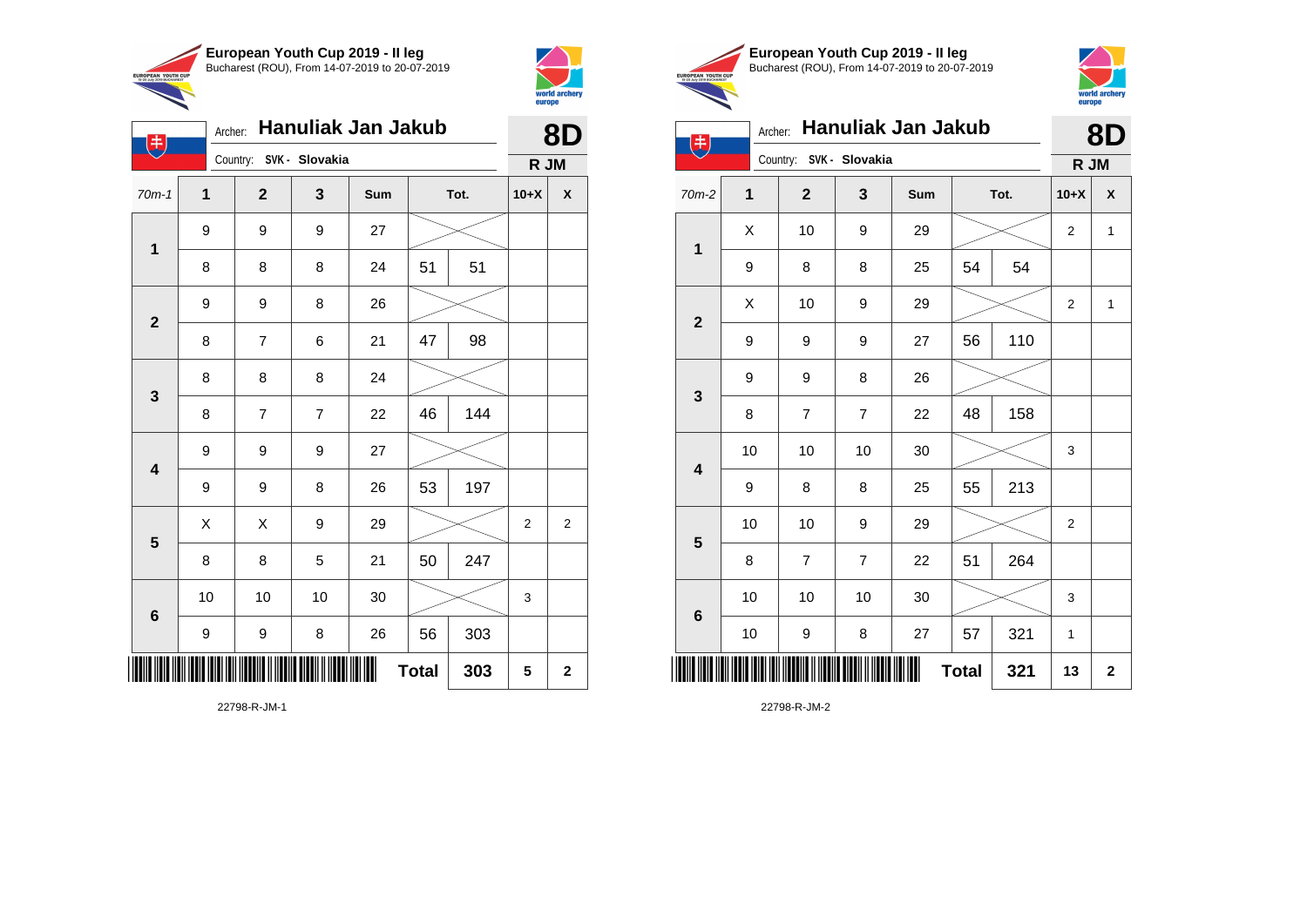

Country: **SVK - Slovakia**

9 9 9 27

9 9 8 26

8 8 8 24

9 9 9 27

**1**

电

**2**

**3**

**4**

**5**

**6**

Archer: **Hanuliak Jan Jakub**

70m-1 **1 2 3 Sum Tot. 10+X X**

8 | 8 | 8 | 24 | 51 | 51

8 | 7 | 6 | 21 | 47 | 98

8 | 7 | 7 | 22 | 46 | 144

9 | 9 | 8 | 26 | 53 | 197

8 | 8 | 5 | 21 | 50 | 247

9 | 9 | 8 | 26 | 56 | 303

10 | 10 | 10 | 30 |  $\!\!\!\!\!\!\!\!\!\!\times$  | 3

 $\begin{array}{|c|c|c|c|c|}\hline \hspace{0.2cm}X & X & 9 & 29 & \nearrow \ \hline \end{array}$ 



| world archery<br>europe | <b>EUROPEAN YOUTH CUP</b><br>15-20 July 2019 BUCHAREST | European<br><b>Bucharest</b> (R |   |
|-------------------------|--------------------------------------------------------|---------------------------------|---|
| 8D                      |                                                        | Archer:                         | Н |
| R JM                    |                                                        | Country: S                      |   |





| 书                       | Archer: | <b>Hanuliak Jan Jakub</b> | 8D             |     |              |      |                |              |
|-------------------------|---------|---------------------------|----------------|-----|--------------|------|----------------|--------------|
|                         |         | Country: SVK - Slovakia   |                |     |              |      | R JM           |              |
| $70m-2$                 | 1       | $\mathbf{2}$              | 3              | Sum |              | Tot. | $10+X$         | χ            |
| $\mathbf 1$             | X       | 10                        | 9              | 29  |              |      | 2              | $\mathbf{1}$ |
|                         | 9       | 8                         | 8              | 25  | 54           | 54   |                |              |
| $\mathbf{2}$            | Χ       | 10                        | 9              | 29  |              |      | 2              | $\mathbf{1}$ |
|                         | 9       | 9                         | 9              | 27  | 56           | 110  |                |              |
| $\mathbf 3$             | 9       | 9                         | 8              | 26  |              |      |                |              |
|                         | 8       | $\overline{7}$            | $\overline{7}$ | 22  | 48           | 158  |                |              |
| $\overline{\mathbf{4}}$ | 10      | 10                        | 10             | 30  |              |      | 3              |              |
|                         | 9       | 8                         | 8              | 25  | 55           | 213  |                |              |
| 5                       | 10      | 10                        | 9              | 29  |              |      | $\overline{2}$ |              |
|                         | 8       | $\overline{7}$            | $\overline{7}$ | 22  | 51           | 264  |                |              |
| $\bf 6$                 | 10      | 10                        | 10             | 30  |              |      | 3              |              |
|                         | 10      | 9                         | 8              | 27  | 57           | 321  | 1              |              |
| ║║║                     |         |                           |                |     | <b>Total</b> | 321  | 13             | $\mathbf 2$  |

22798-R-JM-2

**Total 303 5 2**

22798-R-JM-1

\*22798-R-JM-1\*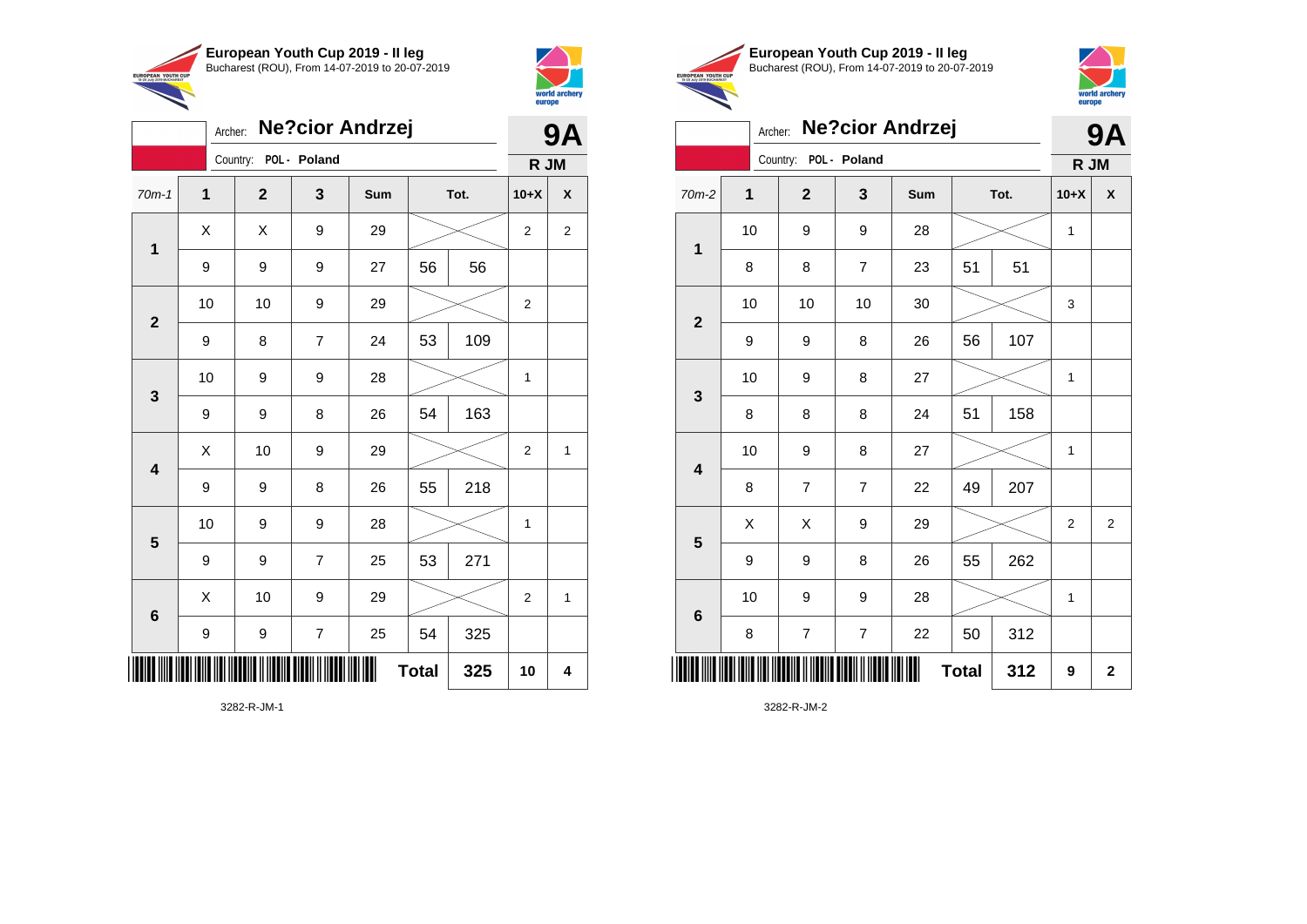



|                         | <b>Ne?cior Andrzej</b><br>Archer: |                       |                |     |              |     |                |                |
|-------------------------|-----------------------------------|-----------------------|----------------|-----|--------------|-----|----------------|----------------|
|                         |                                   | Country: POL - Poland |                |     |              |     | R JM           |                |
| $70m-1$                 | $\mathbf 1$                       | $\mathbf{2}$          | 3              | Sum | Tot.         |     | $10+X$         | X              |
| 1                       | X                                 | X                     | 9              | 29  |              |     | $\overline{2}$ | $\overline{2}$ |
|                         | 9                                 | 9                     | 9              | 27  | 56           | 56  |                |                |
| $\mathbf{2}$            | 10                                | 10                    | 9              | 29  |              |     | $\overline{c}$ |                |
|                         | 9                                 | 8                     | $\overline{7}$ | 24  | 53           | 109 |                |                |
| $\mathbf{3}$            | 10                                | 9                     | 9              | 28  |              |     | 1              |                |
|                         | 9                                 | 9                     | 8              | 26  | 54           | 163 |                |                |
| $\overline{\mathbf{4}}$ | Χ                                 | 10                    | 9              | 29  |              |     | $\overline{2}$ | 1              |
|                         | 9                                 | 9                     | 8              | 26  | 55           | 218 |                |                |
| 5                       | 10                                | 9                     | 9              | 28  |              |     | 1              |                |
|                         | 9                                 | 9                     | 7              | 25  | 53           | 271 |                |                |
| 6                       | X                                 | 10                    | 9              | 29  |              |     | $\overline{2}$ | 1              |
|                         | 9                                 | 9                     | $\overline{7}$ | 25  | 54           | 325 |                |                |
|                         |                                   |                       |                |     | <b>Total</b> | 325 | 10             | 4              |





|                         | Archer: |                          |                | <b>Ne?cior Andrzej</b> |              |     | 9Α           |                    |
|-------------------------|---------|--------------------------|----------------|------------------------|--------------|-----|--------------|--------------------|
|                         |         | Country: POL - Poland    |                |                        |              |     | R JM         |                    |
| $70m-2$                 | 1       | $\mathbf{2}$             | 3              | Sum                    | Tot.         |     | $10+X$       | $\pmb{\mathsf{X}}$ |
| $\mathbf 1$             | 10      | 9                        | 9              | 28                     |              |     |              |                    |
|                         | 8       | 8                        | 7              | 23                     | 51           | 51  |              |                    |
| $\mathbf{2}$            | 10      | 10                       | 10             | 30                     |              |     | 3            |                    |
|                         | 9       | 9                        | 8              | 26                     | 56           | 107 |              |                    |
| 3                       | 10      | 9                        | 8              | 27                     |              |     | $\mathbf{1}$ |                    |
|                         | 8       | 8                        | 8              | 24                     | 51           | 158 |              |                    |
| $\overline{\mathbf{4}}$ | 10      | 9                        | 8              | 27                     |              |     | 1            |                    |
|                         | 8       | $\overline{7}$           | 7              | 22                     | 49           | 207 |              |                    |
| 5                       | X       | Χ                        | 9              | 29                     |              |     | 2            | 2                  |
|                         | 9       | 9                        | 8              | 26                     | 55           | 262 |              |                    |
| $6\phantom{1}6$         | 10      | 9                        | 9              | 28                     |              |     | $\mathbf{1}$ |                    |
|                         | 8       | $\overline{\mathcal{I}}$ | $\overline{7}$ | 22                     | 50           | 312 |              |                    |
| ║║                      |         |                          |                |                        | <b>Total</b> | 312 | 9            | $\mathbf 2$        |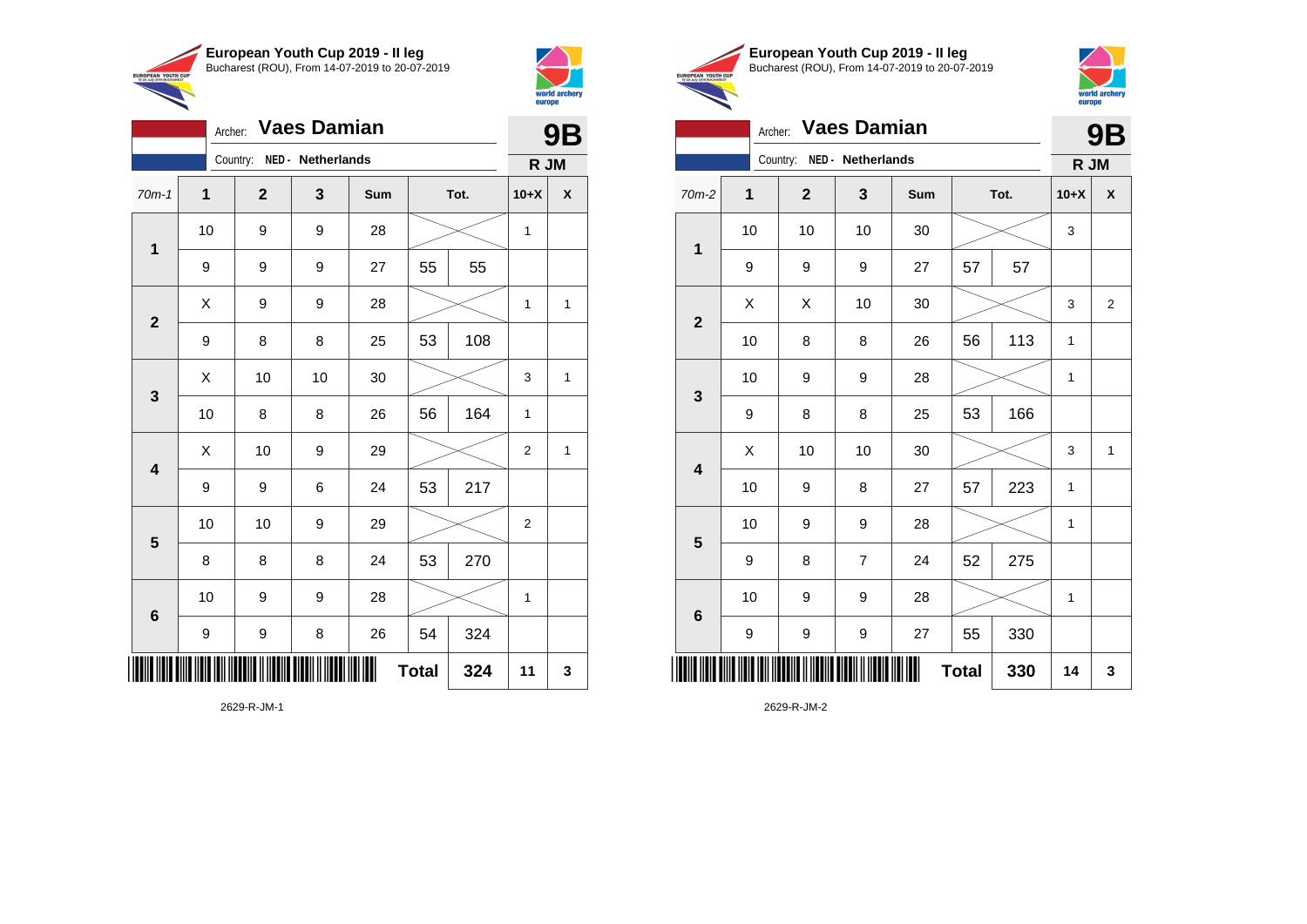

Archer: **Vaes Damian**

Country: **NED - Netherlands**

**1**

**2**

**3**

**4**

**5**

**6**

70m-1 **1 2 3 Sum Tot. 10+X X**

9 | 9 | 27 | 55 | 55

9 | 8 | 8 | 25 | 53 | 108

9 | 9 | 6 | 24 | 53 | 217

8 | 8 | 8 | 24 | 53 | 270

9 | 9 | 8 | 26 | 54 | 324

10 | 9 | 9 | 28 |  $\times$  | 1

 $X$  | 9 | 9 | 28 |  $\swarrow$  | 1 | 1

 $\begin{array}{|c|c|c|c|c|c|}\hline \hspace{.1cm}X & \hspace{.1cm} \text{ 10} & \hspace{.1cm} \text{ 10} & \hspace{.1cm} \text{ 30} & \hspace{.1cm} \end{array} \hspace{.2cm} \begin{array}{|c|c|c|c|c|c|}\hline \hspace{.1cm}X & \hspace{.1cm} \text{ 3} & \hspace{.1cm} \text{ 1} & \hspace{.1cm} \text{ 4} & \hspace{.1cm} \end{array}$ 

 $\begin{array}{|c|c|c|c|c|c|}\hline \hspace{.1cm}X & \hspace{.1cm} \text{10} & \hspace{.1cm} \text{9} & \hspace{.1cm} \text{29} & \hspace{.1cm} \text{20} & \hspace{.1cm} \text{\large{\fbox{\hspace{1cm}}}}\hline \end{array} \hspace{.2cm} \begin{array}{|c|c|c|c|c|c|}\hline \hspace{.1cm}X & \hspace{.1cm} \text{12} & \hspace{.1cm} \text{11} & \hspace{.1cm} \end{array}$ 

10 | 8 | 8 | 26 | 56 | 164 | 1

10 | 10 | 9 | 29 |  $\times$  | 2

10 | 9 | 9 | 28 |  $\times$  | 1

**Total 324 11 3**



**9B**

**R JM**

|                                                        | European Youth Cup 2019 - Il leg               |
|--------------------------------------------------------|------------------------------------------------|
|                                                        | Bucharest (ROU), From 14-07-2019 to 20-07-2019 |
| <b>EUROPEAN YOUTH CUP</b><br>15-20 July 2019 BUCHAREST |                                                |



**9B**

# Archer: **Vaes Damian**

|                         |                          | Country:     | NED - Netherlands |     |      |     | R JM        |              |
|-------------------------|--------------------------|--------------|-------------------|-----|------|-----|-------------|--------------|
| 70m-2                   | $\overline{\mathbf{1}}$  | $\mathbf{2}$ | 3                 | Sum | Tot. |     | $10+X$      | X            |
| 1                       | 10                       | 10           | 10                | 30  |      |     | 3           |              |
|                         | 9                        | 9            | 9                 | 27  | 57   | 57  |             |              |
| $\mathbf{2}$            | X                        | X            | 10                | 30  |      |     | 3           | 2            |
|                         | 10                       | 8            | 8                 | 26  | 56   | 113 | 1           |              |
| $\mathbf{3}$            | 10                       | 9            | 9                 | 28  |      |     | $\mathbf 1$ |              |
|                         | 9                        | 8            | 8                 | 25  | 53   | 166 |             |              |
| $\overline{\mathbf{4}}$ | Χ                        | 10           | 10                | 30  |      |     | 3           | $\mathbf{1}$ |
|                         | 10                       | 9            | 8                 | 27  | 57   | 223 | 1           |              |
| $5\phantom{1}$          | 10                       | 9            | 9                 | 28  |      |     | 1           |              |
|                         | 9                        | 8            | $\overline{7}$    | 24  | 52   | 275 |             |              |
| $\bf 6$                 | 10                       | 9            | 9                 | 28  |      |     | 1           |              |
|                         | 9                        | 9            | 9                 | 27  | 55   | 330 |             |              |
|                         | Ш<br><b>Total</b><br>330 |              |                   |     |      |     | 14          | 3            |

2629-R-JM-2

2629-R-JM-1

\*2629-R-JM-1\*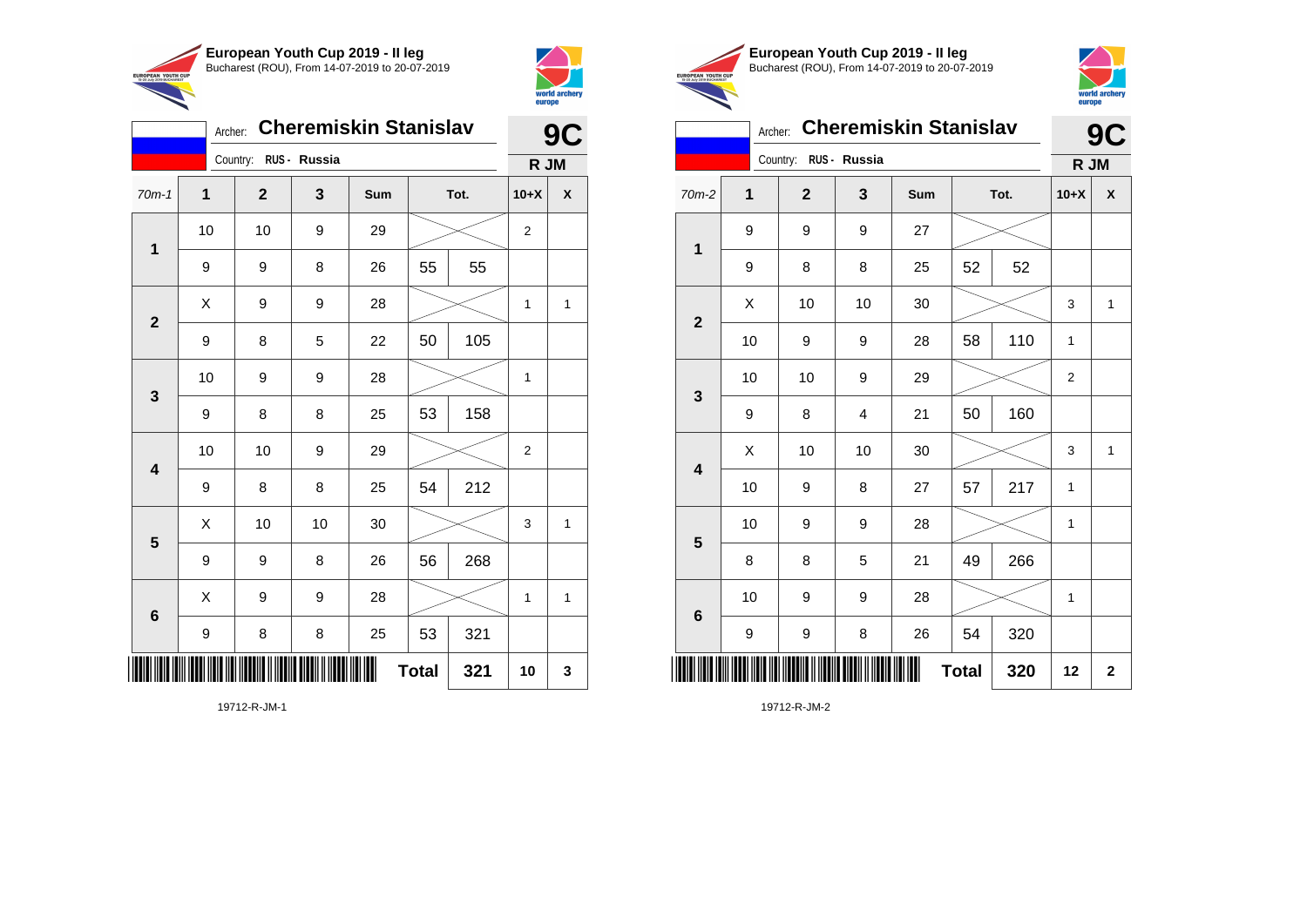



| <b>Cheremiskin Stanislav</b><br>Archer: |                       |              |    |     |              | 9C   |                |   |
|-----------------------------------------|-----------------------|--------------|----|-----|--------------|------|----------------|---|
|                                         | Country: RUS - Russia |              |    |     | R JM         |      |                |   |
| $70m-1$                                 | 1                     | $\mathbf{2}$ | 3  | Sum |              | Tot. | $10+X$         | χ |
| $\mathbf 1$                             | 10                    | 10           | 9  | 29  |              |      | $\overline{2}$ |   |
|                                         | 9                     | 9            | 8  | 26  | 55           | 55   |                |   |
| $\overline{2}$                          | Χ                     | 9            | 9  | 28  |              |      | 1              | 1 |
|                                         | 9                     | 8            | 5  | 22  | 50           | 105  |                |   |
| 3                                       | 10                    | 9            | 9  | 28  |              |      | 1              |   |
|                                         | 9                     | 8            | 8  | 25  | 53           | 158  |                |   |
| 4                                       | 10                    | 10           | 9  | 29  |              |      | $\overline{2}$ |   |
|                                         | 9                     | 8            | 8  | 25  | 54           | 212  |                |   |
| 5                                       | Χ                     | 10           | 10 | 30  |              |      | 3              | 1 |
|                                         | 9                     | 9            | 8  | 26  | 56           | 268  |                |   |
| 6                                       | Χ                     | 9            | 9  | 28  |              |      | 1              | 1 |
|                                         | $\boldsymbol{9}$      | 8            | 8  | 25  | 53           | 321  |                |   |
| ║║║                                     |                       |              |    |     | <b>Total</b> | 321  | 10             | 3 |





### Archer: **Cheremiskin Stanislav 9C**

|                         |                     | Country: RUS - Russia |    |     |      |     | R JM           |                    |
|-------------------------|---------------------|-----------------------|----|-----|------|-----|----------------|--------------------|
| $70m-2$                 | 1                   | $\mathbf{2}$          | 3  | Sum | Tot. |     | $10+X$         | $\pmb{\mathsf{X}}$ |
| $\mathbf{1}$            | 9                   | 9                     | 9  | 27  |      |     |                |                    |
|                         | 9                   | 8                     | 8  | 25  | 52   | 52  |                |                    |
| $\overline{\mathbf{2}}$ | X                   | 10                    | 10 | 30  |      |     | 3              | $\mathbf{1}$       |
|                         | 10                  | 9                     | 9  | 28  | 58   | 110 | $\mathbf{1}$   |                    |
| 3                       | 10                  | 10                    | 9  | 29  |      |     | $\overline{2}$ |                    |
|                         | 9                   | 8                     | 4  | 21  | 50   | 160 |                |                    |
| $\overline{\mathbf{4}}$ | Χ                   | 10                    | 10 | 30  |      |     | 3              | $\mathbf{1}$       |
|                         | 10                  | 9                     | 8  | 27  | 57   | 217 | 1              |                    |
| $\overline{\mathbf{5}}$ | 10                  | 9                     | 9  | 28  |      |     | 1              |                    |
|                         | 8                   | 8                     | 5  | 21  | 49   | 266 |                |                    |
| $\bf 6$                 | 10                  | 9                     | 9  | 28  |      |     | $\mathbf{1}$   |                    |
|                         | 9                   | 9                     | 8  | 26  | 54   | 320 |                |                    |
|                         | 320<br><b>Total</b> |                       |    |     |      |     | 12             | $\mathbf 2$        |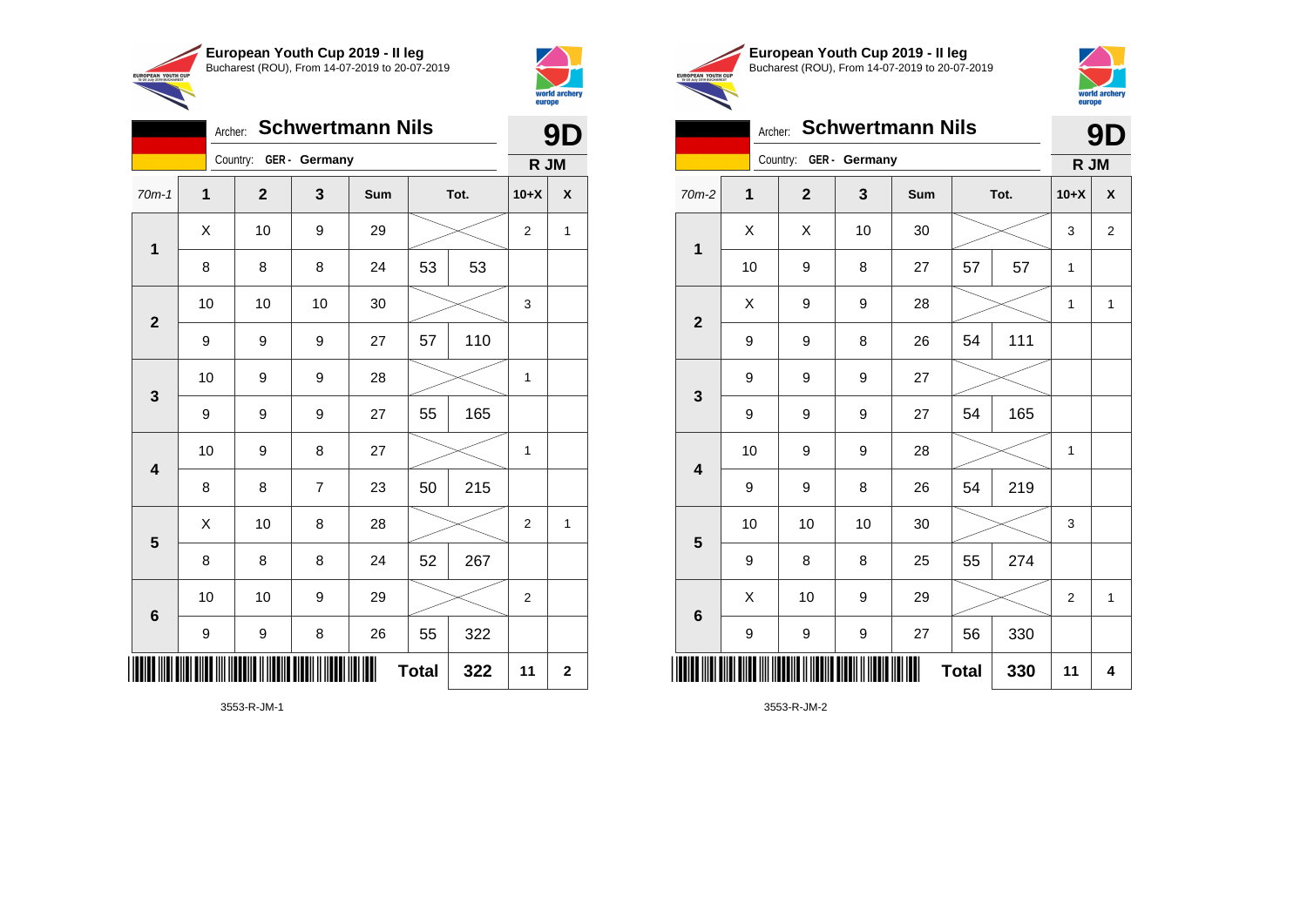

Country: **GER - Germany**

**1**

**2**

**3**

**4**

**5**

**6**

Archer: **Schwertmann Nils**

70m-1 **1 2 3 Sum Tot. 10+X X**

8 | 8 | 8 | 24 | 53 | 53

9 | 9 | 9 | 27 | 57 | 110

9 | 9 | 9 | 27 | 55 | 165

8 | 8 | 7 | 23 | 50 | 215

8 | 8 | 8 | 24 | 52 | 267

9 | 9 | 8 | 26 | 55 | 322

10 | 10 | 9 | 29 |  $\!\!\!\!\!\times$  | 2

10 | 10 | 10 | 30 |  $\!\!\!\!\!\!\!\!\times$  | 3

10 | 9 | 9 | 28 |  $\times$  | 1

10 | 9 | 8 | 27 |  $\times$  | 1

 $X$  | 10 | 8 | 28 |  $\swarrow$  | 2 | 1

**Total 322 11 2**

 $\begin{array}{|c|c|c|c|c|c|}\hline \hspace{.1cm}X & \hspace{.1cm} \text{10} & \hspace{.1cm} \text{9} & \hspace{.1cm} \text{29} & \hspace{.1cm} \text{20} & \hspace{.1cm} \text{\large $\times$} & \hspace{.1cm} \text{2} & \hspace{.1cm} \text{1} \end{array}$ 



**9D**

**R JM**

**European Youth Cup 2019 - II leg** Bucharest (ROU), From 14-07-2019 to 20-07-2019 EUROPEAN YOUTH CUP



### Archer: **Schwertmann Nils**

| Archer: Schwertmann Nils |                        |                |    |     |              |     |                | 9<br>Ŋ             |  |
|--------------------------|------------------------|----------------|----|-----|--------------|-----|----------------|--------------------|--|
|                          | Country: GER - Germany |                |    |     |              |     | R JM           |                    |  |
| 70m-2                    | $\mathbf 1$            | $\overline{2}$ | 3  | Sum | Tot.         |     | $10+X$         | $\pmb{\mathsf{X}}$ |  |
| $\overline{\mathbf{1}}$  | X                      | X              | 10 | 30  |              |     | 3              | $\overline{2}$     |  |
|                          | 10                     | 9              | 8  | 27  | 57           | 57  | 1              |                    |  |
| $\overline{\mathbf{2}}$  | Χ                      | 9              | 9  | 28  |              |     | 1              | $\mathbf{1}$       |  |
|                          | 9                      | 9              | 8  | 26  | 54           | 111 |                |                    |  |
| 3                        | 9                      | 9              | 9  | 27  |              |     |                |                    |  |
|                          | 9                      | 9              | 9  | 27  | 54           | 165 |                |                    |  |
| $\overline{\mathbf{4}}$  | 10                     | 9              | 9  | 28  |              |     | $\mathbf 1$    |                    |  |
|                          | 9                      | 9              | 8  | 26  | 54           | 219 |                |                    |  |
| 5                        | 10                     | 10             | 10 | 30  |              |     | 3              |                    |  |
|                          | 9                      | 8              | 8  | 25  | 55           | 274 |                |                    |  |
| $\bf 6$                  | X                      | 10             | 9  | 29  |              |     | $\overline{2}$ | $\mathbf{1}$       |  |
|                          | 9                      | 9              | 9  | 27  | 56           | 330 |                |                    |  |
|                          |                        |                |    |     | <b>Total</b> | 330 | 11             | 4                  |  |

3553-R-JM-2

3553-R-JM-1

\*3553-R-JM-1\*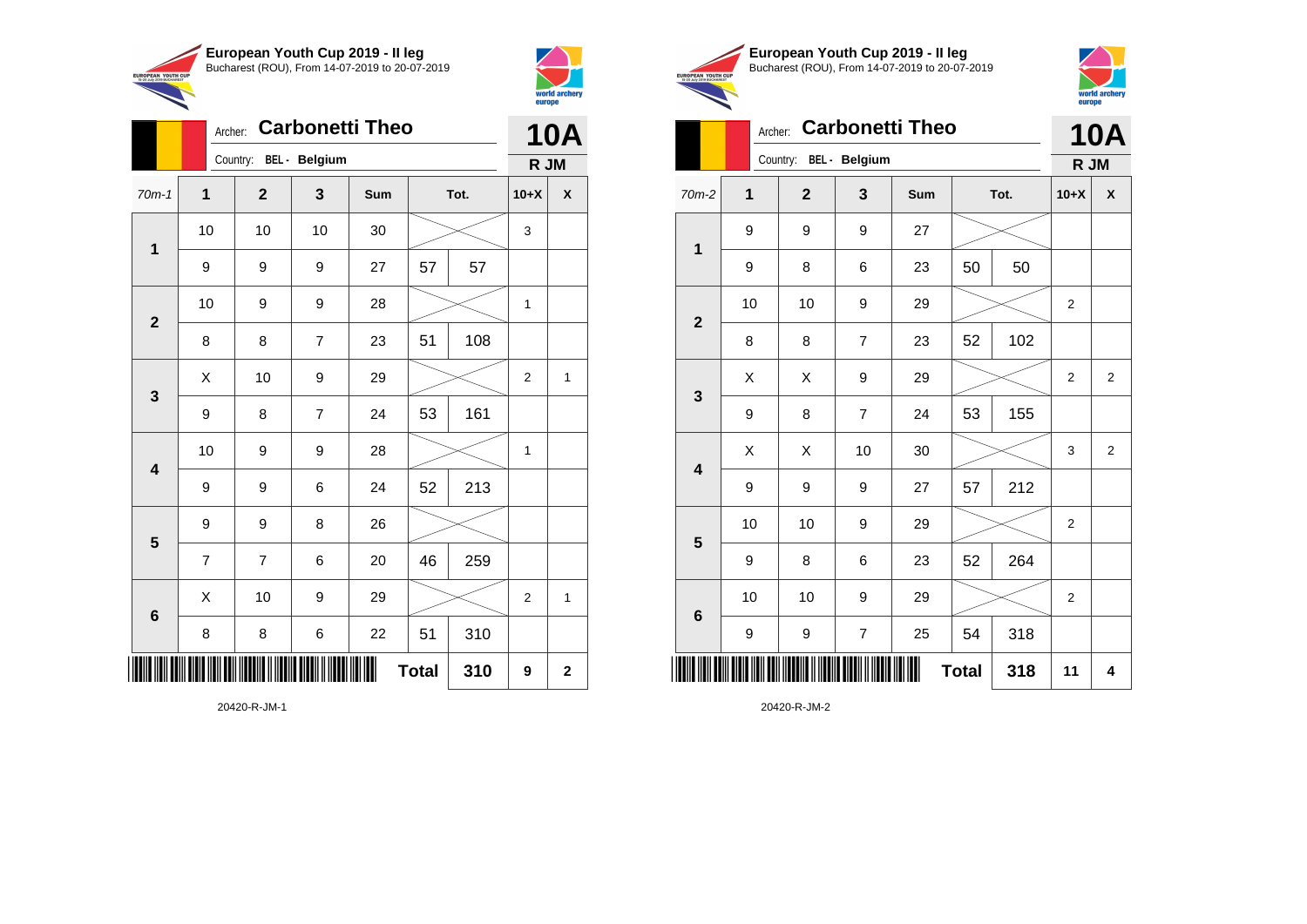

Country: **BEL - Belgium**

**1**

**2**

**3**

**4**

**5**

**6**

Archer: **Carbonetti Theo**

70m-1 **1 2 3 Sum Tot. 10+X X**

9 | 9 | 27 | 57 | 57

8 | 8 | 7 | 23 | 51 | 108

9 | 8 | 7 | 24 | 53 | 161

9 | 9 | 6 | 24 | 52 | 213

7 | 7 | 6 | 20 | 46 | 259

8 | 8 | 6 | 22 | 51 | 310

9 9 8 26

10 | 9 | 9 | 28 |  $\times$  | 1

10 | 10 | 10 | 30 |  $\swarrow$  | 3

10 | 9 | 9 | 28 |  $\times$  | 1

 $\begin{array}{|c|c|c|c|c|c|}\hline \hspace{.1cm}X & \hspace{.1cm} \text{10} & \hspace{.1cm} \text{9} & \hspace{.1cm} \text{29} & \hspace{.1cm} \text{20} & \hspace{.1cm} \text{\large{\fbox{\hspace{1cm}}}}\hline \end{array} \hspace{.2cm} \begin{array}{|c|c|c|c|c|c|}\hline \hspace{.1cm}X & \hspace{.1cm} \text{12} & \hspace{.1cm} \text{11} & \hspace{.1cm} \end{array}$ 

X 10 9 29 2 1

 $Total | 310 | 9 | 2$ 



**10A R JM**

|                                                        | European Youth Cup 2019 - Il leg               |
|--------------------------------------------------------|------------------------------------------------|
| <b>EUROPEAN YOUTH CUP</b><br>15-20 July 2019 BUCHAREST | Bucharest (ROU), From 14-07-2019 to 20-07-2019 |
|                                                        |                                                |



|                         | <b>Carbonetti Theo</b><br>Archer: |                |                |     |              |      |                | <b>10A</b>     |
|-------------------------|-----------------------------------|----------------|----------------|-----|--------------|------|----------------|----------------|
|                         | Country: BEL - Belgium            |                |                |     | R JM         |      |                |                |
| $70m-2$                 | $\mathbf{1}$                      | $\overline{2}$ | 3              | Sum |              | Tot. | $10+X$         | X              |
| $\mathbf{1}$            | 9                                 | 9              | 9              | 27  |              |      |                |                |
|                         | 9                                 | 8              | 6              | 23  | 50           | 50   |                |                |
| $\mathbf{2}$            | 10                                | 10             | 9              | 29  |              |      | 2              |                |
|                         | 8                                 | 8              | $\overline{7}$ | 23  | 52           | 102  |                |                |
| 3                       | X                                 | X              | 9              | 29  |              |      |                | $\overline{2}$ |
|                         | 9                                 | 8              | $\overline{7}$ | 24  | 53           | 155  |                |                |
| $\overline{\mathbf{4}}$ | X                                 | X              | 10             | 30  |              |      | 3              | $\overline{2}$ |
|                         | 9                                 | 9              | 9              | 27  | 57           | 212  |                |                |
| 5                       | 10                                | 10             | 9              | 29  |              |      | 2              |                |
|                         | 9                                 | 8              | 6              | 23  | 52           | 264  |                |                |
| 6                       | 10                                | 10             | 9              | 29  |              |      | $\overline{2}$ |                |
|                         | 9                                 | 9              | 7              | 25  | 54           | 318  |                |                |
|                         |                                   |                |                |     | <b>Total</b> | 318  | 11             | 4              |

20420-R-JM-1

\*20420-R-JM-1\*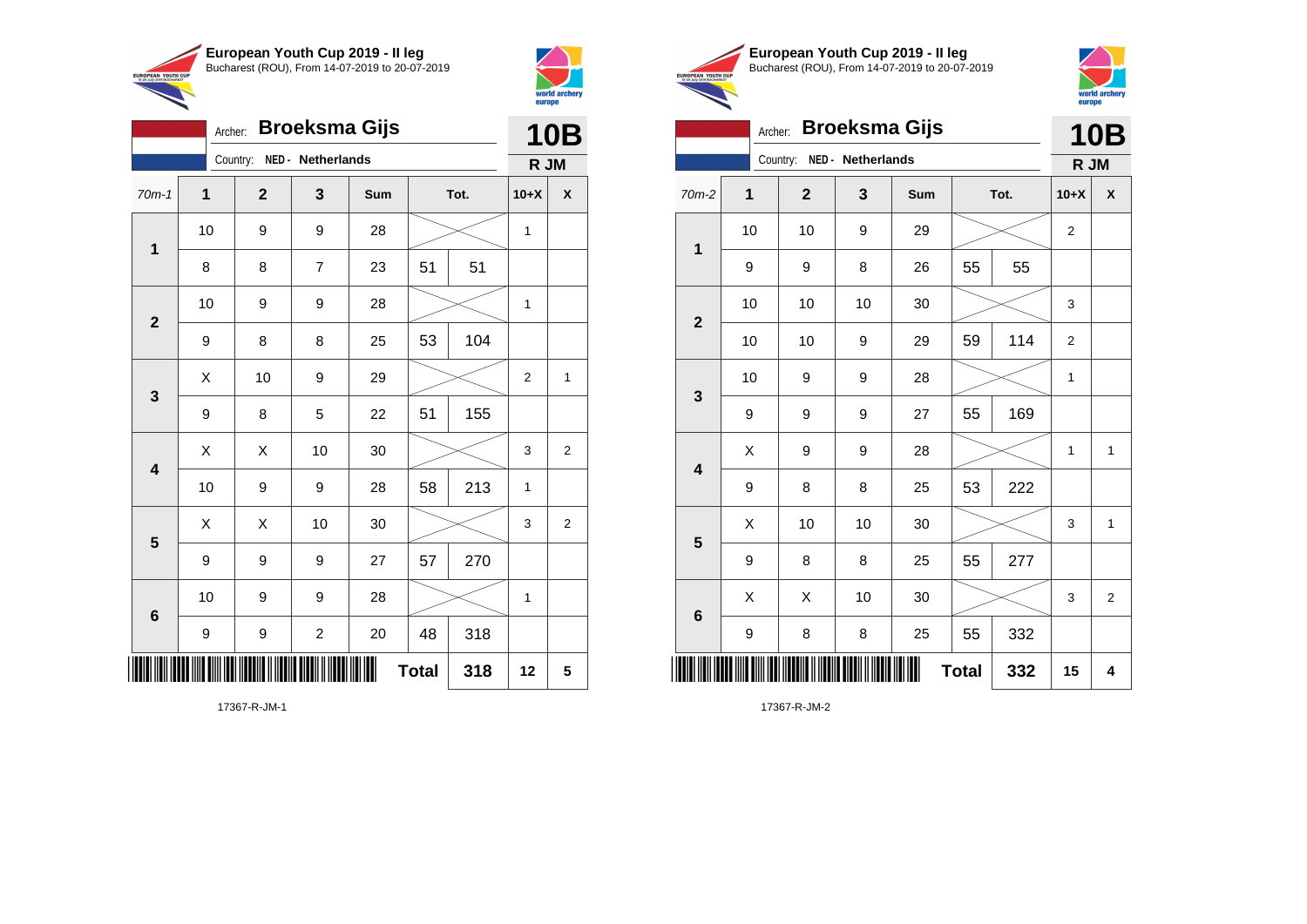

Archer: **Broeksma Gijs**

70m-1 **1 2 3 Sum Tot. 10+X X**

8 | 8 | 7 | 23 | 51 | 51

9 | 8 | 8 | 25 | 53 | 104

9 | 8 | 5 | 22 | 51 | 155

9 | 9 | 9 | 27 | 57 | 270

9 | 9 | 2 | 20 | 48 | 318

10 | 9 | 9 | 28 |  $\times$  | 1

10 | 9 | 9 | 28 |  $\times$  | 1

 $\begin{array}{|c|c|c|c|c|c|}\hline \hspace{.1cm}X & \hspace{.1cm} \text{10} & \hspace{.1cm} \text{9} & \hspace{.1cm} \text{29} & \hspace{.1cm} \text{20} & \hspace{.1cm} \text{\large{\fbox{\hspace{1cm}}}}\hline \end{array} \hspace{.2cm} \begin{array}{|c|c|c|c|c|c|}\hline \hspace{.1cm}X & \hspace{.1cm} \text{12} & \hspace{.1cm} \text{11} & \hspace{.1cm} \end{array}$ 

 $\begin{array}{|c|c|c|c|c|}\hline \hspace{0.8cm}X & X & 10 & 30 & \nearrow & \ \hline \end{array} \hspace{0.2cm} \begin{array}{|c|c|c|c|c|}\hline \hspace{0.8cm}3 & 3 & 2 \end{array}$ 

 $\begin{array}{|c|c|c|c|c|}\hline \hspace{0.8cm}X & X & 10 & 30 & \nearrow & \ \hline \end{array} \hspace{0.2cm} \begin{array}{|c|c|c|c|c|}\hline \hspace{0.8cm}3 & 3 & 2 \end{array}$ 

**Total 318 12 5**

10 | 9 | 9 | 28 | 58 | 213 | 1

10 | 9 | 9 | 28 |  $\times$  | 1

Country: **NED - Netherlands**

**1**

**2**

**3**

**4**

**5**

**6**



UROPEAN YOUTH

|            | European Youth Cup 2019 - Il leg               |
|------------|------------------------------------------------|
| <b>CUP</b> | Bucharest (ROU), From 14-07-2019 to 20-07-2019 |

Archer: **Broeksma Gijs**



**10B R JM**

|                | <b>10B</b>   |                            | Archer:  |              | <b>Broeksma Gijs</b> |     |    |      | <b>10E</b> |                           |
|----------------|--------------|----------------------------|----------|--------------|----------------------|-----|----|------|------------|---------------------------|
|                | R JM         | Country: NED - Netherlands |          |              |                      |     |    |      |            |                           |
| $+X$           | $\mathsf{x}$ | $70m-2$                    | 1        | $\mathbf{2}$ | $\mathbf{3}$         | Sum |    | Tot. | $10+X$     | $\boldsymbol{\mathsf{x}}$ |
| 1              |              |                            | 10       | 10           | 9                    | 29  |    |      | 2          |                           |
|                |              | 1                          | 9        | 9            | 8                    | 26  | 55 | 55   |            |                           |
| 1              |              |                            | 10       | 10           | 10                   | 30  |    |      | 3          |                           |
|                |              | $\mathbf{2}$               | 10       | 10           | 9                    | 29  | 59 | 114  | 2          |                           |
| $\overline{2}$ | 1            |                            | 10       | 9            | 9                    | 28  |    |      | 1          |                           |
|                |              | $\mathbf{3}$               | 9        | 9            | 9                    | 27  | 55 | 169  |            |                           |
| 3              | 2            |                            | X        | 9            | 9                    | 28  |    |      | 1          | $\mathbf{1}$              |
| $\mathbf{1}$   |              | $\overline{\mathbf{4}}$    | $\Omega$ | $\Omega$     | $\Omega$             | つに  | 52 | つつつ  |            |                           |

| $\mathbf{3}$            |                  |                                     |                   |      |              |     |    |                |
|-------------------------|------------------|-------------------------------------|-------------------|------|--------------|-----|----|----------------|
|                         | $\boldsymbol{9}$ | 9                                   | $\boldsymbol{9}$  | 27   | 55           | 169 |    |                |
| $\overline{\mathbf{4}}$ | X                | 9                                   | 9                 | 28   |              |     | 1  | 1              |
|                         | 9                | 8                                   | 8                 | 25   | 53           | 222 |    |                |
| $5\phantom{1}$          | X                | 10                                  | 10                | 30   |              |     | 3  | 1              |
|                         | 9                | 8                                   | 8                 | 25   | 55           | 277 |    |                |
| $6\phantom{1}6$         | Χ                | Χ                                   | 10                | 30   |              |     | 3  | $\overline{2}$ |
|                         | 9                | 8                                   | 8                 | 25   | 55           | 332 |    |                |
|                         | Ш<br>ШШ          | ٠III<br>HIII ITII III IIII III<br>Ш | WW<br><b>HIMI</b> | IIII | <b>Total</b> | 332 | 15 | 4              |

17367-R-JM-2

17367-R-JM-1

\*17367-R-JM-1\*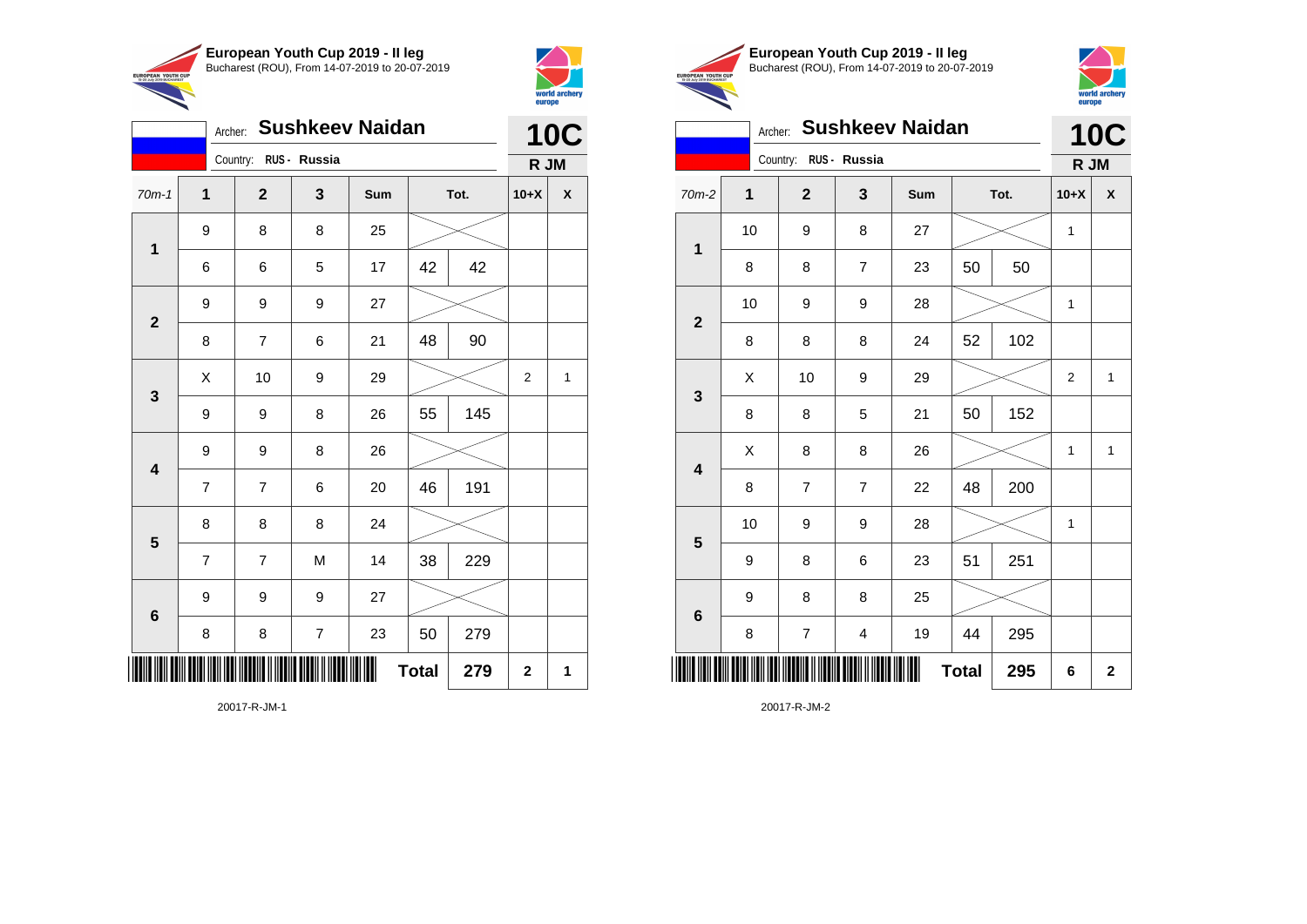

Country: **RUS - Russia**

Archer: **Sushkeev Naidan**



**10C**

|                | European Youth Cup 2019 - Il leg               |
|----------------|------------------------------------------------|
| <b>JTH CUP</b> | Bucharest (ROU), From 14-07-2019 to 20-07-2019 |
| <b>HADEST</b>  |                                                |



#### Archer: **Sushkeev Naidan** Country: **RUS - Russia 10C R JM**

|                  |                | Country: RUS - Russia                                           |                |     |                     |                | R JM               |                 |    | Country: RUS - Russia |                         |     |              |      | R JM         |                         |
|------------------|----------------|-----------------------------------------------------------------|----------------|-----|---------------------|----------------|--------------------|-----------------|----|-----------------------|-------------------------|-----|--------------|------|--------------|-------------------------|
| $70m-1$          | 1              | $\mathbf{2}$                                                    | $\mathbf{3}$   | Sum | Tot.                | $10+X$         | $\pmb{\mathsf{X}}$ | $70m-2$         | 1  | $\mathbf{2}$          | 3                       | Sum |              | Tot. | $10+X$       | $\mathbf{x}$            |
|                  | 9              | 8                                                               | 8              | 25  |                     |                |                    |                 | 10 | 9                     | 8                       | 27  |              |      | $\mathbf{1}$ |                         |
| $\mathbf{1}$     | 6              | 6                                                               | 5              | 17  | 42<br>42            |                |                    | 1               | 8  | 8                     | $\overline{7}$          | 23  | 50           | 50   |              |                         |
|                  | 9              | $\boldsymbol{9}$                                                | 9              | 27  |                     |                |                    |                 | 10 | 9                     | $\boldsymbol{9}$        | 28  |              |      | 1            |                         |
| $\overline{2}$   | 8              | $\overline{7}$                                                  | 6              | 21  | 48<br>90            |                |                    | $\overline{2}$  | 8  | 8                     | 8                       | 24  | 52           | 102  |              |                         |
|                  | X              | 10                                                              | 9              | 29  |                     | 2              | $\mathbf{1}$       |                 | X  | 10                    | $\boldsymbol{9}$        | 29  |              |      | 2            |                         |
| $\mathbf{3}$     | 9              | 9                                                               | 8              | 26  | 55<br>145           |                |                    | $\mathbf{3}$    | 8  | 8                     | $\overline{5}$          | 21  | 50           | 152  |              |                         |
|                  | 9              | 9                                                               | 8              | 26  |                     |                |                    |                 | X  | 8                     | 8                       | 26  |              |      | $\mathbf{1}$ | $\mathbf 1$             |
| $\boldsymbol{4}$ | $\overline{7}$ | $\overline{7}$                                                  | 6              | 20  | 46<br>191           |                |                    | 4               | 8  | $\overline{7}$        | $\overline{7}$          | 22  | 48           | 200  |              |                         |
|                  | 8              | 8                                                               | 8              | 24  |                     |                |                    |                 | 10 | 9                     | $\boldsymbol{9}$        | 28  |              |      | $\mathbf{1}$ |                         |
| $5\phantom{1}$   | $\overline{7}$ | $\overline{7}$                                                  | ${\sf M}$      | 14  | 38<br>229           |                |                    | $5\phantom{.0}$ | 9  | 8                     | $\,6$                   | 23  | 51           | 251  |              |                         |
|                  | 9              | 9                                                               | 9              | 27  |                     |                |                    |                 | 9  | 8                     | 8                       | 25  |              |      |              |                         |
| $6\phantom{1}6$  | 8              | 8                                                               | $\overline{7}$ | 23  | 279<br>50           |                |                    | $6\phantom{1}6$ | 8  | $\overline{7}$        | $\overline{\mathbf{4}}$ | 19  | 44           | 295  |              |                         |
|                  |                | <u> ANT NAN TAN TANA NAN NAN MATANA NI NAN TAN MANA NAN NAN</u> |                |     | <b>Total</b><br>279 | $\overline{2}$ | $\mathbf{1}$       |                 |    |                       |                         |     | <b>Total</b> | 295  | $\bf 6$      | $\overline{\mathbf{2}}$ |

20017-R-JM-1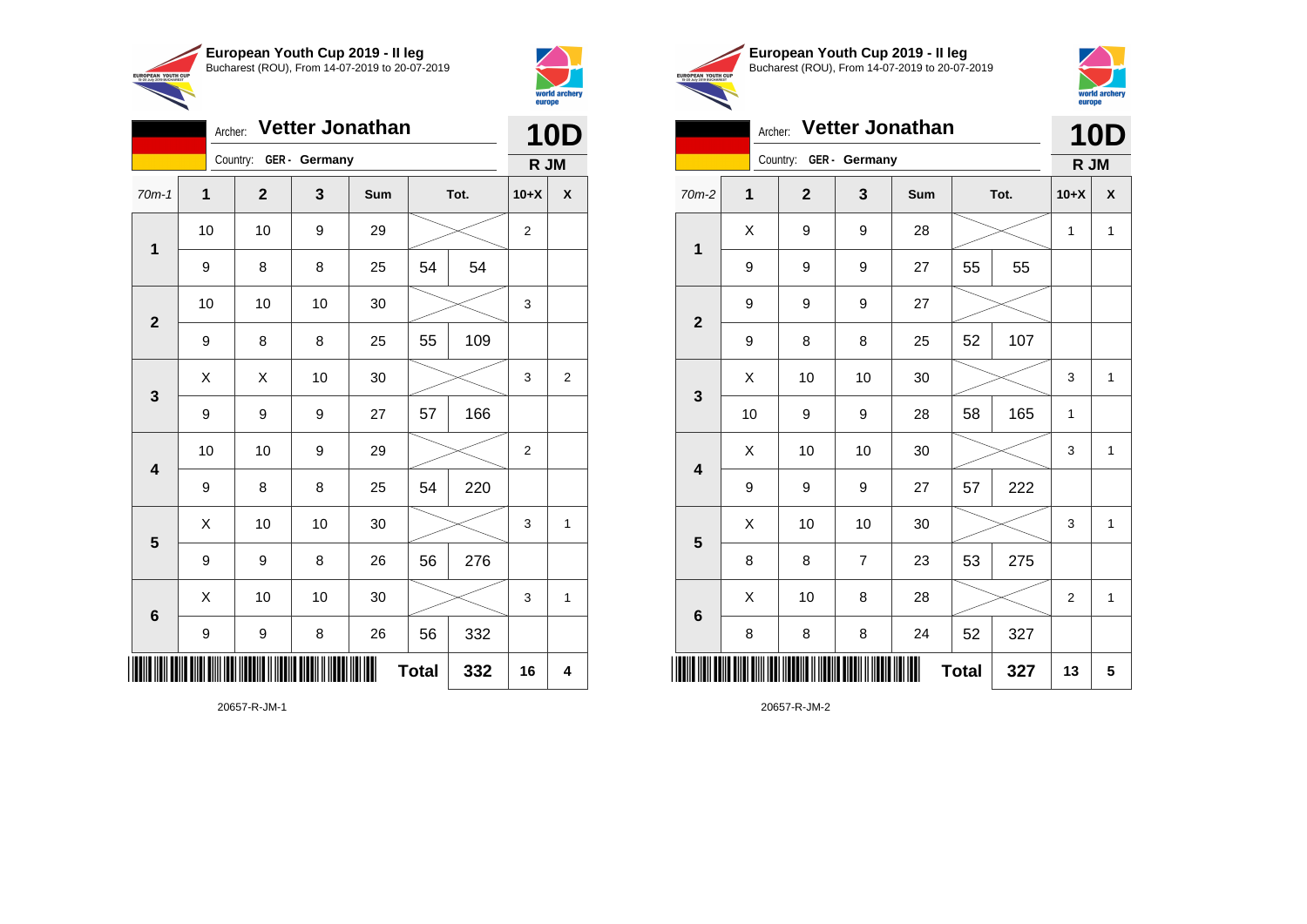

Archer: **Vetter Jonathan**



**TIPOPEAN YOUTH O** 

**10D**

|     | European Youth Cup 2019 - Il leg               |
|-----|------------------------------------------------|
| IJР | Bucharest (ROU), From 14-07-2019 to 20-07-2019 |



## Archer: **Vetter Jonathan 10D**

|                         |              | Country:     | GER - Germany                                                                                                         |     |              |      | R JM           |              |
|-------------------------|--------------|--------------|-----------------------------------------------------------------------------------------------------------------------|-----|--------------|------|----------------|--------------|
| $70m-2$                 | $\mathbf{1}$ | $\mathbf{2}$ | 3                                                                                                                     | Sum |              | Tot. | $10+X$         | X            |
| $\mathbf 1$             | X            | 9            | 9                                                                                                                     | 28  |              |      | 1              | $\mathbf{1}$ |
|                         | 9            | 9            | 9                                                                                                                     | 27  | 55           | 55   |                |              |
| $\overline{\mathbf{2}}$ | 9            | 9            | 9                                                                                                                     | 27  |              |      |                |              |
|                         | 9            | 8            | 8                                                                                                                     | 25  | 52           | 107  |                |              |
| $\mathbf{3}$            | X            | 10           | 10                                                                                                                    | 30  |              |      | 3              | 1            |
|                         | 10           | 9            | 9                                                                                                                     | 28  | 58           | 165  | 1              |              |
| $\overline{\mathbf{4}}$ | Χ            | 10           | 10                                                                                                                    | 30  |              |      | 3              | 1            |
|                         | 9            | 9            | 9                                                                                                                     | 27  | 57           | 222  |                |              |
| 5                       | X            | 10           | 10                                                                                                                    | 30  |              |      | 3              | $\mathbf{1}$ |
|                         | 8            | 8            | $\overline{7}$                                                                                                        | 23  | 53           | 275  |                |              |
| $6\phantom{1}$          | X            | 10           | 8                                                                                                                     | 28  |              |      | $\overline{2}$ | $\mathbf{1}$ |
|                         | 8            | 8            | 8                                                                                                                     | 24  | 52           | 327  |                |              |
|                         |              |              | <u> Indian American III (Indian III) (Indian III) (Indian III) (Indian III) (Indian III) (Indian III) (Indian III</u> | ▓   | <b>Total</b> | 327  | 13             | 5            |

20657-R-JM-2

|                         |             | Country:     | GER - Germany |        |              |      | R JM           |                         |
|-------------------------|-------------|--------------|---------------|--------|--------------|------|----------------|-------------------------|
| $70m-1$                 | $\mathbf 1$ | $\mathbf{2}$ | 3             | Sum    |              | Tot. | $10+X$         | X                       |
|                         | 10          | 10           | 9             | 29     |              |      | $\overline{2}$ |                         |
| $\mathbf 1$             | 9           | 8            | 8             | 25     | 54           | 54   |                |                         |
| $\overline{\mathbf{2}}$ | 10          | 10           | 10            | 30     |              |      | 3              |                         |
|                         | 9           | 8            | 8             | 25     | 55           | 109  |                |                         |
| $\mathbf{3}$            | X           | Χ            | 10            | 30     |              |      | 3              | $\overline{\mathbf{c}}$ |
|                         | 9           | 9            | 9             | 27     | 57           | 166  |                |                         |
| $\overline{\mathbf{4}}$ | $10$        | 10           | 9             | 29     |              |      | 2              |                         |
|                         | 9           | 8            | 8             | 25     | 54           | 220  |                |                         |
| $5\phantom{1}$          | X           | 10           | 10            | $30\,$ |              |      | 3              | $\mathbf{1}$            |
|                         | 9           | 9            | 8             | 26     | 56           | 276  |                |                         |
| $\bf 6$                 | X           | 10           | 10            | 30     |              |      | 3              | $\mathbf{1}$            |
|                         | 9           | 9            | 8             | 26     | 56           | 332  |                |                         |
|                         |             |              |               | ∭      | <b>Total</b> | 332  | 16             | 4                       |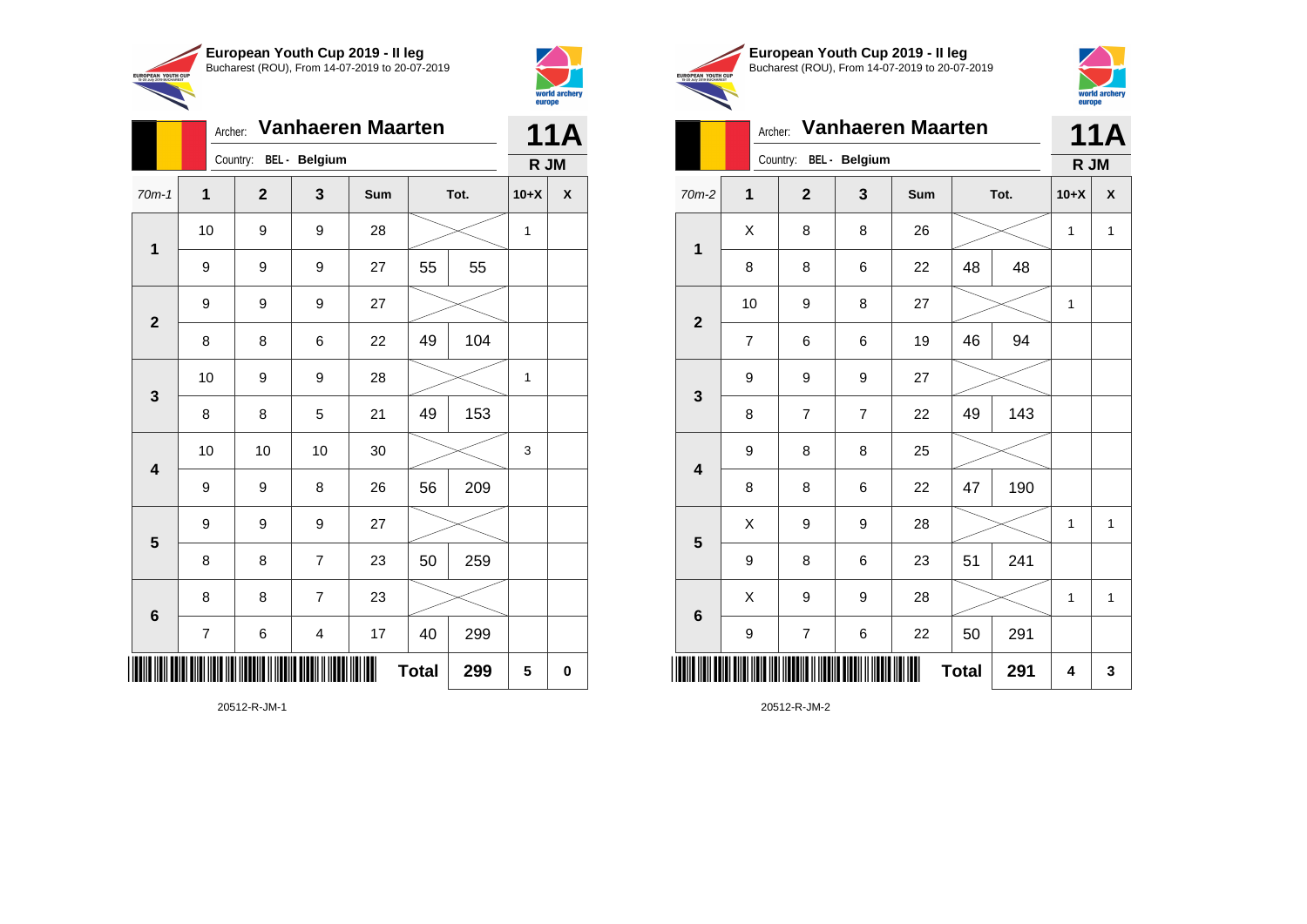

|                         | ◥<br>Archer: |              | <b>Vanhaeren Maarten</b> |     |              |     |        | 11A         |
|-------------------------|--------------|--------------|--------------------------|-----|--------------|-----|--------|-------------|
|                         |              |              | Country: BEL - Belgium   |     | R JM         |     |        |             |
| $70m-1$                 | $\mathbf{1}$ | $\mathbf{2}$ | 3                        | Sum | Tot.         |     | $10+X$ | X           |
| 1                       | 10           | 9            | 9                        | 28  |              |     | 1      |             |
|                         | 9            | 9            | 9                        | 27  | 55           | 55  |        |             |
| $\overline{2}$          | 9            | 9            | 9                        | 27  |              |     |        |             |
|                         | 8            | 8            | 6                        | 22  | 49           | 104 |        |             |
| 3                       | 10           | 9            | 9                        | 28  |              |     | 1      |             |
|                         | 8            | 8            | 5                        | 21  | 49           | 153 |        |             |
| $\overline{\mathbf{4}}$ | 10           | 10           | 10                       | 30  |              |     | 3      |             |
|                         | 9            | 9            | 8                        | 26  | 56           | 209 |        |             |
| 5                       | 9            | 9            | 9                        | 27  |              |     |        |             |
|                         | 8            | 8            | $\overline{7}$           | 23  | 50           | 259 |        |             |
| $6\phantom{1}6$         | 8            | 8            | $\overline{7}$           | 23  |              |     |        |             |
|                         | 7            | 6            | $\overline{\mathbf{4}}$  | 17  | 40           | 299 |        |             |
|                         |              |              |                          |     | <b>Total</b> | 299 | 5      | $\mathbf 0$ |

world archer

20512-R-JM-1





Archer: **Vanhaeren Maarten** Country: **BEL - Belgium 11A R JM** 70m-2 **1 2 3 Sum Tot. 10+X X**  $X$  | 8 | 8 | 26 |  $\times$  | 1 | 1

| 1                       |                  |                         |                  |    |              |     |   |              |
|-------------------------|------------------|-------------------------|------------------|----|--------------|-----|---|--------------|
|                         | 8                | 8                       | 6                | 22 | 48           | 48  |   |              |
| $\mathbf{2}$            | 10               | 9                       | 8                | 27 |              |     | 1 |              |
|                         | $\boldsymbol{7}$ | 6                       | 6                | 19 | 46           | 94  |   |              |
| $\mathbf{3}$            | 9                | 9                       | $\boldsymbol{9}$ | 27 |              |     |   |              |
|                         | 8                | $\overline{\mathbf{7}}$ | $\boldsymbol{7}$ | 22 | 49           | 143 |   |              |
| $\overline{\mathbf{4}}$ | 9                | 8                       | 8                | 25 |              |     |   |              |
|                         | 8                | 8                       | 6                | 22 | 47           | 190 |   |              |
| $5\phantom{1}$          | X                | 9                       | $\boldsymbol{9}$ | 28 |              |     | 1 | $\mathbf{1}$ |
|                         | 9                | 8                       | 6                | 23 | 51           | 241 |   |              |
| $\bf 6$                 | X                | 9                       | 9                | 28 |              |     | 1 | $\mathbf{1}$ |
|                         | 9                | $\boldsymbol{7}$        | 6                | 22 | 50           | 291 |   |              |
|                         |                  |                         |                  |    | <b>Total</b> | 291 | 4 | 3            |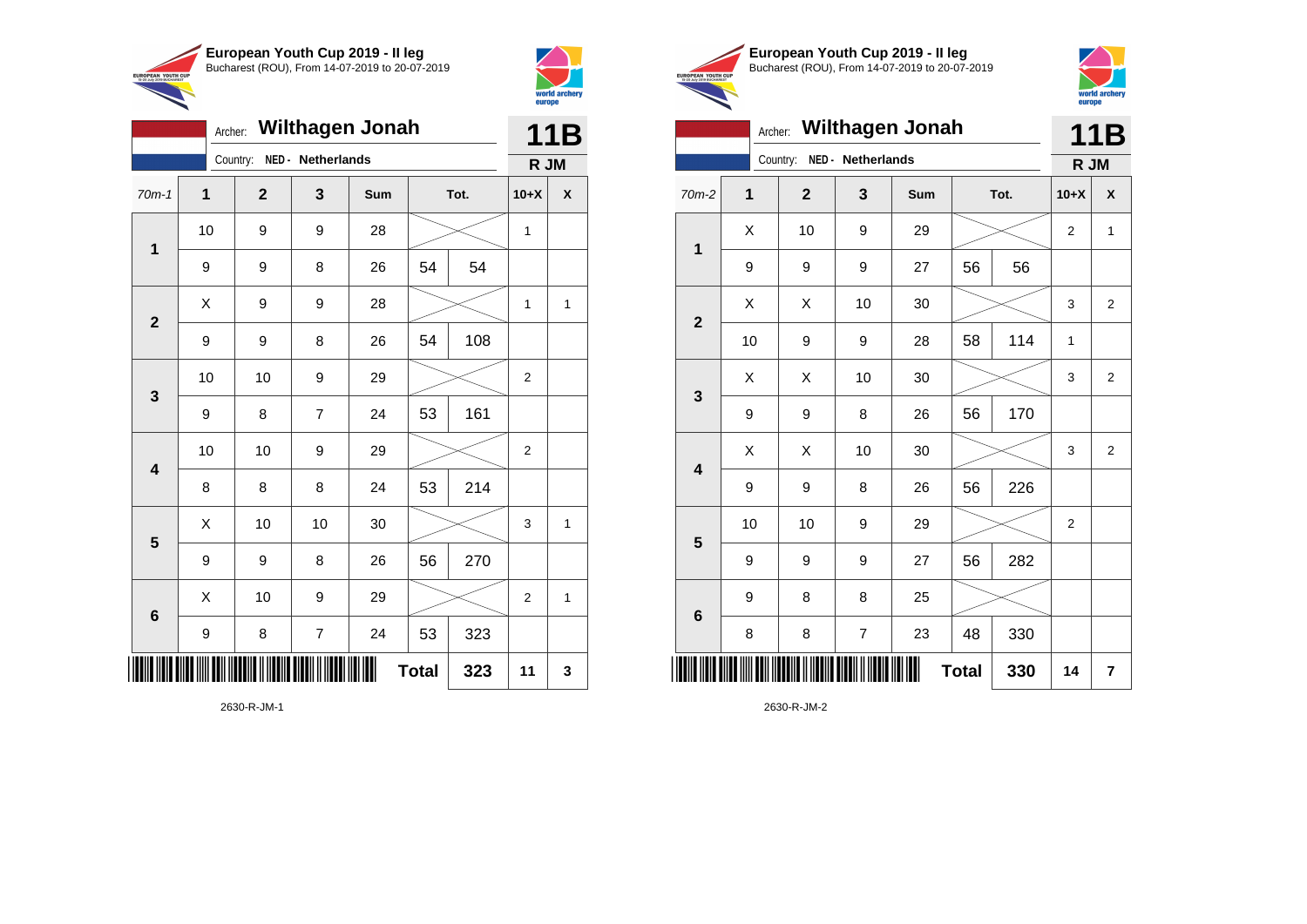

Country: **NED - Netherlands**

**1**

**2**

**3**

**4**

**5**

**6**

Archer: **Wilthagen Jonah**

70m-1 **1 2 3 Sum Tot. 10+X X**

9 | 9 | 8 | 26 | 54 | 54

9 | 9 | 8 | 26 | 54 | 108

9 | 8 | 7 | 24 | 53 | 161

8 | 8 | 8 | 24 | 53 | 214

9 | 9 | 8 | 26 | 56 | 270

9 | 8 | 7 | 24 | 53 | 323

10 | 10 | 9 | 29 |  $\times$  | 2

10 | 10 | 9 | 29 |  $\times$  | 2

 $\begin{array}{|c|c|c|c|c|c|}\hline \hspace{.1cm}X & \hspace{.1cm} \text{ 10} & \hspace{.1cm} \text{ 10} & \hspace{.1cm} \text{ 30} & \hspace{.1cm} \end{array} \hspace{1.2cm} \begin{array}{|c|c|c|c|c|c|}\hline \hspace{.1cm}X & \hspace{.1cm} \text{ 3} & \hspace{.1cm} \text{ 1} & \hspace{.1cm} \text{ 4} & \hspace{.1cm} \end{array} \hspace{1.2cm}$ 

X 10 9 29 2 1

**Total 323 11 3**

10 | 9 | 9 | 28 |  $\times$  | 1

 $X$  | 9 | 9 | 28 |  $\swarrow$  | 1 | 1



**11B R JM**

**European Youth Cup 2019 - II leg** Bucharest (ROU), From 14-07-2019 to 20-07-2019 EUROPEAN YOUTH CUP



|                         | <b>Wilthagen Jonah</b><br>Archer: |                            |    |     |              |      |                |                         |  |  |  |
|-------------------------|-----------------------------------|----------------------------|----|-----|--------------|------|----------------|-------------------------|--|--|--|
|                         |                                   | Country: NED - Netherlands |    |     |              |      | R JM           | 11B                     |  |  |  |
| $70m-2$                 | $\mathbf 1$                       | $\overline{2}$             | 3  | Sum |              | Tot. | $10+X$         | X                       |  |  |  |
|                         | X                                 | 10                         | 9  | 29  |              |      | 2              | $\mathbf{1}$            |  |  |  |
| $\mathbf 1$             | 9                                 | 9                          | 9  | 27  | 56           | 56   |                |                         |  |  |  |
| $\mathbf{2}$            | Χ                                 | X                          | 10 | 30  |              |      | 3              | $\overline{c}$          |  |  |  |
|                         | 10                                | 9                          | 9  | 28  | 58           | 114  | 1              |                         |  |  |  |
| $\mathbf{3}$            | X                                 | X                          | 10 | 30  |              |      | 3              | $\overline{2}$          |  |  |  |
|                         | 9                                 | 9                          | 8  | 26  | 56           | 170  |                |                         |  |  |  |
| $\overline{\mathbf{4}}$ | X                                 | X                          | 10 | 30  |              |      | 3              | $\overline{2}$          |  |  |  |
|                         | 9                                 | 9                          | 8  | 26  | 56           | 226  |                |                         |  |  |  |
| $\overline{\mathbf{5}}$ | 10                                | 10                         | 9  | 29  |              |      | $\overline{2}$ |                         |  |  |  |
|                         | 9                                 | 9                          | 9  | 27  | 56           | 282  |                |                         |  |  |  |
| $6\phantom{1}6$         | 9                                 | 8                          | 8  | 25  |              |      |                |                         |  |  |  |
|                         | 8                                 | 8                          | 7  | 23  | 48           | 330  |                |                         |  |  |  |
|                         |                                   |                            |    |     | <b>Total</b> | 330  | 14             | $\overline{\mathbf{r}}$ |  |  |  |

2630-R-JM-2

2630-R-JM-1

\*2630-R-JM-1\*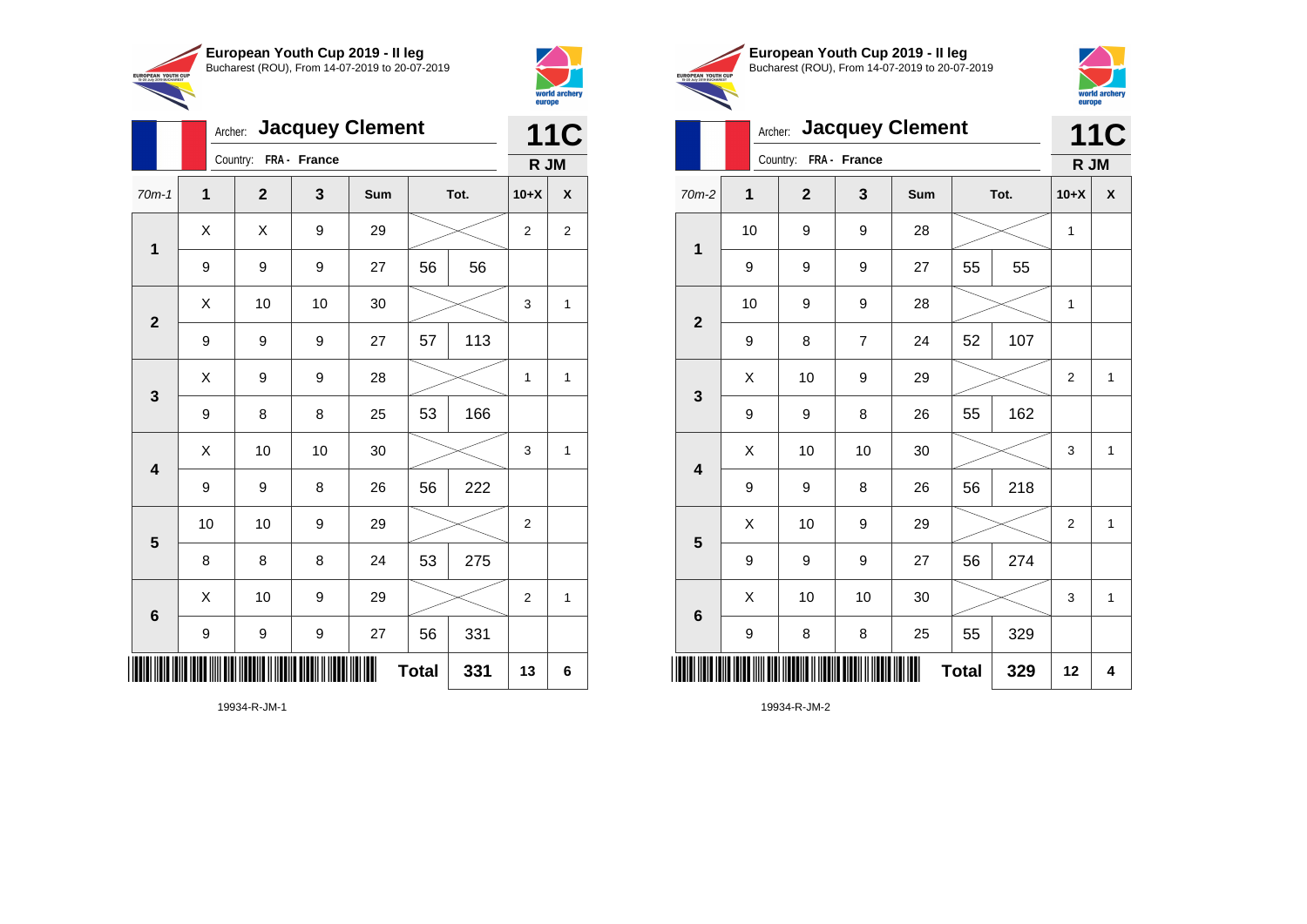



|                 |                  | Archer: Jacquey Clement |    |     |              |      |                |                |  |  |
|-----------------|------------------|-------------------------|----|-----|--------------|------|----------------|----------------|--|--|
|                 |                  | Country: FRA - France   |    |     |              |      |                |                |  |  |
| $70m-1$         | 1                | $\overline{2}$          | 3  | Sum |              | Tot. | $10+X$         | X              |  |  |
| $\mathbf 1$     | X                | Χ                       | 9  | 29  |              |      | $\overline{2}$ | $\overline{2}$ |  |  |
|                 | 9                | 9                       | 9  | 27  | 56           | 56   |                |                |  |  |
| $\overline{2}$  | Χ                | 10                      | 10 | 30  |              |      | 3              | 1              |  |  |
|                 | 9                | 9                       | 9  | 27  | 57           | 113  |                |                |  |  |
| 3               | Χ                | 9                       | 9  | 28  |              |      | 1              | 1              |  |  |
|                 | 9                | 8                       | 8  | 25  | 53           | 166  |                |                |  |  |
| 4               | X                | 10                      | 10 | 30  |              |      | 3              | 1              |  |  |
|                 | 9                | 9                       | 8  | 26  | 56           | 222  |                |                |  |  |
| 5               | 10               | 10                      | 9  | 29  |              |      | $\overline{2}$ |                |  |  |
|                 | 8                | 8                       | 8  | 24  | 53           | 275  |                |                |  |  |
| $6\phantom{1}6$ | Χ                | 10                      | 9  | 29  |              |      | $\overline{2}$ | 1              |  |  |
|                 | $\boldsymbol{9}$ | 9                       | 9  | 27  | 56           | 331  |                |                |  |  |
| IIIII           |                  |                         |    |     | <b>Total</b> | 331  | 13             | 6              |  |  |





|                         |    | Archer: Jacquey Clement |                |     |              |      |                |                    |  |  |
|-------------------------|----|-------------------------|----------------|-----|--------------|------|----------------|--------------------|--|--|
|                         |    | Country: FRA - France   |                |     |              |      | R JM           |                    |  |  |
| 70m-2                   | 1  | $\overline{2}$          | 3              | Sum |              | Tot. | $10+X$         | $\pmb{\mathsf{X}}$ |  |  |
| $\mathbf 1$             | 10 | 9                       | 9              | 28  |              |      | 1              |                    |  |  |
|                         | 9  | 9                       | 9              | 27  | 55           | 55   |                |                    |  |  |
| $\overline{\mathbf{2}}$ | 10 | 9                       | 9              | 28  |              |      | 1              |                    |  |  |
|                         | 9  | 8                       | $\overline{7}$ | 24  | 52           | 107  |                |                    |  |  |
| 3                       | X  | 10                      | 9              | 29  |              |      | $\overline{2}$ | $\mathbf{1}$       |  |  |
|                         | 9  | 9                       | 8              | 26  | 55           | 162  |                |                    |  |  |
| $\overline{\mathbf{4}}$ | Χ  | 10                      | 10             | 30  |              |      | 3              | $\mathbf{1}$       |  |  |
|                         | 9  | 9                       | 8              | 26  | 56           | 218  |                |                    |  |  |
| $\overline{\mathbf{5}}$ | X  | 10                      | 9              | 29  |              |      | $\overline{2}$ | $\mathbf{1}$       |  |  |
|                         | 9  | 9                       | 9              | 27  | 56           | 274  |                |                    |  |  |
| $\bf 6$                 | Χ  | 10                      | 10             | 30  |              |      | 3              | $\mathbf{1}$       |  |  |
|                         | 9  | 8                       | 8              | 25  | 55           | 329  |                |                    |  |  |
| ∭                       |    |                         |                |     | <b>Total</b> | 329  | 12             | 4                  |  |  |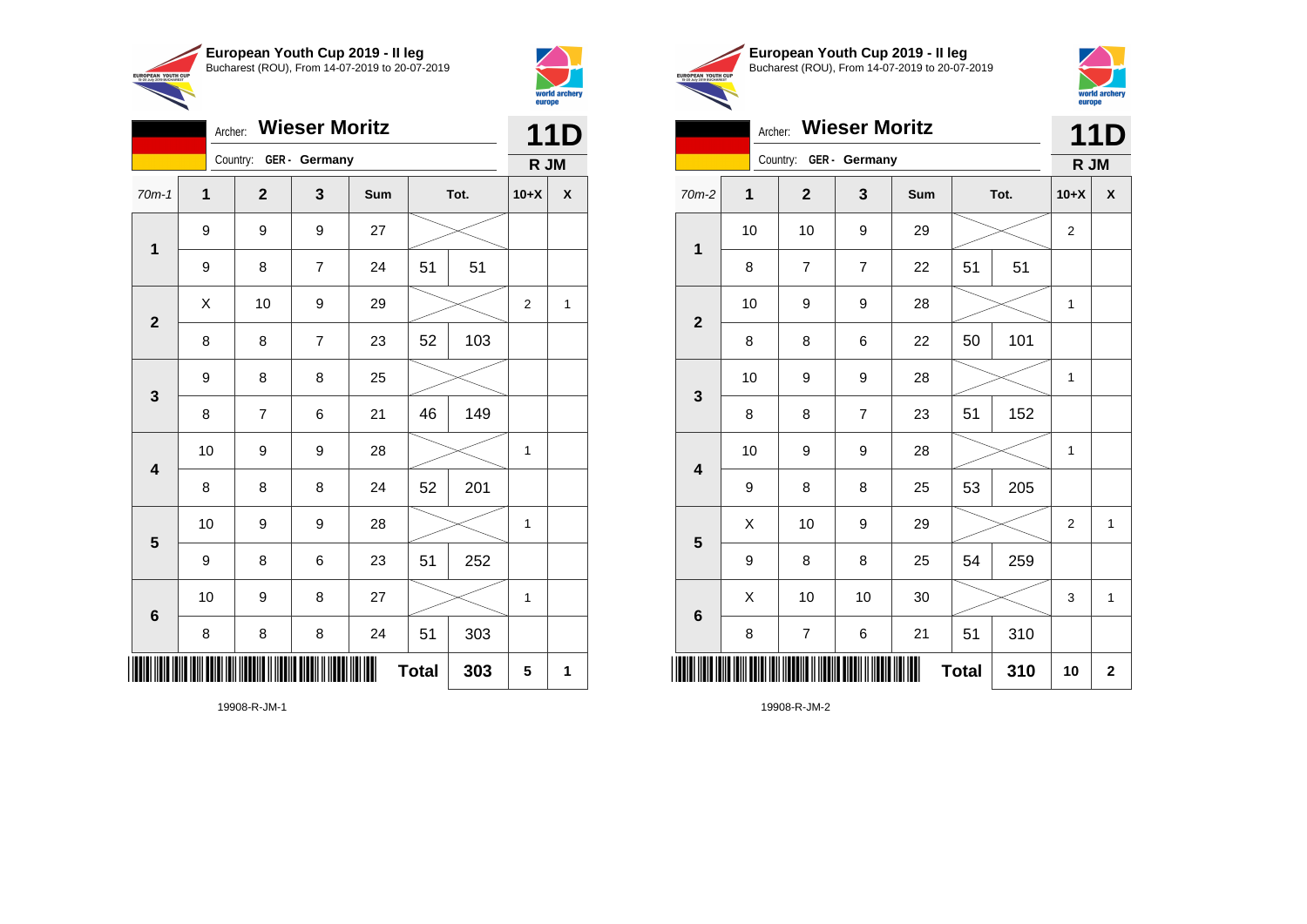



|                         |    | <b>11D</b>     |                |     |              |     |              |   |
|-------------------------|----|----------------|----------------|-----|--------------|-----|--------------|---|
|                         |    | Country:       | GER - Germany  |     |              |     | R JM         |   |
| $70m-1$                 | 1  | $\mathbf{2}$   | 3              | Sum | Tot.         |     | $10+X$       | X |
| $\mathbf 1$             | 9  | 9              | 9              | 27  |              |     |              |   |
|                         | 9  | 8              | $\overline{7}$ | 24  | 51           | 51  |              |   |
| $\overline{2}$          | X  | 10             | 9              | 29  |              |     | 2            | 1 |
|                         | 8  | 8              | $\overline{7}$ | 23  | 52           | 103 |              |   |
| $\mathbf{3}$            | 9  | 8              | 8              | 25  |              |     |              |   |
|                         | 8  | $\overline{7}$ | 6              | 21  | 46           | 149 |              |   |
| $\overline{\mathbf{4}}$ | 10 | 9              | 9              | 28  |              |     | $\mathbf{1}$ |   |
|                         | 8  | 8              | 8              | 24  | 52           | 201 |              |   |
| $\overline{\mathbf{5}}$ | 10 | 9              | 9              | 28  |              |     | 1            |   |
|                         | 9  | 8              | 6              | 23  | 51           | 252 |              |   |
| $\bf 6$                 | 10 | 9              | 8              | 27  |              |     | 1            |   |
|                         | 8  | 8              | 8              | 24  | 51           | 303 |              |   |
| ║║                      |    |                |                |     | <b>Total</b> | 303 | 5            | 1 |





# Archer: **Wieser Moritz** Country: **GER - Germany 11D R JM** 70m-2 **1 2 3 Sum Tot. 10+X X**

| $\mathbf 1$             | 10 | 10                      | 9                | 29             |              |     | 2           |             |
|-------------------------|----|-------------------------|------------------|----------------|--------------|-----|-------------|-------------|
|                         | 8  | $\overline{\mathbf{7}}$ | $\boldsymbol{7}$ | 22             | 51           | 51  |             |             |
| $\mathbf{2}$            | 10 | 9                       | 9                | 28             |              |     | 1           |             |
|                         | 8  | 8                       | 6                | 22             | 50           | 101 |             |             |
| $\mathbf 3$             | 10 | 9                       | 9                | 28             |              |     | 1           |             |
|                         | 8  | 8                       | $\boldsymbol{7}$ | 23             | 51           | 152 |             |             |
| $\overline{\mathbf{4}}$ | 10 | 9                       | 9                | 28             |              |     | 1           |             |
|                         | 9  | 8                       | 8                | 25             | 53           | 205 |             |             |
| $5\phantom{1}$          | Χ  | 10                      | 9                | 29             |              |     | $\mathbf 2$ | 1           |
|                         | 9  | 8                       | 8                | 25             | 54           | 259 |             |             |
| $\bf 6$                 | Χ  | 10                      | 10               | 30             |              |     | 3           | 1           |
|                         | 8  | $\boldsymbol{7}$        | 6                | 21             | 51           | 310 |             |             |
|                         |    |                         |                  | $\blacksquare$ | <b>Total</b> | 310 | 10          | $\mathbf 2$ |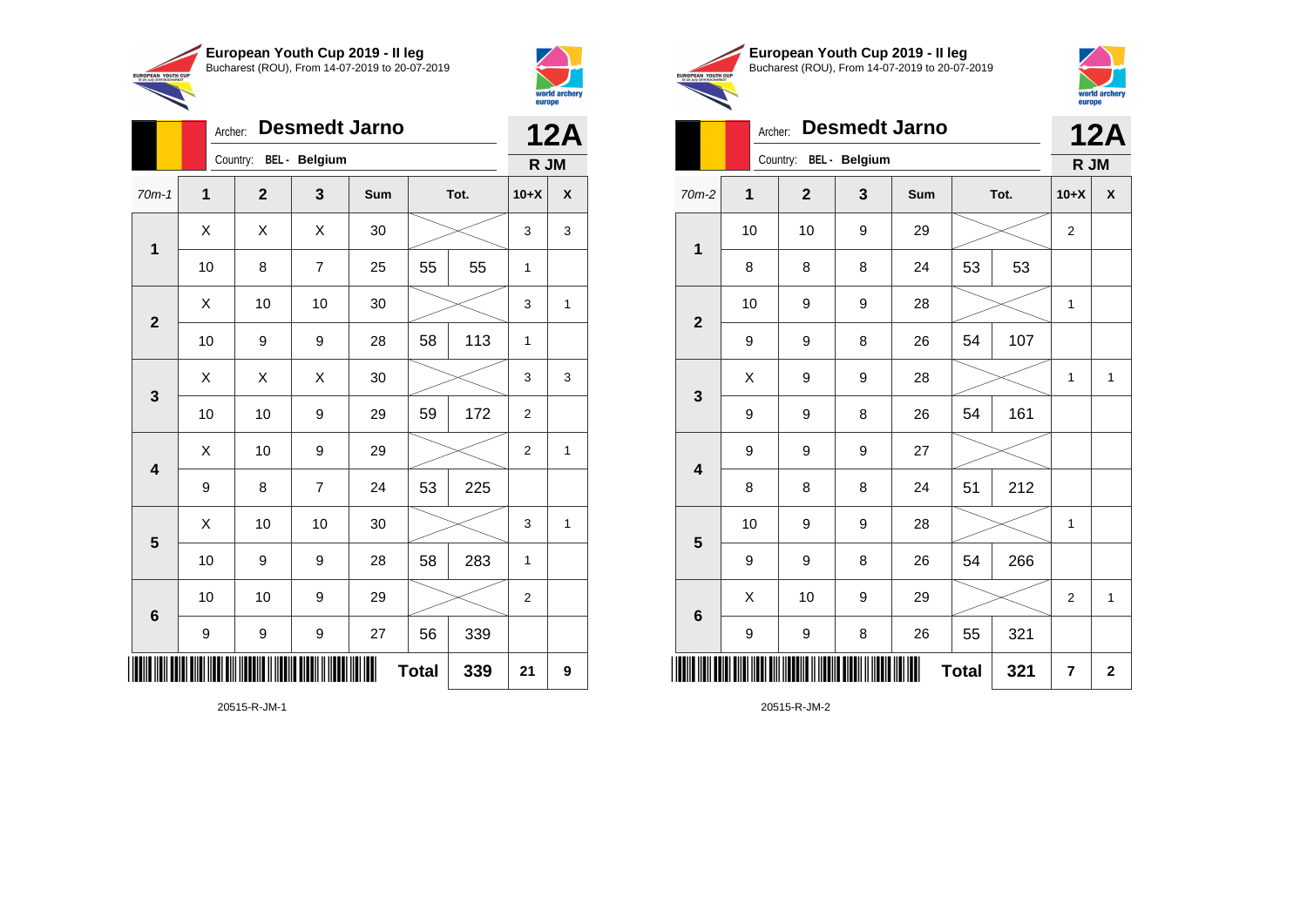



|                         | ╲              |                |                      |                      |              |     | europe         |              |
|-------------------------|----------------|----------------|----------------------|----------------------|--------------|-----|----------------|--------------|
|                         | Archer:        |                |                      | <b>Desmedt Jarno</b> |              |     |                | <b>12A</b>   |
|                         |                | Country:       | <b>BEL</b> - Belgium |                      |              |     | R JM           |              |
| $70m-1$                 | $\overline{1}$ | $\overline{2}$ | 3                    | Sum                  | Tot.         |     | $10+X$         | χ            |
|                         | Χ              | X              | X                    | 30                   |              |     | 3              | 3            |
| $\mathbf 1$             | 10             | 8              | $\overline{7}$       | 25                   | 55           | 55  | 1              |              |
|                         | X              | 10             | 10                   | 30                   |              |     | 3              | 1            |
| $\overline{2}$          | 10             | 9              | 9                    | 28                   | 58           | 113 | 1              |              |
|                         | X              | X              | X                    | 30                   |              |     | 3              | 3            |
| 3                       | 10             | 10             | 9                    | 29                   | 59           | 172 | $\overline{2}$ |              |
|                         | X              | 10             | 9                    | 29                   |              |     | $\overline{2}$ | $\mathbf{1}$ |
| $\overline{\mathbf{4}}$ | 9              | 8              | $\overline{7}$       | 24                   | 53           | 225 |                |              |
|                         | X              | 10             | 10                   | 30                   |              |     | 3              | 1            |
| $\overline{\mathbf{5}}$ | 10             | 9              | 9                    | 28                   | 58           | 283 | 1              |              |
|                         | 10             | 10             | 9                    | 29                   |              |     | $\overline{2}$ |              |
| 6                       | 9              | 9              | 9                    | 27                   | 56           | 339 |                |              |
|                         |                |                |                      |                      | <b>Total</b> | 339 | 21             | 9            |

20515-R-JM-1





Archer: **Desmedt Jarno** Country: **BEL - Belgium 12A**

|                         | Country. <b>DEL</b> - <b>Deigium</b> | R JM                                                                                                                  |   |     |              |     |                         |              |
|-------------------------|--------------------------------------|-----------------------------------------------------------------------------------------------------------------------|---|-----|--------------|-----|-------------------------|--------------|
| $70m-2$                 | 1                                    | $\mathbf{2}$                                                                                                          | 3 | Sum | Tot.         |     | $10+X$                  | X            |
| $\mathbf 1$             | 10                                   | 10                                                                                                                    | 9 | 29  |              |     | $\boldsymbol{2}$        |              |
|                         | 8                                    | 8                                                                                                                     | 8 | 24  | 53           | 53  |                         |              |
|                         | 10                                   | 9                                                                                                                     | 9 | 28  |              |     | 1                       |              |
| $\boldsymbol{2}$        | 9                                    | 9                                                                                                                     | 8 | 26  | 54           | 107 |                         |              |
| $\mathbf{3}$            | X                                    | 9                                                                                                                     | 9 | 28  |              |     | 1                       | $\mathbf{1}$ |
|                         | 9                                    | 9                                                                                                                     | 8 | 26  | 54           | 161 |                         |              |
| $\overline{\mathbf{4}}$ | 9                                    | 9                                                                                                                     | 9 | 27  |              |     |                         |              |
|                         | 8                                    | 8                                                                                                                     | 8 | 24  | 51           | 212 |                         |              |
| $\overline{\mathbf{5}}$ | 10                                   | 9                                                                                                                     | 9 | 28  |              |     | 1                       |              |
|                         | 9                                    | 9                                                                                                                     | 8 | 26  | 54           | 266 |                         |              |
| $\bf 6$                 | X                                    | 10                                                                                                                    | 9 | 29  |              |     | $\overline{2}$          | $\mathbf{1}$ |
|                         | 9                                    | 9                                                                                                                     | 8 | 26  | 55           | 321 |                         |              |
|                         |                                      | <u> 11 AN 11 AN 11 AN 11 AN 11 AN 11 AN 11 AN 11 AN 11 AN 11 AN 11 AN 11 AN 11 AN 11 AN 11 AN 11 AN 11 AN 11 AN 1</u> |   |     | <b>Total</b> | 321 | $\overline{\mathbf{r}}$ | $\mathbf 2$  |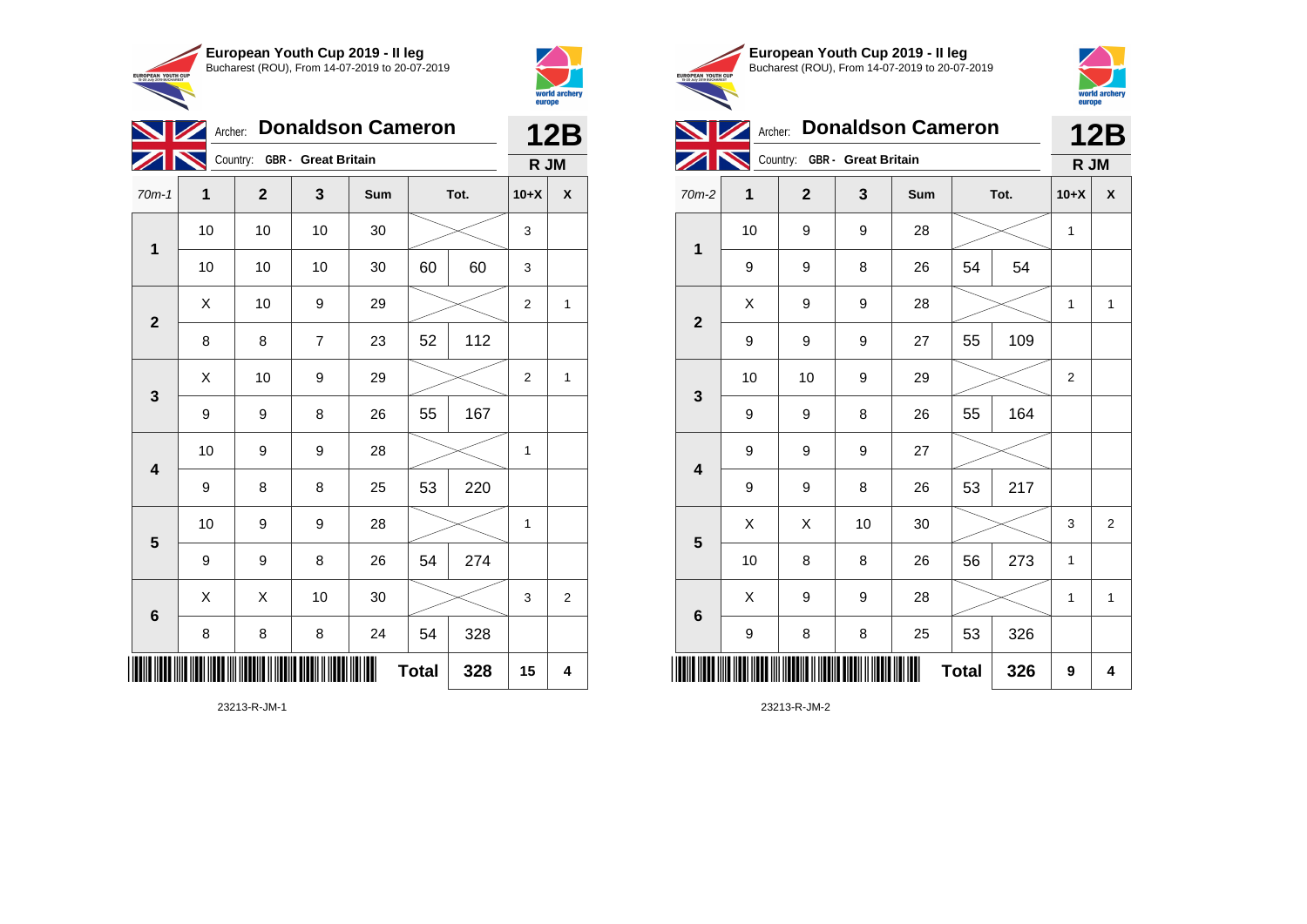



|                         | Archer: Donaldson Cameron<br><b>NZ</b> |                              |                |     |              |      |                |                |  |  |
|-------------------------|----------------------------------------|------------------------------|----------------|-----|--------------|------|----------------|----------------|--|--|
|                         |                                        | Country: GBR - Great Britain |                |     |              |      | R JM           |                |  |  |
| $70m-1$                 | 1                                      | $\mathbf{2}$                 | 3              | Sum |              | Tot. |                | χ              |  |  |
| 1                       | 10                                     | 10                           | 10             | 30  |              |      | 3              |                |  |  |
|                         | 10                                     | 10                           | 10             | 30  | 60           | 60   | 3              |                |  |  |
| $\overline{2}$          | X                                      | 10                           | 9              | 29  |              |      | $\overline{2}$ | 1              |  |  |
|                         | 8                                      | 8                            | $\overline{7}$ | 23  | 52           | 112  |                |                |  |  |
| $\mathbf{3}$            | X                                      | 10                           | 9              | 29  |              |      | $\overline{2}$ | 1              |  |  |
|                         | 9                                      | 9                            | 8              | 26  | 55           | 167  |                |                |  |  |
| $\overline{\mathbf{4}}$ | 10                                     | 9                            | 9              | 28  |              |      | $\mathbf 1$    |                |  |  |
|                         | 9                                      | 8                            | 8              | 25  | 53           | 220  |                |                |  |  |
| 5                       | 10                                     | 9                            | 9              | 28  |              |      | 1              |                |  |  |
|                         | 9                                      | 9                            | 8              | 26  | 54           | 274  |                |                |  |  |
| 6                       | X                                      | X                            | 10             | 30  |              |      | 3              | $\overline{c}$ |  |  |
|                         | 8                                      | 8                            | 8              | 24  | 54           | 328  |                |                |  |  |
|                         |                                        |                              |                |     | <b>Total</b> | 328  | 15             | 4              |  |  |





**12B**

Archer: **Donaldson Cameron**

|                         |                                                            | Country: GBR - Great Britain |    |     |              |      |                |                |  |  |
|-------------------------|------------------------------------------------------------|------------------------------|----|-----|--------------|------|----------------|----------------|--|--|
| $70m-2$                 | 1                                                          | $\mathbf{2}$                 | 3  | Sum |              | Tot. | $10+X$         | X              |  |  |
|                         | 10                                                         | 9                            | 9  | 28  |              |      | 1              |                |  |  |
| $\mathbf 1$             | 9                                                          | 9                            | 8  | 26  | 54           | 54   |                |                |  |  |
|                         | Χ                                                          | 9                            | 9  | 28  |              |      | 1              | 1              |  |  |
| $\boldsymbol{2}$        | 9                                                          | 9                            | 9  | 27  | 55           | 109  |                |                |  |  |
| $\mathbf{3}$            | 10                                                         | 10                           | 9  | 29  |              |      | $\overline{2}$ |                |  |  |
|                         | 9                                                          | 9                            | 8  | 26  | 55           | 164  |                |                |  |  |
| $\overline{\mathbf{4}}$ | 9                                                          | 9                            | 9  | 27  |              |      |                |                |  |  |
|                         | 9                                                          | 9                            | 8  | 26  | 53           | 217  |                |                |  |  |
| $5\phantom{1}$          | Χ                                                          | Χ                            | 10 | 30  |              |      | 3              | $\overline{2}$ |  |  |
|                         | 10                                                         | 8                            | 8  | 26  | 56           | 273  | 1              |                |  |  |
| $\bf 6$                 | Χ                                                          | 9                            | 9  | 28  |              |      | 1              | 1              |  |  |
|                         | 9                                                          | 8                            | 8  | 25  | 53           | 326  |                |                |  |  |
|                         | TE INIE NEEL NEEL IN NEEENE II NEENE EIEEN II NEEL NEI NEI |                              |    |     | <b>Total</b> | 326  | 9              | 4              |  |  |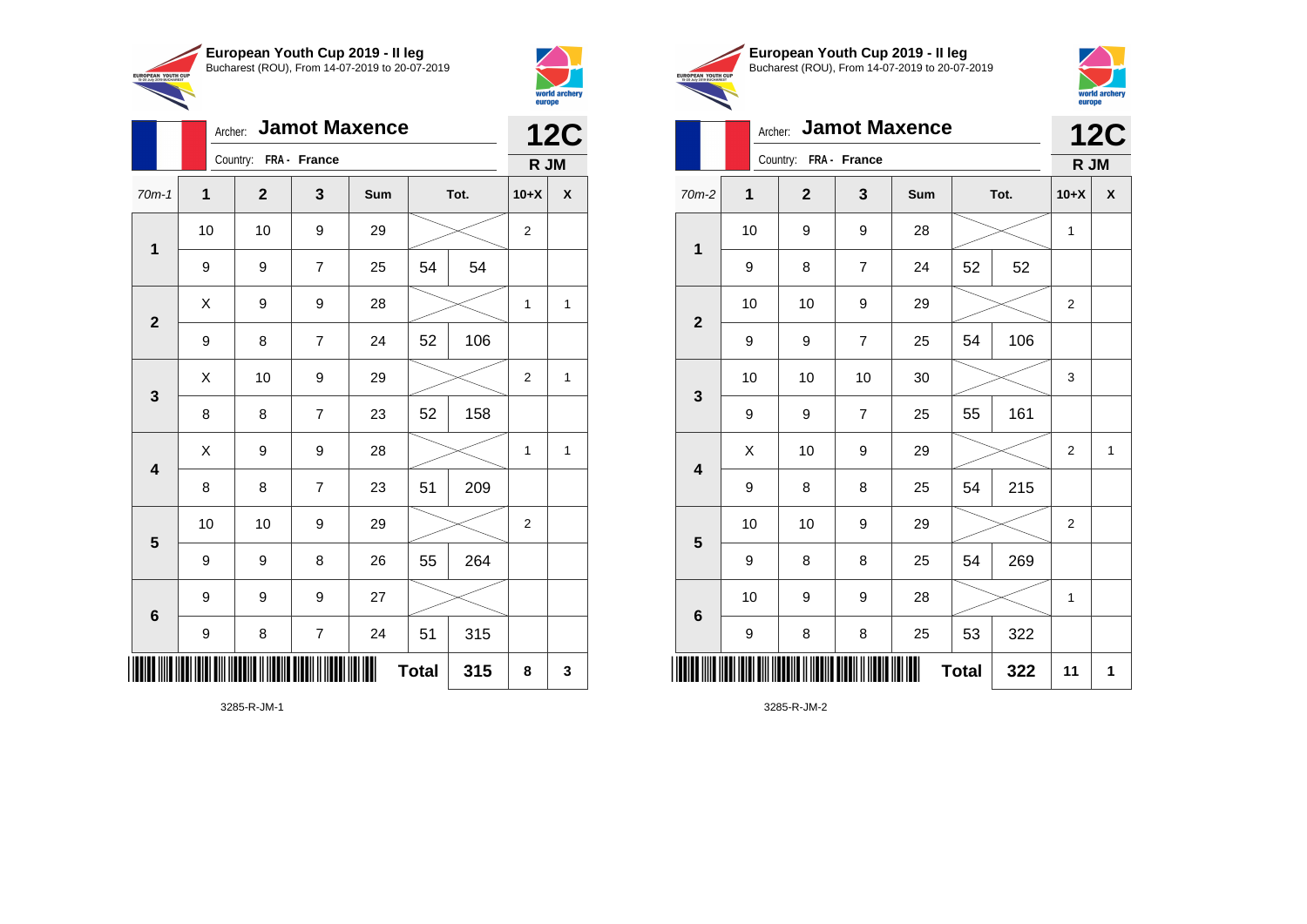



|                               | European Youth Cup 2019 - Il leg               |
|-------------------------------|------------------------------------------------|
| <b>TH CUP</b><br><b>ADEST</b> | Bucharest (ROU), From 14-07-2019 to 20-07-2019 |



# Archer: **Jamot Maxence 12C**

|                         | Archer: Jamot Maxence |                       | <b>12C</b>     |     |              |      |              |              |
|-------------------------|-----------------------|-----------------------|----------------|-----|--------------|------|--------------|--------------|
|                         |                       | Country: FRA - France |                |     |              |      | R JM         |              |
| $70m-1$                 | $\mathbf{1}$          | $\mathbf{2}$          | $\mathbf{3}$   | Sum |              | Tot. | $10+X$       | $\pmb{\chi}$ |
|                         | 10                    | 10                    | 9              | 29  |              |      | $\sqrt{2}$   |              |
| $\mathbf 1$             | 9                     | 9                     | $\overline{7}$ | 25  | 54           | 54   |              |              |
|                         | X                     | 9                     | 9              | 28  |              |      | $\mathbf{1}$ | $\mathbf{1}$ |
| $\boldsymbol{2}$        | 9                     | 8                     | $\overline{7}$ | 24  | 52           | 106  |              |              |
|                         | X                     | 10                    | 9              | 29  |              |      | $\sqrt{2}$   | $\mathbf{1}$ |
| $\mathbf 3$             | 8                     | 8                     | $\overline{7}$ | 23  | 52           | 158  |              |              |
| $\overline{\mathbf{4}}$ | X                     | 9                     | 9              | 28  |              |      | $\mathbf{1}$ | $\mathbf{1}$ |
|                         | 8                     | 8                     | $\overline{7}$ | 23  | 51           | 209  |              |              |
| ${\bf 5}$               | 10                    | 10                    | 9              | 29  |              |      | $\sqrt{2}$   |              |
|                         | 9                     | 9                     | 8              | 26  | 55           | 264  |              |              |
| $6\phantom{1}6$         | 9                     | 9                     | 9              | 27  |              |      |              |              |
|                         | $\boldsymbol{9}$      | 8                     | $\overline{7}$ | 24  | 51           | 315  |              |              |
| IIIII                   |                       |                       |                | Ш   | <b>Total</b> | 315  | 8            | ${\bf 3}$    |

3285-R-JM-1

|                         |             | Country:<br>FRA - France         |                |     |              |      |                |   |  |
|-------------------------|-------------|----------------------------------|----------------|-----|--------------|------|----------------|---|--|
| $70m-2$                 | $\mathbf 1$ | $\mathbf{2}$                     | 3              | Sum |              | Tot. | $10+X$         | X |  |
| $\mathbf 1$             | 10          | 9                                | 9              | 28  |              |      | 1              |   |  |
|                         | 9           | 8                                | $\overline{7}$ | 24  | 52           | 52   |                |   |  |
|                         | 10          | 10                               | 9              | 29  |              |      | $\overline{2}$ |   |  |
| $\mathbf{2}$            | 9           | 9                                | $\overline{7}$ | 25  | 54           | 106  |                |   |  |
| $\mathbf{3}$            | 10          | 10                               | 10             | 30  |              |      | 3              |   |  |
|                         | 9           | 9                                | $\overline{7}$ | 25  | 55           | 161  |                |   |  |
| $\overline{\mathbf{4}}$ | Χ           | 10                               | 9              | 29  |              |      | $\overline{2}$ | 1 |  |
|                         | 9           | 8                                | 8              | 25  | 54           | 215  |                |   |  |
| $\overline{\mathbf{5}}$ | 10          | 10                               | 9              | 29  |              |      | $\overline{2}$ |   |  |
|                         | 9           | 8                                | 8              | 25  | 54           | 269  |                |   |  |
| $\bf 6$                 | 10          | 9                                | 9              | 28  |              |      | 1              |   |  |
|                         | 9           | 8                                | 8              | 25  | 53           | 322  |                |   |  |
|                         |             | II ITITI DIII IITTIIN II IITTIIN |                | Ш   | <b>Total</b> | 322  | 11             | 1 |  |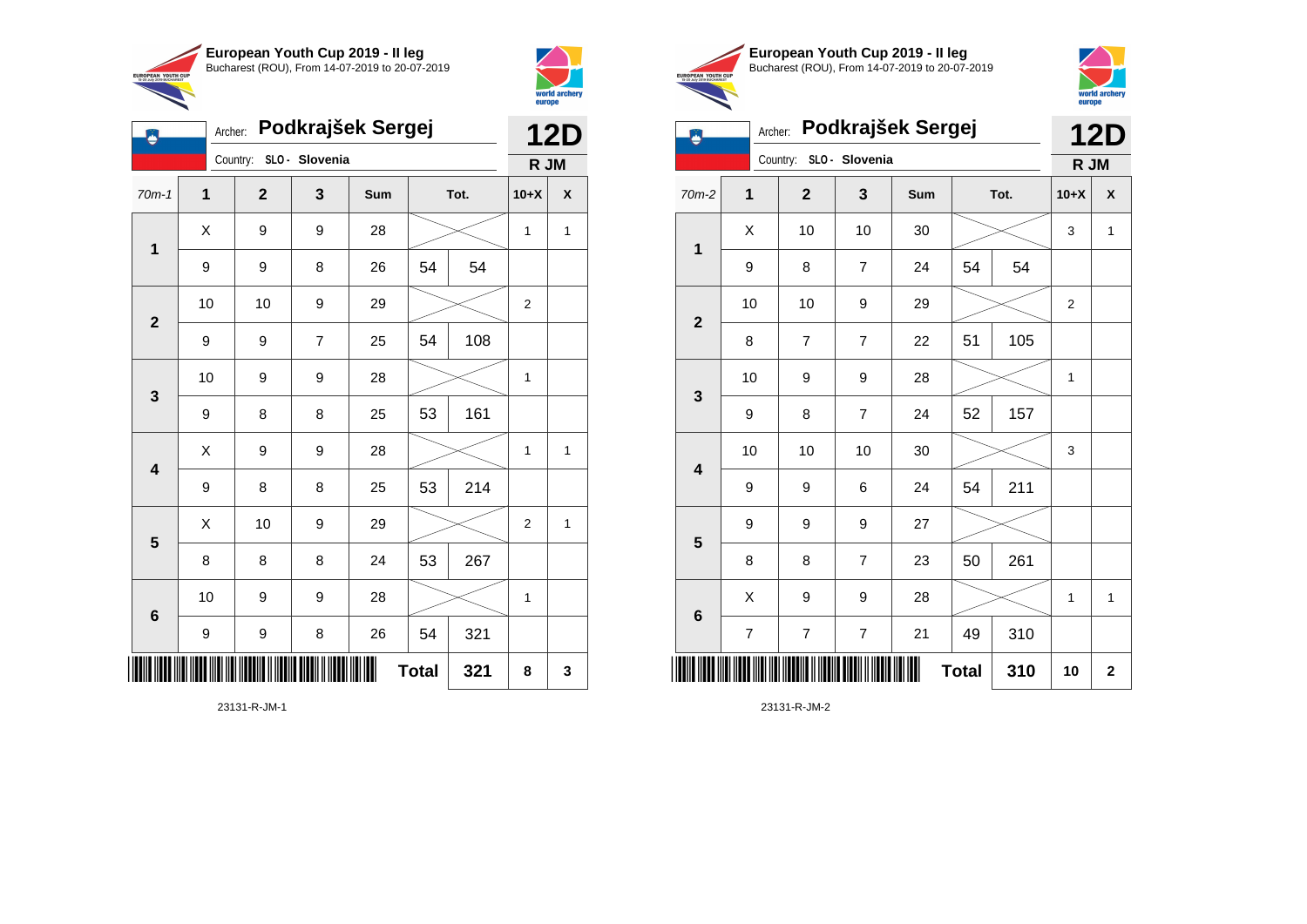



|                         | Podkrajšek Sergej<br>Archer: |                |                |     |              |      |                |              |  |
|-------------------------|------------------------------|----------------|----------------|-----|--------------|------|----------------|--------------|--|
|                         |                              | Country:       | SLO - Slovenia |     |              |      | R JM           |              |  |
| $70m-1$                 | $\mathbf 1$                  | $\overline{2}$ | 3              | Sum |              | Tot. | $10+X$         | X            |  |
| $\overline{\mathbf{1}}$ | X                            | 9              | 9              | 28  |              |      | 1              | $\mathbf{1}$ |  |
|                         | 9                            | 9              | 8              | 26  | 54           | 54   |                |              |  |
| $\overline{\mathbf{2}}$ | 10                           | 10             | 9              | 29  |              |      | 2              |              |  |
|                         | 9                            | 9              | $\overline{7}$ | 25  | 54           | 108  |                |              |  |
| $\mathbf{3}$            | 10                           | 9              | 9              | 28  |              |      | 1              |              |  |
|                         | 9                            | 8              | 8              | 25  | 53           | 161  |                |              |  |
| $\overline{\mathbf{4}}$ | Χ                            | 9              | 9              | 28  |              |      | 1              | 1            |  |
|                         | 9                            | 8              | 8              | 25  | 53           | 214  |                |              |  |
| 5                       | X                            | 10             | 9              | 29  |              |      | $\overline{2}$ | $\mathbf{1}$ |  |
|                         | 8                            | 8              | 8              | 24  | 53           | 267  |                |              |  |
| $\bf 6$                 | 10                           | 9              | 9              | 28  |              |      | 1              |              |  |
|                         | 9                            | 9              | 8              | 26  | 54           | 321  |                |              |  |
| IIII                    |                              |                |                |     | <b>Total</b> | 321  | 8              | 3            |  |



€



Archer: **Podkrajšek Sergej 12D**

|                         | Country: SLO - Slovenia |                  |                          |        |              |     |                |                         |
|-------------------------|-------------------------|------------------|--------------------------|--------|--------------|-----|----------------|-------------------------|
| $70m-2$                 | 1                       | $\mathbf{2}$     | 3                        | Sum    | Tot.         |     | $10+X$         | $\pmb{\mathsf{x}}$      |
| $\mathbf 1$             | Χ                       | 10               | 10                       | $30\,$ |              |     | 3              | $\mathbf{1}$            |
|                         | 9                       | 8                | $\overline{7}$           | 24     | 54           | 54  |                |                         |
| $\boldsymbol{2}$        | 10                      | 10               | $\boldsymbol{9}$         | 29     |              |     | $\overline{2}$ |                         |
|                         | 8                       | $\overline{7}$   | $\overline{7}$           | 22     | 51           | 105 |                |                         |
| $\mathbf 3$             | 10                      | 9                | $\boldsymbol{9}$         | 28     |              |     | 1              |                         |
|                         | 9                       | 8                | $\overline{7}$           | 24     | 52           | 157 |                |                         |
| $\overline{\mathbf{4}}$ | 10                      | 10               | 10                       | $30\,$ |              |     | 3              |                         |
|                         | 9                       | 9                | 6                        | 24     | 54           | 211 |                |                         |
| $\overline{\mathbf{5}}$ | 9                       | 9                | 9                        | 27     |              |     |                |                         |
|                         | 8                       | 8                | $\overline{\mathcal{I}}$ | 23     | 50           | 261 |                |                         |
| $\bf 6$                 | Χ                       | 9                | $\boldsymbol{9}$         | 28     |              |     | 1              | 1                       |
|                         | $\boldsymbol{7}$        | $\boldsymbol{7}$ | $\boldsymbol{7}$         | 21     | 49           | 310 |                |                         |
|                         |                         |                  |                          | Ⅲ      | <b>Total</b> | 310 | 10             | $\overline{\mathbf{2}}$ |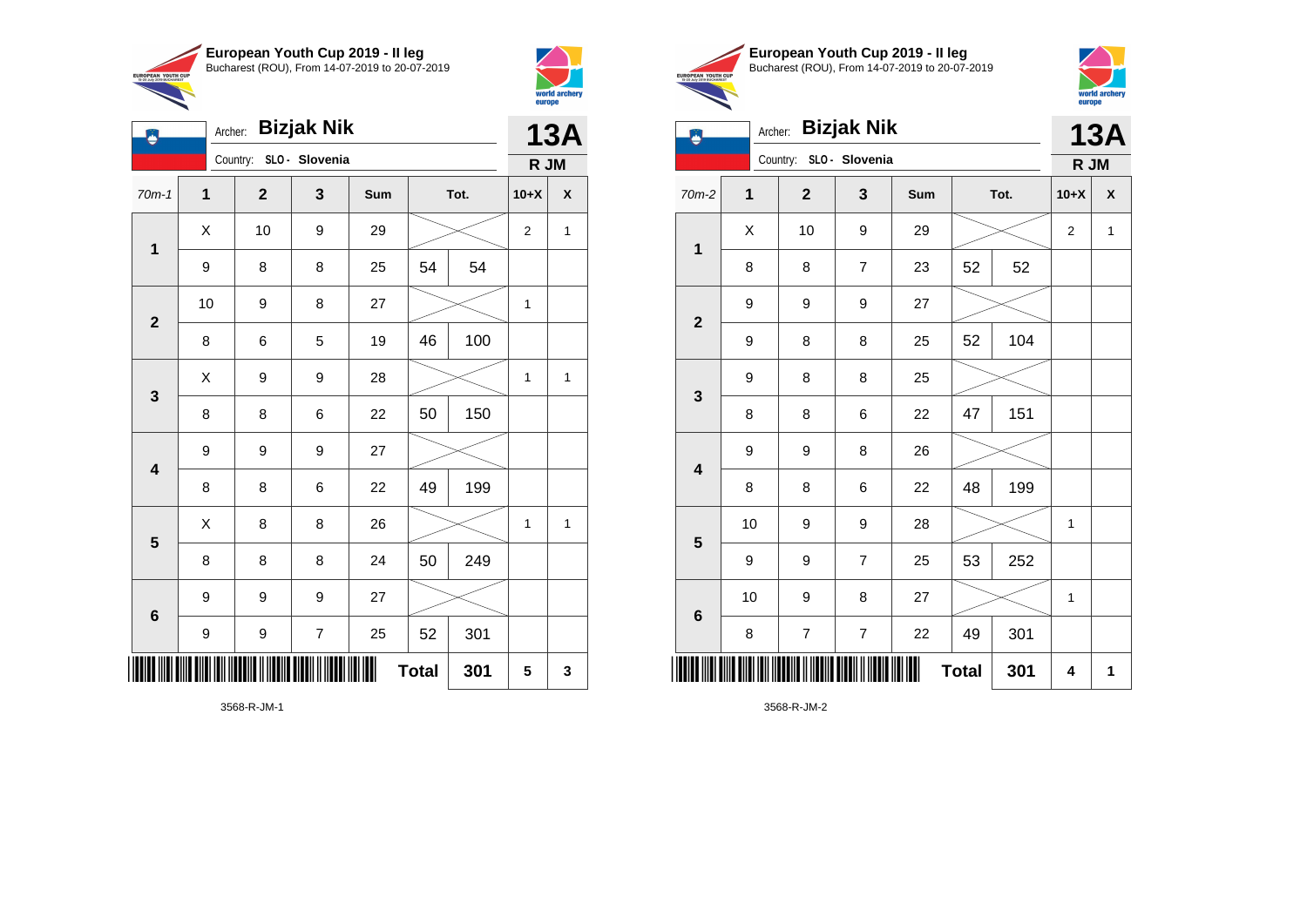



|                         | <b>Bizjak Nik</b><br>Archer: |              |                         |     |              |      |                |   |
|-------------------------|------------------------------|--------------|-------------------------|-----|--------------|------|----------------|---|
|                         |                              |              | Country: SLO - Slovenia |     |              |      | R JM           |   |
| $70m-1$                 | 1                            | $\mathbf{2}$ | 3                       | Sum |              | Tot. | $10+X$         | X |
| $\mathbf{1}$            | X                            | 10           | 9                       | 29  |              |      | $\overline{2}$ | 1 |
|                         | 9                            | 8            | 8                       | 25  | 54           | 54   |                |   |
| $\mathbf{2}$            | 10                           | 9            | 8                       | 27  |              |      | 1              |   |
|                         | 8                            | 6            | 5                       | 19  | 46           | 100  |                |   |
| 3                       | X                            | 9            | 9                       | 28  |              |      | 1              | 1 |
|                         | 8                            | 8            | 6                       | 22  | 50           | 150  |                |   |
| 4                       | 9                            | 9            | 9                       | 27  |              |      |                |   |
|                         | 8                            | 8            | 6                       | 22  | 49           | 199  |                |   |
| $\overline{\mathbf{5}}$ | X                            | 8            | 8                       | 26  |              |      | 1              | 1 |
|                         | 8                            | 8            | 8                       | 24  | 50           | 249  |                |   |
| $6\phantom{1}6$         | 9                            | 9            | 9                       | 27  |              |      |                |   |
|                         | 9                            | 9            | 7                       | 25  | 52           | 301  |                |   |
| IIIII                   |                              |              |                         |     | <b>Total</b> | 301  | 5              | 3 |





| ۸                       |                         | <b>Bizjak Nik</b><br>Archer: |                          |     |              |      |                |                    |
|-------------------------|-------------------------|------------------------------|--------------------------|-----|--------------|------|----------------|--------------------|
|                         |                         | Country:                     | SLO - Slovenia           |     |              |      | R JM           |                    |
| $70m-2$                 | $\overline{\mathbf{1}}$ | $\mathbf{2}$                 | $\mathbf{3}$             | Sum |              | Tot. | $10+X$         | $\pmb{\mathsf{X}}$ |
| $\mathbf 1$             | X                       | 10                           | 9                        | 29  |              |      | $\overline{2}$ | $\mathbf 1$        |
|                         | 8                       | 8                            | $\overline{7}$           | 23  | 52           | 52   |                |                    |
| $\mathbf{2}$            | 9                       | 9                            | 9                        | 27  |              |      |                |                    |
|                         | 9                       | 8                            | 8                        | 25  | 52           | 104  |                |                    |
| 3                       | 9                       | 8                            | 8                        | 25  |              |      |                |                    |
|                         | 8                       | 8                            | 6                        | 22  | 47           | 151  |                |                    |
| $\overline{\mathbf{4}}$ | 9                       | 9                            | 8                        | 26  |              |      |                |                    |
|                         | 8                       | 8                            | 6                        | 22  | 48           | 199  |                |                    |
| $5\phantom{1}$          | 10                      | 9                            | 9                        | 28  |              |      | $\mathbf 1$    |                    |
|                         | 9                       | 9                            | 7                        | 25  | 53           | 252  |                |                    |
| $6\phantom{1}6$         | 10                      | 9                            | 8                        | 27  |              |      | 1              |                    |
|                         | 8                       | $\overline{\mathcal{I}}$     | $\overline{\mathcal{I}}$ | 22  | 49           | 301  |                |                    |
|                         |                         |                              |                          |     | <b>Total</b> | 301  | 4              | 1                  |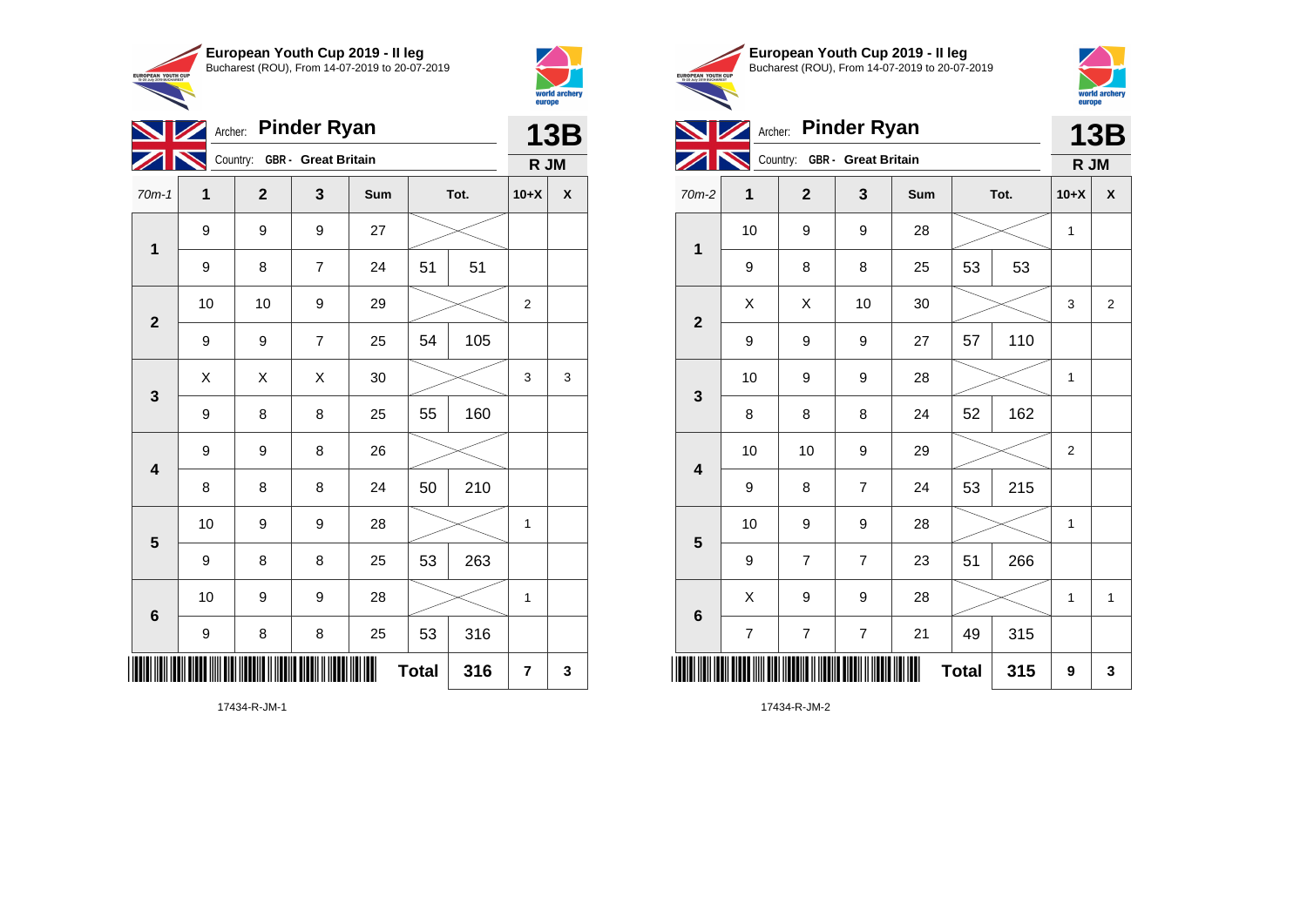



**European Youth Cup 2019 - II leg** Bucharest (ROU), From 14-07-2019 to 20-07-2019 EUROPEAN YOUTH CUP



|  | Archer: Pinder Ryan                  |  |
|--|--------------------------------------|--|
|  | <b>Excel Company One Open Dubble</b> |  |



|                         |                         | Country: GBR - Great Britain |                  |     |              |      |                |                    |
|-------------------------|-------------------------|------------------------------|------------------|-----|--------------|------|----------------|--------------------|
| 70m-2                   | 1                       | $\mathbf{2}$                 | $\mathbf{3}$     | Sum |              | Tot. | $10+X$         | $\pmb{\mathsf{x}}$ |
| $\mathbf 1$             | 10                      | 9                            | 9                | 28  |              |      | 1              |                    |
|                         | 9                       | 8                            | 8                | 25  | 53           | 53   |                |                    |
| $\boldsymbol{2}$        | Χ                       | Χ                            | 10               | 30  |              |      | 3              | $\overline{2}$     |
|                         | 9                       | 9                            | 9                | 27  | 57           | 110  |                |                    |
| $\mathbf{3}$            | 10                      | 9                            | $\boldsymbol{9}$ | 28  |              |      | 1              |                    |
|                         | 8                       | 8                            | 8                | 24  | 52           | 162  |                |                    |
| $\overline{\mathbf{4}}$ | 10                      | 10                           | 9                | 29  |              |      | $\overline{2}$ |                    |
|                         | 9                       | 8                            | $\overline{7}$   | 24  | 53           | 215  |                |                    |
| $\overline{\mathbf{5}}$ | 10                      | 9                            | 9                | 28  |              |      | 1              |                    |
|                         | 9                       | $\overline{\mathbf{7}}$      | $\overline{7}$   | 23  | 51           | 266  |                |                    |
| $\bf 6$                 | Χ                       | 9                            | $\boldsymbol{9}$ | 28  |              |      | 1              | 1                  |
|                         | $\overline{\mathbf{7}}$ | $\boldsymbol{7}$             | $\boldsymbol{7}$ | 21  | 49           | 315  |                |                    |
| ║║║                     |                         |                              |                  | Ш   | <b>Total</b> | 315  | 9              | 3                  |

17434-R-JM-2

|              |              | <b>13B</b>                   |                |     |              |      |                |   |
|--------------|--------------|------------------------------|----------------|-----|--------------|------|----------------|---|
|              |              | Country: GBR - Great Britain |                |     |              |      | R JM           |   |
| $70m-1$      | $\mathbf{1}$ | $\mathbf{2}$                 | 3              | Sum |              | Tot. | $10+X$         | χ |
| $\mathbf{1}$ | 9            | 9                            | 9              | 27  |              |      |                |   |
|              | 9            | 8                            | $\overline{7}$ | 24  | 51           | 51   |                |   |
| $\mathbf{2}$ | 10           | 10                           | 9              | 29  |              |      | $\overline{2}$ |   |
|              | 9            | 9                            | $\overline{7}$ | 25  | 54           | 105  |                |   |
| 3            | Χ            | X                            | X              | 30  |              |      | 3              | 3 |
|              | 9            | 8                            | 8              | 25  | 55           | 160  |                |   |
| 4            | 9            | 9                            | 8              | 26  |              |      |                |   |
|              | 8            | 8                            | 8              | 24  | 50           | 210  |                |   |
| 5            | 10           | 9                            | 9              | 28  |              |      | $\mathbf{1}$   |   |
|              | 9            | 8                            | 8              | 25  | 53           | 263  |                |   |
| 6            | 10           | 9                            | 9              | 28  |              |      | 1              |   |
|              | 9            | 8                            | 8              | 25  | 53           | 316  |                |   |
|              |              |                              |                |     | <b>Total</b> | 316  | 7              | 3 |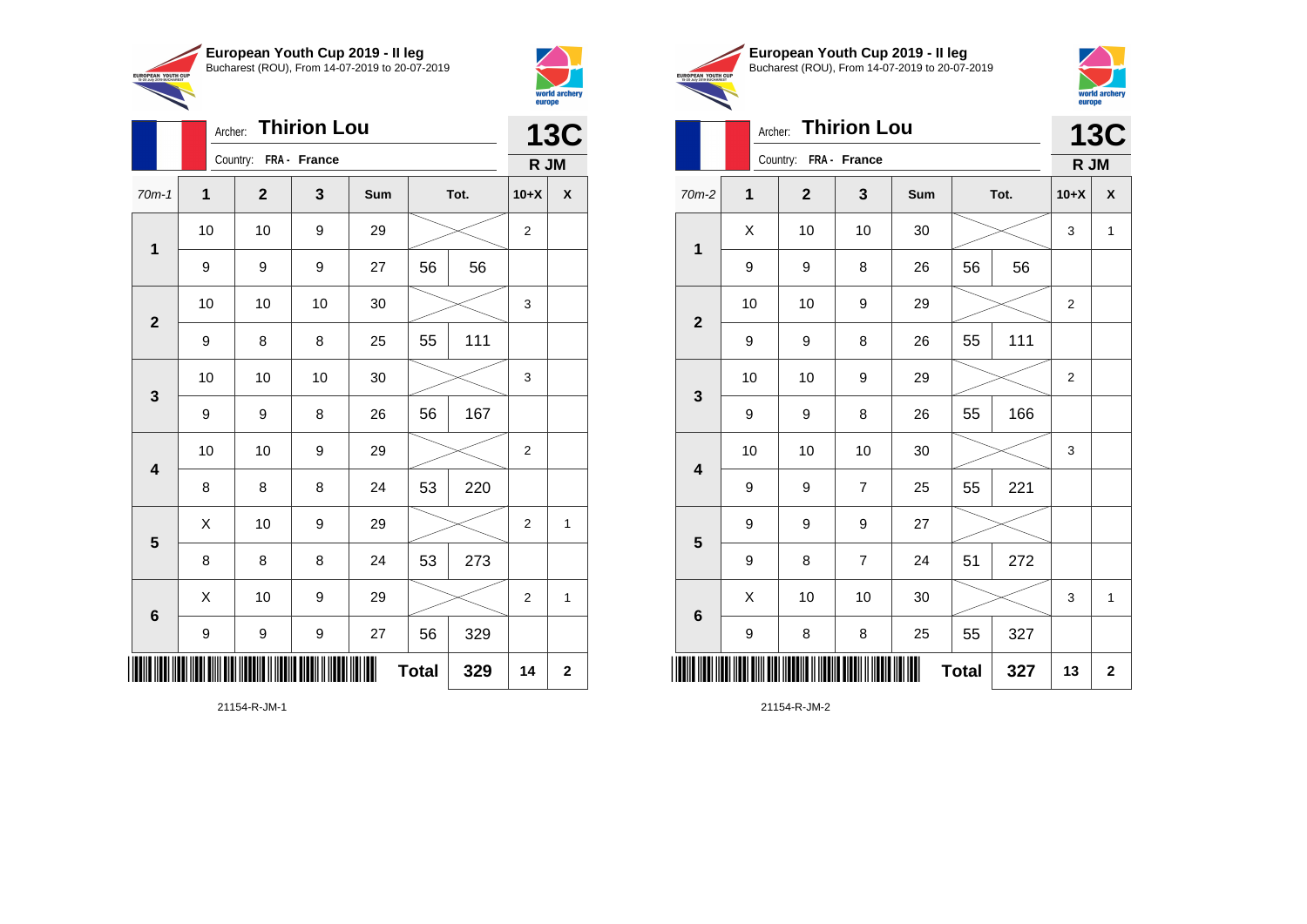



|                         |    | <b>Thirion Lou</b><br>Archer: |              |     |              |      |                    |              |  |
|-------------------------|----|-------------------------------|--------------|-----|--------------|------|--------------------|--------------|--|
|                         |    | Country: FRA - France         |              |     |              |      | <b>13C</b><br>R JM |              |  |
| $70m-1$                 | 1  | $\mathbf{2}$                  | $\mathbf{3}$ | Sum |              | Tot. | $10+X$             | X            |  |
| $\mathbf 1$             | 10 | 10                            | 9            | 29  |              |      | $\overline{2}$     |              |  |
|                         | 9  | 9                             | 9            | 27  | 56           | 56   |                    |              |  |
| $\overline{2}$          | 10 | 10                            | 10           | 30  |              |      | 3                  |              |  |
|                         | 9  | 8                             | 8            | 25  | 55           | 111  |                    |              |  |
| 3                       | 10 | 10                            | 10           | 30  |              |      | 3                  |              |  |
|                         | 9  | 9                             | 8            | 26  | 56           | 167  |                    |              |  |
| $\overline{\mathbf{4}}$ | 10 | 10                            | 9            | 29  |              |      | $\overline{2}$     |              |  |
|                         | 8  | 8                             | 8            | 24  | 53           | 220  |                    |              |  |
| $\overline{\mathbf{5}}$ | X  | 10                            | 9            | 29  |              |      | $\overline{2}$     | 1            |  |
|                         | 8  | 8                             | 8            | 24  | 53           | 273  |                    |              |  |
| $6\phantom{1}6$         | X  | 10                            | 9            | 29  |              |      | $\overline{2}$     | $\mathbf{1}$ |  |
|                         | 9  | 9                             | 9            | 27  | 56           | 329  |                    |              |  |
| ║║║                     |    |                               |              |     | <b>Total</b> | 329  | 14                 | $\mathbf 2$  |  |





|                         |    | <b>Thirion Lou</b><br>Archer: |                |     |              |      |                    |              |  |
|-------------------------|----|-------------------------------|----------------|-----|--------------|------|--------------------|--------------|--|
|                         |    | Country: FRA - France         |                |     |              |      | <b>13C</b><br>R JM |              |  |
| $70m-2$                 | 1  | $\mathbf{2}$                  | 3              | Sum |              | Tot. | $10+X$             | X            |  |
| $\mathbf 1$             | X  | 10                            | 10             | 30  |              |      | 3                  | $\mathbf{1}$ |  |
|                         | 9  | 9                             | 8              | 26  | 56           | 56   |                    |              |  |
| $\overline{\mathbf{2}}$ | 10 | 10                            | 9              | 29  |              |      | $\overline{2}$     |              |  |
|                         | 9  | 9                             | 8              | 26  | 55           | 111  |                    |              |  |
| 3                       | 10 | 10                            | 9              | 29  |              |      | 2                  |              |  |
|                         | 9  | 9                             | 8              | 26  | 55           | 166  |                    |              |  |
| 4                       | 10 | 10                            | 10             | 30  |              |      | 3                  |              |  |
|                         | 9  | 9                             | $\overline{7}$ | 25  | 55           | 221  |                    |              |  |
| 5                       | 9  | 9                             | 9              | 27  |              |      |                    |              |  |
|                         | 9  | 8                             | $\overline{7}$ | 24  | 51           | 272  |                    |              |  |
| $\bf 6$                 | X  | 10                            | 10             | 30  |              |      | 3                  | $\mathbf{1}$ |  |
|                         | 9  | 8                             | 8              | 25  | 55           | 327  |                    |              |  |
| ║║║                     |    |                               |                |     | <b>Total</b> | 327  | 13                 | $\mathbf{2}$ |  |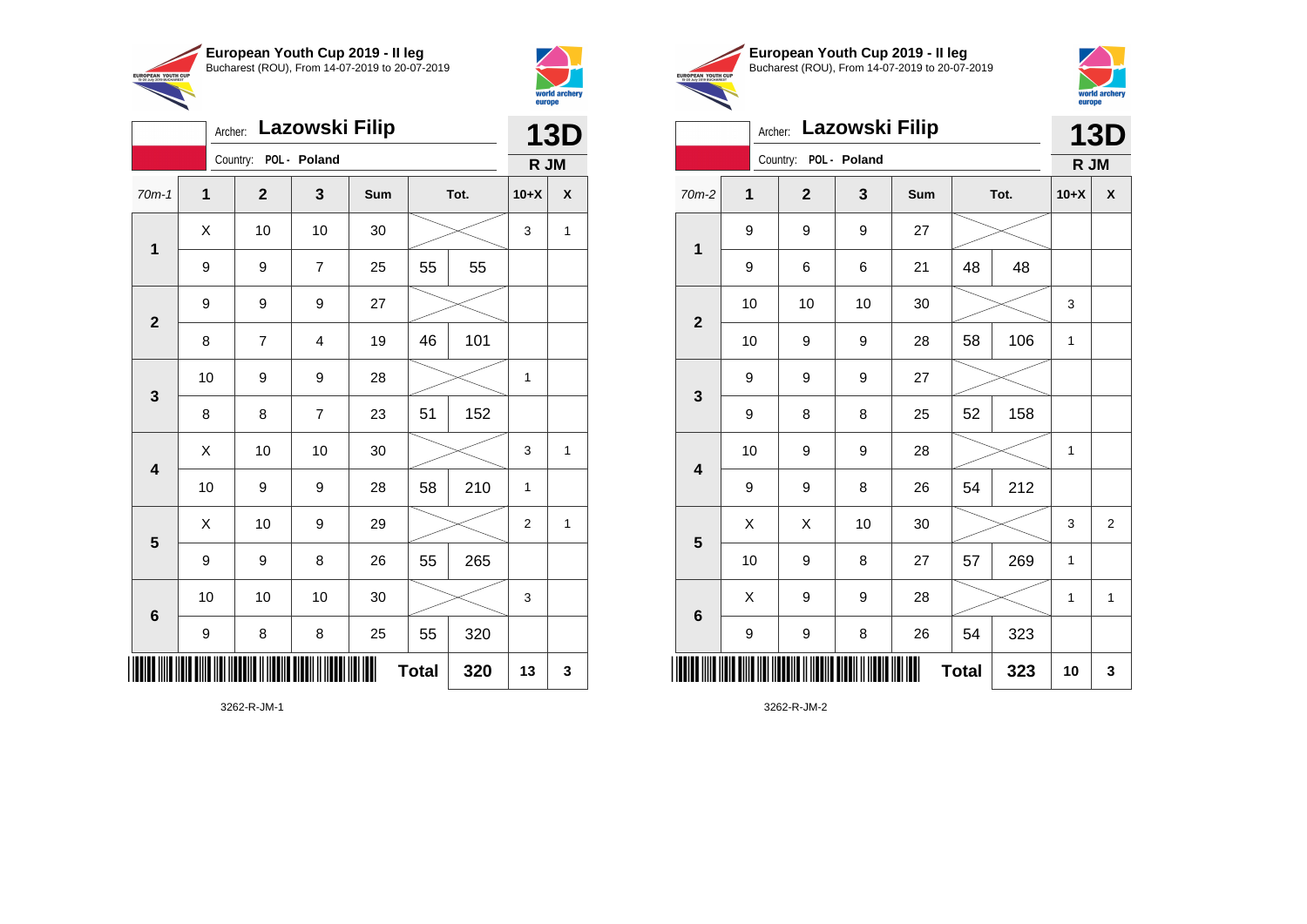

Archer: **Lazowski Filip**

9 9 9 27

70m-1 **1 2 3 Sum Tot. 10+X X**

9 | 9 | 7 | 25 | 55 | 55

8 | 7 | 4 | 19 | 46 | 101

8 | 8 | 7 | 23 | 51 | 152

9 | 9 | 8 | 26 | 55 | 265

9 | 8 | 8 | 25 | 55 | 320

10 | 9 | 9 | 28 |  $\times$  | 1

10 | 9 | 9 | 28 | 58 | 210 | 1

10 | 10 | 10 | 30 |  $\!\!\!\!\!\!\!\!\!\!\times$  | 3

 $\begin{array}{|c|c|c|c|c|c|}\hline \hspace{.1cm}X & \hspace{.1cm} \text{ 10} & \hspace{.1cm} \text{ 10} & \hspace{.1cm} \text{ 30} & \hspace{.1cm} \end{array} \hspace{.2cm} \begin{array}{|c|c|c|c|c|c|}\hline \hspace{.1cm}X & \hspace{.1cm} \text{ 3} & \hspace{.1cm} \text{ 1} & \hspace{.1cm} \text{ 4} & \hspace{.1cm} \end{array}$ 

 $\begin{array}{|c|c|c|c|c|}\hline \hspace{.1cm}X & \hspace{.1cm} \text{10} & \hspace{.1cm} \text{9} & \hspace{.1cm} \text{29} & \hspace{.1cm} \hline \end{array} \hspace{.2cm} \begin{array}{|c|c|c|c|c|c|}\hline \hspace{.1cm}X & \hspace{.1cm} \text{2} & \hspace{.1cm} \text{2} & \hspace{.1cm} \text{1} & \hspace{.1cm} \hline \end{array}$ 

 $Total \, | \, 320 \, | \, 13 \, | \, 3$ 

 $\begin{array}{|c|c|c|c|c|c|}\hline \hspace{.1cm}X & \hspace{.1cm} \text{ 10} & \hspace{.1cm} \text{ 10} & \hspace{.1cm} \text{ 30} & \hspace{.1cm} \end{array} \hspace{.2cm} \begin{array}{|c|c|c|c|c|c|}\hline \hspace{.1cm}X & \hspace{.1cm} \text{ 3} & \hspace{.1cm} \text{ 1} & \hspace{.1cm} \text{ 4} & \hspace{.1cm} \end{array}$ 

Country: **POL - Poland**

**1**

**2**

**3**

**4**

**5**

**6**



**13D**

**R JM**

|                                | European Youth Cup 2019 - Il leg               |
|--------------------------------|------------------------------------------------|
| YOUTH CUP<br><b>BLICHADEST</b> | Bucharest (ROU), From 14-07-2019 to 20-07-2019 |



|                         | Archer: Lazowski Filip |                       |    |     |              |      |              |                    |
|-------------------------|------------------------|-----------------------|----|-----|--------------|------|--------------|--------------------|
|                         |                        | Country: POL - Poland |    |     |              |      | R JM         |                    |
| $70m-2$                 | $\overline{1}$         | $\overline{2}$        | 3  | Sum |              | Tot. | $10+X$       | $\pmb{\mathsf{X}}$ |
| 1                       | 9                      | 9                     | 9  | 27  |              |      |              |                    |
|                         | 9                      | 6                     | 6  | 21  | 48           | 48   |              |                    |
| $\overline{2}$          | 10                     | 10                    | 10 | 30  |              |      | 3            |                    |
|                         | 10                     | 9                     | 9  | 28  | 58           | 106  | 1            |                    |
| $\mathbf{3}$            | 9                      | 9                     | 9  | 27  |              |      |              |                    |
|                         | 9                      | 8                     | 8  | 25  | 52           | 158  |              |                    |
| $\overline{\mathbf{4}}$ | 10                     | 9                     | 9  | 28  |              |      | $\mathbf{1}$ |                    |
|                         | 9                      | 9                     | 8  | 26  | 54           | 212  |              |                    |
| 5                       | X                      | X                     | 10 | 30  |              |      | 3            | $\overline{2}$     |
|                         | 10                     | 9                     | 8  | 27  | 57           | 269  | $\mathbf{1}$ |                    |
| $6\phantom{1}6$         | X                      | 9                     | 9  | 28  |              |      | $\mathbf{1}$ | $\mathbf{1}$       |
|                         | 9                      | 9                     | 8  | 26  | 54           | 323  |              |                    |
|                         |                        |                       |    |     | <b>Total</b> | 323  | 10           | 3                  |

3262-R-JM-2

\*3262-R-JM-1\*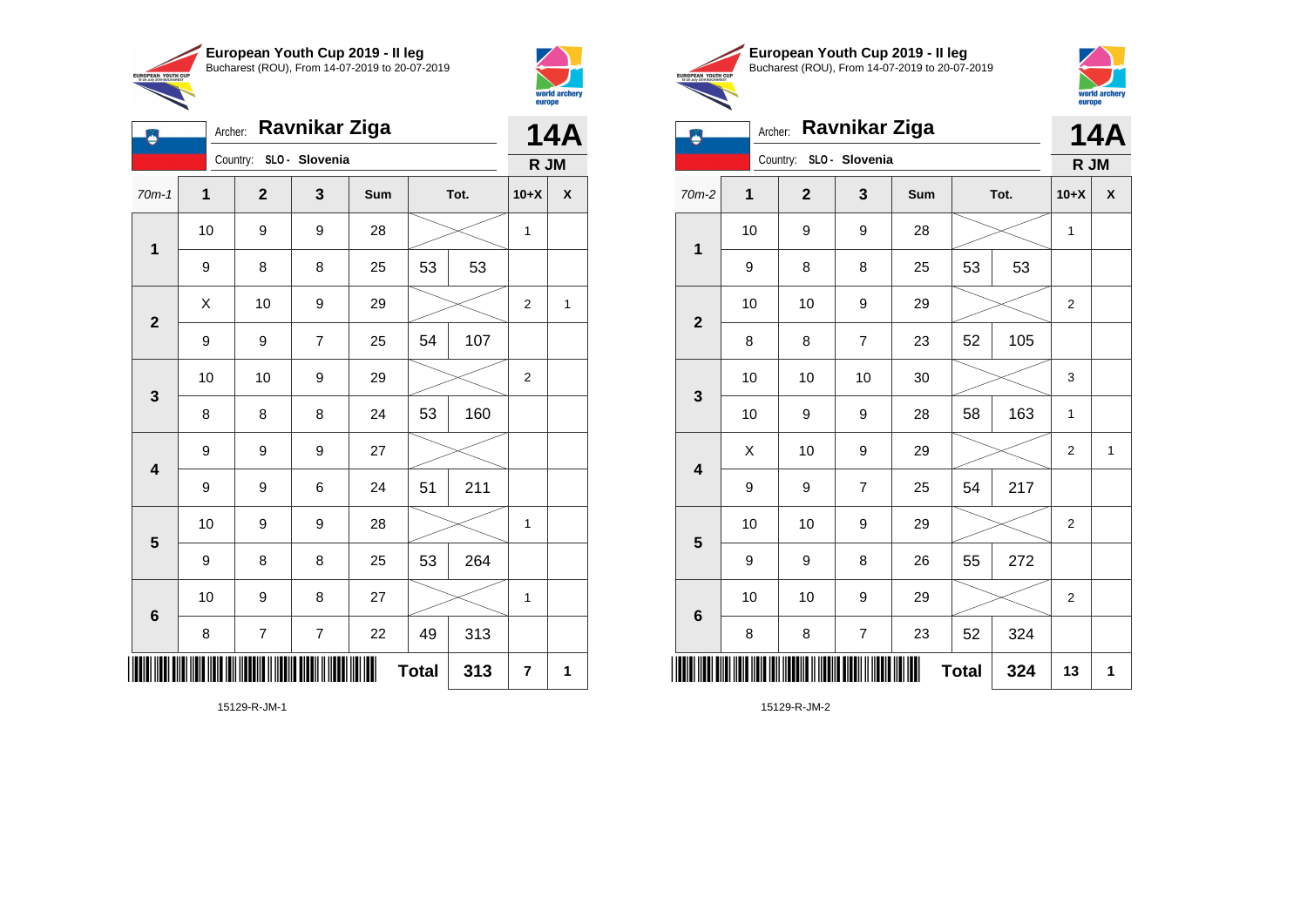



| ٥                       | Ravnikar Ziga<br>Archer: |                          |                |     |              |     |                |   |  |
|-------------------------|--------------------------|--------------------------|----------------|-----|--------------|-----|----------------|---|--|
|                         |                          | Country:                 | SLO - Slovenia |     |              |     | R JM           |   |  |
| $70m-1$                 | 1                        | $\mathbf 2$              | 3              | Sum | Tot.         |     | $10+X$         | χ |  |
| $\mathbf{1}$            | 10                       | 9                        | 9              | 28  |              |     | 1              |   |  |
|                         | 9                        | 8                        | 8              | 25  | 53           | 53  |                |   |  |
| $\mathbf{2}$            | Χ                        | 10                       | 9              | 29  |              |     | $\overline{2}$ | 1 |  |
|                         | 9                        | 9                        | $\overline{7}$ | 25  | 54           | 107 |                |   |  |
| $\mathbf 3$             | 10                       | 10                       | 9              | 29  |              |     | 2              |   |  |
|                         | 8                        | 8                        | 8              | 24  | 53           | 160 |                |   |  |
| $\overline{\mathbf{4}}$ | 9                        | 9                        | 9              | 27  |              |     |                |   |  |
|                         | 9                        | 9                        | 6              | 24  | 51           | 211 |                |   |  |
| $\overline{\mathbf{5}}$ | 10                       | 9                        | 9              | 28  |              |     | 1              |   |  |
|                         | 9                        | 8                        | 8              | 25  | 53           | 264 |                |   |  |
| $\bf 6$                 | 10                       | 9                        | 8              | 27  |              |     | 1              |   |  |
|                         | 8                        | $\overline{\mathcal{I}}$ | $\overline{7}$ | 22  | 49           | 313 |                |   |  |
| ║║║                     |                          |                          |                |     | <b>Total</b> | 313 | 7              | 1 |  |





| Ŋ                       |             | Ravnikar Ziga<br>Archer: |                |     |              |      |                |                    |  |
|-------------------------|-------------|--------------------------|----------------|-----|--------------|------|----------------|--------------------|--|
|                         |             | Country: SLO - Slovenia  |                |     |              |      | R JM           |                    |  |
| 70m-2                   | $\mathbf 1$ | $\overline{2}$           | 3              | Sum |              | Tot. | $10+X$         | $\pmb{\mathsf{X}}$ |  |
| 1                       | 10          | 9                        | 9              | 28  |              |      | 1              |                    |  |
|                         | 9           | 8                        | 8              | 25  | 53           | 53   |                |                    |  |
| $\mathbf{2}$            | 10          | 10                       | 9              | 29  |              |      | $\overline{2}$ |                    |  |
|                         | 8           | 8                        | $\overline{7}$ | 23  | 52           | 105  |                |                    |  |
| $\mathbf{3}$            | 10          | 10                       | 10             | 30  |              |      | 3              |                    |  |
|                         | 10          | 9                        | 9              | 28  | 58           | 163  | $\mathbf{1}$   |                    |  |
| $\overline{\mathbf{4}}$ | X           | 10                       | 9              | 29  |              |      | $\overline{c}$ | $\mathbf 1$        |  |
|                         | 9           | 9                        | $\overline{7}$ | 25  | 54           | 217  |                |                    |  |
| 5                       | 10          | 10                       | 9              | 29  |              |      | 2              |                    |  |
|                         | 9           | 9                        | 8              | 26  | 55           | 272  |                |                    |  |
| $\bf 6$                 | 10          | 10                       | 9              | 29  |              |      | $\overline{2}$ |                    |  |
|                         | 8           | 8                        | 7              | 23  | 52           | 324  |                |                    |  |
| ║║║                     |             |                          |                | Ш   | <b>Total</b> | 324  | 13             | 1                  |  |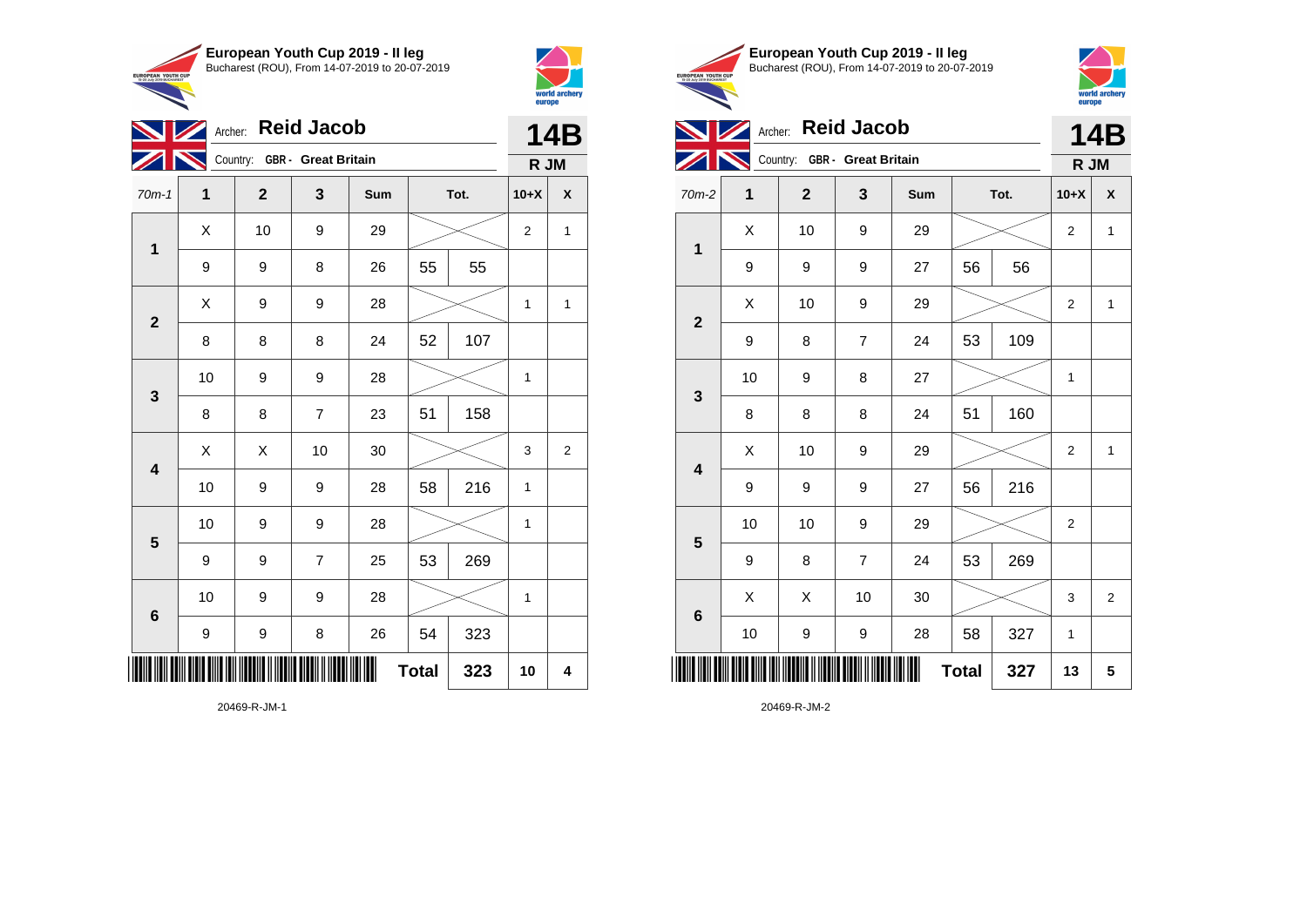



|                         | <b>Reid Jacob</b><br><b>NZ</b><br>Archer: |                              |                |     |              |      |              |                |  |  |
|-------------------------|-------------------------------------------|------------------------------|----------------|-----|--------------|------|--------------|----------------|--|--|
|                         |                                           | Country: GBR - Great Britain |                |     |              |      | R JM         |                |  |  |
| $70m-1$                 | 1                                         | $\mathbf{2}$                 | 3              | Sum |              | Tot. | $10+X$       | X              |  |  |
| $\mathbf{1}$            | X                                         | 10                           | 9              | 29  |              |      | 2            | 1              |  |  |
|                         | 9                                         | 9                            | 8              | 26  | 55           | 55   |              |                |  |  |
| $\mathbf{2}$            | X                                         | 9                            | 9              | 28  |              |      | 1            | $\mathbf{1}$   |  |  |
|                         | 8                                         | 8                            | 8              | 24  | 52           | 107  |              |                |  |  |
| 3                       | 10                                        | 9                            | 9              | 28  |              |      | $\mathbf{1}$ |                |  |  |
|                         | 8                                         | 8                            | $\overline{7}$ | 23  | 51           | 158  |              |                |  |  |
| $\overline{\mathbf{4}}$ | X                                         | X                            | 10             | 30  |              |      | 3            | $\overline{2}$ |  |  |
|                         | 10                                        | 9                            | 9              | 28  | 58           | 216  | 1            |                |  |  |
| 5                       | 10                                        | 9                            | 9              | 28  |              |      | 1            |                |  |  |
|                         | 9                                         | 9                            | $\overline{7}$ | 25  | 53           | 269  |              |                |  |  |
| 6                       | 10                                        | 9                            | 9              | 28  |              |      | 1            |                |  |  |
|                         | 9                                         | 9                            | 8              | 26  | 54           | 323  |              |                |  |  |
| IIII                    |                                           |                              |                |     | <b>Total</b> | 323  | 10           | 4              |  |  |





|                         |    | Archer: Reid Jacob           |                |     |              |      |                | 14B            |
|-------------------------|----|------------------------------|----------------|-----|--------------|------|----------------|----------------|
|                         |    | Country: GBR - Great Britain |                |     |              |      | R JM           |                |
| 70m-2                   | 1  | $\overline{2}$               | 3              | Sum |              | Tot. | $10+X$         | X              |
| 1                       | Χ  | 10                           | 9              | 29  |              |      | $\overline{2}$ | 1              |
|                         | 9  | 9                            | 9              | 27  | 56           | 56   |                |                |
| $\overline{2}$          | X  | 10                           | 9              | 29  |              |      | 2              | 1              |
|                         | 9  | 8                            | $\overline{7}$ | 24  | 53           | 109  |                |                |
| 3                       | 10 | 9                            | 8              | 27  |              |      | $\mathbf{1}$   |                |
|                         | 8  | 8                            | 8              | 24  | 51           | 160  |                |                |
| $\overline{\mathbf{4}}$ | X  | 10                           | 9              | 29  |              |      | $\overline{2}$ | 1              |
|                         | 9  | 9                            | 9              | 27  | 56           | 216  |                |                |
| 5                       | 10 | 10                           | 9              | 29  |              |      | $\overline{2}$ |                |
|                         | 9  | 8                            | $\overline{7}$ | 24  | 53           | 269  |                |                |
| $6\phantom{1}6$         | X  | X                            | 10             | 30  |              |      | 3              | $\overline{2}$ |
|                         | 10 | 9                            | 9              | 28  | 58           | 327  | 1              |                |
| ║║║                     |    |                              |                |     | <b>Total</b> | 327  | 13             | 5              |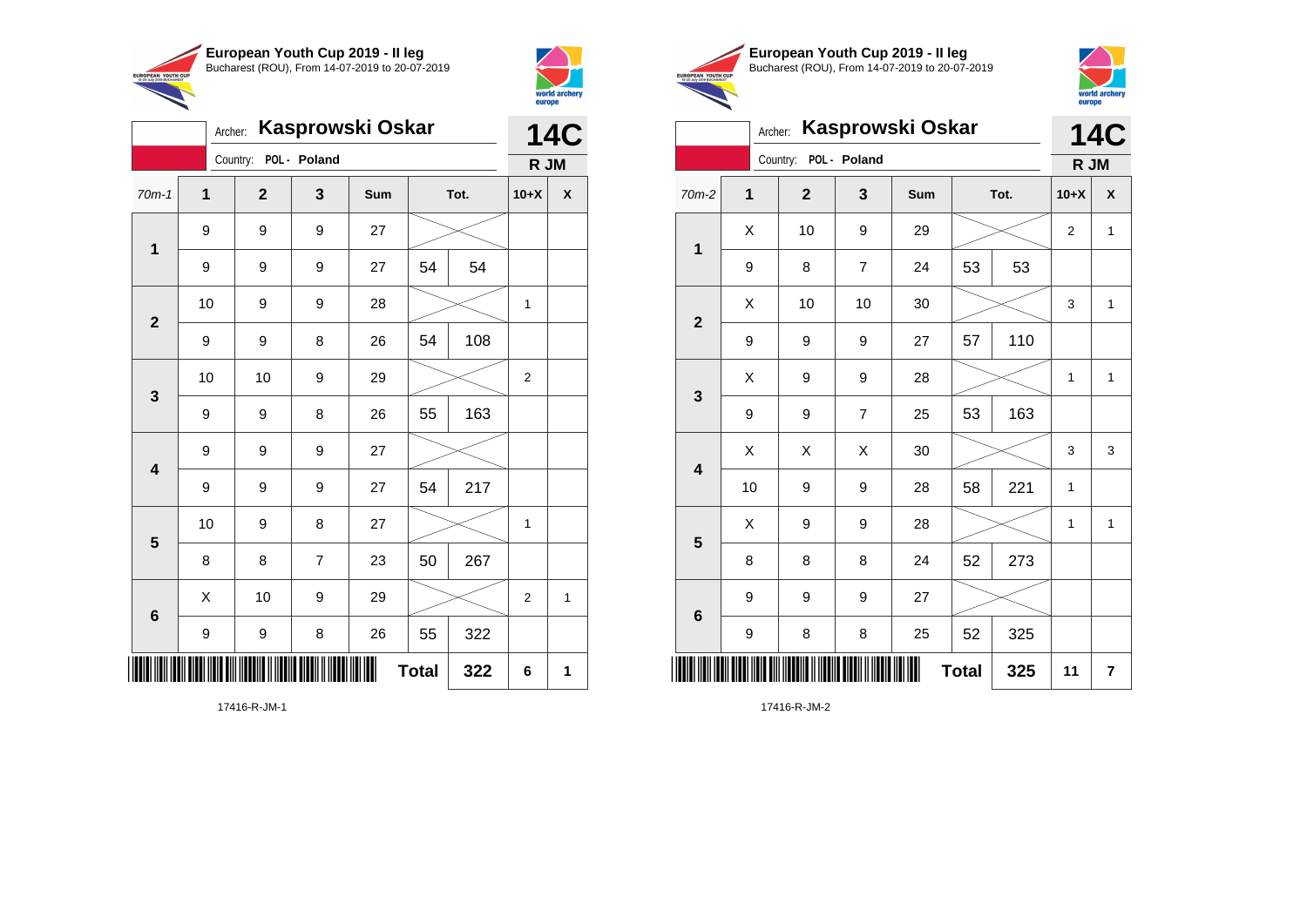

Country: **POL - Poland**

9 9 9 27

9 9 9 27

**1**

**2**

**3**

**4**

**5**

**6**

Archer: **Kasprowski Oskar**

70m-1 **1 2 3 Sum Tot. 10+X X**

9 | 9 | 9 | 27 | 54 | 54

9 | 9 | 8 | 26 | 54 | 108

9 | 9 | 8 | 26 | 55 | 163

9 | 9 | 9 | 27 | 54 | 217

8 | 8 | 7 | 23 | 50 | 267

9 | 9 | 8 | 26 | 55 | 322

10 | 9 | 8 | 27 |  $\times$  | 1

X 10 9 29 2 1

**Total 322 6 1**

10 | 9 | 9 | 28 |  $\times$  | 1

10 | 10 | 9 | 29 |  $\times$  | 2



**14C R JM**

|                                                        | European Youth Cup 2019 - Il leg               |
|--------------------------------------------------------|------------------------------------------------|
| <b>EUROPEAN YOUTH CUP</b><br>15-20 July 2019 BUCHAREST | Bucharest (ROU), From 14-07-2019 to 20-07-2019 |
|                                                        |                                                |



|                         | Archer:     |                       | Kasprowski Oskar |     |              |      |                | <b>14C</b>              |
|-------------------------|-------------|-----------------------|------------------|-----|--------------|------|----------------|-------------------------|
|                         |             | Country: POL - Poland |                  |     |              |      | R JM           |                         |
| 70m-2                   | $\mathbf 1$ | $\overline{2}$        | 3                | Sum |              | Tot. | $10+X$         | X                       |
|                         | X           | 10                    | 9                | 29  |              |      | $\overline{2}$ | $\mathbf{1}$            |
| 1                       | 9           | 8                     | $\overline{7}$   | 24  | 53           | 53   |                |                         |
| $\mathbf{2}$            | X           | 10                    | 10               | 30  |              |      | 3              | $\mathbf{1}$            |
|                         | 9           | 9                     | 9                | 27  | 57           | 110  |                |                         |
| 3                       | X           | 9                     | 9                | 28  |              |      | 1              | $\mathbf{1}$            |
|                         | 9           | 9                     | $\overline{7}$   | 25  | 53           | 163  |                |                         |
| $\overline{\mathbf{4}}$ | Χ           | Χ                     | X                | 30  |              |      | 3              | 3                       |
|                         | 10          | 9                     | 9                | 28  | 58           | 221  | 1              |                         |
| 5                       | X           | 9                     | 9                | 28  |              |      | 1              | $\mathbf{1}$            |
|                         | 8           | 8                     | 8                | 24  | 52           | 273  |                |                         |
| $6\phantom{1}6$         | 9           | 9                     | 9                | 27  |              |      |                |                         |
|                         | 9           | 8                     | 8                | 25  | 52           | 325  |                |                         |
|                         |             |                       |                  | Ш   | <b>Total</b> | 325  | 11             | $\overline{\mathbf{r}}$ |

17416-R-JM-1

\*17416-R-JM-1\*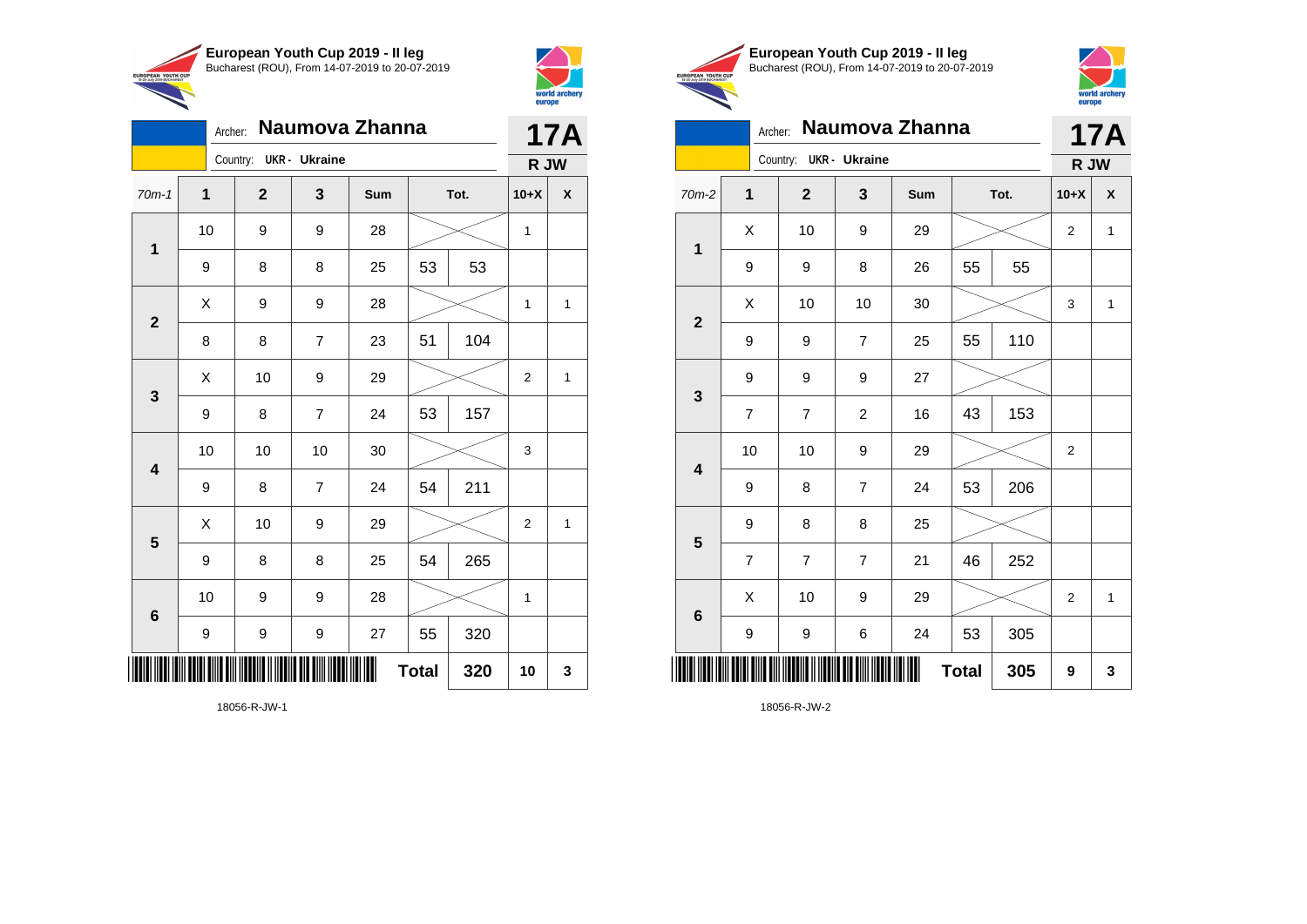



|                | Naumova Zhanna<br>Archer: |  |                |                      |     |              |      |                |              |
|----------------|---------------------------|--|----------------|----------------------|-----|--------------|------|----------------|--------------|
|                |                           |  | Country:       | <b>UKR</b> - Ukraine |     |              |      | R JW           | <b>17A</b>   |
| $70m-1$        | $\mathbf{1}$              |  | $\overline{2}$ | 3                    | Sum |              | Tot. |                | X            |
| $\mathbf 1$    | 10                        |  | 9              | 9                    | 28  |              |      |                |              |
|                | 9                         |  | 8              | 8                    | 25  | 53           | 53   |                |              |
| $\overline{2}$ | Χ                         |  | 9              | 9                    | 28  |              |      | 1              | 1            |
|                | 8                         |  | 8              | 7                    | 23  | 51           | 104  |                |              |
| 3              | X                         |  | 10             | 9                    | 29  |              |      | $\overline{2}$ | $\mathbf{1}$ |
|                | 9                         |  | 8              | $\overline{7}$       | 24  | 53           | 157  |                |              |
| 4              | 10                        |  | 10             | 10                   | 30  |              |      | 3              |              |
|                | 9                         |  | 8              | $\overline{7}$       | 24  | 54           | 211  |                |              |
| 5              | X                         |  | 10             | 9                    | 29  |              |      | $\overline{2}$ | $\mathbf{1}$ |
|                | 9                         |  | 8              | 8                    | 25  | 54           | 265  |                |              |
| 6              | 10                        |  | 9              | 9                    | 28  |              |      | 1              |              |
|                | 9                         |  | 9              | 9                    | 27  | 55           | 320  |                |              |
| Ш              |                           |  |                |                      | ║║  | <b>Total</b> | 320  | 10             | 3            |





|                         | Archer:        |                        |                | Naumova Zhanna |              |      |                | <b>17A</b>         |
|-------------------------|----------------|------------------------|----------------|----------------|--------------|------|----------------|--------------------|
|                         |                | Country: UKR - Ukraine |                |                |              |      | R JW           |                    |
| $70m-2$                 | 1              | $\mathbf{2}$           | $\mathbf{3}$   | Sum            |              | Tot. | $10+X$         | $\pmb{\mathsf{X}}$ |
| $\mathbf 1$             | X              | 10                     | 9              | 29             |              |      | $\overline{2}$ | $\mathbf{1}$       |
|                         | 9              | 9                      | 8              | 26             | 55           | 55   |                |                    |
| $\mathbf{2}$            | X              | 10                     | 10             | 30             |              |      | 3              | $\mathbf{1}$       |
|                         | 9              | 9                      | $\overline{7}$ | 25             | 55           | 110  |                |                    |
| $\mathbf{3}$            | 9              | 9                      | 9              | 27             |              |      |                |                    |
|                         | $\overline{7}$ | 7                      | $\overline{c}$ | 16             | 43           | 153  |                |                    |
| $\overline{\mathbf{4}}$ | 10             | 10                     | 9              | 29             |              |      | $\overline{2}$ |                    |
|                         | 9              | 8                      | $\overline{7}$ | 24             | 53           | 206  |                |                    |
| $\overline{\mathbf{5}}$ | 9              | 8                      | 8              | 25             |              |      |                |                    |
|                         | $\overline{7}$ | $\overline{7}$         | $\overline{7}$ | 21             | 46           | 252  |                |                    |
| $\bf 6$                 | X              | 10                     | 9              | 29             |              |      | 2              | 1                  |
|                         | 9              | 9                      | 6              | 24             | 53           | 305  |                |                    |
| ┉                       |                |                        |                |                | <b>Total</b> | 305  | 9              | 3                  |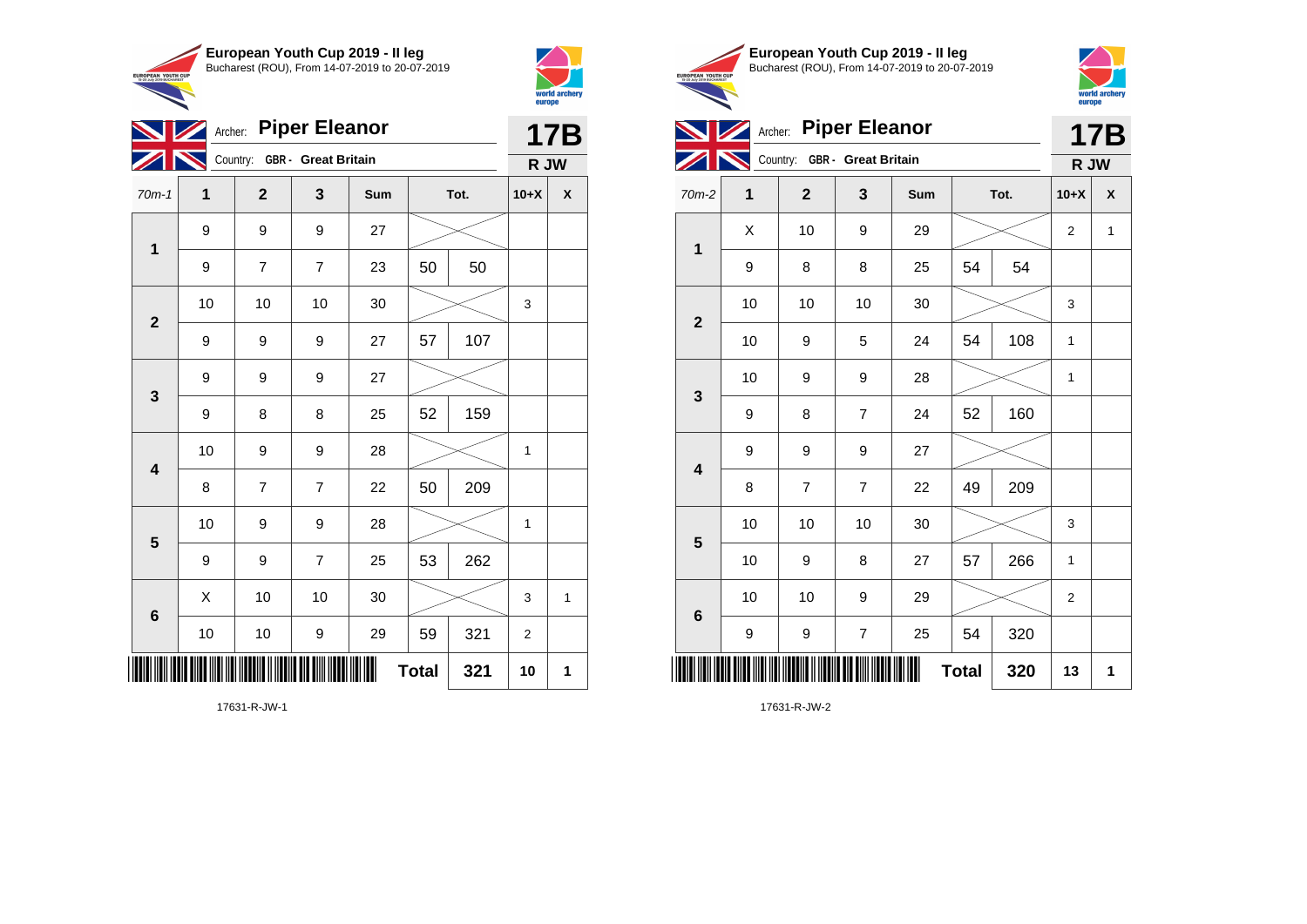



| <b>NZ</b>               |    | Archer: Piper Eleanor        |                |     |              |      |                  | <b>17B</b>   |
|-------------------------|----|------------------------------|----------------|-----|--------------|------|------------------|--------------|
|                         |    | Country: GBR - Great Britain |                |     |              |      | R JW             |              |
| $70m-1$                 | 1  | $\mathbf 2$                  | 3              | Sum |              | Tot. | $10+X$           | X            |
| $\mathbf 1$             | 9  | 9                            | 9              | 27  |              |      |                  |              |
|                         | 9  | $\overline{7}$               | $\overline{7}$ | 23  | 50           | 50   |                  |              |
|                         | 10 | 10                           | 10             | 30  |              |      | 3                |              |
| $\mathbf{2}$            | 9  | 9                            | 9              | 27  | 57           | 107  |                  |              |
| $\mathbf{3}$            | 9  | 9                            | 9              | 27  |              |      |                  |              |
|                         | 9  | 8                            | 8              | 25  | 52           | 159  |                  |              |
| $\overline{\mathbf{4}}$ | 10 | 9                            | 9              | 28  |              |      | 1                |              |
|                         | 8  | $\overline{7}$               | $\overline{7}$ | 22  | 50           | 209  |                  |              |
| 5                       | 10 | 9                            | 9              | 28  |              |      | 1                |              |
|                         | 9  | 9                            | $\overline{7}$ | 25  | 53           | 262  |                  |              |
| $\bf 6$                 | X  | 10                           | 10             | 30  |              |      | 3                | $\mathbf{1}$ |
|                         | 10 | $10$                         | 9              | 29  | 59           | 321  | $\boldsymbol{2}$ |              |
| ║║                      |    |                              |                | III | <b>Total</b> | 321  | 10               | 1            |



**5**

**6**



|              | Archer: |                              | <b>Piper Eleanor</b> |            |    |      |        | <b>17B</b> |
|--------------|---------|------------------------------|----------------------|------------|----|------|--------|------------|
|              |         | Country: GBR - Great Britain |                      |            |    |      | R JW   |            |
| $70m-2$      | 1       | $\mathbf{2}$                 | 3                    | <b>Sum</b> |    | Tot. | $10+X$ | X          |
| 1            | X       | 10                           | 9                    | 29         |    |      | 2      | 1          |
|              | 9       | 8                            | 8                    | 25         | 54 | 54   |        |            |
|              | 10      | 10                           | 10                   | 30         |    |      | 3      |            |
| $\mathbf{2}$ | 10      | 9                            | 5                    | 24         | 54 | 108  | 1      |            |
| $\mathbf{3}$ | 10      | 9                            | 9                    | 28         |    |      | 1      |            |
|              | 9       | 8                            | $\overline{7}$       | 24         | 52 | 160  |        |            |
|              | 9       | 9                            | 9                    | 27         |    |      |        |            |
| 4            | 8       | 7                            | $\overline{7}$       | 22         | 49 | 209  |        |            |

10 10 10 30 3

10 9 8 27 57 266 1

10 | 10 | 9 | 29 |  $\!\!\!\!\!\times$  | 2

**Total 320 13 1**

9 | 9 | 7 | 25 | 54 | 320

17631-R-JW-2

\*17631-R-JW-2\*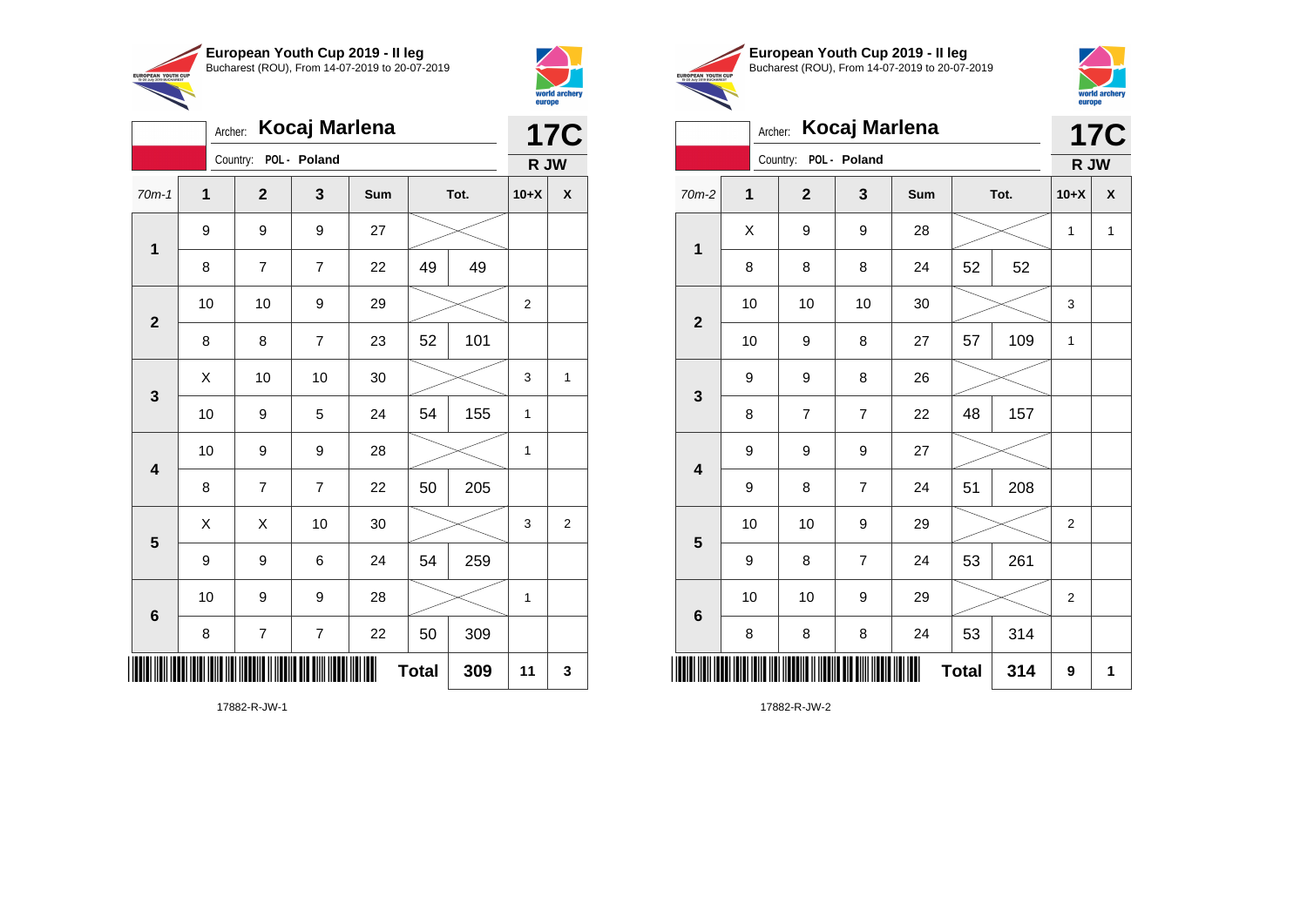

Archer: **Kocaj Marlena**

9 9 9 27

70m-1 **1 2 3 Sum Tot. 10+X X**

8 7 7 22 49 49

8 | 8 | 7 | 23 | 52 | 101

10 | 10 | 9 | 29 |  $\times$  | 2

10 | 9 | 5 | 24 | 54 | 155 | 1

10 | 9 | 9 | 28 |  $\times$  | 1

8 | 7 | 7 | 22 | 50 | 205

9 | 9 | 6 | 24 | 54 | 259

8 | 7 | 7 | 22 | 50 | 309

10 | 9 | 9 | 28 |  $\times$  | 1

 $\begin{array}{|c|c|c|c|c|c|}\hline \hspace{.1cm}X & \hspace{.1cm} \text{ 10} & \hspace{.1cm} \text{ 10} & \hspace{.1cm} \text{ 30} & \hspace{.1cm} \end{array} \hspace{.2cm} \begin{array}{|c|c|c|c|c|c|}\hline \hspace{.1cm}X & \hspace{.1cm} \text{ 3} & \hspace{.1cm} \text{ 1} & \hspace{.1cm} \text{ 4} & \hspace{.1cm} \end{array}$ 

 $\begin{array}{|c|c|c|c|c|}\hline \hspace{0.8cm}X & X & 10 & 30 & \nearrow & \ \hline \end{array} \hspace{0.2cm} \begin{array}{|c|c|c|c|c|}\hline \hspace{0.8cm}3 & 3 & 2 \end{array}$ 

**Total 309 11 3**

Country: **POL - Poland**

**1**

**2**

**3**

**4**

**5**

**6**



**17C**

**R JW**

|                                                        | European Youth Cup 2019 - Il leg               |
|--------------------------------------------------------|------------------------------------------------|
| <b>EUROPEAN YOUTH CUP</b><br>15-20 July 2019 BUCHAREST | Bucharest (ROU), From 14-07-2019 to 20-07-2019 |



|                         | Kocaj Marlena<br>Archer: |                       |                |     |              |      |                |              |  |  |
|-------------------------|--------------------------|-----------------------|----------------|-----|--------------|------|----------------|--------------|--|--|
|                         |                          | Country: POL - Poland |                |     |              |      | R JW           | <b>17C</b>   |  |  |
| $70m-2$                 | $\mathbf 1$              | $\overline{2}$        | 3              | Sum |              | Tot. | $10+X$         | X            |  |  |
| 1                       | X                        | 9                     | 9              | 28  |              |      | $\mathbf{1}$   | $\mathbf{1}$ |  |  |
|                         | 8                        | 8                     | 8              | 24  | 52           | 52   |                |              |  |  |
| $\overline{2}$          | 10                       | 10                    | 10             | 30  |              |      | 3              |              |  |  |
|                         | 10                       | 9                     | 8              | 27  | 57           | 109  | 1              |              |  |  |
| 3                       | 9                        | 9                     | 8              | 26  |              |      |                |              |  |  |
|                         | 8                        | $\overline{7}$        | $\overline{7}$ | 22  | 48           | 157  |                |              |  |  |
| $\overline{\mathbf{4}}$ | 9                        | 9                     | 9              | 27  |              |      |                |              |  |  |
|                         | 9                        | 8                     | 7              | 24  | 51           | 208  |                |              |  |  |
| 5                       | 10                       | 10                    | 9              | 29  |              |      | $\overline{2}$ |              |  |  |
|                         | 9                        | 8                     | $\overline{7}$ | 24  | 53           | 261  |                |              |  |  |
| $6\phantom{1}6$         | 10                       | 10                    | 9              | 29  |              |      | $\overline{2}$ |              |  |  |
|                         | 8                        | 8                     | 8              | 24  | 53           | 314  |                |              |  |  |
|                         |                          |                       |                |     | <b>Total</b> | 314  | 9              | 1            |  |  |

17882-R-JW-2

17882-R-JW-1

\*17882-R-JW-1788-R-JW-1788-R-JW-1788-R-JW-1788-R-JW-1788-R-JW-1788-R-JW-1788-R-JW-1788-R-JW-1788-R-JW-1788-R-J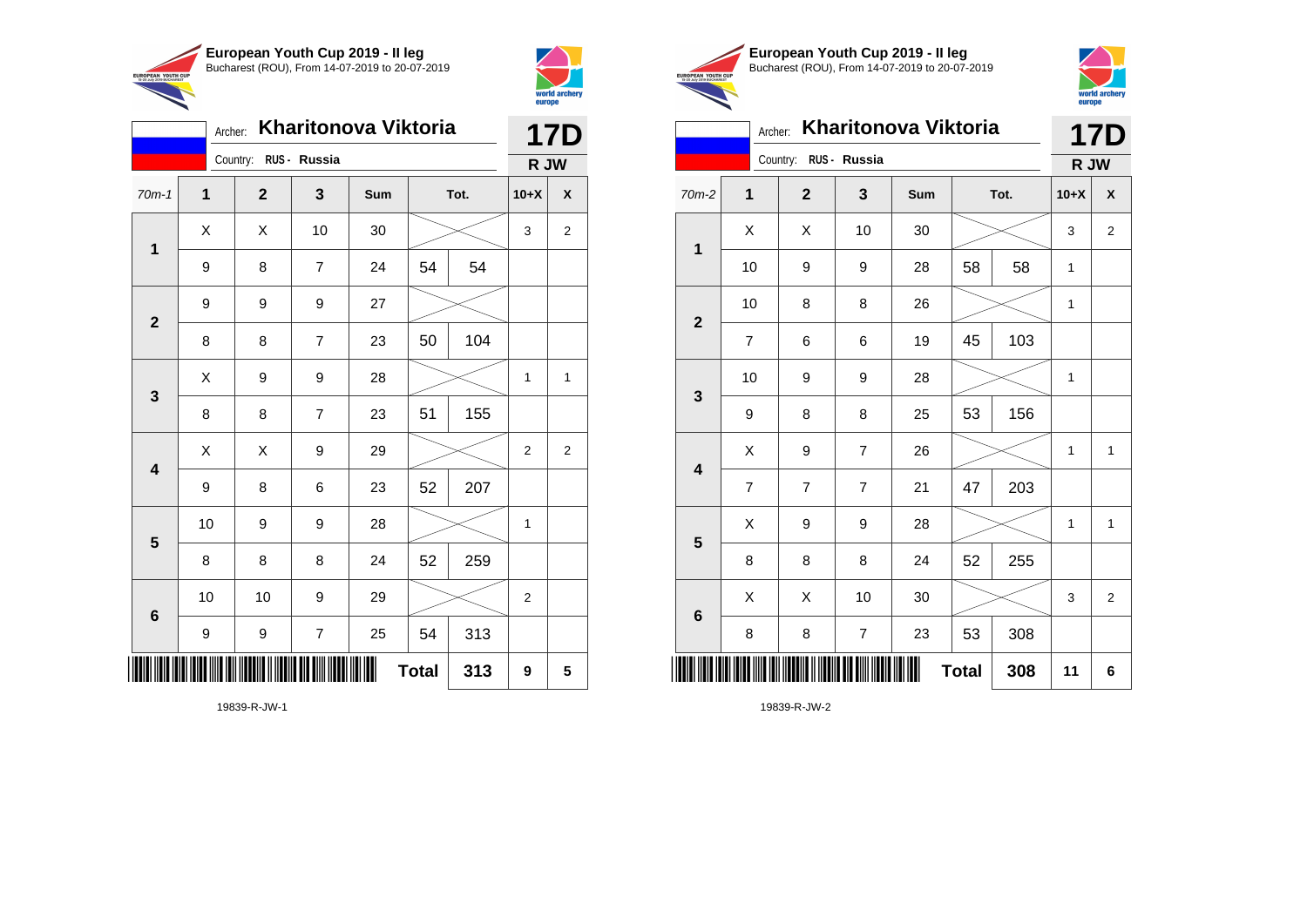



|                         | Archer: |                       |                | Kharitonova Viktoria |              |      |                | <b>17D</b> |  |
|-------------------------|---------|-----------------------|----------------|----------------------|--------------|------|----------------|------------|--|
|                         |         | Country: RUS - Russia |                |                      |              |      | R JW           |            |  |
| $70m-1$                 | 1       | $\mathbf{2}$          | 3              | Sum                  |              | Tot. | $10+X$         | X          |  |
| 1                       | X       | X                     | 10             | 30                   |              |      | 3              | 2          |  |
|                         | 9       | 8                     | $\overline{7}$ | 24                   | 54           | 54   |                |            |  |
| $\overline{2}$          | 9       | 9                     | 9              | 27                   |              |      |                |            |  |
|                         | 8       | 8                     | 7              | 23                   | 50           | 104  |                |            |  |
| 3                       | X       | 9                     | 9              | 28                   |              |      | 1              | 1          |  |
|                         | 8       | 8                     | $\overline{7}$ | 23                   | 51           | 155  |                |            |  |
| $\overline{\mathbf{4}}$ | Χ       | X                     | 9              | 29                   |              |      | 2              | 2          |  |
|                         | 9       | 8                     | 6              | 23                   | 52           | 207  |                |            |  |
| 5                       | 10      | 9                     | 9              | 28                   |              |      | 1              |            |  |
|                         | 8       | 8                     | 8              | 24                   | 52           | 259  |                |            |  |
| $6\phantom{1}6$         | 10      | 10                    | 9              | 29                   |              |      | $\overline{2}$ |            |  |
|                         | 9       | 9                     | $\overline{7}$ | 25                   | 54           | 313  |                |            |  |
| IIIII                   |         |                       |                |                      | <b>Total</b> | 313  | 9              | 5          |  |





#### Archer: **Kharitonova Viktoria 17D** Country: **RUS - Russia R JW**  $\overline{a}$

| $70m-2$                 | 1                       | $\mathbf{2}$             | 3                | Sum | Tot.         |     | $10+X$       | $\pmb{\mathsf{X}}$ |
|-------------------------|-------------------------|--------------------------|------------------|-----|--------------|-----|--------------|--------------------|
| $\mathbf{1}$            | X                       | X                        | 10               | 30  |              |     | 3            | $\boldsymbol{2}$   |
|                         | 10                      | 9                        | 9                | 28  | 58           | 58  | $\mathbf{1}$ |                    |
| $\mathbf{2}$            | $10$                    | 8                        | 8                | 26  |              |     | 1            |                    |
|                         | 7                       | 6                        | 6                | 19  | 45           | 103 |              |                    |
| $\mathbf 3$             | 10                      | 9                        | 9                | 28  |              |     | 1            |                    |
|                         | 9                       | 8                        | 8                | 25  | 53           | 156 |              |                    |
| $\overline{\mathbf{4}}$ | X                       | 9                        | $\boldsymbol{7}$ | 26  |              |     | 1            | 1                  |
|                         | $\overline{\mathbf{7}}$ | $\overline{\mathcal{I}}$ | $\boldsymbol{7}$ | 21  | 47           | 203 |              |                    |
| $\overline{\mathbf{5}}$ | X                       | 9                        | 9                | 28  |              |     | 1            | 1                  |
|                         | 8                       | 8                        | 8                | 24  | 52           | 255 |              |                    |
| $\bf 6$                 | Χ                       | X                        | 10               | 30  |              |     | 3            | $\boldsymbol{2}$   |
|                         | 8                       | 8                        | $\boldsymbol{7}$ | 23  | 53           | 308 |              |                    |
|                         |                         |                          |                  | Ш   | <b>Total</b> | 308 | 11           | 6                  |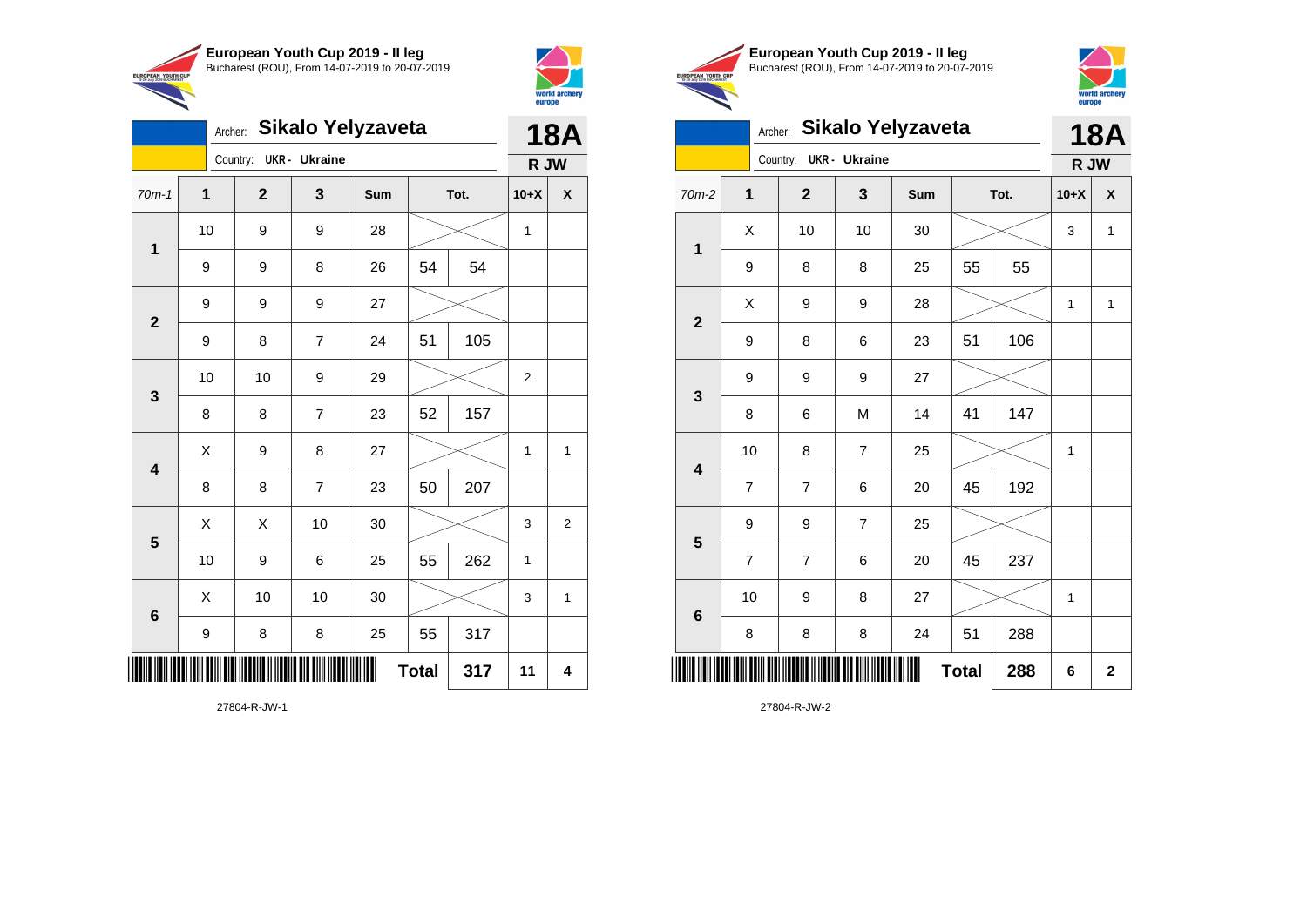



EUROPEAN YOUTH CUP

|                         |             |                        |                |                   |    |      |                | world archery<br>europe   |
|-------------------------|-------------|------------------------|----------------|-------------------|----|------|----------------|---------------------------|
|                         | Archer:     |                        |                | Sikalo Yelyzaveta |    |      |                | <b>18A</b>                |
|                         |             | Country: UKR - Ukraine |                |                   |    |      | R JW           |                           |
| $70m-1$                 | $\mathbf 1$ | $\mathbf{2}$           | 3              | Sum               |    | Tot. | $10+X$         | $\boldsymbol{\mathsf{x}}$ |
|                         | 10          | 9                      | 9              | 28                |    |      | 1              |                           |
| $\mathbf 1$             | 9           | 9                      | 8              | 26                | 54 | 54   |                |                           |
| $\mathbf{2}$            | 9           | 9                      | 9              | 27                |    |      |                |                           |
|                         | 9           | 8                      | $\overline{7}$ | 24                | 51 | 105  |                |                           |
| $\mathbf{3}$            | 10          | 10                     | 9              | 29                |    |      | $\overline{2}$ |                           |
|                         | 8           | 8                      | $\overline{7}$ | 23                | 52 | 157  |                |                           |
| $\overline{\mathbf{4}}$ | X           | 9                      | 8              | 27                |    |      | 1              | $\mathbf{1}$              |
|                         | 8           | 8                      | $\overline{7}$ | 23                | 50 | 207  |                |                           |
| $5\phantom{1}$          | X           | X                      | 10             | 30                |    |      | 3              | $\overline{2}$            |
|                         | 10          | 9                      | 6              | 25                | 55 | 262  | 1              |                           |
| $\bf 6$                 | X           | 10                     | 10             | 30                |    |      | 3              | $\mathbf{1}$              |
|                         | 9           | 8                      | 8              | 25                | 55 | 317  |                |                           |

**Total**  $317$  11 4

27804-R-JW-1

\*27804-R-JW-1\*





|                         | Archer:        |              |                | Sikalo Yelyzaveta |              |      |        | <b>18A</b>  |
|-------------------------|----------------|--------------|----------------|-------------------|--------------|------|--------|-------------|
|                         |                | Country:     | UKR - Ukraine  |                   |              |      | R JW   |             |
| $70m-2$                 | 1              | $\mathbf{2}$ | 3              | Sum               |              | Tot. | $10+X$ | X           |
| $\mathbf 1$             | X              | 10           | 10             | 30                |              |      | 3      | 1           |
|                         | 9              | 8            | 8              | 25                | 55           | 55   |        |             |
| $\mathbf{2}$            | X              | 9            | 9              | 28                |              |      | 1      | 1           |
|                         | 9              | 8            | 6              | 23                | 51           | 106  |        |             |
| 3                       | 9              | 9            | 9              | 27                |              |      |        |             |
|                         | 8              | 6            | M              | 14                | 41           | 147  |        |             |
| $\overline{\mathbf{4}}$ | 10             | 8            | $\overline{7}$ | 25                |              |      | 1      |             |
|                         | $\overline{7}$ | 7            | 6              | 20                | 45           | 192  |        |             |
| $\overline{\mathbf{5}}$ | 9              | 9            | $\overline{7}$ | 25                |              |      |        |             |
|                         | $\overline{7}$ | 7            | 6              | 20                | 45           | 237  |        |             |
| $\bf 6$                 | 10             | 9            | 8              | 27                |              |      | 1      |             |
|                         | 8              | 8            | 8              | 24                | 51           | 288  |        |             |
| ║║║                     |                |              |                |                   | <b>Total</b> | 288  | 6      | $\mathbf 2$ |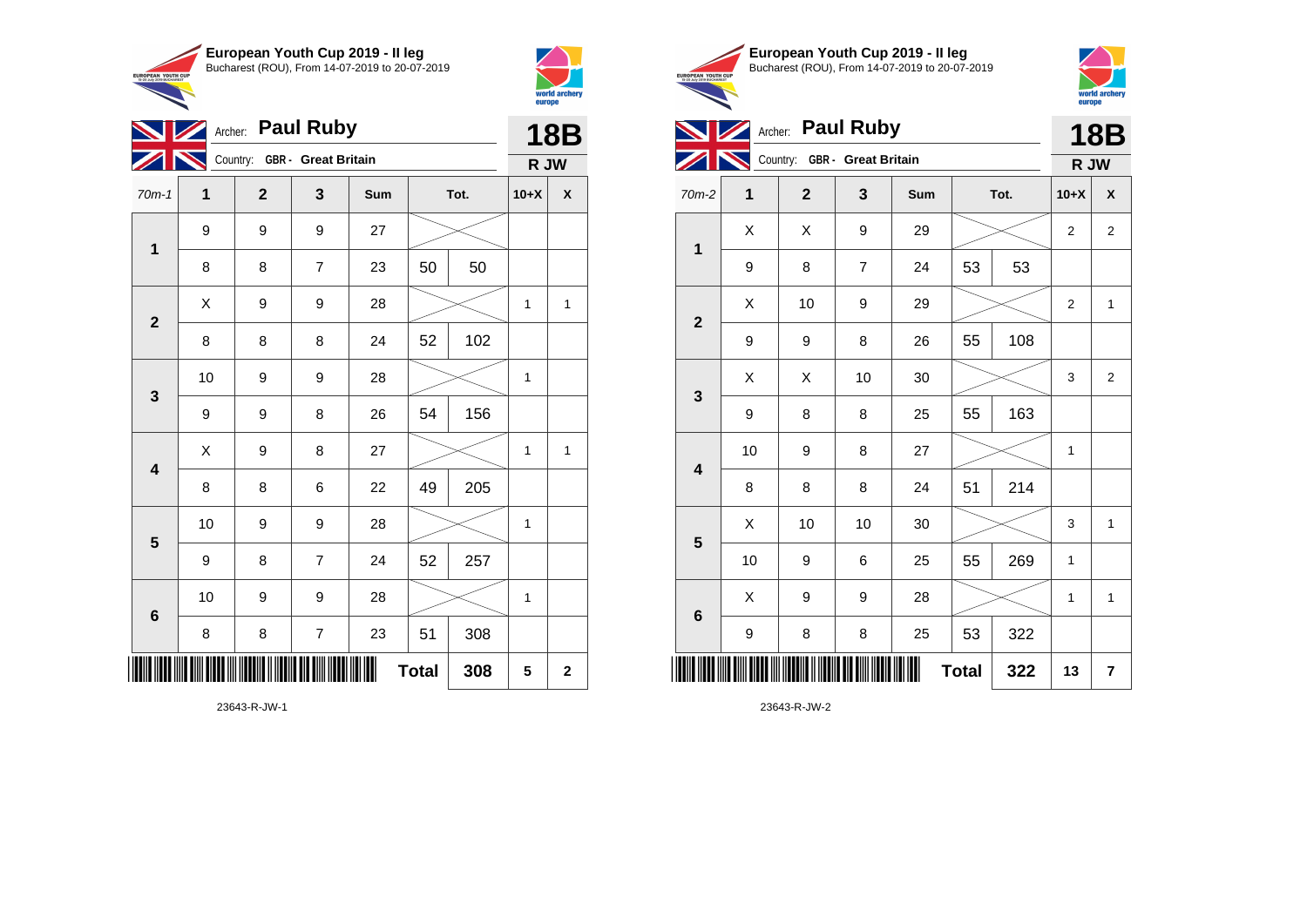



|                         | Archer:      | <b>Paul Ruby</b>             |                |     | <b>18B</b>   |      |        |                |
|-------------------------|--------------|------------------------------|----------------|-----|--------------|------|--------|----------------|
|                         |              | Country: GBR - Great Britain |                |     |              |      | R JW   |                |
| $70m-1$                 | $\mathbf{1}$ | $\overline{2}$               | 3              | Sum |              | Tot. | $10+X$ | X              |
| $\overline{\mathbf{1}}$ | 9            | 9                            | 9              | 27  |              |      |        |                |
|                         | 8            | 8                            | $\overline{7}$ | 23  | 50           | 50   |        |                |
| $\overline{\mathbf{2}}$ | X            | 9                            | 9              | 28  |              |      | 1      | 1              |
|                         | 8            | 8                            | 8              | 24  | 52           | 102  |        |                |
| $\mathbf{3}$            | 10           | 9                            | 9              | 28  |              |      | 1      |                |
|                         | 9            | 9                            | 8              | 26  | 54           | 156  |        |                |
| $\overline{\mathbf{4}}$ | X            | 9                            | 8              | 27  |              |      | 1      | 1              |
|                         | 8            | 8                            | 6              | 22  | 49           | 205  |        |                |
| $\overline{\mathbf{5}}$ | 10           | 9                            | 9              | 28  |              |      | 1      |                |
|                         | 9            | 8                            | $\overline{7}$ | 24  | 52           | 257  |        |                |
| 6                       | 10           | 9                            | 9              | 28  |              |      | 1      |                |
|                         | 8            | 8                            | $\overline{7}$ | 23  | 51           | 308  |        |                |
|                         |              |                              |                |     | <b>Total</b> | 308  | 5      | $\overline{2}$ |





|                 | 2  |                              |                  |     |              |      |                | europe                  |
|-----------------|----|------------------------------|------------------|-----|--------------|------|----------------|-------------------------|
|                 |    | Archer:                      | <b>Paul Ruby</b> |     |              |      |                | <b>18B</b>              |
|                 |    | Country: GBR - Great Britain |                  |     |              |      | R JW           |                         |
| $70m-2$         | 1  | $\overline{2}$               | 3                | Sum |              | Tot. | $10+X$         | $\pmb{\mathsf{X}}$      |
| 1               | X  | X                            | 9                | 29  |              |      | 2              | 2                       |
|                 | 9  | 8                            | $\overline{7}$   | 24  | 53           | 53   |                |                         |
| $\overline{2}$  | X  | 10                           | 9                | 29  |              |      | $\overline{2}$ | $\mathbf{1}$            |
|                 | 9  | 9                            | 8                | 26  | 55           | 108  |                |                         |
| 3               | X  | X                            | 10               | 30  |              |      | 3              | $\overline{2}$          |
|                 | 9  | 8                            | 8                | 25  | 55           | 163  |                |                         |
| 4               | 10 | 9                            | 8                | 27  |              |      | 1              |                         |
|                 | 8  | 8                            | 8                | 24  | 51           | 214  |                |                         |
| 5               | X  | 10                           | 10               | 30  |              |      | 3              | $\mathbf{1}$            |
|                 | 10 | 9                            | 6                | 25  | 55           | 269  | 1              |                         |
| $6\phantom{1}6$ | X  | 9                            | 9                | 28  |              |      | $\mathbf{1}$   | $\mathbf{1}$            |
|                 | 9  | 8                            | 8                | 25  | 53           | 322  |                |                         |
| Ⅲ               |    |                              |                  |     | <b>Total</b> | 322  | 13             | $\overline{\mathbf{r}}$ |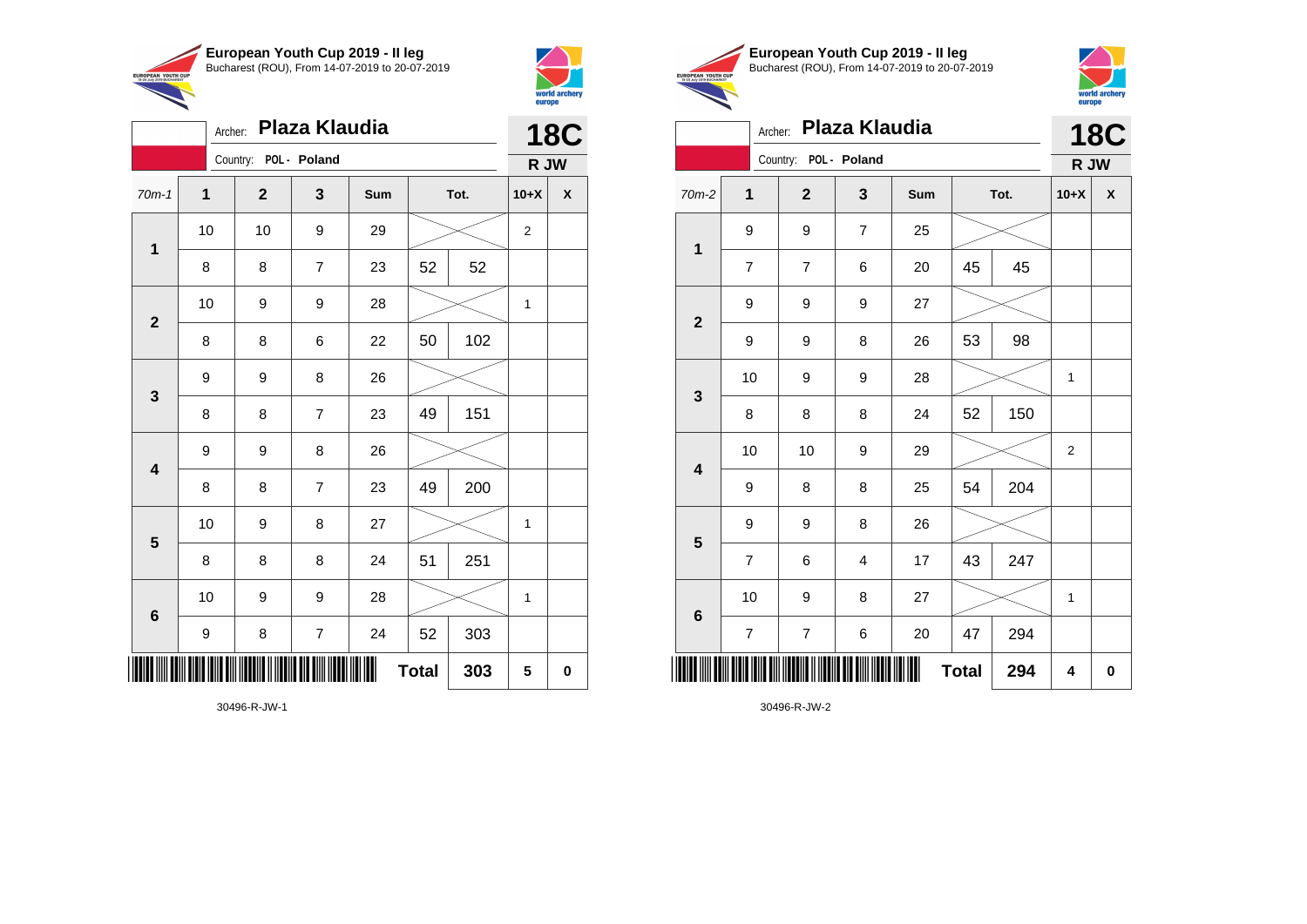

Archer: **Plaza Klaudia**

9 9 8 26

9 9 8 26

70m-1 **1 2 3 Sum Tot. 10+X X**

8 | 8 | 7 | 23 | 52 | 52

8 | 8 | 6 | 22 | 50 | 102

8 8 7 23 49 151

8 | 8 | 7 | 23 | 49 | 200

8 | 8 | 8 | 24 | 51 | 251

9 | 8 | 7 | 24 | 52 | 303

10 | 9 | 8 | 27 |  $\times$  | 1

10 | 9 | 9 | 28 |  $\times$  | 1

 $Total | 303 | 5 | 0$ 

10 | 10 | 9 | 29 |  $\times$  | 2

10 | 9 | 9 | 28 |  $\times$  | 1

Country: **POL - Poland**

**1**

**2**

**3**

**4**

**5**

**6**



**18C**

**R JW**

|                                       | European Youth Cup 2019 - Il leq               |
|---------------------------------------|------------------------------------------------|
| <b>YOUTH CUP</b><br><b>BLICHADEST</b> | Bucharest (ROU), From 14-07-2019 to 20-07-2019 |
|                                       |                                                |



| Plaza Klaudia<br>Archer: |                |                         |                |     |              |      |                  | <b>18C</b> |
|--------------------------|----------------|-------------------------|----------------|-----|--------------|------|------------------|------------|
|                          |                | Country: POL - Poland   |                |     |              |      | R JW             |            |
| $70m-2$                  | $\mathbf{1}$   | $\overline{2}$          | 3              | Sum |              | Tot. | $10+X$           | X          |
| $\mathbf{1}$             | 9              | 9                       | $\overline{7}$ | 25  |              |      |                  |            |
|                          | $\overline{7}$ | $\overline{\mathbf{7}}$ | 6              | 20  | 45           | 45   |                  |            |
| $\mathbf 2$              | 9              | 9                       | 9              | 27  |              |      |                  |            |
|                          | 9              | 9                       | 8              | 26  | 53           | 98   |                  |            |
| 3                        | 10             | 9                       | 9              | 28  |              |      | 1                |            |
|                          | 8              | 8                       | 8              | 24  | 52           | 150  |                  |            |
| $\overline{\mathbf{4}}$  | 10             | 10                      | 9              | 29  |              |      | $\boldsymbol{2}$ |            |
|                          | 9              | 8                       | 8              | 25  | 54           | 204  |                  |            |
| $\overline{\mathbf{5}}$  | 9              | 9                       | 8              | 26  |              |      |                  |            |
|                          | $\overline{7}$ | 6                       | $\overline{4}$ | 17  | 43           | 247  |                  |            |
| 6                        | 10             | 9                       | 8              | 27  |              |      | $\mathbf{1}$     |            |
|                          | $\overline{7}$ | $\boldsymbol{7}$        | 6              | 20  | 47           | 294  |                  |            |
|                          |                |                         |                |     | <b>Total</b> | 294  | 4                | $\pmb{0}$  |

30496-R-JW-1

\*30496-R-JW-1\*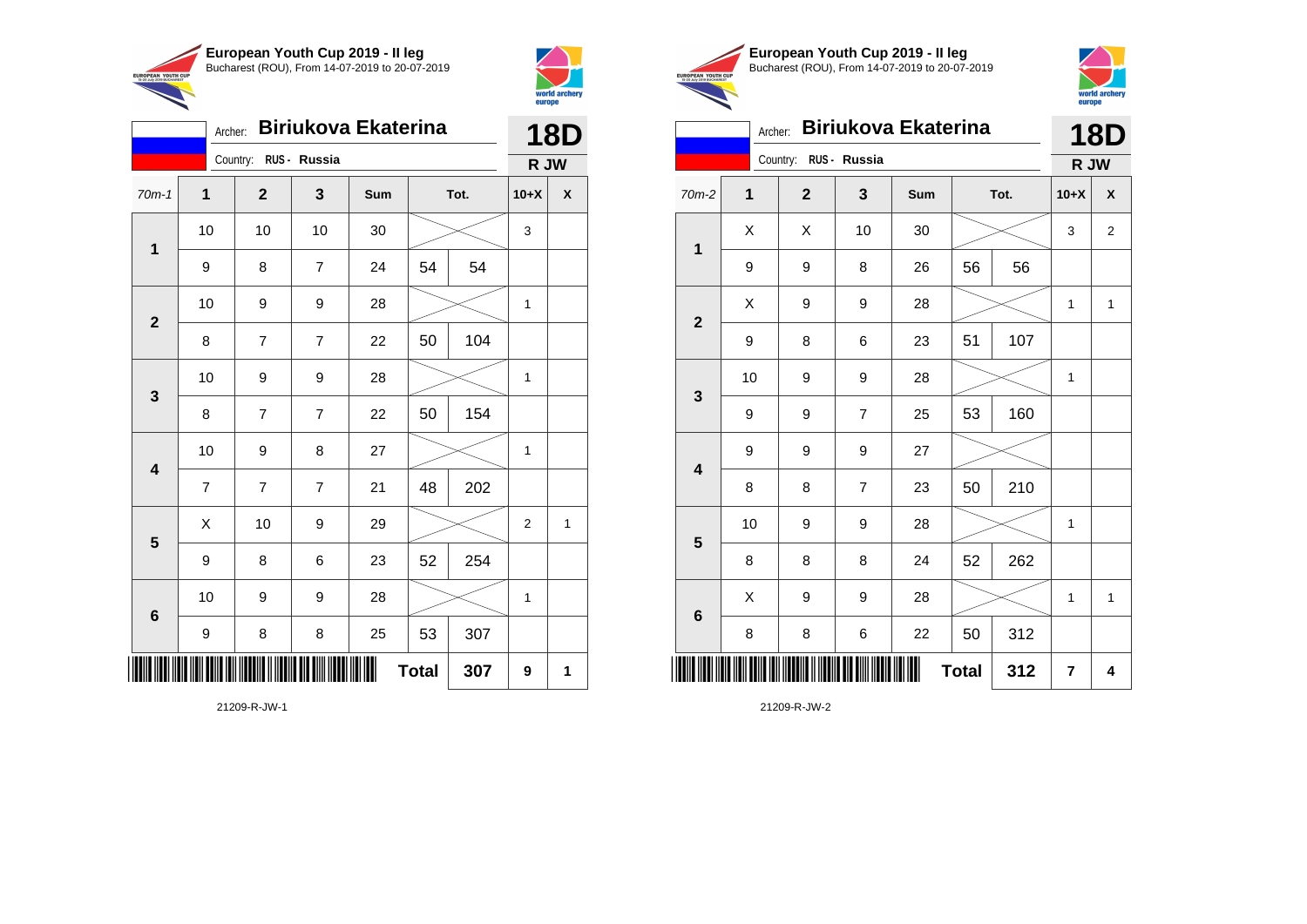



|                         | Archer:          |                       |                | <b>Biriukova Ekaterina</b> |              |      |                | <b>18D</b>   |
|-------------------------|------------------|-----------------------|----------------|----------------------------|--------------|------|----------------|--------------|
|                         |                  | Country: RUS - Russia |                |                            |              |      | R JW           |              |
| $70m-1$                 | 1                | $\mathbf{2}$          | 3              | Sum                        |              | Tot. | $10+X$         | χ            |
| $\mathbf 1$             | 10               | 10                    | 10             | 30                         |              |      | 3              |              |
|                         | 9                | 8                     | $\overline{7}$ | 24                         | 54           | 54   |                |              |
| $\mathbf{2}$            | 10               | 9                     | 9              | 28                         |              |      | $\mathbf{1}$   |              |
|                         | 8                | $\overline{7}$        | $\overline{7}$ | 22                         | 50           | 104  |                |              |
|                         | 10               | 9                     | 9              | 28                         |              |      | 1              |              |
| 3                       | 8                | $\overline{7}$        | $\overline{7}$ | 22                         | 50           | 154  |                |              |
| $\overline{\mathbf{4}}$ | 10               | 9                     | 8              | 27                         |              |      | $\mathbf 1$    |              |
|                         | $\overline{7}$   | $\overline{7}$        | $\overline{7}$ | 21                         | 48           | 202  |                |              |
| $\overline{\mathbf{5}}$ | X                | 10                    | 9              | 29                         |              |      | $\overline{c}$ | $\mathbf{1}$ |
|                         | 9                | 8                     | 6              | 23                         | 52           | 254  |                |              |
| $\bf 6$                 | 10               | 9                     | 9              | 28                         |              |      | 1              |              |
|                         | $\boldsymbol{9}$ | 8                     | 8              | 25                         | 53           | 307  |                |              |
| ║║║                     |                  |                       |                |                            | <b>Total</b> | 307  | 9              | 1            |





|                         | Archer: |                       |                | Biriukova Ekaterina |              |      |                | <b>18D</b>     |
|-------------------------|---------|-----------------------|----------------|---------------------|--------------|------|----------------|----------------|
|                         |         | Country: RUS - Russia |                |                     |              |      | R JW           |                |
| 70m-2                   | 1       | $\mathbf 2$           | 3              | Sum                 |              | Tot. | $10+X$         | X              |
| $\mathbf 1$             | X       | Χ                     | 10             | 30                  |              |      | 3              | $\overline{c}$ |
|                         | 9       | 9                     | 8              | 26                  | 56           | 56   |                |                |
| $\boldsymbol{2}$        | Χ       | 9                     | 9              | 28                  |              |      | 1              | $\mathbf{1}$   |
|                         | 9       | 8                     | 6              | 23                  | 51           | 107  |                |                |
| 3                       | 10      | 9                     | 9              | 28                  |              |      | 1              |                |
|                         | 9       | 9                     | $\overline{7}$ | 25                  | 53           | 160  |                |                |
| $\overline{\mathbf{4}}$ | 9       | 9                     | 9              | 27                  |              |      |                |                |
|                         | 8       | 8                     | 7              | 23                  | 50           | 210  |                |                |
| 5                       | 10      | 9                     | 9              | 28                  |              |      | 1              |                |
|                         | 8       | 8                     | 8              | 24                  | 52           | 262  |                |                |
| $\bf 6$                 | X       | 9                     | 9              | 28                  |              |      | 1              | $\mathbf{1}$   |
|                         | 8       | 8                     | 6              | 22                  | 50           | 312  |                |                |
| IIIII                   |         |                       |                |                     | <b>Total</b> | 312  | $\overline{7}$ | 4              |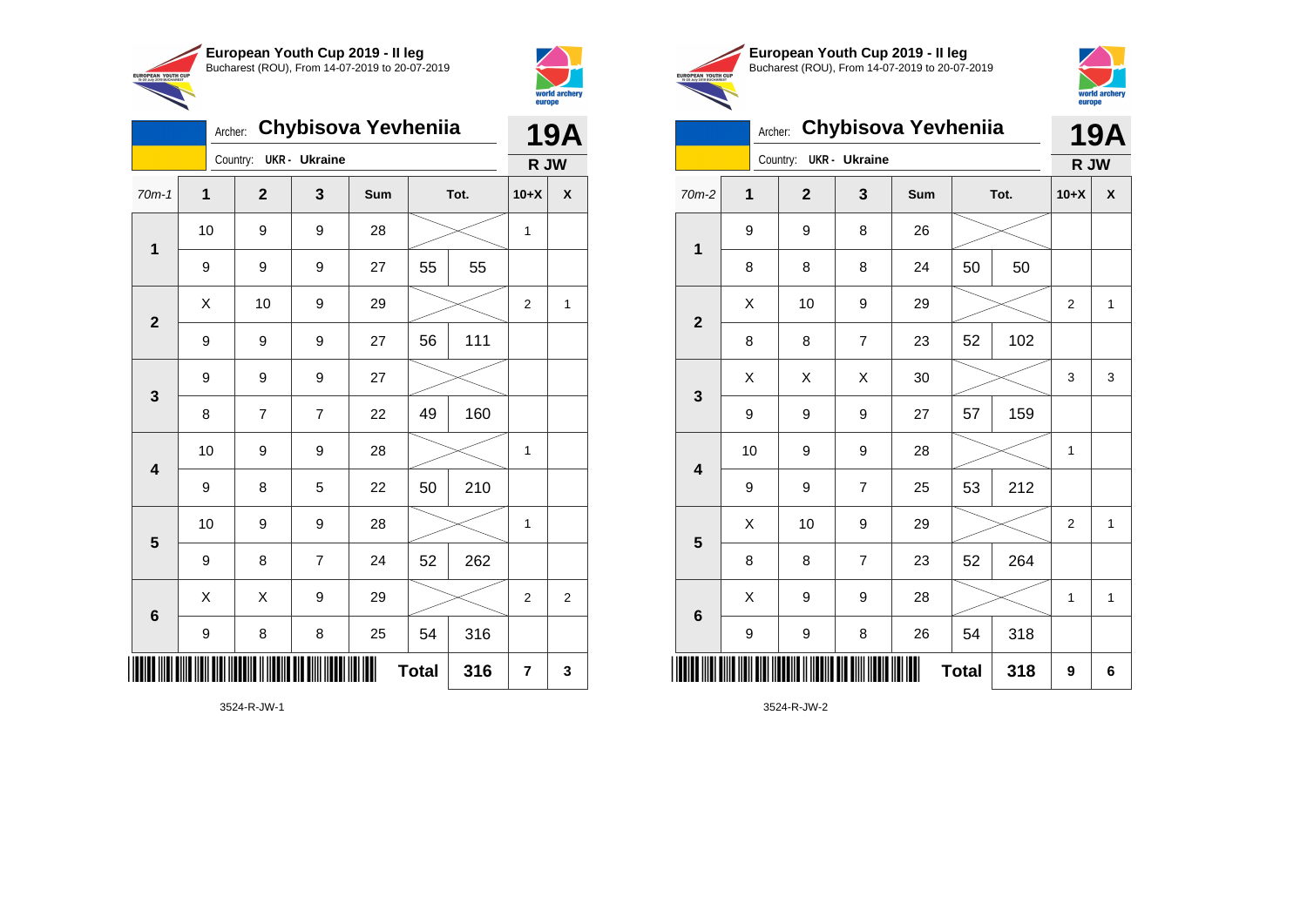



|                         | Chybisova Yevheniia<br>Archer: |    |                |                      |     |              |     |                | <b>19A</b> |
|-------------------------|--------------------------------|----|----------------|----------------------|-----|--------------|-----|----------------|------------|
|                         |                                |    | Country:       | <b>UKR</b> - Ukraine |     |              |     | R JW           |            |
| $70m-1$                 | 1                              |    | $\mathbf{2}$   | 3                    | Sum | Tot.         |     | $10+X$         | χ          |
|                         |                                | 10 | 9              | 9                    | 28  |              |     | 1              |            |
| $\mathbf{1}$            |                                | 9  | 9              | 9                    | 27  | 55           | 55  |                |            |
| $\overline{2}$          |                                | X  | 10             | 9                    | 29  |              |     | $\overline{2}$ | 1          |
|                         |                                | 9  | 9              | 9                    | 27  | 56           | 111 |                |            |
|                         | 9                              |    | 9              | 9                    | 27  |              |     |                |            |
| 3                       |                                | 8  | $\overline{7}$ | $\overline{7}$       | 22  | 49           | 160 |                |            |
| $\overline{\mathbf{4}}$ |                                | 10 | 9              | 9                    | 28  |              |     | 1              |            |
|                         |                                | 9  | 8              | 5                    | 22  | 50           | 210 |                |            |
| 5                       |                                | 10 | 9              | 9                    | 28  |              |     | 1              |            |
|                         |                                | 9  | 8              | $\overline{7}$       | 24  | 52           | 262 |                |            |
| 6                       |                                | X  | X              | 9                    | 29  |              |     | $\overline{2}$ | 2          |
|                         |                                | 9  | 8              | 8                    | 25  | 54           | 316 |                |            |
|                         |                                |    |                |                      |     | <b>Total</b> | 316 | 7              | 3          |





|                         |    | Archer: |                | Chybisova Yevheniia  |     |              |      |                | 19A          |
|-------------------------|----|---------|----------------|----------------------|-----|--------------|------|----------------|--------------|
|                         |    |         | Country:       | <b>UKR</b> - Ukraine |     |              |      | R JW           |              |
| 70m-2                   | 1  |         | $\overline{2}$ | 3                    | Sum |              | Tot. | $10+X$         | X            |
| 1                       | 9  |         | 9              | 8                    | 26  |              |      |                |              |
|                         | 8  |         | 8              | 8                    | 24  | 50           | 50   |                |              |
| $\overline{\mathbf{2}}$ | Χ  |         | 10             | 9                    | 29  |              |      | $\overline{c}$ | 1            |
|                         | 8  |         | 8              | 7                    | 23  | 52           | 102  |                |              |
| 3                       | X  |         | X              | Χ                    | 30  |              |      | 3              | 3            |
|                         | 9  |         | 9              | 9                    | 27  | 57           | 159  |                |              |
| $\overline{\mathbf{4}}$ | 10 |         | 9              | 9                    | 28  |              |      | 1              |              |
|                         | 9  |         | 9              | 7                    | 25  | 53           | 212  |                |              |
| 5                       | X  |         | 10             | 9                    | 29  |              |      | $\overline{2}$ | $\mathbf{1}$ |
|                         | 8  |         | 8              | $\overline{7}$       | 23  | 52           | 264  |                |              |
| $\bf 6$                 | X  |         | 9              | 9                    | 28  |              |      | 1              | $\mathbf{1}$ |
|                         | 9  |         | 9              | 8                    | 26  | 54           | 318  |                |              |
|                         |    |         |                |                      |     | <b>Total</b> | 318  | 9              | 6            |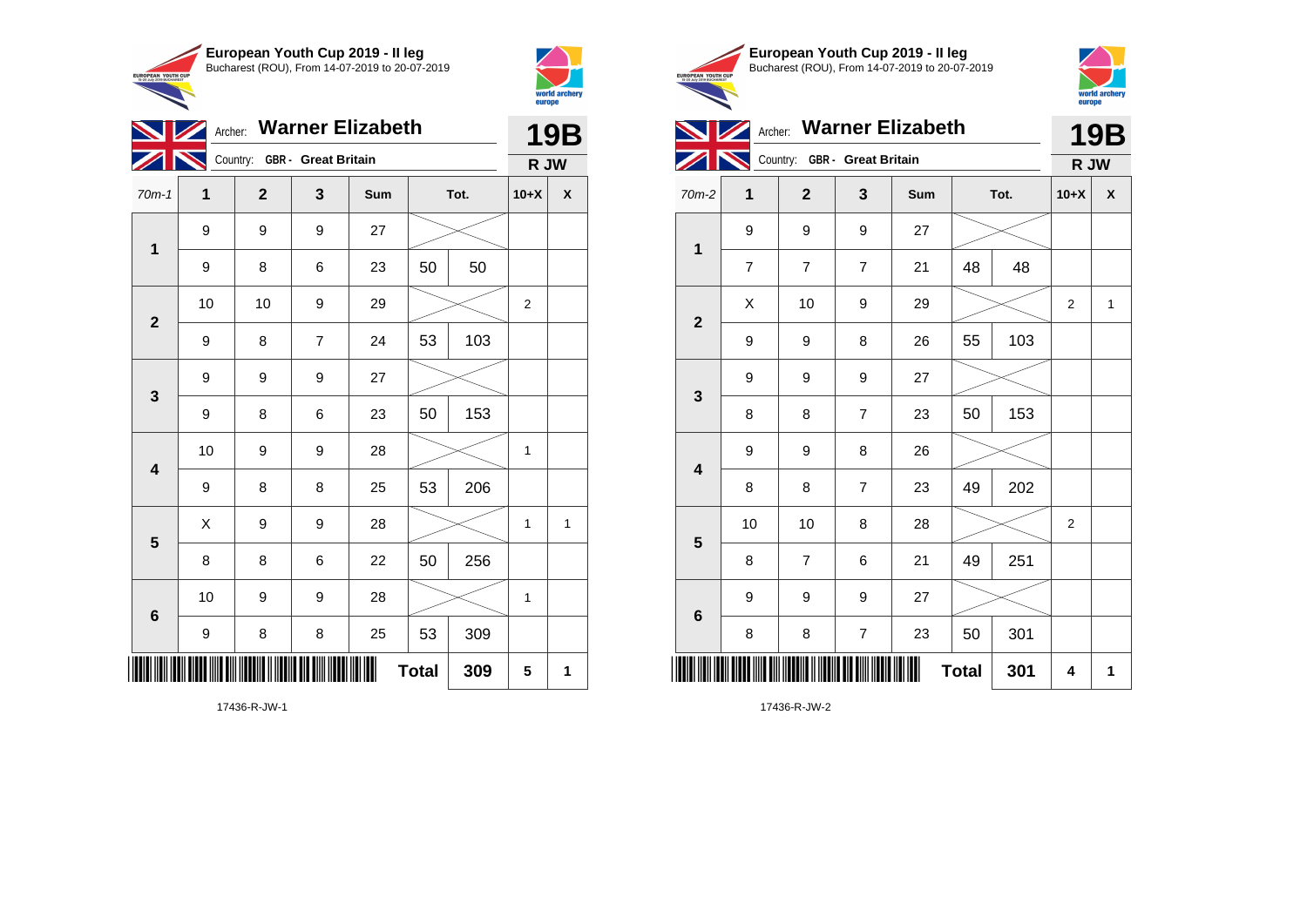



| <b>NZ</b>      |                  |                              |                | Archer: Warner Elizabeth |              |     |                | <b>19B</b>       |
|----------------|------------------|------------------------------|----------------|--------------------------|--------------|-----|----------------|------------------|
|                |                  | Country: GBR - Great Britain |                |                          |              |     | R JW           |                  |
| $70m-1$        | 1                | $\mathbf{2}$                 | 3              | Sum                      | Tot.         |     | $10+X$         | $\boldsymbol{x}$ |
| $\mathbf 1$    | 9                | 9                            | 9              | 27                       |              |     |                |                  |
|                | 9                | 8                            | 6              | 23                       | 50           | 50  |                |                  |
| $\overline{2}$ | 10               | 10                           | 9              | 29                       |              |     | $\overline{c}$ |                  |
|                | 9                | 8                            | $\overline{7}$ | 24                       | 53           | 103 |                |                  |
| $\mathbf{3}$   | $\boldsymbol{9}$ | 9                            | 9              | 27                       |              |     |                |                  |
|                | 9                | 8                            | 6              | 23                       | 50           | 153 |                |                  |
| 4              | 10               | 9                            | 9              | 28                       |              |     | 1              |                  |
|                | 9                | 8                            | 8              | 25                       | 53           | 206 |                |                  |
| $5\phantom{1}$ | Χ                | 9                            | 9              | 28                       |              |     | 1              | 1                |
|                | 8                | 8                            | 6              | 22                       | 50           | 256 |                |                  |
| $\bf 6$        | 10               | 9                            | 9              | 28                       |              |     | $\mathbf{1}$   |                  |
|                | 9                | 8                            | 8              | 25                       | 53           | 309 |                |                  |
| ║║║            |                  |                              |                | ∭                        | <b>Total</b> | 309 | 5              | 1                |





|                         |                | Archer: Warner Elizabeth           |                  |     |              |      |                |                           |  |
|-------------------------|----------------|------------------------------------|------------------|-----|--------------|------|----------------|---------------------------|--|
|                         |                | Country: GBR - Great Britain       |                  |     |              |      | R JW           |                           |  |
| 70m-2                   | 1              | $\mathbf{2}$                       | 3                | Sum |              | Tot. | $10+X$         | $\boldsymbol{\mathsf{x}}$ |  |
| $\mathbf{1}$            | 9              | 9                                  | 9                | 27  |              |      |                |                           |  |
|                         | $\overline{7}$ | $\overline{7}$                     | $\overline{7}$   | 21  | 48           | 48   |                |                           |  |
| $\overline{2}$          | Χ              | 10                                 | 9                | 29  |              |      | $\overline{2}$ | $\mathbf{1}$              |  |
|                         | 9              | 9                                  | 8                | 26  | 55           | 103  |                |                           |  |
|                         | 9              | 9                                  | 9                | 27  |              |      |                |                           |  |
| 3                       | 8              | 8                                  | $\overline{7}$   | 23  | 50           | 153  |                |                           |  |
| $\overline{\mathbf{4}}$ | 9              | 9                                  | 8                | 26  |              |      |                |                           |  |
|                         | 8              | 8                                  | $\overline{7}$   | 23  | 49           | 202  |                |                           |  |
| $\overline{\mathbf{5}}$ | 10             | 10                                 | 8                | 28  |              |      | 2              |                           |  |
|                         | 8              | $\overline{7}$                     | 6                | 21  | 49           | 251  |                |                           |  |
|                         | 9              | 9                                  | 9                | 27  |              |      |                |                           |  |
| $6\phantom{1}6$         | 8              | 8                                  | $\boldsymbol{7}$ | 23  | 50           | 301  |                |                           |  |
| ║║║                     |                | <u>HEINII TII III IIII III III</u> |                  |     | <b>Total</b> | 301  | 4              | 1                         |  |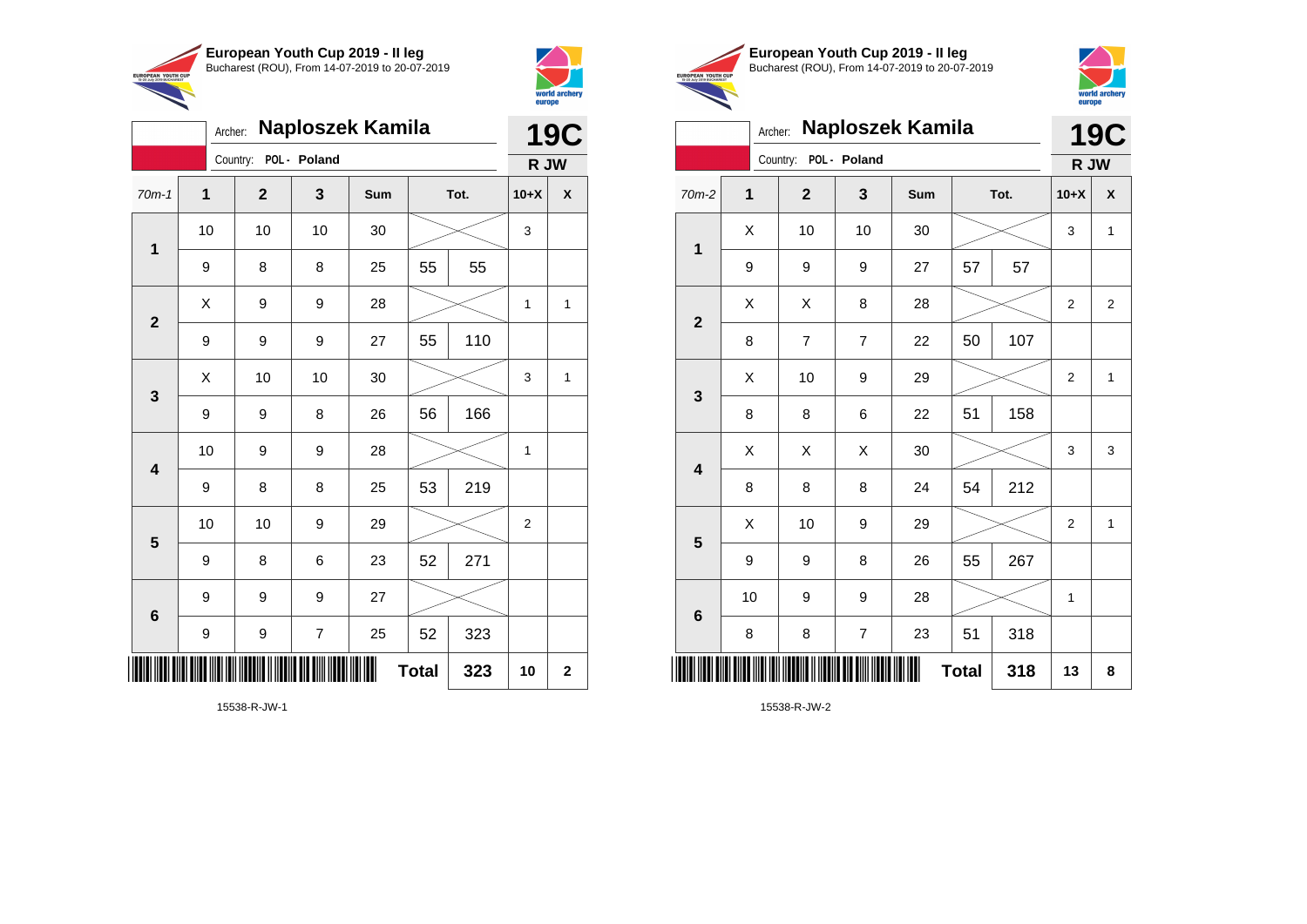

Country: **POL - Poland**

**1**

**2**

**3**

**4**

**5**

**6**

Archer: **Naploszek Kamila**

70m-1 **1 2 3 Sum Tot. 10+X X**

9 | 8 | 8 | 25 | 55 | 55

9 | 9 | 9 | 27 | 55 | 110

9 | 9 | 8 | 26 | 56 | 166

9 | 8 | 8 | 25 | 53 | 219

9 | 8 | 6 | 23 | 52 | 271

9 | 9 | 7 | 25 | 52 | 323

**Total 323 10 2**

10 | 9 | 9 | 28 |  $\times$  | 1

10 | 10 | 9 | 29 |  $\times$  | 2

10 | 10 | 10 | 30 |  $\,\gg$  | 3

 $X$  | 9 | 9 | 28 |  $\swarrow$  | 1 | 1

 $\begin{array}{|c|c|c|c|c|c|}\hline \hspace{.1cm}X & \hspace{.1cm} \text{ 10} & \hspace{.1cm} \text{ 10} & \hspace{.1cm} \text{ 30} & \hspace{.1cm} \end{array} \hspace{.2cm} \begin{array}{|c|c|c|c|c|c|}\hline \hspace{.1cm}X & \hspace{.1cm} \text{ 3} & \hspace{.1cm} \text{ 1} & \hspace{.1cm} \text{ 4} & \hspace{.1cm} \end{array}$ 



**19C**

**R JW**

|                                                        | European Youth Cup 2019 - Il leg               |
|--------------------------------------------------------|------------------------------------------------|
| <b>EUROPEAN YOUTH CUP</b><br>15-20 July 2019 BUCHAREST | Bucharest (ROU), From 14-07-2019 to 20-07-2019 |



|                         | Archer:     |                       |                  | <b>Naploszek Kamila</b> |              |      |                | <b>19C</b>   |  |
|-------------------------|-------------|-----------------------|------------------|-------------------------|--------------|------|----------------|--------------|--|
|                         |             | Country: POL - Poland |                  |                         |              |      | R JW           |              |  |
| 70m-2                   | $\mathbf 1$ | $\mathbf{2}$          | 3                | Sum                     |              | Tot. |                | X            |  |
| $\mathbf{1}$            | X           | 10                    | 10               | 30                      |              |      | 3              | $\mathbf{1}$ |  |
|                         | 9           | 9                     | 9                | 27                      | 57           | 57   |                |              |  |
| $\mathbf{2}$            | Χ           | Χ                     | 8                | 28                      |              |      | $\overline{c}$ | 2            |  |
|                         | 8           | $\overline{7}$        | $\overline{7}$   | 22                      | 50           | 107  |                |              |  |
| $\mathbf{3}$            | X           | 10                    | $\boldsymbol{9}$ | 29                      |              |      | $\overline{2}$ | $\mathbf{1}$ |  |
|                         | 8           | 8                     | 6                | 22                      | 51           | 158  |                |              |  |
| $\overline{\mathbf{4}}$ | X           | X                     | X                | 30                      |              |      | 3              | 3            |  |
|                         | 8           | 8                     | 8                | 24                      | 54           | 212  |                |              |  |
| 5                       | X           | 10                    | 9                | 29                      |              |      | $\overline{2}$ | $\mathbf{1}$ |  |
|                         | 9           | 9                     | 8                | 26                      | 55           | 267  |                |              |  |
| $\bf 6$                 | 10          | 9                     | 9                | 28                      |              |      | 1              |              |  |
|                         | 8           | 8                     | $\overline{7}$   | 23                      | 51           | 318  |                |              |  |
|                         |             |                       |                  |                         | <b>Total</b> | 318  | 13             | 8            |  |

15538-R-JW-1

\*15538-R-JW-15538-R-JW-15538-R-JW-15538-R-JW-15538-R-JW-15538-R-JW-15538-R-JW-15538-R-JW-15538-R-JW-

9 9 9 27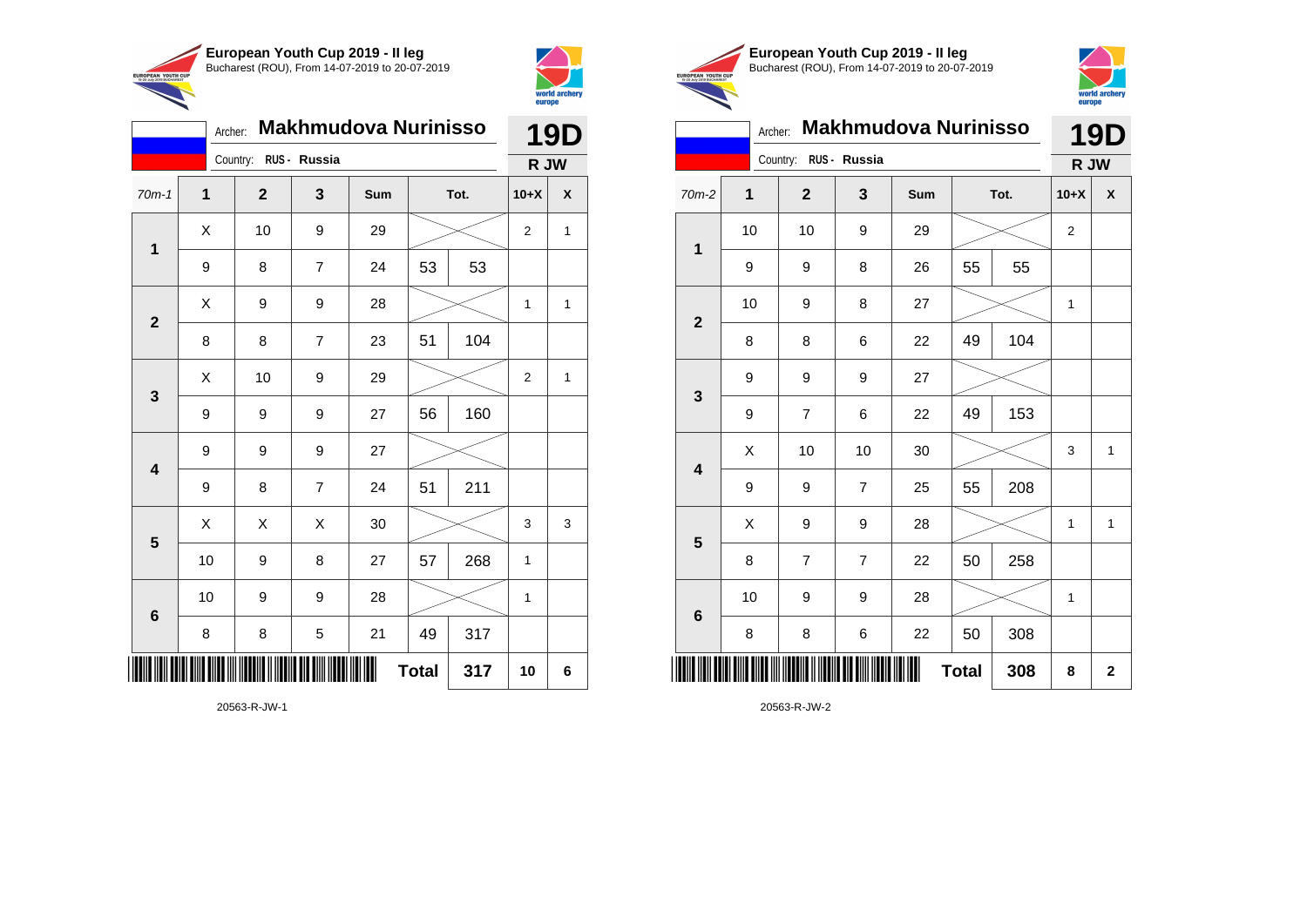



|                | Archer:          |                       |                | <b>Makhmudova Nurinisso</b> |              |      |                | <b>19D</b> |
|----------------|------------------|-----------------------|----------------|-----------------------------|--------------|------|----------------|------------|
|                |                  | Country: RUS - Russia |                |                             |              |      | R JW           |            |
| $70m-1$        | $\mathbf 1$      | $\mathbf{2}$          | 3              | Sum                         |              | Tot. | $10+X$         | χ          |
| 1              | Χ                | 10                    | 9              | 29                          |              |      | $\overline{2}$ | 1          |
|                | 9                | 8                     | $\overline{7}$ | 24                          | 53           | 53   |                |            |
| $\overline{2}$ | X                | 9                     | 9              | 28                          |              |      | 1              | 1          |
|                | 8                | 8                     | $\overline{7}$ | 23                          | 51           | 104  |                |            |
| $\mathbf{3}$   | Χ                | 10                    | 9              | 29                          |              |      | $\overline{2}$ | 1          |
|                | 9                | 9                     | 9              | 27                          | 56           | 160  |                |            |
| 4              | $\boldsymbol{9}$ | 9                     | 9              | 27                          |              |      |                |            |
|                | 9                | 8                     | $\overline{7}$ | 24                          | 51           | 211  |                |            |
| 5              | X                | X                     | X              | 30                          |              |      | 3              | 3          |
|                | 10               | 9                     | 8              | 27                          | 57           | 268  | $\mathbf{1}$   |            |
| 6              | 10               | 9                     | 9              | 28                          |              |      | $\mathbf{1}$   |            |
|                | 8                | 8                     | 5              | 21                          | 49           | 317  |                |            |
|                |                  |                       |                |                             | <b>Total</b> | 317  | 10             | 6          |





|                         |             | <b>Makhmudova Nurinisso</b><br>Archer:<br>Country:<br>RUS - Russia<br>3<br>$\overline{2}$<br>Sum<br>Tot. |                | europe |              |     |                |              |
|-------------------------|-------------|----------------------------------------------------------------------------------------------------------|----------------|--------|--------------|-----|----------------|--------------|
|                         |             |                                                                                                          |                |        |              |     |                | 19D          |
|                         |             |                                                                                                          |                |        |              |     | R JW           |              |
| $70m-2$                 | $\mathbf 1$ |                                                                                                          |                |        |              |     | $10+X$         | X            |
| 1                       | 10          | 10                                                                                                       | 9              | 29     |              |     | $\overline{c}$ |              |
|                         | 9           | 9                                                                                                        | 8              | 26     | 55           | 55  |                |              |
| $\overline{2}$          | 10          | 9                                                                                                        | 8              | 27     |              |     | 1              |              |
|                         | 8           | 8                                                                                                        | 6              | 22     | 49           | 104 |                |              |
| 3                       | 9           | 9                                                                                                        | 9              | 27     |              |     |                |              |
|                         | 9           | $\overline{7}$                                                                                           | 6              | 22     | 49           | 153 |                |              |
| $\overline{\mathbf{4}}$ | Χ           | 10                                                                                                       | 10             | 30     |              |     | 3              | 1            |
|                         | 9           | 9                                                                                                        | 7              | 25     | 55           | 208 |                |              |
| 5                       | X           | 9                                                                                                        | 9              | 28     |              |     | 1              | $\mathbf{1}$ |
|                         | 8           | $\overline{7}$                                                                                           | $\overline{7}$ | 22     | 50           | 258 |                |              |
| $6\phantom{1}6$         | 10          | 9                                                                                                        | 9              | 28     |              |     | 1              |              |
|                         | 8           | 8                                                                                                        | 6              | 22     | 50           | 308 |                |              |
| ║║                      |             |                                                                                                          |                |        | <b>Total</b> | 308 | 8              | $\mathbf{2}$ |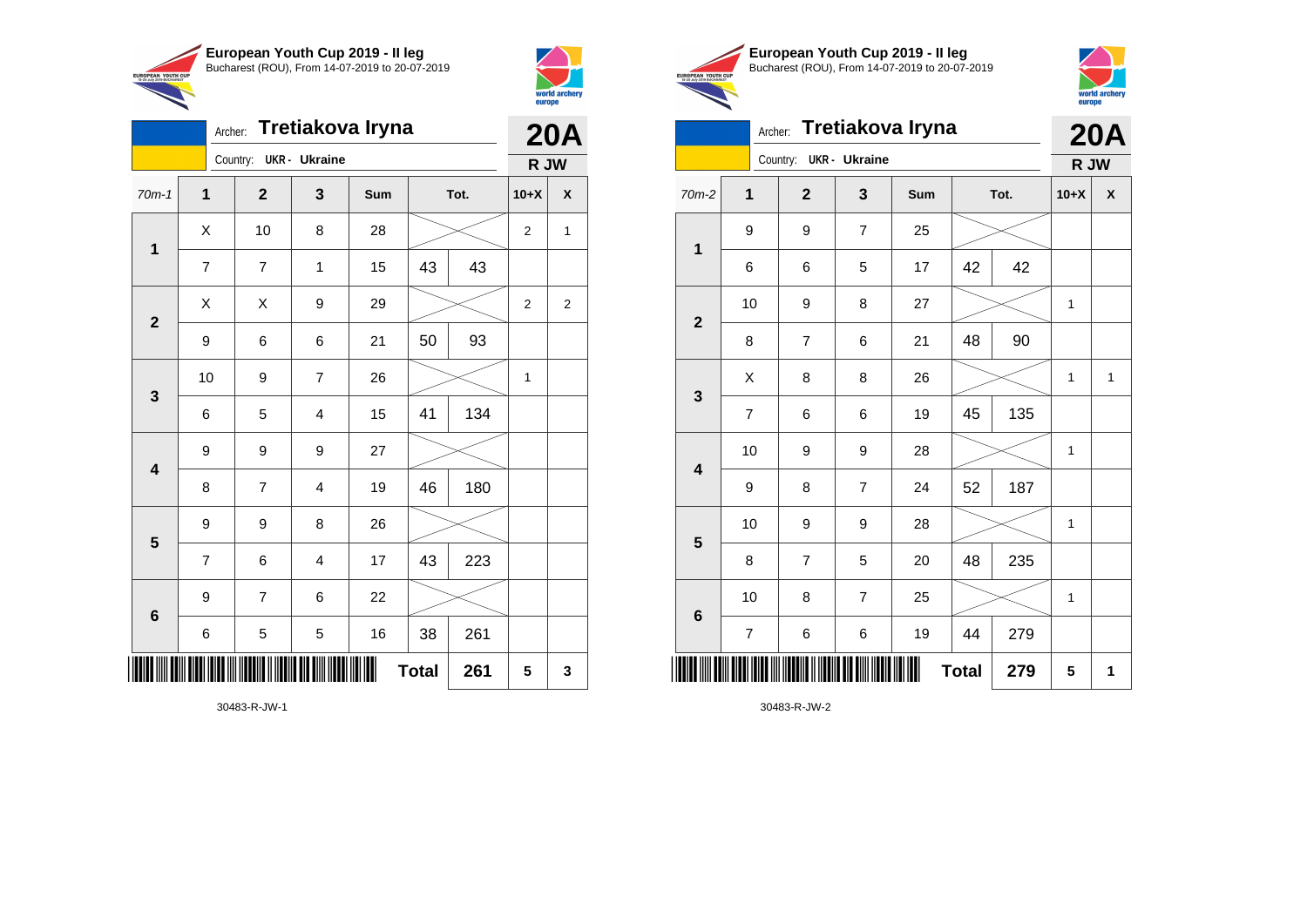

Country: **UKR - Ukraine**

**1**

**2**

**3**

**4**

**5**

**6**

Archer: **Tretiakova Iryna**

70m-1 **1 2 3 Sum Tot. 10+X X**

7 | 7 | 1 | 15 | 43 | 43

9 | 6 | 6 | 21 | 50 | 93

6 5 4 15 41 134

8 | 7 | 4 | 19 | 46 | 180

7 | 6 | 4 | 17 | 43 | 223

6 | 5 | 5 | 16 | 38 | 261

**Total 261 5 3**

9 9 9 27

9 9 8 26

9 7 6 22

10 | 9 | 7 | 26 |  $\times$  | 1

 $X$  | 10 | 8 | 28 |  $\swarrow$  | 2 | 1

 $\begin{array}{|c|c|c|c|c|}\hline \hspace{0.2cm}X & X & 9 & 29 & \nearrow \ \hline \end{array}$ 



**20A R JW**

|                                                        | European Youth Cup 2019 - Il leg               |
|--------------------------------------------------------|------------------------------------------------|
|                                                        | Bucharest (ROU), From 14-07-2019 to 20-07-2019 |
| <b>EUROPEAN YOUTH CUP</b><br>15-20 July 2019 BUCHAREST |                                                |
|                                                        |                                                |



### Archer: **Tretiakova Iryna 20A**

|                         | Country: UKR - Ukraine  |                         |                |     |              |      | R JW         |             |
|-------------------------|-------------------------|-------------------------|----------------|-----|--------------|------|--------------|-------------|
| $70m-2$                 | $\mathbf 1$             | $\mathbf{2}$            | 3              | Sum |              | Tot. | $10+X$       | χ           |
| $\mathbf 1$             | 9                       | 9                       | $\overline{7}$ | 25  |              |      |              |             |
|                         | 6                       | 6                       | 5              | 17  | 42           | 42   |              |             |
|                         | 10                      | 9                       | 8              | 27  |              |      | $\mathbf{1}$ |             |
| $\mathbf{2}$            | 8                       | $\overline{\mathbf{7}}$ | 6              | 21  | 48           | 90   |              |             |
|                         | Χ                       | 8                       | 8              | 26  |              |      | $\mathbf 1$  | $\mathbf 1$ |
| $\mathbf{3}$            | $\overline{\mathbf{7}}$ | 6                       | 6              | 19  | 45           | 135  |              |             |
| $\overline{\mathbf{4}}$ | 10                      | 9                       | 9              | 28  |              |      | 1            |             |
|                         | 9                       | 8                       | $\overline{7}$ | 24  | 52           | 187  |              |             |
| $\overline{\mathbf{5}}$ | 10                      | 9                       | 9              | 28  |              |      | $\mathbf{1}$ |             |
|                         | 8                       | $\overline{\mathbf{7}}$ | 5              | 20  | 48           | 235  |              |             |
|                         | 10                      | 8                       | $\overline{7}$ | 25  |              |      | 1            |             |
| $\bf 6$                 | $\boldsymbol{7}$        | 6                       | 6              | 19  | 44           | 279  |              |             |
| ║║║                     |                         |                         |                | ∭   | <b>Total</b> | 279  | 5            | 1           |

30483-R-JW-2

30483-R-JW-1

\*30483-R-JW-1\*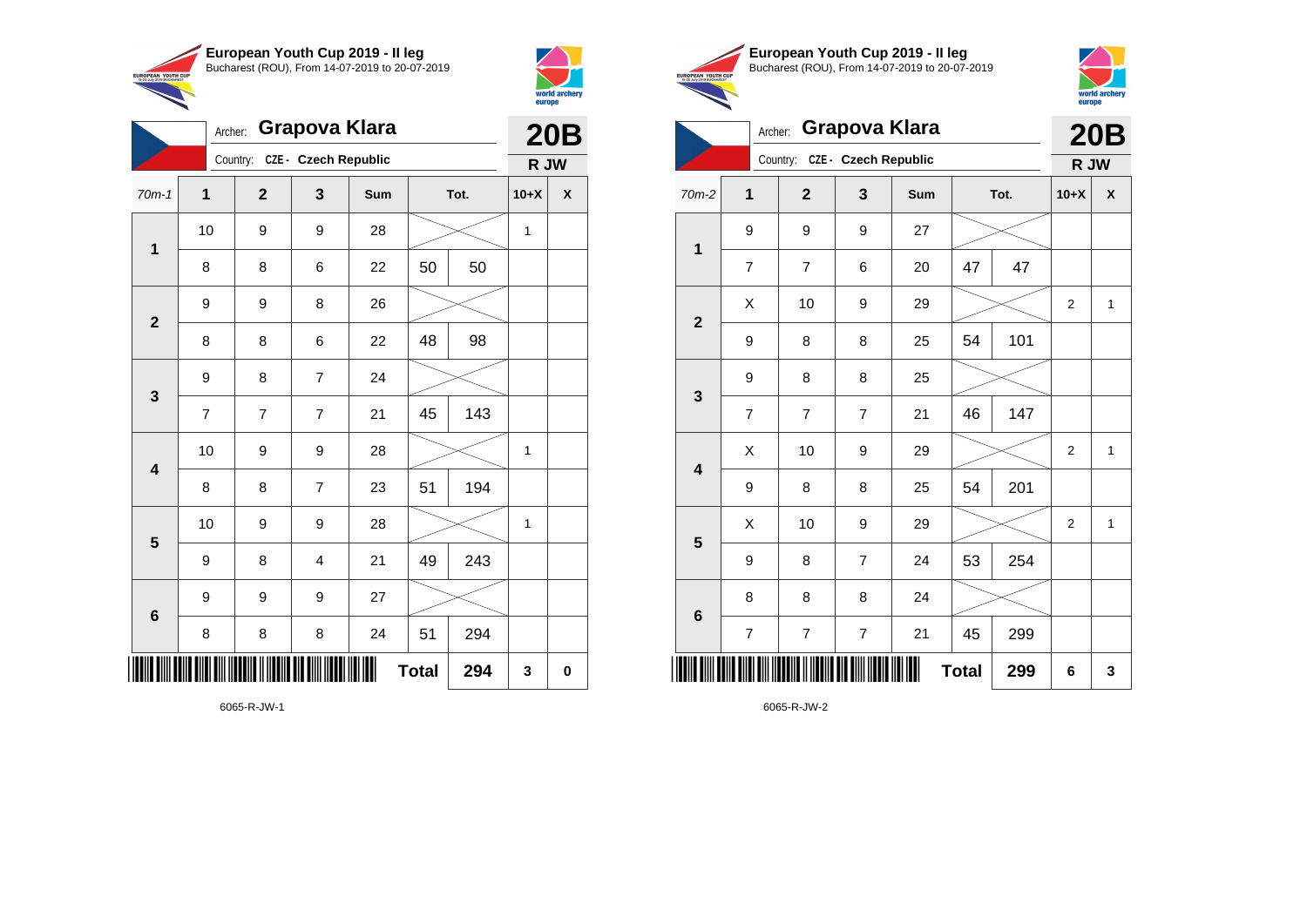

**6**



|                         |                |                |                               |     |      |     |              | europe     |  |
|-------------------------|----------------|----------------|-------------------------------|-----|------|-----|--------------|------------|--|
|                         | Archer:        |                | <b>Grapova Klara</b>          |     |      |     |              | <b>20B</b> |  |
|                         |                |                | Country: CZE - Czech Republic |     |      |     | R JW         |            |  |
| $70m-1$                 | $\mathbf{1}$   | $\mathbf{2}$   | 3                             | Sum | Tot. |     | $10+X$       | X          |  |
|                         | 10             | 9              | 9                             | 28  |      |     | $\mathbf{1}$ |            |  |
| $\mathbf 1$             | 8              | 8              | 6                             | 22  | 50   | 50  |              |            |  |
|                         | 9              | 9              | 8                             | 26  |      |     |              |            |  |
| $\mathbf{2}$            | 8              | 8              | 6                             | 22  | 48   | 98  |              |            |  |
|                         | 9              | 8              | $\overline{7}$                | 24  |      |     |              |            |  |
| $\mathbf{3}$            | $\overline{7}$ | $\overline{7}$ | $\overline{7}$                | 21  | 45   | 143 |              |            |  |
| $\overline{\mathbf{4}}$ | 10             | 9              | 9                             | 28  |      |     | $\mathbf{1}$ |            |  |
|                         | 8              | 8              | $\overline{7}$                | 23  | 51   | 194 |              |            |  |
|                         | 10             | 9              | 9                             | 28  |      |     | $\mathbf{1}$ |            |  |
| 5                       | 9              | 8              | 4                             | 21  | 49   | 243 |              |            |  |

**Total 294 3 0**





|                         | Archer:        |                               | <b>Grapova Klara</b> |     |              |      |                | <b>20B</b>   |
|-------------------------|----------------|-------------------------------|----------------------|-----|--------------|------|----------------|--------------|
|                         |                | Country: CZE - Czech Republic |                      |     |              |      | R JW           |              |
| 70m-2                   | 1              | $\overline{2}$                | 3                    | Sum |              | Tot. | $10+X$         | X            |
| 1                       | 9              | 9                             | 9                    | 27  |              |      |                |              |
|                         | $\overline{7}$ | $\overline{7}$                | 6                    | 20  | 47           | 47   |                |              |
| $\overline{2}$          | X              | 10                            | 9                    | 29  |              |      | $\overline{2}$ | $\mathbf{1}$ |
|                         | 9              | 8                             | 8                    | 25  | 54           | 101  |                |              |
| 3                       | 9              | 8                             | 8                    | 25  |              |      |                |              |
|                         | $\overline{7}$ | 7                             | $\overline{7}$       | 21  | 46           | 147  |                |              |
| $\overline{\mathbf{4}}$ | X              | 10                            | 9                    | 29  |              |      | $\overline{2}$ | $\mathbf{1}$ |
|                         | 9              | 8                             | 8                    | 25  | 54           | 201  |                |              |
| 5                       | X              | 10                            | 9                    | 29  |              |      | $\overline{2}$ | $\mathbf{1}$ |
|                         | 9              | 8                             | $\overline{7}$       | 24  | 53           | 254  |                |              |
| $\bf 6$                 | 8              | 8                             | 8                    | 24  |              |      |                |              |
|                         | $\overline{7}$ | 7                             | $\overline{7}$       | 21  | 45           | 299  |                |              |
| ║║║                     |                |                               |                      |     | <b>Total</b> | 299  | 6              | 3            |

6065-R-JW-2

6065-R-JW-1

\***FORTH AND THE AND AND ITERATION IN THE AND THE AND THE TELL** 

9 9 9 27

8 | 8 | 8 | 24 | 51 | 294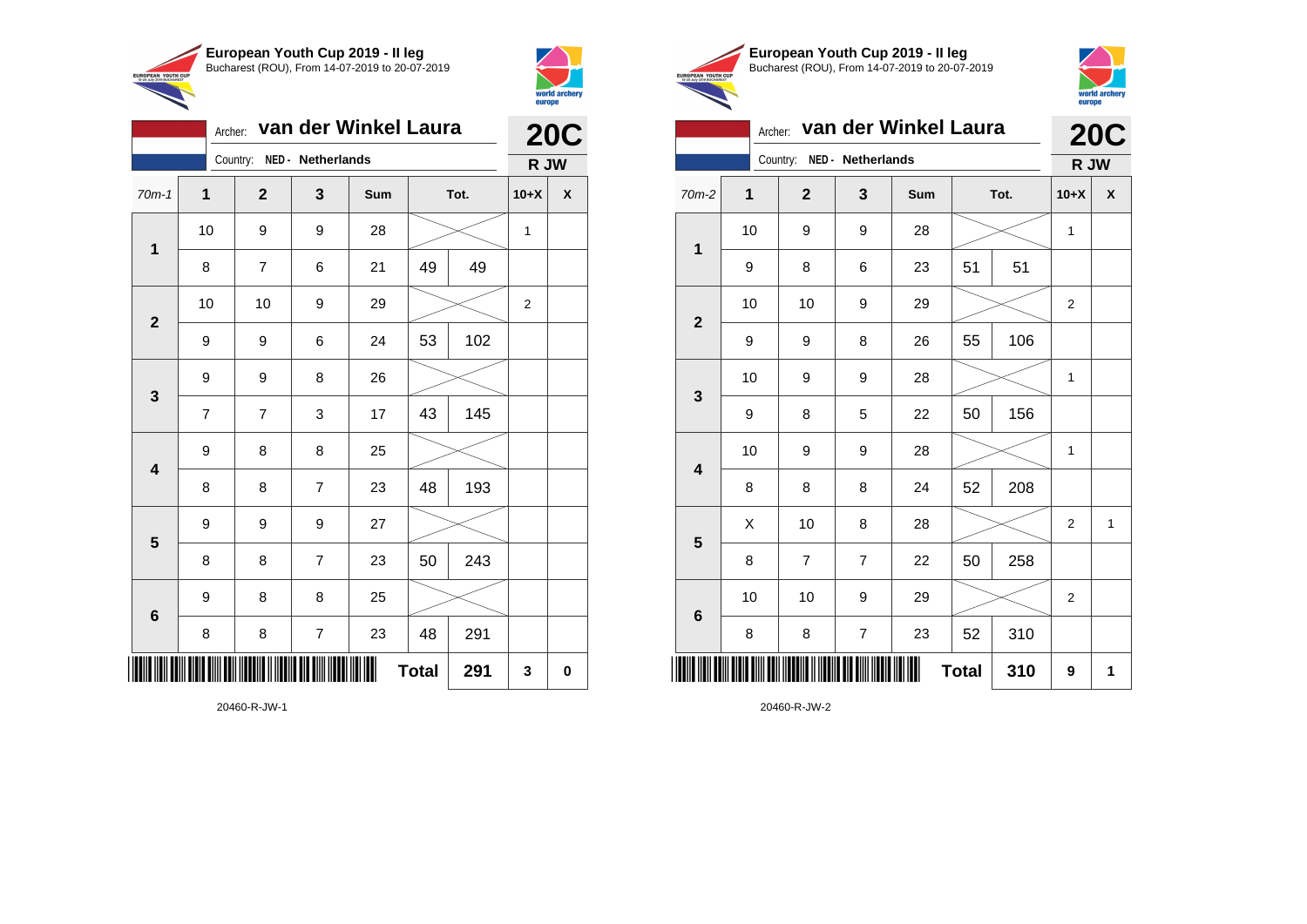

Country: **NED - Netherlands**

9 9 8 26

9 8 8 25

9 9 9 27

9 8 8 25

**1**

**2**

**3**

**4**

**5**

**6**

Archer: **van der Winkel Laura**

70m-1 **1 2 3 Sum Tot. 10+X X**

8 | 7 | 6 | 21 | 49 | 49

9 | 9 | 6 | 24 | 53 | 102

7 | 7 | 3 | 17 | 43 | 145

8 | 8 | 7 | 23 | 48 | 193

8 | 8 | 7 | 23 | 50 | 243

8 | 8 | 7 | 23 | 48 | 291

 $\textbf{Total}$  291  $3$  0

10 | 9 | 9 | 28 |  $\times$  | 1

10 | 10 | 9 | 29 |  $\times$  | 2



EUROPEAN YOUTH

**20C**

**R JW**

|      | European Youth Cup 2019 - Il leg               |
|------|------------------------------------------------|
| CUP: | Bucharest (ROU), From 14-07-2019 to 20-07-2019 |



|                                                                                                                                                         |                          |   |                   |                | van der Winkel Laura |              |      |                | <b>20C</b>   |
|---------------------------------------------------------------------------------------------------------------------------------------------------------|--------------------------|---|-------------------|----------------|----------------------|--------------|------|----------------|--------------|
| 1<br>$70m-2$<br>10<br>1<br>9<br>10<br>$\overline{2}$<br>9<br>10<br>3<br>9<br>10<br>$\overline{\mathbf{4}}$<br>8<br>X<br>5<br>8<br>10<br>$6\phantom{1}6$ |                          |   | NED - Netherlands |                |                      |              | R JW |                |              |
|                                                                                                                                                         |                          |   | $\overline{2}$    | 3              | Sum                  |              | Tot. | $10+X$         | X            |
|                                                                                                                                                         |                          |   | 9                 | 9              | 28                   |              |      | 1              |              |
|                                                                                                                                                         |                          |   | 8                 | 6              | 23                   | 51           | 51   |                |              |
|                                                                                                                                                         |                          |   | 10                | 9              | 29                   |              |      | 2              |              |
|                                                                                                                                                         |                          |   | 9                 | 8              | 26                   | 55           | 106  |                |              |
|                                                                                                                                                         |                          |   | 9                 | 9              | 28                   |              |      | 1              |              |
|                                                                                                                                                         |                          |   | 8                 | 5              | 22                   | 156<br>50    |      |                |              |
|                                                                                                                                                         | Archer:<br>Country:<br>8 | 9 | 9                 | 28             |                      |              | 1    |                |              |
|                                                                                                                                                         |                          |   | 8                 | 8              | 24                   | 52           | 208  |                |              |
|                                                                                                                                                         |                          |   | 10                | 8              | 28                   |              |      | $\overline{2}$ | $\mathbf{1}$ |
|                                                                                                                                                         |                          |   | $\overline{7}$    | $\overline{7}$ | 22                   | 50           | 258  |                |              |
|                                                                                                                                                         |                          |   | 10                | 9              | 29                   |              |      | 2              |              |
|                                                                                                                                                         |                          |   | 8                 | $\overline{7}$ | 23                   | 52           | 310  |                |              |
|                                                                                                                                                         |                          |   |                   |                |                      | <b>Total</b> | 310  | 9              | 1            |

20460-R-JW-1

\*20460-R-JW-1\*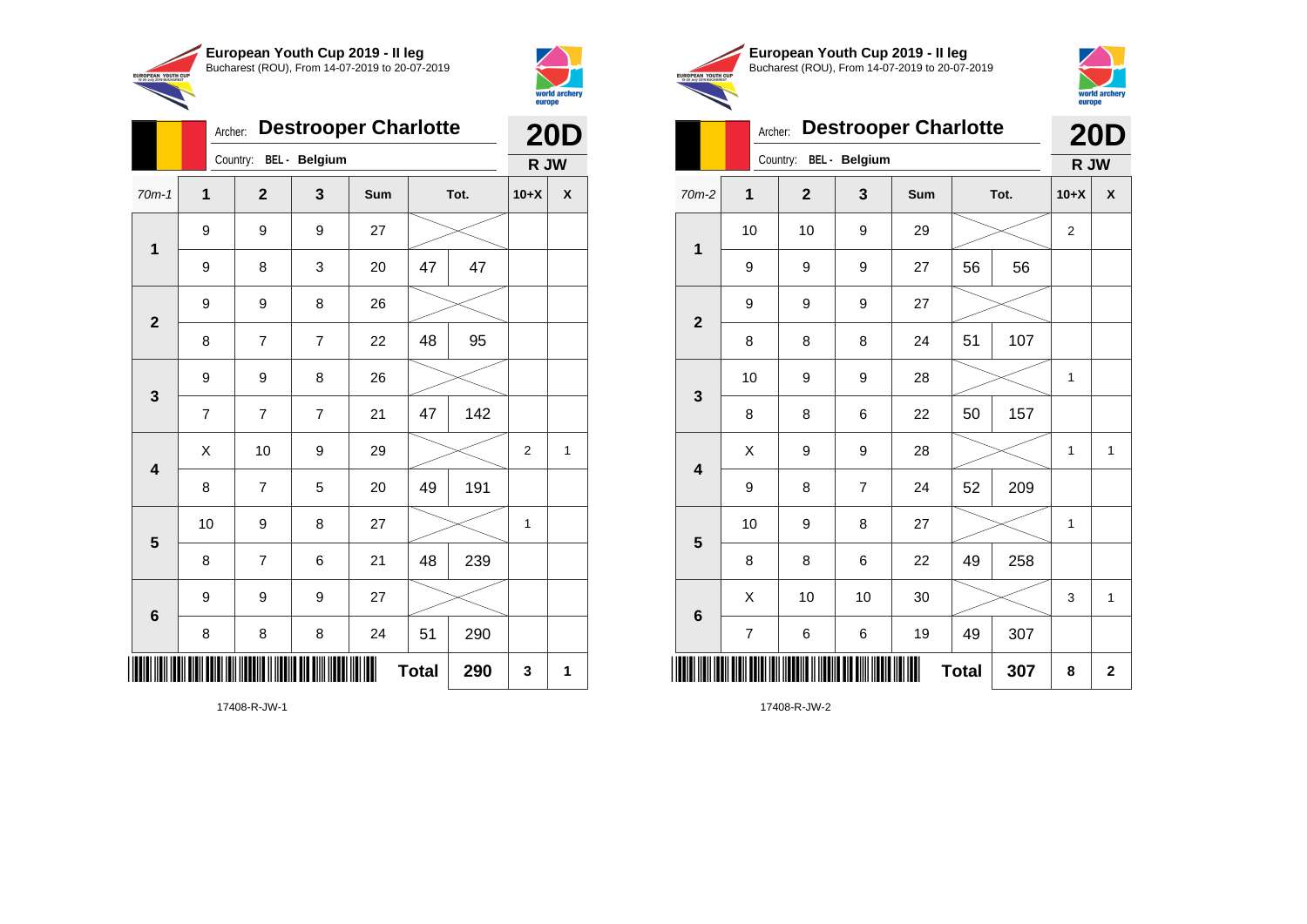



|                         | Archer: | <b>Destrooper Charlotte</b> |                |     | <b>20D</b>   |     |                |              |
|-------------------------|---------|-----------------------------|----------------|-----|--------------|-----|----------------|--------------|
|                         |         | Country:                    | BEL - Belgium  |     |              |     | R JW           |              |
| $70m-1$                 | 1       | $\overline{2}$              | 3              | Sum | Tot.         |     | $10+X$         | X            |
|                         | 9       | 9                           | 9              | 27  |              |     |                |              |
| $\mathbf 1$             | 9       | 8                           | 3              | 20  | 47           | 47  |                |              |
| $\overline{2}$          | 9       | 9                           | 8              | 26  |              |     |                |              |
|                         | 8       | $\overline{7}$              | $\overline{7}$ | 22  | 48           | 95  |                |              |
| 3                       | 9       | 9                           | 8              | 26  |              |     |                |              |
|                         | 7       | $\overline{7}$              | $\overline{7}$ | 21  | 47           | 142 |                |              |
| $\overline{\mathbf{4}}$ | X       | 10                          | 9              | 29  |              |     | $\overline{2}$ | $\mathbf{1}$ |
|                         | 8       | 7                           | 5              | 20  | 49           | 191 |                |              |
| 5                       | 10      | 9                           | 8              | 27  |              |     | 1              |              |
|                         | 8       | $\overline{7}$              | 6              | 21  | 48           | 239 |                |              |
| $6\phantom{1}$          | 9       | 9                           | 9              | 27  |              |     |                |              |
|                         | 8       | 8                           | 8              | 24  | 51           | 290 |                |              |
| ║║                      |         |                             |                |     | <b>Total</b> | 290 | 3              | 1            |





### Archer: **Destrooper Charlotte 20D**

|                         |    | Country: BEL - Belgium |                | R JW |              |      |                  |              |
|-------------------------|----|------------------------|----------------|------|--------------|------|------------------|--------------|
| 70m-2                   | 1  | $\mathbf{2}$           | $\mathbf 3$    | Sum  |              | Tot. | $10+X$           | X            |
| $\mathbf 1$             | 10 | 10                     | 9              | 29   |              |      | $\boldsymbol{2}$ |              |
|                         | 9  | 9                      | 9              | 27   | 56           | 56   |                  |              |
| $\mathbf{2}$            | 9  | 9                      | 9              | 27   |              |      |                  |              |
|                         | 8  | 8                      | 8              | 24   | 51           | 107  |                  |              |
| $\mathbf{3}$            | 10 | 9                      | 9              | 28   |              |      | 1                |              |
|                         | 8  | 8                      | 6              | 22   | 50           | 157  |                  |              |
| $\overline{\mathbf{4}}$ | X  | 9                      | 9              | 28   |              |      | 1                | 1            |
|                         | 9  | 8                      | $\overline{7}$ | 24   | 52           | 209  |                  |              |
| $\overline{\mathbf{5}}$ | 10 | 9                      | 8              | 27   |              |      | 1                |              |
|                         | 8  | 8                      | 6              | 22   | 49           | 258  |                  |              |
| $\bf 6$                 | X  | 10                     | 10             | 30   |              |      | 3                | $\mathbf{1}$ |
|                         | 7  | 6                      | 6              | 19   | 49           | 307  |                  |              |
|                         |    |                        |                | III  | <b>Total</b> | 307  | 8                | $\mathbf 2$  |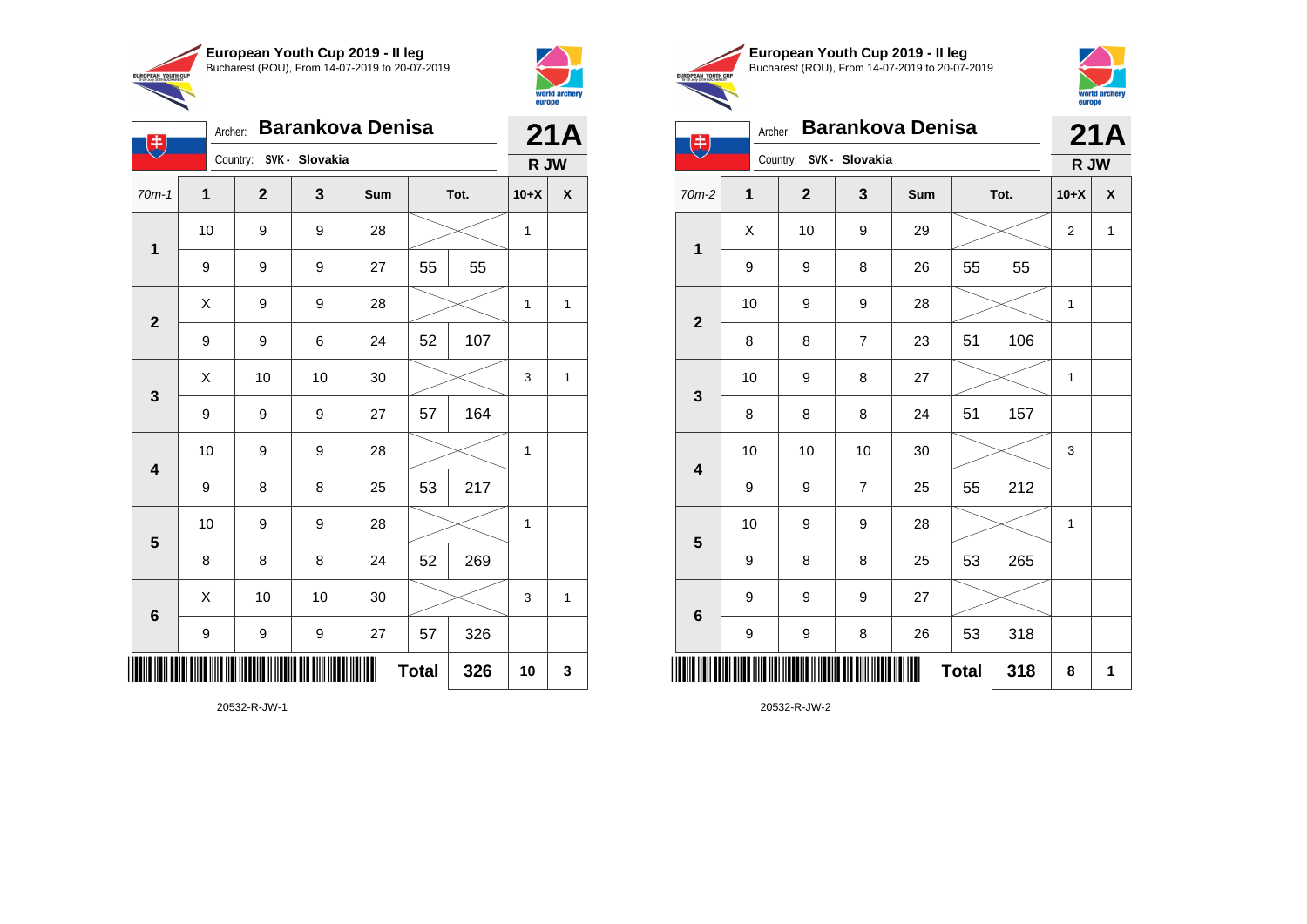

Country: **SVK - Slovakia**

**1**

电

**2**

**3**

**4**

**5**

**6**

Archer: **Barankova Denisa**

70m-1 **1 2 3 Sum Tot. 10+X X**

9 | 9 | 27 | 55 | 55

9 | 9 | 6 | 24 | 52 | 107

9 | 9 | 9 | 27 | 57 | 164

9 | 8 | 8 | 25 | 53 | 217

8 | 8 | 8 | 24 | 52 | 269

9 | 9 | 9 | 27 | 57 | 326

10 | 9 | 9 | 28 |  $\times$  | 1

10 | 9 | 9 | 28 |  $\times$  | 1

 $\begin{array}{|c|c|c|c|c|c|}\hline \hspace{.1cm}X & \hspace{.1cm} \text{ 10} & \hspace{.1cm} \text{ 10} & \hspace{.1cm} \text{ 30} & \hspace{.1cm} \end{array} \hspace{1.2cm} \begin{array}{|c|c|c|c|c|c|}\hline \hspace{.1cm}X & \hspace{.1cm} \text{ 3} & \hspace{.1cm} \text{ 1} & \hspace{.1cm} \text{ 4} & \hspace{.1cm} \end{array} \hspace{1.2cm}$ 

**Total 326 10 3**

10 | 9 | 9 | 28 |  $\times$  | 1

 $X$  | 9 | 9 | 28 |  $\swarrow$  | 1 | 1

 $\begin{array}{|c|c|c|c|c|c|}\hline \hspace{.1cm}X & \hspace{.1cm} \text{ 10} & \hspace{.1cm} \text{ 10} & \hspace{.1cm} \text{ 30} & \hspace{.1cm} \end{array} \hspace{.2cm} \begin{array}{|c|c|c|c|c|c|}\hline \hspace{.1cm}X & \hspace{.1cm} \text{ 3} & \hspace{.1cm} \text{ 1} & \hspace{.1cm} \text{ 4} & \hspace{.1cm} \end{array}$ 



**21A**

**R JW**

|                                                        | European Youth Cup 2019 - Il leg               |
|--------------------------------------------------------|------------------------------------------------|
| <b>EUROPEAN YOUTH CUP</b><br>15-20 July 2019 BUCHAREST | Bucharest (ROU), From 14-07-2019 to 20-07-2019 |
|                                                        |                                                |



|  | Archer: Barankova Denisa | ZIA. |
|--|--------------------------|------|
|  |                          |      |

|  | $\checkmark$                                                                                                                    | Country:<br>SVK - Slovakia |              |                  |               |              |                                 |                       | R JW         |  |
|--|---------------------------------------------------------------------------------------------------------------------------------|----------------------------|--------------|------------------|---------------|--------------|---------------------------------|-----------------------|--------------|--|
|  | $70m-2$                                                                                                                         | 1                          | $\mathbf{2}$ | 3                | Sum           | Tot.         |                                 | $10+X$                | X            |  |
|  |                                                                                                                                 | Χ                          | 10           | 9                | 29            |              |                                 | $\overline{2}$        | $\mathbf{1}$ |  |
|  |                                                                                                                                 | 9                          | 9            | 8                | 26            | 55           | 55                              |                       |              |  |
|  |                                                                                                                                 | 10                         | 9            | 9                | 28            |              |                                 | $\mathbf{1}$          |              |  |
|  |                                                                                                                                 | 8                          | 8            | $\boldsymbol{7}$ | 23            | 51           | 106                             | 1<br>3<br>1<br>8<br>1 |              |  |
|  |                                                                                                                                 | 10                         | 9            | 8                | 27            |              | 157<br>212<br>265<br>318<br>318 |                       |              |  |
|  |                                                                                                                                 | 8                          | 8            | 8                | 24            | 51           |                                 |                       |              |  |
|  |                                                                                                                                 | 10                         | 10           | 10               | $30\,$        |              |                                 |                       |              |  |
|  |                                                                                                                                 | 9                          | 9            | $\overline{7}$   | 25            | 55           |                                 |                       |              |  |
|  |                                                                                                                                 | 10                         | 9            | 9                | 28            |              |                                 |                       |              |  |
|  |                                                                                                                                 | 9                          | 8            | 8                | 25            | 53           |                                 |                       |              |  |
|  | $\overline{\mathbf{1}}$<br>$\mathbf{2}$<br>$\mathbf{3}$<br>$\overline{\mathbf{4}}$<br>$\overline{\mathbf{5}}$<br>$6\phantom{a}$ | 9                          | 9            | 9                | 27            |              |                                 |                       |              |  |
|  |                                                                                                                                 | 9                          | 9            | 8                | 26            | 53           |                                 |                       |              |  |
|  |                                                                                                                                 |                            |              |                  | <b>TILLIN</b> | <b>Total</b> |                                 |                       |              |  |

20532-R-JW-1

\*20532-R-JW-1780-R-JW-1780-R-JW-1780-R-JW-1780-R-JW-1780-R-JW-1780-R-JW-1780-R-JW-1780-R-JW-1780-R-JW-1780-R-J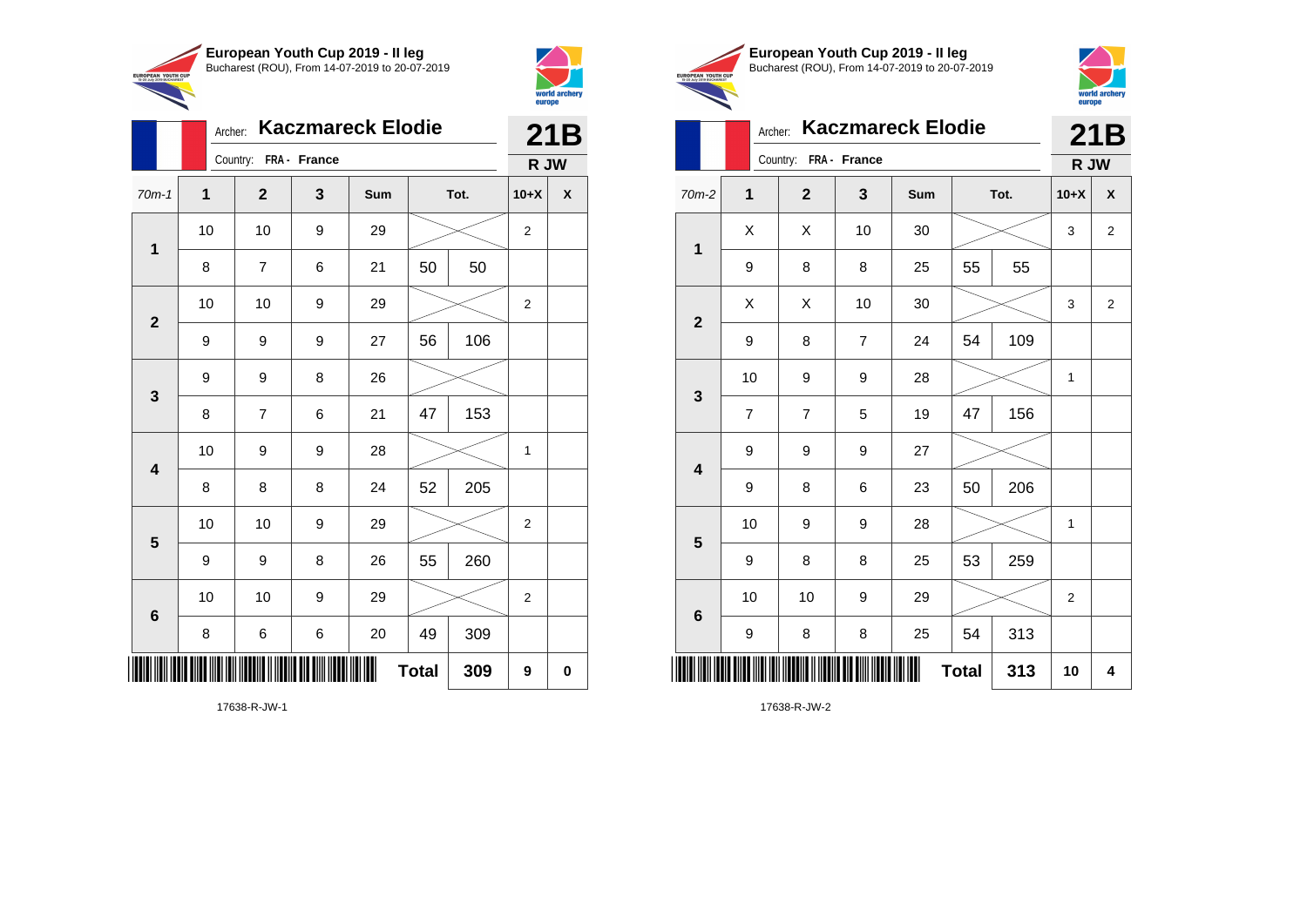



|                          | <b>Kaczmareck Elodie</b><br>Archer: |                |   |     |    |      |                  | 21B |  |
|--------------------------|-------------------------------------|----------------|---|-----|----|------|------------------|-----|--|
|                          | Country: FRA - France               | R JW           |   |     |    |      |                  |     |  |
| $70m-1$                  | $\mathbf 1$                         | $\mathbf{2}$   | 3 | Sum |    | Tot. |                  | X   |  |
| $\mathbf 1$              | 10                                  | 10             | 9 | 29  |    |      | $\boldsymbol{2}$ |     |  |
|                          | 8                                   | 7              | 6 | 21  | 50 | 50   |                  |     |  |
| $\overline{2}$           | 10                                  | 10             | 9 | 29  |    |      | $\overline{2}$   |     |  |
|                          | 9                                   | 9              | 9 | 27  | 56 | 106  |                  |     |  |
| $\mathbf{3}$             | 9                                   | 9              | 8 | 26  |    |      |                  |     |  |
|                          | 8                                   | $\overline{7}$ | 6 | 21  | 47 | 153  |                  |     |  |
| $\overline{\mathbf{4}}$  | 10                                  | 9              | 9 | 28  |    |      | 1                |     |  |
|                          | 8                                   | 8              | 8 | 24  | 52 | 205  |                  |     |  |
| 5                        | 10                                  | 10             | 9 | 29  |    |      | $\boldsymbol{2}$ |     |  |
|                          | 9                                   | 9              | 8 | 26  | 55 | 260  |                  |     |  |
| 6                        | 10                                  | 10             | 9 | 29  |    |      | $\overline{2}$   |     |  |
|                          | 8                                   | 6              | 6 | 20  | 49 | 309  |                  |     |  |
| <b>Total</b><br>309<br>9 |                                     |                |   |     |    |      |                  | 0   |  |





# Archer: **Kaczmareck Elodie 21B**

|                          | Country: FRA - France   |                          |                |     |      |     | R JW             |                |
|--------------------------|-------------------------|--------------------------|----------------|-----|------|-----|------------------|----------------|
| $70m-2$                  | 1                       | $\mathbf{2}$             | 3              | Sum | Tot. |     | $10+X$           | X              |
| $\mathbf 1$              | Χ                       | Χ                        | 10             | 30  |      |     | 3                | $\overline{2}$ |
|                          | 9                       | 8                        | 8              | 25  | 55   | 55  |                  |                |
| $\mathbf{2}$             | Χ                       | Χ                        | 10             | 30  |      |     | 3                | $\overline{c}$ |
|                          | 9                       | 8                        | $\overline{7}$ | 24  | 54   | 109 |                  |                |
| $\mathbf 3$              | 10                      | 9                        | 9              | 28  |      |     |                  |                |
|                          | $\overline{\mathbf{7}}$ | $\overline{\mathcal{I}}$ | 5              | 19  | 47   | 156 |                  |                |
| $\overline{\mathbf{4}}$  | 9                       | 9                        | 9              | 27  |      |     |                  |                |
|                          | 9                       | 8                        | 6              | 23  | 50   | 206 |                  |                |
| $\overline{\mathbf{5}}$  | 10                      | 9                        | 9              | 28  |      |     |                  |                |
|                          | 9                       | 8                        | 8              | 25  | 53   | 259 |                  |                |
| $\bf 6$                  | 10                      | 10                       | 9              | 29  |      |     | $\boldsymbol{2}$ |                |
|                          | 9                       | 8                        | 8              | 25  | 54   | 313 |                  |                |
| Ш<br><b>Total</b><br>313 |                         |                          |                |     |      |     | 10               | 4              |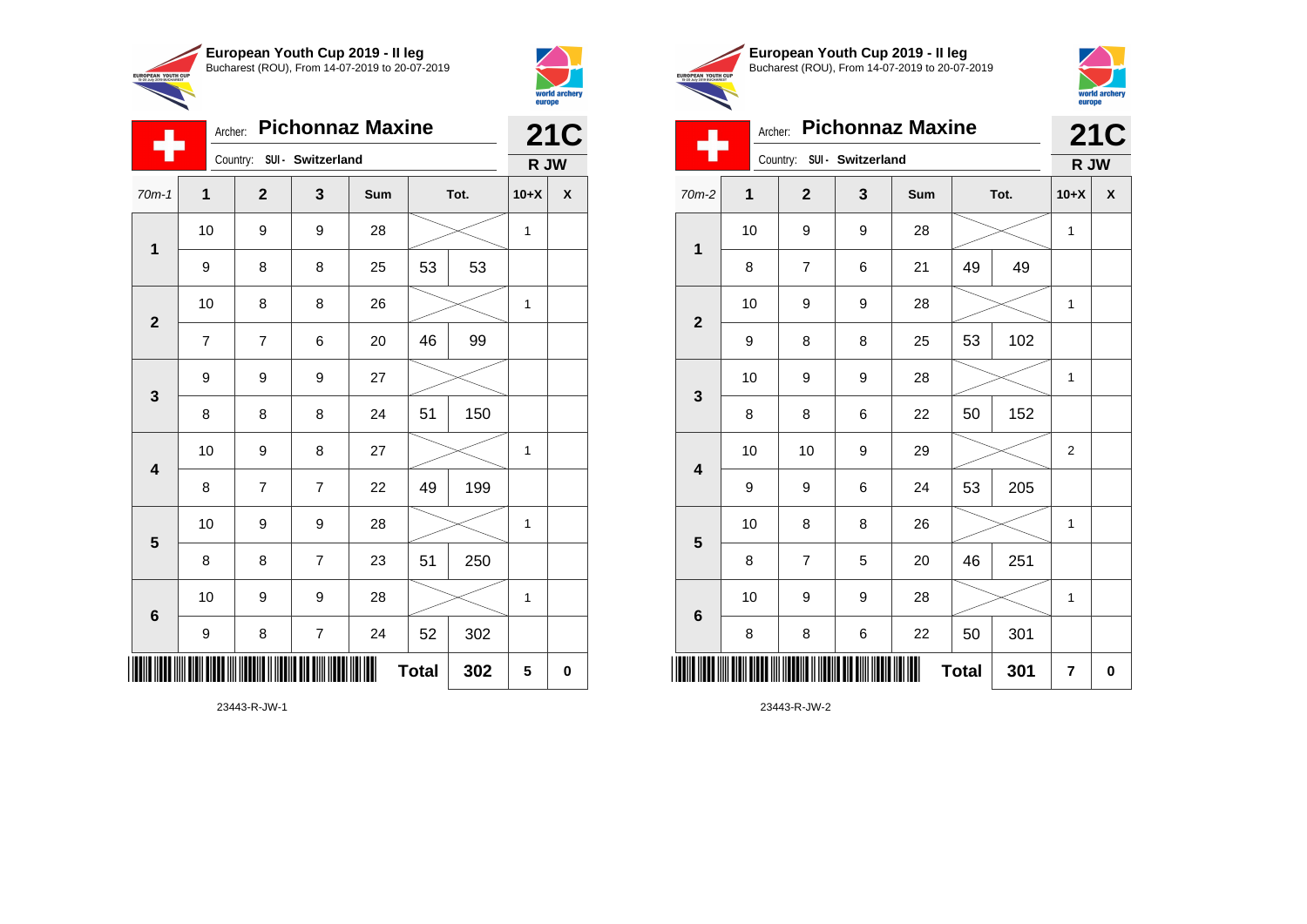



|                         | Archer:        |                | <b>Pichonnaz Maxine</b>    |     |              |      |              | <b>21C</b> |  |
|-------------------------|----------------|----------------|----------------------------|-----|--------------|------|--------------|------------|--|
|                         |                |                | Country: SUI - Switzerland |     |              |      | R JW         |            |  |
| $70m-1$                 | $\mathbf{1}$   | $\overline{2}$ | 3                          | Sum |              | Tot. | $10+X$       | X          |  |
|                         | 10             | 9              | 9                          | 28  |              |      | 1            |            |  |
| $\mathbf 1$             | 9              | 8              | 8                          | 25  | 53           | 53   |              |            |  |
|                         | 10             | 8              | 8                          | 26  |              |      | 1            |            |  |
| $\overline{2}$          | $\overline{7}$ | $\overline{7}$ | 6                          | 20  | 46           | 99   |              |            |  |
|                         | 9              | 9              | 9                          | 27  |              |      |              |            |  |
| $\mathbf{3}$            | 8              | 8              | 8                          | 24  | 51           | 150  |              |            |  |
| $\overline{\mathbf{4}}$ | 10             | 9              | 8                          | 27  |              |      | 1            |            |  |
|                         | 8              | $\overline{7}$ | $\overline{7}$             | 22  | 49           | 199  |              |            |  |
| 5                       | 10             | 9              | 9                          | 28  |              |      | 1            |            |  |
|                         | 8              | 8              | $\overline{7}$             | 23  | 51           | 250  |              |            |  |
| 6                       | 10             | 9              | 9                          | 28  |              |      | $\mathbf{1}$ |            |  |
|                         | 9              | 8              | $\overline{\mathcal{I}}$   | 24  | 52           | 302  |              |            |  |
|                         |                |                |                            |     | <b>Total</b> | 302  | 5            | 0          |  |

23443-R-JW-1





Archer: **Pichonnaz Maxine 21C**

| . .                     | Country: SUI - Switzerland |                         |              |     |              |     |                  | R JW               |
|-------------------------|----------------------------|-------------------------|--------------|-----|--------------|-----|------------------|--------------------|
| $70m-2$                 | 1                          | $\mathbf{2}$            | $\mathbf{3}$ | Sum | Tot.         |     | $10+X$           | $\pmb{\mathsf{X}}$ |
| $\mathbf 1$             | 10                         | 9                       | 9            | 28  |              |     | 1                |                    |
|                         | 8                          | 7                       | 6            | 21  | 49           | 49  |                  |                    |
| $\mathbf{2}$            | 10                         | 9                       | 9            | 28  |              |     | 1                |                    |
|                         | 9                          | 8                       | 8            | 25  | 53           | 102 |                  |                    |
| $\mathbf 3$             | 10                         | 9                       | 9            | 28  |              |     | 1                |                    |
|                         | 8                          | 8                       | 6            | 22  | 50           | 152 |                  |                    |
| $\overline{\mathbf{4}}$ | 10                         | 10                      | 9            | 29  |              |     | $\boldsymbol{2}$ |                    |
|                         | 9                          | 9                       | 6            | 24  | 53           | 205 |                  |                    |
| $\overline{\mathbf{5}}$ | 10                         | 8                       | 8            | 26  |              |     | 1                |                    |
|                         | 8                          | $\overline{\mathbf{7}}$ | 5            | 20  | 46           | 251 |                  |                    |
| $\bf 6$                 | 10                         | 9                       | 9            | 28  |              |     | 1                |                    |
|                         | 8                          | 8                       | 6            | 22  | 50           | 301 |                  |                    |
|                         |                            |                         |              |     | <b>Total</b> | 301 | 7                | 0                  |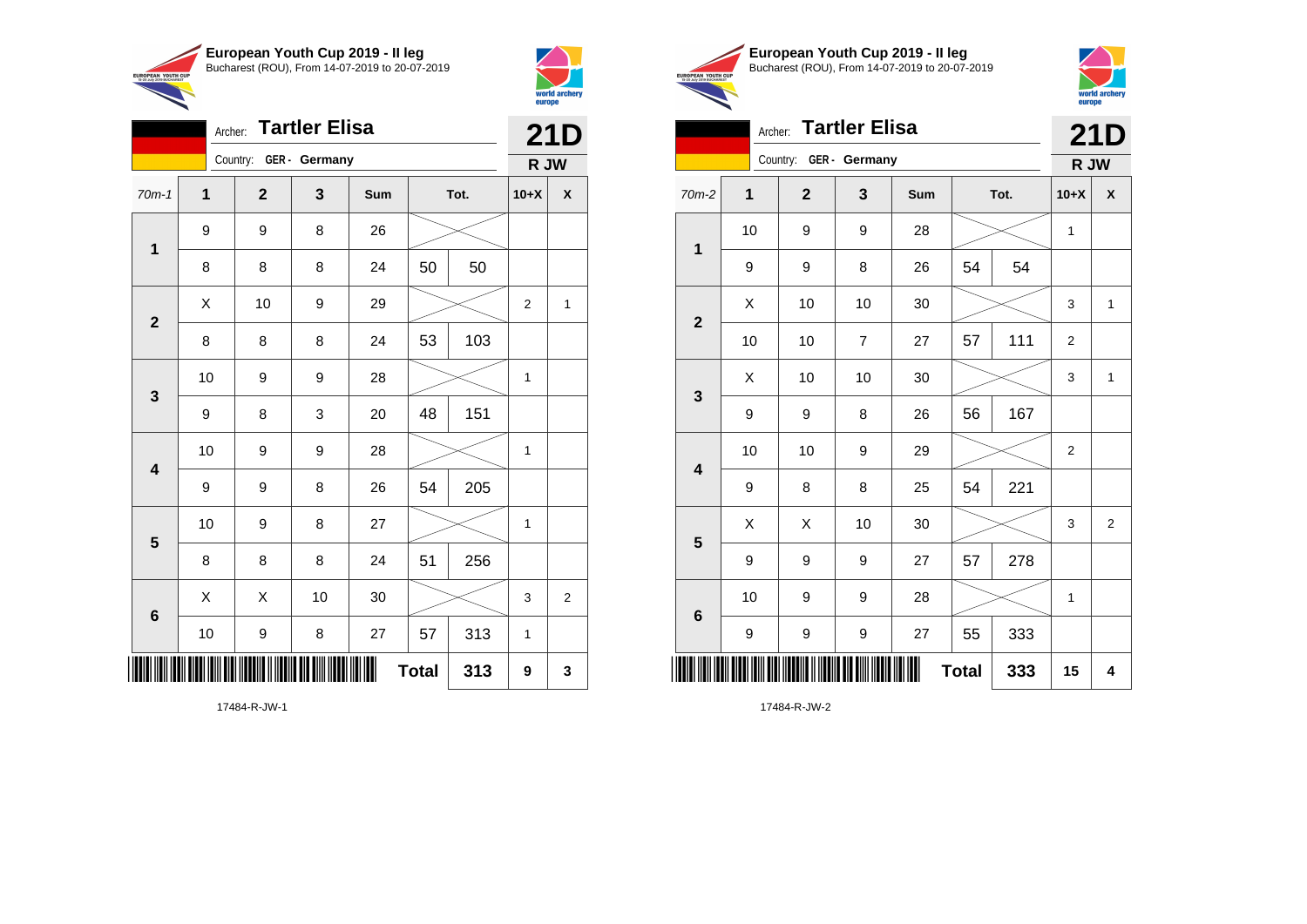



| Archer: Tartler Elisa |    |                        |    |     |              |      |              | <b>21D</b>     |  |
|-----------------------|----|------------------------|----|-----|--------------|------|--------------|----------------|--|
|                       |    | Country: GER - Germany |    |     |              |      | R JW         |                |  |
| $70m-1$               | 1  | $\overline{2}$         | 3  | Sum |              | Tot. |              | X              |  |
|                       | 9  | 9                      | 8  | 26  |              |      |              |                |  |
| $\mathbf 1$           | 8  | 8                      | 8  | 24  | 50           | 50   |              |                |  |
|                       | Χ  | 10                     | 9  | 29  |              |      | 2            | 1              |  |
| $\mathbf{2}$          | 8  | 8                      | 8  | 24  | 53           | 103  |              |                |  |
|                       | 10 | 9                      | 9  | 28  |              |      | $\mathbf{1}$ |                |  |
| 3                     | 9  | 8                      | 3  | 20  | 48           | 151  |              |                |  |
| 4                     | 10 | 9                      | 9  | 28  |              |      | $\mathbf{1}$ |                |  |
|                       | 9  | 9                      | 8  | 26  | 54           | 205  |              |                |  |
| 5                     | 10 | 9                      | 8  | 27  |              |      | $\mathbf{1}$ |                |  |
|                       | 8  | 8                      | 8  | 24  | 51           | 256  |              |                |  |
| $6\phantom{1}6$       | X  | X                      | 10 | 30  |              |      | 3            | $\overline{2}$ |  |
|                       | 10 | 9                      | 8  | 27  | 57           | 313  | 1            |                |  |
| ║║║                   |    |                        |    |     | <b>Total</b> | 313  | 9            | 3              |  |

17484-R-JW-1





|                         | 21D          |                        |                |     |              |      |                |                         |  |
|-------------------------|--------------|------------------------|----------------|-----|--------------|------|----------------|-------------------------|--|
|                         |              | Country: GER - Germany |                |     |              |      | R JW           |                         |  |
| $70m-2$                 | $\mathbf{1}$ | $\overline{2}$         | 3              | Sum |              | Tot. | $10+X$         | X                       |  |
|                         | 10           | 9                      | 9              | 28  |              |      | 1              |                         |  |
| 1                       | 9            | 9                      | 8              | 26  | 54           | 54   |                |                         |  |
| $\mathbf{2}$            | X            | 10                     | 10             | 30  |              |      | 3              | 1                       |  |
|                         | 10           | 10                     | $\overline{7}$ | 27  | 57           | 111  | $\overline{2}$ |                         |  |
| $\mathbf{3}$            | X            | 10                     | 10             | 30  |              |      | 3              | 1                       |  |
|                         | 9            | 9                      | 8              | 26  | 56           | 167  |                |                         |  |
| 4                       | 10           | 10                     | 9              | 29  |              |      | $\overline{2}$ |                         |  |
|                         | 9            | 8                      | 8              | 25  | 54           | 221  |                |                         |  |
| $\overline{\mathbf{5}}$ | X            | X                      | 10             | 30  |              |      | 3              | $\overline{\mathbf{c}}$ |  |
|                         | 9            | 9                      | 9              | 27  | 57           | 278  |                |                         |  |
| $\bf 6$                 | 10           | 9                      | 9              | 28  |              |      | 1              |                         |  |
|                         | 9            | 9                      | 9              | 27  | 55           | 333  |                |                         |  |
| ┉                       |              |                        |                |     | <b>Total</b> | 333  | 15             | 4                       |  |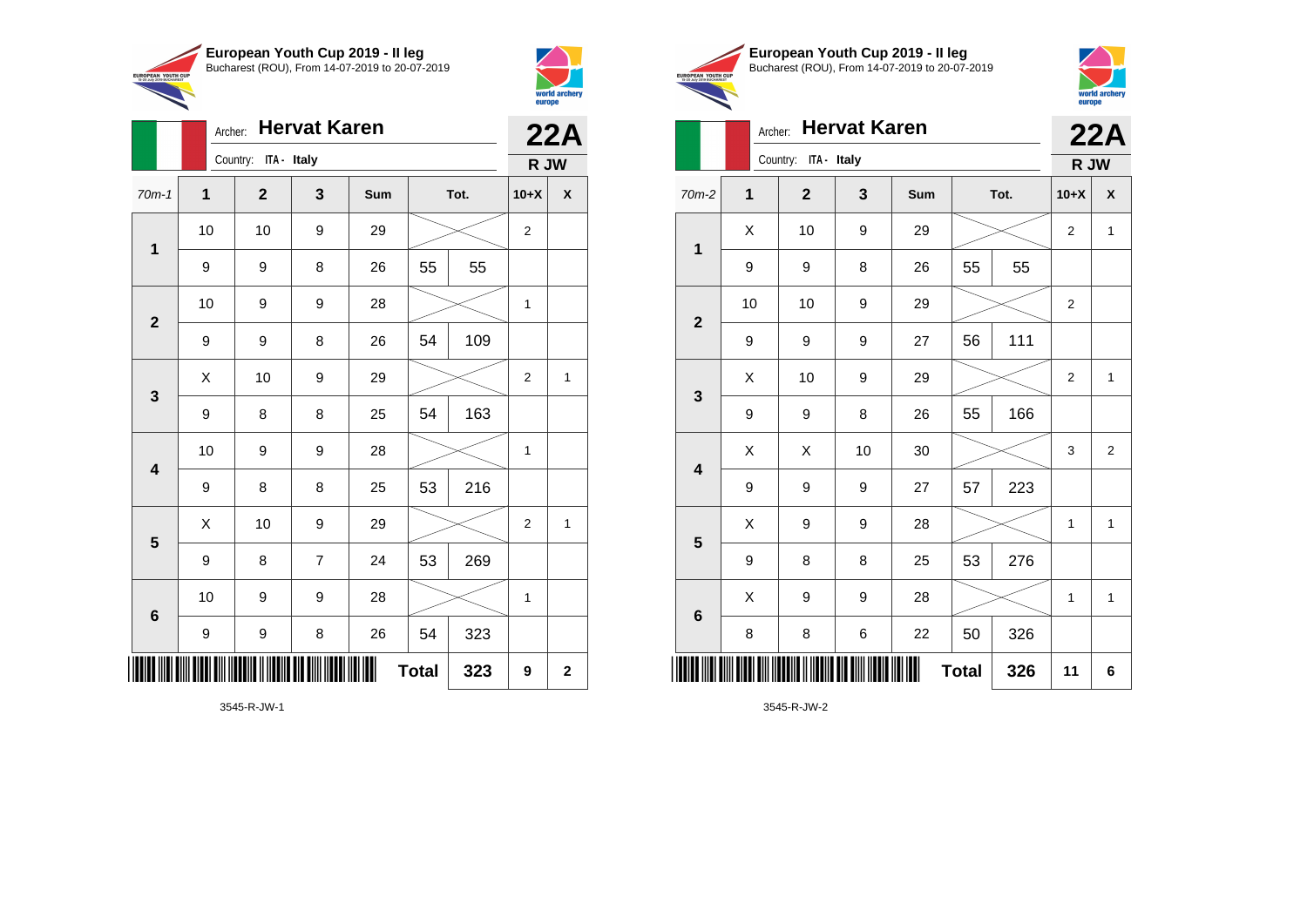

Archer: **Hervat Karen**

70m-1 **1 2 3 Sum Tot. 10+X X**

9 | 9 | 8 | 26 | 55 | 55

9 | 9 | 8 | 26 | 54 | 109

9 | 8 | 8 | 25 | 54 | 163

9 | 8 | 8 | 25 | 53 | 216

9 | 8 | 7 | 24 | 53 | 269

9 | 9 | 8 | 26 | 54 | 323

10 | 9 | 9 | 28 |  $\times$  | 1

10 | 9 | 9 | 28 |  $\times$  | 1

10 | 10 | 9 | 29 |  $\times$  | 2

10 | 9 | 9 | 28 |  $\times$  | 1

 $\begin{array}{|c|c|c|c|c|c|}\hline \hspace{.1cm}X & \hspace{.1cm} \text{10} & \hspace{.1cm} \text{9} & \hspace{.1cm} \text{29} & \hspace{.1cm} \text{20} & \hspace{.1cm} \text{\large{\fbox{\hspace{1cm}}}}\hline \end{array} \hspace{.2cm} \begin{array}{|c|c|c|c|c|c|}\hline \hspace{.1cm}X & \hspace{.1cm} \text{12} & \hspace{.1cm} \text{11} & \hspace{.1cm} \end{array}$ 

 $\begin{array}{|c|c|c|c|c|}\hline \hspace{.1cm}X & \hspace{.1cm} \text{10} & \hspace{.1cm} \text{9} & \hspace{.1cm} \text{29} & \hspace{.1cm} \hline \end{array} \hspace{.2cm} \begin{array}{|c|c|c|c|c|c|}\hline \hspace{.1cm}X & \hspace{.1cm} \text{2} & \hspace{.1cm} \text{2} & \hspace{.1cm} \text{1} & \hspace{.1cm} \hline \end{array}$ 

 $Total | 323 | 9 | 2$ 

Country: **ITA - Italy**

**1**

**2**

**3**

**4**

**5**

**6**

 $\overline{\phantom{a}}$ 



EUROPEAN YOU

**22A**

**R JW**

|                             | European Youth Cup 2019 - Il leg               |
|-----------------------------|------------------------------------------------|
|                             | Bucharest (ROU), From 14-07-2019 to 20-07-2019 |
| <b>H</b> CUP<br><b>DEST</b> |                                                |
|                             |                                                |



### Archer: **Hervat Karen 22A**

|                         |              | Country: ITA - Italy |                  |     |              |      |                |                |
|-------------------------|--------------|----------------------|------------------|-----|--------------|------|----------------|----------------|
| $70m-2$                 | $\mathbf{1}$ | $\mathbf{2}$         | 3                | Sum |              | Tot. | $10+X$         | X              |
|                         | X            | 10                   | 9                | 29  |              |      | $\overline{2}$ | $\mathbf{1}$   |
| $\mathbf 1$             | 9            | 9                    | 8                | 26  | 55           | 55   |                |                |
|                         | 10           | 10                   | 9                | 29  |              |      |                |                |
| $\overline{\mathbf{2}}$ | 9            | 9                    | $\boldsymbol{9}$ | 27  | 56           | 111  |                |                |
| $\mathbf{3}$            | Χ            | 10                   | $\boldsymbol{9}$ | 29  |              |      | $\overline{2}$ | $\mathbf{1}$   |
|                         | 9            | 9                    | 8                | 26  | 55           | 166  |                |                |
| $\overline{\mathbf{4}}$ | X            | X                    | 10               | 30  |              |      | 3              | $\overline{2}$ |
|                         | 9            | 9                    | 9                | 27  | 57           | 223  |                |                |
| $\overline{\mathbf{5}}$ | X            | 9                    | 9                | 28  |              |      | 1              | $\mathbf{1}$   |
|                         | 9            | 8                    | 8                | 25  | 53           | 276  |                |                |
|                         | X            | 9                    | 9                | 28  |              |      | 1              | $\mathbf{1}$   |
| $\bf 6$                 | 8            | 8                    | 6                | 22  | 50           | 326  |                |                |
|                         |              |                      |                  | Ш   | <b>Total</b> | 326  | 11             | 6              |

3545-R-JW-2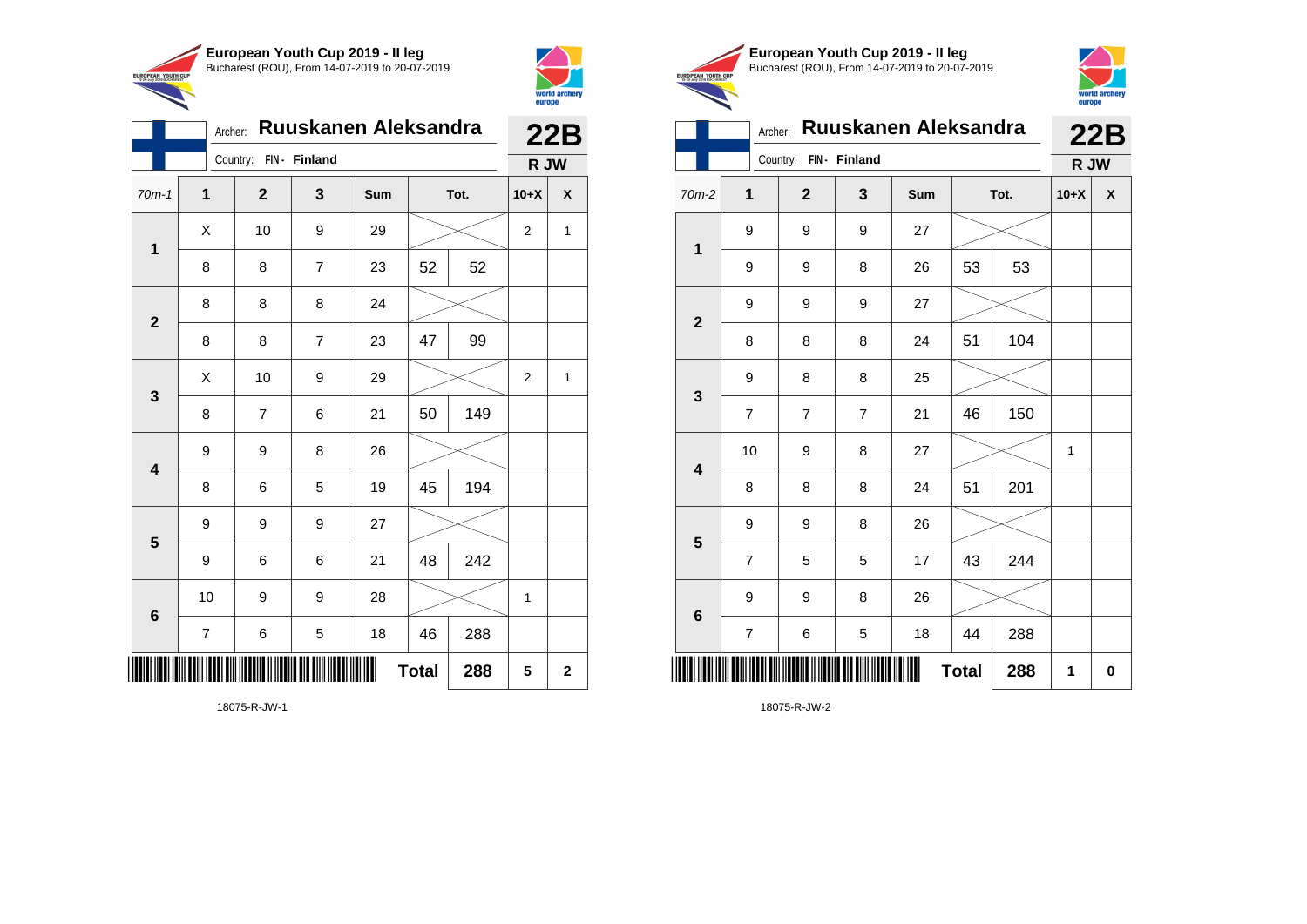



|                 | Archer:        | <b>Ruuskanen Aleksandra</b> | 22B            |     |              |      |                |             |  |
|-----------------|----------------|-----------------------------|----------------|-----|--------------|------|----------------|-------------|--|
|                 |                | Country:                    | FIN - Finland  |     |              |      | R JW           |             |  |
| $70m-1$         | 1              | $\mathbf{2}$                | 3              | Sum |              | Tot. | $10+X$         | X           |  |
| 1               | X              | 10                          | 9              | 29  |              |      | $\overline{2}$ | 1           |  |
|                 | 8              | 8                           | $\overline{7}$ | 23  | 52           | 52   |                |             |  |
| $\overline{2}$  | 8              | 8                           | 8              | 24  |              |      |                |             |  |
|                 | 8              | 8                           | 7              | 23  | 47           | 99   |                |             |  |
| 3               | Χ              | 10                          | 9              | 29  |              |      | $\overline{2}$ | 1           |  |
|                 | 8              | 7                           | 6              | 21  | 50           | 149  |                |             |  |
| 4               | 9              | 9                           | 8              | 26  |              |      |                |             |  |
|                 | 8              | 6                           | 5              | 19  | 45           | 194  |                |             |  |
| 5               | 9              | 9                           | 9              | 27  |              |      |                |             |  |
|                 | 9              | 6                           | 6              | 21  | 48           | 242  |                |             |  |
| $6\phantom{1}6$ | 10             | 9                           | 9              | 28  |              |      | 1              |             |  |
|                 | $\overline{7}$ | 6                           | 5              | 18  | 46           | 288  |                |             |  |
| ║║║             |                |                             |                |     | <b>Total</b> | 288  | 5              | $\mathbf 2$ |  |

18075-R-JW-1





|                         | Archer:        |                |                | Ruuskanen Aleksandra |              |      | 22B    |   |
|-------------------------|----------------|----------------|----------------|----------------------|--------------|------|--------|---|
|                         |                | Country:       | FIN- Finland   |                      |              |      | R JW   |   |
| 70m-2                   | 1              | $\overline{2}$ | 3              | Sum                  |              | Tot. | $10+X$ | X |
| $\mathbf 1$             | 9              | 9              | 9              | 27                   |              |      |        |   |
|                         | 9              | 9              | 8              | 26                   | 53           | 53   |        |   |
| $\mathbf{2}$            | 9              | 9              | 9              | 27                   |              |      |        |   |
|                         | 8              | 8              | 8              | 24                   | 51           | 104  |        |   |
| 3                       | 9              | 8              | 8              | 25                   |              |      |        |   |
|                         | $\overline{7}$ | $\overline{7}$ | $\overline{7}$ | 21                   | 46           | 150  |        |   |
| $\overline{\mathbf{4}}$ | 10             | 9              | 8              | 27                   |              |      | 1      |   |
|                         | 8              | 8              | 8              | 24                   | 51           | 201  |        |   |
| 5                       | 9              | 9              | 8              | 26                   |              |      |        |   |
|                         | $\overline{7}$ | 5              | 5              | 17                   | 43           | 244  |        |   |
| $6\phantom{1}6$         | 9              | 9              | 8              | 26                   |              |      |        |   |
|                         | 7              | 6              | 5              | 18                   | 44           | 288  |        |   |
| Ⅲ                       |                |                |                |                      | <b>Total</b> | 288  | 1      | 0 |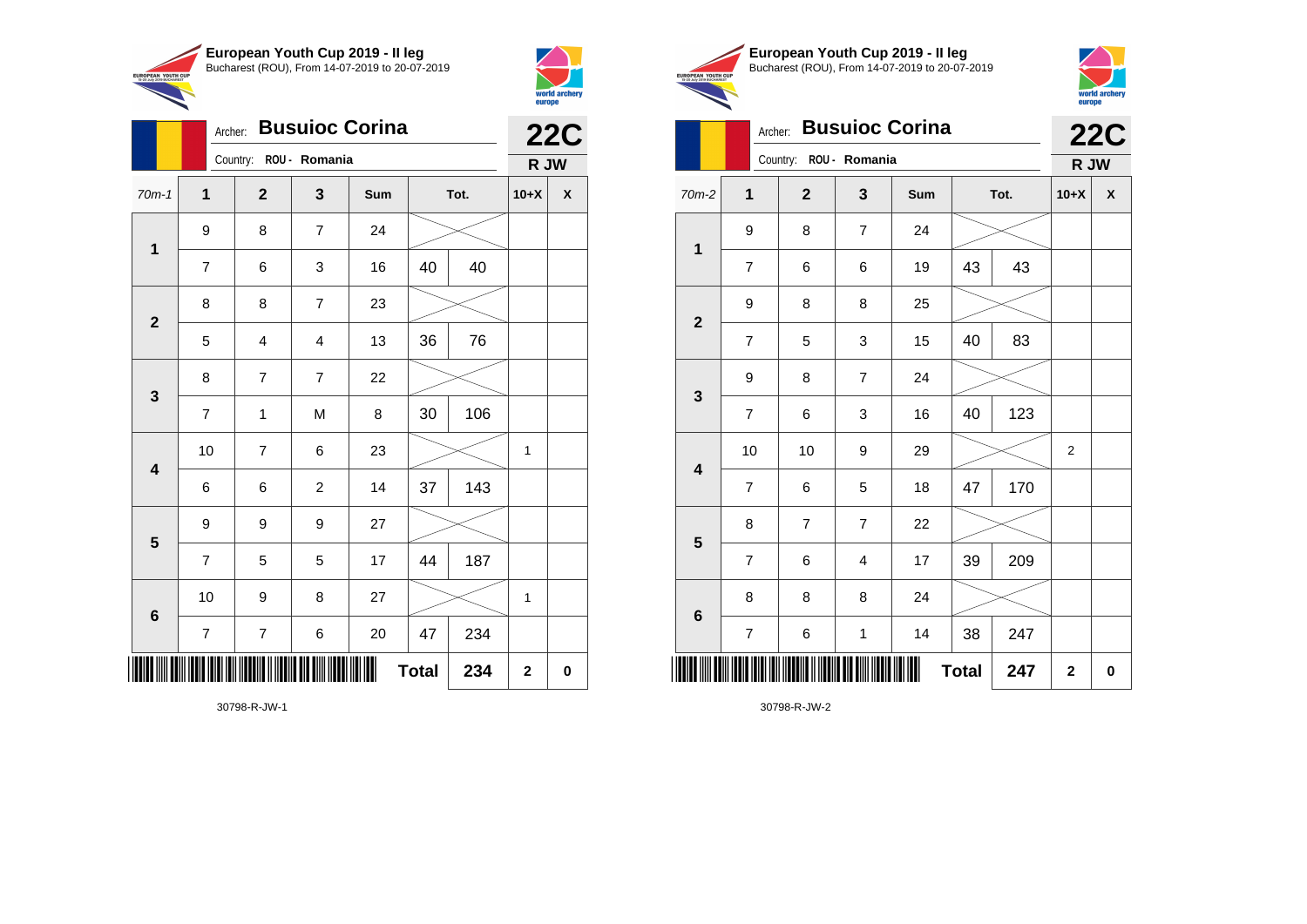



|                         |                | Archer: Busuioc Corina  |                |     |              |      |              | <b>22C</b> |
|-------------------------|----------------|-------------------------|----------------|-----|--------------|------|--------------|------------|
|                         |                | Country:                | ROU - Romania  |     | R JW         |      |              |            |
| $70m-1$                 | $\overline{1}$ | $\overline{2}$          | 3              | Sum |              | Tot. | $10+X$       | X          |
| $\mathbf 1$             | 9              | 8                       | $\overline{7}$ | 24  |              |      |              |            |
|                         | 7              | 6                       | 3              | 16  | 40           | 40   |              |            |
| $\mathbf{2}$            | 8              | 8                       | $\overline{7}$ | 23  |              |      |              |            |
|                         | 5              | 4                       | $\overline{4}$ | 13  | 36           | 76   |              |            |
| 3                       | 8              | $\overline{7}$          | $\overline{7}$ | 22  |              |      |              |            |
|                         | 7              | $\mathbf{1}$            | M              | 8   | 30           | 106  |              |            |
| $\overline{\mathbf{4}}$ | 10             | $\overline{7}$          | 6              | 23  |              |      | $\mathbf{1}$ |            |
|                         | 6              | 6                       | $\overline{2}$ | 14  | 37           | 143  |              |            |
| 5                       | 9              | 9                       | 9              | 27  |              |      |              |            |
|                         | $\overline{7}$ | 5                       | 5              | 17  | 44           | 187  |              |            |
| $6\phantom{1}6$         | 10             | 9                       | 8              | 27  |              |      | 1            |            |
|                         | 7              | $\overline{\mathbf{7}}$ | 6              | 20  | 47           | 234  |              |            |
|                         |                |                         |                |     | <b>Total</b> | 234  | $\mathbf 2$  | 0          |

30798-R-JW-1





# Archer: **Busuioc Corina 22C**

|                         | Country: ROU - Romania  |                |                           |     |              |      | R JW        |   |
|-------------------------|-------------------------|----------------|---------------------------|-----|--------------|------|-------------|---|
| $70m-2$                 | $\mathbf{1}$            | $\mathbf{2}$   | 3                         | Sum |              | Tot. | $10+X$      | χ |
| $\mathbf 1$             | 9                       | 8              | $\overline{7}$            | 24  |              |      |             |   |
|                         | $\overline{\mathbf{7}}$ | 6              | 6                         | 19  | 43           | 43   |             |   |
| $\mathbf{2}$            | 9                       | 8              | 8                         | 25  |              |      |             |   |
|                         | $\overline{\mathbf{7}}$ | 5              | $\ensuremath{\mathsf{3}}$ | 15  | 40           | 83   |             |   |
| $\mathbf{3}$            | 9                       | 8              | $\boldsymbol{7}$          | 24  |              |      |             |   |
|                         | $\overline{\mathbf{7}}$ | 6              | 3                         | 16  | 40           | 123  |             |   |
| $\overline{\mathbf{4}}$ | 10                      | 10             | 9                         | 29  |              |      | 2           |   |
|                         | $\overline{7}$          | 6              | 5                         | 18  | 47           | 170  |             |   |
| $5\phantom{1}$          | 8                       | $\overline{7}$ | $\overline{7}$            | 22  |              |      |             |   |
|                         | $\overline{\mathbf{7}}$ | 6              | 4                         | 17  | 39           | 209  |             |   |
| $\bf 6$                 | 8                       | 8              | 8                         | 24  |              |      |             |   |
|                         | $\overline{\mathbf{7}}$ | 6              | $\mathbf 1$               | 14  | 38           | 247  |             |   |
|                         |                         |                |                           | Ш   | <b>Total</b> | 247  | $\mathbf 2$ | 0 |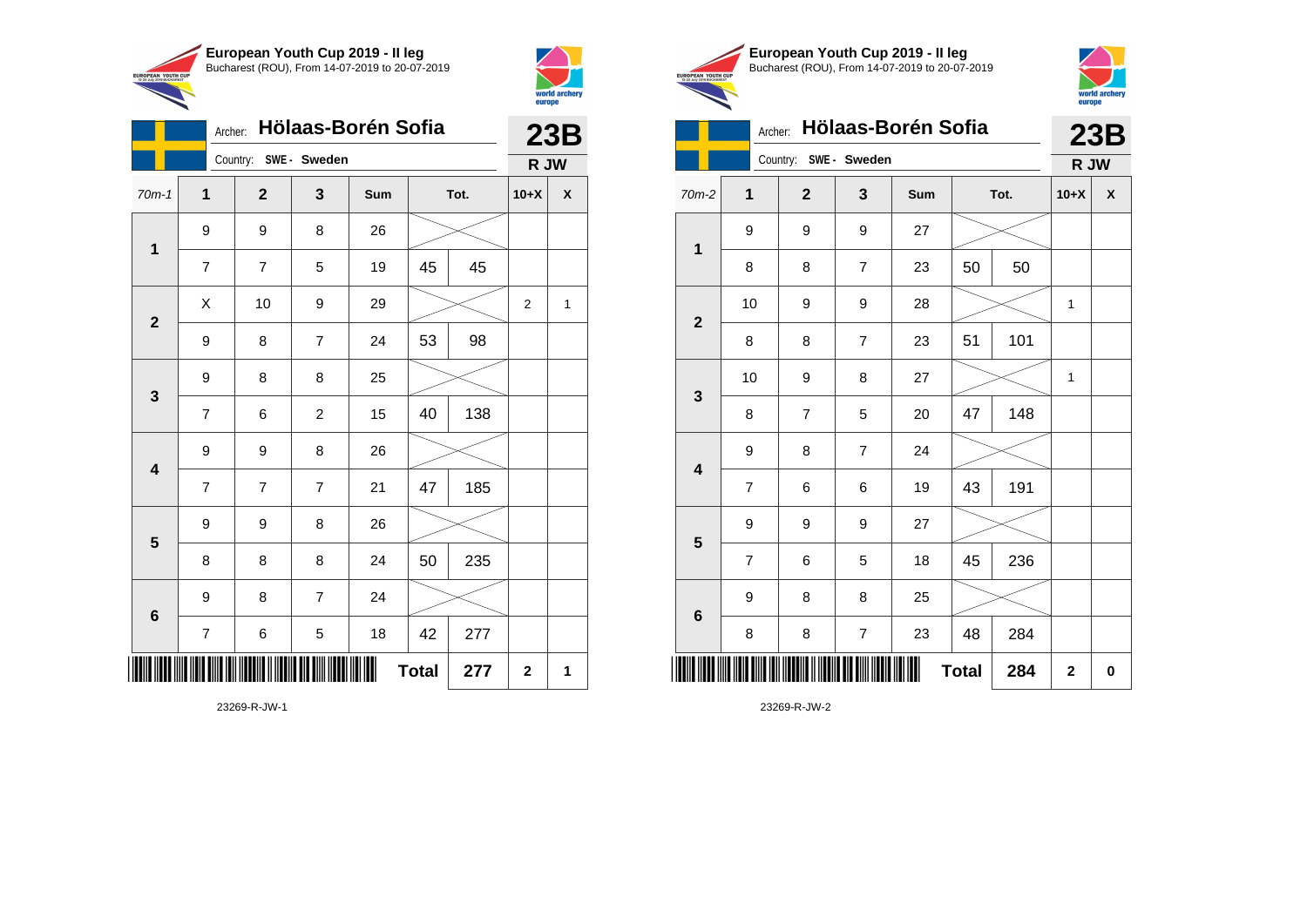

Country: **SWE - Sweden**

9 8 26

9 8 8 25

9 9 8 26

9 9 8 26

9 8 7 24

**1**

**2**

**3**

**4**

**5**

**6**

Archer: **Hölaas-Borén Sofia**

70m-1 **1 2 3 Sum Tot. 10+X X**

7 | 7 | 5 | 19 | 45 | 45

9 | 8 | 7 | 24 | 53 | 98

7 | 6 | 2 | 15 | 40 | 138

7 7 7 21 47 185

8 | 8 | 8 | 24 | 50 | 235

7 | 6 | 5 | 18 | 42 | 277

**Total**  $277$   $2$  1

 $\begin{array}{|c|c|c|c|c|c|}\hline \hspace{.1cm}X & \hspace{.1cm} \text{10} & \hspace{.1cm} \text{9} & \hspace{.1cm} \text{29} & \hspace{.1cm} \text{20} & \hspace{.1cm} \text{\large{\fbox{\hspace{1cm}}}}\hline \end{array} \hspace{.2cm} \begin{array}{|c|c|c|c|c|c|}\hline \hspace{.1cm}X & \hspace{.1cm} \text{12} & \hspace{.1cm} \text{11} & \hspace{.1cm} \end{array}$ 



**23B R JW**

|                                 | European Youth Cup 2019 - Il leg               |
|---------------------------------|------------------------------------------------|
| AN YOUTH CUP<br>2019 BLICHADEST | Bucharest (ROU), From 14-07-2019 to 20-07-2019 |



|  | Archer: Hölaas-Borén Sofia | 23R<br>LJL |
|--|----------------------------|------------|
|  |                            |            |

|                         |                         | Country:<br>SWE - Sweden |                  |                | R JW         |      |             |          |
|-------------------------|-------------------------|--------------------------|------------------|----------------|--------------|------|-------------|----------|
| 70m-2                   | $\mathbf 1$             | $\overline{\mathbf{2}}$  | 3                | Sum            |              | Tot. | $10+X$      | X        |
| $\mathbf 1$             | 9                       | 9                        | 9                | 27             |              |      |             |          |
|                         | 8                       | 8                        | 7                | 23             | 50           | 50   |             |          |
| $\overline{\mathbf{2}}$ | 10                      | 9                        | 9                | 28             |              |      | 1           |          |
|                         | 8                       | 8                        | $\overline{7}$   | 23             | 51           | 101  |             |          |
| 3                       | 10                      | 9                        | 8                | 27             |              |      | 1           |          |
|                         | 8                       | $\overline{\mathbf{7}}$  | 5                | 20             | 47           | 148  |             |          |
| $\overline{\mathbf{4}}$ | 9                       | 8                        | $\overline{7}$   | 24             |              |      |             |          |
|                         | $\overline{\mathbf{7}}$ | 6                        | 6                | 19             | 43           | 191  |             |          |
| 5                       | 9                       | 9                        | 9                | 27             |              |      |             |          |
|                         | $\overline{\mathbf{7}}$ | 6                        | 5                | 18             | 45           | 236  |             |          |
| $\bf 6$                 | 9                       | 8                        | 8                | 25             |              |      |             |          |
|                         | 8                       | 8                        | $\boldsymbol{7}$ | 23             | 48           | 284  |             |          |
| IIII                    |                         |                          |                  | $\blacksquare$ | <b>Total</b> | 284  | $\mathbf 2$ | $\bf{0}$ |

23269-R-JW-2

23269-R-JW-1

\*23269-R-JW-1\*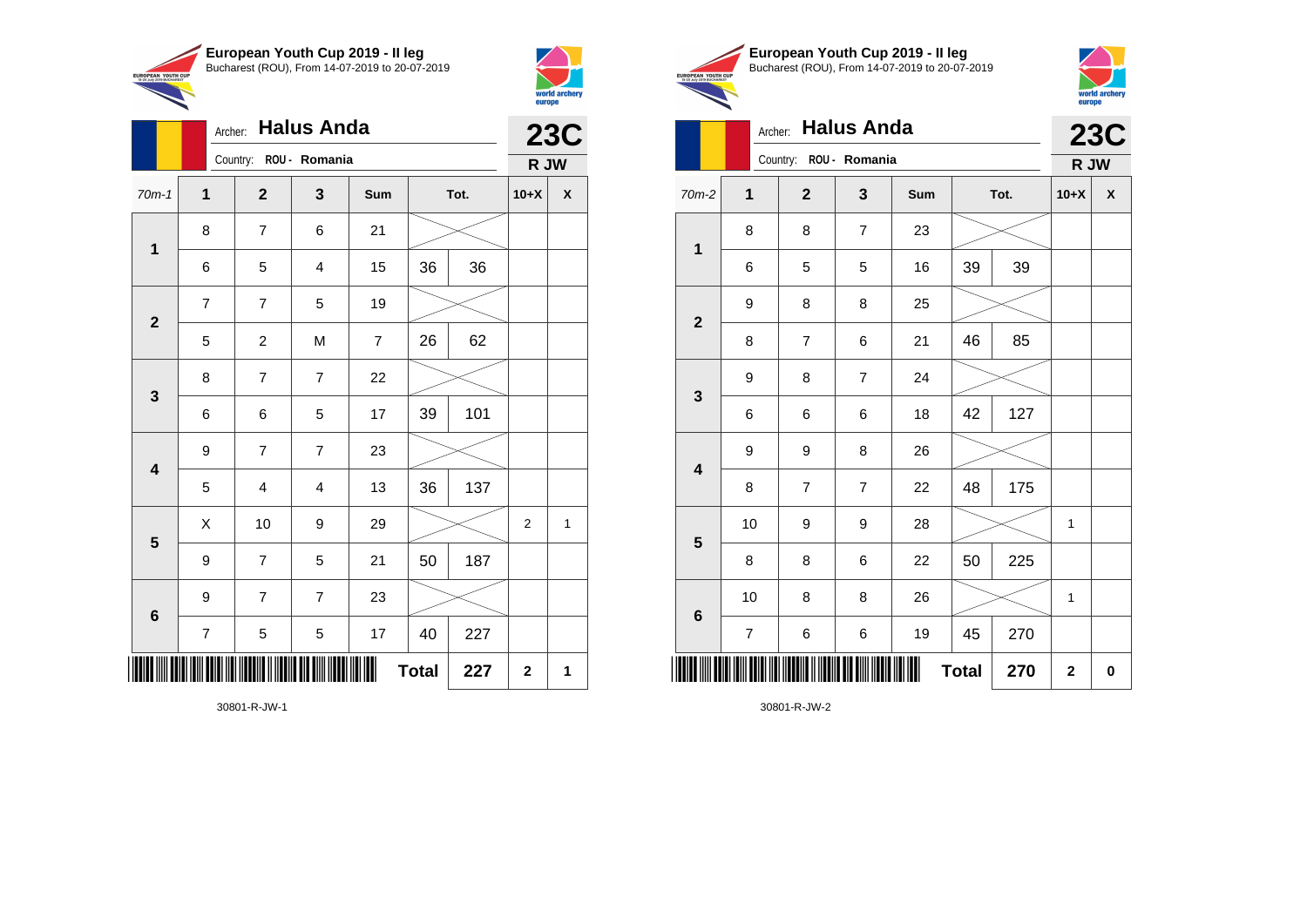

Archer: **Halus Anda**

8 7 6 21

7 | 7 | 5 | 19

8 | 7 | 7 | 22

9 7 7 23

9 7 7 23

70m-1 **1 2 3 Sum Tot. 10+X X**

6 5 4 15 36 36

5 | 2 | M | 7 | 26 | 62

6 6 5 17 39 101

5 4 4 13 36 137

9 | 7 | 5 | 21 | 50 | 187

7 | 5 | 5 | 17 | 40 | 227

 $\begin{array}{|c|c|c|c|c|}\hline \hspace{.1cm}X & \hspace{.1cm} \text{10} & \hspace{.1cm} \text{9} & \hspace{.1cm} \text{29} & \hspace{.1cm} \hline \end{array} \hspace{.2cm} \begin{array}{|c|c|c|c|c|c|}\hline \hspace{.1cm}X & \hspace{.1cm} \text{2} & \hspace{.1cm} \text{2} & \hspace{.1cm} \text{1} & \hspace{.1cm} \hline \end{array}$ 

**Total**  $227$  | 2 | 1

Country: **ROU - Romania**

**1**

**2**

**3**

**4**

**5**

**6**



**23C R JW**

|              | European Youth Cup 2019 - Il leg               |
|--------------|------------------------------------------------|
| <b>H</b> CUP | Bucharest (ROU), From 14-07-2019 to 20-07-2019 |
| <b>DEST</b>  |                                                |



|                         |                | Archer: Halus Anda     |                |     |              |      |              | <b>23C</b>         |
|-------------------------|----------------|------------------------|----------------|-----|--------------|------|--------------|--------------------|
|                         |                | Country: ROU - Romania |                |     |              |      | R JW         |                    |
| 70m-2                   | $\mathbf{1}$   | $\mathbf{2}$           | $\mathbf{3}$   | Sum |              | Tot. | $10+X$       | $\pmb{\mathsf{x}}$ |
|                         | 8              | 8                      | $\overline{7}$ | 23  |              |      |              |                    |
| $\mathbf{1}$            | 6              | 5                      | 5              | 16  | 39           | 39   |              |                    |
|                         | 9              | 8                      | 8              | 25  |              |      |              |                    |
| $\mathbf 2$             | 8              | $\overline{7}$         | 6              | 21  | 46           | 85   |              |                    |
|                         | 9              | 8                      | $\overline{7}$ | 24  |              |      |              |                    |
| $\mathbf{3}$            | 6              | 6                      | 6              | 18  | 42           | 127  |              |                    |
| $\overline{\mathbf{4}}$ | 9              | 9                      | 8              | 26  |              |      |              |                    |
|                         | 8              | $\overline{7}$         | $\overline{7}$ | 22  | 48           | 175  |              |                    |
| $5\phantom{1}$          | 10             | 9                      | 9              | 28  |              |      | 1            |                    |
|                         | 8              | 8                      | 6              | 22  | 50           | 225  |              |                    |
| $\bf 6$                 | $10$           | 8                      | 8              | 26  |              |      | 1            |                    |
|                         | $\overline{7}$ | 6                      | 6              | 19  | 45           | 270  |              |                    |
|                         |                |                        |                |     | <b>Total</b> | 270  | $\mathbf{2}$ | $\pmb{0}$          |

30801-R-JW-2

30801-R-JW-1

\*30801-R-JW-1\*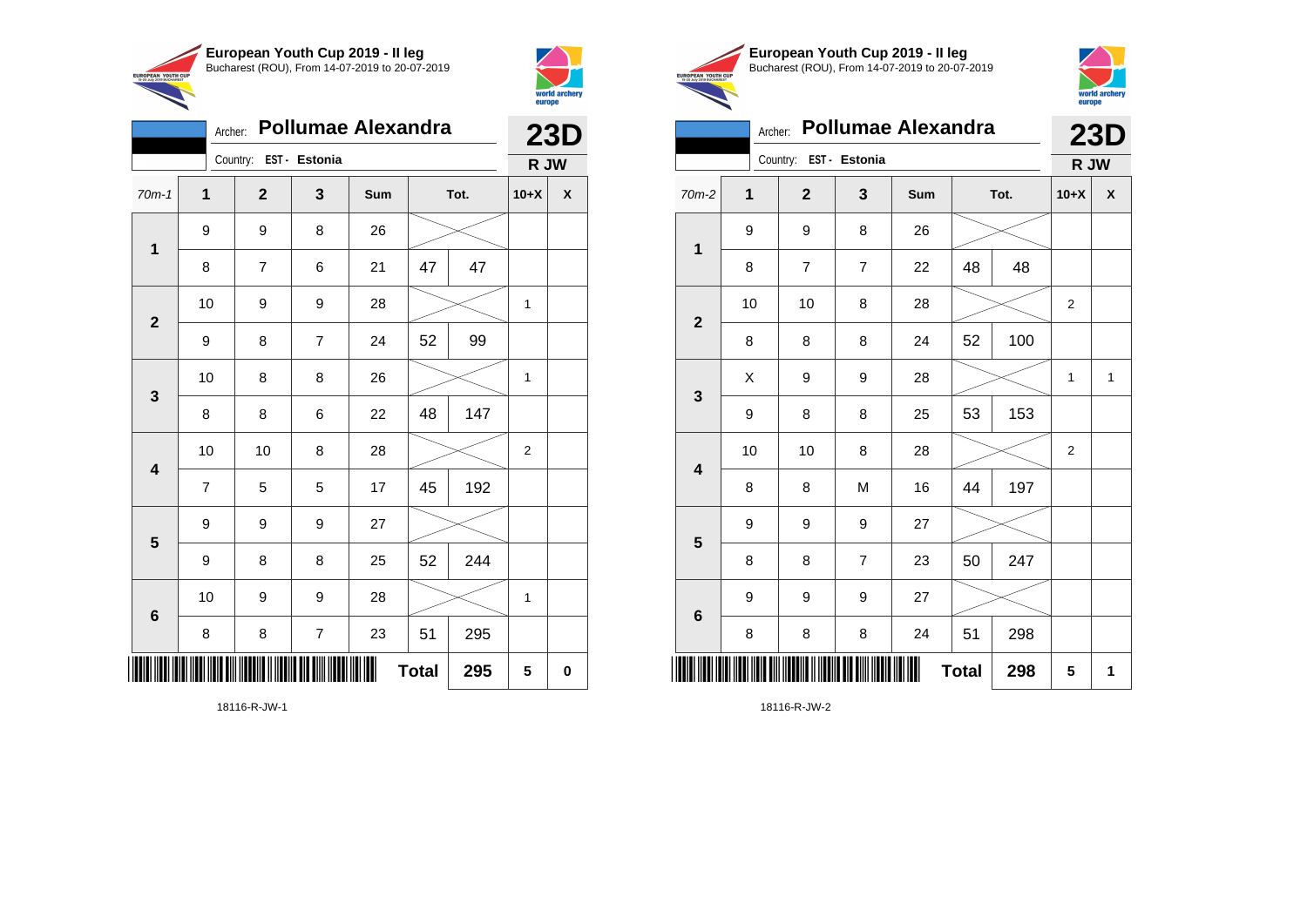



| <b>Pollumae Alexandra</b><br>Archer: |                |                        |                |     |              |      |        | <b>23D</b>       |  |
|--------------------------------------|----------------|------------------------|----------------|-----|--------------|------|--------|------------------|--|
|                                      |                | Country: EST - Estonia |                |     |              |      | R JW   |                  |  |
| $70m-1$                              | $\overline{1}$ | $\mathbf{2}$           | 3              | Sum |              | Tot. | $10+X$ | $\boldsymbol{x}$ |  |
| $\mathbf 1$                          | 9              | 9                      | 8              | 26  |              |      |        |                  |  |
|                                      | 8              | $\overline{7}$         | 6              | 21  | 47           | 47   |        |                  |  |
|                                      | 10             | 9                      | 9              | 28  |              |      | 1      |                  |  |
| $\mathbf{2}$                         | 9              | 8                      | $\overline{7}$ | 24  | 52           | 99   |        |                  |  |
| 3                                    | 10             | 8                      | 8              | 26  |              |      | 1      |                  |  |
|                                      | 8              | 8                      | 6              | 22  | 48           | 147  |        |                  |  |
| $\overline{\mathbf{4}}$              | 10             | 10                     | 8              | 28  |              |      | 2      |                  |  |
|                                      | $\overline{7}$ | 5                      | 5              | 17  | 45           | 192  |        |                  |  |
| 5                                    | 9              | 9                      | 9              | 27  |              |      |        |                  |  |
|                                      | 9              | 8                      | 8              | 25  | 52           | 244  |        |                  |  |
| $6\phantom{1}$                       | 10             | 9                      | 9              | 28  |              |      | 1      |                  |  |
|                                      | 8              | 8                      | $\overline{7}$ | 23  | 51           | 295  |        |                  |  |
|                                      |                |                        |                |     | <b>Total</b> | 295  | 5      | 0                |  |

18116-R-JW-1





|                         | <b>Pollumae Alexandra</b><br>Archer: |                        |                |     |              |      |                |              |  |
|-------------------------|--------------------------------------|------------------------|----------------|-----|--------------|------|----------------|--------------|--|
|                         |                                      | Country: EST - Estonia |                |     |              |      | <b>23D</b>     | R JW         |  |
| 70m-2                   | 1                                    | $\mathbf{2}$           | 3              | Sum |              | Tot. | $10+X$         | X            |  |
| $\mathbf{1}$            | 9                                    | 9                      | 8              | 26  |              |      |                |              |  |
|                         | 8                                    | $\overline{7}$         | $\overline{7}$ | 22  | 48           | 48   |                |              |  |
| $\overline{\mathbf{2}}$ | 10                                   | 10                     | 8              | 28  |              |      | $\overline{2}$ |              |  |
|                         | 8                                    | 8                      | 8              | 24  | 52           | 100  |                |              |  |
| 3                       | X                                    | 9                      | 9              | 28  |              |      | 1              | $\mathbf{1}$ |  |
|                         | 9                                    | 8                      | 8              | 25  | 53           | 153  |                |              |  |
| 4                       | 10                                   | 10                     | 8              | 28  |              |      | $\overline{2}$ |              |  |
|                         | 8                                    | 8                      | M              | 16  | 44           | 197  |                |              |  |
| 5                       | 9                                    | 9                      | 9              | 27  |              |      |                |              |  |
|                         | 8                                    | 8                      | 7              | 23  | 50           | 247  |                |              |  |
| $6\phantom{1}6$         | 9                                    | 9                      | 9              | 27  |              |      |                |              |  |
|                         | 8                                    | 8                      | 8              | 24  | 51           | 298  |                |              |  |
| Ш                       |                                      |                        |                |     | <b>Total</b> | 298  | 5              | 1            |  |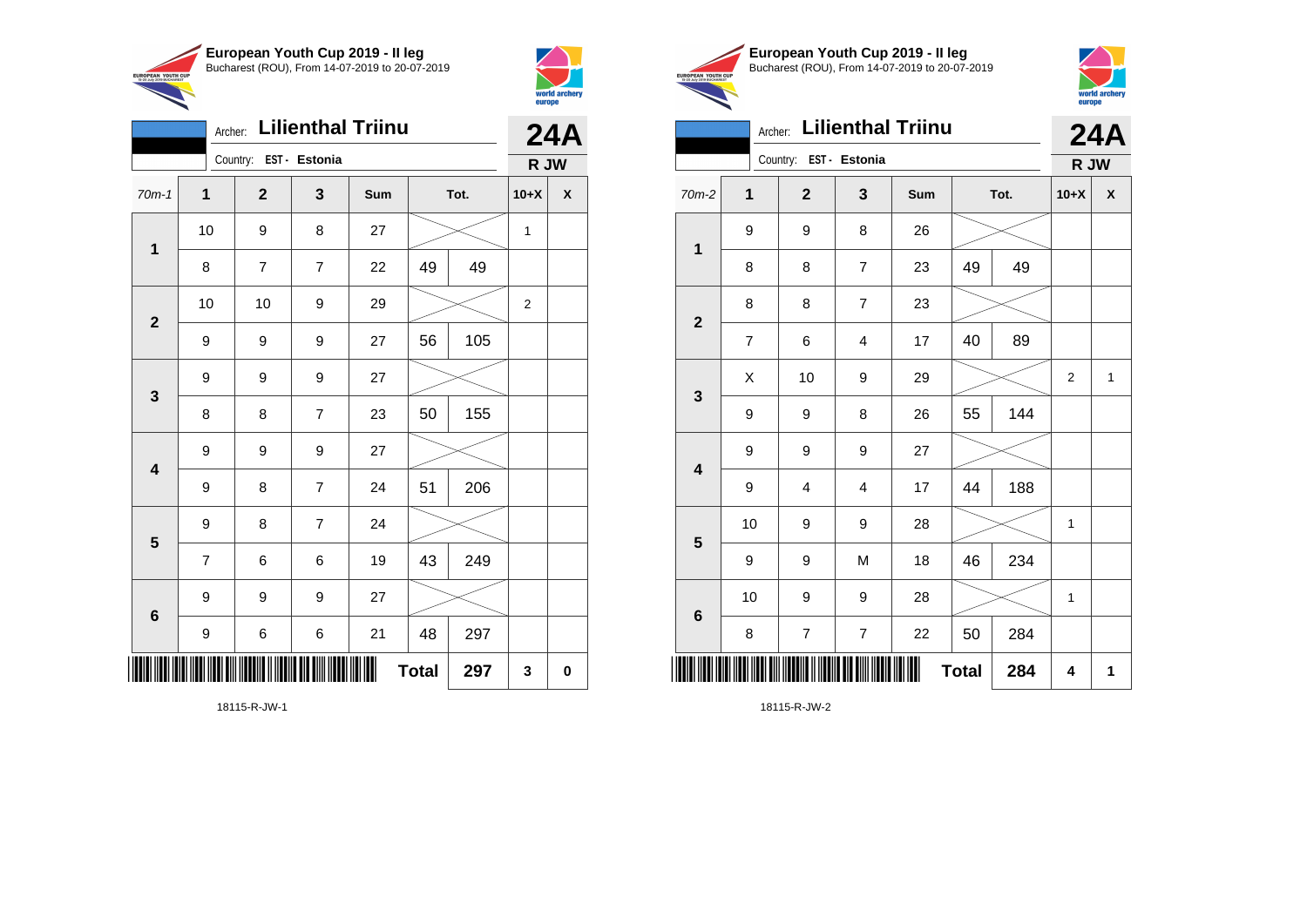

Country: **EST - Estonia**

**1**

**2**

**3**

**4**

**5**

**6**

Archer: **Lilienthal Triinu**

70m-1 **1 2 3 Sum Tot. 10+X X**

8 7 7 22 49 49

9 | 9 | 9 | 27 | 56 | 105

8 | 8 | 7 | 23 | 50 | 155

9 | 8 | 7 | 24 | 51 | 206

7 | 6 | 6 | 19 | 43 | 249

9 | 6 | 6 | 21 | 48 | 297

 $Total | 297 | 3 | 0$ 

9 9 9 27

9 9 9 27

9 8 7 24

9 9 9 27

10 | 9 | 8 | 27 |  $\times$  | 1

10 | 10 | 9 | 29 |  $\times$  | 2



**24A R JW**

|                                                        | European Youth Cup 2019 - Il leg               |
|--------------------------------------------------------|------------------------------------------------|
| <b>EUROPEAN YOUTH CUP</b><br>15-20 July 2019 BUCHAREST | Bucharest (ROU), From 14-07-2019 to 20-07-2019 |
|                                                        |                                                |



|                        |                                                                                                         |              |                         |                | Archer: Lilienthal Triinu |    |              |                | <b>24A</b>   |
|------------------------|---------------------------------------------------------------------------------------------------------|--------------|-------------------------|----------------|---------------------------|----|--------------|----------------|--------------|
|                        |                                                                                                         |              |                         |                |                           |    |              | R JW           |              |
|                        | $70m-2$                                                                                                 | $\mathbf{1}$ | $\overline{\mathbf{2}}$ | 3              | Sum                       |    | Tot.         | $10+X$         | X            |
|                        | $\mathbf{1}$<br>$\overline{\mathbf{2}}$<br>$\overline{\mathbf{3}}$<br>$\overline{\mathbf{4}}$<br>5<br>6 | 9            | 9                       | 8              | 26                        |    |              |                |              |
|                        |                                                                                                         | 8            | 8                       | $\overline{7}$ | 23                        | 49 | 49           |                |              |
|                        |                                                                                                         | 8            | 8                       | 7              | 23                        |    |              |                |              |
|                        | $\overline{7}$                                                                                          | 6            | $\overline{\mathbf{4}}$ | 17             | 40                        | 89 |              |                |              |
|                        |                                                                                                         | Χ            | 10                      | 9              | 29                        |    |              | $\overline{2}$ | $\mathbf{1}$ |
|                        |                                                                                                         | 9            | 9                       | 8              | 26                        | 55 | 144          |                |              |
|                        |                                                                                                         | 9            | 9                       | 9              | 27                        |    |              |                |              |
|                        |                                                                                                         | 9            | 4                       | $\overline{4}$ | 17                        | 44 | 188          |                |              |
|                        |                                                                                                         | 10           | 9                       | 9              | 28                        |    |              | $\mathbf{1}$   |              |
|                        |                                                                                                         | 9            | 9                       | M              | 18                        | 46 | 234          |                |              |
|                        | 10                                                                                                      | 9            | 9                       | 28             |                           |    | $\mathbf{1}$ |                |              |
|                        |                                                                                                         | 8            | $\overline{7}$          | $\overline{7}$ | 22                        | 50 | 284          |                |              |
| Country: EST - Estonia |                                                                                                         |              |                         | <b>Total</b>   | 284                       | 4  | 1            |                |              |

18115-R-JW-2

18115-R-JW-1

\*18115-R-JW-1\*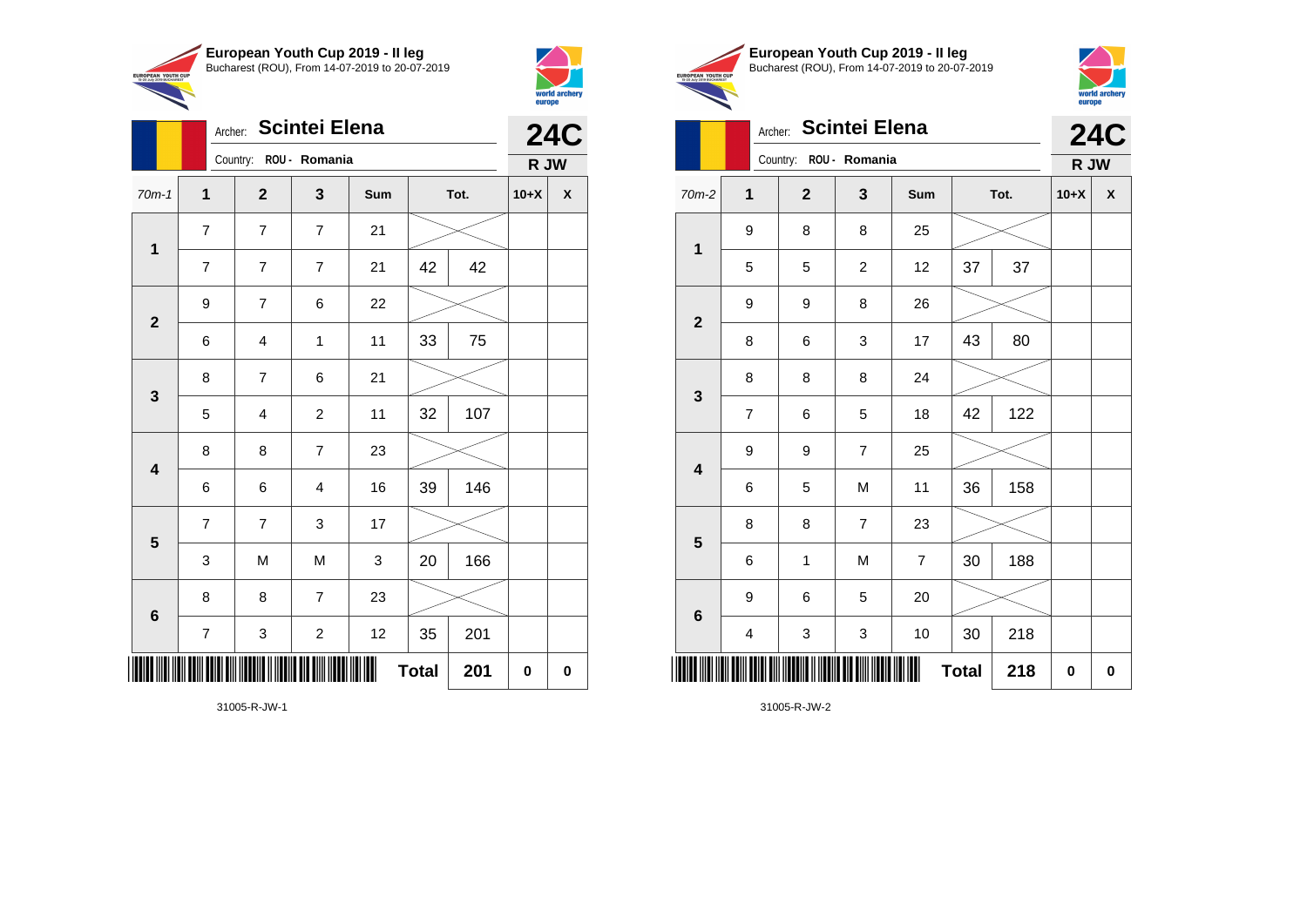

Archer: **Scintei Elena**

70m-1 **1 2 3 Sum Tot. 10+X X**

7 | 7 | 7 | 21 | 42 | 42

6 4 1 11 33 75

5 4 2 11 32 107

6 6 4 16 39 146

3 | M | M | 3 | 20 | 166

7 3 2 12 35 201

**Total 201 0 0**

Country: **ROU - Romania**

7 7 7 21

9 | 7 | 6 | 22

8 | 7 | 6 | 21

8 8 7 23

7 | 3 | 17

8 8 7 23

**1**

**2**

**3**

**4**

**5**

**6**



**R JW**

|                                                        | European Youth Cup 2019 - Il leg               |
|--------------------------------------------------------|------------------------------------------------|
| <b>EUROPEAN YOUTH CUP</b><br>15-20 July 2019 BUCHAREST | Bucharest (ROU), From 14-07-2019 to 20-07-2019 |
|                                                        |                                                |



|  |         | <b>Scintei Elena</b><br>Archer:<br>Country: ROU - Romania<br>$\mathbf{1}$<br>$\mathbf{3}$<br>$\mathbf{2}$<br>Sum<br>Tot.<br>9<br>8<br>25<br>8<br>$\mathbf{1}$<br>37<br>5<br>$\overline{c}$<br>37<br>5<br>12<br>9<br>9<br>8<br>26<br>$\mathbf{2}$<br>43<br>80<br>8<br>6<br>3<br>17<br>8<br>8<br>8<br>24<br>$\mathbf{3}$<br>122<br>42<br>$\overline{7}$<br>18<br>6<br>5<br>$\overline{7}$<br>9<br>9<br>25<br>$\overline{\mathbf{4}}$<br>M<br>11<br>158<br>6<br>5<br>36 |              |                | <b>24C</b>     |              |     |           |           |
|--|---------|----------------------------------------------------------------------------------------------------------------------------------------------------------------------------------------------------------------------------------------------------------------------------------------------------------------------------------------------------------------------------------------------------------------------------------------------------------------------|--------------|----------------|----------------|--------------|-----|-----------|-----------|
|  |         |                                                                                                                                                                                                                                                                                                                                                                                                                                                                      |              |                |                |              |     | R JW      |           |
|  | 70m-2   |                                                                                                                                                                                                                                                                                                                                                                                                                                                                      |              |                |                |              |     | $10+X$    | X         |
|  |         |                                                                                                                                                                                                                                                                                                                                                                                                                                                                      |              |                |                |              |     |           |           |
|  |         |                                                                                                                                                                                                                                                                                                                                                                                                                                                                      |              |                |                |              |     |           |           |
|  |         |                                                                                                                                                                                                                                                                                                                                                                                                                                                                      |              |                |                |              |     |           |           |
|  |         |                                                                                                                                                                                                                                                                                                                                                                                                                                                                      |              |                |                |              |     |           |           |
|  |         |                                                                                                                                                                                                                                                                                                                                                                                                                                                                      |              |                |                |              |     |           |           |
|  |         |                                                                                                                                                                                                                                                                                                                                                                                                                                                                      |              |                |                |              |     |           |           |
|  |         |                                                                                                                                                                                                                                                                                                                                                                                                                                                                      |              |                |                |              |     |           |           |
|  |         |                                                                                                                                                                                                                                                                                                                                                                                                                                                                      |              |                |                |              |     |           |           |
|  | 5       | 8                                                                                                                                                                                                                                                                                                                                                                                                                                                                    | 8            | $\overline{7}$ | 23             |              |     |           |           |
|  |         | 6                                                                                                                                                                                                                                                                                                                                                                                                                                                                    | $\mathbf{1}$ | M              | $\overline{7}$ | 30           | 188 |           |           |
|  | $\bf 6$ | 9                                                                                                                                                                                                                                                                                                                                                                                                                                                                    | 6            | 5              | 20             |              |     |           |           |
|  |         | 4                                                                                                                                                                                                                                                                                                                                                                                                                                                                    | 3            | 3              | 10             | 30           | 218 |           |           |
|  |         |                                                                                                                                                                                                                                                                                                                                                                                                                                                                      |              |                |                | <b>Total</b> | 218 | $\pmb{0}$ | $\pmb{0}$ |

31005-R-JW-1

\*31005-R-JW-1\*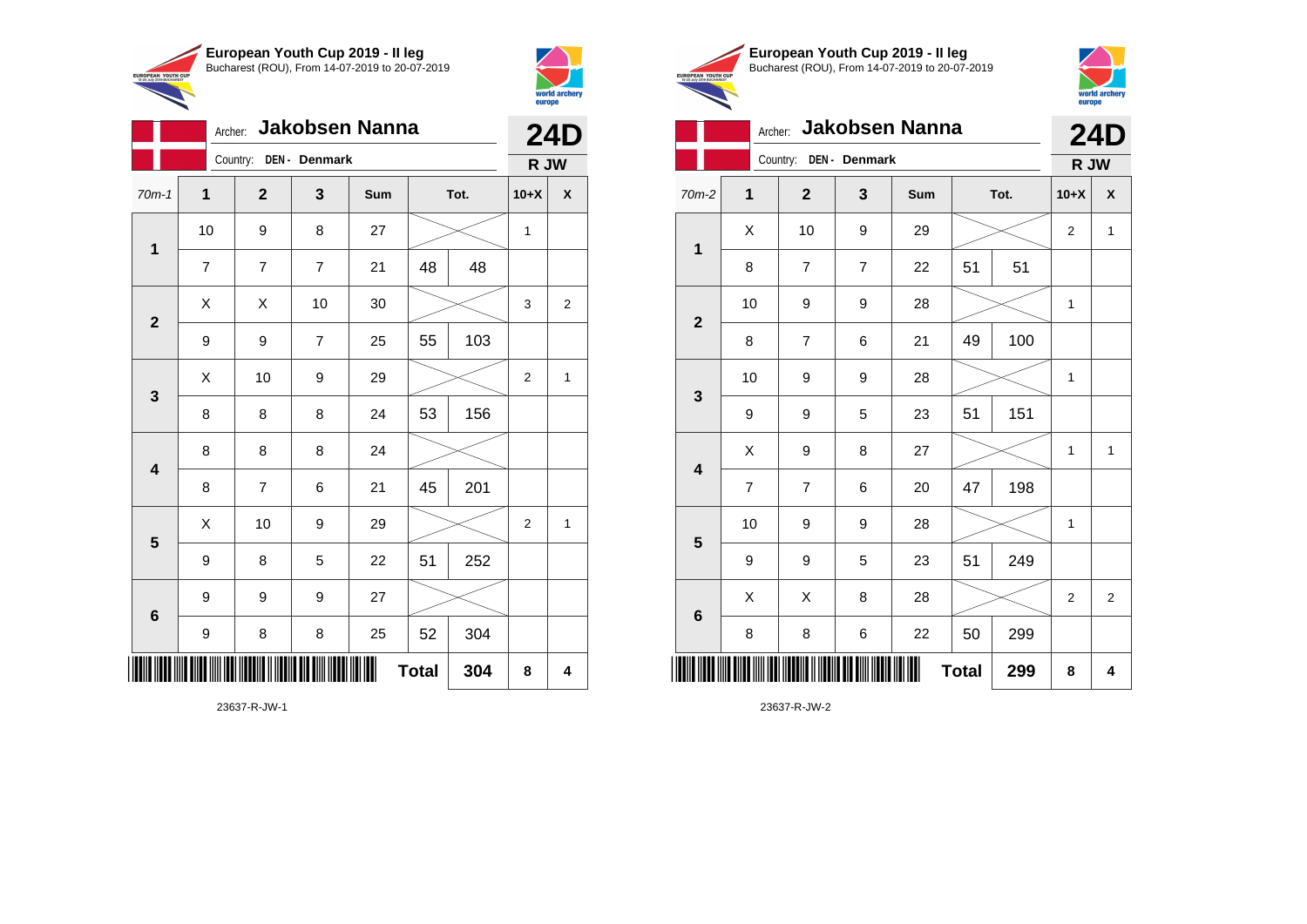



|                                                        | European Youth Cup 2019 - Il leg               |
|--------------------------------------------------------|------------------------------------------------|
| <b>EUROPEAN YOUTH CUP</b><br>15-20 July 2019 BUCHAREST | Bucharest (ROU), From 14-07-2019 to 20-07-2019 |
|                                                        |                                                |



## Archer: **Jakobsen Nanna 24D**

|                         |                | Country:<br>DEN - Denmark |                  |     |              |      |                  |                |  |
|-------------------------|----------------|---------------------------|------------------|-----|--------------|------|------------------|----------------|--|
| $70m-2$                 | $\mathbf{1}$   | $\mathbf{2}$              | 3                | Sum |              | Tot. | $10+X$           | X              |  |
| $\overline{\mathbf{1}}$ | Χ              | 10                        | 9                | 29  |              |      | $\boldsymbol{2}$ | $\mathbf{1}$   |  |
|                         | 8              | $\overline{\mathbf{7}}$   | $\boldsymbol{7}$ | 22  | 51           | 51   |                  |                |  |
| $\mathbf{2}$            | 10             | 9                         | 9                | 28  |              |      | 1                |                |  |
|                         | 8              | $\overline{\mathbf{7}}$   | 6                | 21  | 49           | 100  |                  |                |  |
|                         | 10             | 9                         | 9                | 28  |              |      | 1                |                |  |
| $\mathbf{3}$            | 9              | 9                         | 5                | 23  | 51           | 151  |                  |                |  |
|                         | Χ              | 9                         | 8                | 27  |              |      | $\mathbf 1$      | $\mathbf 1$    |  |
| $\overline{\mathbf{4}}$ | $\overline{7}$ | $\overline{\mathbf{7}}$   | 6                | 20  | 47           | 198  |                  |                |  |
| $\overline{\mathbf{5}}$ | 10             | 9                         | 9                | 28  |              |      | 1                |                |  |
|                         | 9              | 9                         | 5                | 23  | 51           | 249  |                  |                |  |
|                         | Χ              | Χ                         | 8                | 28  |              |      | $\overline{2}$   | $\overline{2}$ |  |
| $\bf 6$                 | 8              | 8                         | 6                | 22  | 50           | 299  |                  |                |  |
|                         |                |                           |                  | ∭   | <b>Total</b> | 299  | 8                | 4              |  |

23637-R-JW-2

Archer: **Jakobsen Nanna** Country: **DEN - Denmark 24D R JW** 70m-1 **1 2 3 Sum Tot. 10+X X 1** 10 | 9 | 8 | 27 |  $\times$  | 1 7 7 7 21 48 48 **2**  $\begin{array}{|c|c|c|c|c|}\hline \hspace{0.8cm}X & X & 10 & 30 & \nearrow & \ \hline \end{array} \hspace{0.2cm} \begin{array}{|c|c|c|c|c|}\hline \hspace{0.8cm}3 & 3 & 2 \end{array}$ 9 | 9 | 7 | 25 | 55 | 103 **3**  $\begin{array}{|c|c|c|c|c|c|}\hline \hspace{.1cm}X & \hspace{.1cm} \text{10} & \hspace{.1cm} \text{9} & \hspace{.1cm} \text{29} & \hspace{.1cm} \text{20} & \hspace{.1cm} \text{\large{\fbox{\hspace{1cm}}}}\hline \end{array} \hspace{.2cm} \begin{array}{|c|c|c|c|c|c|}\hline \hspace{.1cm}X & \hspace{.1cm} \text{12} & \hspace{.1cm} \text{11} & \hspace{.1cm} \end{array}$ 8 | 8 | 8 | 24 | 53 | 156 **4** 8 8 8 24 8 | 7 | 6 | 21 | 45 | 201 **5**  $\begin{array}{|c|c|c|c|c|}\hline \hspace{.1cm}X & \hspace{.1cm} \text{10} & \hspace{.1cm} \text{9} & \hspace{.1cm} \text{29} & \hspace{.1cm} \hline \end{array} \hspace{.2cm} \begin{array}{|c|c|c|c|c|c|}\hline \hspace{.1cm}X & \hspace{.1cm} \text{2} & \hspace{.1cm} \text{2} & \hspace{.1cm} \text{1} & \hspace{.1cm} \hline \end{array}$ 9 | 8 | 5 | 22 | 51 | 252 **6** 9 9 9 27 9 | 8 | 8 | 25 | 52 | 304  $\overline{2}$ **Total 304 8 4**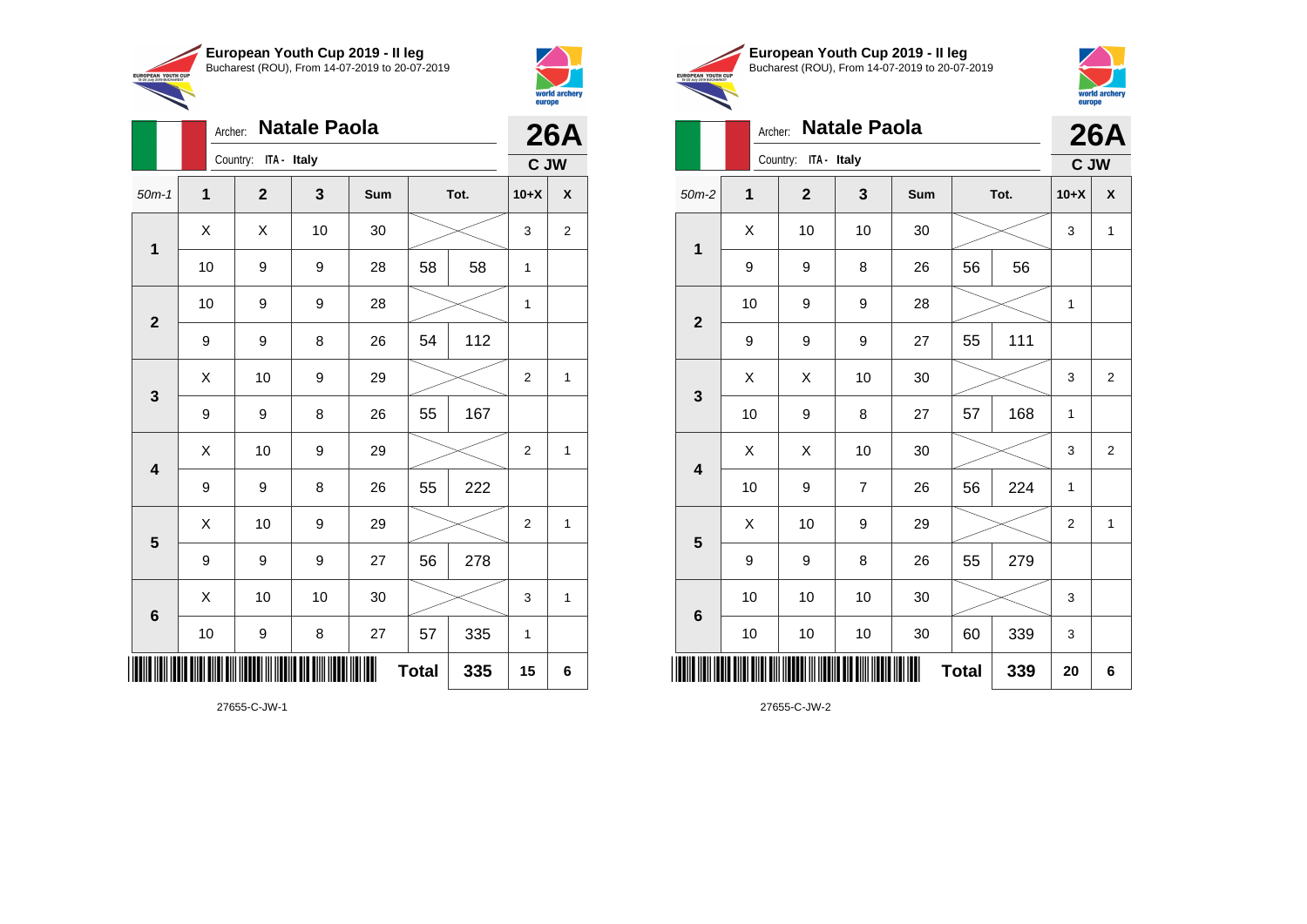



|                         |      | <b>Natale Paola</b><br>Archer: |    |     |              |      |                |              |  |
|-------------------------|------|--------------------------------|----|-----|--------------|------|----------------|--------------|--|
|                         |      | Country: ITA - Italy           |    |     |              |      |                | C JW         |  |
| $50m-1$                 | 1    | $\mathbf{2}$                   | 3  | Sum |              | Tot. | $10+X$         | X            |  |
| $\mathbf 1$             | X    | Χ                              | 10 | 30  |              |      | 3              | $\mathbf 2$  |  |
|                         | 10   | 9                              | 9  | 28  | 58           | 58   | 1              |              |  |
| $\mathbf{2}$            | 10   | 9                              | 9  | 28  |              |      | 1              |              |  |
|                         | 9    | 9                              | 8  | 26  | 54           | 112  |                |              |  |
| $\mathbf{3}$            | X    | 10                             | 9  | 29  |              |      | $\overline{2}$ | 1            |  |
|                         | 9    | 9                              | 8  | 26  | 55           | 167  |                |              |  |
| $\overline{\mathbf{4}}$ | X    | 10                             | 9  | 29  |              |      | $\overline{2}$ | $\mathbf{1}$ |  |
|                         | 9    | 9                              | 8  | 26  | 55           | 222  |                |              |  |
| 5                       | Χ    | 10                             | 9  | 29  |              |      | $\overline{2}$ | 1            |  |
|                         | 9    | 9                              | 9  | 27  | 56           | 278  |                |              |  |
| $\bf 6$                 | X    | 10                             | 10 | 30  |              |      | 3              | 1            |  |
|                         | $10$ | 9                              | 8  | 27  | 57           | 335  | 1              |              |  |
|                         |      |                                |    |     | <b>Total</b> | 335  | 15             | 6            |  |





| <b>Natale Paola</b><br>Archer: |              |              |                |     |              |      |                | <b>26A</b>     |
|--------------------------------|--------------|--------------|----------------|-----|--------------|------|----------------|----------------|
|                                | Country:     |              | C JW           |     |              |      |                |                |
| $50m-2$                        | $\mathbf{1}$ | $\mathbf{2}$ | 3              | Sum |              | Tot. | $10+X$         | X              |
| 1                              | Χ            | 10           | 10             | 30  |              |      | 3              | 1              |
|                                | 9            | 9            | 8              | 26  | 56           | 56   |                |                |
| $\overline{2}$                 | 10           | 9            | 9              | 28  |              |      | 1              |                |
|                                | 9            | 9            | 9              | 27  | 55           | 111  |                |                |
| 3                              | Χ            | X            | 10             | 30  |              |      | 3              | $\overline{2}$ |
|                                | 10           | 9            | 8              | 27  | 57           | 168  | $\mathbf{1}$   |                |
| $\overline{\mathbf{4}}$        | X            | X            | 10             | 30  |              |      | 3              | $\overline{2}$ |
|                                | 10           | 9            | $\overline{7}$ | 26  | 56           | 224  | 1              |                |
| 5                              | Χ            | 10           | 9              | 29  |              |      | $\overline{2}$ | 1              |
|                                | 9            | 9            | 8              | 26  | 55           | 279  |                |                |
| $6\phantom{1}$                 | 10           | 10           | 10             | 30  |              |      | 3              |                |
|                                | 10           | 10           | 10             | 30  | 60           | 339  | 3              |                |
| ║║║                            |              |              |                |     | <b>Total</b> | 339  | 20             | 6              |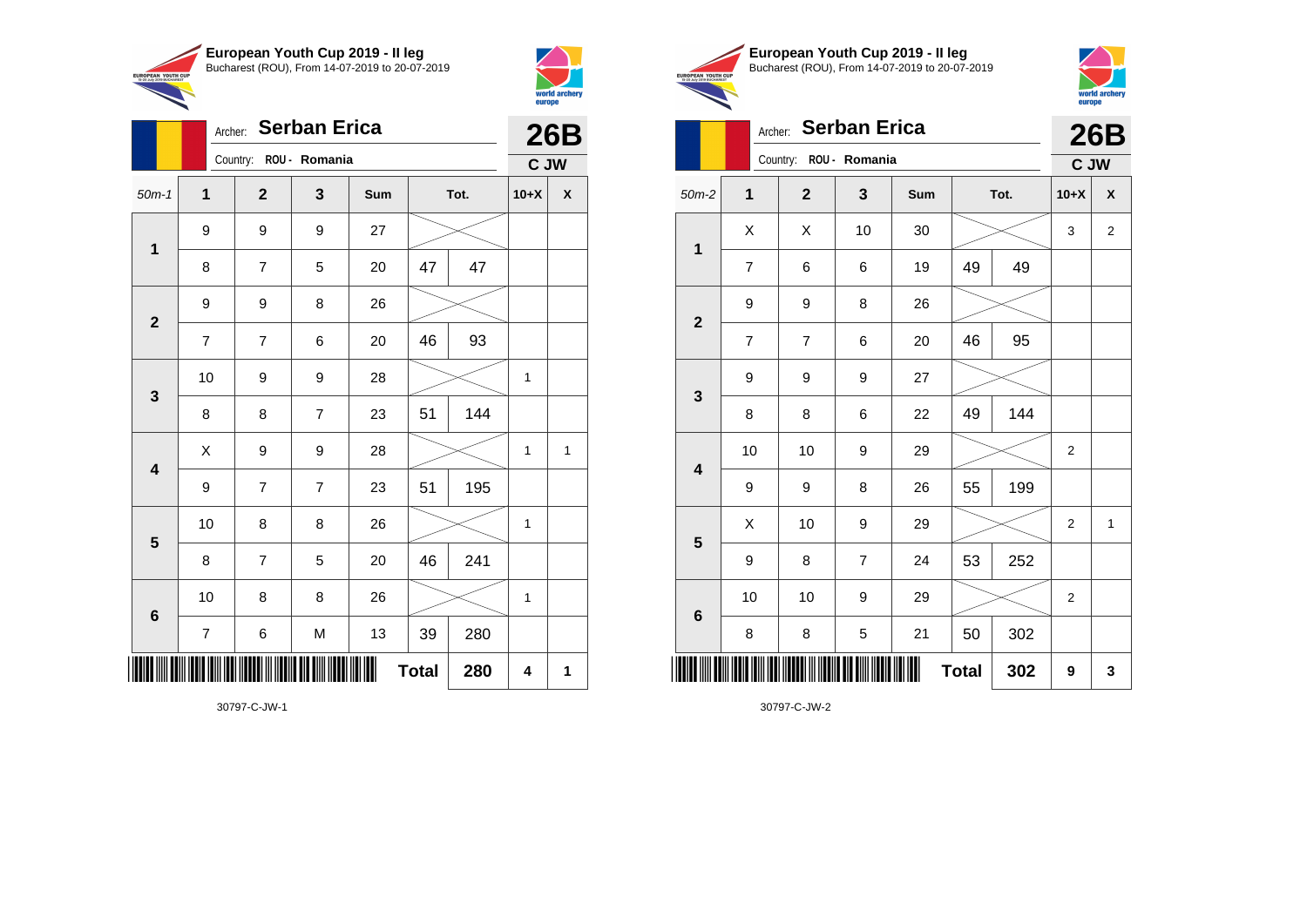

Archer: **Serban Erica**

9 9 9 27

9 9 8 26

50m-1 **1 2 3 Sum Tot. 10+X X**

8 | 7 | 5 | 20 | 47 | 47

7 | 7 | 6 | 20 | 46 | 93

8 | 8 | 7 | 23 | 51 | 144

9 | 7 | 7 | 23 | 51 | 195

8 | 7 | 5 | 20 | 46 | 241

7 | 6 | M | 13 | 39 | 280

10 | 8 | 8 | 26 |  $\times$  | 1

10 | 8 | 8 | 26 |  $\!\!\!\!\!\!\times$  | 1

 $Total | 280 | 4 | 1$ 

10 | 9 | 9 | 28 |  $\times$  | 1

 $X$  | 9 | 9 | 28 |  $\swarrow$  | 1 | 1

Country: **ROU - Romania**

**1**

**2**

**3**

**4**

**5**

**6**

\*30797-C-JW-1\*



**26B C JW**

|                                                        | European Youth Cup 2019 - Il leg               |
|--------------------------------------------------------|------------------------------------------------|
| <b>EUROPEAN YOUTH CUP</b><br>15-20 July 2019 BUCHAREST | Bucharest (ROU), From 14-07-2019 to 20-07-2019 |
|                                                        |                                                |



# **Serban Erica** Country: **ROU - Romania 26B C JW** 50m-2 **1 2 3 Sum Tot. 10+X X 1**  $X$   $\mid$   $X$   $\mid$  10  $\mid$  30  $\mid$   $\gg$   $\mid$  3  $\mid$  2 7 | 6 | 6 | 19 | 49 | 49 **2** 9 9 8 26 7 | 7 | 6 | 20 | 46 | 95 **3** 9 9 9 27 8 | 8 | 6 | 22 | 49 | 144 **4** 10 | 10 | 9 | 29 |  $\times$  | 2 9 | 9 | 8 | 26 | 55 | 199 **5** X 10 9 29 2 1 9 | 8 | 7 | 24 | 53 | 252 **6** 10 | 10 | 9 | 29 |  $\!\!\!\!\!\times$  | 2 8 | 8 | 5 | 21 | 50 | 302 \*30797-C-JW-2\*  $Total | 302 | 9 | 3$

| 30797-C-JW-1 |  |
|--------------|--|
|              |  |

|              |   | Archer:  |  |
|--------------|---|----------|--|
|              |   | Country: |  |
| $50m-2$      |   |          |  |
|              | X |          |  |
| 1            | 7 |          |  |
| $\mathbf{2}$ | 9 |          |  |
|              |   |          |  |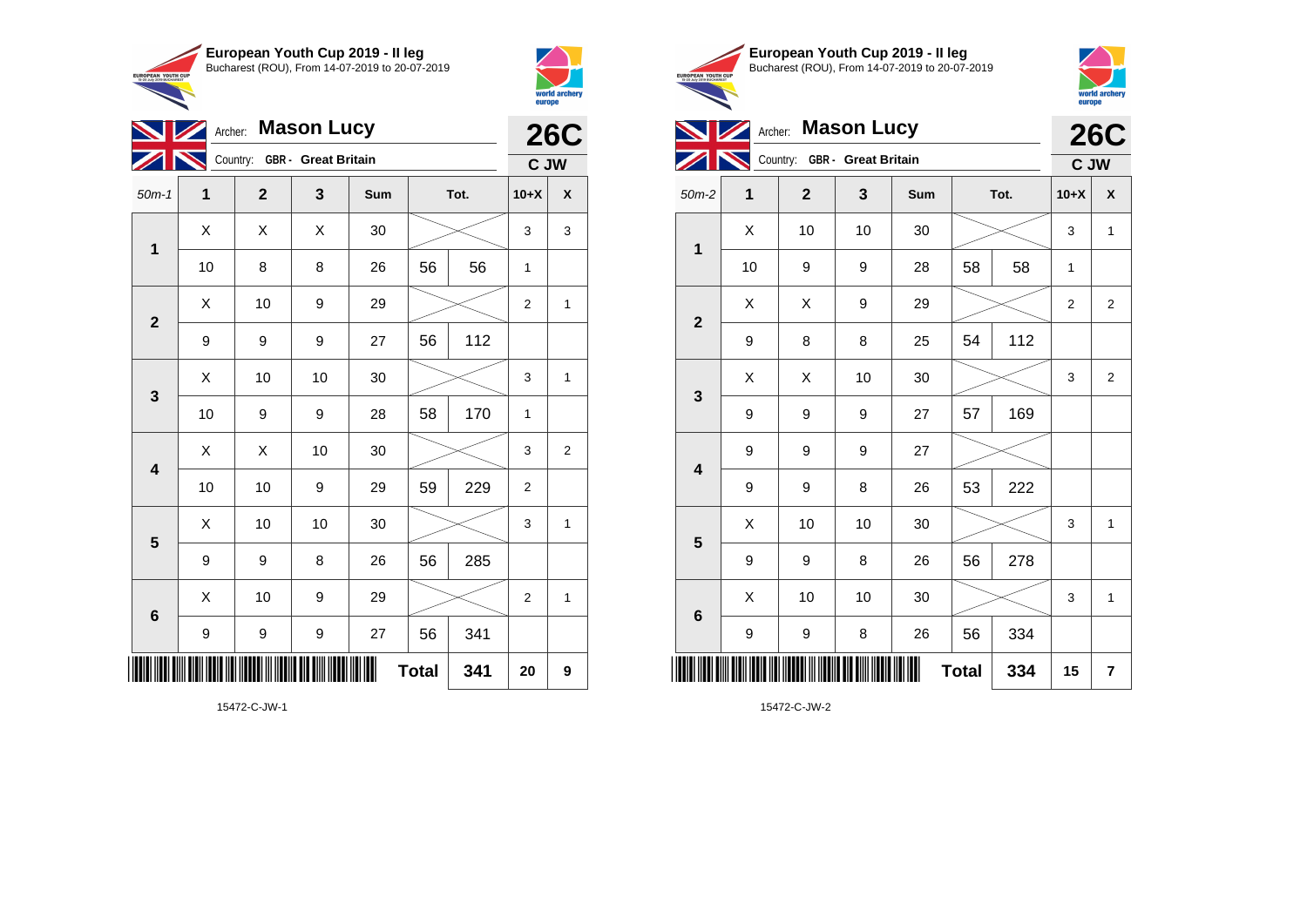

Country: **GBR - Great Britain**

50m-1 **1 2 3 Sum Tot. 10+X X**

10 | 8 | 8 | 26 | 56 | 56 | 1

9 | 9 | 9 | 27 | 56 | 112

 $X \quad | \quad X \quad | \quad X \quad | \quad 30 \quad | \quad \textcolor{red}{\textbf{3}} \textcolor{red}{\textbf{2}} \textcolor{red}{\textbf{3}} \quad | \quad 3 \quad | \quad 3$ 

 $\begin{array}{|c|c|c|c|c|c|}\hline \hspace{.1cm}X & \hspace{.1cm} \text{10} & \hspace{.1cm} \text{9} & \hspace{.1cm} \text{29} & \hspace{.1cm} \text{20} & \hspace{.1cm} \text{\large{\fbox{\hspace{1cm}}}}\hline \end{array} \hspace{.2cm} \begin{array}{|c|c|c|c|c|c|}\hline \hspace{.1cm}X & \hspace{.1cm} \text{12} & \hspace{.1cm} \text{11} & \hspace{.1cm} \end{array}$ 

 $\begin{array}{|c|c|c|c|c|c|}\hline \hspace{.1cm}X & \hspace{.1cm} \text{ 10} & \hspace{.1cm} \text{ 10} & \hspace{.1cm} \text{ 30} & \hspace{.1cm} \end{array} \hspace{.2cm} \begin{array}{|c|c|c|c|c|c|}\hline \hspace{.1cm}X & \hspace{.1cm} \text{ 3} & \hspace{.1cm} \text{ 1} & \hspace{.1cm} \text{ 4} & \hspace{.1cm} \end{array}$ 

 $\begin{array}{|c|c|c|c|c|}\hline \hspace{0.8cm}X & X & 10 & 30 & \nearrow & \ \hline \end{array} \hspace{0.2cm} \begin{array}{|c|c|c|c|c|}\hline \hspace{0.8cm}3 & 3 & 2 \end{array}$ 

 $\begin{array}{|c|c|c|c|c|c|}\hline \hspace{.1cm}X & \hspace{.1cm} \text{ 10} & \hspace{.1cm} \text{ 10} & \hspace{.1cm} \text{ 30} & \hspace{.1cm} \end{array} \hspace{1.2cm} \begin{array}{|c|c|c|c|c|c|}\hline \hspace{.1cm}X & \hspace{.1cm} \text{ 3} & \hspace{.1cm} \text{ 1} & \hspace{.1cm} \text{ 4} & \hspace{.1cm} \end{array} \hspace{1.2cm}$ 

X 10 9 29 2 1

**Total 341 20 9**

10 | 9 | 9 | 28 | 58 | 170 | 1

10 | 10 | 9 | 29 | 59 | 229 | 2

9 | 9 | 8 | 26 | 56 | 285

9 | 9 | 9 | 27 | 56 | 341

**NIMArcher:** Mason Lucy

**1**

 $ZN$ 

**2**

**3**

**4**

**5**

**6**



**26C C JW**

|               | European Youth Cup 2019 - Il leg               |
|---------------|------------------------------------------------|
| <b>TH CUP</b> | Bucharest (ROU), From 14-07-2019 to 20-07-2019 |
| <b>IADEST</b> |                                                |



|                 |    | Archer: Mason Lucy           |    |     |              |      |              | <b>26C</b>                                             |
|-----------------|----|------------------------------|----|-----|--------------|------|--------------|--------------------------------------------------------|
|                 |    | Country: GBR - Great Britain |    |     |              |      |              | C JW                                                   |
| $50m-2$         | 1  | $\mathbf{2}$                 | 3  | Sum |              | Tot. | $10+X$       | X                                                      |
| $\mathbf{1}$    | X  | 10                           | 10 | 30  |              |      | 3            | $\mathbf{1}$                                           |
|                 | 10 | 9                            | 9  | 28  | 58           | 58   | $\mathbf{1}$ |                                                        |
| $\overline{2}$  | X  | X                            | 9  | 29  |              |      | 2            | $\overline{2}$                                         |
|                 | 9  | 8                            | 8  | 25  | 54           | 112  |              |                                                        |
|                 | X  | X                            | 10 | 30  |              |      | 3            | $\overline{2}$                                         |
| $\mathbf{3}$    | 9  | 9                            | 9  | 27  | 57           | 169  |              |                                                        |
|                 | 9  | 9                            | 9  | 27  |              |      |              | $\mathbf{1}$<br>$\mathbf 1$<br>$\overline{\mathbf{r}}$ |
| 4               | 9  | 9                            | 8  | 26  | 53           | 222  |              |                                                        |
| $5\phantom{1}$  | X  | 10                           | 10 | 30  |              |      | 3<br>3<br>15 |                                                        |
|                 | 9  | 9                            | 8  | 26  | 56           | 278  |              |                                                        |
| $6\phantom{1}6$ | X  | 10                           | 10 | 30  |              |      |              |                                                        |
|                 | 9  | 9                            | 8  | 26  | 56           | 334  |              |                                                        |
|                 |    |                              |    | Ш   | <b>Total</b> | 334  |              |                                                        |

15472-C-JW-1

\*15472-C-JW-1\*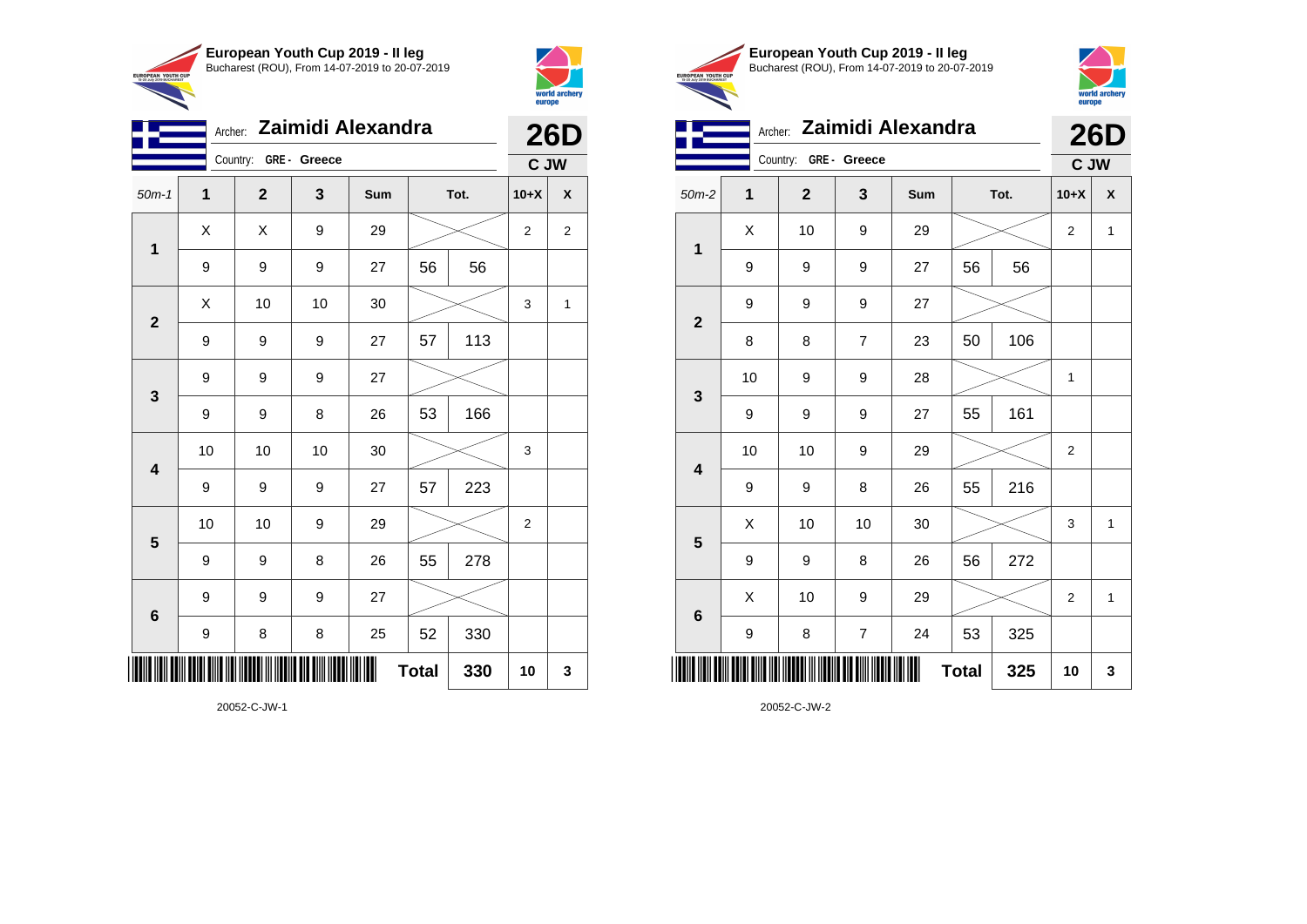



| Zaimidi Alexandra<br>Archer: |                       |             |                  |     |              |      |                | <b>26D</b>       |
|------------------------------|-----------------------|-------------|------------------|-----|--------------|------|----------------|------------------|
|                              | Country: GRE - Greece |             |                  |     |              |      |                | C JW             |
| $50m-1$                      | 1                     | $\mathbf 2$ | 3                | Sum |              | Tot. | $10+X$         | $\boldsymbol{x}$ |
| $\mathbf{1}$                 | Χ                     | X           | 9                | 29  |              |      | $\overline{2}$ | $\overline{2}$   |
|                              | 9                     | 9           | 9                | 27  | 56           | 56   |                |                  |
| $\mathbf{2}$                 | Χ                     | 10          | 10               | 30  |              |      | 3              | 1                |
|                              | 9                     | 9           | 9                | 27  | 57           | 113  |                |                  |
| 3                            | 9                     | 9           | 9                | 27  |              |      |                |                  |
|                              | 9                     | 9           | 8                | 26  | 53           | 166  |                |                  |
| $\overline{\mathbf{4}}$      | 10                    | 10          | 10               | 30  |              |      | 3              |                  |
|                              | 9                     | 9           | $\boldsymbol{9}$ | 27  | 57           | 223  |                |                  |
| 5                            | 10                    | 10          | 9                | 29  |              |      | 2              |                  |
|                              | 9                     | 9           | 8                | 26  | 55           | 278  |                |                  |
| $6\phantom{1}6$              | 9                     | 9           | 9                | 27  |              |      |                |                  |
|                              | 9                     | 8           | 8                | 25  | 52           | 330  |                |                  |
|                              |                       |             |                  | III | <b>Total</b> | 330  | 10             | 3                |





Archer: **Zaimidi Alexandra 26D**

|                         | Country:<br>GRE - Greece                  |              |                  | C JW   |              |     |                |              |
|-------------------------|-------------------------------------------|--------------|------------------|--------|--------------|-----|----------------|--------------|
| $50m-2$                 | 1                                         | $\mathbf{2}$ | 3                | Sum    | Tot.         |     | $10+X$         | χ            |
| $\mathbf 1$             | X                                         | 10           | $\boldsymbol{9}$ | 29     |              |     | $\overline{2}$ | 1            |
|                         | 9                                         | 9            | 9                | 27     | 56           | 56  |                |              |
| $\mathbf{2}$            | 9                                         | 9            | 9                | 27     |              |     |                |              |
|                         | 8                                         | 8            | $\boldsymbol{7}$ | 23     | 50           | 106 |                |              |
| $\mathbf{3}$            | 10                                        | 9            | $\boldsymbol{9}$ | 28     |              |     | 1              |              |
|                         | 9                                         | 9            | 9                | 27     | 55           | 161 |                |              |
| $\overline{\mathbf{4}}$ | 10                                        | $10$         | $\boldsymbol{9}$ | 29     |              |     | 2              |              |
|                         | 9                                         | 9            | 8                | 26     | 55           | 216 |                |              |
| 5                       | X                                         | 10           | 10               | $30\,$ |              |     | 3              | $\mathbf{1}$ |
|                         | 9                                         | 9            | 8                | 26     | 56           | 272 |                |              |
| $\bf 6$                 | Χ                                         | 10           | 9                | 29     |              |     | $\overline{2}$ | 1            |
|                         | 9                                         | 8            | $\boldsymbol{7}$ | 24     | 53           | 325 |                |              |
|                         | <u> HIII HIII III III IIII III III II</u> |              |                  |        | <b>Total</b> | 325 | 10             | 3            |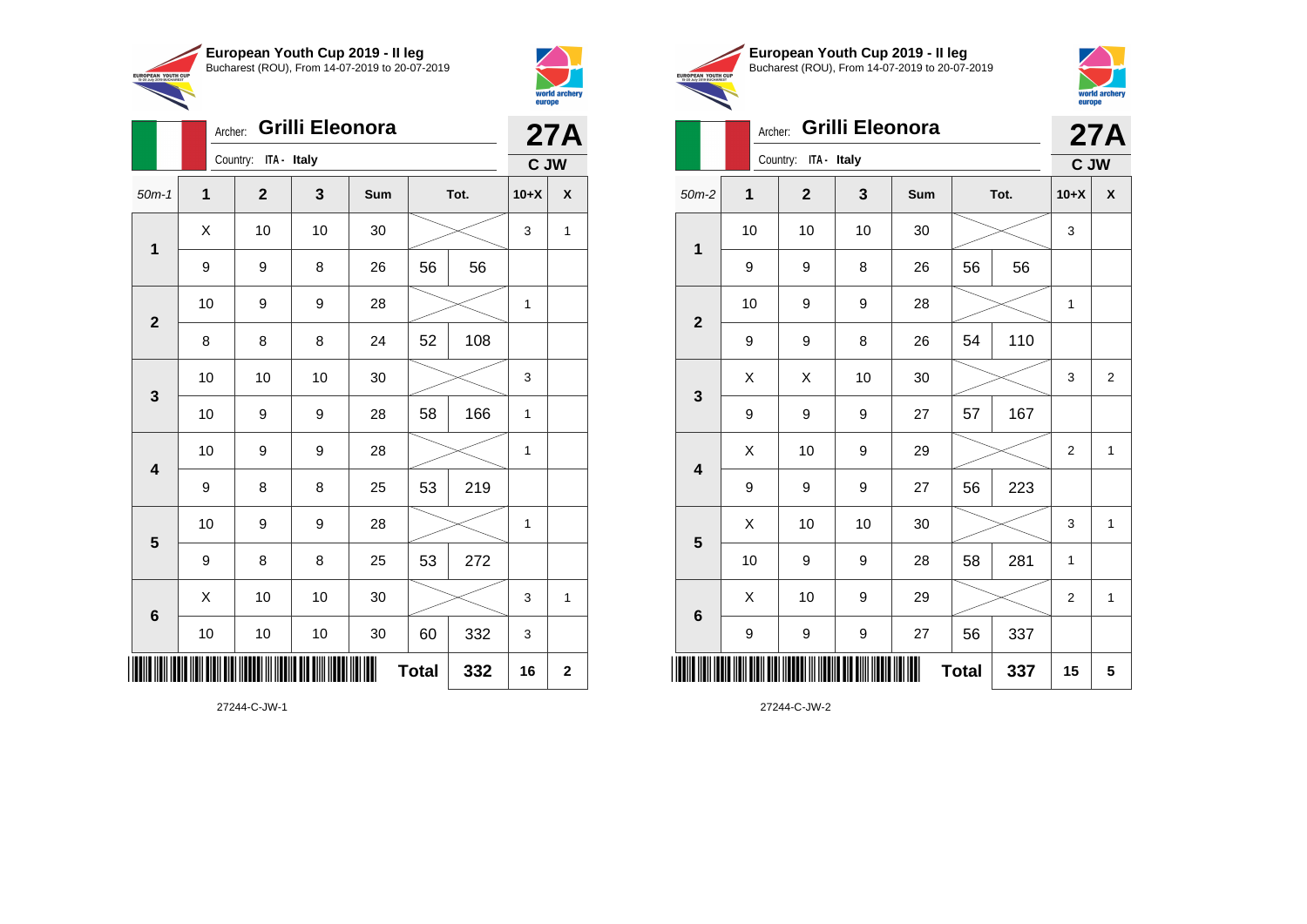

Archer: **Grilli Eleonora**

50m-1 **1 2 3 Sum Tot. 10+X X**

9 | 9 | 8 | 26 | 56 | 56

8 | 8 | 8 | 24 | 52 | 108

10 | 9 | 9 | 28 |  $\times$  | 1

10 | 10 | 10 | 30 |  $\!\!\!\!\!\!\!\!\times$  | 3

10 | 9 | 9 | 28 | 58 | 166 | 1

10 | 9 | 9 | 28 |  $\times$  | 1

10 | 9 | 9 | 28 |  $\times$  | 1

10 | 10 | 10 | 30 | 60 | 332 | 3

 $\begin{array}{|c|c|c|c|c|c|}\hline \hspace{.1cm}X & \hspace{.1cm} \text{ 10} & \hspace{.1cm} \text{ 10} & \hspace{.1cm} \text{ 30} & \hspace{.1cm} \end{array} \hspace{1.2cm} \begin{array}{|c|c|c|c|c|c|}\hline \hspace{.1cm}X & \hspace{.1cm} \text{ 3} & \hspace{.1cm} \text{ 1} & \hspace{.1cm} \text{ 4} & \hspace{.1cm} \end{array} \hspace{1.2cm}$ 

**Total 332 16 2**

9 | 8 | 8 | 25 | 53 | 219

9 | 8 | 8 | 25 | 53 | 272

 $\begin{array}{|c|c|c|c|c|c|}\hline \hspace{.1cm}X & \hspace{.1cm} \text{ 10} & \hspace{.1cm} \text{ 10} & \hspace{.1cm} \text{ 30} & \hspace{.1cm} \end{array} \hspace{.2cm} \begin{array}{|c|c|c|c|c|c|}\hline \hspace{.1cm}X & \hspace{.1cm} \text{ 3} & \hspace{.1cm} \text{ 1} & \hspace{.1cm} \text{ 4} & \hspace{.1cm} \end{array}$ 

Country: **ITA - Italy**

**1**

**2**

**3**

**4**

**5**

**6**



EUROPEAN YOUT

**27A**

**C JW**

|                     | European Youth Cup 2019 - Il leg               |
|---------------------|------------------------------------------------|
| I CUP<br><b>HAT</b> | Bucharest (ROU), From 14-07-2019 to 20-07-2019 |
|                     |                                                |



# Archer: **Grilli Eleonora**

| <b>Grilli Eleonora</b><br>Archer: |          |                |    |     |              |      |                | <b>27A</b>     |
|-----------------------------------|----------|----------------|----|-----|--------------|------|----------------|----------------|
|                                   | Country: | C JW           |    |     |              |      |                |                |
| $50m-2$                           | 1        | $\overline{2}$ | 3  | Sum |              | Tot. | $10+X$         | X              |
| 1                                 | 10       | 10             | 10 | 30  |              |      | 3              |                |
|                                   | 9        | 9              | 8  | 26  | 56           | 56   |                |                |
| $\overline{2}$                    | 10       | 9              | 9  | 28  |              |      | $\mathbf{1}$   |                |
|                                   | 9        | 9              | 8  | 26  | 54           | 110  |                |                |
| 3                                 | X        | X              | 10 | 30  |              |      | 3              | $\overline{2}$ |
|                                   | 9        | 9              | 9  | 27  | 57           | 167  |                |                |
| 4                                 | X        | 10             | 9  | 29  |              |      | $\overline{2}$ | 1              |
|                                   | 9        | 9              | 9  | 27  | 56           | 223  |                |                |
| 5                                 | X        | 10             | 10 | 30  |              |      | 3              | 1              |
|                                   | 10       | 9              | 9  | 28  | 58           | 281  | 1              |                |
| $6\phantom{1}$                    | X        | 10             | 9  | 29  |              |      | $\overline{2}$ | $\mathbf{1}$   |
|                                   | 9        | 9              | 9  | 27  | 56           | 337  |                |                |
| ║║║║                              |          |                |    |     | <b>Total</b> | 337  | 15             | 5              |

27244-C-JW-2

27244-C-JW-1

\*27244-C-JW-1\*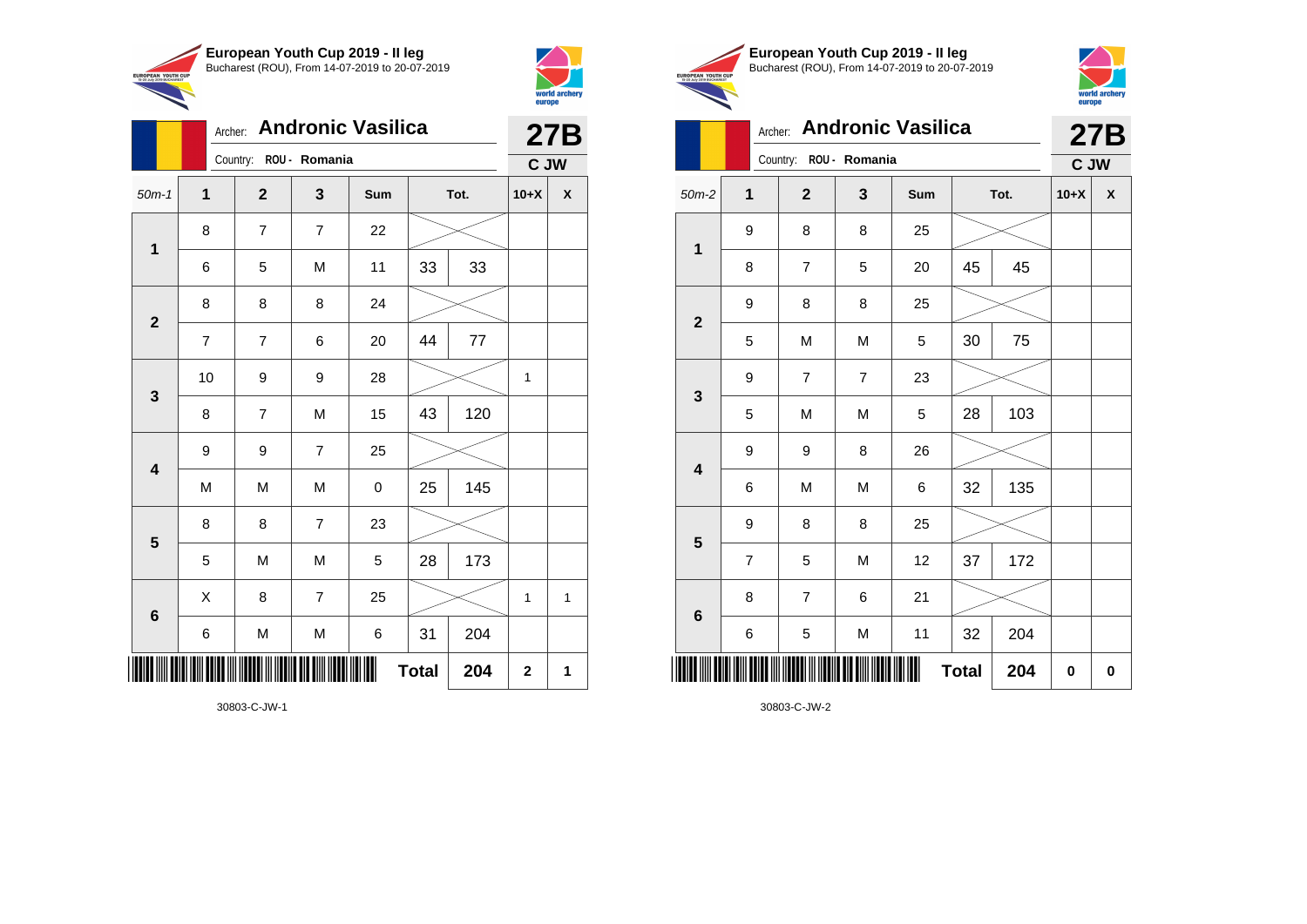



|                         | <b>Andronic Vasilica</b><br>Archer: |                |                |     |              |      |             | <b>27B</b> |
|-------------------------|-------------------------------------|----------------|----------------|-----|--------------|------|-------------|------------|
|                         | Country:                            |                | C JW           |     |              |      |             |            |
| $50m-1$                 | $\mathbf 1$                         | $\mathbf{2}$   | 3              | Sum |              | Tot. | $10+X$      | X          |
| $\mathbf 1$             | 8                                   | $\overline{7}$ | $\overline{7}$ | 22  |              |      |             |            |
|                         | 6                                   | 5              | M              | 11  | 33           | 33   |             |            |
| $\overline{2}$          | 8                                   | 8              | 8              | 24  |              |      |             |            |
|                         | $\overline{7}$                      | $\overline{7}$ | 6              | 20  | 44           | 77   |             |            |
| $\mathbf{3}$            | 10                                  | 9              | 9              | 28  |              |      | 1           |            |
|                         | 8                                   | $\overline{7}$ | M              | 15  | 43           | 120  |             |            |
| $\overline{\mathbf{4}}$ | 9                                   | 9              | $\overline{7}$ | 25  |              |      |             |            |
|                         | M                                   | M              | M              | 0   | 25           | 145  |             |            |
| 5                       | 8                                   | 8              | $\overline{7}$ | 23  |              |      |             |            |
|                         | 5                                   | M              | M              | 5   | 28           | 173  |             |            |
| $\bf 6$                 | X                                   | 8              | $\overline{7}$ | 25  |              |      | 1           | 1          |
|                         | 6                                   | M              | M              | 6   | 31           | 204  |             |            |
| IIII                    |                                     |                |                | ║   | <b>Total</b> | 204  | $\mathbf 2$ | 1          |





|                         | <b>Andronic Vasilica</b><br>Archer: |                        |   |     |              |      |        | <b>27B</b> |
|-------------------------|-------------------------------------|------------------------|---|-----|--------------|------|--------|------------|
|                         |                                     | Country: ROU - Romania |   |     |              |      | C JW   |            |
| $50m-2$                 | 1                                   | $\mathbf{2}$           | 3 | Sum |              | Tot. | $10+X$ | X          |
| $\mathbf{1}$            | 9                                   | 8                      | 8 | 25  |              |      |        |            |
|                         | 8                                   | $\overline{7}$         | 5 | 20  | 45           | 45   |        |            |
| $\overline{\mathbf{2}}$ | 9                                   | 8                      | 8 | 25  |              |      |        |            |
|                         | 5                                   | M                      | M | 5   | 30           | 75   |        |            |
| 3                       | 9                                   | $\overline{7}$         | 7 | 23  |              |      |        |            |
|                         | 5                                   | M                      | M | 5   | 28           | 103  |        |            |
| 4                       | 9                                   | 9                      | 8 | 26  |              |      |        |            |
|                         | 6                                   | M                      | M | 6   | 32           | 135  |        |            |
| 5                       | 9                                   | 8                      | 8 | 25  |              |      |        |            |
|                         | $\overline{7}$                      | 5                      | M | 12  | 37           | 172  |        |            |
| $6\phantom{1}6$         | 8                                   | $\overline{7}$         | 6 | 21  |              |      |        |            |
|                         | 6                                   | 5                      | M | 11  | 32           | 204  |        |            |
| Ⅲ                       |                                     |                        |   |     | <b>Total</b> | 204  | 0      | $\bf{0}$   |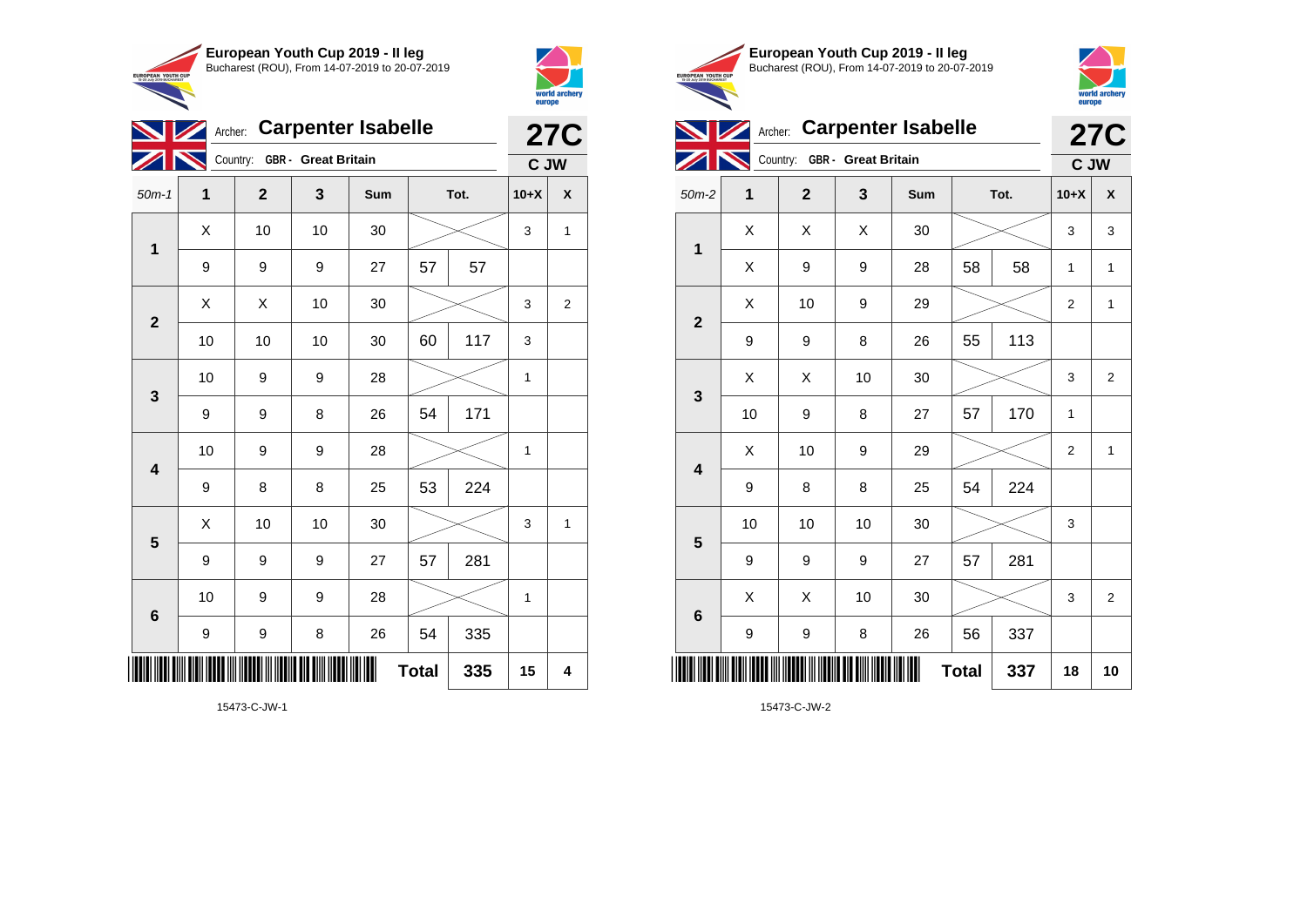



|                         |    | Archer: Carpenter Isabelle   |    |     | ----p-       | <b>27C</b> |              |                    |
|-------------------------|----|------------------------------|----|-----|--------------|------------|--------------|--------------------|
|                         |    | Country: GBR - Great Britain |    |     |              |            | C JW         |                    |
| $50m-1$                 | 1  | $\overline{2}$               | 3  | Sum | Tot.         |            | $10+X$       | $\pmb{\mathsf{X}}$ |
|                         | X  | 10                           | 10 | 30  |              |            | 3            | 1                  |
| 1                       | 9  | $\boldsymbol{9}$             | 9  | 27  | 57           | 57         |              |                    |
|                         | X  | Χ                            | 10 | 30  |              |            | 3            | 2                  |
| $\overline{\mathbf{2}}$ | 10 | 10                           | 10 | 30  | 60           | 117        | 3            |                    |
| 3                       | 10 | 9                            | 9  | 28  |              |            | 1            |                    |
|                         | 9  | $\boldsymbol{9}$             | 8  | 26  | 54           | 171        |              |                    |
| $\overline{\mathbf{4}}$ | 10 | 9                            | 9  | 28  |              |            |              |                    |
|                         | 9  | 8                            | 8  | 25  | 53           | 224        |              |                    |
| $5\phantom{1}$          | Χ  | 10                           | 10 | 30  |              |            | 3            | $\mathbf{1}$       |
|                         | 9  | 9                            | 9  | 27  | 57           | 281        |              |                    |
| 6                       | 10 | 9                            | 9  | 28  |              |            | $\mathbf{1}$ |                    |
|                         | 9  | 9                            | 8  | 26  | 54           | 335        |              |                    |
|                         |    |                              |    |     | <b>Total</b> | 335        | 15           | 4                  |

15473-C-JW-1





**27C**



|                         |    | Country: GBR - Great Britain |      | C JW |              |     |                  |                |
|-------------------------|----|------------------------------|------|------|--------------|-----|------------------|----------------|
| $50m-2$                 | 1  | $\mathbf{2}$                 | 3    | Sum  | Tot.         |     | $10+X$           | X              |
| $\mathbf 1$             | X  | Χ                            | X    | 30   |              |     | 3                | 3              |
|                         | Χ  | 9                            | 9    | 28   | 58           | 58  | 1                | 1              |
| $\mathbf{2}$            | Χ  | 10                           | 9    | 29   |              |     | $\boldsymbol{2}$ | 1              |
|                         | 9  | 9                            | 8    | 26   | 55           | 113 |                  |                |
| 3                       | Χ  | Χ                            | 10   | 30   |              |     | 3                | $\overline{2}$ |
|                         | 10 | 9                            | 8    | 27   | 57           | 170 | $\mathbf{1}$     |                |
| $\overline{\mathbf{4}}$ | X  | 10                           | 9    | 29   |              |     | $\overline{c}$   | $\mathbf{1}$   |
|                         | 9  | 8                            | 8    | 25   | 54           | 224 |                  |                |
| $\overline{\mathbf{5}}$ | 10 | 10                           | 10   | 30   |              |     | 3                |                |
|                         | 9  | 9                            | 9    | 27   | 57           | 281 |                  |                |
| $\bf 6$                 | X  | X                            | $10$ | 30   |              |     | 3                | 2              |
|                         | 9  | 9                            | 8    | 26   | 56           | 337 |                  |                |
| IIII                    |    |                              |      | ∭    | <b>Total</b> | 337 | 18               | 10             |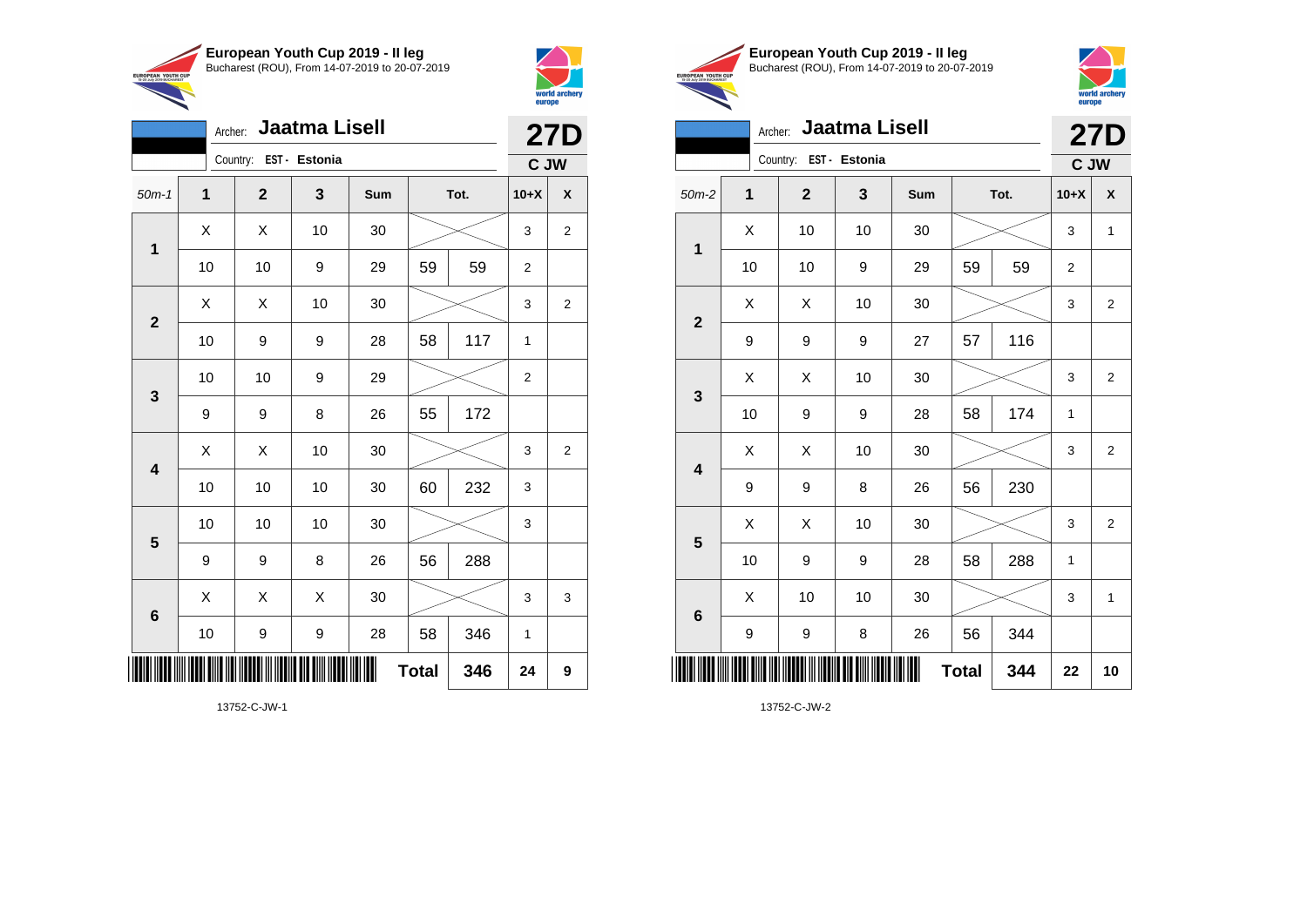

Archer: **Jaatma Lisell**

50m-1 **1 2 3 Sum Tot. 10+X X**

10 | 10 | 9 | 29 | 59 | 59 | 2

10 | 9 | 9 | 28 | 58 | 117 | 1

10 | 10 | 9 | 29 |  $\times$  | 2

10 | 10 | 10 | 30 | 60 | 232 | 3

10 | 10 | 10 | 30 |  $\!\!\!\!\!\!\!\!\times$  | 3

10 | 9 | 9 | 28 | 58 | 346 | 1

9 | 9 | 8 | 26 | 56 | 288

9 | 9 | 8 | 26 | 55 | 172

X X 10 30 3 2

 $\begin{array}{|c|c|c|c|c|}\hline \hspace{0.8cm}X & X & 10 & 30 & \nearrow & \ \hline \end{array} \hspace{0.2cm} \begin{array}{|c|c|c|c|c|}\hline \hspace{0.8cm}3 & 3 & 2 \end{array}$ 

 $\begin{array}{|c|c|c|c|c|}\hline \hspace{0.8cm}X & X & 10 & 30 & \nearrow & \ \hline \end{array} \hspace{0.2cm} \begin{array}{|c|c|c|c|c|}\hline \hspace{0.8cm}3 & 3 & 2 \end{array}$ 

 $\begin{array}{|c|c|c|c|c|}\hline \hspace{0.8cm}X & X & X & 30 & \nearrow & \hline \end{array} \hspace{0.2cm} \begin{array}{|c|c|c|c|c|c|}\hline \hspace{0.8cm}X & 3 & 3 & 3 \hline \end{array}$ 

**Total 346 24 9**

Country: **EST - Estonia**

**1**

**2**

**3**

**4**

**5**

**6**



**UROPEAN YOUTH** 

**27D**

**C JW**

|     | European Youth Cup 2019 - Il leg               |
|-----|------------------------------------------------|
| CUP | Bucharest (ROU), From 14-07-2019 to 20-07-2019 |



|                         |    | Archer:                | <b>Jaatma Lisell</b> |     |              |     |                | <b>27D</b>              |  |
|-------------------------|----|------------------------|----------------------|-----|--------------|-----|----------------|-------------------------|--|
|                         |    | Country: EST - Estonia |                      |     |              |     | C JW           |                         |  |
| $50m-2$                 | 1  | $\mathbf{2}$           | 3                    | Sum | Tot.         |     | $10+X$         | X                       |  |
| 1                       | X  | 10                     | 10                   | 30  |              |     | 3              | $\mathbf{1}$            |  |
|                         | 10 | 10                     | 9                    | 29  | 59           | 59  | $\overline{2}$ |                         |  |
| $\mathbf{2}$            | Χ  | Χ                      | 10                   | 30  |              |     | 3              | 2                       |  |
|                         | 9  | 9                      | 9                    | 27  | 57           | 116 |                |                         |  |
| $\mathbf{3}$            | X  | Χ                      | 10                   | 30  |              |     | 3              | $\overline{2}$          |  |
|                         | 10 | 9                      | 9                    | 28  | 58           | 174 | 1              |                         |  |
| $\overline{\mathbf{4}}$ | X  | X                      | 10                   | 30  |              |     | 3              | $\overline{\mathbf{c}}$ |  |
|                         | 9  | 9                      | 8                    | 26  | 56           | 230 |                |                         |  |
| $\overline{\mathbf{5}}$ | X  | X                      | 10                   | 30  |              |     | 3              | $\overline{2}$          |  |
|                         | 10 | 9                      | 9                    | 28  | 58           | 288 | 1              |                         |  |
| $6\phantom{1}6$         | Χ  | 10                     | 10                   | 30  |              |     | 3              | $\mathbf{1}$            |  |
|                         | 9  | 9                      | 8                    | 26  | 56           | 344 |                |                         |  |
| ∭                       |    |                        |                      | Ш   | <b>Total</b> | 344 | 22             | 10                      |  |

13752-C-JW-2

13752-C-JW-1

\*13752-C-JW-1\*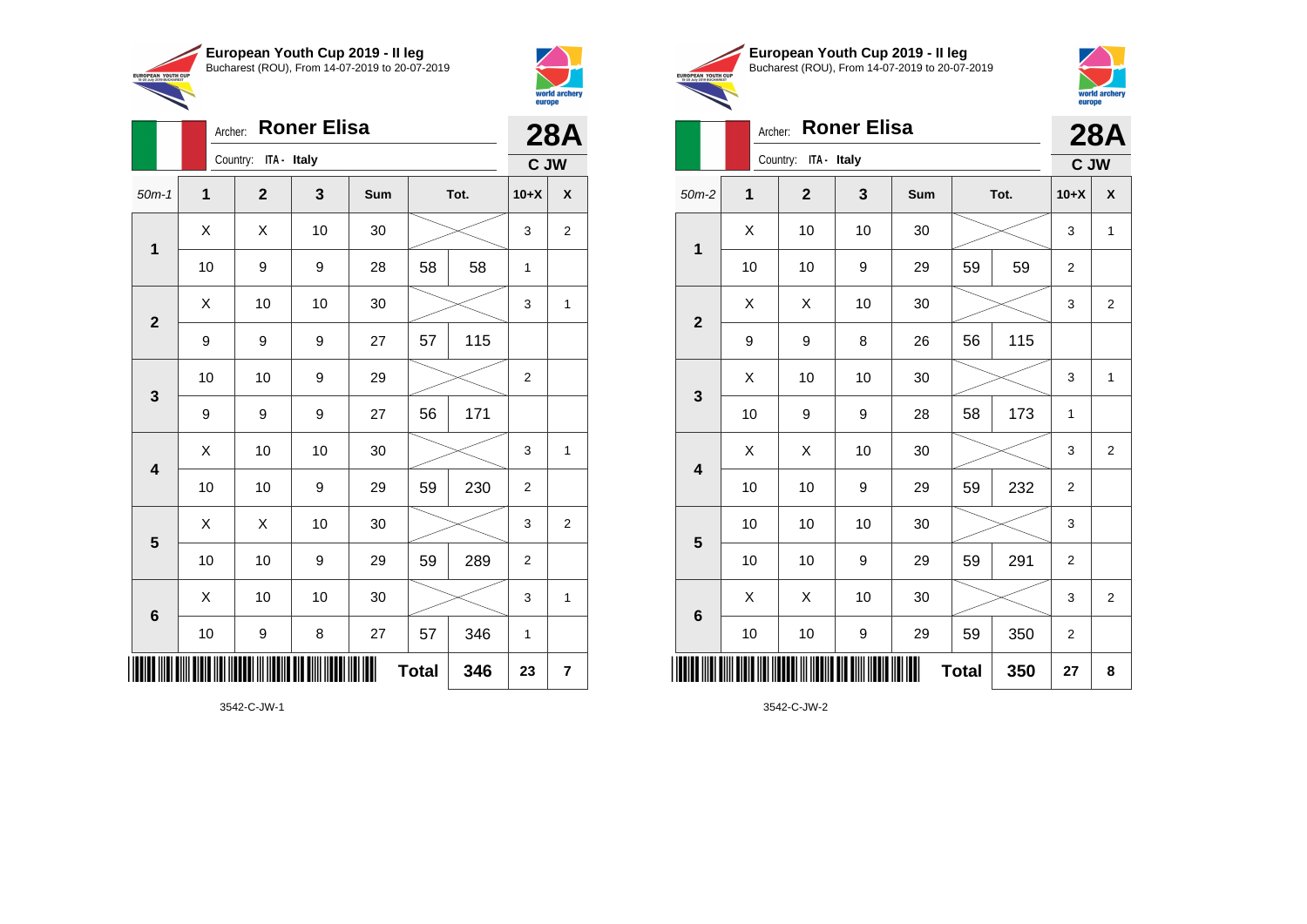

Archer: **Roner Elisa**

50m-1 **1 2 3 Sum Tot. 10+X X**

10 | 9 | 9 | 28 | 58 | 58 | 1

10 | 10 | 9 | 29 |  $\times$  | 2

10 | 10 | 9 | 29 | 59 | 230 | 2

10 | 10 | 9 | 29 | 59 | 289 | 2

10 | 9 | 8 | 27 | 57 | 346 | 1

9 | 9 | 9 | 27 | 57 | 115

9 9 9 27 56 171

X X 10 30 3 2

 $\begin{array}{|c|c|c|c|c|c|}\hline \hspace{.1cm}X & \hspace{.1cm} \text{ 10} & \hspace{.1cm} \text{ 10} & \hspace{.1cm} \text{ 30} & \hspace{.1cm} \end{array} \hspace{.2cm} \begin{array}{|c|c|c|c|c|c|}\hline \hspace{.1cm}X & \hspace{.1cm} \text{ 3} & \hspace{.1cm} \text{ 1} & \hspace{.1cm} \text{ 4} & \hspace{.1cm} \end{array}$ 

 $\begin{array}{|c|c|c|c|c|c|}\hline \hspace{.1cm}X & \hspace{.1cm} \text{ 10} & \hspace{.1cm} \text{ 10} & \hspace{.1cm} \text{ 30} & \hspace{.1cm} \end{array} \hspace{.2cm} \begin{array}{|c|c|c|c|c|c|}\hline \hspace{.1cm}X & \hspace{.1cm} \text{ 3} & \hspace{.1cm} \text{ 1} & \hspace{.1cm} \text{ 4} & \hspace{.1cm} \end{array}$ 

 $\begin{array}{|c|c|c|c|c|}\hline \hspace{0.8cm}X & X & 10 & 30 & \nearrow & \ \hline \end{array} \hspace{0.2cm} \begin{array}{|c|c|c|c|c|}\hline \hspace{0.8cm}3 & 3 & 2 \end{array}$ 

 $\begin{array}{|c|c|c|c|c|c|}\hline \hspace{.1cm}X & \hspace{.1cm} \text{ 10} & \hspace{.1cm} \text{ 10} & \hspace{.1cm} \text{ 30} & \hspace{.1cm} \end{array} \hspace{1.2cm} \begin{array}{|c|c|c|c|c|c|}\hline \hspace{.1cm}X & \hspace{.1cm} \text{ 3} & \hspace{.1cm} \text{ 1} & \hspace{.1cm} \text{ 4} & \hspace{.1cm} \end{array} \hspace{1.2cm}$ 

**Total 346 23 7**

Country: **ITA - Italy**

**1**

**2**

**3**

**4**

**5**

**6**



**28A C JW**

| <b>EUROPEAN YOUTH CUP</b> | European Youth Cup 2019 - Il leg               |
|---------------------------|------------------------------------------------|
| 15-20 July 2019 BUCHAREST | Bucharest (ROU), From 14-07-2019 to 20-07-2019 |
|                           | Archer <b>Roner Elisa</b>                      |



|                 | Archer: | <b>Roner Elisa</b>   |    |     | <b>28A</b>   |      |                |                |
|-----------------|---------|----------------------|----|-----|--------------|------|----------------|----------------|
|                 |         | Country: ITA - Italy |    |     |              |      | C JW           |                |
| $50m-2$         | 1       | $\overline{2}$       | 3  | Sum |              | Tot. | $10+X$         | X              |
| 1               | X       | 10                   | 10 | 30  |              |      |                | $\mathbf{1}$   |
|                 | 10      | 10                   | 9  | 29  | 59           | 59   | $\overline{2}$ |                |
| $\overline{2}$  | X       | X                    | 10 | 30  |              |      | 3              | $\overline{2}$ |
|                 | 9       | 9                    | 8  | 26  | 56           | 115  |                |                |
| $\mathbf{3}$    | Χ       | 10                   | 10 | 30  |              |      | 3              | $\mathbf{1}$   |
|                 | 10      | 9                    | 9  | 28  | 58           | 173  | 1              |                |
| 4               | X       | Χ                    | 10 | 30  |              |      | 3              | $\overline{2}$ |
|                 | 10      | 10                   | 9  | 29  | 59           | 232  | $\overline{2}$ |                |
| 5               | 10      | 10                   | 10 | 30  |              |      | 3              |                |
|                 | 10      | 10                   | 9  | 29  | 59           | 291  | $\overline{2}$ |                |
| $6\phantom{1}6$ | Χ       | X                    | 10 | 30  |              |      | 3              | $\overline{2}$ |
|                 | 10      | 10                   | 9  | 29  | 59           | 350  | 2              |                |
| ║║║             |         |                      |    |     | <b>Total</b> | 350  | 27             | 8              |

3542-C-JW-1

\*3542-C-JW-1\*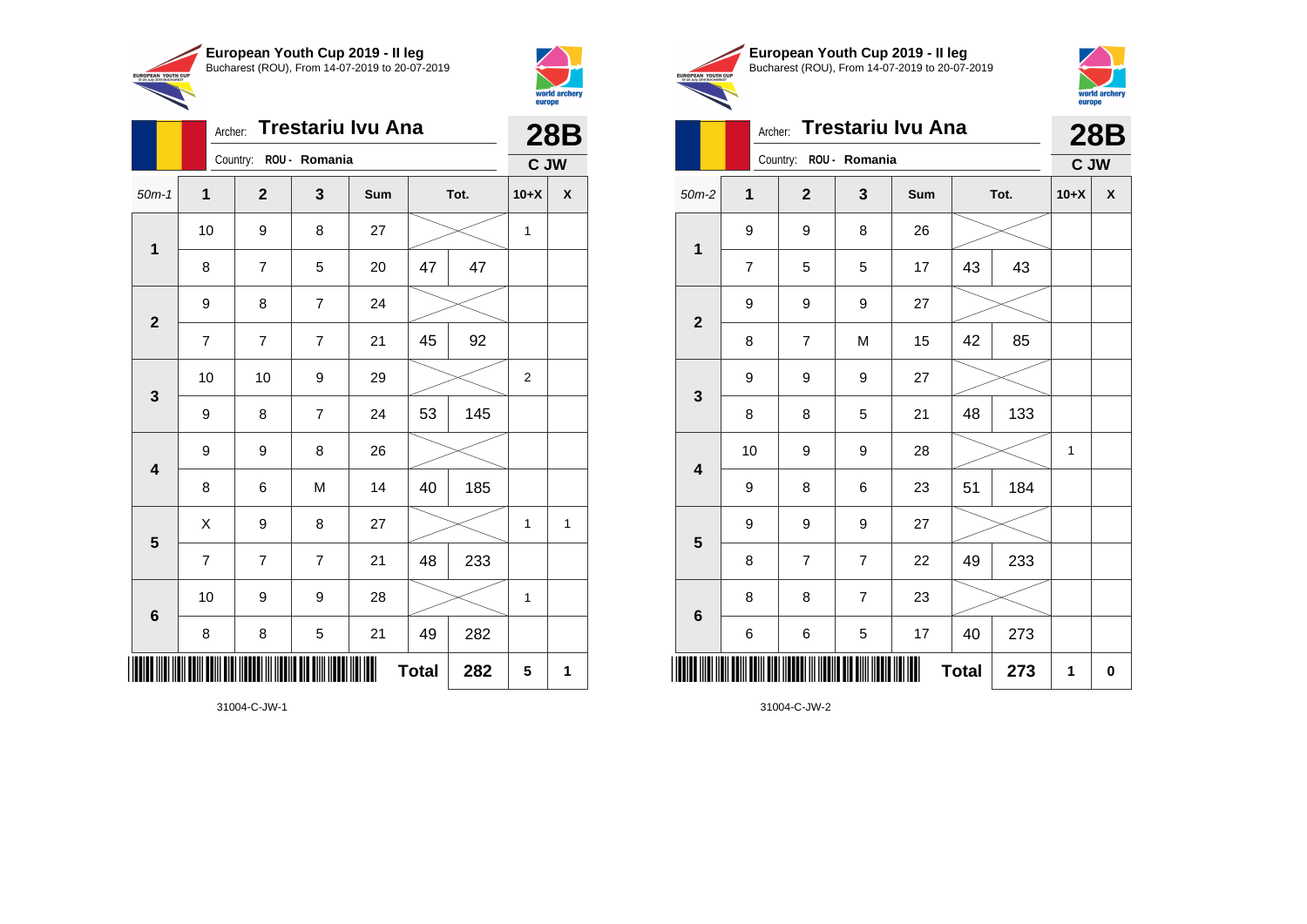

Country: **ROU - Romania**

9 8 7 24

9 9 8 26

**1**

**2**

**3**

**4**

**5**

**6**

Archer: **Trestariu Ivu Ana**

50m-1 **1 2 3 Sum Tot. 10+X X**

8 | 7 | 5 | 20 | 47 | 47

7 7 7 21 45 92

9 | 8 | 7 | 24 | 53 | 145

8 | 6 | M | 14 |40 | 185

7 7 7 21 48 233

8 | 8 | 5 | 21 | 49 | 282

10 | 9 | 9 | 28 |  $\times$  | 1

 $X$  | 9 | 8 | 27 |  $\swarrow$  | 1 | 1

**Total 282 5 1**

10 | 10 | 9 | 29 |  $\times$  | 2

10 | 9 | 8 | 27 |  $\times$  | 1



**28B C JW**

|                                                       | European Youth Cup 2019 - Il leg               |
|-------------------------------------------------------|------------------------------------------------|
|                                                       | Bucharest (ROU), From 14-07-2019 to 20-07-2019 |
| <b>JROPEAN YOUTH CUP</b><br>15-20 July 2019 BUCHAREST |                                                |
|                                                       |                                                |



|                         | Archer:        |                |                        | <b>Trestariu Ivu Ana</b> |              |      |        | <b>28B</b>         |
|-------------------------|----------------|----------------|------------------------|--------------------------|--------------|------|--------|--------------------|
|                         |                |                | Country: ROU - Romania |                          |              |      | C JW   |                    |
| $50m-2$                 | $\overline{1}$ | $\overline{2}$ | 3                      | Sum                      |              | Tot. | $10+X$ | $\pmb{\mathsf{X}}$ |
| $\mathbf 1$             | 9              | 9              | 8                      | 26                       |              |      |        |                    |
|                         | $\overline{7}$ | 5              | 5                      | 17                       | 43           | 43   |        |                    |
|                         | 9              | 9              | 9                      | 27                       |              |      |        |                    |
| $\overline{2}$          | 8              | $\overline{7}$ | M                      | 15                       | 42           | 85   |        |                    |
|                         | 9              | 9              | 9                      | 27                       |              |      |        |                    |
| $\mathbf{3}$            | 8              | 8              | 5                      | 21                       | 48           | 133  |        |                    |
| $\overline{\mathbf{4}}$ | 10             | 9              | 9                      | 28                       |              |      | 1      |                    |
|                         | 9              | 8              | 6                      | 23                       | 51           | 184  |        |                    |
|                         | 9              | 9              | 9                      | 27                       |              |      |        |                    |
| $\overline{\mathbf{5}}$ | 8              | $\overline{7}$ | $\overline{7}$         | 22                       | 49           | 233  |        |                    |
|                         | 8              | 8              | $\overline{7}$         | 23                       |              |      |        |                    |
| $6\phantom{1}6$         | 6              | 6              | 5                      | 17                       | 40           | 273  |        |                    |
|                         |                |                |                        |                          | <b>Total</b> | 273  | 1      | $\mathbf 0$        |

31004-C-JW-2

31004-C-JW-1

\*31004-C-JW-1\*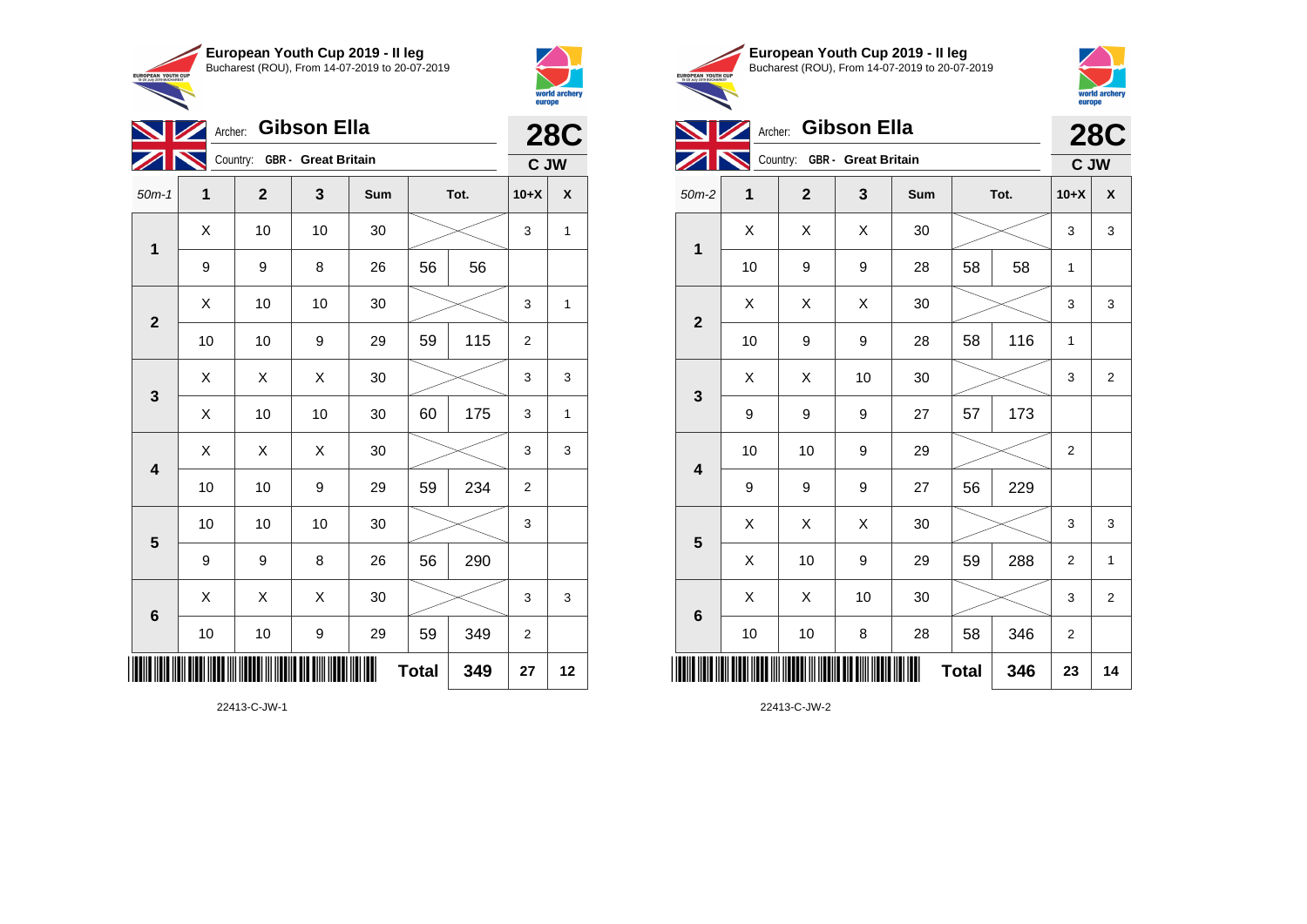**European Youth Cup 2019 - II leg** Bucharest (ROU), From 14-07-2019 to 20-07-2019 EUROPEAN YOUTH CUP



|                | Archer: Gibson Ella |                |                              | <b>28C</b> |              |     |                |              |
|----------------|---------------------|----------------|------------------------------|------------|--------------|-----|----------------|--------------|
|                |                     |                | Country: GBR - Great Britain |            |              |     | C JW           |              |
| $50m-1$        | 1                   | $\overline{2}$ | 3                            | Sum        | Tot.         |     | $10+X$         | X            |
| 1              | X                   | 10             | 10                           | 30         |              |     |                | 1            |
|                | 9                   | 9              | 8                            | 26         | 56           | 56  |                |              |
|                | X                   | 10             | 10                           | 30         |              |     |                | $\mathbf{1}$ |
| $\overline{2}$ | 10                  | 10             | 9                            | 29         | 59           | 115 | $\overline{2}$ |              |
| 3              | X                   | X              | X                            | 30         |              |     | 3              | 3            |
|                | X                   | 10             | 10                           | 30         | 60           | 175 | 3              | 1            |
| 4              | X                   | X              | X                            | 30         |              |     | 3              | 3            |
|                | 10                  | 10             | 9                            | 29         | 59           | 234 | 2              |              |
| 5              | 10                  | 10             | 10                           | 30         |              |     | 3              |              |
|                | 9                   | 9              | 8                            | 26         | 56           | 290 |                |              |
|                | X                   | X              | Χ                            | 30         |              |     | 3              | 3            |
| 6              | 10                  | 10             | 9                            | 29         | 59           | 349 | $\overline{2}$ |              |
|                |                     |                |                              |            | <b>Total</b> | 349 | 27             | 12           |

22413-C-JW-1





|                 |    | Archer:                      | <b>Gibson Ella</b> |     |              |      | ----p-         | <b>28C</b>              |
|-----------------|----|------------------------------|--------------------|-----|--------------|------|----------------|-------------------------|
|                 |    | Country: GBR - Great Britain |                    |     |              |      | C JW           |                         |
| $50m-2$         | 1  | $\mathbf{2}$                 | 3                  | Sum |              | Tot. |                | X                       |
| 1               | X  | X                            | Χ                  | 30  |              |      | 3              | 3                       |
|                 | 10 | 9                            | 9                  | 28  | 58           | 58   | 1              |                         |
| $\mathbf{2}$    | Χ  | Χ                            | Χ                  | 30  |              |      | 3              | 3                       |
|                 | 10 | 9                            | 9                  | 28  | 58           | 116  | 1              |                         |
| 3               | Χ  | Χ                            | 10                 | 30  |              |      | 3              | 2                       |
|                 | 9  | 9                            | 9                  | 27  | 57           | 173  |                |                         |
| 4               | 10 | 10                           | 9                  | 29  |              |      | $\overline{2}$ |                         |
|                 | 9  | 9                            | 9                  | 27  | 56           | 229  |                |                         |
| 5               | X  | X                            | X                  | 30  |              |      | 3              | 3                       |
|                 | X  | 10                           | 9                  | 29  | 59           | 288  | $\overline{2}$ | 1                       |
| $6\phantom{1}6$ | X  | X                            | 10                 | 30  |              |      | 3              | $\overline{\mathbf{c}}$ |
|                 | 10 | 10                           | 8                  | 28  | 58           | 346  | 2              |                         |
| ║║║             |    |                              |                    |     | <b>Total</b> | 346  | 23             | 14                      |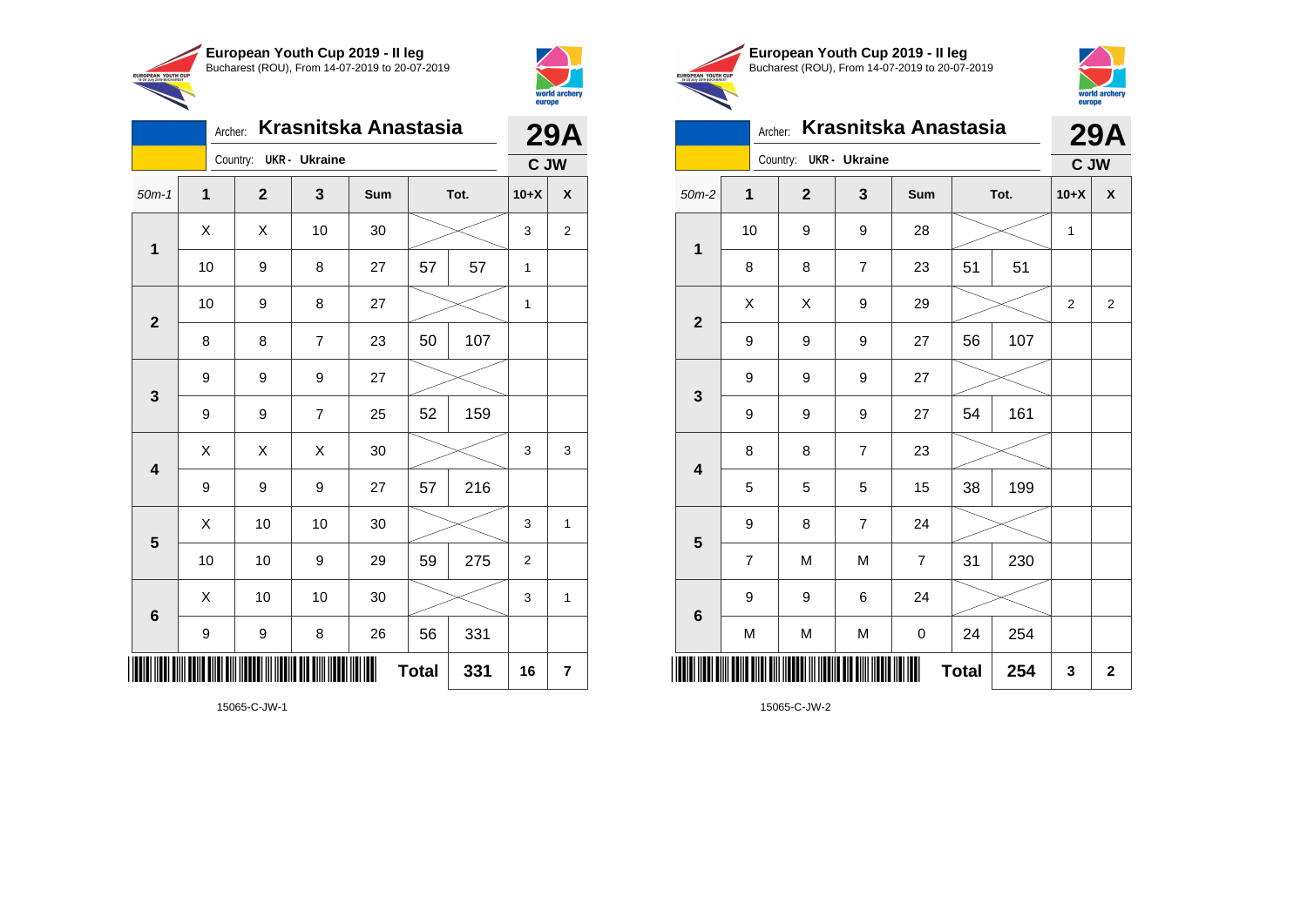



|                 | Archer: |                        |                | Krasnitska Anastasia |              |      | <b>29A</b>   |                         |
|-----------------|---------|------------------------|----------------|----------------------|--------------|------|--------------|-------------------------|
|                 |         | Country: UKR - Ukraine |                |                      |              |      | C JW         |                         |
| $50m-1$         | 1       | $\mathbf{2}$           | 3              | Sum                  |              | Tot. | $10+X$       | X                       |
| 1               | Χ       | X                      | 10             | 30                   |              |      | 3            | $\overline{\mathbf{c}}$ |
|                 | 10      | 9                      | 8              | 27                   | 57           | 57   | $\mathbf{1}$ |                         |
|                 | 10      | 9                      | 8              | 27                   |              |      | 1            |                         |
| $\mathbf{2}$    | 8       | 8                      | $\overline{7}$ | 23                   | 50           | 107  |              |                         |
| 3               | 9       | 9                      | 9              | 27                   |              |      |              |                         |
|                 | 9       | 9                      | $\overline{7}$ | 25                   | 52           | 159  |              |                         |
| 4               | Χ       | X                      | Χ              | 30                   |              |      | 3            | 3                       |
|                 | 9       | 9                      | 9              | 27                   | 57           | 216  |              |                         |
| 5               | Χ       | 10                     | 10             | 30                   |              |      | 3            | $\mathbf{1}$            |
|                 | 10      | 10                     | 9              | 29                   | 59           | 275  | 2            |                         |
| $6\phantom{1}6$ | X       | 10                     | 10             | 30                   |              |      | 3            | 1                       |
|                 | 9       | 9                      | 8              | 26                   | 56           | 331  |              |                         |
| IIIII           |         |                        |                |                      | <b>Total</b> | 331  | 16           | 7                       |





#### Archer: **Krasnitska Anastasia** Country: **UKR - Ukraine 29A**

|                         | C JW                    |              |                  |                |              |      |              |                         |
|-------------------------|-------------------------|--------------|------------------|----------------|--------------|------|--------------|-------------------------|
| $50m-2$                 | 1                       | $\mathbf{2}$ | 3                | Sum            |              | Tot. | $10+X$       | $\pmb{\mathsf{X}}$      |
| $\mathbf 1$             | 10                      | 9            | 9                | 28             |              |      | $\mathbf{1}$ |                         |
|                         | 8                       | 8            | $\boldsymbol{7}$ | 23             | 51           | 51   |              |                         |
| $\overline{\mathbf{2}}$ | Χ                       | X            | 9                | 29             |              |      | 2            | $\overline{\mathbf{c}}$ |
|                         | 9                       | 9            | 9                | 27             | 56           | 107  |              |                         |
| $\mathbf{3}$            | 9                       | 9            | 9                | 27             |              |      |              |                         |
|                         | 9                       | 9            | 9                | 27             | 54           | 161  |              |                         |
| $\overline{\mathbf{4}}$ | 8                       | 8            | $\boldsymbol{7}$ | 23             |              |      |              |                         |
|                         | 5                       | 5            | 5                | 15             | 38           | 199  |              |                         |
| $5\phantom{1}$          | 9                       | 8            | $\boldsymbol{7}$ | 24             |              |      |              |                         |
|                         | $\overline{\mathbf{7}}$ | M            | M                | $\overline{7}$ | 31           | 230  |              |                         |
|                         | 9                       | 9            | 6                | 24             |              |      |              |                         |
| $\bf 6$                 | M                       | M            | M                | 0              | 24           | 254  |              |                         |
|                         |                         |              |                  |                | <b>Total</b> | 254  | 3            | $\mathbf 2$             |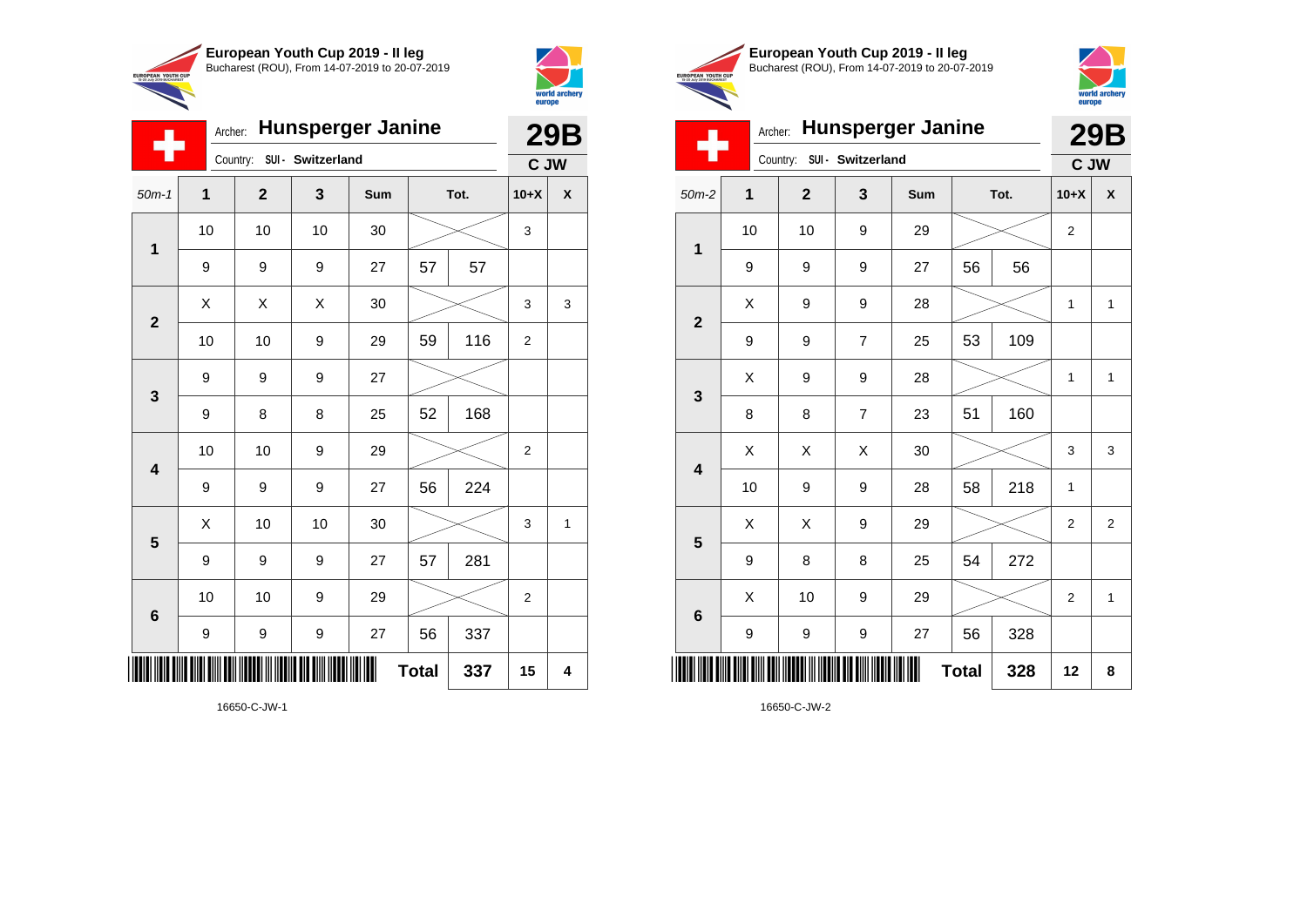

Country: **SUI - Switzerland**

9 9 9 27

**1**

÷

**2**

**3**

**4**

**5**

**6**

Archer: **Hunsperger Janine**

50m-1 **1 2 3 Sum Tot. 10+X X**

9 | 9 | 27 | 57 | 57

9 | 8 | 8 | 25 | 52 | 168

9 | 9 | 9 | 27 | 56 | 224

9 | 9 | 9 | 27 | 57 | 281

9 | 9 | 9 | 27 | 56 | 337

10 | 10 | 9 | 29 |  $\!\!\!\!\!\times$  | 2

10 | 10 | 10 | 30 |  $\,\gg$  | 3

10 | 10 | 9 | 29 | 59 | 116 | 2

10 | 10 | 9 | 29 |  $\times$  | 2

 $\begin{array}{|c|c|c|c|c|c|}\hline \hspace{.1cm}X & \hspace{.1cm} \text{ 10} & \hspace{.1cm} \text{ 10} & \hspace{.1cm} \text{ 30} & \hspace{.1cm} \end{array} \hspace{1.2cm} \begin{array}{|c|c|c|c|c|c|}\hline \hspace{.1cm}X & \hspace{.1cm} \text{ 3} & \hspace{.1cm} \text{ 1} & \hspace{.1cm} \text{ 4} & \hspace{.1cm} \end{array} \hspace{1.2cm}$ 

**Total 337 15 4**

 $X \quad | \quad X \quad | \quad X \quad | \quad 30 \quad | \quad \textcolor{red}{\textbf{3}} \textcolor{red}{\textbf{2}} \sim \quad | \quad 3 \quad | \quad 3$ 



**29B C JW**

|                                                        | European Youth Cup 2019 - Il leg               |
|--------------------------------------------------------|------------------------------------------------|
| <b>EUROPEAN YOUTH CUP</b><br>15-20 July 2019 BUCHAREST | Bucharest (ROU), From 14-07-2019 to 20-07-2019 |
|                                                        |                                                |



**29B**



| ▬                       | Country: SUI - Switzerland<br>$\mathbf{2}$<br>3<br>Sum<br>Tot.<br>1<br>10<br>10<br>9<br>29<br>56<br>9<br>9<br>9<br>27<br>56<br>Χ<br>9<br>9<br>28<br>109<br>53<br>9<br>9<br>$\overline{7}$<br>25<br>Χ<br>9<br>9<br>28<br>51<br>160<br>8<br>8<br>$\overline{7}$<br>23<br>Χ<br>Χ<br>Χ<br>$30\,$<br>218<br>10<br>9<br>9<br>28<br>58<br>Χ<br>X<br>9<br>29 |    |   | C JW |              |     |                |                    |
|-------------------------|------------------------------------------------------------------------------------------------------------------------------------------------------------------------------------------------------------------------------------------------------------------------------------------------------------------------------------------------------|----|---|------|--------------|-----|----------------|--------------------|
| $50m-2$                 |                                                                                                                                                                                                                                                                                                                                                      |    |   |      |              |     | $10+X$         | $\pmb{\mathsf{X}}$ |
| $\mathbf 1$             |                                                                                                                                                                                                                                                                                                                                                      |    |   |      |              |     | 2              |                    |
|                         |                                                                                                                                                                                                                                                                                                                                                      |    |   |      |              |     |                |                    |
| $\mathbf{2}$            |                                                                                                                                                                                                                                                                                                                                                      |    |   |      |              |     | 1              | $\mathbf{1}$       |
|                         |                                                                                                                                                                                                                                                                                                                                                      |    |   |      |              |     |                |                    |
| $\mathbf{3}$            |                                                                                                                                                                                                                                                                                                                                                      |    |   |      |              |     | 1              | 1                  |
|                         |                                                                                                                                                                                                                                                                                                                                                      |    |   |      |              |     |                |                    |
| $\overline{\mathbf{4}}$ |                                                                                                                                                                                                                                                                                                                                                      |    |   |      |              |     | 3              | 3                  |
|                         |                                                                                                                                                                                                                                                                                                                                                      |    |   |      |              |     | $\mathbf{1}$   |                    |
| 5                       |                                                                                                                                                                                                                                                                                                                                                      |    |   |      |              |     | 2              | $\overline{2}$     |
|                         | 9                                                                                                                                                                                                                                                                                                                                                    | 8  | 8 | 25   | 54           | 272 |                |                    |
| $\bf 6$                 | Χ                                                                                                                                                                                                                                                                                                                                                    | 10 | 9 | 29   |              |     | $\overline{2}$ | 1                  |
|                         | 9                                                                                                                                                                                                                                                                                                                                                    | 9  | 9 | 27   | 56           | 328 |                |                    |
|                         |                                                                                                                                                                                                                                                                                                                                                      |    |   | Ⅲ    | <b>Total</b> | 328 | 12             | 8                  |

16650-C-JW-2

16650-C-JW-1

\*16650-C-JW-1\*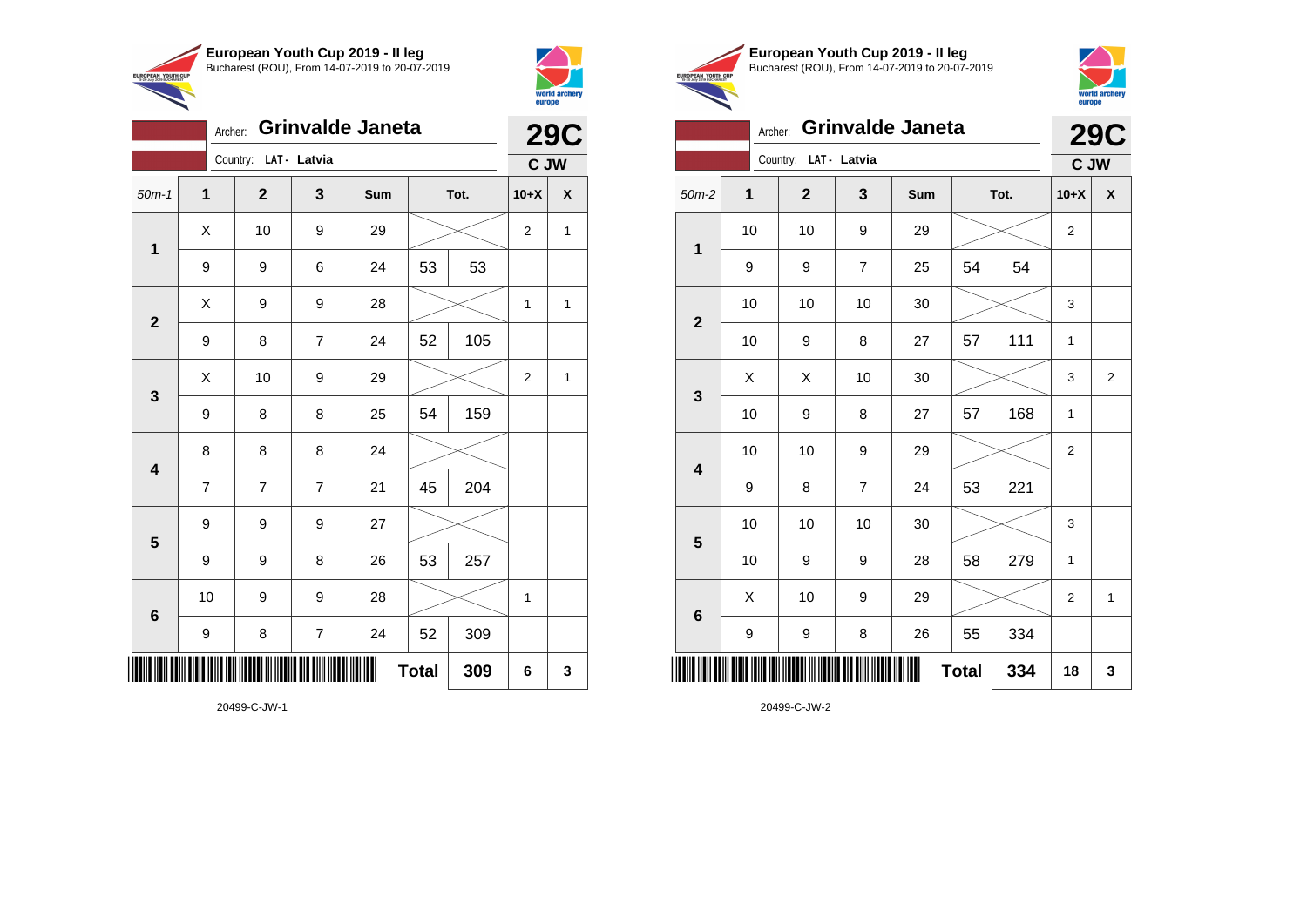

Country: **LAT - Latvia**

Archer: **Grinvalde Janeta**



**29C C JW**

|                     | European Youth Cup 2019 - Il leg               |
|---------------------|------------------------------------------------|
| I CUP<br><b>HAT</b> | Bucharest (ROU), From 14-07-2019 to 20-07-2019 |
|                     |                                                |



## Archer: **Grinvalde Janeta 29C**

|                         |      | Country: LAT - Latvia |                |     |              |      | C JW             |                |
|-------------------------|------|-----------------------|----------------|-----|--------------|------|------------------|----------------|
| $50m-2$                 | 1    | $\mathbf{2}$          | 3              | Sum |              | Tot. | $10+X$           | χ              |
|                         | 10   | 10                    | 9              | 29  |              |      | $\overline{2}$   |                |
| $\mathbf 1$             | 9    | 9                     | $\overline{7}$ | 25  | 54           | 54   |                  |                |
|                         | 10   | 10                    | 10             | 30  |              |      | 3                |                |
| $\mathbf{2}$            | 10   | 9                     | 8              | 27  | 57           | 111  | 1                |                |
|                         | Χ    | Χ                     | 10             | 30  |              |      | 3                | $\overline{c}$ |
| $\mathbf 3$             | 10   | 9                     | 8              | 27  | 57           | 168  | 1                |                |
| $\overline{\mathbf{4}}$ | 10   | 10                    | 9              | 29  |              |      | $\boldsymbol{2}$ |                |
|                         | 9    | 8                     | $\overline{7}$ | 24  | 53           | 221  |                  |                |
| $5\phantom{1}$          | $10$ | 10                    | 10             | 30  |              |      | 3                |                |
|                         | 10   | 9                     | 9              | 28  | 58           | 279  | 1                |                |
| $6\phantom{1}$          | X    | 10                    | 9              | 29  |              |      | $\overline{2}$   | 1              |
|                         | 9    | 9                     | 8              | 26  | 55           | 334  |                  |                |
|                         |      |                       |                | Ш   | <b>Total</b> | 334  | 18               | 3              |

20499-C-JW-2

| $50m-1$                 | 1                       | $\mathbf{2}$     | $\mathbf 3$             | Sum |              | Tot. | $10+X$                  | X            |
|-------------------------|-------------------------|------------------|-------------------------|-----|--------------|------|-------------------------|--------------|
| $\mathbf{1}$            | Χ                       | 10               | 9                       | 29  |              |      | $\overline{c}$          | $\mathbf{1}$ |
|                         | 9                       | 9                | 6                       | 24  | 53           | 53   |                         |              |
| $\mathbf 2$             | $\mathsf X$             | 9                | 9                       | 28  |              |      | $\mathbf 1$             | $\mathbf{1}$ |
|                         | 9                       | 8                | $\overline{\mathbf{7}}$ | 24  | 52           | 105  |                         |              |
| $\mathbf 3$             | Χ                       | 10               | 9                       | 29  |              |      | $\overline{\mathbf{c}}$ | $\mathbf{1}$ |
|                         | 9                       | 8                | 8                       | 25  | 54           | 159  |                         |              |
| $\overline{\mathbf{4}}$ | 8                       | 8                | 8                       | 24  |              |      |                         |              |
|                         | $\overline{\mathbf{7}}$ | $\boldsymbol{7}$ | $\overline{7}$          | 21  | 45           | 204  |                         |              |
| $\overline{\mathbf{5}}$ | 9                       | 9                | 9                       | 27  |              |      |                         |              |
|                         | 9                       | 9                | 8                       | 26  | 53           | 257  |                         |              |
| $\bf 6$                 | 10                      | 9                | 9                       | 28  |              |      | $\mathbf{1}$            |              |
|                         | 9                       | 8                | $\overline{\mathbf{7}}$ | 24  | 52           | 309  |                         |              |
|                         |                         |                  |                         | Ш   | <b>Total</b> | 309  | 6                       | 3            |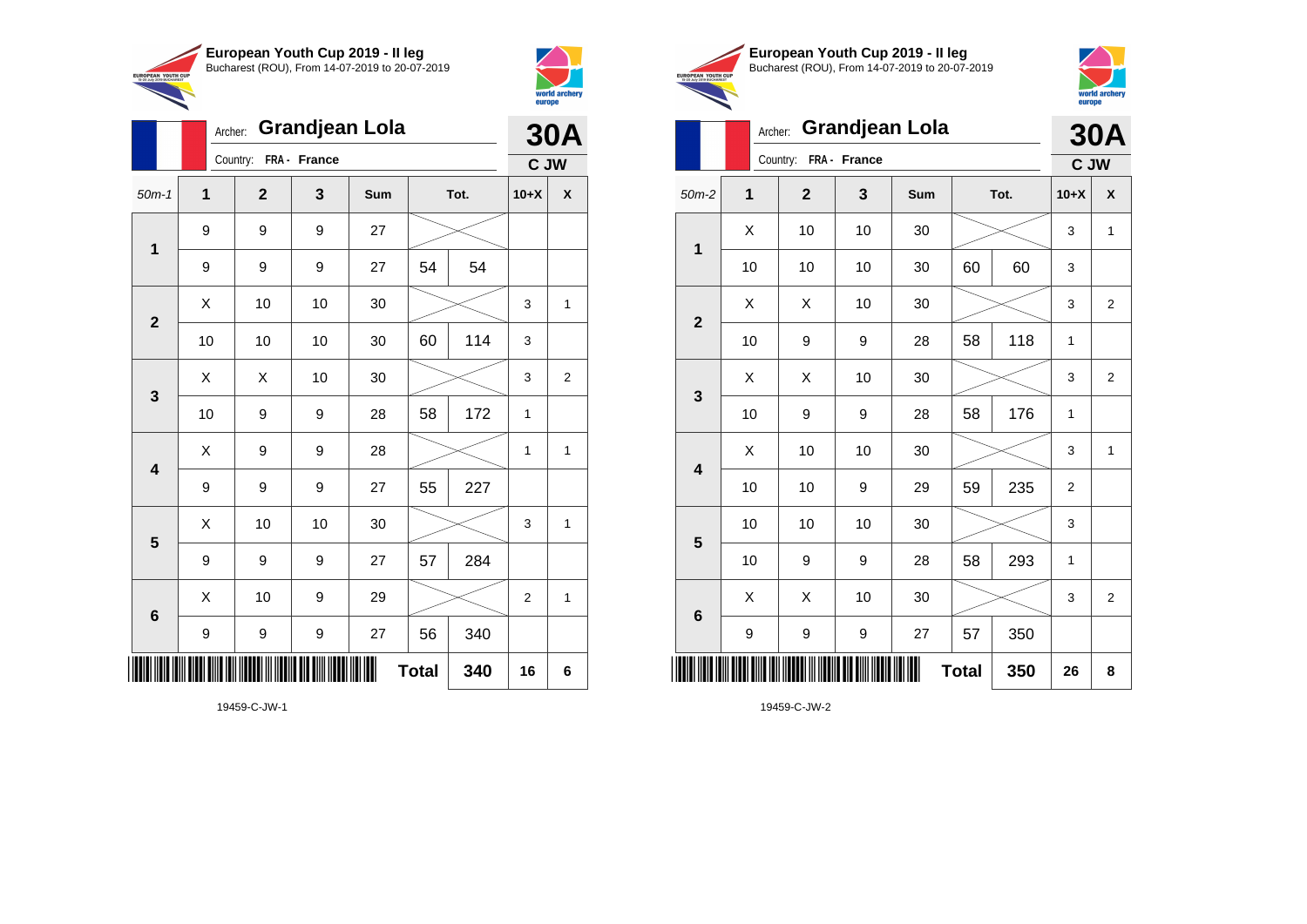



|                         |    | Grandjean Lola<br>Archer: |              |     |              |      |                | <b>30A</b>     |
|-------------------------|----|---------------------------|--------------|-----|--------------|------|----------------|----------------|
|                         |    | Country:                  | FRA - France |     |              |      | C JW           |                |
| $50m-1$                 | 1  | $\mathbf 2$               | 3            | Sum |              | Tot. | $10+X$         | X              |
| 1                       | 9  | 9                         | 9            | 27  |              |      |                |                |
|                         | 9  | 9                         | 9            | 27  | 54           | 54   |                |                |
| $\overline{2}$          | X  | 10                        | 10           | 30  |              |      | 3              | 1              |
|                         | 10 | 10                        | 10           | 30  | 60           | 114  | 3              |                |
| $\mathbf{3}$            | X  | X                         | 10           | 30  |              |      | 3              | $\overline{2}$ |
|                         | 10 | 9                         | 9            | 28  | 58           | 172  | 1              |                |
| $\overline{\mathbf{4}}$ | X  | 9                         | 9            | 28  |              |      | 1              | 1              |
|                         | 9  | 9                         | 9            | 27  | 55           | 227  |                |                |
| 5                       | X  | 10                        | 10           | 30  |              |      | 3              | 1              |
|                         | 9  | 9                         | 9            | 27  | 57           | 284  |                |                |
| $6\phantom{1}6$         | X  | 10                        | 9            | 29  |              |      | $\overline{2}$ | 1              |
|                         | 9  | 9                         | 9            | 27  | 56           | 340  |                |                |
| IIII                    |    |                           |              |     | <b>Total</b> | 340  | 16             | 6              |





|                         | Archer: |              |              | <b>Grandjean Lola</b> |              |      |        | <b>30A</b>              |
|-------------------------|---------|--------------|--------------|-----------------------|--------------|------|--------|-------------------------|
|                         |         | Country:     | FRA - France |                       |              |      | C JW   |                         |
| $50m-2$                 | 1       | $\mathbf{2}$ | 3            | Sum                   |              | Tot. | $10+X$ | X                       |
| 1                       | X       | 10           | 10           | 30                    |              |      | 3      | 1                       |
|                         | 10      | 10           | 10           | 30                    | 60           | 60   | 3      |                         |
| $\overline{2}$          | Χ       | Χ            | 10           | 30                    |              |      | 3      | $\overline{\mathbf{c}}$ |
|                         | 10      | 9            | 9            | 28                    | 58           | 118  | 1      |                         |
| 3                       | X       | X            | 10           | 30                    |              |      | 3      | $\overline{2}$          |
|                         | 10      | 9            | 9            | 28                    | 58           | 176  | 1      |                         |
| $\overline{\mathbf{4}}$ | Χ       | 10           | 10           | 30                    |              |      | 3      | 1                       |
|                         | 10      | 10           | 9            | 29                    | 59           | 235  | 2      |                         |
| $\overline{\mathbf{5}}$ | 10      | 10           | 10           | 30                    |              |      | 3      |                         |
|                         | 10      | 9            | 9            | 28                    | 58           | 293  | 1      |                         |
| 6                       | X       | Χ            | 10           | 30                    |              |      | 3      | 2                       |
|                         | 9       | 9            | 9            | 27                    | 57           | 350  |        |                         |
| ║║║                     |         |              |              |                       | <b>Total</b> | 350  | 26     | 8                       |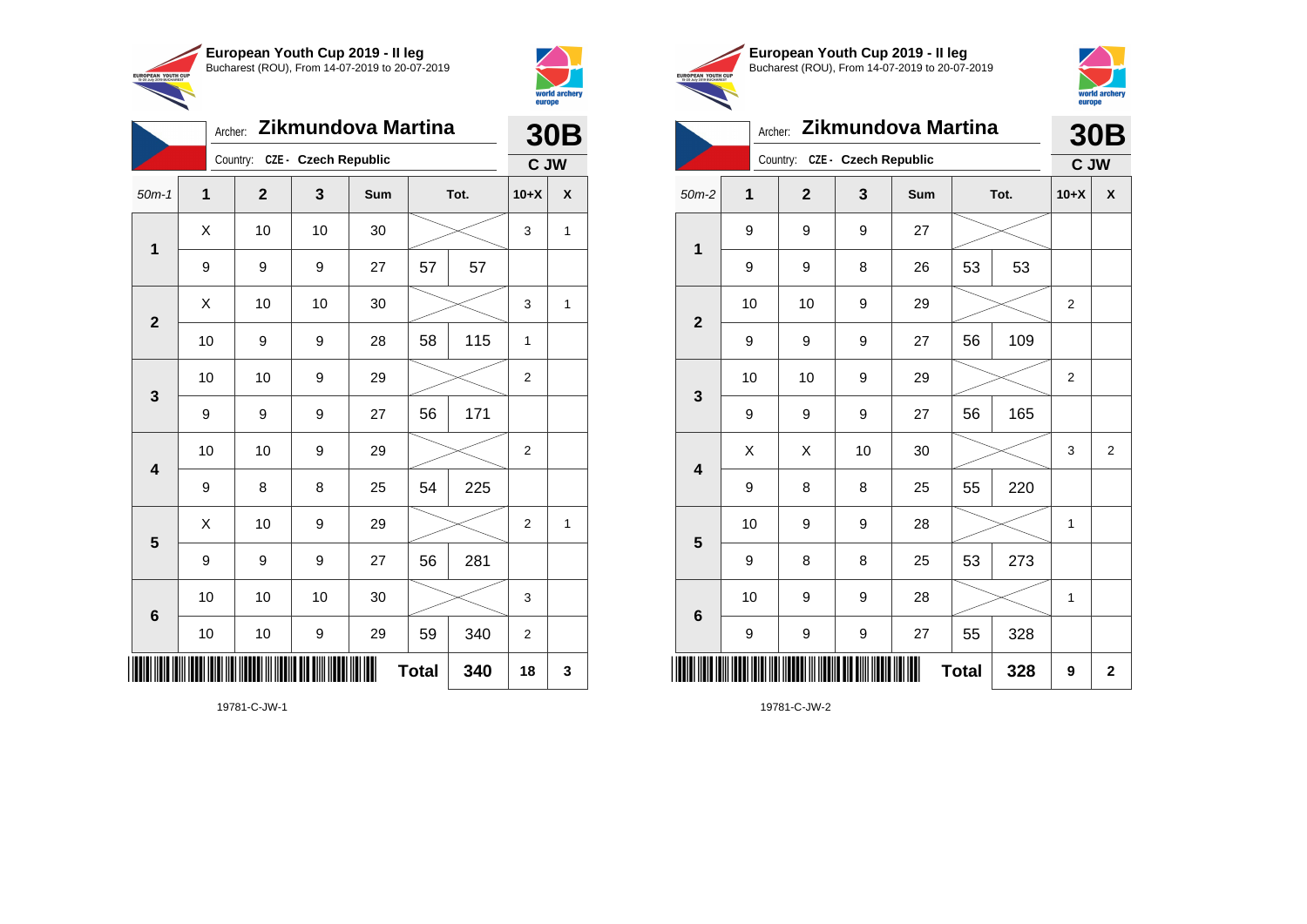



|                         | Archer:        |              |                               | Zikmundova Martina |              |      | 30 <sub>B</sub> |              |  |
|-------------------------|----------------|--------------|-------------------------------|--------------------|--------------|------|-----------------|--------------|--|
|                         |                |              | Country: CZE - Czech Republic |                    |              |      |                 | C JW         |  |
| $50m-1$                 | $\overline{1}$ | $\mathbf{2}$ | 3                             | Sum                |              | Tot. | $10+X$          | X            |  |
|                         | X              | 10           | 10                            | 30                 |              |      | 3               | $\mathbf{1}$ |  |
| $\mathbf 1$             | 9              | 9            | 9                             | 27                 | 57           | 57   |                 |              |  |
| $\overline{2}$          | X              | 10           | 10                            | 30                 |              |      | 3               | 1            |  |
|                         | 10             | 9            | 9                             | 28                 | 58           | 115  | 1               |              |  |
| 3                       | 10             | 10           | 9                             | 29                 |              |      | $\overline{2}$  |              |  |
|                         | 9              | 9            | 9                             | 27                 | 56           | 171  |                 |              |  |
| $\overline{\mathbf{4}}$ | 10             | 10           | 9                             | 29                 |              |      | 2               |              |  |
|                         | 9              | 8            | 8                             | 25                 | 54           | 225  |                 |              |  |
| 5                       | X              | 10           | 9                             | 29                 |              |      | $\overline{2}$  | $\mathbf{1}$ |  |
|                         | 9              | 9            | 9                             | 27                 | 56           | 281  |                 |              |  |
| $6\phantom{1}6$         | 10             | 10           | 10                            | 30                 |              |      | 3               |              |  |
|                         | 10             | 10           | 9                             | 29                 | 59           | 340  | $\overline{2}$  |              |  |
|                         |                |              |                               |                    | <b>Total</b> | 340  | 18              | 3            |  |





|                         |                |                |                      |                    |              |      | <b>vurupu</b>  |             |
|-------------------------|----------------|----------------|----------------------|--------------------|--------------|------|----------------|-------------|
|                         | Archer:        |                |                      | Zikmundova Martina |              |      |                | 30B         |
|                         |                | Country:       | CZE - Czech Republic |                    |              |      | C JW           |             |
| $50m-2$                 | $\overline{1}$ | $\overline{2}$ | 3                    | Sum                |              | Tot. | $10+X$         | X           |
| 1                       | 9              | 9              | 9                    | 27                 |              |      |                |             |
|                         | 9              | 9              | 8                    | 26                 | 53           | 53   |                |             |
| $\overline{2}$          | 10             | 10             | 9                    | 29                 |              |      | $\overline{2}$ |             |
|                         | 9              | 9              | 9                    | 27                 | 56           | 109  |                |             |
| 3                       | 10             | 10             | 9                    | 29                 |              |      | $\overline{2}$ |             |
|                         | 9              | 9              | 9                    | 27                 | 56           | 165  |                |             |
| $\overline{\mathbf{4}}$ | X              | X              | 10                   | 30                 |              |      | 3              | 2           |
|                         | 9              | 8              | 8                    | 25                 | 55           | 220  |                |             |
| 5                       | 10             | 9              | 9                    | 28                 |              |      | 1              |             |
|                         | 9              | 8              | 8                    | 25                 | 53           | 273  |                |             |
| $6\phantom{1}6$         | 10             | 9              | 9                    | 28                 |              |      | 1              |             |
|                         | 9              | 9              | 9                    | 27                 | 55           | 328  |                |             |
| ║                       |                |                |                      |                    | <b>Total</b> | 328  | 9              | $\mathbf 2$ |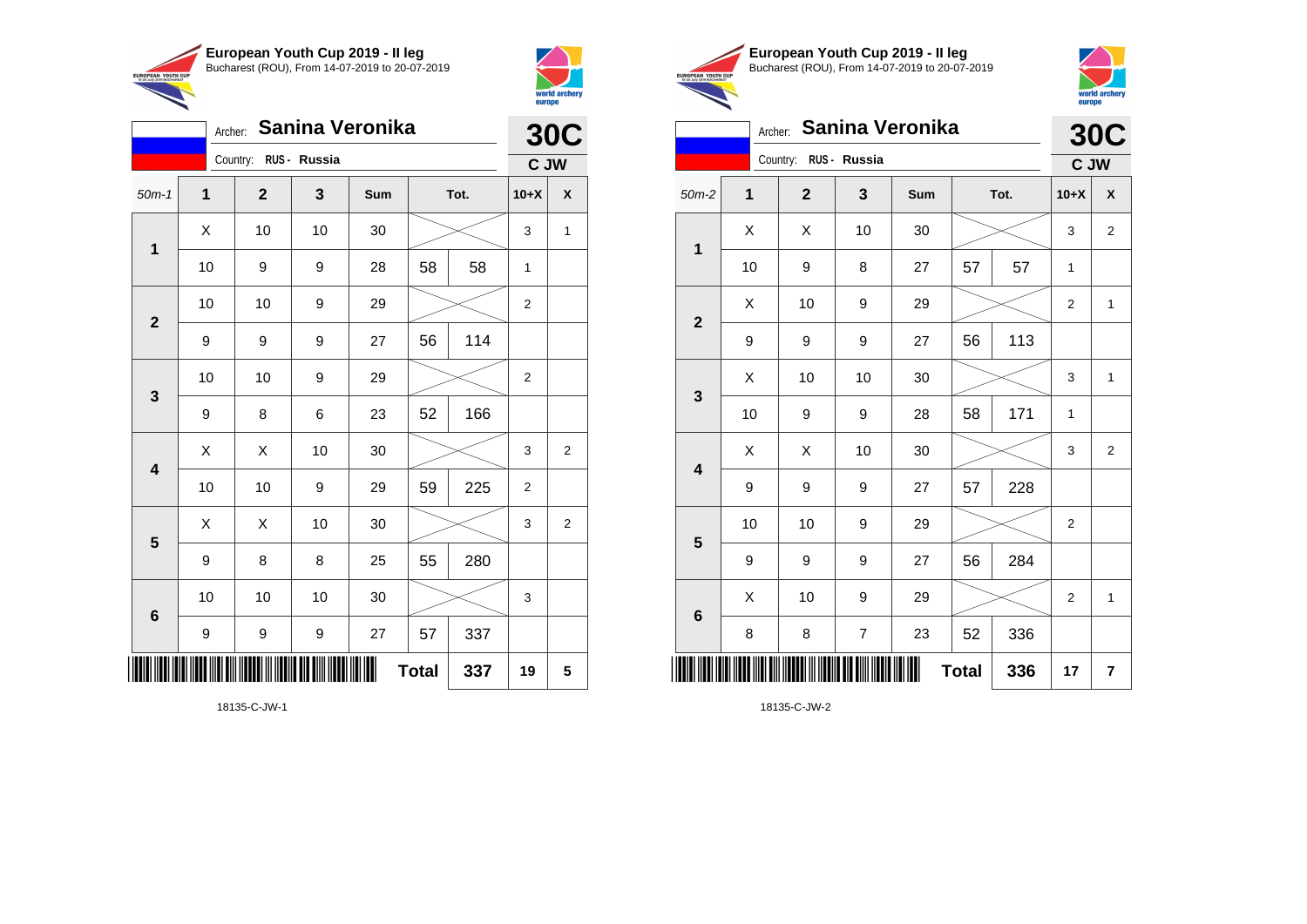



|                         | Sanina Veronika<br>Archer: |                       |    |     |              |      |                |                         |  |
|-------------------------|----------------------------|-----------------------|----|-----|--------------|------|----------------|-------------------------|--|
|                         |                            | Country: RUS - Russia |    |     |              |      | C JW           | <b>30C</b>              |  |
| $50m-1$                 | 1                          | $\mathbf{2}$          | 3  | Sum |              | Tot. | $10+X$         | χ                       |  |
| $\mathbf 1$             | Χ                          | 10                    | 10 | 30  |              |      | 3              | 1                       |  |
|                         | 10                         | 9                     | 9  | 28  | 58           | 58   | 1              |                         |  |
| $\overline{2}$          | 10                         | 10                    | 9  | 29  |              |      | 2              |                         |  |
|                         | 9                          | 9                     | 9  | 27  | 56           | 114  |                |                         |  |
| $\mathbf{3}$            | 10                         | 10                    | 9  | 29  |              |      | 2              |                         |  |
|                         | 9                          | 8                     | 6  | 23  | 52           | 166  |                |                         |  |
| $\overline{\mathbf{4}}$ | Χ                          | Χ                     | 10 | 30  |              |      | 3              | $\overline{\mathbf{c}}$ |  |
|                         | 10                         | 10                    | 9  | 29  | 59           | 225  | $\overline{2}$ |                         |  |
| 5                       | X                          | X                     | 10 | 30  |              |      | 3              | $\overline{2}$          |  |
|                         | 9                          | 8                     | 8  | 25  | 55           | 280  |                |                         |  |
| $6\phantom{1}6$         | 10                         | 10                    | 10 | 30  |              |      | 3              |                         |  |
|                         | $\boldsymbol{9}$           | 9                     | 9  | 27  | 57           | 337  |                |                         |  |
|                         |                            |                       |    | ∭   | <b>Total</b> | 337  | 19             | 5                       |  |





|                         |    |                       |                | Archer: Sanina Veronika |              |      |                | <b>30C</b>              |
|-------------------------|----|-----------------------|----------------|-------------------------|--------------|------|----------------|-------------------------|
|                         |    | Country: RUS - Russia |                |                         |              |      | C JW           |                         |
| $50m-2$                 | 1  | $\mathbf{2}$          | 3              | Sum                     |              | Tot. | $10+X$         | X                       |
| $\mathbf{1}$            | X  | X                     | 10             | 30                      |              |      | 3              | $\overline{2}$          |
|                         | 10 | 9                     | 8              | 27                      | 57           | 57   | $\mathbf{1}$   |                         |
| $\mathbf 2$             | X  | 10                    | 9              | 29                      |              |      | 2              | 1                       |
|                         | 9  | 9                     | 9              | 27                      | 56           | 113  |                |                         |
| 3                       | X  | 10                    | 10             | 30                      |              |      | 3              | $\mathbf{1}$            |
|                         | 10 | 9                     | 9              | 28                      | 58           | 171  | 1              |                         |
| $\overline{\mathbf{4}}$ | X  | X                     | 10             | 30                      |              |      | 3              | $\overline{2}$          |
|                         | 9  | 9                     | 9              | 27                      | 57           | 228  |                |                         |
| 5                       | 10 | 10                    | 9              | 29                      |              |      | $\overline{2}$ |                         |
|                         | 9  | 9                     | 9              | 27                      | 56           | 284  |                |                         |
| 6                       | X  | 10                    | 9              | 29                      |              |      | $\overline{2}$ | $\mathbf{1}$            |
|                         | 8  | 8                     | $\overline{7}$ | 23                      | 52           | 336  |                |                         |
|                         |    |                       |                | Ⅲ                       | <b>Total</b> | 336  | 17             | $\overline{\mathbf{r}}$ |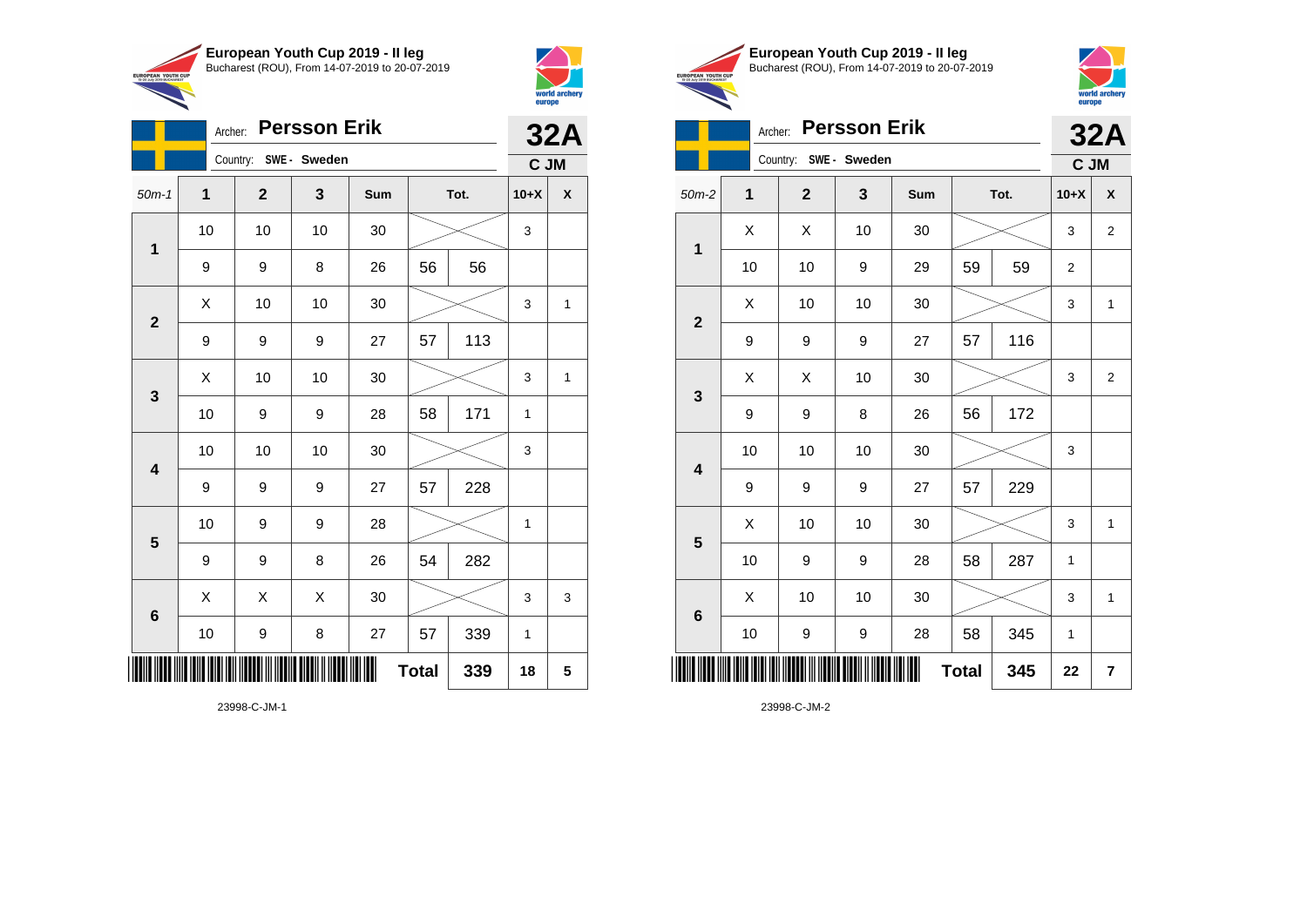



|                         | Archer: |                       | <b>Persson Erik</b> |     |              |      |        | <b>32A</b>   |
|-------------------------|---------|-----------------------|---------------------|-----|--------------|------|--------|--------------|
|                         |         | Country: SWE - Sweden |                     |     |              |      | C JM   |              |
| $50m-1$                 | 1       | $\mathbf{2}$          | 3                   | Sum |              | Tot. | $10+X$ | χ            |
| $\mathbf 1$             | 10      | 10                    | 10                  | 30  |              |      | 3      |              |
|                         | 9       | 9                     | 8                   | 26  | 56           | 56   |        |              |
| $\overline{2}$          | X       | 10                    | 10                  | 30  |              |      | 3      | $\mathbf{1}$ |
|                         | 9       | 9                     | 9                   | 27  | 57           | 113  |        |              |
|                         | X       | 10                    | 10                  | 30  |              |      | 3      | $\mathbf{1}$ |
| $\mathbf{3}$            | 10      | 9                     | 9                   | 28  | 58           | 171  | 1      |              |
| $\overline{\mathbf{4}}$ | 10      | 10                    | 10                  | 30  |              |      | 3      |              |
|                         | 9       | 9                     | 9                   | 27  | 57           | 228  |        |              |
| $\overline{\mathbf{5}}$ | 10      | 9                     | 9                   | 28  |              |      | 1      |              |
|                         | 9       | 9                     | 8                   | 26  | 54           | 282  |        |              |
| $\bf 6$                 | X       | X                     | X                   | 30  |              |      | 3      | 3            |
|                         | 10      | 9                     | 8                   | 27  | 57           | 339  | 1      |              |
|                         |         |                       |                     |     | <b>Total</b> | 339  | 18     | 5            |

23998-C-JM-1





## Archer: **Persson Erik 32A**

|                         | Country:<br>SWE- Sweden |              |    |        |              | C JM |                  |                         |
|-------------------------|-------------------------|--------------|----|--------|--------------|------|------------------|-------------------------|
| $50m-2$                 | 1                       | $\mathbf{2}$ | 3  | Sum    | Tot.         |      | $10+X$           | χ                       |
| $\mathbf 1$             | X                       | Χ            | 10 | $30\,$ |              |      | 3                | $\overline{2}$          |
|                         | 10                      | 10           | 9  | 29     | 59           | 59   | $\boldsymbol{2}$ |                         |
| $\mathbf{2}$            | X                       | 10           | 10 | 30     |              |      | 3                | $\mathbf{1}$            |
|                         | 9                       | 9            | 9  | 27     | 57           | 116  |                  |                         |
| $\mathbf{3}$            | X                       | X            | 10 | 30     |              |      | 3                | 2                       |
|                         | 9                       | 9            | 8  | 26     | 56           | 172  |                  |                         |
| $\overline{\mathbf{4}}$ | 10                      | 10           | 10 | 30     |              |      | 3                |                         |
|                         | 9                       | 9            | 9  | 27     | 57           | 229  |                  |                         |
| $\overline{\mathbf{5}}$ | Χ                       | 10           | 10 | 30     |              |      | 3                | $\mathbf{1}$            |
|                         | 10                      | 9            | 9  | 28     | 58           | 287  | 1                |                         |
| $\bf 6$                 | Χ                       | 10           | 10 | $30\,$ |              |      | 3                | $\mathbf{1}$            |
|                         | 10                      | 9            | 9  | 28     | 58           | 345  | 1                |                         |
|                         |                         |              |    |        | <b>Total</b> | 345  | 22               | $\overline{\mathbf{r}}$ |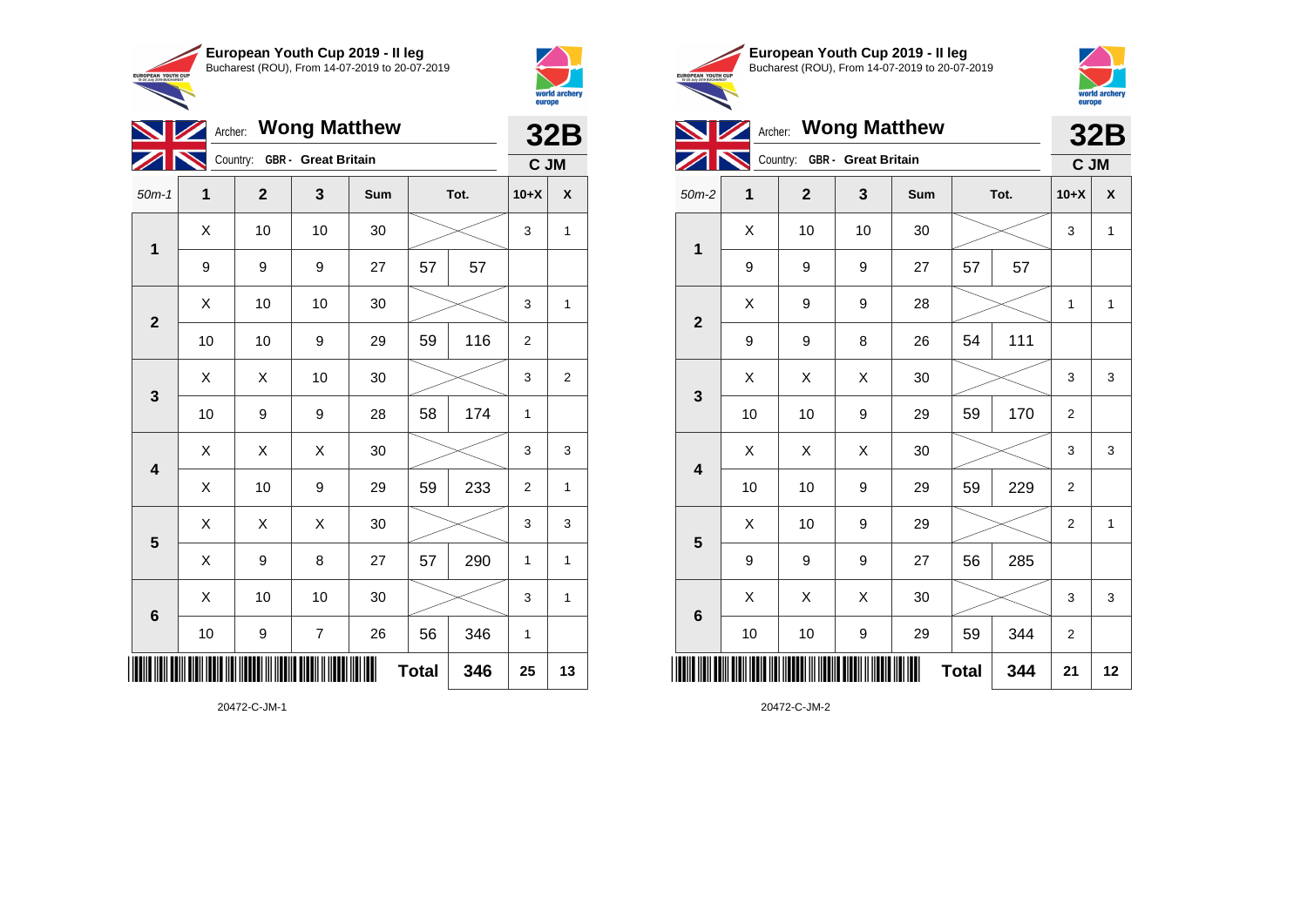

 $\overline{\mathscr{D}}$ 

**6**



|                         |    |                              |    |     |    |      |              | world archery<br>europe |
|-------------------------|----|------------------------------|----|-----|----|------|--------------|-------------------------|
|                         |    | <b>Archer: Wong Matthew</b>  |    |     |    |      |              | <b>32B</b>              |
|                         |    | Country: GBR - Great Britain |    |     |    |      | C JM         |                         |
| $50m-1$                 | 1  | $\overline{2}$               | 3  | Sum |    | Tot. | $10+X$       | $\mathbf{x}$            |
| $\mathbf 1$             | X  | 10                           | 10 | 30  |    |      | 3            | $\mathbf{1}$            |
|                         | 9  | 9                            | 9  | 27  | 57 | 57   |              |                         |
|                         | X  | 10                           | 10 | 30  |    |      | 3            | $\mathbf{1}$            |
| $\mathbf{2}$            | 10 | 10                           | 9  | 29  | 59 | 116  | 2            |                         |
|                         | X  | X                            | 10 | 30  |    |      | 3            | $\overline{2}$          |
| $\mathbf{3}$            | 10 | 9                            | 9  | 28  | 58 | 174  | $\mathbf{1}$ |                         |
|                         | X  | X                            | X  | 30  |    |      | 3            | 3                       |
| $\overline{\mathbf{4}}$ | X  | 10                           | 9  | 29  | 59 | 233  | 2            | $\mathbf{1}$            |
|                         | X  | X                            | X  | 30  |    |      | 3            | 3                       |
| ${\bf 5}$               | X  | 9                            | 8  | 27  | 57 | 290  | $\mathbf{1}$ | $\mathbf{1}$            |
|                         | X  | 10                           | 10 | 30  |    |      | 3            | $\mathbf{1}$            |
| 6                       |    |                              |    |     |    |      |              |                         |

**Total 346 25 13**









|                         |    | Country: GBR - Great Britain |    |     |              |      |                  |              |
|-------------------------|----|------------------------------|----|-----|--------------|------|------------------|--------------|
| $50m-2$                 | 1  | $\mathbf{2}$                 | 3  | Sum |              | Tot. | $10+X$           | χ            |
| $\mathbf{1}$            | Χ  | 10                           | 10 | 30  |              |      | 3                | $\mathbf{1}$ |
|                         | 9  | 9                            | 9  | 27  | 57           | 57   |                  |              |
| $\mathbf{2}$            | X  | 9                            | 9  | 28  |              |      | 1                | $\mathbf{1}$ |
|                         | 9  | 9                            | 8  | 26  | 54           | 111  |                  |              |
| 3                       | Χ  | Χ                            | Χ  | 30  |              |      | 3                | 3            |
|                         | 10 | 10                           | 9  | 29  | 59           | 170  | $\boldsymbol{2}$ |              |
| $\overline{\mathbf{4}}$ | Χ  | Χ                            | X  | 30  |              |      | 3                | 3            |
|                         | 10 | 10                           | 9  | 29  | 59           | 229  | 2                |              |
| $\overline{\mathbf{5}}$ | Χ  | 10                           | 9  | 29  |              |      | $\overline{c}$   | $\mathbf{1}$ |
|                         | 9  | 9                            | 9  | 27  | 56           | 285  |                  |              |
| $\bf 6$                 | X  | Χ                            | Χ  | 30  |              |      | 3                | 3            |
|                         | 10 | 10                           | 9  | 29  | 59           | 344  | $\overline{2}$   |              |
|                         |    |                              |    | ∭   | <b>Total</b> | 344  | 21               | 12           |

20472-C-JM-1

\*20472-C-JM-1\*

10 | 9 | 7 | 26 | 56 | 346 | 1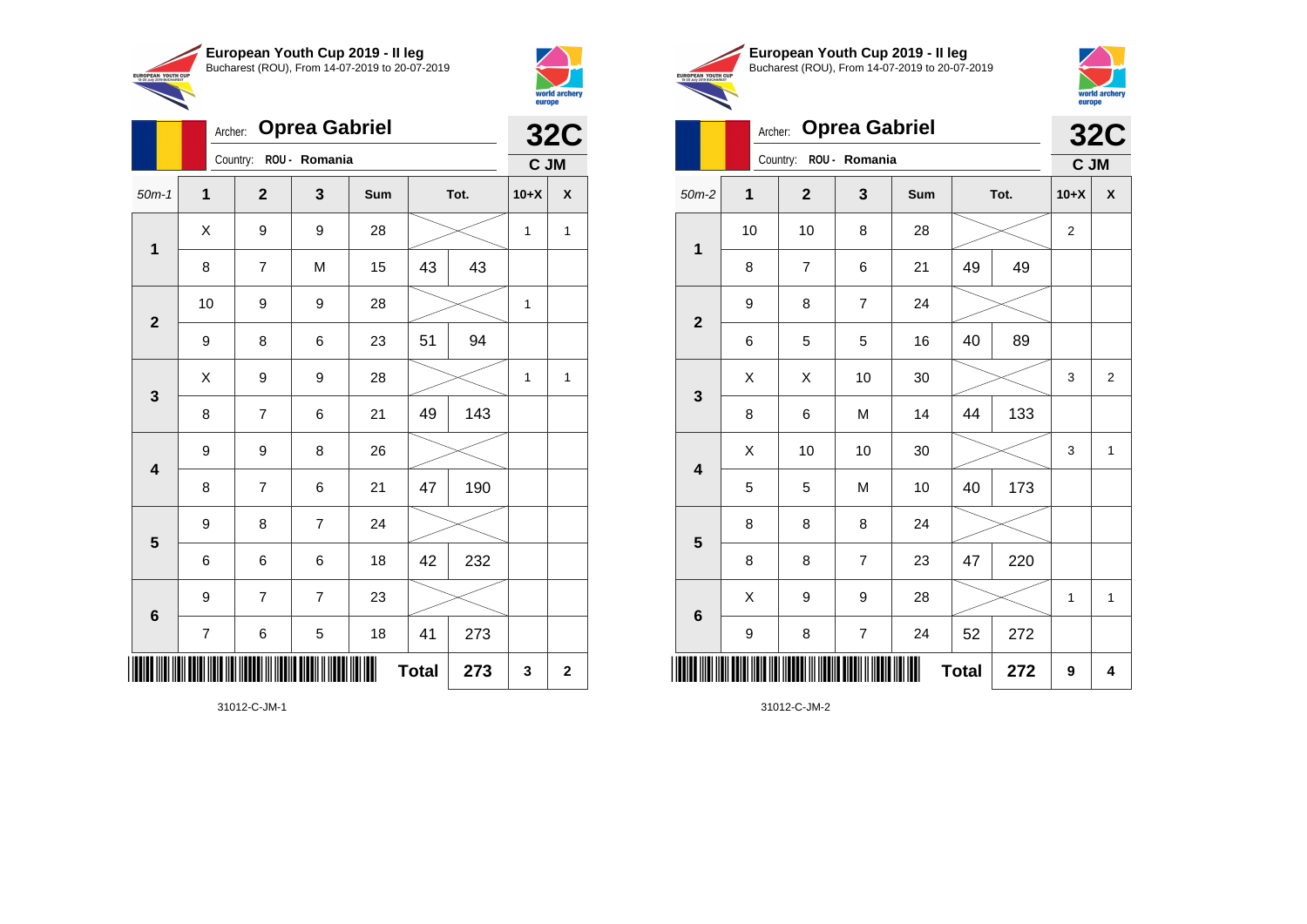

Archer: **Oprea Gabriel**

50m-1 **1 2 3 Sum Tot. 10+X X**

8 | 7 | M | 15 | 43 | 43

9 | 8 | 6 | 23 | 51 | 94

8 | 7 | 6 | 21 |49 | 143

8 | 7 | 6 | 21 | 47 | 190

6 6 6 18 42 232

7 | 6 | 5 | 18 | 41 | 273

**Total**  $\begin{array}{|c|c|c|c|c|} 273 & 3 & 2 \end{array}$ 

9 9 8 26

9 8 7 24

9 7 7 23

10 | 9 | 9 | 28 |  $\times$  | 1

 $X$  | 9 | 9 | 28 |  $\times$  | 1 | 1

 $X$  | 9 | 9 | 28 |  $\swarrow$  | 1 | 1

Country: **ROU - Romania**

**1**

**2**

**3**

**4**

**5**

**6**



**32C C JM**

|                                                        | European Youth Cup 2019 - Il leg               |
|--------------------------------------------------------|------------------------------------------------|
| <b>EUROPEAN YOUTH CUP</b><br>15-20 July 2019 BUCHAREST | Bucharest (ROU), From 14-07-2019 to 20-07-2019 |
|                                                        |                                                |



## Archer: **Oprea Gabriel 32C**

|                         |             | Country:<br>ROU - Romania |                  |        |              |     |                | C JM                    |
|-------------------------|-------------|---------------------------|------------------|--------|--------------|-----|----------------|-------------------------|
| $50m-2$                 | $\mathbf 1$ | $\mathbf{2}$              | $\mathbf{3}$     | Sum    | Tot.         |     | $10+X$         | $\pmb{\mathsf{X}}$      |
| $\mathbf 1$             | 10          | 10                        | 8                | 28     |              |     | $\overline{c}$ |                         |
|                         | 8           | $\overline{7}$            | 6                | 21     | 49           | 49  |                |                         |
|                         | 9           | 8                         | $\overline{7}$   | 24     |              |     |                |                         |
| $\mathbf{2}$            | 6           | 5                         | 5                | 16     | 40           | 89  |                |                         |
|                         | Χ           | Χ                         | 10               | $30\,$ |              |     | 3              | $\overline{\mathbf{c}}$ |
| $\mathbf 3$             | 8           | 6                         | M                | 14     | 44           | 133 |                |                         |
|                         | Χ           | 10                        | 10               | $30\,$ |              |     | 3              | $\mathbf 1$             |
| $\overline{\mathbf{4}}$ | 5           | 5                         | M                | 10     | 40           | 173 |                |                         |
| $\overline{\mathbf{5}}$ | 8           | 8                         | 8                | 24     |              |     |                |                         |
|                         | 8           | 8                         | $\overline{7}$   | 23     | 47           | 220 |                |                         |
|                         | Χ           | 9                         | 9                | 28     |              |     | 1              | $\mathbf{1}$            |
| $\bf 6$                 | 9           | 8                         | $\boldsymbol{7}$ | 24     | 52           | 272 |                |                         |
|                         |             |                           |                  | Ⅲ      | <b>Total</b> | 272 | 9              | 4                       |

31012-C-JM-2

31012-C-JM-1

\*31012-C-JM-1\*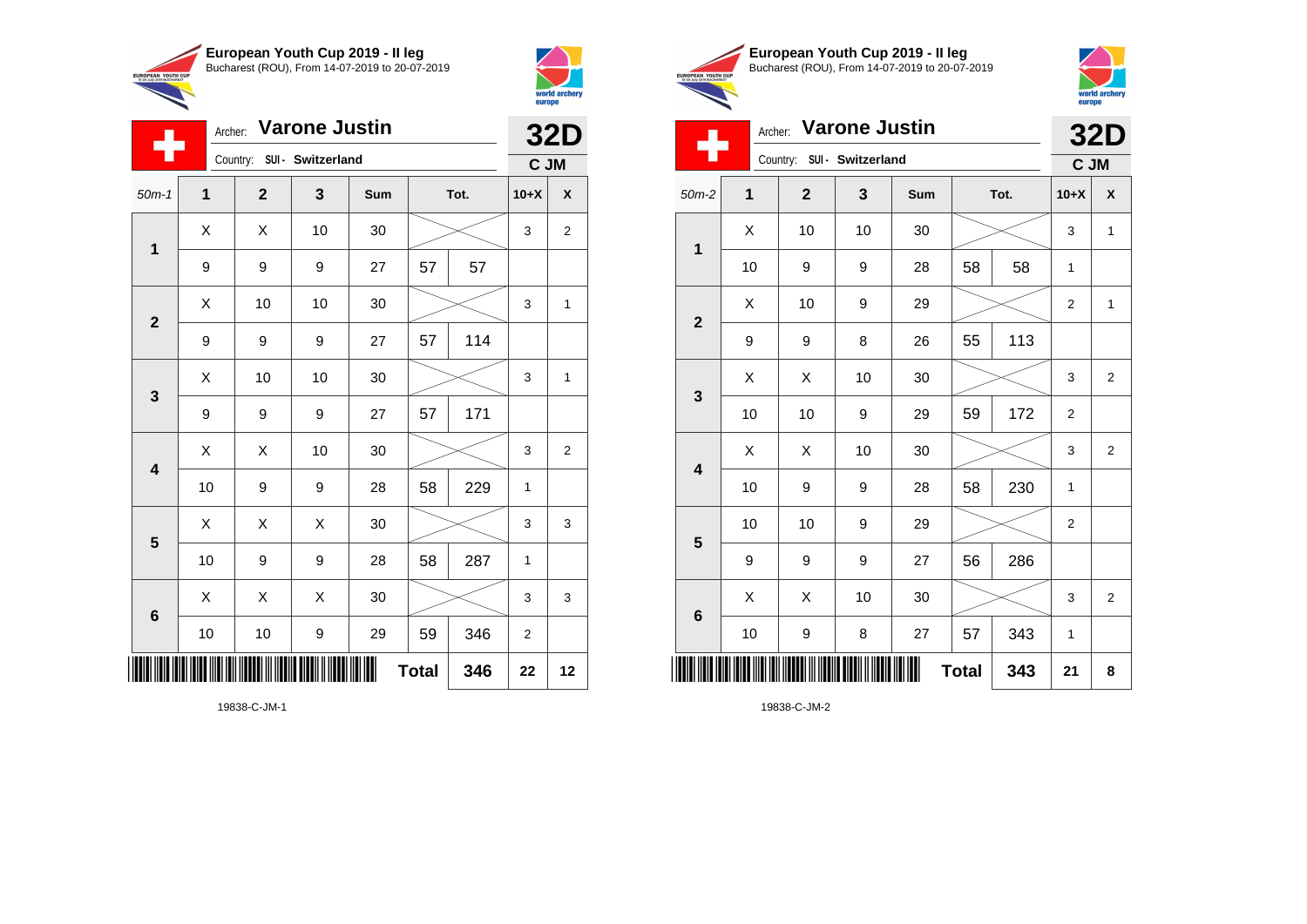

Archer: **Varone Justin**

50m-1 **1 2 3 Sum Tot. 10+X X**

9 | 9 | 27 | 57 | 57

9 | 9 | 9 | 27 | 57 | 114

9 9 9 27 57 171

X X 10 30 3 2

 $\begin{array}{|c|c|c|c|c|c|}\hline \hspace{.1cm}X & \hspace{.1cm} \text{ 10} & \hspace{.1cm} \text{ 10} & \hspace{.1cm} \text{ 30} & \hspace{.1cm} \end{array} \hspace{.2cm} \begin{array}{|c|c|c|c|c|c|}\hline \hspace{.1cm}X & \hspace{.1cm} \text{ 3} & \hspace{.1cm} \text{ 1} & \hspace{.1cm} \text{ 4} & \hspace{.1cm} \end{array}$ 

 $\begin{array}{|c|c|c|c|c|c|}\hline \hspace{.1cm}X & \hspace{.1cm} \text{ 10} & \hspace{.1cm} \text{ 10} & \hspace{.1cm} \text{ 30} & \hspace{.1cm} \end{array} \hspace{.2cm} \begin{array}{|c|c|c|c|c|c|}\hline \hspace{.1cm}X & \hspace{.1cm} \text{ 3} & \hspace{.1cm} \text{ 1} & \hspace{.1cm} \text{ 4} & \hspace{.1cm} \end{array}$ 

 $\begin{array}{|c|c|c|c|c|}\hline \hspace{0.8cm}X & X & 10 & 30 & \nearrow & \ \hline \end{array} \hspace{0.2cm} \begin{array}{|c|c|c|c|c|}\hline \hspace{0.8cm}3 & 3 & 2 \end{array}$ 

 $X$   $\mid$   $X$   $\mid$   $X$   $\mid$  30  $\mid$   $\gg$   $\sim$   $\mid$  3  $\mid$  3

 $\begin{array}{|c|c|c|c|c|}\hline \hspace{0.8cm}X & X & X & 30 & \nearrow & \hline \end{array} \hspace{0.2cm} \begin{array}{|c|c|c|c|c|c|}\hline \hspace{0.8cm}X & 3 & 3 & 3 \hline \end{array}$ 

**Total 346 22 12**

10 | 9 | 9 | 28 | 58 | 229 | 1

10 | 9 | 9 | 28 | 58 | 287 | 1

10 | 10 | 9 | 29 | 59 | 346 | 2

Country: **SUI - Switzerland**

**1**

÷

**2**

**3**

**4**

**5**

**6**



**32D C JM**

|                                                        | European Youth Cup 2019 - Il leg               |
|--------------------------------------------------------|------------------------------------------------|
| <b>EUROPEAN YOUTH CUP</b><br>15-20 July 2019 BUCHAREST | Bucharest (ROU). From 14-07-2019 to 20-07-2019 |



|                         |              | Archer: Varone Justin      |              |     |              |      |                | <b>32D</b>     |
|-------------------------|--------------|----------------------------|--------------|-----|--------------|------|----------------|----------------|
|                         |              | Country: SUI - Switzerland |              |     |              |      | C JM           |                |
| $50m-2$                 | $\mathbf{1}$ | $\mathbf{2}$               | $\mathbf{3}$ | Sum |              | Tot. | $10+X$         | $\mathsf{x}$   |
|                         | X            | 10                         | 10           | 30  |              |      | 3              | $\mathbf{1}$   |
| $\mathbf{1}$            | 10           | 9                          | 9            | 28  | 58           | 58   | 1              |                |
|                         | X            | 10                         | 9            | 29  |              |      | 2              | $\mathbf{1}$   |
| $\mathbf{2}$            | 9            | 9                          | 8            | 26  | 55           | 113  |                |                |
| $\mathbf{3}$            | X            | X                          | 10           | 30  |              |      | 3              | $\overline{2}$ |
|                         | 10           | 10                         | 9            | 29  | 59           | 172  | $\overline{c}$ |                |
| $\overline{\mathbf{4}}$ | Χ            | X                          | 10           | 30  |              |      | $\mathbf{3}$   | $\overline{2}$ |
|                         | 10           | 9                          | 9            | 28  | 58           | 230  | $\mathbf{1}$   |                |
| $\overline{\mathbf{5}}$ | 10           | 10                         | 9            | 29  |              |      | $\mathbf{2}$   |                |
|                         | 9            | 9                          | 9            | 27  | 56           | 286  |                |                |
|                         | Χ            | X                          | 10           | 30  |              |      | $\mathsf 3$    | $\overline{2}$ |
| $\bf 6$                 | $10$         | 9                          | 8            | 27  | 57           | 343  | 1              |                |
| IIII                    |              |                            |              |     | <b>Total</b> | 343  | 21             | 8              |

19838-C-JM-1

\*19838-C-JM-1\*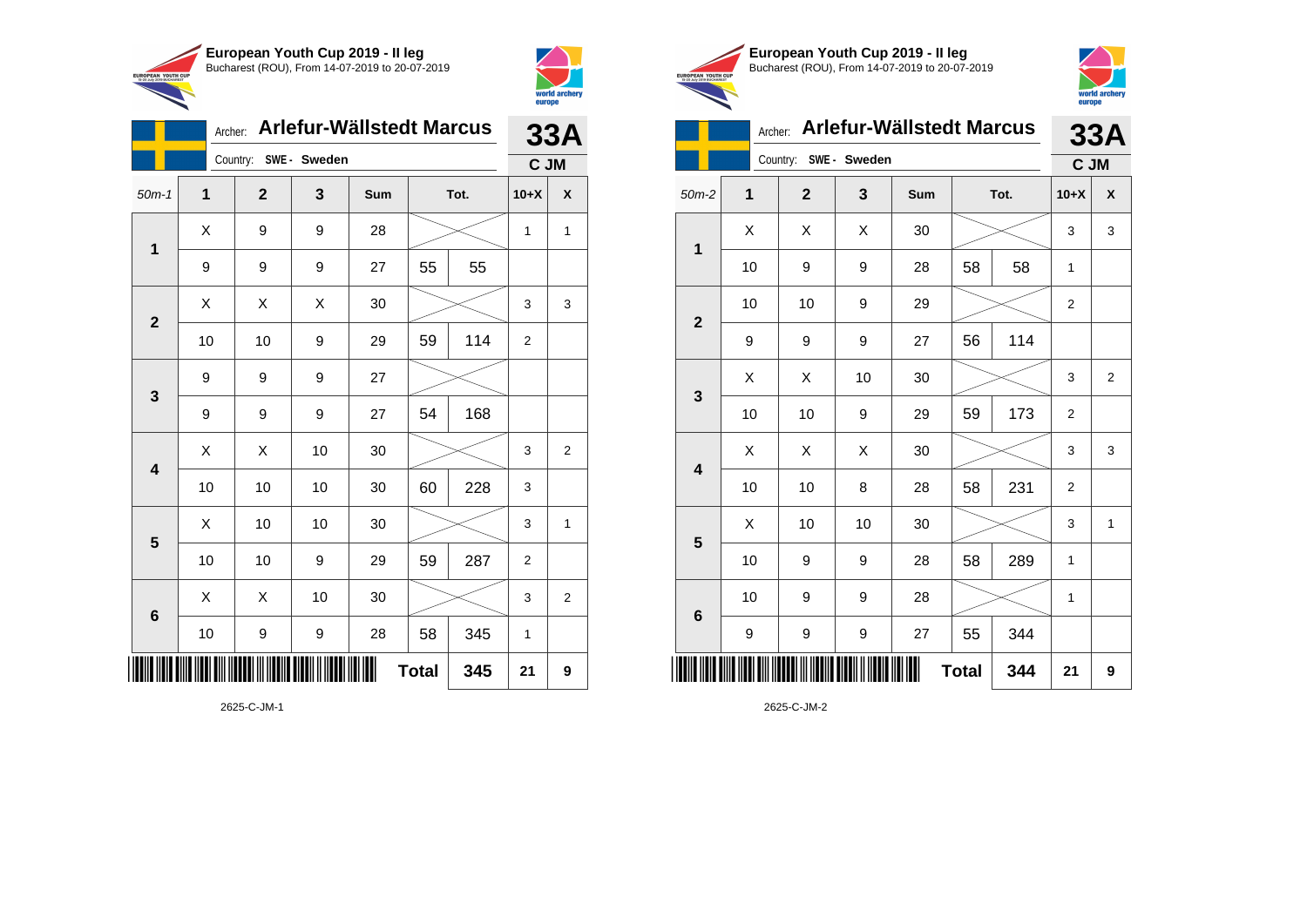



|                 | Archer: |                       |    | Arlefur-Wällstedt Marcus |              |      | <b>33A</b>     |   |
|-----------------|---------|-----------------------|----|--------------------------|--------------|------|----------------|---|
|                 |         | Country: SWE - Sweden |    |                          |              |      | C JM           |   |
| $50m-1$         | 1       | $\mathbf{2}$          | 3  | Sum                      |              | Tot. | $10+X$         | X |
| 1               | X       | 9                     | 9  | 28                       |              |      | $\mathbf{1}$   | 1 |
|                 | 9       | 9                     | 9  | 27                       | 55           | 55   |                |   |
| $\overline{2}$  | Χ       | Χ                     | X  | 30                       |              |      | 3              | 3 |
|                 | 10      | 10                    | 9  | 29                       | 59           | 114  | 2              |   |
| 3               | 9       | 9                     | 9  | 27                       |              |      |                |   |
|                 | 9       | 9                     | 9  | 27                       | 54           | 168  |                |   |
| 4               | X       | Χ                     | 10 | 30                       |              |      | 3              | 2 |
|                 | 10      | 10                    | 10 | 30                       | 60           | 228  | 3              |   |
| 5               | Χ       | 10                    | 10 | 30                       |              |      | 3              | 1 |
|                 | 10      | 10                    | 9  | 29                       | 59           | 287  | $\overline{2}$ |   |
| $6\phantom{1}6$ | X       | X                     | 10 | 30                       |              |      | 3              | 2 |
|                 | 10      | 9                     | 9  | 28                       | 58           | 345  | 1              |   |
| ║║║             |         |                       |    |                          | <b>Total</b> | 345  | 21             | 9 |

2625-C-JM-1





|                |    |                |            | Archer: Arlefur-Wällstedt Marcus |              |      | 33A            |                |
|----------------|----|----------------|------------|----------------------------------|--------------|------|----------------|----------------|
|                |    | Country:       | SWE-Sweden |                                  |              |      | C JM           |                |
| $50m-2$        | 1  | $\overline{2}$ | 3          | Sum                              |              | Tot. | $10+X$         | X              |
| 1              | Χ  | X              | X          | 30                               |              |      | 3              | 3              |
|                | 10 | 9              | 9          | 28                               | 58           | 58   | 1              |                |
| $\overline{2}$ | 10 | 10             | 9          | 29                               |              |      | 2              |                |
|                | 9  | 9              | 9          | 27                               | 56           | 114  |                |                |
| 3              | X  | X              | 10         | 30                               |              |      | 3              | $\overline{2}$ |
|                | 10 | 10             | 9          | 29                               | 59           | 173  | 2              |                |
| 4              | X  | X              | X          | 30                               |              |      | 3              | 3              |
|                | 10 | 10             | 8          | 28                               | 58           | 231  | $\overline{2}$ |                |
| 5              | X  | 10             | 10         | 30                               |              |      | 3              | 1              |
|                | 10 | 9              | 9          | 28                               | 58           | 289  | 1              |                |
| 6              | 10 | 9              | 9          | 28                               |              |      | 1              |                |
|                | 9  | 9              | 9          | 27                               | 55           | 344  |                |                |
|                |    |                |            |                                  | <b>Total</b> | 344  | 21             | 9              |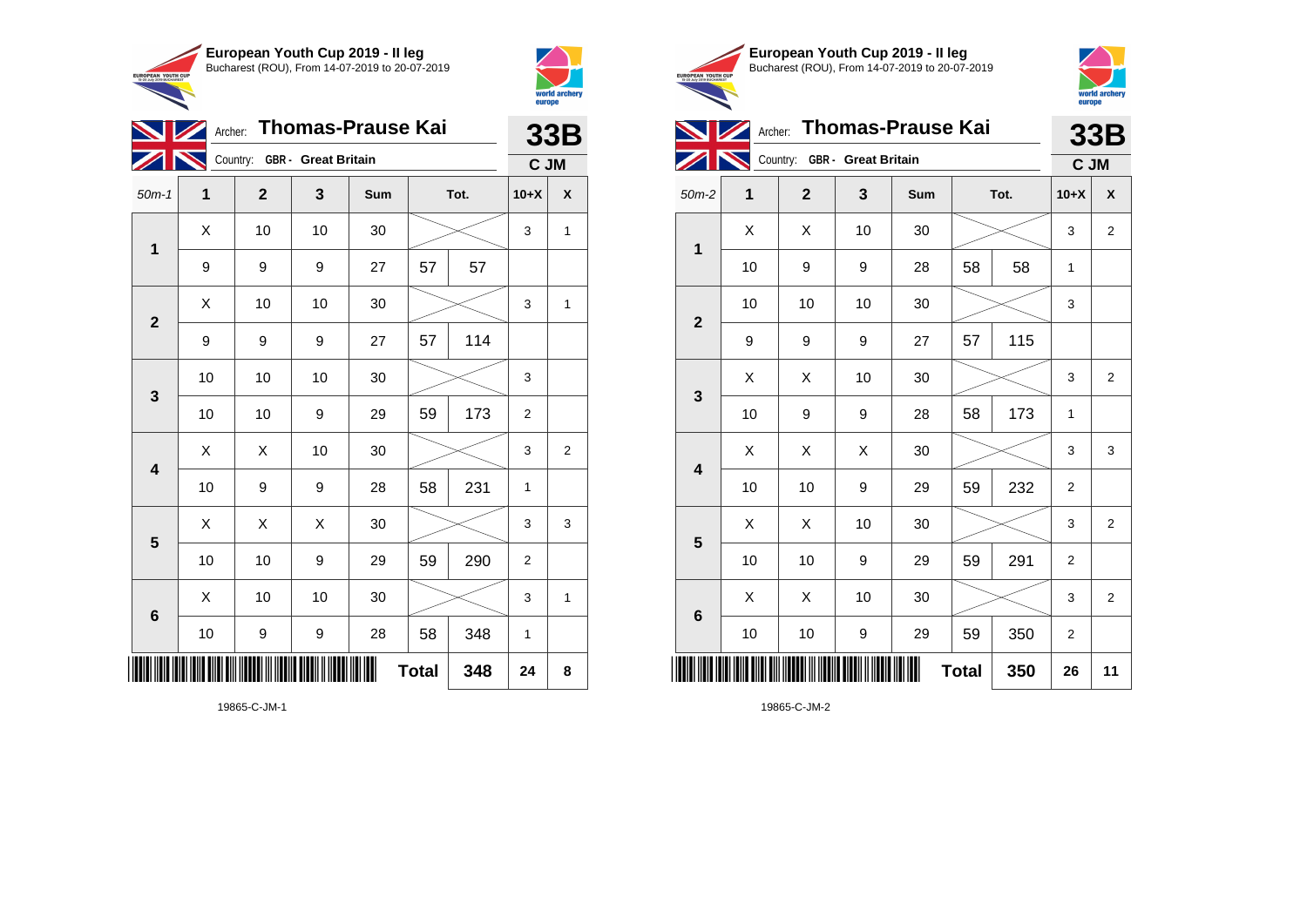



**1**

| <b>NZ</b>               |    | Archer: Thomas-Prause Kai    |    |     |              |     |                |   |  |  |  |
|-------------------------|----|------------------------------|----|-----|--------------|-----|----------------|---|--|--|--|
|                         |    | Country: GBR - Great Britain |    |     |              |     | C JM           |   |  |  |  |
| $50m-1$                 | 1  | $\mathbf{2}$                 | 3  | Sum | Tot.         |     | $10+X$         | X |  |  |  |
| $\mathbf 1$             | X  | 10                           | 10 | 30  |              |     | 3              | 1 |  |  |  |
|                         | 9  | 9                            | 9  | 27  | 57           | 57  |                |   |  |  |  |
| $\overline{2}$          | X  | 10                           | 10 | 30  |              |     | 3              | 1 |  |  |  |
|                         | 9  | 9                            | 9  | 27  | 57           | 114 |                |   |  |  |  |
| $\mathbf{3}$            | 10 | 10                           | 10 | 30  |              |     | 3              |   |  |  |  |
|                         | 10 | 10                           | 9  | 29  | 59           | 173 | $\overline{c}$ |   |  |  |  |
| $\overline{\mathbf{4}}$ | Χ  | X                            | 10 | 30  |              |     | 3              | 2 |  |  |  |
|                         | 10 | 9                            | 9  | 28  | 58           | 231 | 1              |   |  |  |  |
| $\overline{\mathbf{5}}$ | X  | X                            | X  | 30  |              |     | 3              | 3 |  |  |  |
|                         | 10 | 10                           | 9  | 29  | 59           | 290 | $\overline{2}$ |   |  |  |  |
| 6                       | X  | 10                           | 10 | 30  |              |     | 3              | 1 |  |  |  |
|                         | 10 | 9                            | 9  | 28  | 58           | 348 | 1              |   |  |  |  |
| ║║║                     |    |                              |    | ║   | <b>Total</b> | 348 | 24             | 8 |  |  |  |

19865-C-JM-1





**Archer:** Thomas-Prause Kai **33B**  $\overline{\mathscr{D}}$ **Country: GBR - Great Britain C JM** 50m-2 **1 2 3 Sum Tot. 10+X X**  $X$   $\mid$   $X$   $\mid$  10  $\mid$  30  $\mid$   $\gg$   $\mid$  3  $\mid$  2 ℸ

|                         | 10 | 9  | 9                | 28 | 58           | 58  | 1                       |                         |
|-------------------------|----|----|------------------|----|--------------|-----|-------------------------|-------------------------|
| $\mathbf{2}$            | 10 | 10 | 10               | 30 |              |     | 3                       |                         |
|                         | 9  | 9  | 9                | 27 | 57           | 115 |                         |                         |
| $\mathbf{3}$            | X  | X  | 10               | 30 |              |     | 3                       | $\overline{\mathbf{c}}$ |
|                         | 10 | 9  | $\boldsymbol{9}$ | 28 | 58           | 173 | 1                       |                         |
| $\overline{\mathbf{4}}$ | Χ  | X  | Χ                | 30 |              |     | 3                       | 3                       |
|                         | 10 | 10 | $\boldsymbol{9}$ | 29 | 59           | 232 | $\overline{\mathbf{c}}$ |                         |
| $\overline{\mathbf{5}}$ | Χ  | Χ  | 10               | 30 |              |     | 3                       | $\overline{c}$          |
|                         | 10 | 10 | 9                | 29 | 59           | 291 | $\overline{\mathbf{c}}$ |                         |
|                         | Χ  | Χ  | 10               | 30 |              |     | 3                       | $\boldsymbol{2}$        |
| $\bf 6$                 | 10 | 10 | 9                | 29 | 59           | 350 | $\overline{\mathbf{c}}$ |                         |
|                         |    |    |                  | ∭  | <b>Total</b> | 350 | 26                      | 11                      |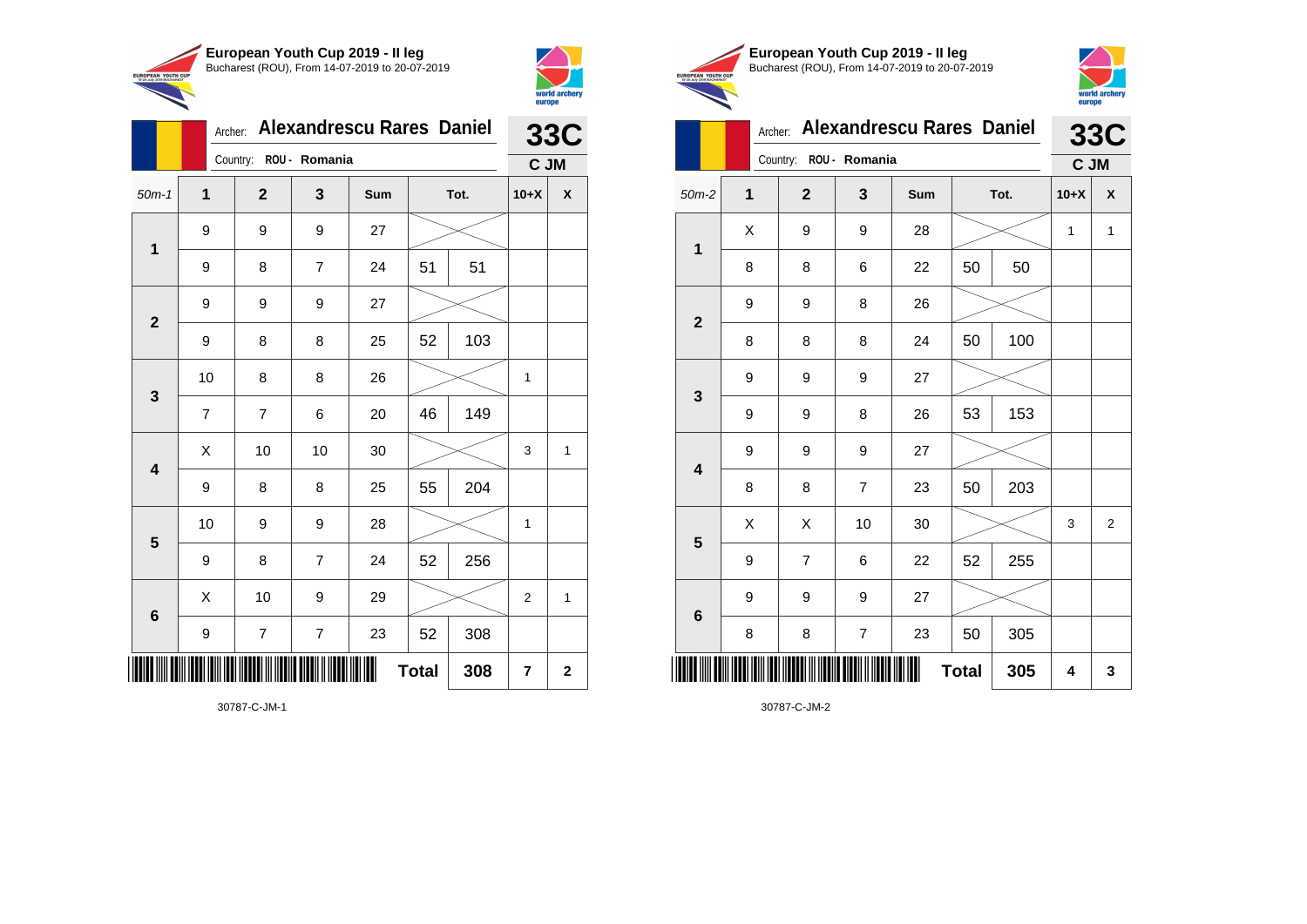



|                         |                  | Archer: |                         |                         | <b>Alexandrescu Rares Daniel</b> |              |     |                | <b>33C</b>              |
|-------------------------|------------------|---------|-------------------------|-------------------------|----------------------------------|--------------|-----|----------------|-------------------------|
|                         |                  |         | Country:                | ROU - Romania           |                                  |              |     | C JM           |                         |
| $50m-1$                 | $\mathbf{1}$     |         | $\mathbf{2}$            | 3                       | Sum                              | Tot.         |     | $10+X$         | X                       |
| $\mathbf 1$             | 9                |         | 9                       | 9                       | 27                               |              |     |                |                         |
|                         | 9                |         | 8                       | $\overline{7}$          | 24                               | 51           | 51  |                |                         |
| $\overline{2}$          | 9                |         | 9                       | 9                       | 27                               |              |     |                |                         |
|                         | 9                |         | 8                       | 8                       | 25                               | 52           | 103 |                |                         |
| 3                       | 10               |         | 8                       | 8                       | 26                               |              |     | 1              |                         |
|                         | $\overline{7}$   |         | $\overline{7}$          | 6                       | 20                               | 46           | 149 |                |                         |
| $\overline{\mathbf{4}}$ | Χ                |         | 10                      | 10                      | 30                               |              |     | 3              | 1                       |
|                         | 9                |         | 8                       | 8                       | 25                               | 55           | 204 |                |                         |
| 5                       | 10               |         | 9                       | 9                       | 28                               |              |     | 1              |                         |
|                         | $\boldsymbol{9}$ |         | 8                       | $\overline{7}$          | 24                               | 52           | 256 |                |                         |
| $6\phantom{1}6$         | Χ                |         | 10                      | 9                       | 29                               |              |     | 2              | 1                       |
|                         | 9                |         | $\overline{\mathbf{7}}$ | $\overline{\mathbf{7}}$ | 23                               | 52           | 308 |                |                         |
| IIIIII                  |                  |         |                         |                         |                                  | <b>Total</b> | 308 | $\overline{7}$ | $\overline{\mathbf{2}}$ |

30787-C-JM-1





|              | Archer:  |                | <b>Alexandrescu Rares Daniel</b> |     |              |     |        | <b>33C</b>     |  |  |
|--------------|----------|----------------|----------------------------------|-----|--------------|-----|--------|----------------|--|--|
|              | Country: | ROU - Romania  |                                  |     |              |     |        | C JM           |  |  |
| $50m-2$      | 1        | $\overline{2}$ | 3                                | Sum | Tot.         |     | $10+X$ | X              |  |  |
| 1            | X        | 9              | 9                                | 28  |              |     | 1      | $\mathbf{1}$   |  |  |
|              | 8        | 8              | 6                                | 22  | 50           | 50  |        |                |  |  |
| $\mathbf{2}$ | 9        | 9              | 8                                | 26  |              |     |        |                |  |  |
|              | 8        | 8              | 8                                | 24  | 50           | 100 |        |                |  |  |
| 3            | 9        | 9              | 9                                | 27  |              |     |        |                |  |  |
|              | 9        | 9              | 8                                | 26  | 53           | 153 |        |                |  |  |
| 4            | 9        | 9              | 9                                | 27  |              |     |        |                |  |  |
|              | 8        | 8              | 7                                | 23  | 50           | 203 |        |                |  |  |
| 5            | X        | X              | 10                               | 30  |              |     | 3      | $\overline{2}$ |  |  |
|              | 9        | $\overline{7}$ | 6                                | 22  | 52           | 255 |        |                |  |  |
| $\bf 6$      | 9        | 9              | 9                                | 27  |              |     |        |                |  |  |
|              | 8        | 8              | $\overline{\mathbf{7}}$          | 23  | 50           | 305 |        |                |  |  |
|              |          |                |                                  |     | <b>Total</b> | 305 | 4      | 3              |  |  |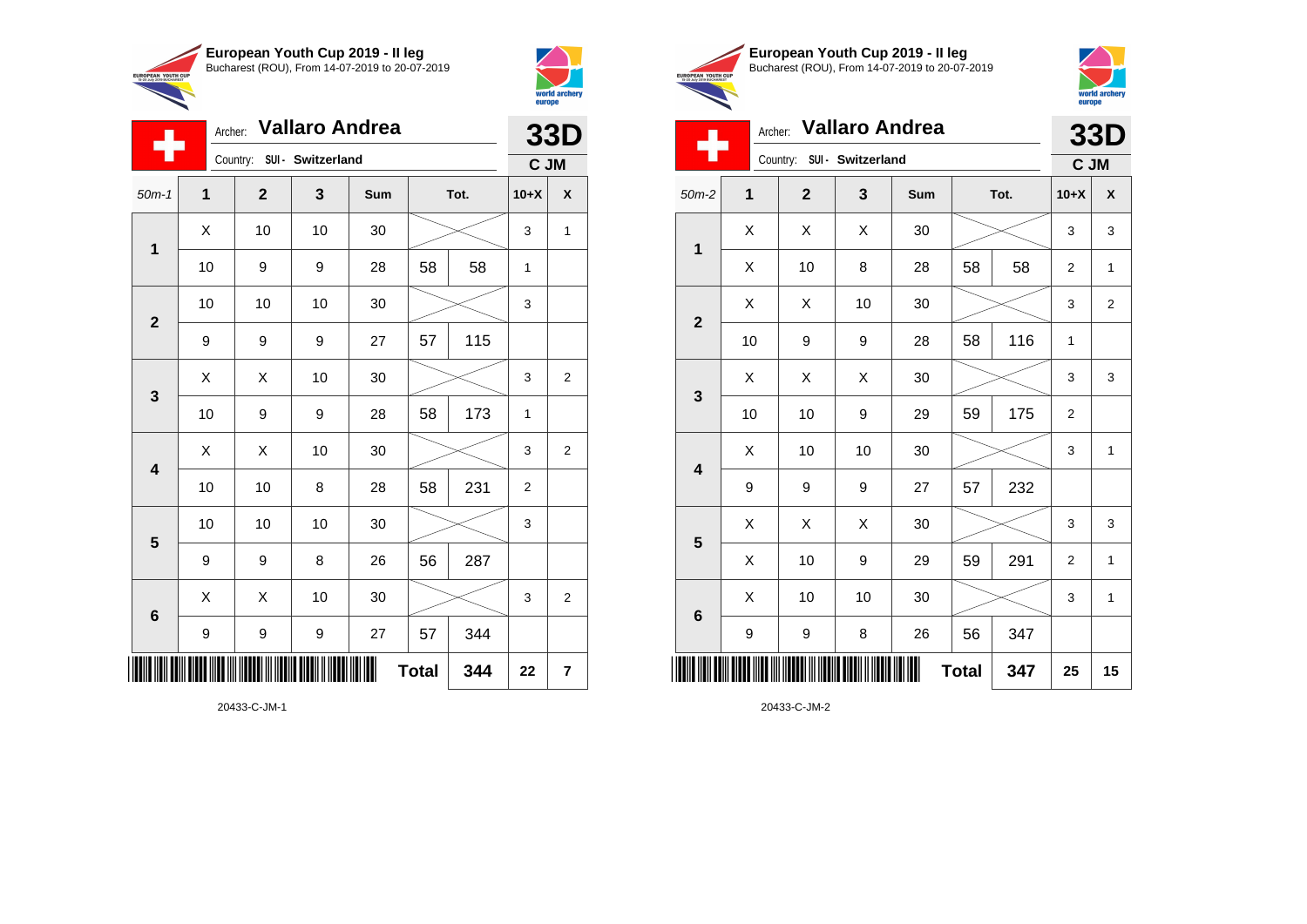

Country: **SUI - Switzerland**

**1**

÷

**2**

**3**

Archer: **Vallaro Andrea**

50m-1 **1 2 3 Sum Tot. 10+X X**

10 | 9 | 9 | 28 | 58 | 58 | 1

10 | 10 | 10 | 30 |  $\!\!\!\!\!\!\!\!\times$  | 3

9 | 9 | 9 | 27 | 57 | 115

 $\begin{array}{|c|c|c|c|c|c|}\hline \hspace{.1cm}X & \hspace{.1cm} \text{ 10} & \hspace{.1cm} \text{ 10} & \hspace{.1cm} \text{ 30} & \hspace{.1cm} \end{array} \hspace{.2cm} \begin{array}{|c|c|c|c|c|c|}\hline \hspace{.1cm}X & \hspace{.1cm} \text{ 3} & \hspace{.1cm} \text{ 1} & \hspace{.1cm} \text{ 4} & \hspace{.1cm} \end{array}$ 

 $\begin{array}{|c|c|c|c|c|}\hline \hspace{0.8cm}X & X & 10 & 30 & \nearrow & \ \hline \end{array} \hspace{0.2cm} \begin{array}{|c|c|c|c|c|}\hline \hspace{0.8cm}3 & 3 & 2 \end{array}$ 



**33D C JM**

|                                                        | European Youth Cup 2019 - Il leg               |
|--------------------------------------------------------|------------------------------------------------|
| <b>EUROPEAN YOUTH CUP</b><br>15-20 July 2019 BUCHAREST | Bucharest (ROU), From 14-07-2019 to 20-07-2019 |
|                                                        |                                                |



## Archer: **Vallaro Andrea 33D**

| ш                       | Country:<br>SUI - Switzerland |              |    |        |      |     |                | C JM                    |  |  |
|-------------------------|-------------------------------|--------------|----|--------|------|-----|----------------|-------------------------|--|--|
| $50m-2$                 | 1                             | $\mathbf{2}$ | 3  | Sum    | Tot. |     | $10+X$         | $\pmb{\mathsf{X}}$      |  |  |
| $\mathbf 1$             | Χ                             | Χ            | Χ  | $30\,$ |      |     | 3              | 3                       |  |  |
|                         | Χ                             | 10           | 8  | 28     | 58   | 58  | 2              | $\mathbf 1$             |  |  |
| $\mathbf{2}$            | Χ                             | Χ            | 10 | 30     |      |     | 3              | $\overline{\mathbf{c}}$ |  |  |
|                         | 10                            | 9            | 9  | 28     | 58   | 116 | 1              |                         |  |  |
| $\mathbf{3}$            | Χ                             | Χ            | Χ  | $30\,$ |      |     | 3              | 3                       |  |  |
|                         | 10                            | 10           | 9  | 29     | 59   | 175 | 2              |                         |  |  |
| $\overline{\mathbf{4}}$ | X                             | 10           | 10 | $30\,$ |      |     | 3              | $\mathbf{1}$            |  |  |
|                         | 9                             | 9            | 9  | 27     | 57   | 232 |                |                         |  |  |
| $5\phantom{1}$          | X                             | Χ            | Χ  | $30\,$ |      |     | 3              | 3                       |  |  |
|                         | X                             | 10           | 9  | 29     | 59   | 291 | $\overline{2}$ | 1                       |  |  |
|                         | Χ                             | 10           | 10 | 30     |      |     | 3              | 1                       |  |  |
| $\bf 6$                 | 9                             | 9            | 8  | 26     | 56   | 347 |                |                         |  |  |
|                         | Ⅲ<br><b>Total</b><br>347      |              |    |        |      | 25  | 15             |                         |  |  |

20433-C-JM-2

|                         |    |    |    |    | <b>Total</b> | 344 | 22             | $\overline{7}$ |
|-------------------------|----|----|----|----|--------------|-----|----------------|----------------|
|                         | 9  | 9  | 9  | 27 | 57           | 344 |                |                |
| $6\phantom{1}$          | X  | X  | 10 | 30 |              |     | 3              | $\overline{2}$ |
|                         | 9  | 9  | 8  | 26 | 56           | 287 |                |                |
| $\overline{\mathbf{5}}$ | 10 | 10 | 10 | 30 |              |     | 3              |                |
|                         | 10 | 10 | 8  | 28 | 58           | 231 | $\overline{2}$ |                |
| $\overline{\mathbf{4}}$ | X  | X  | 10 | 30 |              |     | 3              | $\overline{2}$ |
|                         | 10 | 9  | 9  | 28 | 58           | 173 | $\mathbf{1}$   |                |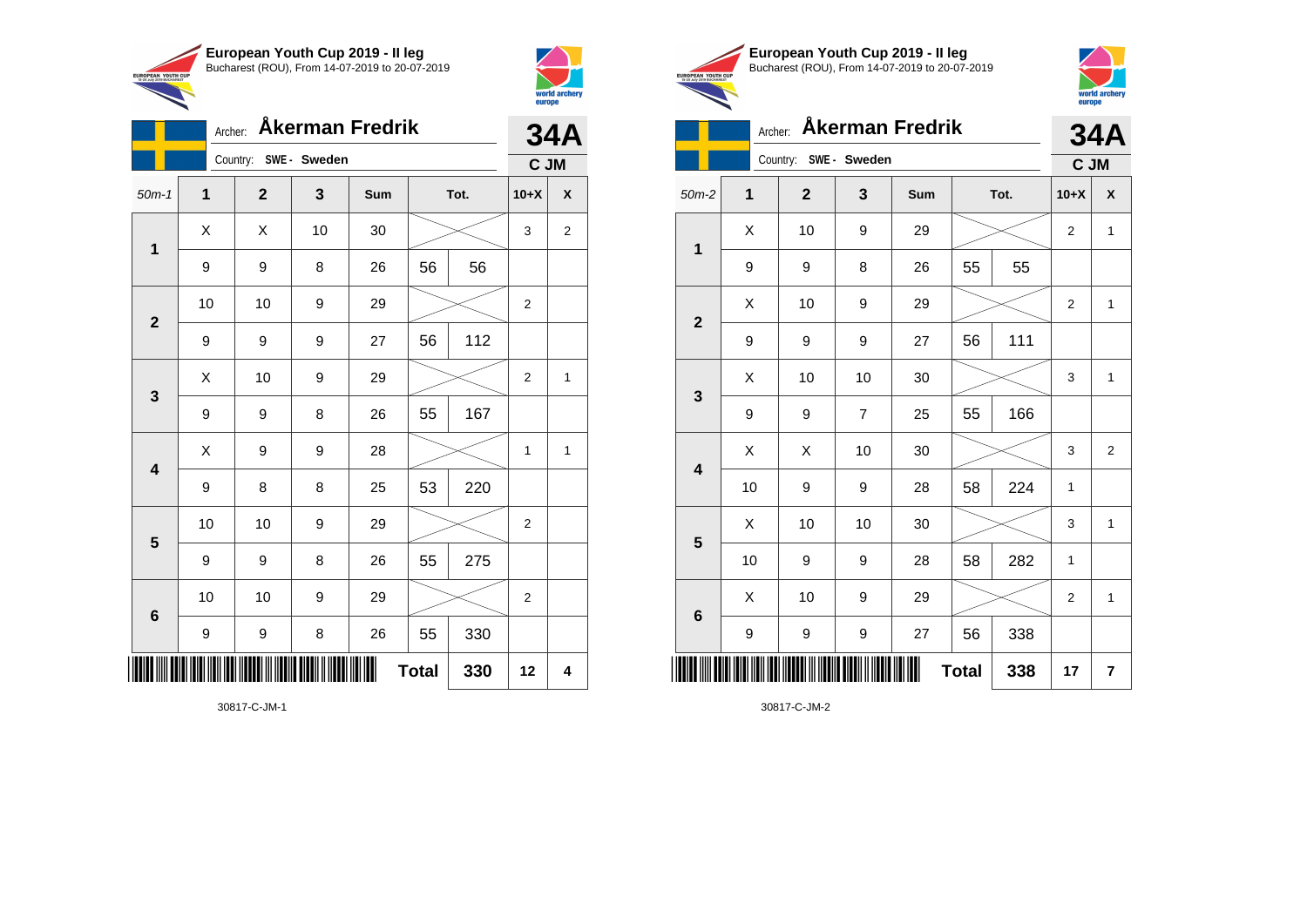



|                         | Archer:          |                       | <b>34A</b> |     |              |      |                |                |
|-------------------------|------------------|-----------------------|------------|-----|--------------|------|----------------|----------------|
|                         |                  | Country: SWE - Sweden |            |     |              |      | C JM           |                |
| $50m-1$                 | 1                | $\mathbf{2}$          | 3          | Sum |              | Tot. | $10+X$         | X              |
| $\mathbf 1$             | X                | Χ                     | 10         | 30  |              |      | 3              | $\overline{2}$ |
|                         | 9                | 9                     | 8          | 26  | 56           | 56   |                |                |
| $\mathbf{2}$            | 10               | 10                    | 9          | 29  |              |      | $\overline{2}$ |                |
|                         | 9                | 9                     | 9          | 27  | 56           | 112  |                |                |
| 3                       | X                | 10                    | 9          | 29  |              |      | 2              | $\mathbf{1}$   |
|                         | 9                | 9                     | 8          | 26  | 55           | 167  |                |                |
| $\overline{\mathbf{4}}$ | X                | 9                     | 9          | 28  |              |      | 1              | 1              |
|                         | 9                | 8                     | 8          | 25  | 53           | 220  |                |                |
| $\overline{\mathbf{5}}$ | 10               | 10                    | 9          | 29  |              |      | $\overline{c}$ |                |
|                         | 9                | 9                     | 8          | 26  | 55           | 275  |                |                |
| $\bf 6$                 | 10               | 10                    | 9          | 29  |              |      | $\overline{2}$ |                |
|                         | $\boldsymbol{9}$ | 9                     | $\bf8$     | 26  | 55           | 330  |                |                |
| IIIII                   |                  |                       |            |     | <b>Total</b> | 330  | 12             | 4              |

|                | European Youth Cup 2019 - Il leg<br>Bucharest (ROU), From 14-07-2019 to 20-07-2019<br>EUROPEAN YOUTH CUP |              |                |            |              |      |                |                         |  |  |  |
|----------------|----------------------------------------------------------------------------------------------------------|--------------|----------------|------------|--------------|------|----------------|-------------------------|--|--|--|
|                | Åkerman Fredrik<br>Archer:                                                                               |              |                |            |              |      |                |                         |  |  |  |
|                | Country:<br>SWE- Sweden                                                                                  |              |                |            |              |      |                |                         |  |  |  |
| $50m-2$        | 1                                                                                                        | $\mathbf{2}$ | 3              | <b>Sum</b> |              | Tot. | $10+X$         | X                       |  |  |  |
| 1              | X                                                                                                        | 10           | 9              | 29         |              |      | $\overline{2}$ | $\mathbf{1}$            |  |  |  |
|                | 9                                                                                                        | 9            | 8              | 26         | 55           | 55   |                |                         |  |  |  |
| $\overline{2}$ | X                                                                                                        | 10           | 9              | 29         |              |      | $\overline{2}$ | $\mathbf{1}$            |  |  |  |
|                | 9                                                                                                        | 9            | 9              | 27         | 56           | 111  |                |                         |  |  |  |
| 3              | X                                                                                                        | 10           | 10             | 30         |              |      | 3              | $\mathbf{1}$            |  |  |  |
|                | 9                                                                                                        | 9            | $\overline{7}$ | 25         | 55           | 166  |                |                         |  |  |  |
| 4              | X                                                                                                        | Χ            | 10             | 30         |              |      | 3              | $\overline{2}$          |  |  |  |
|                | 10                                                                                                       | 9            | 9              | 28         | 58           | 224  | $\mathbf{1}$   |                         |  |  |  |
| 5              | X                                                                                                        | 10           | 10             | 30         |              |      | 3              | $\mathbf{1}$            |  |  |  |
|                | 10                                                                                                       | 9            | 9              | 28         | 58           | 282  | $\mathbf{1}$   |                         |  |  |  |
| 6              | X                                                                                                        | 10           | 9              | 29         |              |      | $\overline{2}$ | $\mathbf{1}$            |  |  |  |
|                | 9                                                                                                        | 9            | 9              | 27         | 56           | 338  |                |                         |  |  |  |
|                |                                                                                                          |              |                |            | <b>Total</b> | 338  | 17             | $\overline{\mathbf{r}}$ |  |  |  |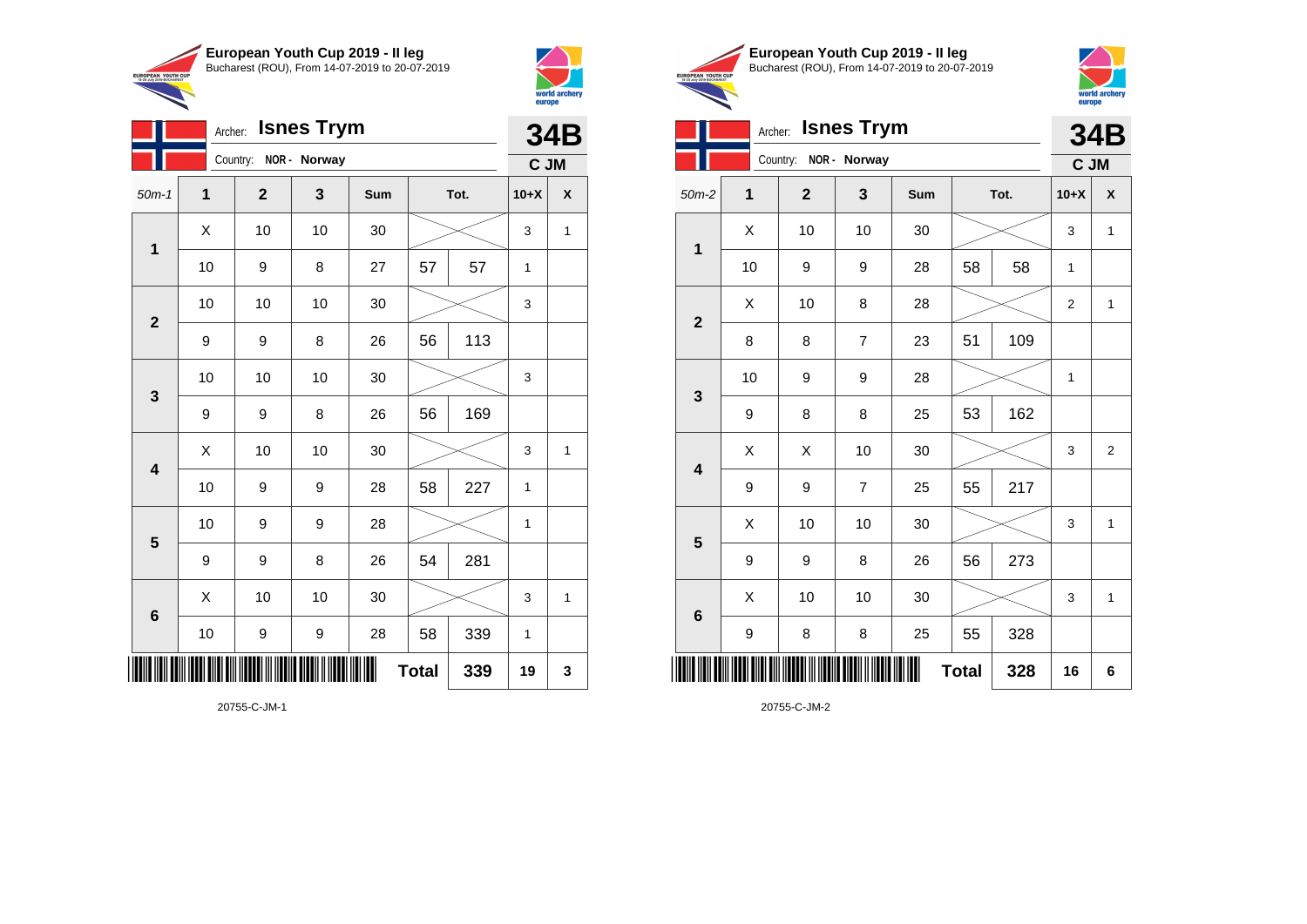



|                         |    |                       |                    |     |    |      |              | europe     |
|-------------------------|----|-----------------------|--------------------|-----|----|------|--------------|------------|
|                         |    |                       | Archer: Isnes Trym |     |    |      |              | <b>34B</b> |
|                         |    | Country: NOR - Norway |                    |     |    |      | C JM         |            |
| $50m-1$                 | 1  | $\mathbf{2}$          | 3                  | Sum |    | Tot. | $10+X$       | X          |
| $\mathbf{1}$            | X  | 10                    | 10                 | 30  |    |      | 3            | 1          |
|                         | 10 | 9                     | 8                  | 27  | 57 | 57   | 1            |            |
|                         | 10 | 10                    | 10                 | 30  |    |      | 3            |            |
| $\mathbf{2}$            | 9  | 9                     | 8                  | 26  | 56 | 113  |              |            |
|                         | 10 | 10                    | 10                 | 30  |    |      | 3            |            |
| $\mathbf{3}$            | 9  | 9                     | 8                  | 26  | 56 | 169  |              |            |
| $\overline{\mathbf{4}}$ | Χ  | 10                    | 10                 | 30  |    |      | 3            | 1          |
|                         | 10 | 9                     | 9                  | 28  | 58 | 227  | 1            |            |
| $5\phantom{1}$          | 10 | 9                     | 9                  | 28  |    |      | $\mathbf{1}$ |            |
|                         | 9  | 9                     | 8                  | 26  | 54 | 281  |              |            |
|                         | X  | 10                    | 10                 | 30  |    |      | 3            | 1          |
| $\bf 6$                 | 10 | 9                     | 9                  | 28  | 58 | 339  | 1            |            |

**Total 339 19 3**

20755-C-JM-1

\*20755-C-JM-1\*





|                         | <b>Isnes Trym</b><br>Archer: |                       |                |     |              |      |                |                |  |  |
|-------------------------|------------------------------|-----------------------|----------------|-----|--------------|------|----------------|----------------|--|--|
|                         |                              | Country: NOR - Norway |                |     |              |      | C JM           |                |  |  |
| $50m-2$                 | $\mathbf 1$                  | $\mathbf{2}$          | 3              | Sum |              | Tot. | $10+X$         | X              |  |  |
| 1                       | X                            | 10                    | 10             | 30  |              |      | 3              | $\mathbf{1}$   |  |  |
|                         | 10                           | 9                     | 9              | 28  | 58           | 58   | 1              |                |  |  |
| $\mathbf{2}$            | X                            | 10                    | 8              | 28  |              |      | $\overline{2}$ | $\mathbf{1}$   |  |  |
|                         | 8                            | 8                     | $\overline{7}$ | 23  | 51           | 109  |                |                |  |  |
| $\mathbf{3}$            | 10                           | 9                     | 9              | 28  |              |      | 1              |                |  |  |
|                         | 9                            | 8                     | 8              | 25  | 53           | 162  |                |                |  |  |
| $\overline{\mathbf{4}}$ | Χ                            | X                     | 10             | 30  |              |      | 3              | $\overline{2}$ |  |  |
|                         | 9                            | 9                     | $\overline{7}$ | 25  | 55           | 217  |                |                |  |  |
| $5\phantom{1}$          | X                            | 10                    | 10             | 30  |              |      | 3              | $\mathbf{1}$   |  |  |
|                         | 9                            | 9                     | 8              | 26  | 56           | 273  |                |                |  |  |
| $6\phantom{1}$          | X                            | 10                    | 10             | 30  |              |      | 3              | $\mathbf{1}$   |  |  |
|                         | 9                            | 8                     | 8              | 25  | 55           | 328  |                |                |  |  |
| ║║║                     |                              |                       |                |     | <b>Total</b> | 328  | 16             | 6              |  |  |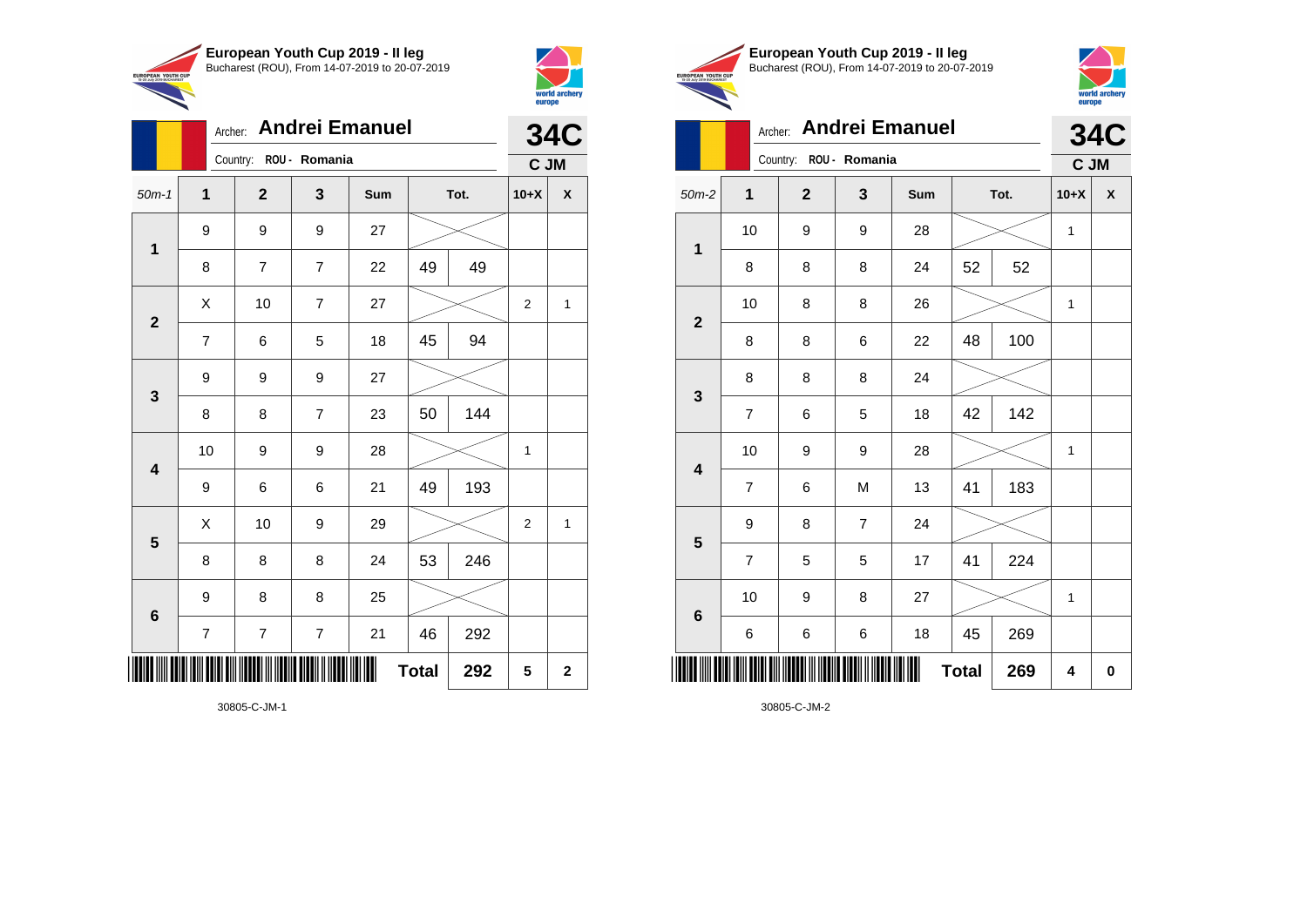



|                 | Archer:                  |                        |                | <b>34C</b> |              |      |                |              |
|-----------------|--------------------------|------------------------|----------------|------------|--------------|------|----------------|--------------|
|                 |                          | Country: ROU - Romania |                |            |              |      | C JM           |              |
| $50m-1$         | $\mathbf{1}$             | $\mathbf{2}$           | $\mathbf{3}$   | Sum        |              | Tot. | $10+X$         | X            |
| $\mathbf 1$     | 9                        | 9                      | 9              | 27         |              |      |                |              |
|                 | 8                        | $\overline{7}$         | $\overline{7}$ | 22         | 49           | 49   |                |              |
| $\overline{2}$  | Χ                        | 10                     | $\overline{7}$ | 27         |              |      | $\overline{2}$ | 1            |
|                 | 7                        | 6                      | 5              | 18         | 45           | 94   |                |              |
| 3               | 9                        | 9                      | 9              | 27         |              |      |                |              |
|                 | 8                        | 8                      | 7              | 23         | 50           | 144  |                |              |
| 4               | 10                       | 9                      | 9              | 28         |              |      | $\mathbf{1}$   |              |
|                 | 9                        | 6                      | 6              | 21         | 49           | 193  |                |              |
| 5               | X                        | 10                     | 9              | 29         |              |      | $\overline{2}$ | $\mathbf{1}$ |
|                 | 8                        | 8                      | 8              | 24         | 53           | 246  |                |              |
| $6\phantom{1}6$ | 9                        | 8                      | 8              | 25         |              |      |                |              |
|                 | $\overline{\mathcal{I}}$ | $\overline{7}$         | 7              | 21         | 46           | 292  |                |              |
| ║║║             |                          |                        |                |            | <b>Total</b> | 292  | 5              | $\mathbf 2$  |





|                         | Archer:        |                |                        | <b>34C</b> |              |      |        |                    |
|-------------------------|----------------|----------------|------------------------|------------|--------------|------|--------|--------------------|
|                         |                |                | Country: ROU - Romania |            |              |      | C JM   |                    |
| $50m-2$                 | 1              | $\overline{2}$ | 3                      | Sum        |              | Tot. | $10+X$ | $\pmb{\mathsf{X}}$ |
| $\mathbf{1}$            | 10             | 9              | 9                      | 28         |              |      | 1      |                    |
|                         | 8              | 8              | 8                      | 24         | 52           | 52   |        |                    |
| $\mathbf 2$             | 10             | 8              | 8                      | 26         |              |      | 1      |                    |
|                         | 8              | 8              | 6                      | 22         | 48           | 100  |        |                    |
| 3                       | 8              | 8              | 8                      | 24         |              |      |        |                    |
|                         | $\overline{7}$ | 6              | 5                      | 18         | 42           | 142  |        |                    |
| $\overline{\mathbf{4}}$ | 10             | 9              | 9                      | 28         |              |      | 1      |                    |
|                         | $\overline{7}$ | 6              | M                      | 13         | 41           | 183  |        |                    |
| 5                       | 9              | 8              | $\overline{7}$         | 24         |              |      |        |                    |
|                         | $\overline{7}$ | 5              | 5                      | 17         | 41           | 224  |        |                    |
| $\boldsymbol{6}$        | 10             | 9              | 8                      | 27         |              |      | 1      |                    |
|                         | 6              | 6              | 6                      | 18         | 45           | 269  |        |                    |
|                         |                |                |                        | Ш          | <b>Total</b> | 269  | 4      | $\mathbf 0$        |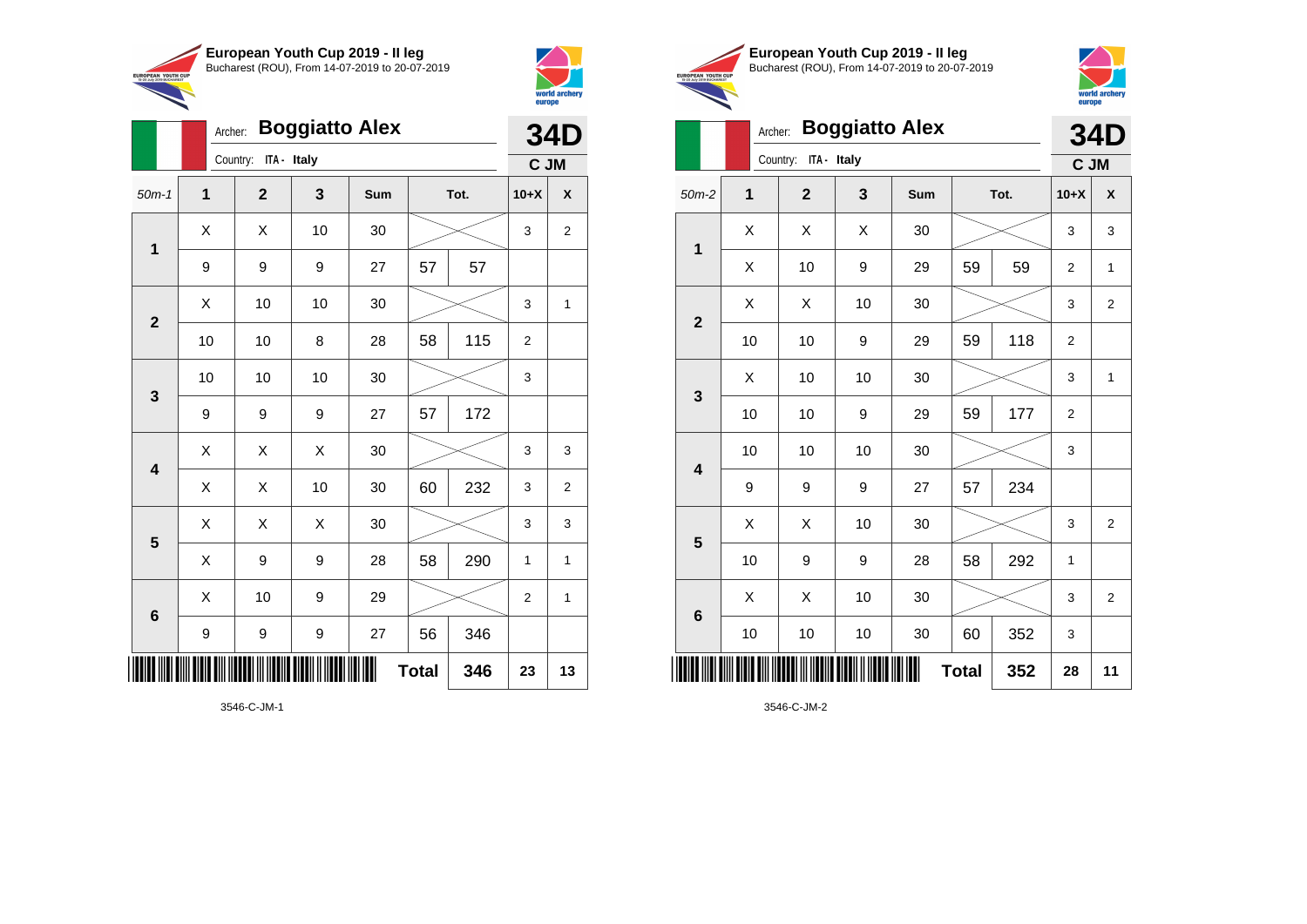

Archer: **Boggiatto Alex**

3546-C-JM-1

\*3546-C-JM-1\*



|                                                        | European Youth Cup 2019 - Il leg               |
|--------------------------------------------------------|------------------------------------------------|
| <b>EUROPEAN YOUTH CUP</b><br>15-20 July 2019 BUCHAREST | Bucharest (ROU), From 14-07-2019 to 20-07-2019 |



**34D C JM**

**Total 352 28 11**

## Archer: **Boggiatto Alex**

|                         |                     | Archer:              | <b>Boggiatto Alex</b> |     |              |      |                | <b>34D</b>     |                 |              | Archer:              | <b>Boggiatto Alex</b> |     |              |      | <b>34L</b>   |                           |
|-------------------------|---------------------|----------------------|-----------------------|-----|--------------|------|----------------|----------------|-----------------|--------------|----------------------|-----------------------|-----|--------------|------|--------------|---------------------------|
|                         |                     | Country: ITA - Italy |                       |     |              |      |                | C JM           |                 |              | Country: ITA - Italy |                       |     |              |      |              | C JM                      |
| $50m-1$                 | $\mathbf{1}$        | $\mathbf{2}$         | $\mathbf{3}$          | Sum |              | Tot. | $10+X$         | $\pmb{\chi}$   | $50m-2$         | $\mathbf 1$  | $\mathbf{2}$         | $\mathbf{3}$          | Sum |              | Tot. | $10+X$       | $\boldsymbol{\mathsf{x}}$ |
|                         | $\times$            | X                    | 10                    | 30  |              |      | 3              | $\overline{c}$ | $\mathbf{1}$    | X            | X                    | X                     | 30  |              |      | 3            | 3                         |
| 1                       | 9                   | 9                    | 9                     | 27  | 57           | 57   |                |                |                 | X            | 10                   | $\boldsymbol{9}$      | 29  | 59           | 59   | 2            | $\mathbf 1$               |
| $\overline{2}$          | $\mathsf{X}$        | 10                   | 10                    | 30  |              |      | 3              | $\mathbf{1}$   | $\overline{2}$  | $\mathsf{X}$ | $\mathsf{X}$         | 10                    | 30  |              |      | 3            | $\overline{2}$            |
|                         | 10                  | 10                   | 8                     | 28  | 58           | 115  | $\overline{2}$ |                |                 | 10           | 10                   | $\boldsymbol{9}$      | 29  | 59           | 118  | $\sqrt{2}$   |                           |
| $\mathbf{3}$            | 10                  | 10                   | $10$                  | 30  |              |      | 3              |                | $\mathbf{3}$    | X            | 10                   | 10                    | 30  |              |      | 3            |                           |
|                         | 9                   | 9                    | $9\,$                 | 27  | 57           | 172  |                |                |                 | 10           | 10                   | $\boldsymbol{9}$      | 29  | 59           | 177  | $\sqrt{2}$   |                           |
| $\overline{\mathbf{4}}$ | $\mathsf{X}$        | $\mathsf{X}$         | X                     | 30  |              |      | 3              | 3              | 4               | 10           | 10                   | 10                    | 30  |              |      | 3            |                           |
|                         | X                   | X                    | 10                    | 30  | 60           | 232  | 3              | $\overline{2}$ |                 | 9            | 9                    | 9                     | 27  | 57           | 234  |              |                           |
| $5\phantom{.0}$         | X                   | $\mathsf X$          | $\mathsf X$           | 30  |              |      | 3              | 3              | $5\phantom{1}$  | X            | $\mathsf X$          | 10                    | 30  |              |      | 3            | $\overline{2}$            |
|                         | $\mathsf{X}$        | $\boldsymbol{9}$     | $9\,$                 | 28  | 58           | 290  | $\mathbf{1}$   | $\mathbf{1}$   |                 | 10           | 9                    | $\boldsymbol{9}$      | 28  | 58           | 292  | $\mathbf{1}$ |                           |
| $6\phantom{1}6$         | $\mathsf{X}$        | 10                   | 9                     | 29  |              |      | $\overline{2}$ | $\mathbf{1}$   | $6\phantom{1}6$ | $\mathsf{X}$ | $\mathsf{X}$         | 10                    | 30  |              |      | 3            | $\overline{2}$            |
|                         | 9                   | 9                    | 9                     | 27  | 56           | 346  |                |                |                 | 10           | 10                   | 10                    | 30  | 60           | 352  | 3            |                           |
|                         | IIII IIII IIIII III |                      |                       |     | <b>Total</b> | 346  | 23             | 13             |                 |              |                      |                       |     | <b>Total</b> | 352  | 28           | 1 <sup>1</sup>            |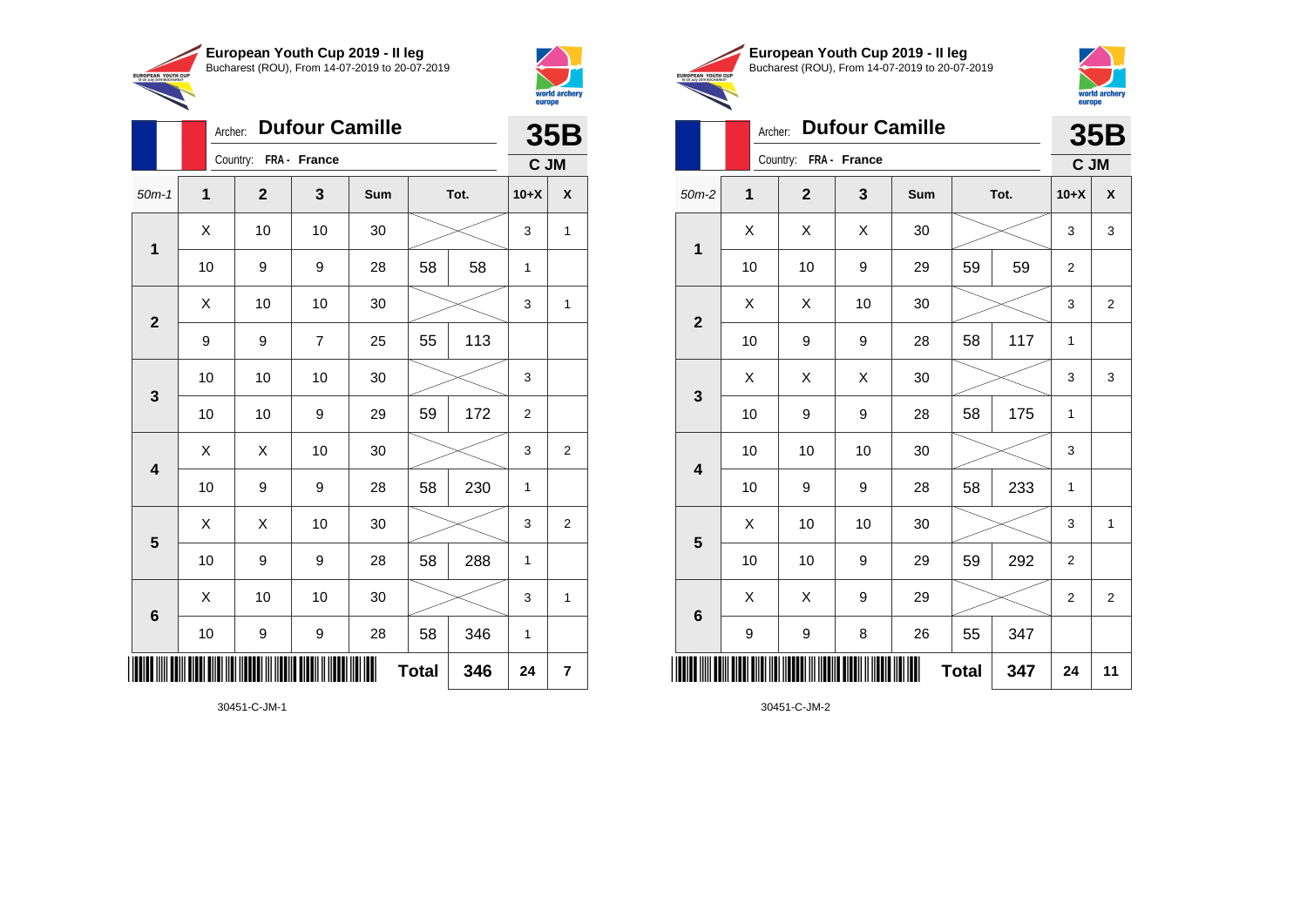



|                         |              |              |                       |     |              |      | emope          |                         |
|-------------------------|--------------|--------------|-----------------------|-----|--------------|------|----------------|-------------------------|
|                         | Archer:      |              | <b>Dufour Camille</b> |     |              |      |                | <b>35B</b>              |
|                         |              | Country:     | FRA - France          |     |              |      | C JM           |                         |
| $50m-1$                 | $\mathbf{1}$ | $\mathbf{2}$ | 3                     | Sum |              | Tot. | $10+X$         | $\pmb{\mathsf{X}}$      |
| $\mathbf{1}$            | X            | 10           | 10                    | 30  |              |      | 3              | $\mathbf{1}$            |
|                         | 10           | 9            | 9                     | 28  | 58           | 58   | 1              |                         |
|                         | X            | 10           | 10                    | 30  |              |      | 3              | 1                       |
| $\mathbf{2}$            | 9            | 9            | $\overline{7}$        | 25  | 55           | 113  |                |                         |
| 3                       | 10           | 10           | 10                    | 30  |              |      | 3              |                         |
|                         | 10           | 10           | 9                     | 29  | 59           | 172  | $\overline{c}$ |                         |
| $\overline{\mathbf{4}}$ | X            | X            | 10                    | 30  |              |      | 3              | $\overline{2}$          |
|                         | 10           | 9            | 9                     | 28  | 58           | 230  | 1              |                         |
| 5                       | X            | X            | 10                    | 30  |              |      | 3              | $\overline{2}$          |
|                         | 10           | 9            | 9                     | 28  | 58           | 288  | 1              |                         |
| 6                       | X            | 10           | 10                    | 30  |              |      | 3              | 1                       |
|                         | 10           | 9            | 9                     | 28  | 58           | 346  | 1              |                         |
|                         |              |              |                       |     | <b>Total</b> | 346  | 24             | $\overline{\mathbf{r}}$ |

30451-C-JM-1





|                         | Archer:     |                       | 35B |     |              |      |                |                |
|-------------------------|-------------|-----------------------|-----|-----|--------------|------|----------------|----------------|
|                         |             | Country: FRA - France |     |     |              |      | C JM           |                |
| $50m-2$                 | $\mathbf 1$ | $\mathbf{2}$          | 3   | Sum |              | Tot. | $10+X$         | X              |
| $\mathbf{1}$            | X           | X                     | X   | 30  |              |      | 3              | 3              |
|                         | 10          | 10                    | 9   | 29  | 59           | 59   | 2              |                |
| $\mathbf{2}$            | X           | X                     | 10  | 30  |              |      | 3              | $\overline{2}$ |
|                         | 10          | 9                     | 9   | 28  | 58           | 117  | 1              |                |
| 3                       | X           | Χ                     | Χ   | 30  |              |      | 3              | 3              |
|                         | 10          | 9                     | 9   | 28  | 58           | 175  | 1              |                |
| $\overline{\mathbf{4}}$ | 10          | 10                    | 10  | 30  |              |      | 3              |                |
|                         | 10          | 9                     | 9   | 28  | 58           | 233  | 1              |                |
| $5\phantom{1}$          | X           | 10                    | 10  | 30  |              |      | 3              | 1              |
|                         | 10          | 10                    | 9   | 29  | 59           | 292  | $\overline{2}$ |                |
| 6                       | Χ           | X                     | 9   | 29  |              |      | $\overline{2}$ | $\overline{2}$ |
|                         | 9           | 9                     | 8   | 26  | 55           | 347  |                |                |
|                         |             |                       |     |     | <b>Total</b> | 347  | 24             | 11             |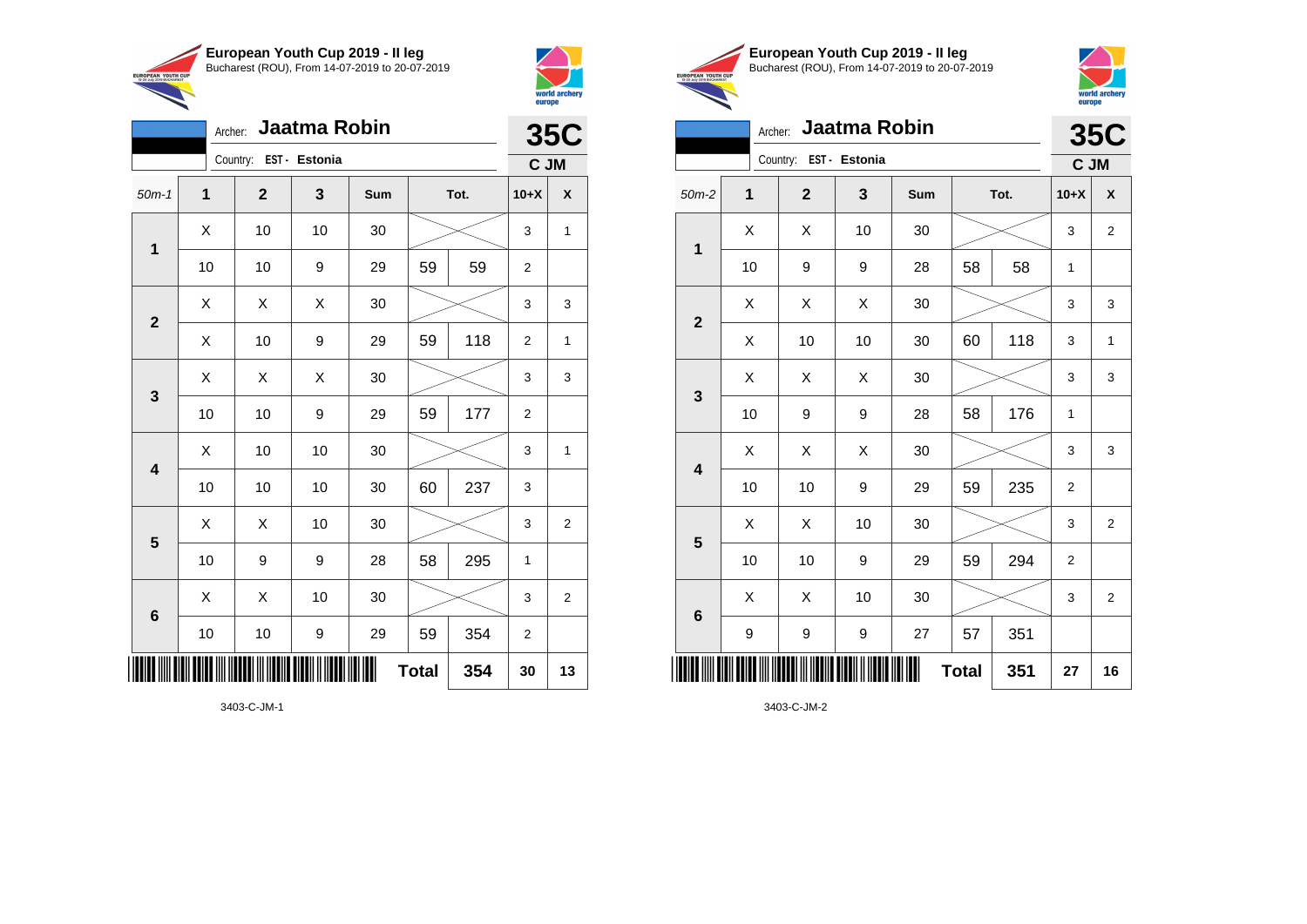

Archer: **Jaatma Robin**

50m-1 **1 2 3 Sum Tot. 10+X X**

10 | 10 | 9 | 29 | 59 | 59 | 2

 $\begin{array}{|c|c|c|c|c|c|}\hline \hspace{.1cm}X & \hspace{.1cm} \text{ 10} & \hspace{.1cm} \text{ 10} & \hspace{.1cm} \text{ 30} & \hspace{.1cm} \end{array} \hspace{.2cm} \begin{array}{|c|c|c|c|c|c|}\hline \hspace{.1cm}X & \hspace{.1cm} \text{ 3} & \hspace{.1cm} \text{ 1} & \hspace{.1cm} \text{ 4} & \hspace{.1cm} \end{array}$ 

 $X \quad | \quad X \quad | \quad X \quad | \quad 30 \quad | \quad \textcolor{red}{\textbf{3}} \textcolor{red}{\textbf{2}} \sim \quad | \quad 3 \quad | \quad 3$ 

X | 10 | 9 | 29 | 59 | 118 | 2 | 1

 $X$   $\mid$   $X$   $\mid$   $X$   $\mid$  30  $\mid$   $\gg$   $\sim$   $\mid$  3  $\mid$  3

 $\begin{array}{|c|c|c|c|c|c|}\hline \hspace{.1cm}X & \hspace{.1cm} \text{ 10} & \hspace{.1cm} \text{ 10} & \hspace{.1cm} \text{ 30} & \hspace{.1cm} \end{array} \hspace{.2cm} \begin{array}{|c|c|c|c|c|c|}\hline \hspace{.1cm}X & \hspace{.1cm} \text{ 3} & \hspace{.1cm} \text{ 1} & \hspace{.1cm} \text{ 4} & \hspace{.1cm} \end{array}$ 

 $\begin{array}{|c|c|c|c|c|}\hline \hspace{0.8cm}X & X & 10 & 30 & \nearrow & \ \hline \end{array} \hspace{0.2cm} \begin{array}{|c|c|c|c|c|}\hline \hspace{0.8cm}3 & 3 & 2 \end{array}$ 

 $\begin{array}{|c|c|c|c|c|}\hline \hspace{0.8cm}X & X & 10 & 30 & \nearrow \ \hline \end{array} \hspace{0.2cm} \begin{array}{|c|c|c|c|c|}\hline \hspace{0.8cm}3 & 3 & 2 \end{array}$ 

**Total 354 30 13**

10 | 10 | 9 | 29 | 59 | 177 | 2

10 | 10 | 10 | 30 | 60 | 237 | 3

10 | 9 | 9 | 28 | 58 | 295 | 1

10 | 10 | 9 | 29 | 59 | 354 | 2

Country: **EST - Estonia**

**1**

**2**

**3**

**4**

**5**

**6**



EUROPEAN YOUTH

**35C C JM**

|            | European Youth Cup 2019 - Il leg               |
|------------|------------------------------------------------|
| <b>CUP</b> | Bucharest (ROU), From 14-07-2019 to 20-07-2019 |



|                         | Jaatma Robin<br>Archer: |                |    |     |              |      |                |                         |  |  |
|-------------------------|-------------------------|----------------|----|-----|--------------|------|----------------|-------------------------|--|--|
|                         | Country: EST - Estonia  |                |    |     |              |      |                |                         |  |  |
| $50m-2$                 | 1                       | $\overline{2}$ | 3  | Sum |              | Tot. | $10+X$         | X                       |  |  |
| $\mathbf{1}$            | X                       | Χ              | 10 | 30  |              |      | 3              | $\overline{2}$          |  |  |
|                         | 10                      | 9              | 9  | 28  | 58           | 58   | $\mathbf{1}$   |                         |  |  |
| $\overline{2}$          | X                       | X              | X  | 30  |              |      | 3              | 3                       |  |  |
|                         | X                       | 10             | 10 | 30  | 60           | 118  | 3              | $\mathbf{1}$            |  |  |
| 3                       | Χ                       | X              | X  | 30  |              |      | 3              | 3                       |  |  |
|                         | 10                      | 9              | 9  | 28  | 58           | 176  | $\mathbf{1}$   |                         |  |  |
| $\overline{\mathbf{4}}$ | X                       | Χ              | X  | 30  |              |      | 3              | 3                       |  |  |
|                         | 10                      | 10             | 9  | 29  | 59           | 235  | $\overline{2}$ |                         |  |  |
| $\overline{\mathbf{5}}$ | Χ                       | X              | 10 | 30  |              |      | 3              | $\overline{\mathbf{c}}$ |  |  |
|                         | 10                      | 10             | 9  | 29  | 59           | 294  | $\overline{2}$ |                         |  |  |
| $6\phantom{1}$          | Χ                       | X              | 10 | 30  |              |      | 3              | 2                       |  |  |
|                         | 9                       | 9              | 9  | 27  | 57           | 351  |                |                         |  |  |
|                         |                         |                |    |     | <b>Total</b> | 351  | 27             | 16                      |  |  |

3403-C-JM-2

3403-C-JM-1

\*3403-C-JM-1\*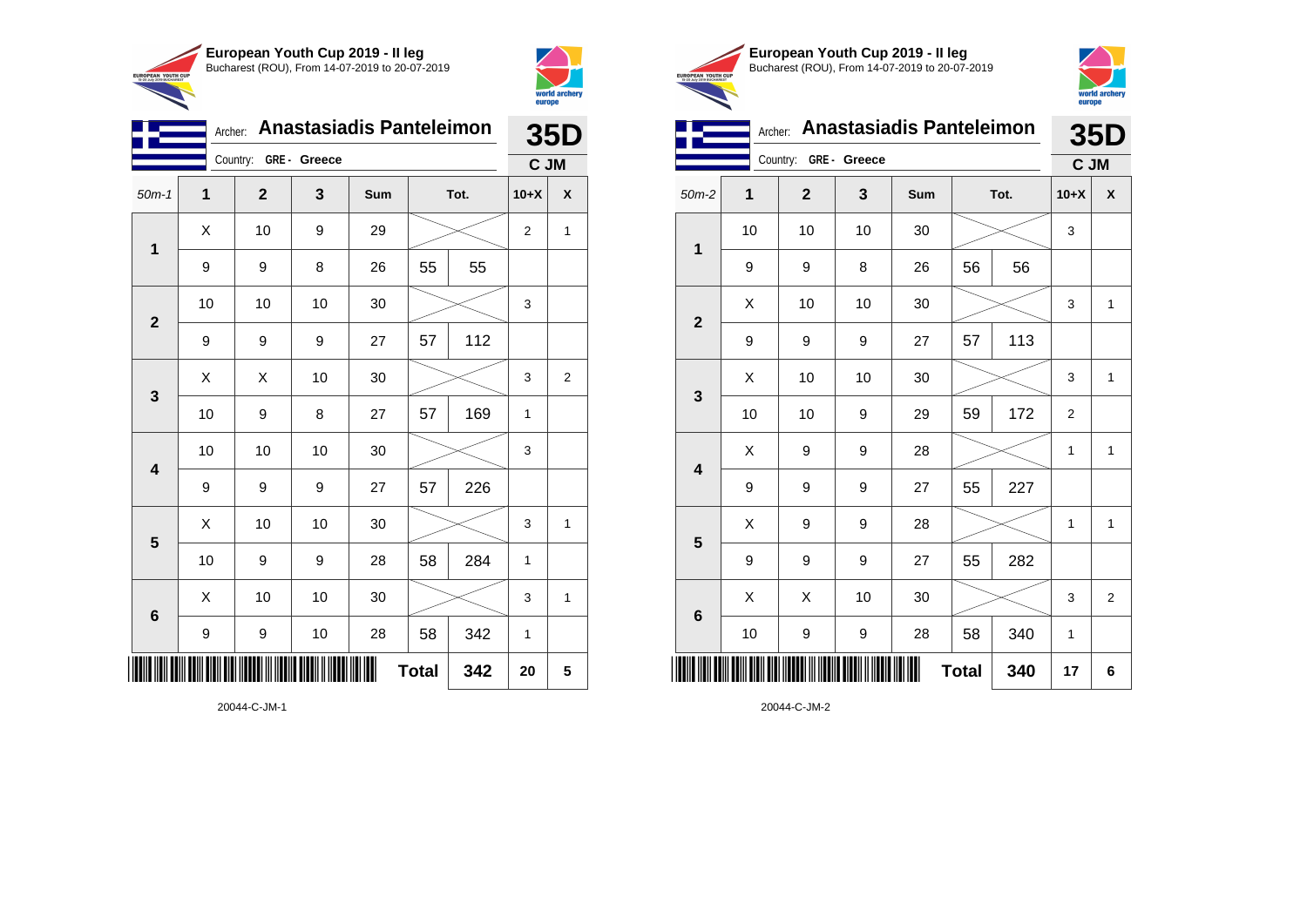



| <b>Anastasiadis Panteleimon</b><br>Archer:<br>Country: GRE - Greece<br>$\mathbf 1$<br>$\mathbf{3}$<br>$\mathbf 2$<br>$50m-1$<br>Sum<br>Tot.<br>X<br>10<br>9<br>29<br>2<br>$\mathbf 1$<br>55<br>55<br>$\boldsymbol{9}$<br>9<br>8<br>26<br>10<br>10<br>30<br>10<br>3<br>$\overline{\mathbf{2}}$<br>112<br>57<br>9<br>9<br>9<br>27<br>Χ<br>X<br>10<br>30<br>3<br>$\mathbf{3}$<br>169<br>57<br>10<br>9<br>8<br>27<br>1<br>10<br>10<br>10<br>30<br>3<br>$\overline{\mathbf{4}}$<br>226<br>9<br>27<br>57<br>9<br>9<br>Χ<br>10<br>10<br>30<br>3<br>$5\phantom{1}$<br>284<br>10<br>9<br>58<br>9<br>28<br>$\mathbf{1}$ |                  |    |    |    |              |     |        | 35D                     |  |
|---------------------------------------------------------------------------------------------------------------------------------------------------------------------------------------------------------------------------------------------------------------------------------------------------------------------------------------------------------------------------------------------------------------------------------------------------------------------------------------------------------------------------------------------------------------------------------------------------------------|------------------|----|----|----|--------------|-----|--------|-------------------------|--|
|                                                                                                                                                                                                                                                                                                                                                                                                                                                                                                                                                                                                               |                  |    |    |    |              |     | C JM   |                         |  |
|                                                                                                                                                                                                                                                                                                                                                                                                                                                                                                                                                                                                               |                  |    |    |    |              |     | $10+X$ | X                       |  |
|                                                                                                                                                                                                                                                                                                                                                                                                                                                                                                                                                                                                               |                  |    |    |    |              |     |        | $\mathbf{1}$            |  |
|                                                                                                                                                                                                                                                                                                                                                                                                                                                                                                                                                                                                               |                  |    |    |    |              |     |        |                         |  |
|                                                                                                                                                                                                                                                                                                                                                                                                                                                                                                                                                                                                               |                  |    |    |    |              |     |        |                         |  |
|                                                                                                                                                                                                                                                                                                                                                                                                                                                                                                                                                                                                               |                  |    |    |    |              |     |        |                         |  |
|                                                                                                                                                                                                                                                                                                                                                                                                                                                                                                                                                                                                               |                  |    |    |    |              |     |        | $\overline{\mathbf{c}}$ |  |
|                                                                                                                                                                                                                                                                                                                                                                                                                                                                                                                                                                                                               |                  |    |    |    |              |     |        |                         |  |
|                                                                                                                                                                                                                                                                                                                                                                                                                                                                                                                                                                                                               |                  |    |    |    |              |     |        |                         |  |
|                                                                                                                                                                                                                                                                                                                                                                                                                                                                                                                                                                                                               |                  |    |    |    |              |     |        |                         |  |
|                                                                                                                                                                                                                                                                                                                                                                                                                                                                                                                                                                                                               |                  |    |    |    |              |     |        | 1                       |  |
|                                                                                                                                                                                                                                                                                                                                                                                                                                                                                                                                                                                                               |                  |    |    |    |              |     |        |                         |  |
| 6                                                                                                                                                                                                                                                                                                                                                                                                                                                                                                                                                                                                             | X                | 10 | 10 | 30 |              |     | 3      | 1                       |  |
|                                                                                                                                                                                                                                                                                                                                                                                                                                                                                                                                                                                                               | $\boldsymbol{9}$ | 9  | 10 | 28 | 58           | 342 | 1      |                         |  |
|                                                                                                                                                                                                                                                                                                                                                                                                                                                                                                                                                                                                               |                  |    |    |    | <b>Total</b> | 342 | 20     | 5                       |  |





|              | Archer:                                                                                        |                       |    | <b>Anastasiadis Panteleimon</b> |    |     |                                                                                       | <b>35D</b>     |
|--------------|------------------------------------------------------------------------------------------------|-----------------------|----|---------------------------------|----|-----|---------------------------------------------------------------------------------------|----------------|
|              |                                                                                                | Country: GRE - Greece |    |                                 |    |     |                                                                                       |                |
| $50m-2$      | 1                                                                                              | $\overline{2}$        | 3  | Sum                             |    |     | $10+X$                                                                                | χ              |
|              | 10                                                                                             | 10                    | 10 | 30                              |    |     | 3                                                                                     |                |
|              | 9                                                                                              | 9                     | 8  | 26                              | 56 | 56  |                                                                                       |                |
|              | X                                                                                              | 10                    | 10 | 30                              |    |     | 3                                                                                     | $\mathbf{1}$   |
|              | 9                                                                                              | 9                     | 9  | 27                              | 57 | 113 |                                                                                       |                |
|              | Χ                                                                                              | 10                    | 10 | 30                              |    |     | C JM<br>3<br>172<br>$\mathbf 2$<br>1<br>227<br>1<br>282<br>3<br>340<br>1<br>340<br>17 | $\mathbf{1}$   |
| $\mathbf{3}$ | 10                                                                                             | 10                    | 9  | 29                              | 59 |     |                                                                                       |                |
|              | X                                                                                              | 9                     | 9  | 28                              |    |     |                                                                                       | 1              |
|              | 9                                                                                              | 9                     | 9  | 27                              | 55 |     |                                                                                       |                |
|              | X                                                                                              | 9                     | 9  | 28                              |    |     |                                                                                       | 1              |
|              | 9                                                                                              | 9                     | 9  | 27                              | 55 |     |                                                                                       |                |
|              | X                                                                                              | X                     | 10 | 30                              |    |     |                                                                                       | $\overline{2}$ |
|              | 10                                                                                             | 9                     | 9  | 28                              | 58 |     |                                                                                       |                |
| ║║║          | Tot.<br>$\mathbf 1$<br>$\mathbf{2}$<br>$\overline{\mathbf{4}}$<br>5<br>$\bf 6$<br><b>Total</b> |                       |    |                                 |    | 6   |                                                                                       |                |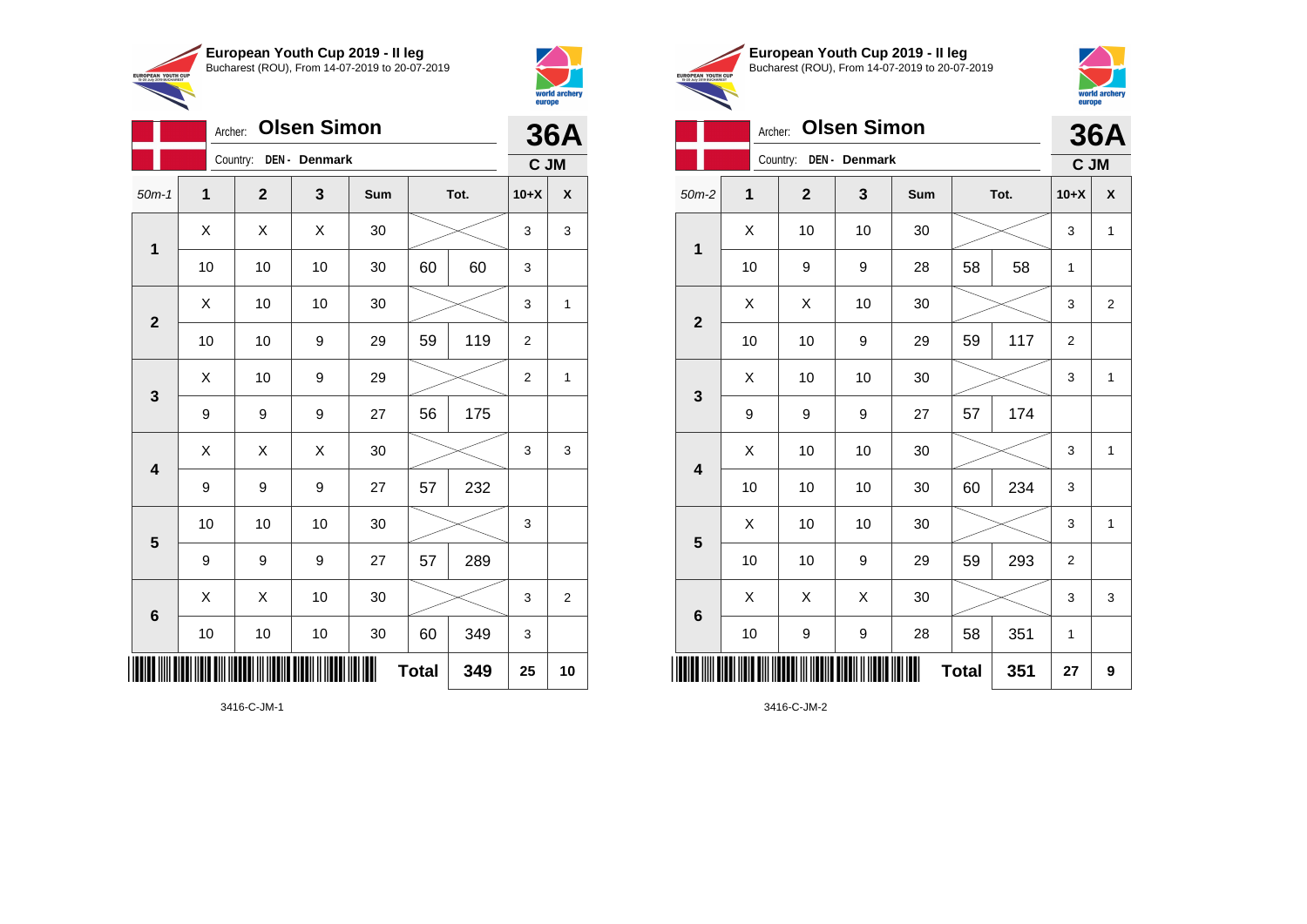

Archer: **Olsen Simon**

Country: **DEN - Denmark**



**36A C JM**

**Total 349 25 10**

**European Youth Cup 2019 - II leg** Bucharest (ROU), From 14-07-2019 to 20-07-2019 EUROPEAN YOUTH CUP



## Archer: **Olsen Simon 36A**

|                         |                                                                      | Country:<br>DEN - Denmark |    | C JM |    |      |                |                |
|-------------------------|----------------------------------------------------------------------|---------------------------|----|------|----|------|----------------|----------------|
| $50m-2$                 | $\mathbf{1}$                                                         | $\mathbf 2$               | 3  | Sum  |    | Tot. | $10+X$         | X              |
|                         | Χ                                                                    | 10                        | 10 | 30   |    |      | 3              | 1              |
| $\mathbf 1$             | 10                                                                   | 9                         | 9  | 28   | 58 | 58   | 1              |                |
| $\mathbf{2}$            | X                                                                    | X                         | 10 | 30   |    |      | 3              | $\overline{2}$ |
|                         | 10                                                                   | 10                        | 9  | 29   | 59 | 117  | $\overline{2}$ |                |
| $\mathbf{3}$            | X                                                                    | 10                        | 10 | 30   |    |      |                | 1              |
|                         | 9                                                                    | 9                         | 9  | 27   | 57 | 174  |                |                |
| $\overline{\mathbf{4}}$ | X                                                                    | 10                        | 10 | 30   |    |      |                | 1              |
|                         | 10                                                                   | 10                        | 10 | 30   | 60 | 234  | 3              |                |
| $\overline{\mathbf{5}}$ | Χ                                                                    | 10                        | 10 | 30   |    |      | 3              | 1              |
|                         | 10                                                                   | 10                        | 9  | 29   | 59 | 293  | 2              |                |
| $\bf 6$                 | X                                                                    | Χ                         | X  | 30   |    |      | 3              | 3              |
|                         | 10                                                                   | 9                         | 9  | 28   | 58 | 351  | 1              |                |
|                         | <b>Total</b><br>351<br>ADI IIDIN OIII IIDDOODI III IIDDIID OIDDII II |                           |    |      |    |      |                |                |

3416-C-JM-2

3416-C-JM-1

| ║║║                     |        |    |    | $\blacksquare$ | <b>Total</b> | 349 | 25          | $\ddot{\phantom{0}}$    |
|-------------------------|--------|----|----|----------------|--------------|-----|-------------|-------------------------|
|                         | $10\,$ | 10 | 10 | 30             | 60           | 349 | $\mathsf 3$ |                         |
| $\bf 6$                 | X      | Χ  | 10 | 30             |              |     | 3           | $\overline{\mathbf{c}}$ |
|                         | 9      | 9  | 9  | 27             | 57           | 289 |             |                         |
| $\overline{\mathbf{5}}$ | 10     | 10 | 10 | 30             |              |     | 3           |                         |
| 4                       | 9      | 9  | 9  | 27             | 57           | 232 |             |                         |
|                         | X      | Χ  | X  | $30\,$         |              |     | 3           | 3                       |
| $\mathbf{3}$            | 9      | 9  | 9  | 27             | 56           | 175 |             |                         |
|                         | Χ      | 10 | 9  | 29             |              |     | $\mathbf 2$ | $\mathbf{1}$            |
|                         | $10$   | 10 | 9  | 29             | 59           | 119 | $\mathbf 2$ |                         |
| $\mathbf{2}$            | Χ      | 10 | 10 | 30             |              |     | 3           | 1                       |
|                         | $10$   | 10 | 10 | 30             | 60           | 60  | 3           |                         |
| $\mathbf{1}$            | Χ      | Χ  | Χ  | 30             |              |     |             | 3                       |

50m-1 **1 2 3 Sum Tot. 10+X X**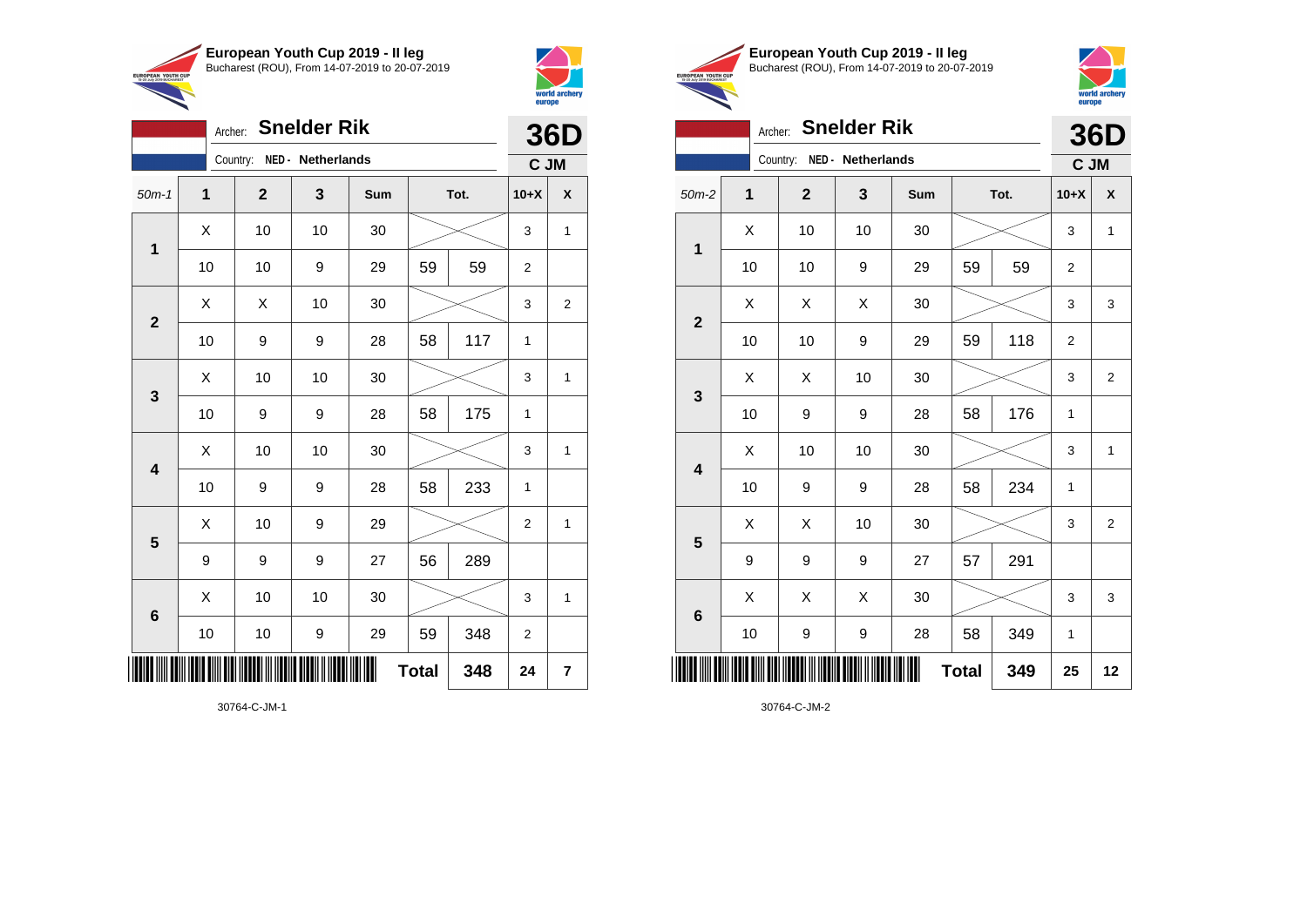

Archer: **Snelder Rik**

Country: **NED - Netherlands**

**1**

**2**

**3**

**4**

**5**

**6**

50m-1 **1 2 3 Sum Tot. 10+X X**

10 | 10 | 9 | 29 | 59 | 59 | 2

10 | 9 | 9 | 28 | 58 | 117 | 1

10 | 9 | 9 | 28 | 58 | 175 | 1

10 | 9 | 9 | 28 | 58 | 233 | 1

9 | 9 | 9 | 27 | 56 | 289

 $\begin{array}{|c|c|c|c|c|c|}\hline \hspace{.1cm}X & \hspace{.1cm} \text{ 10} & \hspace{.1cm} \text{ 10} & \hspace{.1cm} \text{ 30} & \hspace{.1cm} \end{array} \hspace{.2cm} \begin{array}{|c|c|c|c|c|c|}\hline \hspace{.1cm}X & \hspace{.1cm} \text{ 3} & \hspace{.1cm} \text{ 1} & \hspace{.1cm} \text{ 4} & \hspace{.1cm} \end{array}$ 

 $\begin{array}{|c|c|c|c|c|}\hline \hspace{0.8cm}X & X & 10 & 30 & \nearrow & \ \hline \end{array} \hspace{0.2cm} \begin{array}{|c|c|c|c|c|}\hline \hspace{0.8cm}3 & 3 & 2 \end{array}$ 

 $\begin{array}{|c|c|c|c|c|c|}\hline \hspace{.1cm}X & \hspace{.1cm} \text{ 10} & \hspace{.1cm} \text{ 10} & \hspace{.1cm} \text{ 30} & \hspace{.1cm} \end{array} \hspace{.2cm} \begin{array}{|c|c|c|c|c|c|}\hline \hspace{.1cm}X & \hspace{.1cm} \text{ 3} & \hspace{.1cm} \text{ 1} & \hspace{.1cm} \text{ 4} & \hspace{.1cm} \end{array}$ 

 $\begin{array}{|c|c|c|c|c|c|}\hline \hspace{.1cm}X & \hspace{.1cm} \text{ 10} & \hspace{.1cm} \text{ 10} & \hspace{.1cm} \text{ 30} & \hspace{.1cm} \end{array} \hspace{.2cm} \begin{array}{|c|c|c|c|c|c|}\hline \hspace{.1cm}X & \hspace{.1cm} \text{ 3} & \hspace{.1cm} \text{ 1} & \hspace{.1cm} \text{ 4} & \hspace{.1cm} \end{array}$ 

 $\begin{array}{|c|c|c|c|c|}\hline \hspace{.1cm}X & \hspace{.1cm} \text{10} & \hspace{.1cm} \text{9} & \hspace{.1cm} \text{29} & \hspace{.1cm} \hline \end{array} \hspace{.2cm} \begin{array}{|c|c|c|c|c|c|}\hline \hspace{.1cm}X & \hspace{.1cm} \text{2} & \hspace{.1cm} \text{2} & \hspace{.1cm} \text{1} & \hspace{.1cm} \hline \end{array}$ 

 $\begin{array}{|c|c|c|c|c|c|}\hline \hspace{.1cm}X & \hspace{.1cm} \text{ 10} & \hspace{.1cm} \text{ 10} & \hspace{.1cm} \text{ 30} & \hspace{.1cm} \end{array} \hspace{1.2cm} \begin{array}{|c|c|c|c|c|c|}\hline \hspace{.1cm}X & \hspace{.1cm} \text{ 3} & \hspace{.1cm} \text{ 1} & \hspace{.1cm} \text{ 4} & \hspace{.1cm} \end{array} \hspace{1.2cm}$ 

**Total 348 24 7**

10 | 10 | 9 | 29 | 59 | 348 | 2



**IPOPEAN YOUTH** 

**36D C JM**

|            | European Youth Cup 2019 - Il leg               |
|------------|------------------------------------------------|
| <b>CUP</b> | Bucharest (ROU), From 14-07-2019 to 20-07-2019 |



| <b>Snelder Rik</b><br>Archer: |    |                |                            |     |              |      |                |                |
|-------------------------------|----|----------------|----------------------------|-----|--------------|------|----------------|----------------|
|                               |    |                | Country: NED - Netherlands |     |              |      | C JM           | 36D            |
| $50m-2$                       | 1  | $\overline{2}$ | 3                          | Sum |              | Tot. | $10+X$         | X              |
| $\mathbf 1$                   | X  | 10             | 10                         | 30  |              |      | 3              | $\mathbf{1}$   |
|                               | 10 | 10             | 9                          | 29  | 59           | 59   | $\overline{2}$ |                |
| $\overline{2}$                | X  | X              | X                          | 30  |              |      | 3              | 3              |
|                               | 10 | 10             | 9                          | 29  | 59           | 118  | $\overline{2}$ |                |
|                               | X  | X              | 10                         | 30  |              |      | 3              | $\overline{2}$ |
| $\mathbf{3}$                  | 10 | 9              | 9                          | 28  | 58           | 176  | 1              |                |
| $\overline{\mathbf{4}}$       | X  | 10             | 10                         | 30  |              |      | 3              | $\mathbf{1}$   |
|                               | 10 | 9              | 9                          | 28  | 58           | 234  | 1              |                |
| 5                             | X  | X              | 10                         | 30  |              |      | 3              | $\overline{2}$ |
|                               | 9  | 9              | 9                          | 27  | 57           | 291  |                |                |
| $6\phantom{1}6$               | Χ  | Χ              | X                          | 30  |              |      | 3              | 3              |
|                               | 10 | 9              | 9                          | 28  | 58           | 349  | 1              |                |
|                               |    |                |                            |     | <b>Total</b> | 349  | 25             | 12             |

30764-C-JM-2

30764-C-JM-1

\*30764-C-JM-1\*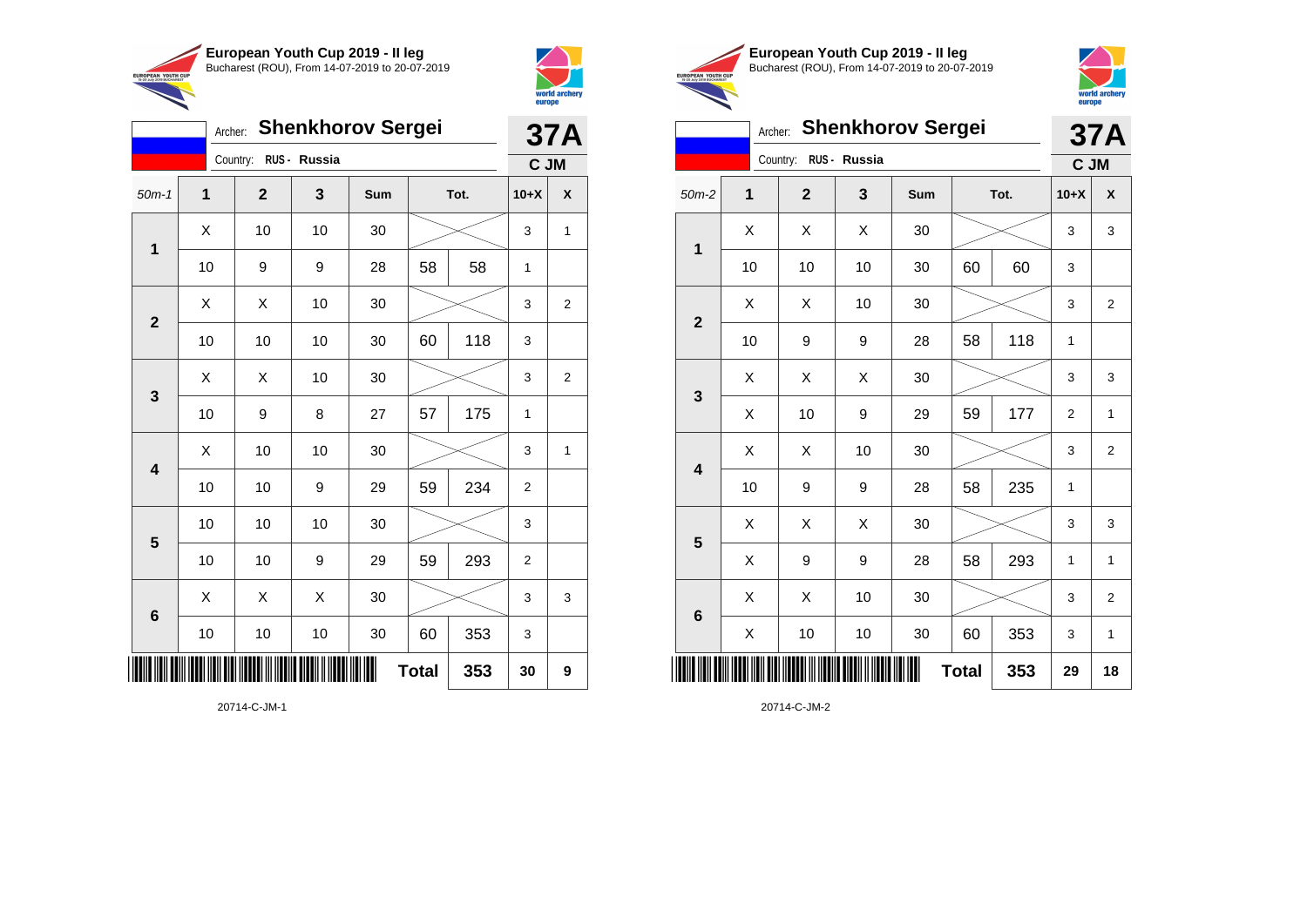



| <b>Shenkhorov Sergei</b><br>Archer:                |                |  |                |              |     |              |      |                | <b>37A</b>                                 |  |
|----------------------------------------------------|----------------|--|----------------|--------------|-----|--------------|------|----------------|--------------------------------------------|--|
|                                                    |                |  | Country:       | RUS - Russia |     |              |      |                |                                            |  |
| $50m-1$                                            | $\overline{1}$ |  | $\overline{2}$ | 3            | Sum |              | Tot. | $10+X$         | X                                          |  |
|                                                    | X              |  | 10             | 10           | 30  |              |      | 3              | 1                                          |  |
| 1<br>$\overline{2}$<br>$\mathbf{3}$<br>4<br>5<br>6 | 10             |  | 9              | 9            | 28  | 58           | 58   |                |                                            |  |
|                                                    | Χ              |  | X              | 10           | 30  |              |      | 3              | C JM<br>2<br>$\overline{2}$<br>1<br>3<br>9 |  |
|                                                    | 10             |  | 10             | 10           | 30  | 60           | 118  | 3              |                                            |  |
|                                                    | Χ              |  | Χ              | 10           | 30  |              |      | 3              |                                            |  |
|                                                    | 10             |  | 9              | 8            | 27  | 57           | 175  |                |                                            |  |
|                                                    | Χ              |  | 10             | 10           | 30  |              |      | 3              |                                            |  |
|                                                    | 10             |  | 10             | 9            | 29  | 59           | 234  | $\overline{2}$ |                                            |  |
|                                                    | 10             |  | 10             | 10           | 30  |              |      | 3              |                                            |  |
|                                                    | 10             |  | 10             | 9            | 29  | 59           | 293  | $\overline{2}$ |                                            |  |
|                                                    | X              |  | X              | X            | 30  |              |      | 3              |                                            |  |
|                                                    | 10             |  | 10             | $10$         | 30  | 60           | 353  | 3              |                                            |  |
| ║║║                                                |                |  |                |              |     | <b>Total</b> | 353  | 30             |                                            |  |





## Archer: **Shenkhorov Sergei 37A**

|                                                               |    | Country: RUS - Russia |    |                                                                                                                                                                                                                                                                                                      |             |    | C JM   |                         |  |
|---------------------------------------------------------------|----|-----------------------|----|------------------------------------------------------------------------------------------------------------------------------------------------------------------------------------------------------------------------------------------------------------------------------------------------------|-------------|----|--------|-------------------------|--|
| $50m-2$                                                       | 1  | $\mathbf{2}$          | 3  | Sum                                                                                                                                                                                                                                                                                                  |             |    | $10+X$ | X                       |  |
|                                                               | Χ  | Χ                     | Χ  | $30\,$                                                                                                                                                                                                                                                                                               |             |    | 3      | 3                       |  |
| $\mathbf 1$<br>$\mathbf{2}$<br>$\mathbf{3}$                   | 10 | 10                    | 10 | $30\,$                                                                                                                                                                                                                                                                                               | 60          | 60 | 3      |                         |  |
|                                                               | Χ  | Χ                     | 10 | Tot.<br>$30\,$<br>3<br>118<br>58<br>9<br>28<br>$\mathbf{1}$<br>Χ<br>30<br>3<br>59<br>177<br>9<br>29<br>$\overline{2}$<br>10<br>30<br>3<br>235<br>58<br>9<br>28<br>1<br>$30\,$<br>X<br>3<br>9<br>293<br>28<br>58<br>1<br>10<br>$30\,$<br>3<br>60<br>353<br>10<br>30<br>3<br><b>Total</b><br>353<br>29 | $\mathbf 2$ |    |        |                         |  |
|                                                               | 10 | 9                     |    |                                                                                                                                                                                                                                                                                                      |             |    |        |                         |  |
|                                                               | Χ  | Χ                     |    |                                                                                                                                                                                                                                                                                                      |             |    |        | 3                       |  |
|                                                               | Χ  | 10                    |    |                                                                                                                                                                                                                                                                                                      |             |    |        | 1                       |  |
|                                                               | Χ  | Χ                     |    |                                                                                                                                                                                                                                                                                                      |             |    |        | 2                       |  |
|                                                               | 10 | 9                     |    |                                                                                                                                                                                                                                                                                                      |             |    |        |                         |  |
|                                                               | X  | Χ                     |    |                                                                                                                                                                                                                                                                                                      |             |    |        | 3                       |  |
|                                                               | Χ  | 9                     |    |                                                                                                                                                                                                                                                                                                      |             |    |        | $\mathbf{1}$            |  |
|                                                               | Χ  | Χ                     |    |                                                                                                                                                                                                                                                                                                      |             |    |        | $\overline{\mathbf{c}}$ |  |
| $\overline{\mathbf{4}}$<br>$\overline{\mathbf{5}}$<br>$\bf 6$ | X  | $10\,$                |    |                                                                                                                                                                                                                                                                                                      |             |    |        | $\mathbf{1}$            |  |
|                                                               |    |                       |    | Ш                                                                                                                                                                                                                                                                                                    |             |    |        | 18                      |  |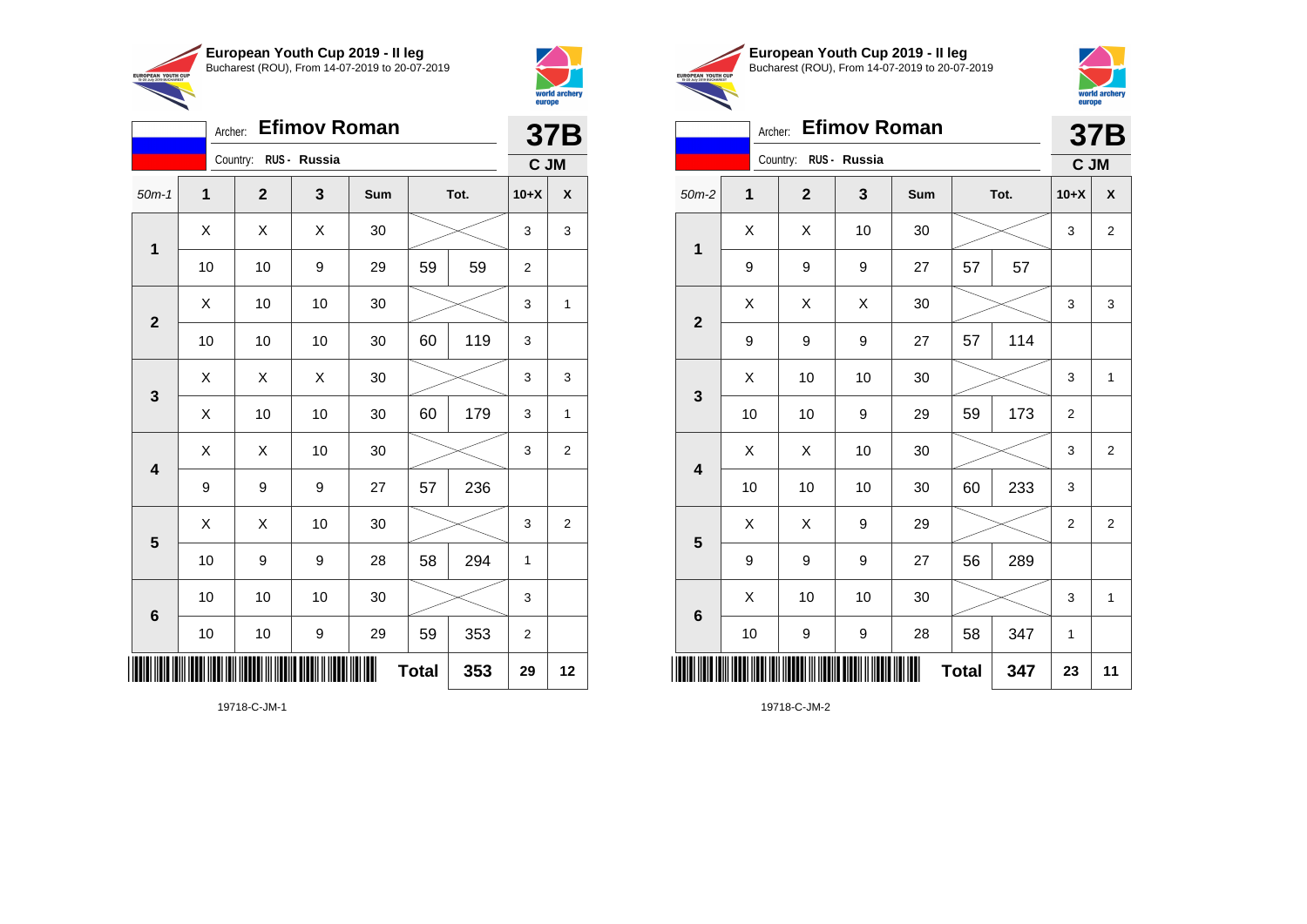

Country: **RUS - Russia**

**1**

**2**

**3**

**4**

**5**

**6**

Archer: **Efimov Roman**

50m-1 **1 2 3 Sum Tot. 10+X X**

10 | 10 | 9 | 29 | 59 | 59 | 2

10 | 10 | 10 | 30 | 60 | 119 | 3

 $X \quad | \quad X \quad | \quad X \quad | \quad 30 \quad | \quad \textcolor{red}{\textbf{3}} \textcolor{red}{\textbf{2}} \textcolor{red}{\textbf{3}} \quad | \quad 3 \quad | \quad 3$ 

 $\begin{array}{|c|c|c|c|c|c|}\hline \hspace{.1cm}X & \hspace{.1cm} \text{ 10} & \hspace{.1cm} \text{ 10} & \hspace{.1cm} \text{ 30} & \hspace{.1cm} \end{array} \hspace{.2cm} \begin{array}{|c|c|c|c|c|c|}\hline \hspace{.1cm}X & \hspace{.1cm} \text{ 3} & \hspace{.1cm} \text{ 1} & \hspace{.1cm} \text{ 4} & \hspace{.1cm} \end{array}$ 

 $X$   $\mid$   $X$   $\mid$   $X$   $\mid$  30  $\mid$   $\gg$   $\sim$   $\mid$  3  $\mid$  3

X | 10 | 10 | 30 | 60 | 179 | 3 | 1

 $\begin{array}{|c|c|c|c|c|}\hline \hspace{0.8cm}X & X & 10 & 30 & \nearrow & \ \hline \end{array} \hspace{0.2cm} \begin{array}{|c|c|c|c|c|}\hline \hspace{0.8cm}3 & 3 & 2 \end{array}$ 

 $\begin{array}{|c|c|c|c|c|}\hline \hspace{0.8cm}X & X & 10 & 30 & \nearrow & \ \hline \end{array} \hspace{0.2cm} \begin{array}{|c|c|c|c|c|}\hline \hspace{0.8cm}3 & 3 & 2 \end{array}$ 

10 | 9 | 9 | 28 | 58 | 294 | 1

10 | 10 | 10 | 30 |  $\!\!\!\!\!\!\!\!\!\!\times$  | 3

10 | 10 | 9 | 29 | 59 | 353 | 2

**Total 353 29 12**

9 | 9 | 9 | 27 | 57 | 236



**37B C JM**

|     | European Youth Cup 2019 - Il leg               |
|-----|------------------------------------------------|
| CUP | Bucharest (ROU), From 14-07-2019 to 20-07-2019 |



| <b>Efimov Roman</b><br>Archer:              |              |                       |    |     |              |      |        | <b>37B</b>     |  |  |
|---------------------------------------------|--------------|-----------------------|----|-----|--------------|------|--------|----------------|--|--|
|                                             |              | Country: RUS - Russia |    |     |              |      | C JM   |                |  |  |
| $50m-2$                                     | $\mathbf{1}$ | $\mathbf{2}$          | 3  | Sum |              | Tot. | $10+X$ | X              |  |  |
|                                             | X            | Χ                     | 10 | 30  |              |      | 3      | $\overline{2}$ |  |  |
|                                             | 9            | 9                     | 9  | 27  | 57           | 57   |        |                |  |  |
|                                             | Χ            | Χ                     | Χ  | 30  |              |      | 3      | 3              |  |  |
|                                             | 9            | 9                     | 9  | 27  | 57           | 114  |        |                |  |  |
|                                             | X<br>10      | 10                    | 10 | 30  |              |      | 3      | $\mathbf{1}$   |  |  |
| 3<br>$\overline{\mathbf{4}}$                |              | 10                    | 9  | 29  | 59           | 173  |        |                |  |  |
|                                             | X            | Χ                     | 10 | 30  |              |      | 3      | $\overline{2}$ |  |  |
|                                             | 10           | 10                    | 10 | 30  | 60           | 233  | 3      |                |  |  |
|                                             | X            | X                     | 9  | 29  |              |      | 2      | $\overline{2}$ |  |  |
|                                             | 9            | 9                     | 9  | 27  | 56           | 289  |        |                |  |  |
|                                             | X            | 10                    | 10 | 30  |              |      | 3      | $\mathbf{1}$   |  |  |
|                                             | 10           | 9                     | 9  | 28  | 58           | 347  | 1      |                |  |  |
| 1<br>$\overline{2}$<br>5<br>$6\phantom{1}6$ |              |                       |    |     | <b>Total</b> | 347  | 23     | 11             |  |  |

19718-C-JM-1

\*19718-C-JM-1\*